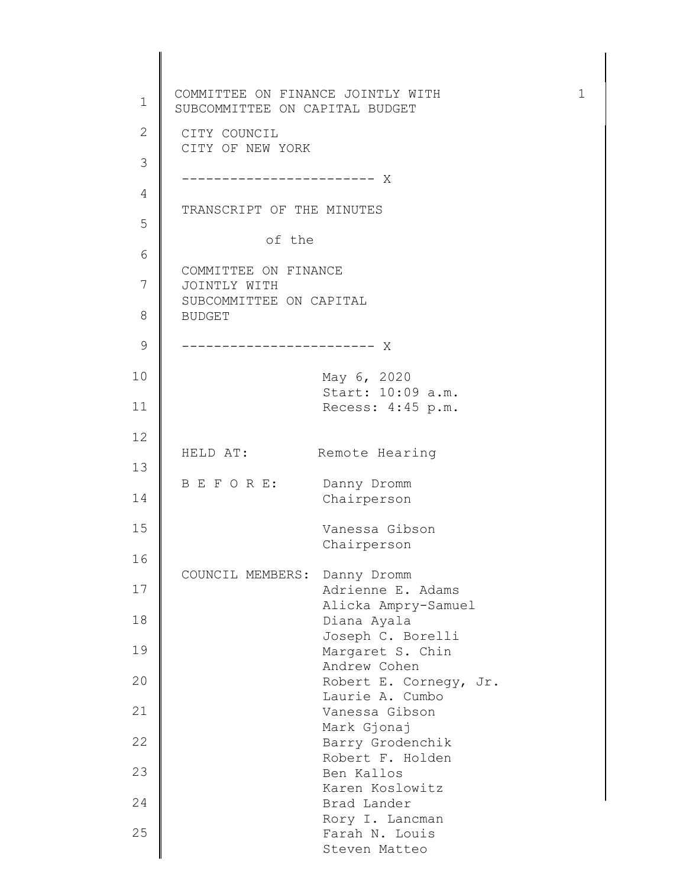| $\mathbf 1$   | COMMITTEE ON FINANCE JOINTLY WITH<br>SUBCOMMITTEE ON CAPITAL BUDGET | $\mathbf 1$ |
|---------------|---------------------------------------------------------------------|-------------|
| $\mathbf{2}$  | CITY COUNCIL                                                        |             |
| 3             | CITY OF NEW YORK                                                    |             |
| 4             |                                                                     |             |
| 5             | TRANSCRIPT OF THE MINUTES                                           |             |
| 6             | of the                                                              |             |
| 7             | COMMITTEE ON FINANCE<br>JOINTLY WITH                                |             |
| 8             | SUBCOMMITTEE ON CAPITAL<br><b>BUDGET</b>                            |             |
| $\mathcal{G}$ |                                                                     |             |
| 10            | May 6, 2020                                                         |             |
| 11            | Start: 10:09 a.m.<br>Recess: 4:45 p.m.                              |             |
| 12            |                                                                     |             |
| 13            | HELD AT:<br>Remote Hearing                                          |             |
| 14            | B E F O R E:<br>Danny Dromm<br>Chairperson                          |             |
| 15            | Vanessa Gibson<br>Chairperson                                       |             |
| 16            | COUNCIL MEMBERS: Danny Dromm                                        |             |
| 17            | Adrienne E. Adams<br>Alicka Ampry-Samuel                            |             |
| 18            | Diana Ayala<br>Joseph C. Borelli                                    |             |
| 19            | Margaret S. Chin<br>Andrew Cohen                                    |             |
| 20            | Robert E. Corneqy, Jr.<br>Laurie A. Cumbo                           |             |
| 21            | Vanessa Gibson                                                      |             |
| 22            | Mark Gjonaj<br>Barry Grodenchik                                     |             |
| 23            | Robert F. Holden<br>Ben Kallos                                      |             |
| 24            | Karen Koslowitz<br>Brad Lander                                      |             |
| 25            | Rory I. Lancman<br>Farah N. Louis<br>Steven Matteo                  |             |
|               |                                                                     |             |

 $\parallel$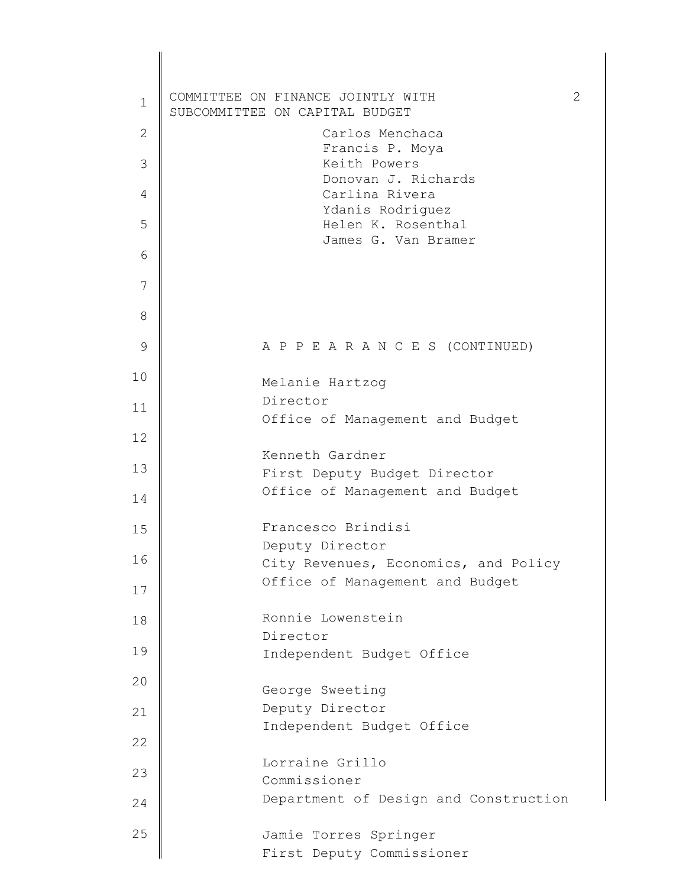| $\mathbf 1$  | COMMITTEE ON FINANCE JOINTLY WITH<br>SUBCOMMITTEE ON CAPITAL BUDGET | 2 |
|--------------|---------------------------------------------------------------------|---|
| $\mathbf{2}$ | Carlos Menchaca                                                     |   |
| 3            | Francis P. Moya<br>Keith Powers                                     |   |
| 4            | Donovan J. Richards<br>Carlina Rivera                               |   |
| 5            | Ydanis Rodriguez<br>Helen K. Rosenthal                              |   |
| 6            | James G. Van Bramer                                                 |   |
| 7            |                                                                     |   |
| 8            |                                                                     |   |
| $\mathsf 9$  | A P P E A R A N C E S (CONTINUED)                                   |   |
| 10           | Melanie Hartzog                                                     |   |
| 11           | Director<br>Office of Management and Budget                         |   |
| 12           |                                                                     |   |
| 13           | Kenneth Gardner<br>First Deputy Budget Director                     |   |
| 14           | Office of Management and Budget                                     |   |
| 15           | Francesco Brindisi                                                  |   |
| 16           | Deputy Director<br>City Revenues, Economics, and Policy             |   |
| 17           | Office of Management and Budget                                     |   |
| 18           | Ronnie Lowenstein                                                   |   |
|              | Director                                                            |   |
| 19           | Independent Budget Office                                           |   |
| 20           | George Sweeting                                                     |   |
| 21           | Deputy Director<br>Independent Budget Office                        |   |
| 22           |                                                                     |   |
| 23           | Lorraine Grillo<br>Commissioner                                     |   |
| 24           | Department of Design and Construction                               |   |
| 25           | Jamie Torres Springer<br>First Deputy Commissioner                  |   |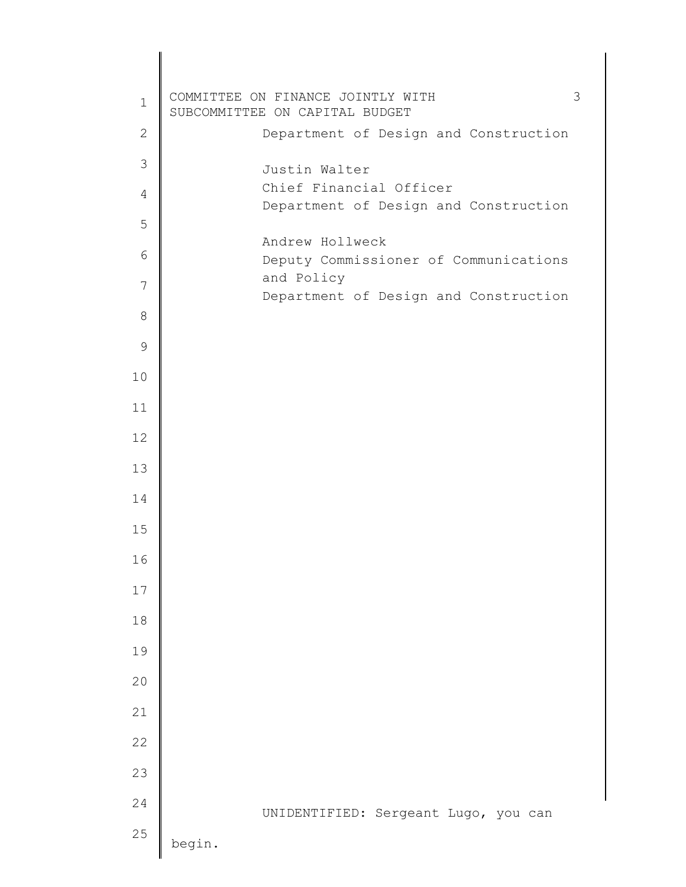| $\mathbf 1$   | 3<br>COMMITTEE ON FINANCE JOINTLY WITH<br>SUBCOMMITTEE ON CAPITAL BUDGET |  |
|---------------|--------------------------------------------------------------------------|--|
| $\mathbf{2}$  | Department of Design and Construction                                    |  |
| 3             | Justin Walter                                                            |  |
| 4             | Chief Financial Officer<br>Department of Design and Construction         |  |
| 5             |                                                                          |  |
| 6             | Andrew Hollweck<br>Deputy Commissioner of Communications                 |  |
| 7             | and Policy                                                               |  |
| 8             | Department of Design and Construction                                    |  |
|               |                                                                          |  |
| $\mathcal{G}$ |                                                                          |  |
| 10            |                                                                          |  |
| 11            |                                                                          |  |
| 12            |                                                                          |  |
| 13            |                                                                          |  |
| 14            |                                                                          |  |
| 15            |                                                                          |  |
| 16            |                                                                          |  |
| $17$          |                                                                          |  |
| 18            |                                                                          |  |
| 19            |                                                                          |  |
| 20            |                                                                          |  |
| 21            |                                                                          |  |
| 22            |                                                                          |  |
| 23            |                                                                          |  |
| 24            |                                                                          |  |
| 25            | UNIDENTIFIED: Sergeant Lugo, you can<br>begin.                           |  |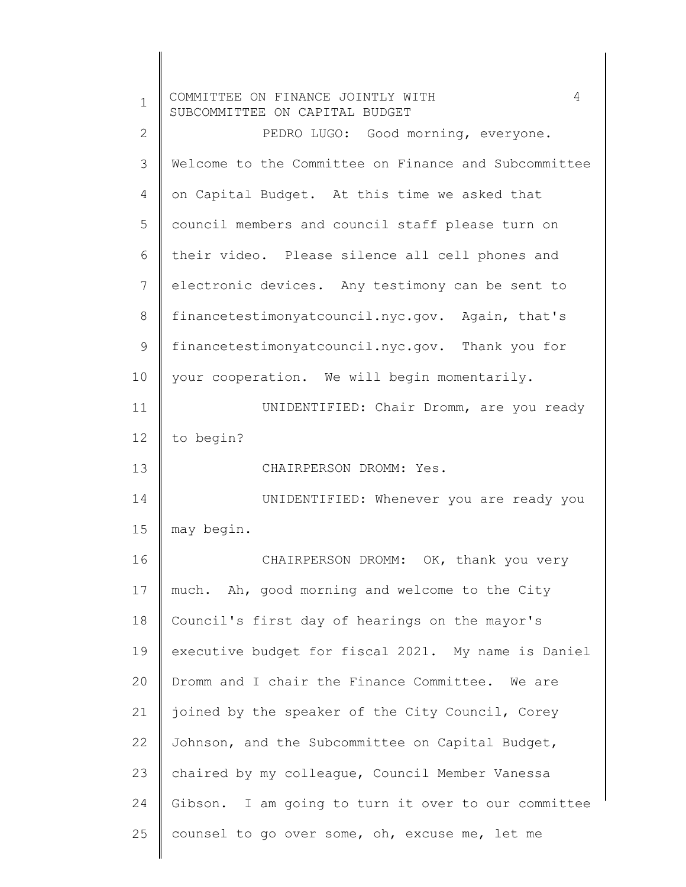| $\mathbf 1$  | 4<br>COMMITTEE ON FINANCE JOINTLY WITH<br>SUBCOMMITTEE ON CAPITAL BUDGET |
|--------------|--------------------------------------------------------------------------|
| $\mathbf{2}$ | PEDRO LUGO: Good morning, everyone.                                      |
| 3            | Welcome to the Committee on Finance and Subcommittee                     |
| 4            | on Capital Budget. At this time we asked that                            |
| 5            | council members and council staff please turn on                         |
| 6            | their video. Please silence all cell phones and                          |
| 7            | electronic devices. Any testimony can be sent to                         |
| 8            | financetestimonyatcouncil.nyc.gov. Again, that's                         |
| 9            | financetestimonyatcouncil.nyc.gov. Thank you for                         |
| 10           | your cooperation. We will begin momentarily.                             |
| 11           | UNIDENTIFIED: Chair Dromm, are you ready                                 |
| 12           | to begin?                                                                |
| 13           | CHAIRPERSON DROMM: Yes.                                                  |
| 14           | UNIDENTIFIED: Whenever you are ready you                                 |
| 15           | may begin.                                                               |
| 16           | CHAIRPERSON DROMM: OK, thank you very                                    |
| 17           | much. Ah, good morning and welcome to the City                           |
| 18           | Council's first day of hearings on the mayor's                           |
| 19           | executive budget for fiscal 2021. My name is Daniel                      |
| 20           | Dromm and I chair the Finance Committee. We are                          |
| 21           | joined by the speaker of the City Council, Corey                         |
| 22           | Johnson, and the Subcommittee on Capital Budget,                         |
| 23           | chaired by my colleague, Council Member Vanessa                          |
| 24           | Gibson. I am going to turn it over to our committee                      |
| 25           | counsel to go over some, oh, excuse me, let me                           |
|              |                                                                          |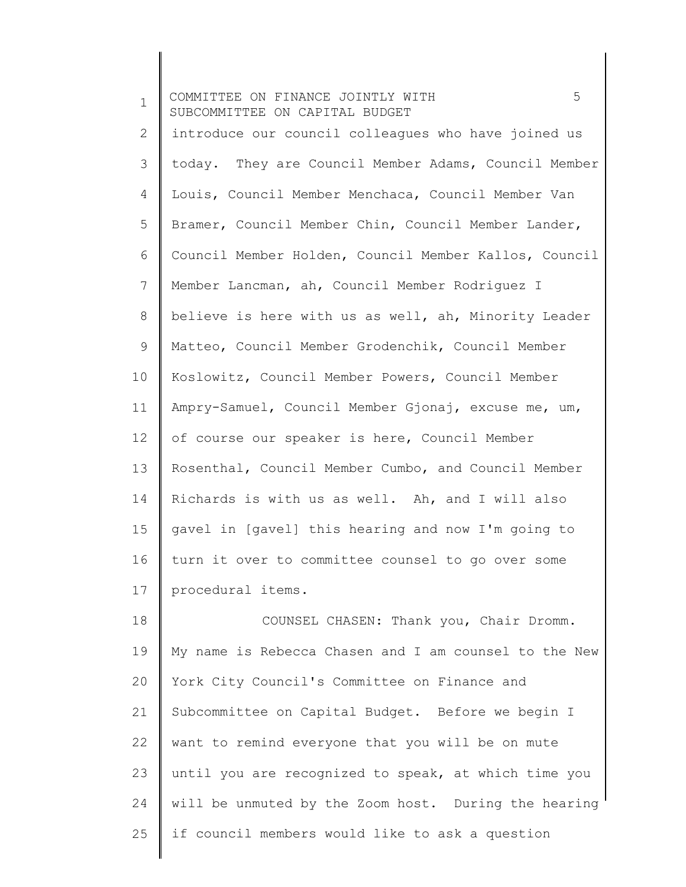| $\mathbf 1$    | 5<br>COMMITTEE ON FINANCE JOINTLY WITH<br>SUBCOMMITTEE ON CAPITAL BUDGET |
|----------------|--------------------------------------------------------------------------|
| $\mathbf{2}$   | introduce our council colleagues who have joined us                      |
| $\mathcal{S}$  | today. They are Council Member Adams, Council Member                     |
| 4              | Louis, Council Member Menchaca, Council Member Van                       |
| 5              | Bramer, Council Member Chin, Council Member Lander,                      |
| 6              | Council Member Holden, Council Member Kallos, Council                    |
| $7\phantom{.}$ | Member Lancman, ah, Council Member Rodriguez I                           |
| $8\,$          | believe is here with us as well, ah, Minority Leader                     |
| 9              | Matteo, Council Member Grodenchik, Council Member                        |
| 10             | Koslowitz, Council Member Powers, Council Member                         |
| 11             | Ampry-Samuel, Council Member Gjonaj, excuse me, um,                      |
| 12             | of course our speaker is here, Council Member                            |
| 13             | Rosenthal, Council Member Cumbo, and Council Member                      |
| 14             | Richards is with us as well. Ah, and I will also                         |
| 15             | gavel in [gavel] this hearing and now I'm going to                       |
| 16             | turn it over to committee counsel to go over some                        |
| 17             | procedural items.                                                        |
| 18             | COUNSEL CHASEN: Thank you, Chair Dromm.                                  |
| 19             | My name is Rebecca Chasen and I am counsel to the New                    |
| 20             | York City Council's Committee on Finance and                             |
| 21             | Subcommittee on Capital Budget. Before we begin I                        |
| 22             | want to remind everyone that you will be on mute                         |
| 23             | until you are recognized to speak, at which time you                     |
| 24             | will be unmuted by the Zoom host. During the hearing                     |

 $\parallel$ 

25 if council members would like to ask a question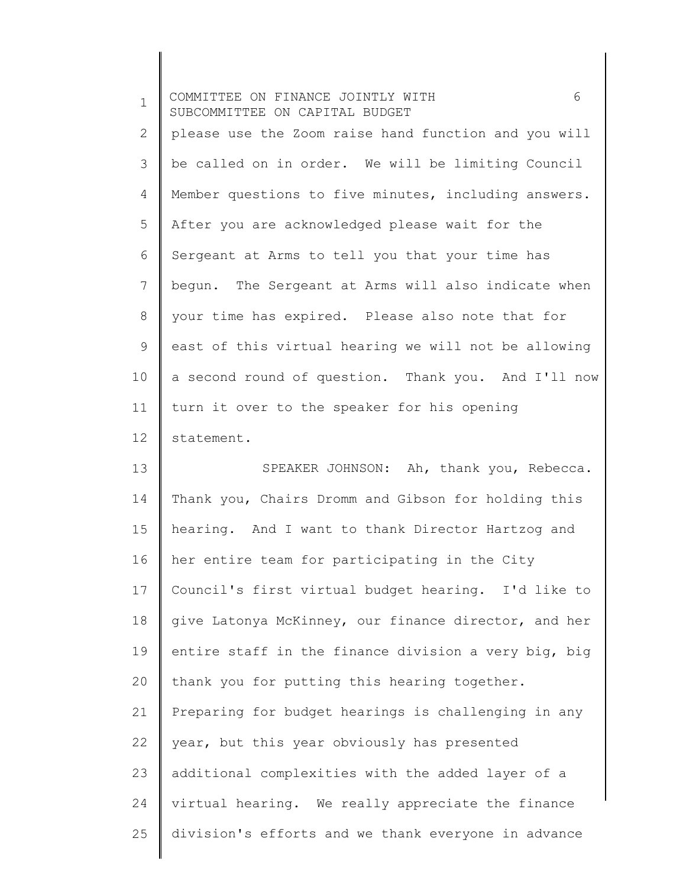| $\mathbf 1$  | 6<br>COMMITTEE ON FINANCE JOINTLY WITH<br>SUBCOMMITTEE ON CAPITAL BUDGET |
|--------------|--------------------------------------------------------------------------|
| $\mathbf{2}$ | please use the Zoom raise hand function and you will                     |
| 3            | be called on in order. We will be limiting Council                       |
| 4            | Member questions to five minutes, including answers.                     |
| 5            | After you are acknowledged please wait for the                           |
| 6            | Sergeant at Arms to tell you that your time has                          |
| 7            | begun. The Sergeant at Arms will also indicate when                      |
| $8\,$        | your time has expired. Please also note that for                         |
| 9            | east of this virtual hearing we will not be allowing                     |
| 10           | a second round of question. Thank you. And I'll now                      |
| 11           | turn it over to the speaker for his opening                              |
| 12           | statement.                                                               |
| 13           | SPEAKER JOHNSON: Ah, thank you, Rebecca.                                 |
| 14           | Thank you, Chairs Dromm and Gibson for holding this                      |
| 15           | hearing. And I want to thank Director Hartzog and                        |
| 16           | her entire team for participating in the City                            |
| 17           | Council's first virtual budget hearing. I'd like to                      |
| 18           | give Latonya McKinney, our finance director, and her                     |
| 19           | entire staff in the finance division a very big, big                     |
| 20           | thank you for putting this hearing together.                             |
| 21           | Preparing for budget hearings is challenging in any                      |
| 22           | year, but this year obviously has presented                              |
| 23           | additional complexities with the added layer of a                        |
| 24           | virtual hearing. We really appreciate the finance                        |
| 25           | division's efforts and we thank everyone in advance                      |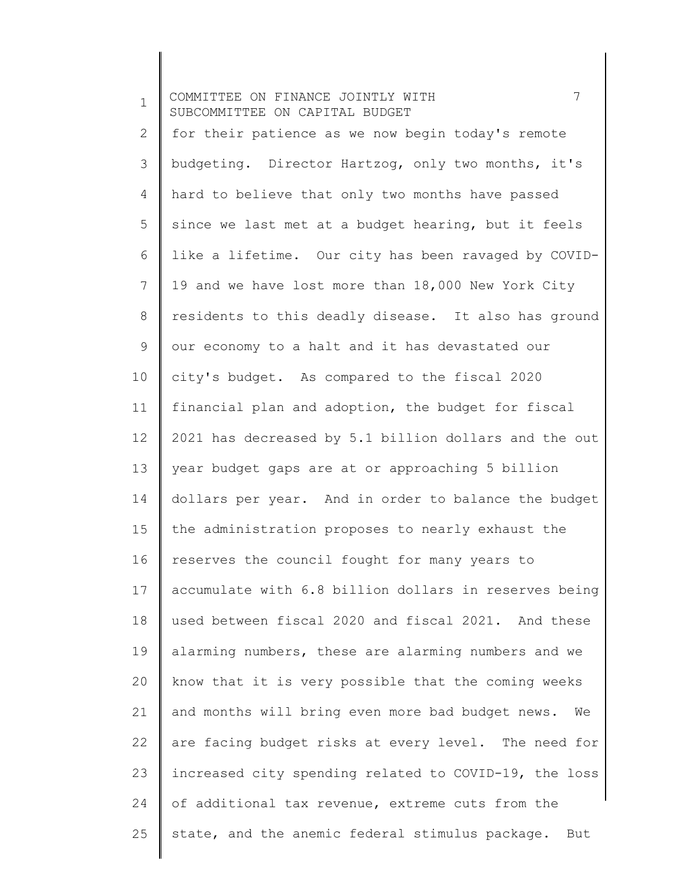1 2 3 4 5 6 7 8 9 10 11 12 13 14 15 16 17 18 19 20 21 22 23 24 25 COMMITTEE ON FINANCE JOINTLY WITH  $\overline{7}$ SUBCOMMITTEE ON CAPITAL BUDGET for their patience as we now begin today's remote budgeting. Director Hartzog, only two months, it's hard to believe that only two months have passed since we last met at a budget hearing, but it feels like a lifetime. Our city has been ravaged by COVID-19 and we have lost more than 18,000 New York City residents to this deadly disease. It also has ground our economy to a halt and it has devastated our city's budget. As compared to the fiscal 2020 financial plan and adoption, the budget for fiscal 2021 has decreased by 5.1 billion dollars and the out year budget gaps are at or approaching 5 billion dollars per year. And in order to balance the budget the administration proposes to nearly exhaust the reserves the council fought for many years to accumulate with 6.8 billion dollars in reserves being used between fiscal 2020 and fiscal 2021. And these alarming numbers, these are alarming numbers and we know that it is very possible that the coming weeks and months will bring even more bad budget news. We are facing budget risks at every level. The need for increased city spending related to COVID-19, the loss of additional tax revenue, extreme cuts from the state, and the anemic federal stimulus package. But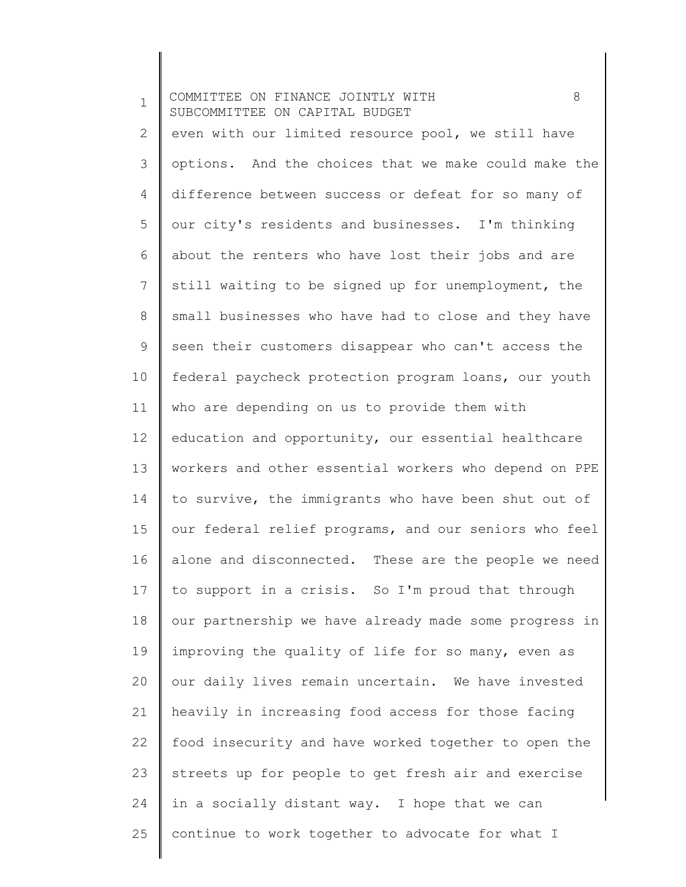1 2 3 4 5 6 7 8 9 10 11 12 13 14 15 16 17 18 19 20 21 22 23 24 25 COMMITTEE ON FINANCE JOINTLY WITH  $8$ SUBCOMMITTEE ON CAPITAL BUDGET even with our limited resource pool, we still have options. And the choices that we make could make the difference between success or defeat for so many of our city's residents and businesses. I'm thinking about the renters who have lost their jobs and are still waiting to be signed up for unemployment, the small businesses who have had to close and they have seen their customers disappear who can't access the federal paycheck protection program loans, our youth who are depending on us to provide them with education and opportunity, our essential healthcare workers and other essential workers who depend on PPE to survive, the immigrants who have been shut out of our federal relief programs, and our seniors who feel alone and disconnected. These are the people we need to support in a crisis. So I'm proud that through our partnership we have already made some progress in improving the quality of life for so many, even as our daily lives remain uncertain. We have invested heavily in increasing food access for those facing food insecurity and have worked together to open the streets up for people to get fresh air and exercise in a socially distant way. I hope that we can continue to work together to advocate for what I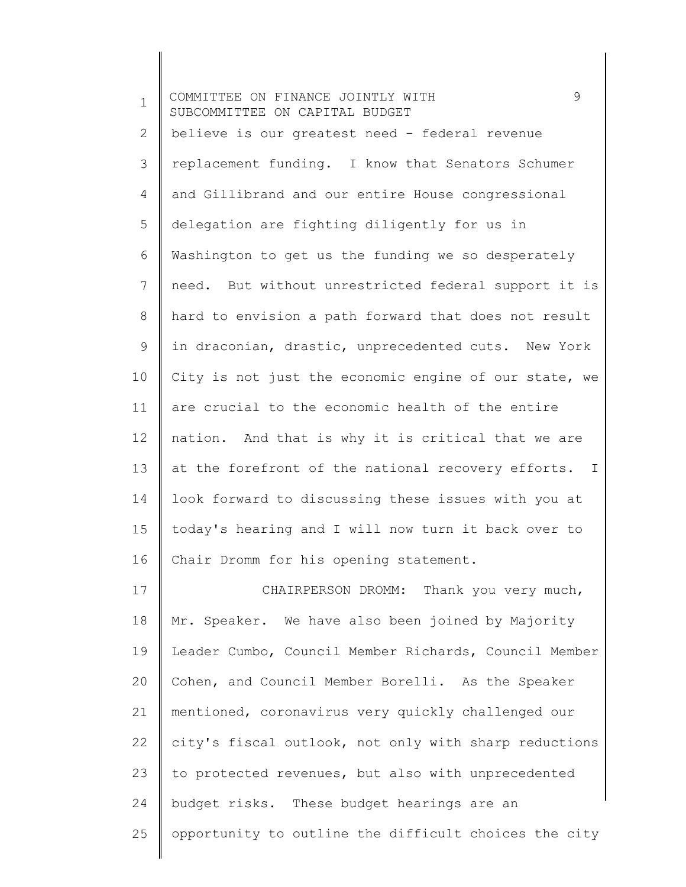1 2 3 4 5 6 7 8 9 10 11 12 13 14 15 16 17 18 19 20 21 22 23 24 COMMITTEE ON FINANCE JOINTLY WITH 9 SUBCOMMITTEE ON CAPITAL BUDGET believe is our greatest need - federal revenue replacement funding. I know that Senators Schumer and Gillibrand and our entire House congressional delegation are fighting diligently for us in Washington to get us the funding we so desperately need. But without unrestricted federal support it is hard to envision a path forward that does not result in draconian, drastic, unprecedented cuts. New York City is not just the economic engine of our state, we are crucial to the economic health of the entire nation. And that is why it is critical that we are at the forefront of the national recovery efforts. I look forward to discussing these issues with you at today's hearing and I will now turn it back over to Chair Dromm for his opening statement. CHAIRPERSON DROMM: Thank you very much, Mr. Speaker. We have also been joined by Majority Leader Cumbo, Council Member Richards, Council Member Cohen, and Council Member Borelli. As the Speaker mentioned, coronavirus very quickly challenged our city's fiscal outlook, not only with sharp reductions to protected revenues, but also with unprecedented budget risks. These budget hearings are an

opportunity to outline the difficult choices the city

25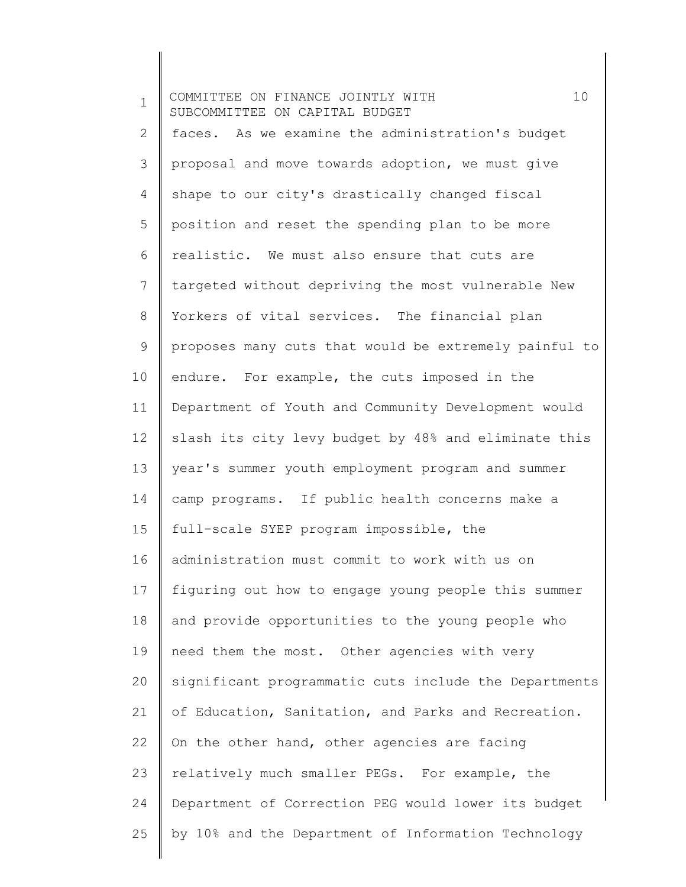1 2 3 4 5 6 7 8 9 10 11 12 13 14 15 16 17 18 19 20 21 22 23 24 25 COMMITTEE ON FINANCE JOINTLY WITH 10 SUBCOMMITTEE ON CAPITAL BUDGET faces. As we examine the administration's budget proposal and move towards adoption, we must give shape to our city's drastically changed fiscal position and reset the spending plan to be more realistic. We must also ensure that cuts are targeted without depriving the most vulnerable New Yorkers of vital services. The financial plan proposes many cuts that would be extremely painful to endure. For example, the cuts imposed in the Department of Youth and Community Development would slash its city levy budget by 48% and eliminate this year's summer youth employment program and summer camp programs. If public health concerns make a full-scale SYEP program impossible, the administration must commit to work with us on figuring out how to engage young people this summer and provide opportunities to the young people who need them the most. Other agencies with very significant programmatic cuts include the Departments of Education, Sanitation, and Parks and Recreation. On the other hand, other agencies are facing relatively much smaller PEGs. For example, the Department of Correction PEG would lower its budget by 10% and the Department of Information Technology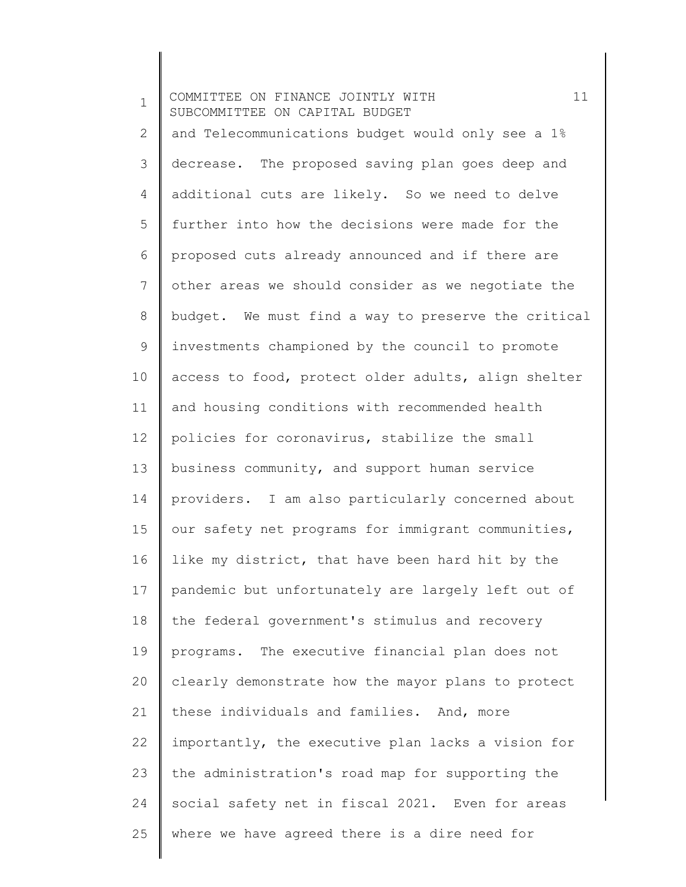1 2 3 4 5 6 7 8 9 10 11 12 13 14 15 16 17 18 19 20 21 22 23 24 25 COMMITTEE ON FINANCE JOINTLY WITH 11 SUBCOMMITTEE ON CAPITAL BUDGET and Telecommunications budget would only see a 1% decrease. The proposed saving plan goes deep and additional cuts are likely. So we need to delve further into how the decisions were made for the proposed cuts already announced and if there are other areas we should consider as we negotiate the budget. We must find a way to preserve the critical investments championed by the council to promote access to food, protect older adults, align shelter and housing conditions with recommended health policies for coronavirus, stabilize the small business community, and support human service providers. I am also particularly concerned about our safety net programs for immigrant communities, like my district, that have been hard hit by the pandemic but unfortunately are largely left out of the federal government's stimulus and recovery programs. The executive financial plan does not clearly demonstrate how the mayor plans to protect these individuals and families. And, more importantly, the executive plan lacks a vision for the administration's road map for supporting the social safety net in fiscal 2021. Even for areas where we have agreed there is a dire need for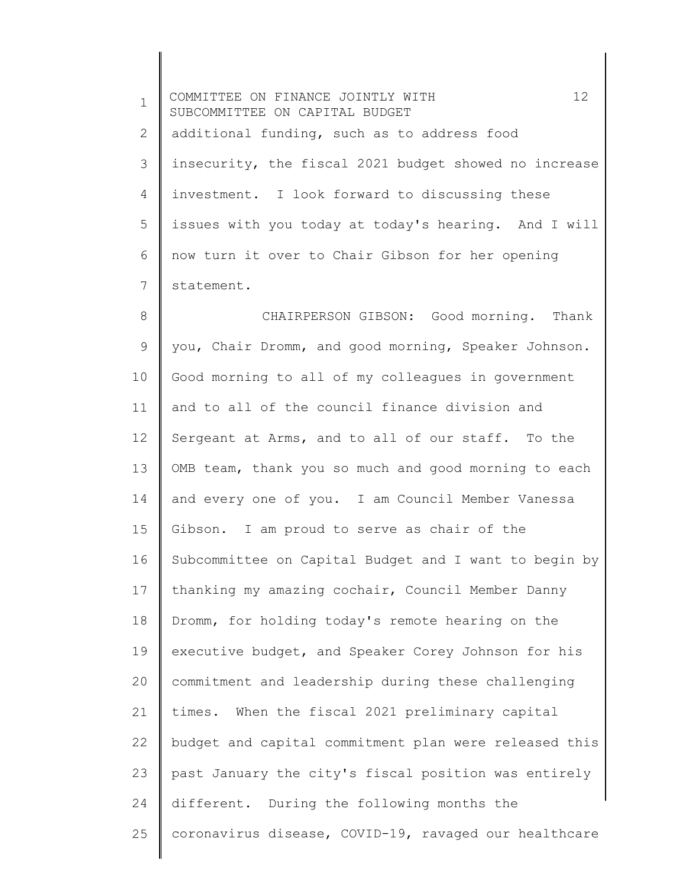1 2 3 4 5 6 7 COMMITTEE ON FINANCE JOINTLY WITH 12 SUBCOMMITTEE ON CAPITAL BUDGET additional funding, such as to address food insecurity, the fiscal 2021 budget showed no increase investment. I look forward to discussing these issues with you today at today's hearing. And I will now turn it over to Chair Gibson for her opening statement.

8 9 10 11 12 13 14 15 16 17 18 19 20 21 22 23 24 25 CHAIRPERSON GIBSON: Good morning. Thank you, Chair Dromm, and good morning, Speaker Johnson. Good morning to all of my colleagues in government and to all of the council finance division and Sergeant at Arms, and to all of our staff. To the OMB team, thank you so much and good morning to each and every one of you. I am Council Member Vanessa Gibson. I am proud to serve as chair of the Subcommittee on Capital Budget and I want to begin by thanking my amazing cochair, Council Member Danny Dromm, for holding today's remote hearing on the executive budget, and Speaker Corey Johnson for his commitment and leadership during these challenging times. When the fiscal 2021 preliminary capital budget and capital commitment plan were released this past January the city's fiscal position was entirely different. During the following months the coronavirus disease, COVID-19, ravaged our healthcare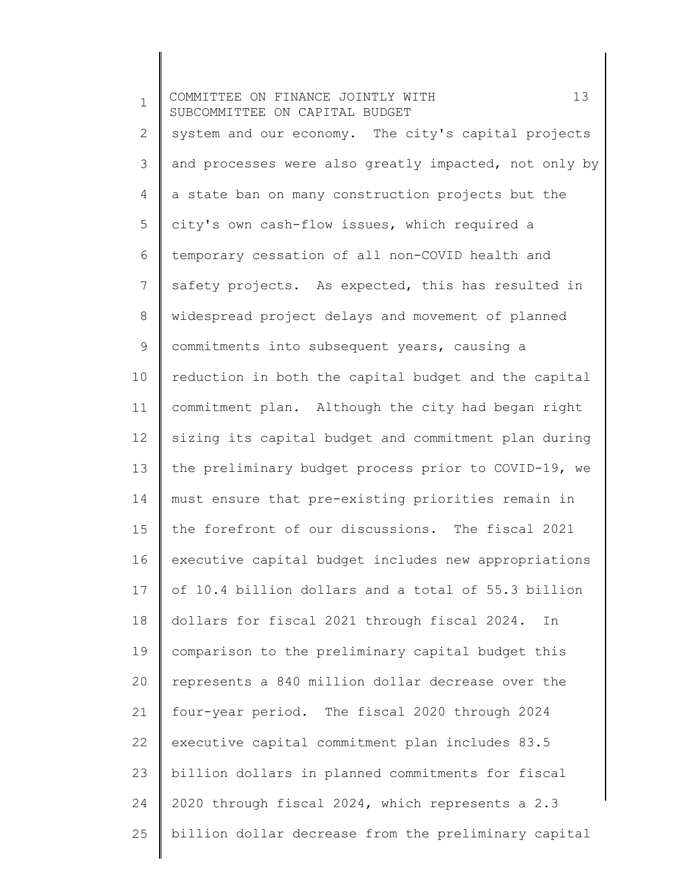1 2 3 4 5 6 7 8 9 10 11 12 13 14 15 16 17 18 19 20 21 22 23 24 25 COMMITTEE ON FINANCE JOINTLY WITH 13 SUBCOMMITTEE ON CAPITAL BUDGET system and our economy. The city's capital projects and processes were also greatly impacted, not only by a state ban on many construction projects but the city's own cash-flow issues, which required a temporary cessation of all non-COVID health and safety projects. As expected, this has resulted in widespread project delays and movement of planned commitments into subsequent years, causing a reduction in both the capital budget and the capital commitment plan. Although the city had began right sizing its capital budget and commitment plan during the preliminary budget process prior to COVID-19, we must ensure that pre-existing priorities remain in the forefront of our discussions. The fiscal 2021 executive capital budget includes new appropriations of 10.4 billion dollars and a total of 55.3 billion dollars for fiscal 2021 through fiscal 2024. In comparison to the preliminary capital budget this represents a 840 million dollar decrease over the four-year period. The fiscal 2020 through 2024 executive capital commitment plan includes 83.5 billion dollars in planned commitments for fiscal 2020 through fiscal 2024, which represents a 2.3 billion dollar decrease from the preliminary capital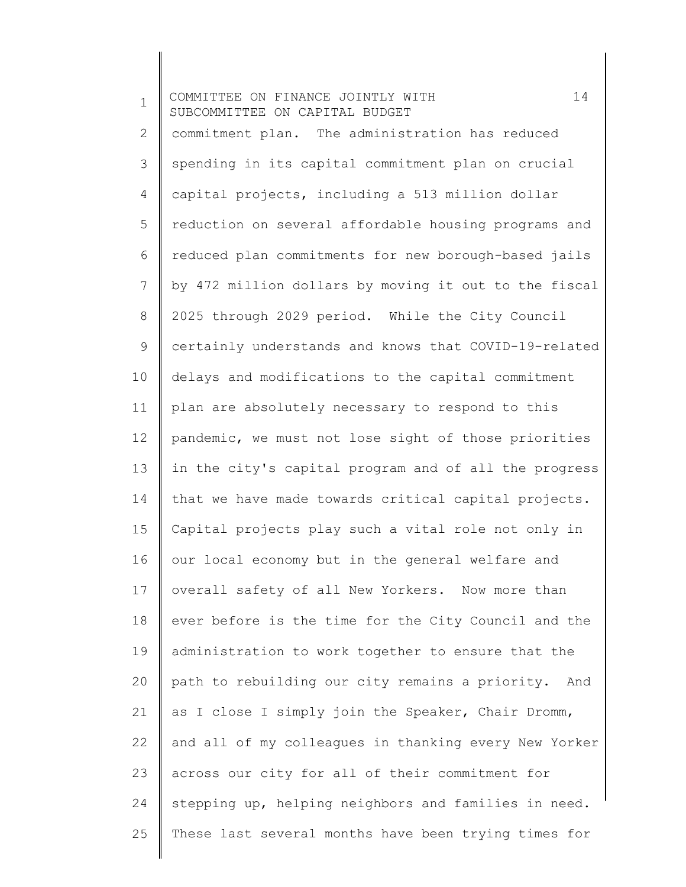| $\mathbf 1$  | 14<br>COMMITTEE ON FINANCE JOINTLY WITH<br>SUBCOMMITTEE ON CAPITAL BUDGET |
|--------------|---------------------------------------------------------------------------|
| $\mathbf{2}$ | commitment plan. The administration has reduced                           |
| 3            | spending in its capital commitment plan on crucial                        |
| 4            | capital projects, including a 513 million dollar                          |
| 5            | reduction on several affordable housing programs and                      |
| 6            | reduced plan commitments for new borough-based jails                      |
| 7            | by 472 million dollars by moving it out to the fiscal                     |
| 8            | 2025 through 2029 period. While the City Council                          |
| 9            | certainly understands and knows that COVID-19-related                     |
| 10           | delays and modifications to the capital commitment                        |
| 11           | plan are absolutely necessary to respond to this                          |
| 12           | pandemic, we must not lose sight of those priorities                      |
| 13           | in the city's capital program and of all the progress                     |
| 14           | that we have made towards critical capital projects.                      |
| 15           | Capital projects play such a vital role not only in                       |
| 16           | our local economy but in the general welfare and                          |
| 17           | overall safety of all New Yorkers. Now more than                          |
| 18           | ever before is the time for the City Council and the                      |
| 19           | administration to work together to ensure that the                        |
| 20           | path to rebuilding our city remains a priority. And                       |
| 21           | as I close I simply join the Speaker, Chair Dromm,                        |
| 22           | and all of my colleagues in thanking every New Yorker                     |
| 23           | across our city for all of their commitment for                           |
| 24           | stepping up, helping neighbors and families in need.                      |
| 25           | These last several months have been trying times for                      |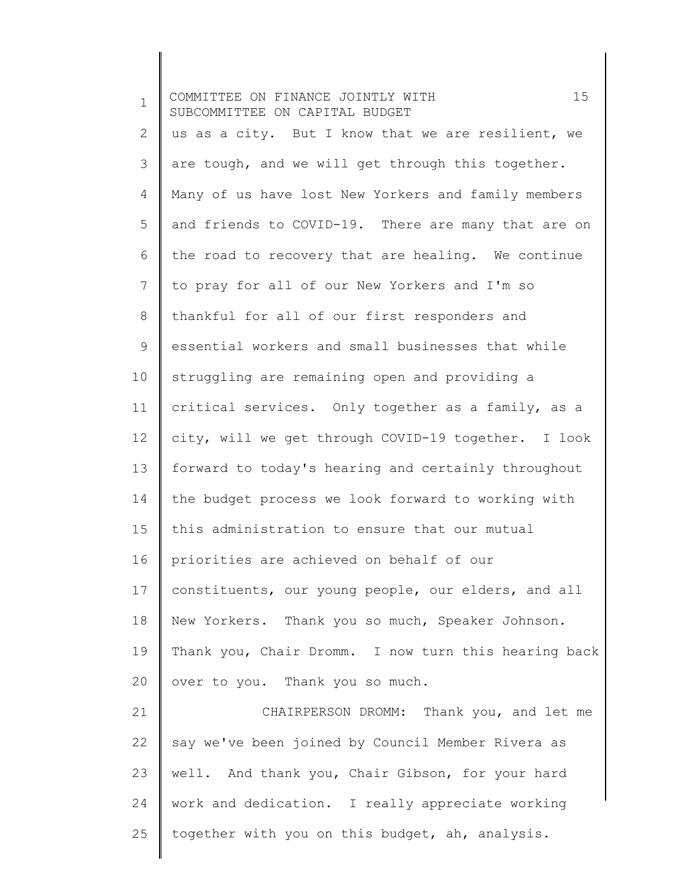| $\mathbf{1}$ | 15<br>COMMITTEE ON FINANCE JOINTLY WITH<br>SUBCOMMITTEE ON CAPITAL BUDGET |
|--------------|---------------------------------------------------------------------------|
| $\mathbf{2}$ | us as a city. But I know that we are resilient, we                        |
| 3            | are tough, and we will get through this together.                         |
| 4            | Many of us have lost New Yorkers and family members                       |
| 5            | and friends to COVID-19. There are many that are on                       |
| 6            | the road to recovery that are healing. We continue                        |
| 7            | to pray for all of our New Yorkers and I'm so                             |
| $8\,$        | thankful for all of our first responders and                              |
| $\mathsf 9$  | essential workers and small businesses that while                         |
| 10           | struggling are remaining open and providing a                             |
| 11           | critical services. Only together as a family, as a                        |
| 12           | city, will we get through COVID-19 together. I look                       |
| 13           | forward to today's hearing and certainly throughout                       |
| 14           | the budget process we look forward to working with                        |
| 15           | this administration to ensure that our mutual                             |
| 16           | priorities are achieved on behalf of our                                  |
| 17           | constituents, our young people, our elders, and all                       |
| 18           | New Yorkers. Thank you so much, Speaker Johnson.                          |
| 19           | Thank you, Chair Dromm. I now turn this hearing back                      |
| 20           | over to you. Thank you so much.                                           |
| 21           | CHAIRPERSON DROMM: Thank you, and let me                                  |
| 22           | say we've been joined by Council Member Rivera as                         |
| 23           | well. And thank you, Chair Gibson, for your hard                          |
| 24           | work and dedication. I really appreciate working                          |
| 25           | together with you on this budget, ah, analysis.                           |

 $\parallel$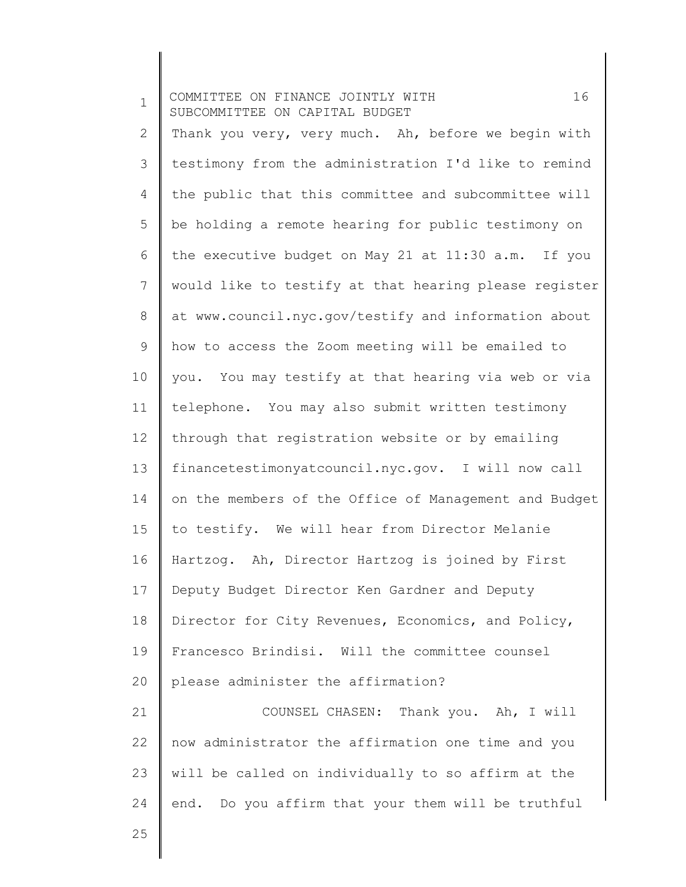| $\mathbf 1$  | 16<br>COMMITTEE ON FINANCE JOINTLY WITH<br>SUBCOMMITTEE ON CAPITAL BUDGET |
|--------------|---------------------------------------------------------------------------|
| $\mathbf{2}$ | Thank you very, very much. Ah, before we begin with                       |
| 3            | testimony from the administration I'd like to remind                      |
| 4            | the public that this committee and subcommittee will                      |
| 5            | be holding a remote hearing for public testimony on                       |
| 6            | the executive budget on May 21 at 11:30 a.m. If you                       |
| 7            | would like to testify at that hearing please register                     |
| $8\,$        | at www.council.nyc.gov/testify and information about                      |
| 9            | how to access the Zoom meeting will be emailed to                         |
| 10           | you. You may testify at that hearing via web or via                       |
| 11           | telephone. You may also submit written testimony                          |
| 12           | through that registration website or by emailing                          |
| 13           | financetestimonyatcouncil.nyc.gov. I will now call                        |
| 14           | on the members of the Office of Management and Budget                     |
| 15           | to testify. We will hear from Director Melanie                            |
| 16           | Hartzog. Ah, Director Hartzog is joined by First                          |
| 17           | Deputy Budget Director Ken Gardner and Deputy                             |
| 18           | Director for City Revenues, Economics, and Policy,                        |
| 19           | Francesco Brindisi. Will the committee counsel                            |
| 20           | please administer the affirmation?                                        |
| 21           | COUNSEL CHASEN: Thank you. Ah, I will                                     |
| 22           | now administrator the affirmation one time and you                        |
| 23           | will be called on individually to so affirm at the                        |
| 24           | end. Do you affirm that your them will be truthful                        |
| 25           |                                                                           |
|              |                                                                           |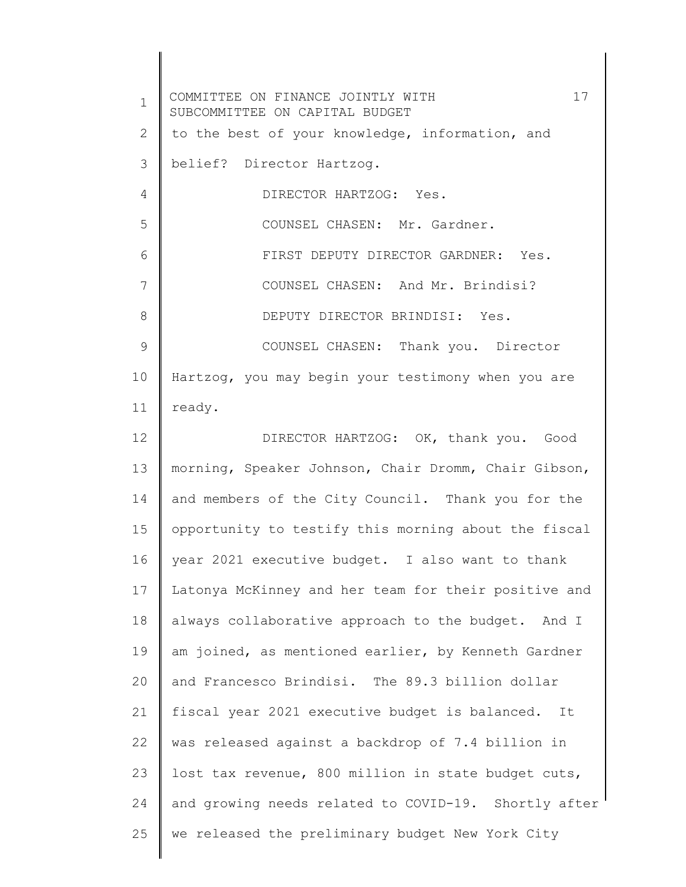1 2 3 4 5 6 7 8 9 10 11 12 13 14 15 16 17 18 19 20 21 22 23 24 25 COMMITTEE ON FINANCE JOINTLY WITH 17 SUBCOMMITTEE ON CAPITAL BUDGET to the best of your knowledge, information, and belief? Director Hartzog. DIRECTOR HARTZOG: Yes. COUNSEL CHASEN: Mr. Gardner. FIRST DEPUTY DIRECTOR GARDNER: Yes. COUNSEL CHASEN: And Mr. Brindisi? DEPUTY DIRECTOR BRINDISI: Yes. COUNSEL CHASEN: Thank you. Director Hartzog, you may begin your testimony when you are ready. DIRECTOR HARTZOG: OK, thank you. Good morning, Speaker Johnson, Chair Dromm, Chair Gibson, and members of the City Council. Thank you for the opportunity to testify this morning about the fiscal year 2021 executive budget. I also want to thank Latonya McKinney and her team for their positive and always collaborative approach to the budget. And I am joined, as mentioned earlier, by Kenneth Gardner and Francesco Brindisi. The 89.3 billion dollar fiscal year 2021 executive budget is balanced. It was released against a backdrop of 7.4 billion in lost tax revenue, 800 million in state budget cuts, and growing needs related to COVID-19. Shortly after we released the preliminary budget New York City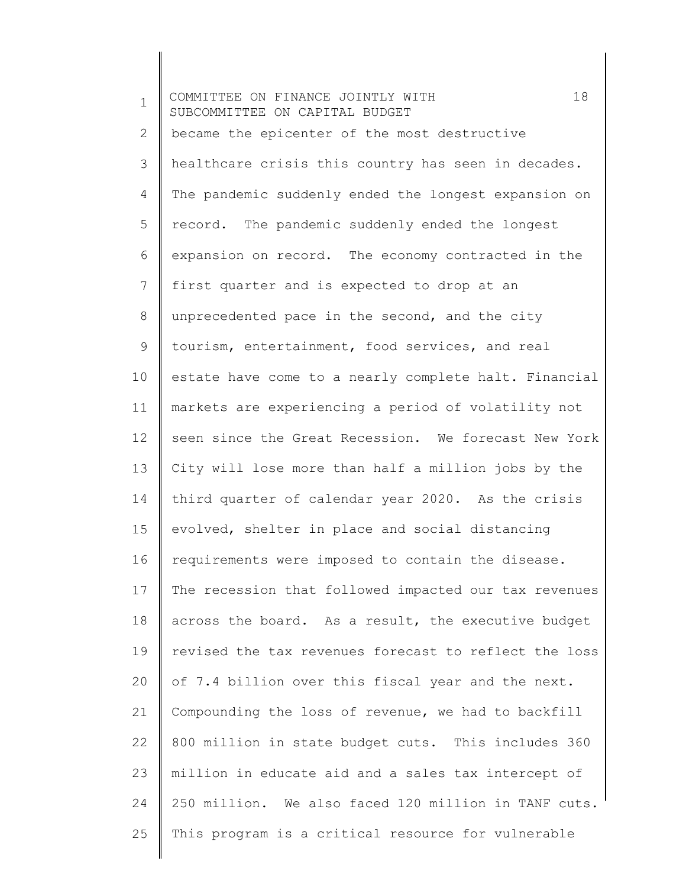1 2 3 4 5 6 7 8 9 10 11 12 13 14 15 16 17 18 19 20 21 22 23 24 25 COMMITTEE ON FINANCE JOINTLY WITH 18 SUBCOMMITTEE ON CAPITAL BUDGET became the epicenter of the most destructive healthcare crisis this country has seen in decades. The pandemic suddenly ended the longest expansion on record. The pandemic suddenly ended the longest expansion on record. The economy contracted in the first quarter and is expected to drop at an unprecedented pace in the second, and the city tourism, entertainment, food services, and real estate have come to a nearly complete halt. Financial markets are experiencing a period of volatility not seen since the Great Recession. We forecast New York City will lose more than half a million jobs by the third quarter of calendar year 2020. As the crisis evolved, shelter in place and social distancing requirements were imposed to contain the disease. The recession that followed impacted our tax revenues across the board. As a result, the executive budget revised the tax revenues forecast to reflect the loss of 7.4 billion over this fiscal year and the next. Compounding the loss of revenue, we had to backfill 800 million in state budget cuts. This includes 360 million in educate aid and a sales tax intercept of 250 million. We also faced 120 million in TANF cuts. This program is a critical resource for vulnerable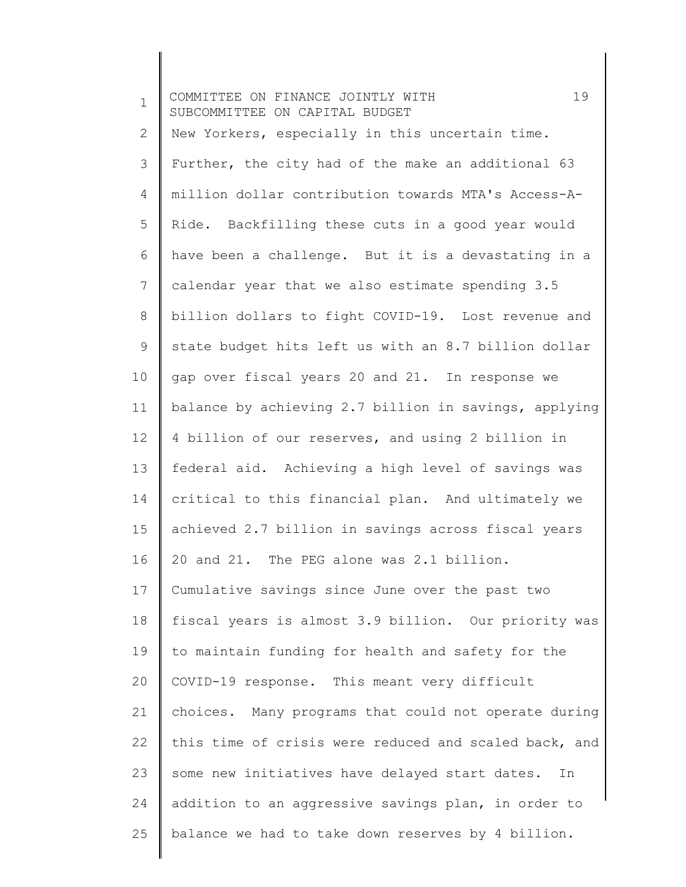| $\mathbf 1$ | 19<br>COMMITTEE ON FINANCE JOINTLY WITH<br>SUBCOMMITTEE ON CAPITAL BUDGET |
|-------------|---------------------------------------------------------------------------|
| 2           | New Yorkers, especially in this uncertain time.                           |
| 3           | Further, the city had of the make an additional 63                        |
| 4           | million dollar contribution towards MTA's Access-A-                       |
| 5           | Ride. Backfilling these cuts in a good year would                         |
| 6           | have been a challenge. But it is a devastating in a                       |
| 7           | calendar year that we also estimate spending 3.5                          |
| $8\,$       | billion dollars to fight COVID-19. Lost revenue and                       |
| 9           | state budget hits left us with an 8.7 billion dollar                      |
| 10          | gap over fiscal years 20 and 21. In response we                           |
| 11          | balance by achieving 2.7 billion in savings, applying                     |
| 12          | 4 billion of our reserves, and using 2 billion in                         |
| 13          | federal aid. Achieving a high level of savings was                        |
| 14          | critical to this financial plan. And ultimately we                        |
| 15          | achieved 2.7 billion in savings across fiscal years                       |
| 16          | 20 and 21. The PEG alone was 2.1 billion.                                 |
| 17          | Cumulative savings since June over the past two                           |
| 18          | fiscal years is almost 3.9 billion. Our priority was                      |
| 19          | to maintain funding for health and safety for the                         |
| 20          | COVID-19 response. This meant very difficult                              |
| 21          | choices. Many programs that could not operate during                      |
| 22          | this time of crisis were reduced and scaled back, and                     |
| 23          | some new initiatives have delayed start dates.<br>In                      |
| 24          | addition to an aggressive savings plan, in order to                       |
| 25          | balance we had to take down reserves by 4 billion.                        |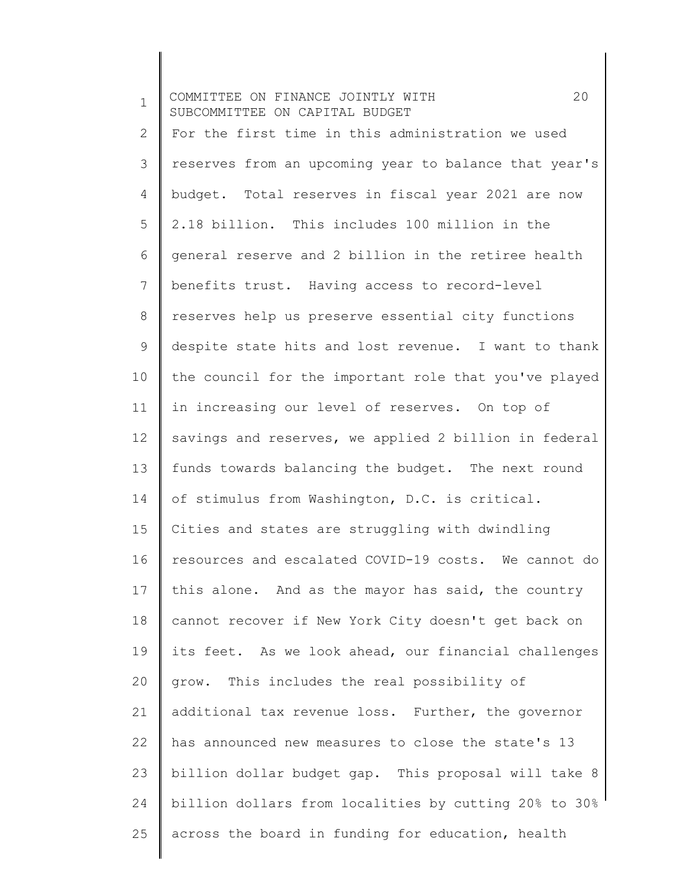1 2 3 4 5 6 7 8 9 10 11 12 13 14 15 16 17 18 19 20 21 22 23 24 25 COMMITTEE ON FINANCE JOINTLY WITH 20 SUBCOMMITTEE ON CAPITAL BUDGET For the first time in this administration we used reserves from an upcoming year to balance that year's budget. Total reserves in fiscal year 2021 are now 2.18 billion. This includes 100 million in the general reserve and 2 billion in the retiree health benefits trust. Having access to record-level reserves help us preserve essential city functions despite state hits and lost revenue. I want to thank the council for the important role that you've played in increasing our level of reserves. On top of savings and reserves, we applied 2 billion in federal funds towards balancing the budget. The next round of stimulus from Washington, D.C. is critical. Cities and states are struggling with dwindling resources and escalated COVID-19 costs. We cannot do this alone. And as the mayor has said, the country cannot recover if New York City doesn't get back on its feet. As we look ahead, our financial challenges grow. This includes the real possibility of additional tax revenue loss. Further, the governor has announced new measures to close the state's 13 billion dollar budget gap. This proposal will take 8 billion dollars from localities by cutting 20% to 30% across the board in funding for education, health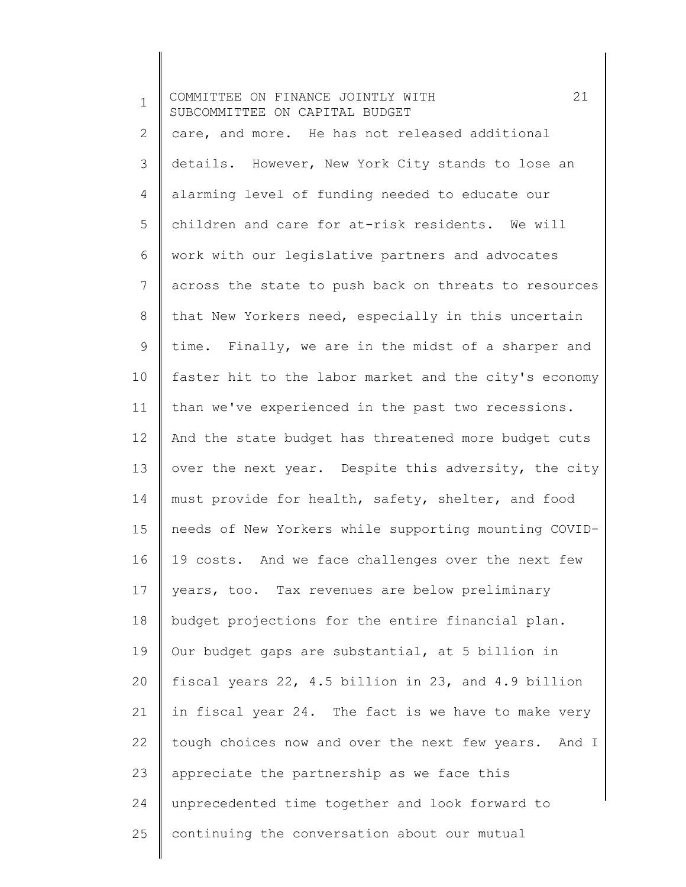1 2 3 4 5 6 7 8 9 10 11 12 13 14 15 16 17 18 19 20 21 22 23 24 25 COMMITTEE ON FINANCE JOINTLY WITH 21 SUBCOMMITTEE ON CAPITAL BUDGET care, and more. He has not released additional details. However, New York City stands to lose an alarming level of funding needed to educate our children and care for at-risk residents. We will work with our legislative partners and advocates across the state to push back on threats to resources that New Yorkers need, especially in this uncertain time. Finally, we are in the midst of a sharper and faster hit to the labor market and the city's economy than we've experienced in the past two recessions. And the state budget has threatened more budget cuts over the next year. Despite this adversity, the city must provide for health, safety, shelter, and food needs of New Yorkers while supporting mounting COVID-19 costs. And we face challenges over the next few years, too. Tax revenues are below preliminary budget projections for the entire financial plan. Our budget gaps are substantial, at 5 billion in fiscal years 22, 4.5 billion in 23, and 4.9 billion in fiscal year 24. The fact is we have to make very tough choices now and over the next few years. And I appreciate the partnership as we face this unprecedented time together and look forward to continuing the conversation about our mutual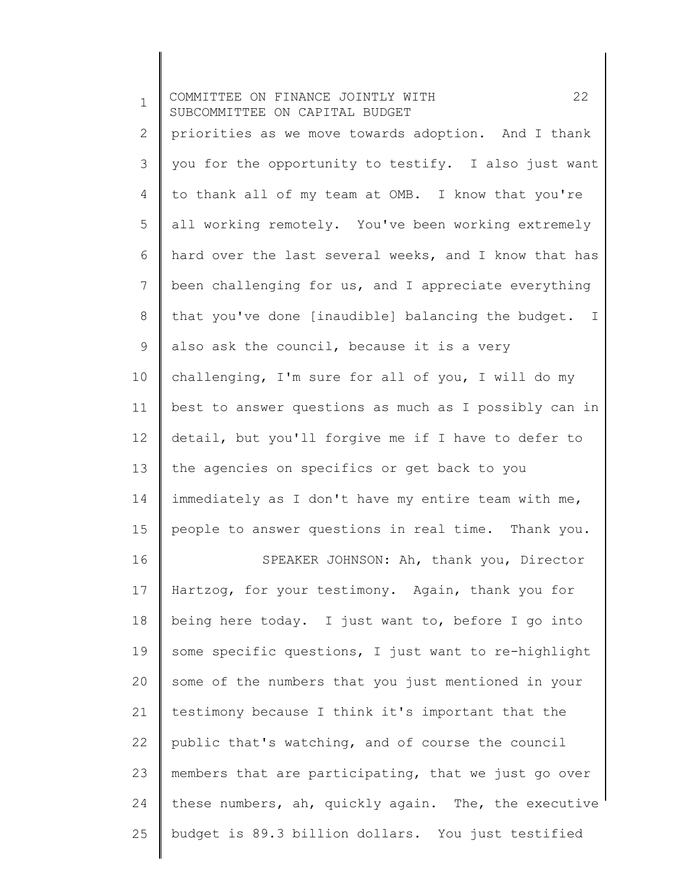| $\mathbf 1$  | 22<br>COMMITTEE ON FINANCE JOINTLY WITH<br>SUBCOMMITTEE ON CAPITAL BUDGET |
|--------------|---------------------------------------------------------------------------|
| $\mathbf{2}$ | priorities as we move towards adoption. And I thank                       |
| 3            | you for the opportunity to testify. I also just want                      |
| 4            | to thank all of my team at OMB. I know that you're                        |
| 5            | all working remotely. You've been working extremely                       |
| 6            | hard over the last several weeks, and I know that has                     |
| 7            | been challenging for us, and I appreciate everything                      |
| 8            | that you've done [inaudible] balancing the budget. I                      |
| 9            | also ask the council, because it is a very                                |
| 10           | challenging, I'm sure for all of you, I will do my                        |
| 11           | best to answer questions as much as I possibly can in                     |
| 12           | detail, but you'll forgive me if I have to defer to                       |
| 13           | the agencies on specifics or get back to you                              |
| 14           | immediately as I don't have my entire team with me,                       |
| 15           | people to answer questions in real time. Thank you.                       |
| 16           | SPEAKER JOHNSON: Ah, thank you, Director                                  |
| 17           | Hartzog, for your testimony. Again, thank you for                         |
| 18           | being here today. I just want to, before I go into                        |
| 19           | some specific questions, I just want to re-highlight                      |
| 20           | some of the numbers that you just mentioned in your                       |
| 21           | testimony because I think it's important that the                         |
| 22           | public that's watching, and of course the council                         |
| 23           | members that are participating, that we just go over                      |
| 24           | these numbers, ah, quickly again. The, the executive                      |
| 25           | budget is 89.3 billion dollars. You just testified                        |
|              |                                                                           |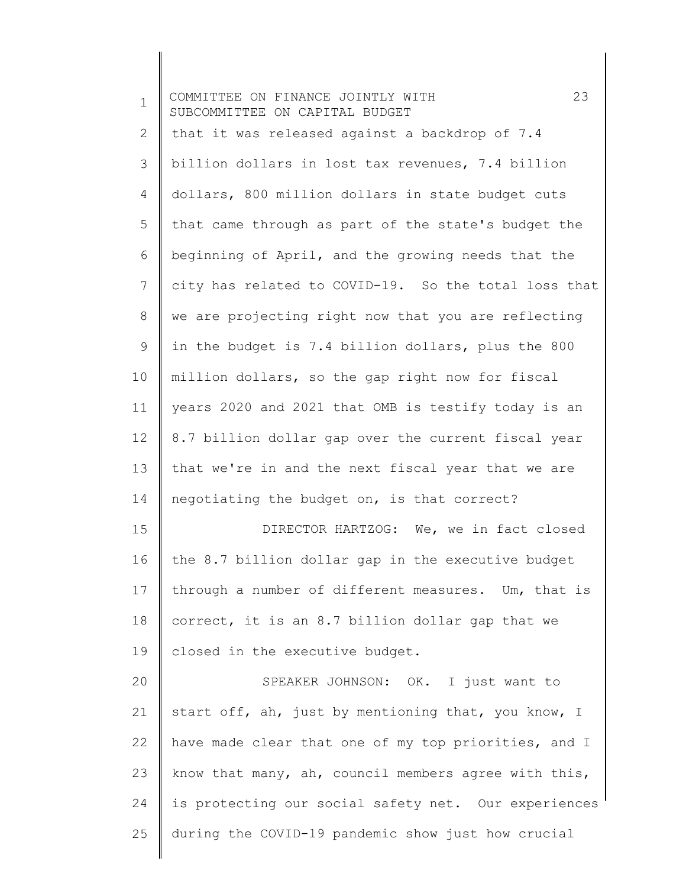| $\mathbf 1$ | 23<br>COMMITTEE ON FINANCE JOINTLY WITH<br>SUBCOMMITTEE ON CAPITAL BUDGET |
|-------------|---------------------------------------------------------------------------|
| 2           | that it was released against a backdrop of 7.4                            |
| 3           | billion dollars in lost tax revenues, 7.4 billion                         |
| 4           | dollars, 800 million dollars in state budget cuts                         |
| 5           | that came through as part of the state's budget the                       |
| 6           | beginning of April, and the growing needs that the                        |
| 7           | city has related to COVID-19. So the total loss that                      |
| 8           | we are projecting right now that you are reflecting                       |
| 9           | in the budget is 7.4 billion dollars, plus the 800                        |
| 10          | million dollars, so the gap right now for fiscal                          |
| 11          | years 2020 and 2021 that OMB is testify today is an                       |
| 12          | 8.7 billion dollar gap over the current fiscal year                       |
| 13          | that we're in and the next fiscal year that we are                        |
| 14          | negotiating the budget on, is that correct?                               |
| 15          | DIRECTOR HARTZOG: We, we in fact closed                                   |
| 16          | the 8.7 billion dollar gap in the executive budget                        |
| 17          | through a number of different measures. Um, that is                       |
| 18          | correct, it is an 8.7 billion dollar gap that we                          |
| 19          | closed in the executive budget.                                           |
| 20          | SPEAKER JOHNSON: OK. I just want to                                       |
| 21          | start off, ah, just by mentioning that, you know, I                       |
| 22          | have made clear that one of my top priorities, and I                      |
| 23          | know that many, ah, council members agree with this,                      |
| 24          | is protecting our social safety net. Our experiences                      |
| 25          | during the COVID-19 pandemic show just how crucial                        |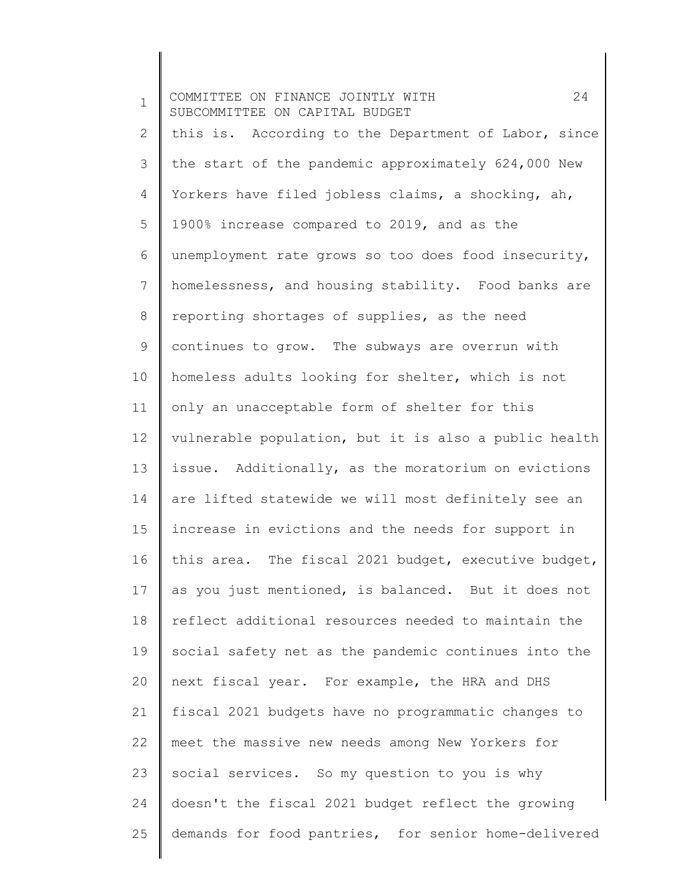1 2 3 4 5 6 7 8 9 10 11 12 13 14 15 16 17 18 19 20 21 22 23 24 25 COMMITTEE ON FINANCE JOINTLY WITH 24 SUBCOMMITTEE ON CAPITAL BUDGET this is. According to the Department of Labor, since the start of the pandemic approximately 624,000 New Yorkers have filed jobless claims, a shocking, ah, 1900% increase compared to 2019, and as the unemployment rate grows so too does food insecurity, homelessness, and housing stability. Food banks are reporting shortages of supplies, as the need continues to grow. The subways are overrun with homeless adults looking for shelter, which is not only an unacceptable form of shelter for this vulnerable population, but it is also a public health issue. Additionally, as the moratorium on evictions are lifted statewide we will most definitely see an increase in evictions and the needs for support in this area. The fiscal 2021 budget, executive budget, as you just mentioned, is balanced. But it does not reflect additional resources needed to maintain the social safety net as the pandemic continues into the next fiscal year. For example, the HRA and DHS fiscal 2021 budgets have no programmatic changes to meet the massive new needs among New Yorkers for social services. So my question to you is why doesn't the fiscal 2021 budget reflect the growing demands for food pantries, for senior home-delivered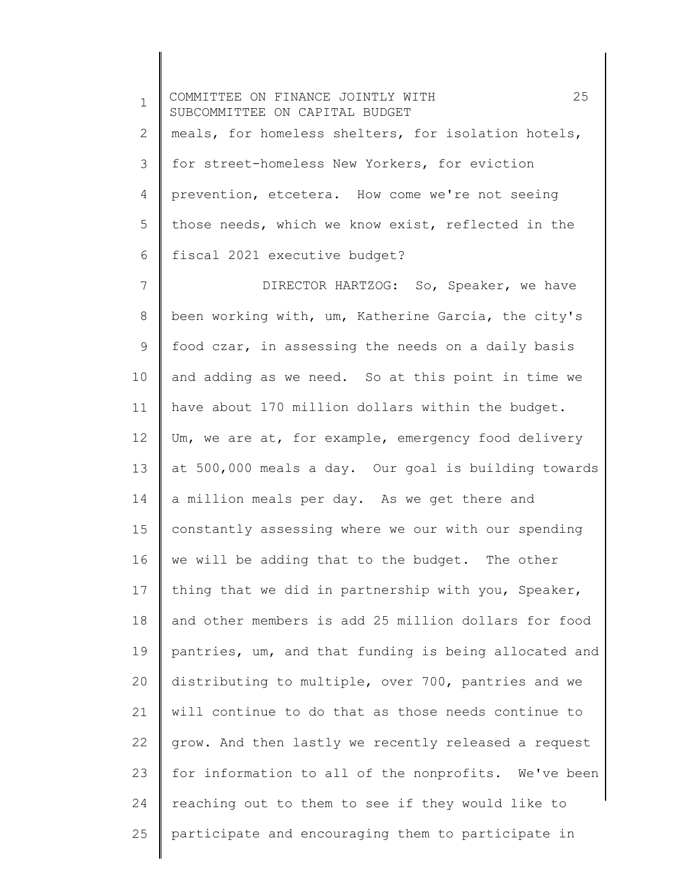1 2 3 4 5 6 7 8 9 10 11 12 13 14 15 16 17 18 19 20 COMMITTEE ON FINANCE JOINTLY WITH 25 SUBCOMMITTEE ON CAPITAL BUDGET meals, for homeless shelters, for isolation hotels, for street-homeless New Yorkers, for eviction prevention, etcetera. How come we're not seeing those needs, which we know exist, reflected in the fiscal 2021 executive budget? DIRECTOR HARTZOG: So, Speaker, we have been working with, um, Katherine Garcia, the city's food czar, in assessing the needs on a daily basis and adding as we need. So at this point in time we have about 170 million dollars within the budget. Um, we are at, for example, emergency food delivery at 500,000 meals a day. Our goal is building towards a million meals per day. As we get there and constantly assessing where we our with our spending we will be adding that to the budget. The other thing that we did in partnership with you, Speaker, and other members is add 25 million dollars for food pantries, um, and that funding is being allocated and distributing to multiple, over 700, pantries and we

21 22 23 24 25 will continue to do that as those needs continue to grow. And then lastly we recently released a request for information to all of the nonprofits. We've been reaching out to them to see if they would like to participate and encouraging them to participate in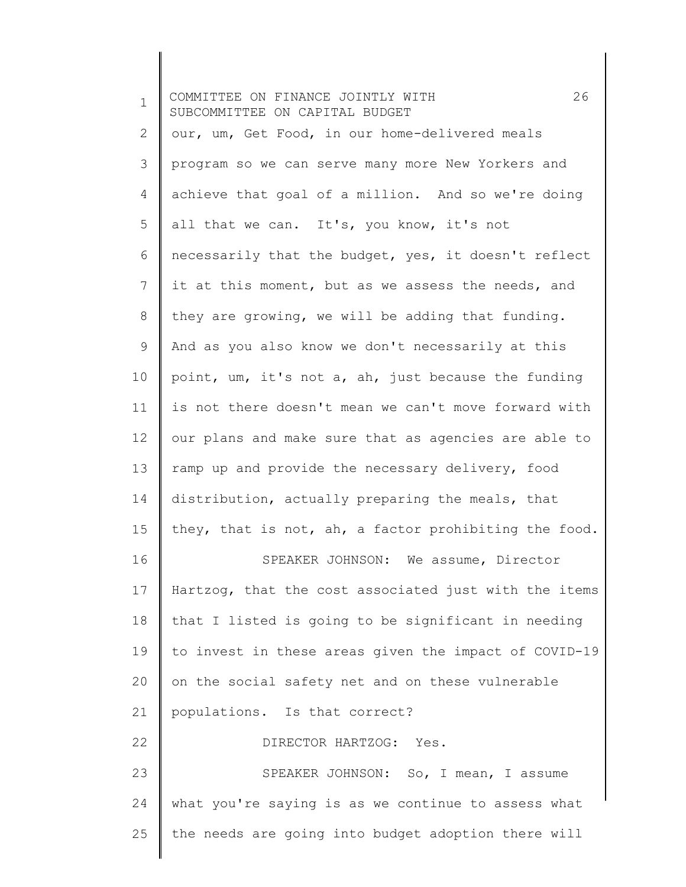| $\mathbf 1$ | 26<br>COMMITTEE ON FINANCE JOINTLY WITH<br>SUBCOMMITTEE ON CAPITAL BUDGET |
|-------------|---------------------------------------------------------------------------|
| 2           | our, um, Get Food, in our home-delivered meals                            |
| 3           | program so we can serve many more New Yorkers and                         |
| 4           | achieve that goal of a million. And so we're doing                        |
| 5           | all that we can. It's, you know, it's not                                 |
| 6           | necessarily that the budget, yes, it doesn't reflect                      |
| 7           | it at this moment, but as we assess the needs, and                        |
| 8           | they are growing, we will be adding that funding.                         |
| 9           | And as you also know we don't necessarily at this                         |
| 10          | point, um, it's not a, ah, just because the funding                       |
| 11          | is not there doesn't mean we can't move forward with                      |
| 12          | our plans and make sure that as agencies are able to                      |
| 13          | ramp up and provide the necessary delivery, food                          |
| 14          | distribution, actually preparing the meals, that                          |
| 15          | they, that is not, ah, a factor prohibiting the food.                     |
| 16          | SPEAKER JOHNSON: We assume, Director                                      |
| 17          | Hartzog, that the cost associated just with the items                     |
| 18          | that I listed is going to be significant in needing                       |
| 19          | to invest in these areas given the impact of COVID-19                     |
| 20          | on the social safety net and on these vulnerable                          |
| 21          | populations. Is that correct?                                             |
| 22          | DIRECTOR HARTZOG: Yes.                                                    |
| 23          | SPEAKER JOHNSON: So, I mean, I assume                                     |
| 24          | what you're saying is as we continue to assess what                       |
| 25          | the needs are going into budget adoption there will                       |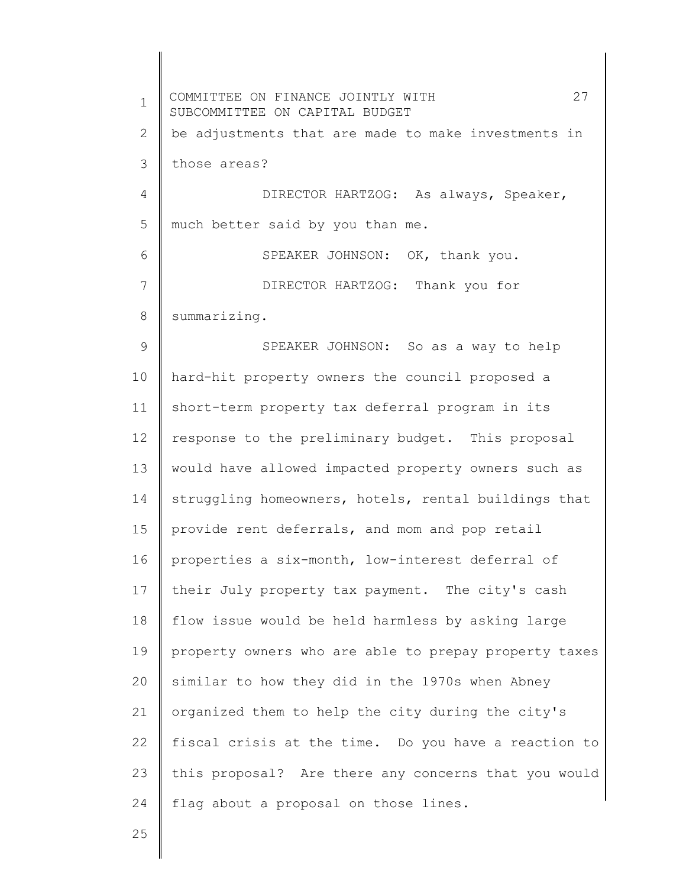1 2 3 4 5 6 7 8 9 10 11 12 13 14 15 16 17 18 19 20 21 22 23 24 COMMITTEE ON FINANCE JOINTLY WITH 27 SUBCOMMITTEE ON CAPITAL BUDGET be adjustments that are made to make investments in those areas? DIRECTOR HARTZOG: As always, Speaker, much better said by you than me. SPEAKER JOHNSON: OK, thank you. DIRECTOR HARTZOG: Thank you for summarizing. SPEAKER JOHNSON: So as a way to help hard-hit property owners the council proposed a short-term property tax deferral program in its response to the preliminary budget. This proposal would have allowed impacted property owners such as struggling homeowners, hotels, rental buildings that provide rent deferrals, and mom and pop retail properties a six-month, low-interest deferral of their July property tax payment. The city's cash flow issue would be held harmless by asking large property owners who are able to prepay property taxes similar to how they did in the 1970s when Abney organized them to help the city during the city's fiscal crisis at the time. Do you have a reaction to this proposal? Are there any concerns that you would flag about a proposal on those lines.

25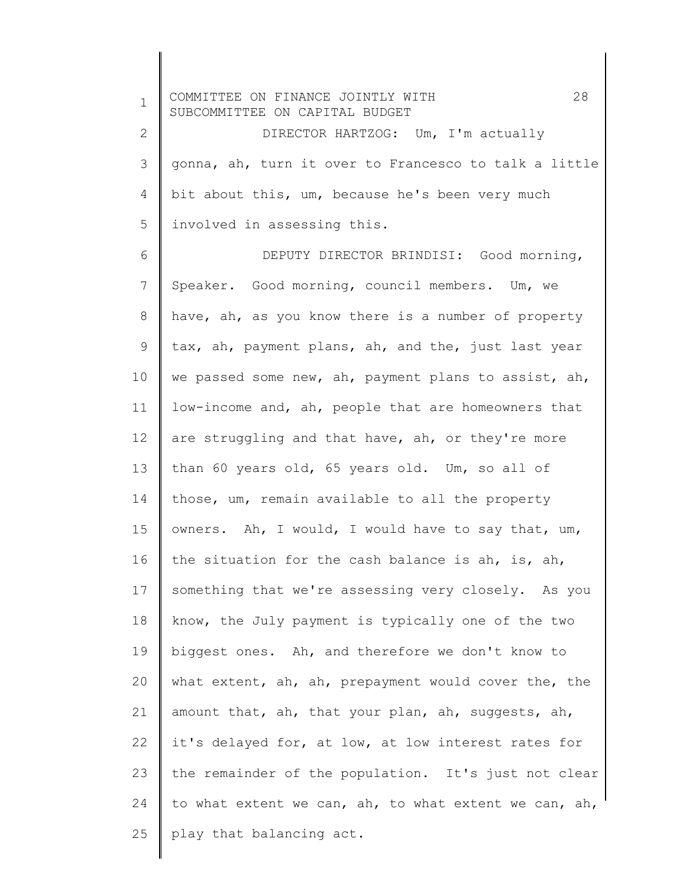| $\mathbf 1$  | 28<br>COMMITTEE ON FINANCE JOINTLY WITH<br>SUBCOMMITTEE ON CAPITAL BUDGET |
|--------------|---------------------------------------------------------------------------|
| $\mathbf{2}$ | DIRECTOR HARTZOG: Um, I'm actually                                        |
| 3            | gonna, ah, turn it over to Francesco to talk a little                     |
| 4            | bit about this, um, because he's been very much                           |
| 5            | involved in assessing this.                                               |
| 6            | DEPUTY DIRECTOR BRINDISI: Good morning,                                   |
| 7            | Speaker. Good morning, council members. Um, we                            |
| $8\,$        | have, ah, as you know there is a number of property                       |
| 9            | tax, ah, payment plans, ah, and the, just last year                       |
| 10           | we passed some new, ah, payment plans to assist, ah,                      |
| 11           | low-income and, ah, people that are homeowners that                       |
| 12           | are struggling and that have, ah, or they're more                         |
| 13           | than 60 years old, 65 years old. Um, so all of                            |
| 14           | those, um, remain available to all the property                           |
| 15           | owners. Ah, I would, I would have to say that, um,                        |
| 16           | the situation for the cash balance is ah, is, ah,                         |
| 17           | something that we're assessing very closely. As you                       |
| 18           | know, the July payment is typically one of the two                        |
| 19           | biggest ones. Ah, and therefore we don't know to                          |
| 20           | what extent, ah, ah, prepayment would cover the, the                      |
| 21           | amount that, ah, that your plan, ah, suggests, ah,                        |
| 22           | it's delayed for, at low, at low interest rates for                       |
| 23           | the remainder of the population. It's just not clear                      |
| 24           | to what extent we can, ah, to what extent we can, ah,                     |
| 25           | play that balancing act.                                                  |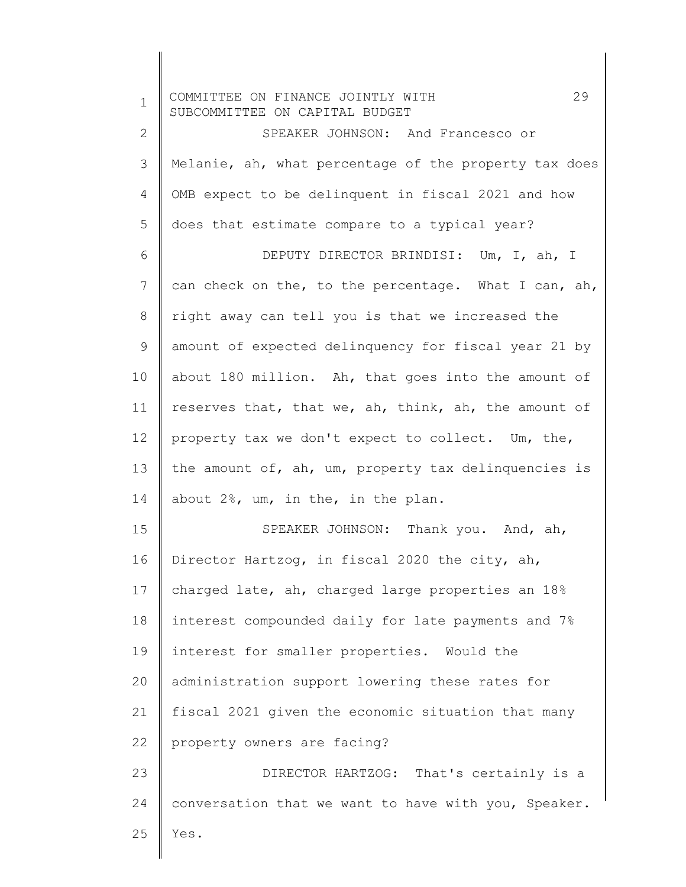| $\mathbf 1$  | 29<br>COMMITTEE ON FINANCE JOINTLY WITH<br>SUBCOMMITTEE ON CAPITAL BUDGET |
|--------------|---------------------------------------------------------------------------|
| $\mathbf{2}$ | SPEAKER JOHNSON: And Francesco or                                         |
| 3            | Melanie, ah, what percentage of the property tax does                     |
| 4            | OMB expect to be delinquent in fiscal 2021 and how                        |
| 5            | does that estimate compare to a typical year?                             |
| 6            | DEPUTY DIRECTOR BRINDISI: Um, I, ah, I                                    |
| 7            | can check on the, to the percentage. What I can, ah,                      |
| 8            | right away can tell you is that we increased the                          |
| 9            | amount of expected delinquency for fiscal year 21 by                      |
| 10           | about 180 million. Ah, that goes into the amount of                       |
| 11           | reserves that, that we, ah, think, ah, the amount of                      |
| 12           | property tax we don't expect to collect. Um, the,                         |
| 13           | the amount of, ah, um, property tax delinquencies is                      |
| 14           | about 2%, um, in the, in the plan.                                        |
| 15           | SPEAKER JOHNSON: Thank you. And, ah,                                      |
| 16           | Director Hartzog, in fiscal 2020 the city, ah,                            |
| 17           | charged late, ah, charged large properties an 18%                         |
| 18           | interest compounded daily for late payments and 7%                        |
| 19           | interest for smaller properties. Would the                                |
| 20           | administration support lowering these rates for                           |
| 21           | fiscal 2021 given the economic situation that many                        |
| 22           | property owners are facing?                                               |
| 23           | DIRECTOR HARTZOG: That's certainly is a                                   |
| 24           | conversation that we want to have with you, Speaker.                      |
| 25           | Yes.                                                                      |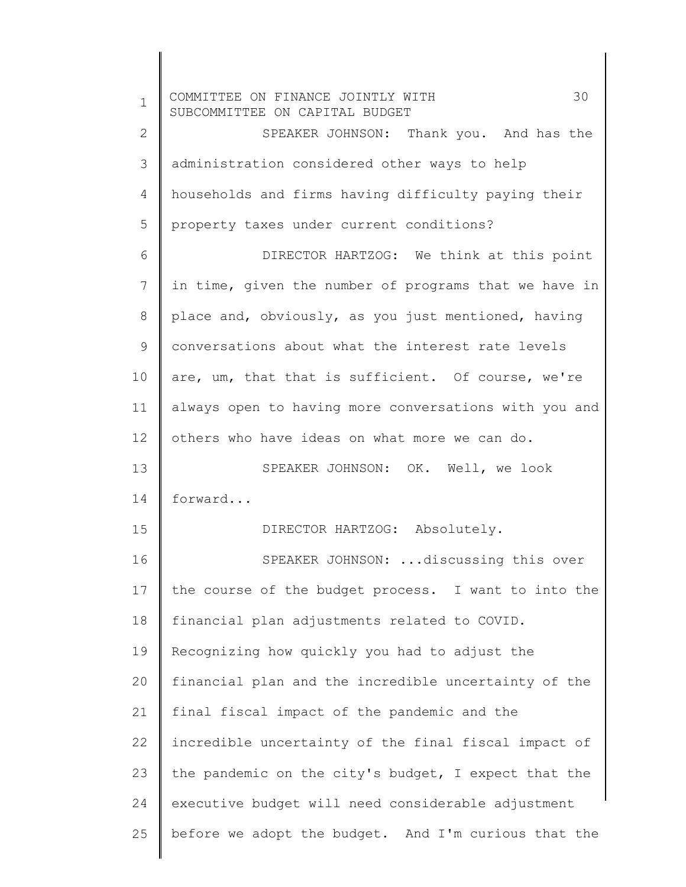1 2 3 4 5 6 7 8 9 10 11 12 13 14 15 16 17 18 19 20 21 22 23 24 25 COMMITTEE ON FINANCE JOINTLY WITH 30 SUBCOMMITTEE ON CAPITAL BUDGET SPEAKER JOHNSON: Thank you. And has the administration considered other ways to help households and firms having difficulty paying their property taxes under current conditions? DIRECTOR HARTZOG: We think at this point in time, given the number of programs that we have in place and, obviously, as you just mentioned, having conversations about what the interest rate levels are, um, that that is sufficient. Of course, we're always open to having more conversations with you and others who have ideas on what more we can do. SPEAKER JOHNSON: OK. Well, we look forward... DIRECTOR HARTZOG: Absolutely. SPEAKER JOHNSON: ...discussing this over the course of the budget process. I want to into the financial plan adjustments related to COVID. Recognizing how quickly you had to adjust the financial plan and the incredible uncertainty of the final fiscal impact of the pandemic and the incredible uncertainty of the final fiscal impact of the pandemic on the city's budget, I expect that the executive budget will need considerable adjustment before we adopt the budget. And I'm curious that the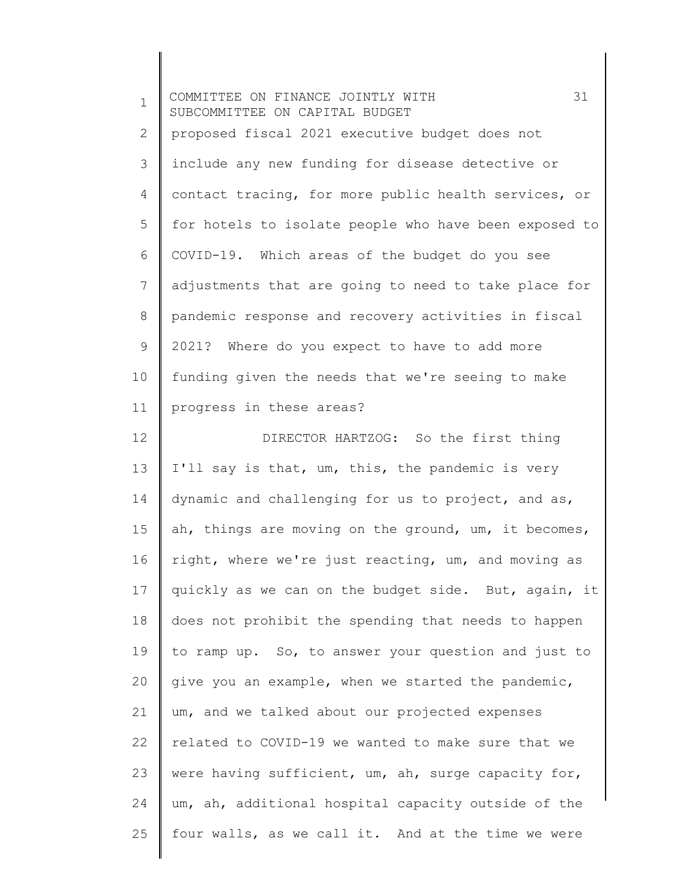| $\mathbf 1$ | 31<br>COMMITTEE ON FINANCE JOINTLY WITH<br>SUBCOMMITTEE ON CAPITAL BUDGET |
|-------------|---------------------------------------------------------------------------|
| 2           | proposed fiscal 2021 executive budget does not                            |
| 3           | include any new funding for disease detective or                          |
| 4           | contact tracing, for more public health services, or                      |
| 5           | for hotels to isolate people who have been exposed to                     |
| 6           | COVID-19. Which areas of the budget do you see                            |
| 7           | adjustments that are going to need to take place for                      |
| $8\,$       | pandemic response and recovery activities in fiscal                       |
| 9           | 2021? Where do you expect to have to add more                             |
| 10          | funding given the needs that we're seeing to make                         |
| 11          | progress in these areas?                                                  |
| 12          | DIRECTOR HARTZOG: So the first thing                                      |
| 13          | I'll say is that, um, this, the pandemic is very                          |
| 14          | dynamic and challenging for us to project, and as,                        |
| 15          | ah, things are moving on the ground, um, it becomes,                      |
| 16          | right, where we're just reacting, um, and moving as                       |
| 17          | quickly as we can on the budget side. But, again, it                      |
| 18          | does not prohibit the spending that needs to happen                       |
| 19          | to ramp up. So, to answer your question and just to                       |
| 20          | give you an example, when we started the pandemic,                        |
| 21          | um, and we talked about our projected expenses                            |
| 22          | related to COVID-19 we wanted to make sure that we                        |
| 23          | were having sufficient, um, ah, surge capacity for,                       |
| 24          | um, ah, additional hospital capacity outside of the                       |
| 25          | four walls, as we call it. And at the time we were                        |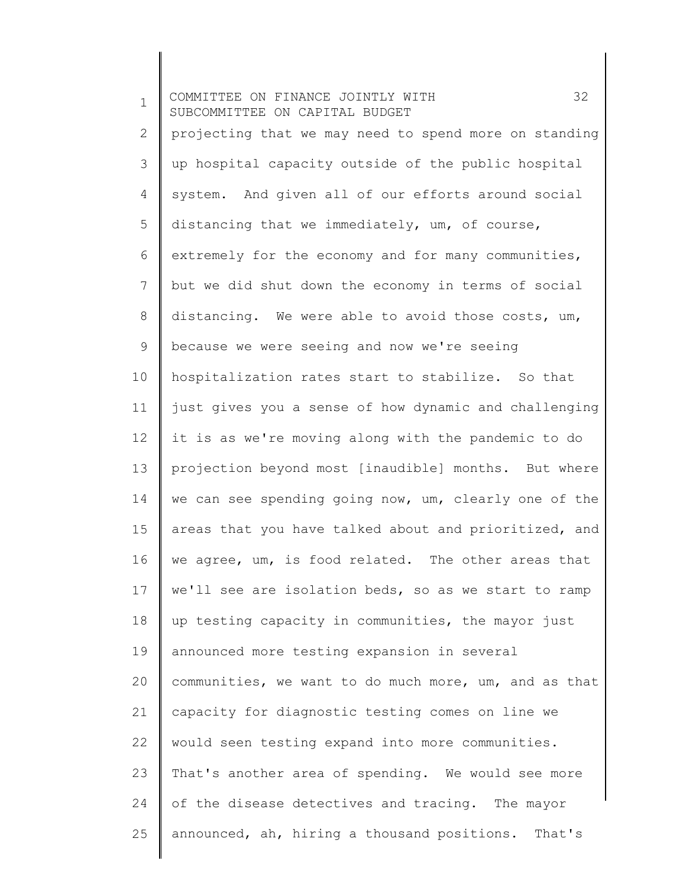1 2 3 4 5 6 7 8 9 10 11 12 13 14 15 16 17 18 19 20 21 22 23 24 25 COMMITTEE ON FINANCE JOINTLY WITH 32 SUBCOMMITTEE ON CAPITAL BUDGET projecting that we may need to spend more on standing up hospital capacity outside of the public hospital system. And given all of our efforts around social distancing that we immediately, um, of course, extremely for the economy and for many communities, but we did shut down the economy in terms of social distancing. We were able to avoid those costs, um, because we were seeing and now we're seeing hospitalization rates start to stabilize. So that just gives you a sense of how dynamic and challenging it is as we're moving along with the pandemic to do projection beyond most [inaudible] months. But where we can see spending going now, um, clearly one of the areas that you have talked about and prioritized, and we agree, um, is food related. The other areas that we'll see are isolation beds, so as we start to ramp up testing capacity in communities, the mayor just announced more testing expansion in several communities, we want to do much more, um, and as that capacity for diagnostic testing comes on line we would seen testing expand into more communities. That's another area of spending. We would see more of the disease detectives and tracing. The mayor announced, ah, hiring a thousand positions. That's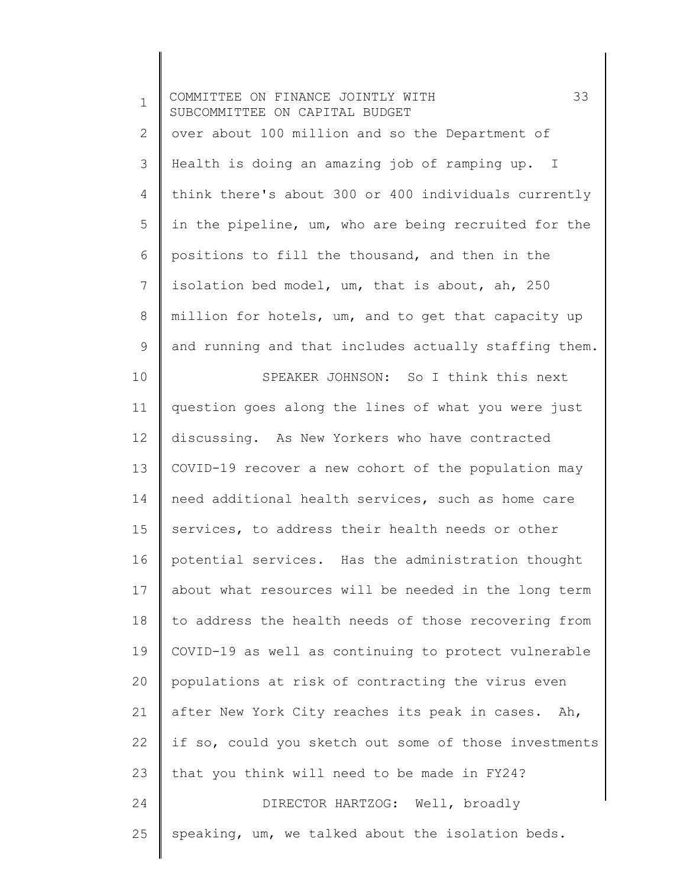| $\mathbf 1$  | 33<br>COMMITTEE ON FINANCE JOINTLY WITH<br>SUBCOMMITTEE ON CAPITAL BUDGET |
|--------------|---------------------------------------------------------------------------|
| $\mathbf{2}$ | over about 100 million and so the Department of                           |
| 3            | Health is doing an amazing job of ramping up. I                           |
| 4            | think there's about 300 or 400 individuals currently                      |
| 5            | in the pipeline, um, who are being recruited for the                      |
| 6            | positions to fill the thousand, and then in the                           |
| 7            | isolation bed model, um, that is about, ah, 250                           |
| $8\,$        | million for hotels, um, and to get that capacity up                       |
| 9            | and running and that includes actually staffing them.                     |
| 10           | SPEAKER JOHNSON: So I think this next                                     |
| 11           | question goes along the lines of what you were just                       |
| 12           | discussing. As New Yorkers who have contracted                            |
| 13           | COVID-19 recover a new cohort of the population may                       |
| 14           | need additional health services, such as home care                        |
| 15           | services, to address their health needs or other                          |
| 16           | potential services. Has the administration thought                        |
| 17           | about what resources will be needed in the long term                      |
| 18           | to address the health needs of those recovering from                      |
| 19           | COVID-19 as well as continuing to protect vulnerable                      |
| 20           | populations at risk of contracting the virus even                         |
| 21           | after New York City reaches its peak in cases. Ah,                        |
| 22           | if so, could you sketch out some of those investments                     |
| 23           | that you think will need to be made in FY24?                              |
| 24           | DIRECTOR HARTZOG: Well, broadly                                           |
| 25           | speaking, um, we talked about the isolation beds.                         |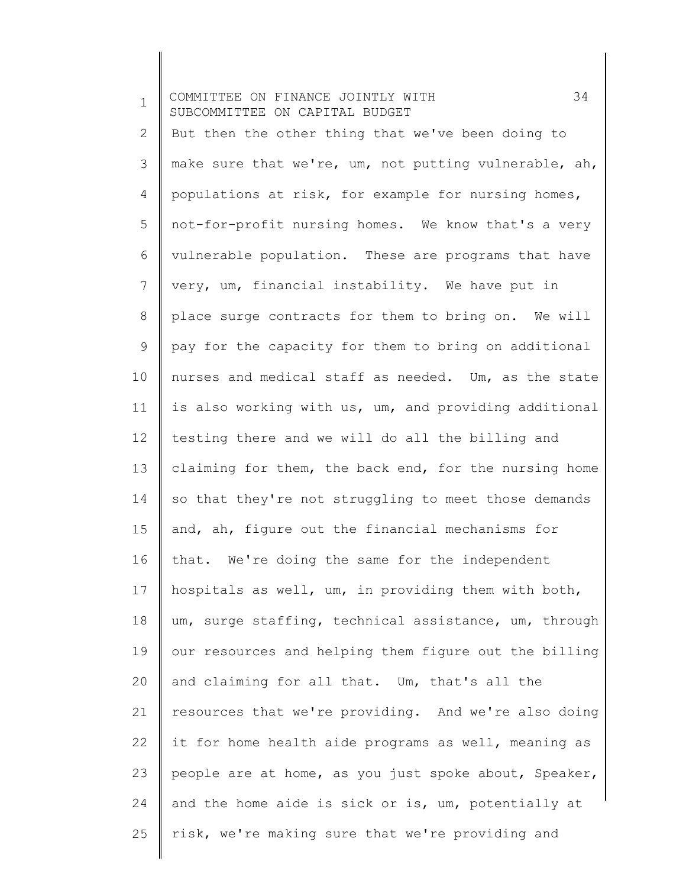1 2 3 4 5 6 7 8 9 10 11 12 13 14 15 16 17 18 19 20 21 22 23 24 25 COMMITTEE ON FINANCE JOINTLY WITH 34 SUBCOMMITTEE ON CAPITAL BUDGET But then the other thing that we've been doing to make sure that we're, um, not putting vulnerable, ah, populations at risk, for example for nursing homes, not-for-profit nursing homes. We know that's a very vulnerable population. These are programs that have very, um, financial instability. We have put in place surge contracts for them to bring on. We will pay for the capacity for them to bring on additional nurses and medical staff as needed. Um, as the state is also working with us, um, and providing additional testing there and we will do all the billing and claiming for them, the back end, for the nursing home so that they're not struggling to meet those demands and, ah, figure out the financial mechanisms for that. We're doing the same for the independent hospitals as well, um, in providing them with both, um, surge staffing, technical assistance, um, through our resources and helping them figure out the billing and claiming for all that. Um, that's all the resources that we're providing. And we're also doing it for home health aide programs as well, meaning as people are at home, as you just spoke about, Speaker, and the home aide is sick or is, um, potentially at risk, we're making sure that we're providing and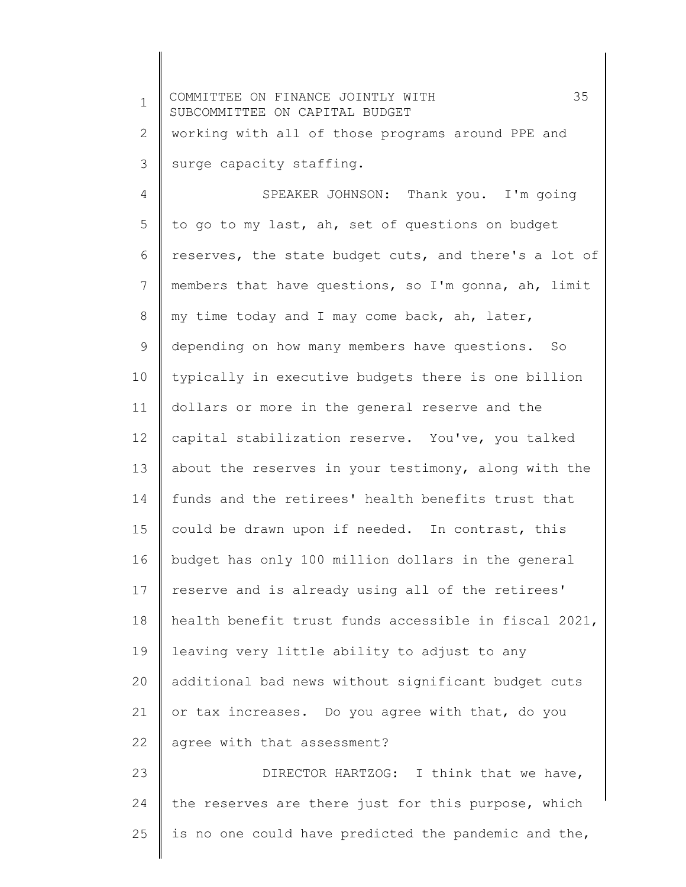| $\mathbf{1}$ | 35<br>COMMITTEE ON FINANCE JOINTLY WITH<br>SUBCOMMITTEE ON CAPITAL BUDGET |
|--------------|---------------------------------------------------------------------------|
| $\mathbf{2}$ | working with all of those programs around PPE and                         |
| 3            | surge capacity staffing.                                                  |
| 4            | SPEAKER JOHNSON: Thank you. I'm going                                     |
| 5            | to go to my last, ah, set of questions on budget                          |
| 6            | reserves, the state budget cuts, and there's a lot of                     |
| 7            | members that have questions, so I'm gonna, ah, limit                      |
| 8            | my time today and I may come back, ah, later,                             |
| 9            | depending on how many members have questions. So                          |
| 10           | typically in executive budgets there is one billion                       |
| 11           | dollars or more in the general reserve and the                            |
| 12           | capital stabilization reserve. You've, you talked                         |
| 13           | about the reserves in your testimony, along with the                      |
| 14           | funds and the retirees' health benefits trust that                        |
| 15           | could be drawn upon if needed. In contrast, this                          |
| 16           | budget has only 100 million dollars in the general                        |
| 17           | reserve and is already using all of the retirees'                         |
| 18           | health benefit trust funds accessible in fiscal 2021,                     |
| 19           | leaving very little ability to adjust to any                              |
| 20           | additional bad news without significant budget cuts                       |
| 21           | or tax increases. Do you agree with that, do you                          |
| 22           | agree with that assessment?                                               |
| 23           | DIRECTOR HARTZOG: I think that we have,                                   |
| 24           | the reserves are there just for this purpose, which                       |
| 25           | is no one could have predicted the pandemic and the,                      |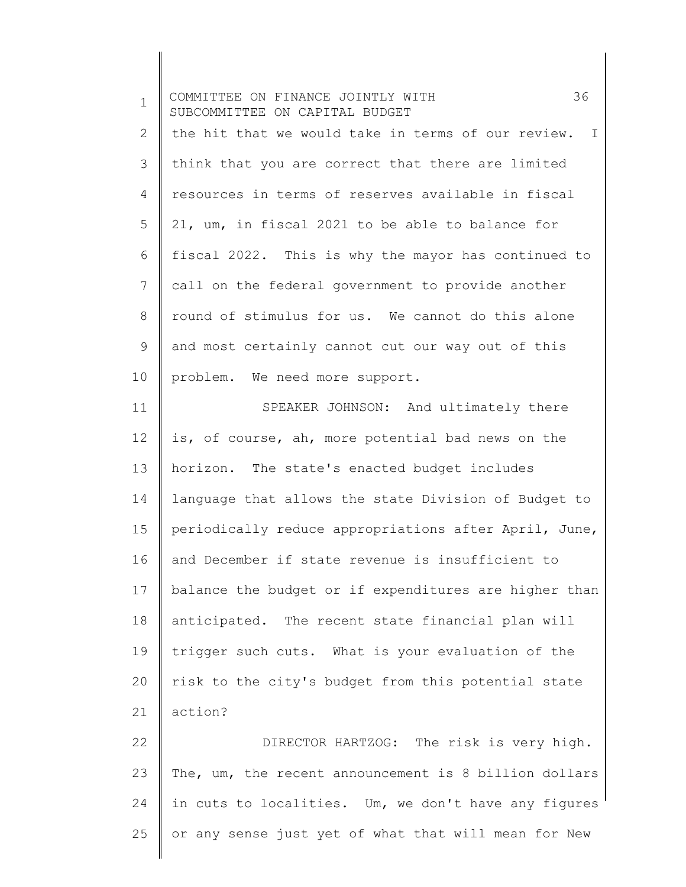| $\mathbf 1$  | 36<br>COMMITTEE ON FINANCE JOINTLY WITH<br>SUBCOMMITTEE ON CAPITAL BUDGET |
|--------------|---------------------------------------------------------------------------|
| $\mathbf{2}$ | the hit that we would take in terms of our review.<br>I                   |
| 3            | think that you are correct that there are limited                         |
| 4            | resources in terms of reserves available in fiscal                        |
| 5            | 21, um, in fiscal 2021 to be able to balance for                          |
| 6            | fiscal 2022. This is why the mayor has continued to                       |
| 7            | call on the federal government to provide another                         |
| 8            | round of stimulus for us. We cannot do this alone                         |
| 9            | and most certainly cannot cut our way out of this                         |
| 10           | problem. We need more support.                                            |
| 11           | SPEAKER JOHNSON: And ultimately there                                     |
| 12           | is, of course, ah, more potential bad news on the                         |
| 13           | horizon. The state's enacted budget includes                              |
| 14           | language that allows the state Division of Budget to                      |
| 15           | periodically reduce appropriations after April, June,                     |
| 16           | and December if state revenue is insufficient to                          |
| 17           | balance the budget or if expenditures are higher than                     |
| 18           | anticipated. The recent state financial plan will                         |
| 19           | trigger such cuts. What is your evaluation of the                         |
| 20           | risk to the city's budget from this potential state                       |
| 21           | action?                                                                   |
| 22           | DIRECTOR HARTZOG: The risk is very high.                                  |
| 23           | The, um, the recent announcement is 8 billion dollars                     |
| 24           | in cuts to localities. Um, we don't have any figures                      |
| 25           | or any sense just yet of what that will mean for New                      |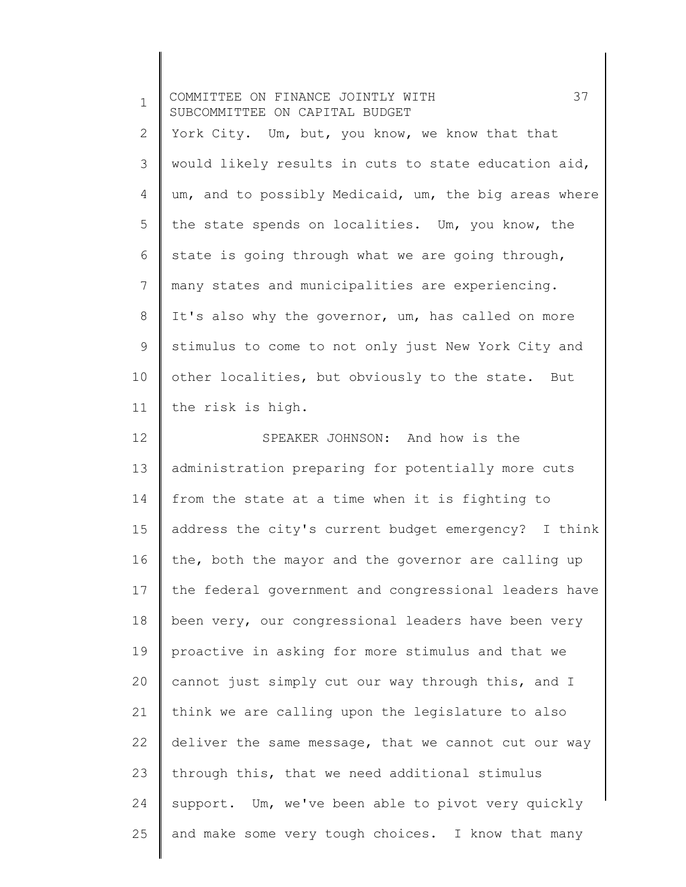| $\mathbf 1$  | 37<br>COMMITTEE ON FINANCE JOINTLY WITH<br>SUBCOMMITTEE ON CAPITAL BUDGET |
|--------------|---------------------------------------------------------------------------|
| $\mathbf{2}$ | York City. Um, but, you know, we know that that                           |
| 3            | would likely results in cuts to state education aid,                      |
| 4            | um, and to possibly Medicaid, um, the big areas where                     |
| 5            | the state spends on localities. Um, you know, the                         |
| 6            | state is going through what we are going through,                         |
| 7            | many states and municipalities are experiencing.                          |
| 8            | It's also why the governor, um, has called on more                        |
| 9            | stimulus to come to not only just New York City and                       |
| 10           | other localities, but obviously to the state. But                         |
| 11           | the risk is high.                                                         |
| 12           | SPEAKER JOHNSON: And how is the                                           |
| 13           | administration preparing for potentially more cuts                        |
| 14           | from the state at a time when it is fighting to                           |
| 15           | address the city's current budget emergency? I think                      |
| 16           | the, both the mayor and the governor are calling up                       |
| 17           | the federal government and congressional leaders have                     |
| 18           | been very, our congressional leaders have been very                       |
| 19           | proactive in asking for more stimulus and that we                         |
| 20           | cannot just simply cut our way through this, and I                        |
| 21           | think we are calling upon the legislature to also                         |
| 22           | deliver the same message, that we cannot cut our way                      |
| 23           | through this, that we need additional stimulus                            |
| 24           | support. Um, we've been able to pivot very quickly                        |
| 25           | and make some very tough choices. I know that many                        |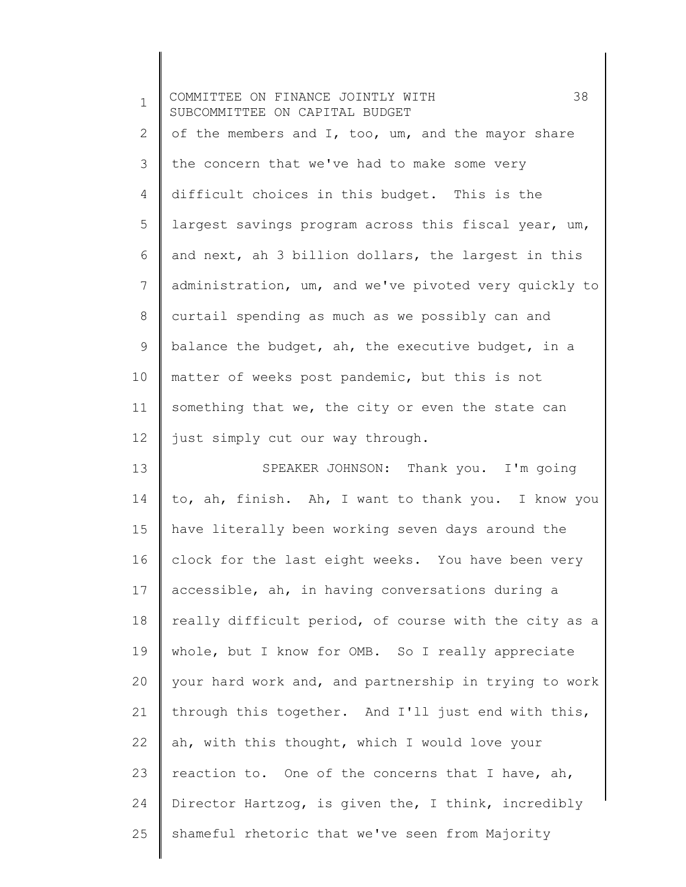| $\mathbf 1$ | 38<br>COMMITTEE ON FINANCE JOINTLY WITH<br>SUBCOMMITTEE ON CAPITAL BUDGET |
|-------------|---------------------------------------------------------------------------|
| 2           | of the members and I, too, um, and the mayor share                        |
| 3           | the concern that we've had to make some very                              |
| 4           | difficult choices in this budget. This is the                             |
| 5           | largest savings program across this fiscal year, um,                      |
| 6           | and next, ah 3 billion dollars, the largest in this                       |
| 7           | administration, um, and we've pivoted very quickly to                     |
| 8           | curtail spending as much as we possibly can and                           |
| 9           | balance the budget, ah, the executive budget, in a                        |
| 10          | matter of weeks post pandemic, but this is not                            |
| 11          | something that we, the city or even the state can                         |
| 12          | just simply cut our way through.                                          |
| 13          | SPEAKER JOHNSON: Thank you. I'm going                                     |
| 14          | to, ah, finish. Ah, I want to thank you. I know you                       |
| 15          | have literally been working seven days around the                         |
| 16          | clock for the last eight weeks. You have been very                        |
| 17          | accessible, ah, in having conversations during a                          |
| 18          | really difficult period, of course with the city as a                     |
| 19          | whole, but I know for OMB. So I really appreciate                         |
| 20          | your hard work and, and partnership in trying to work                     |
| 21          | through this together. And I'll just end with this,                       |
| 22          | ah, with this thought, which I would love your                            |
| 23          | reaction to. One of the concerns that I have, ah,                         |
| 24          | Director Hartzog, is given the, I think, incredibly                       |
| 25          | shameful rhetoric that we've seen from Majority                           |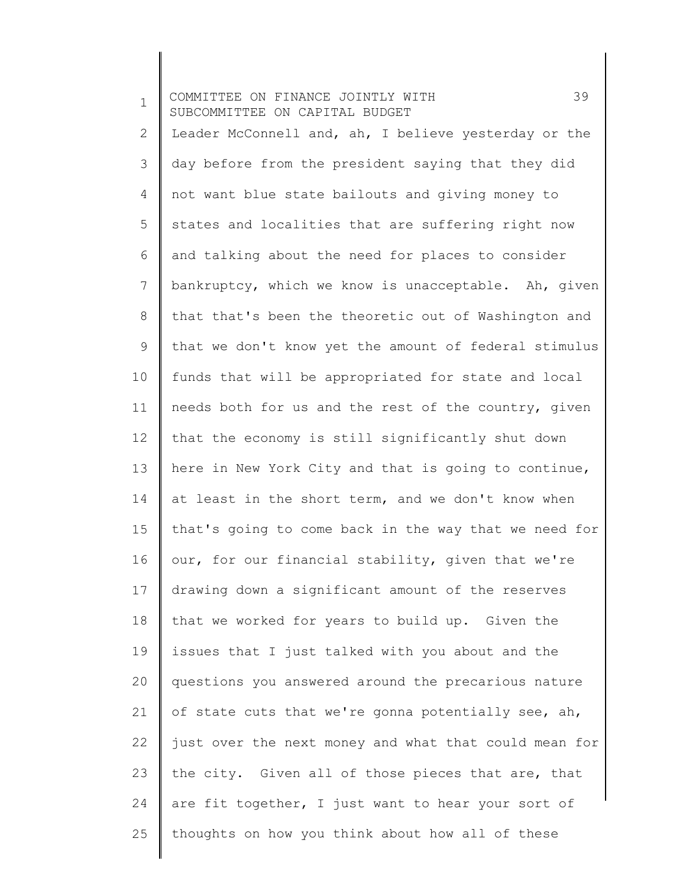1 2 3 4 5 6 7 8 9 10 11 12 13 14 15 16 17 18 19 20 21 22 23 24 25 COMMITTEE ON FINANCE JOINTLY WITH 39 SUBCOMMITTEE ON CAPITAL BUDGET Leader McConnell and, ah, I believe yesterday or the day before from the president saying that they did not want blue state bailouts and giving money to states and localities that are suffering right now and talking about the need for places to consider bankruptcy, which we know is unacceptable. Ah, given that that's been the theoretic out of Washington and that we don't know yet the amount of federal stimulus funds that will be appropriated for state and local needs both for us and the rest of the country, given that the economy is still significantly shut down here in New York City and that is going to continue, at least in the short term, and we don't know when that's going to come back in the way that we need for our, for our financial stability, given that we're drawing down a significant amount of the reserves that we worked for years to build up. Given the issues that I just talked with you about and the questions you answered around the precarious nature of state cuts that we're gonna potentially see, ah, just over the next money and what that could mean for the city. Given all of those pieces that are, that are fit together, I just want to hear your sort of thoughts on how you think about how all of these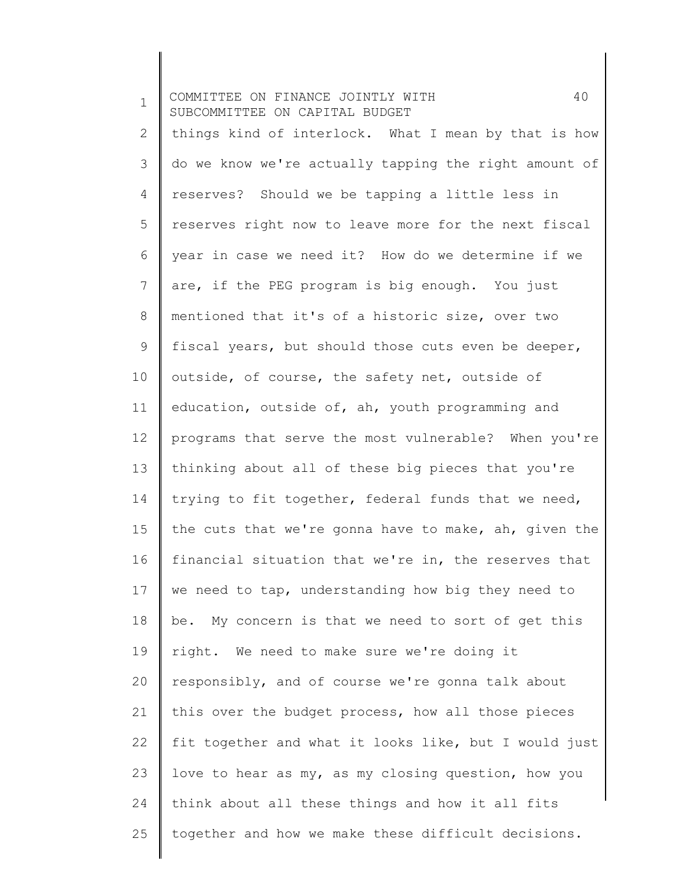1 2 3 4 5 6 7 8 9 10 11 12 13 14 15 16 17 18 19 20 21 22 23 24 25 COMMITTEE ON FINANCE JOINTLY WITH 40 SUBCOMMITTEE ON CAPITAL BUDGET things kind of interlock. What I mean by that is how do we know we're actually tapping the right amount of reserves? Should we be tapping a little less in reserves right now to leave more for the next fiscal year in case we need it? How do we determine if we are, if the PEG program is big enough. You just mentioned that it's of a historic size, over two fiscal years, but should those cuts even be deeper, outside, of course, the safety net, outside of education, outside of, ah, youth programming and programs that serve the most vulnerable? When you're thinking about all of these big pieces that you're trying to fit together, federal funds that we need, the cuts that we're gonna have to make, ah, given the financial situation that we're in, the reserves that we need to tap, understanding how big they need to be. My concern is that we need to sort of get this right. We need to make sure we're doing it responsibly, and of course we're gonna talk about this over the budget process, how all those pieces fit together and what it looks like, but I would just love to hear as my, as my closing question, how you think about all these things and how it all fits together and how we make these difficult decisions.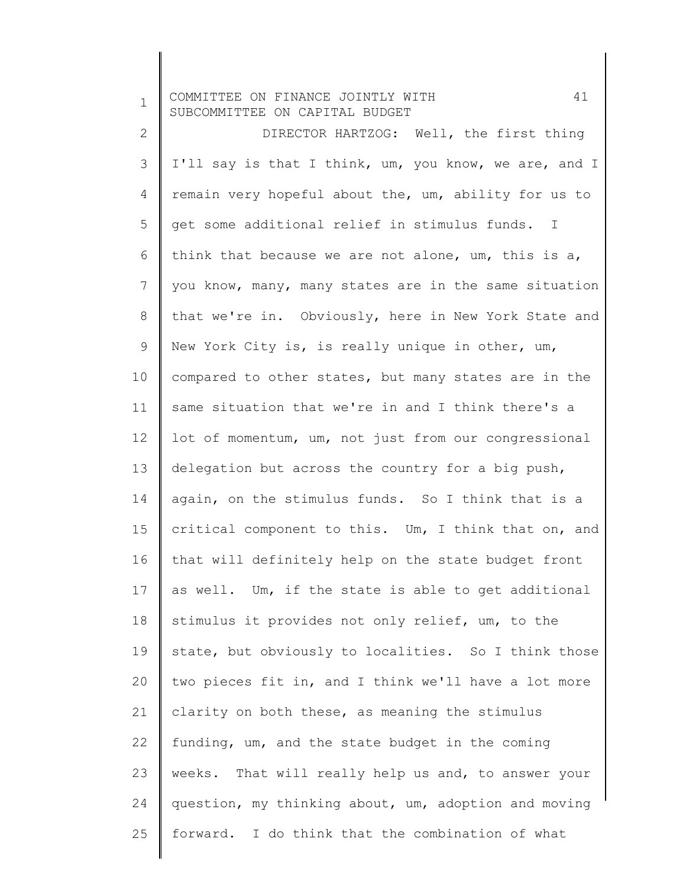1 COMMITTEE ON FINANCE JOINTLY WITH 41 SUBCOMMITTEE ON CAPITAL BUDGET

2 3 4 5 6 7 8 9 10 11 12 13 14 15 16 17 18 19 20 21 22 23 24 25 DIRECTOR HARTZOG: Well, the first thing I'll say is that I think, um, you know, we are, and I remain very hopeful about the, um, ability for us to get some additional relief in stimulus funds. I think that because we are not alone, um, this is a, you know, many, many states are in the same situation that we're in. Obviously, here in New York State and New York City is, is really unique in other, um, compared to other states, but many states are in the same situation that we're in and I think there's a lot of momentum, um, not just from our congressional delegation but across the country for a big push, again, on the stimulus funds. So I think that is a critical component to this. Um, I think that on, and that will definitely help on the state budget front as well. Um, if the state is able to get additional stimulus it provides not only relief, um, to the state, but obviously to localities. So I think those two pieces fit in, and I think we'll have a lot more clarity on both these, as meaning the stimulus funding, um, and the state budget in the coming weeks. That will really help us and, to answer your question, my thinking about, um, adoption and moving forward. I do think that the combination of what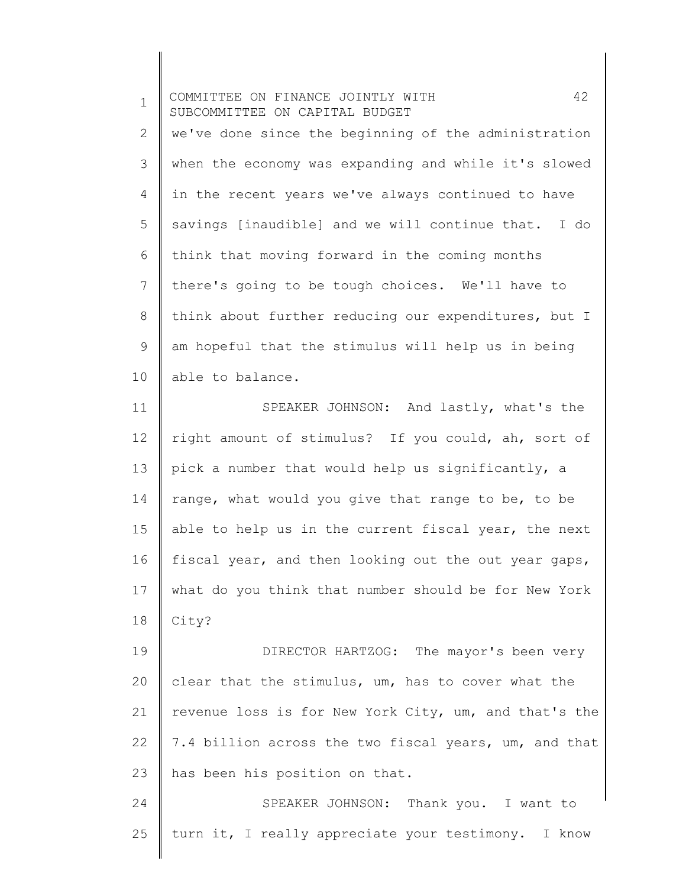1 2 3 4 5 6 7 8 9 10 COMMITTEE ON FINANCE JOINTLY WITH 42 SUBCOMMITTEE ON CAPITAL BUDGET we've done since the beginning of the administration when the economy was expanding and while it's slowed in the recent years we've always continued to have savings [inaudible] and we will continue that. I do think that moving forward in the coming months there's going to be tough choices. We'll have to think about further reducing our expenditures, but I am hopeful that the stimulus will help us in being able to balance.

11 12 13 14 15 16 17 18 SPEAKER JOHNSON: And lastly, what's the right amount of stimulus? If you could, ah, sort of pick a number that would help us significantly, a range, what would you give that range to be, to be able to help us in the current fiscal year, the next fiscal year, and then looking out the out year gaps, what do you think that number should be for New York City?

19 20 21 22 23 DIRECTOR HARTZOG: The mayor's been very clear that the stimulus, um, has to cover what the revenue loss is for New York City, um, and that's the 7.4 billion across the two fiscal years, um, and that has been his position on that.

24 25 SPEAKER JOHNSON: Thank you. I want to turn it, I really appreciate your testimony. I know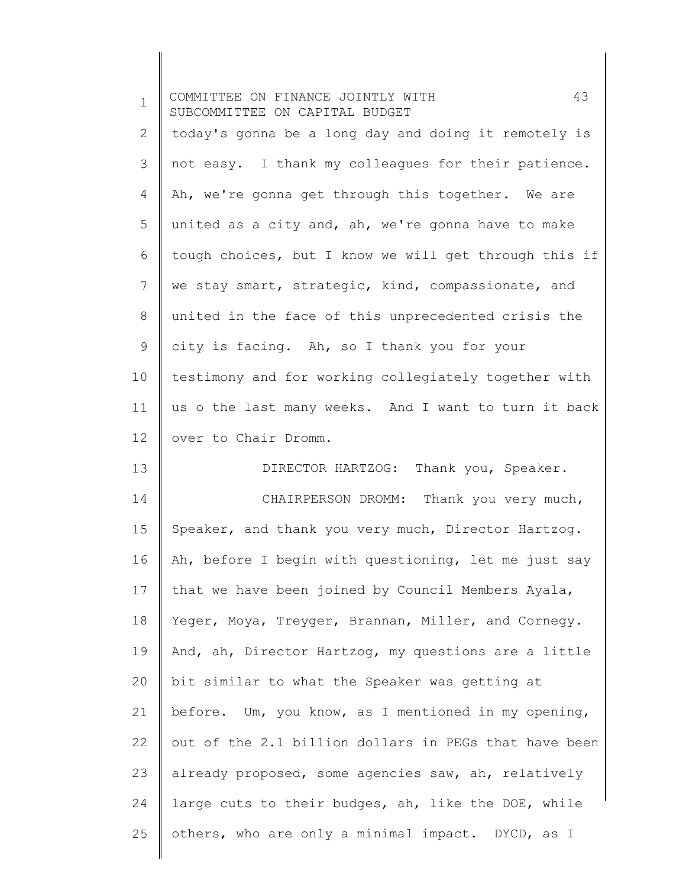| $\mathbf 1$ | 43<br>COMMITTEE ON FINANCE JOINTLY WITH<br>SUBCOMMITTEE ON CAPITAL BUDGET |
|-------------|---------------------------------------------------------------------------|
| 2           | today's gonna be a long day and doing it remotely is                      |
| 3           | not easy. I thank my colleagues for their patience.                       |
| 4           | Ah, we're gonna get through this together. We are                         |
| 5           | united as a city and, ah, we're gonna have to make                        |
| 6           | tough choices, but I know we will get through this if                     |
| 7           | we stay smart, strategic, kind, compassionate, and                        |
| 8           | united in the face of this unprecedented crisis the                       |
| 9           | city is facing. Ah, so I thank you for your                               |
| 10          | testimony and for working collegiately together with                      |
| 11          | us o the last many weeks. And I want to turn it back                      |
| 12          | over to Chair Dromm.                                                      |
| 13          | DIRECTOR HARTZOG: Thank you, Speaker.                                     |
| 14          | CHAIRPERSON DROMM: Thank you very much,                                   |
| 15          | Speaker, and thank you very much, Director Hartzog.                       |
| 16          | Ah, before I begin with questioning, let me just say                      |
| 17          | that we have been joined by Council Members Ayala,                        |
| 18          | Yeger, Moya, Treyger, Brannan, Miller, and Cornegy.                       |
| 19          | And, ah, Director Hartzog, my questions are a little                      |
| 20          | bit similar to what the Speaker was getting at                            |
| 21          | before. Um, you know, as I mentioned in my opening,                       |
| 22          | out of the 2.1 billion dollars in PEGs that have been                     |
| 23          | already proposed, some agencies saw, ah, relatively                       |
| 24          | large cuts to their budges, ah, like the DOE, while                       |
| 25          | others, who are only a minimal impact. DYCD, as I                         |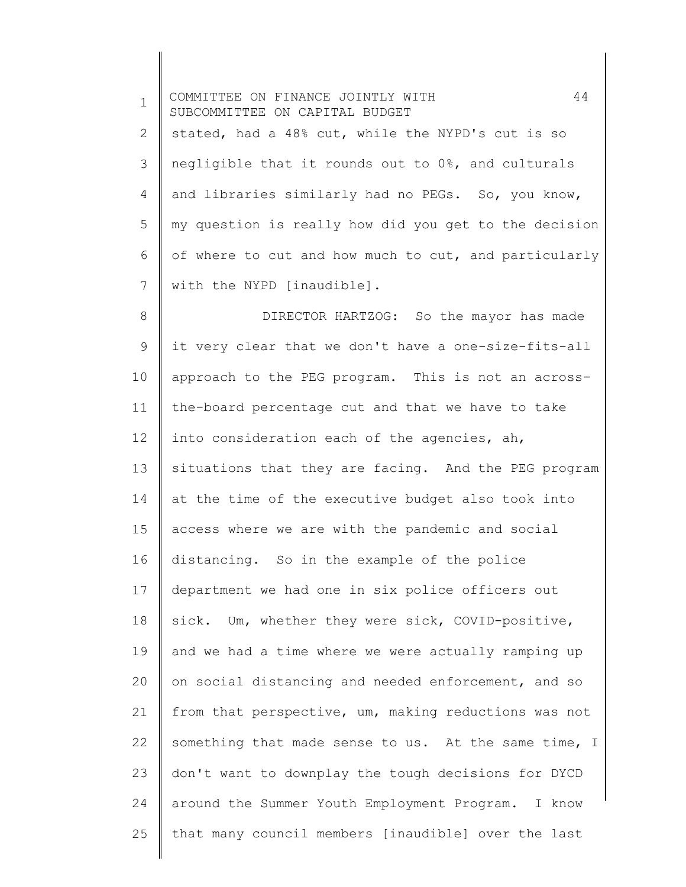1 2 3 4 5 6 7 8 9 10 11 12 13 14 15 16 17 18 19 20 21 22 23 24 25 COMMITTEE ON FINANCE JOINTLY WITH 44 SUBCOMMITTEE ON CAPITAL BUDGET stated, had a 48% cut, while the NYPD's cut is so negligible that it rounds out to 0%, and culturals and libraries similarly had no PEGs. So, you know, my question is really how did you get to the decision of where to cut and how much to cut, and particularly with the NYPD [inaudible]. DIRECTOR HARTZOG: So the mayor has made it very clear that we don't have a one-size-fits-all approach to the PEG program. This is not an acrossthe-board percentage cut and that we have to take into consideration each of the agencies, ah, situations that they are facing. And the PEG program at the time of the executive budget also took into access where we are with the pandemic and social distancing. So in the example of the police department we had one in six police officers out sick. Um, whether they were sick, COVID-positive, and we had a time where we were actually ramping up on social distancing and needed enforcement, and so from that perspective, um, making reductions was not something that made sense to us. At the same time, I don't want to downplay the tough decisions for DYCD around the Summer Youth Employment Program. I know that many council members [inaudible] over the last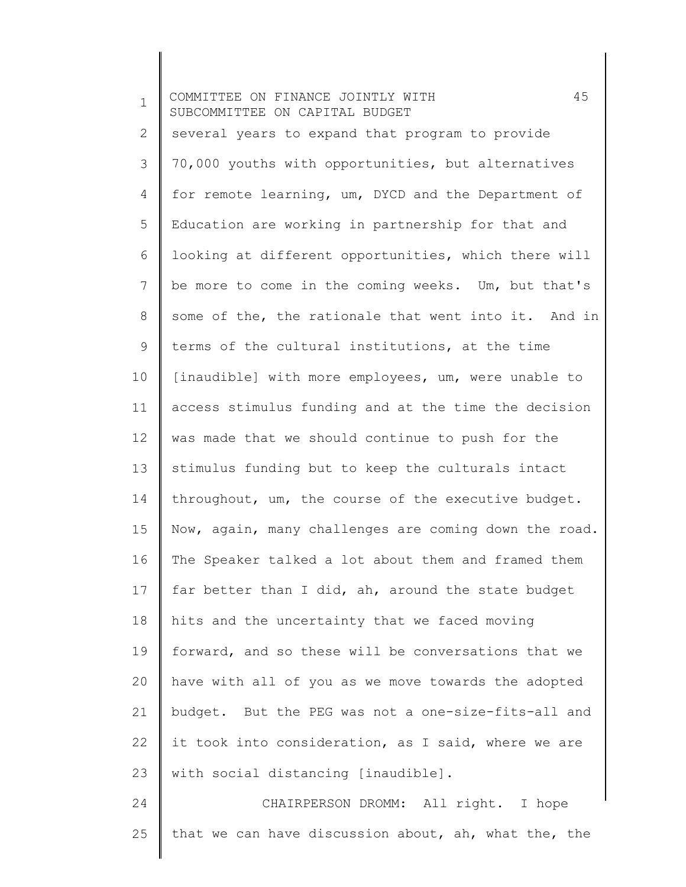| $\mathbf 1$ | 45<br>COMMITTEE ON FINANCE JOINTLY WITH<br>SUBCOMMITTEE ON CAPITAL BUDGET |
|-------------|---------------------------------------------------------------------------|
| 2           | several years to expand that program to provide                           |
| 3           | 70,000 youths with opportunities, but alternatives                        |
| 4           | for remote learning, um, DYCD and the Department of                       |
| 5           | Education are working in partnership for that and                         |
| 6           | looking at different opportunities, which there will                      |
| 7           | be more to come in the coming weeks. Um, but that's                       |
| 8           | some of the, the rationale that went into it. And in                      |
| 9           | terms of the cultural institutions, at the time                           |
| 10          | [inaudible] with more employees, um, were unable to                       |
| 11          | access stimulus funding and at the time the decision                      |
| 12          | was made that we should continue to push for the                          |
| 13          | stimulus funding but to keep the culturals intact                         |
| 14          | throughout, um, the course of the executive budget.                       |
| 15          | Now, again, many challenges are coming down the road.                     |
| 16          | The Speaker talked a lot about them and framed them                       |
| 17          | far better than I did, ah, around the state budget                        |
| 18          | hits and the uncertainty that we faced moving                             |
| 19          | forward, and so these will be conversations that we                       |
| 20          | have with all of you as we move towards the adopted                       |
| 21          | budget. But the PEG was not a one-size-fits-all and                       |
| 22          | it took into consideration, as I said, where we are                       |
| 23          | with social distancing [inaudible].                                       |
| 24          | CHAIRPERSON DROMM: All right. I hope                                      |
| 25          | that we can have discussion about, ah, what the, the                      |
|             |                                                                           |

║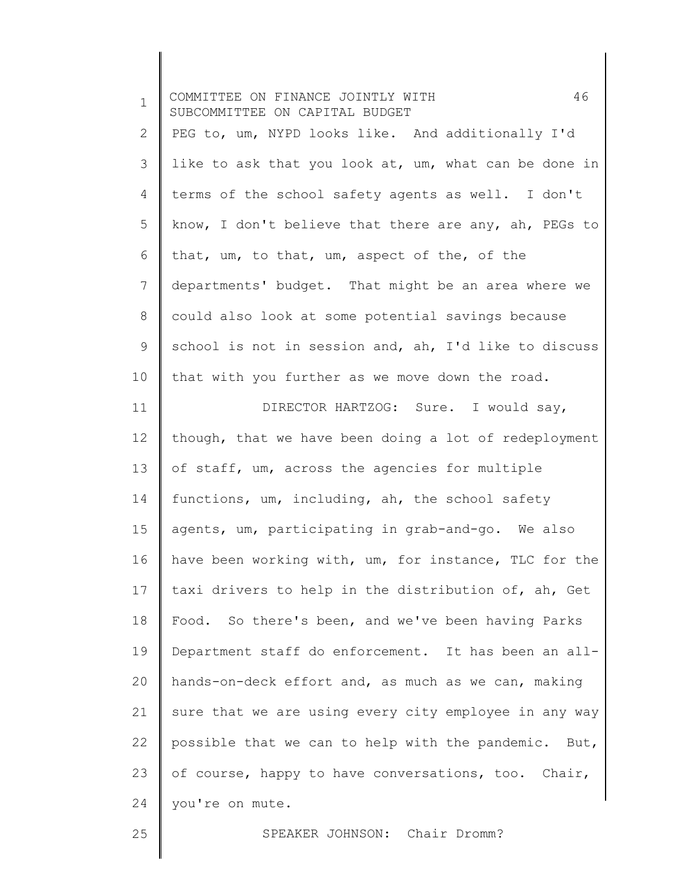| $\mathbf 1$ | 46<br>COMMITTEE ON FINANCE JOINTLY WITH<br>SUBCOMMITTEE ON CAPITAL BUDGET |
|-------------|---------------------------------------------------------------------------|
| 2           | PEG to, um, NYPD looks like. And additionally I'd                         |
| 3           | like to ask that you look at, um, what can be done in                     |
| 4           | terms of the school safety agents as well. I don't                        |
| 5           | know, I don't believe that there are any, ah, PEGs to                     |
| 6           | that, um, to that, um, aspect of the, of the                              |
| 7           | departments' budget. That might be an area where we                       |
| 8           | could also look at some potential savings because                         |
| 9           | school is not in session and, ah, I'd like to discuss                     |
| 10          | that with you further as we move down the road.                           |
| 11          | DIRECTOR HARTZOG: Sure. I would say,                                      |
| 12          | though, that we have been doing a lot of redeployment                     |
| 13          | of staff, um, across the agencies for multiple                            |
| 14          | functions, um, including, ah, the school safety                           |
| 15          | agents, um, participating in grab-and-go. We also                         |
| 16          | have been working with, um, for instance, TLC for the                     |
| 17          | taxi drivers to help in the distribution of, ah, Get                      |
| 18          | Food. So there's been, and we've been having Parks                        |
| 19          | Department staff do enforcement. It has been an all-                      |
| 20          | hands-on-deck effort and, as much as we can, making                       |
| 21          | sure that we are using every city employee in any way                     |
| 22          | possible that we can to help with the pandemic. But,                      |
| 23          | of course, happy to have conversations, too. Chair,                       |
| 24          | you're on mute.                                                           |
| 25          | SPEAKER JOHNSON: Chair Dromm?                                             |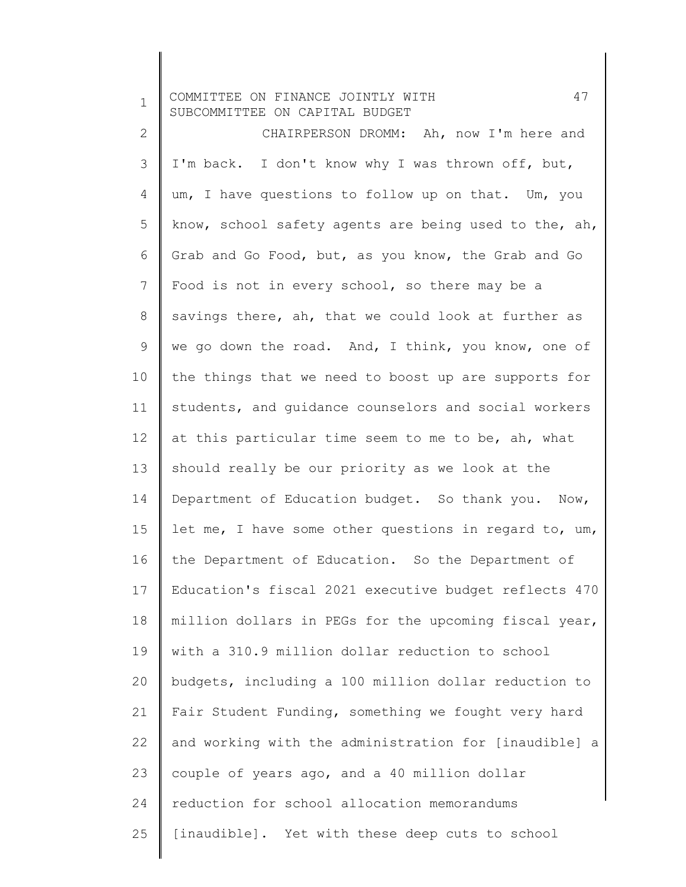1 COMMITTEE ON FINANCE JOINTLY WITH 47 SUBCOMMITTEE ON CAPITAL BUDGET

2 3 4 5 6 7 8 9 10 11 12 13 14 15 16 17 18 19 20 21 22 23 24 25 CHAIRPERSON DROMM: Ah, now I'm here and I'm back. I don't know why I was thrown off, but, um, I have questions to follow up on that. Um, you know, school safety agents are being used to the, ah, Grab and Go Food, but, as you know, the Grab and Go Food is not in every school, so there may be a savings there, ah, that we could look at further as we go down the road. And, I think, you know, one of the things that we need to boost up are supports for students, and guidance counselors and social workers at this particular time seem to me to be, ah, what should really be our priority as we look at the Department of Education budget. So thank you. Now, let me, I have some other questions in regard to, um, the Department of Education. So the Department of Education's fiscal 2021 executive budget reflects 470 million dollars in PEGs for the upcoming fiscal year, with a 310.9 million dollar reduction to school budgets, including a 100 million dollar reduction to Fair Student Funding, something we fought very hard and working with the administration for [inaudible] a couple of years ago, and a 40 million dollar reduction for school allocation memorandums [inaudible]. Yet with these deep cuts to school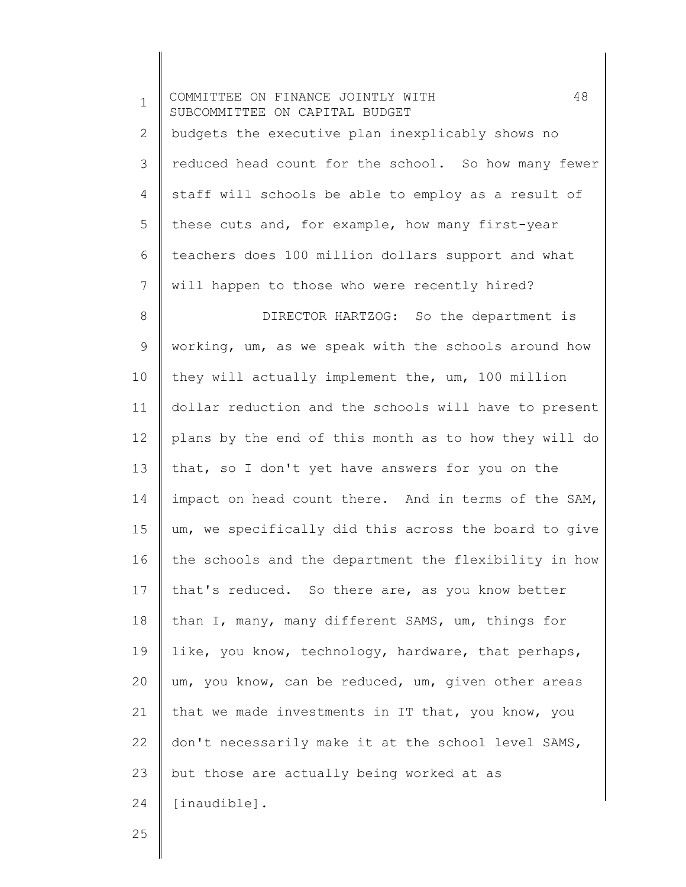| $\mathbf 1$ | 48<br>COMMITTEE ON FINANCE JOINTLY WITH<br>SUBCOMMITTEE ON CAPITAL BUDGET |
|-------------|---------------------------------------------------------------------------|
| 2           | budgets the executive plan inexplicably shows no                          |
| 3           | reduced head count for the school. So how many fewer                      |
| 4           | staff will schools be able to employ as a result of                       |
| 5           | these cuts and, for example, how many first-year                          |
| 6           | teachers does 100 million dollars support and what                        |
| 7           | will happen to those who were recently hired?                             |
| 8           | DIRECTOR HARTZOG: So the department is                                    |
| $\mathsf 9$ | working, um, as we speak with the schools around how                      |
| 10          | they will actually implement the, um, 100 million                         |
| 11          | dollar reduction and the schools will have to present                     |
| 12          | plans by the end of this month as to how they will do                     |
| 13          | that, so I don't yet have answers for you on the                          |
| 14          | impact on head count there. And in terms of the SAM,                      |
| 15          | um, we specifically did this across the board to give                     |
| 16          | the schools and the department the flexibility in how                     |
| 17          | that's reduced. So there are, as you know better                          |
| 18          | than I, many, many different SAMS, um, things for                         |
| 19          | like, you know, technology, hardware, that perhaps,                       |
| 20          | um, you know, can be reduced, um, given other areas                       |
| 21          | that we made investments in IT that, you know, you                        |
| 22          | don't necessarily make it at the school level SAMS,                       |
| 23          | but those are actually being worked at as                                 |
| 24          | [inaudible].                                                              |
|             |                                                                           |

25

Ι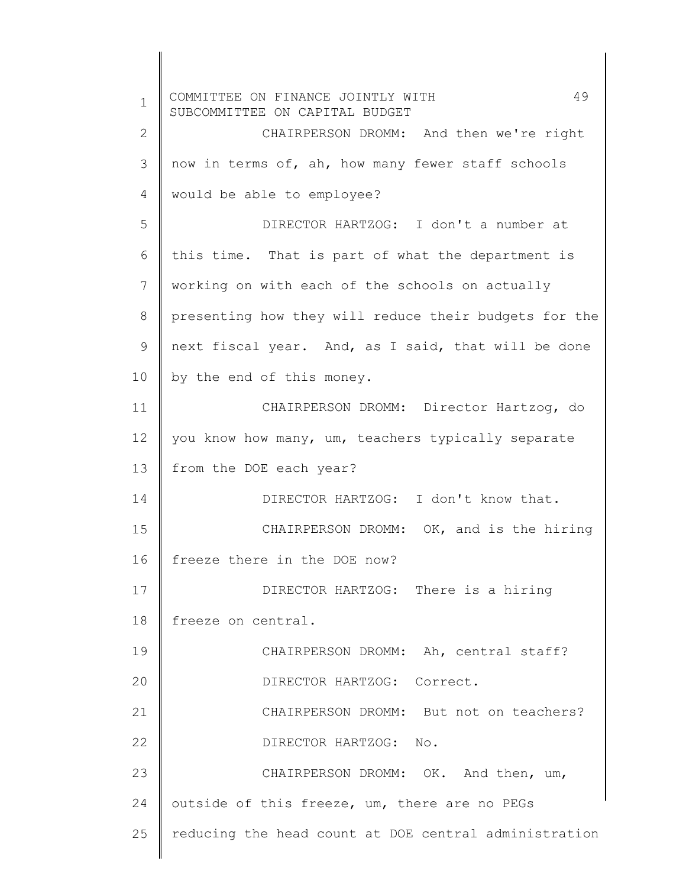1 2 3 4 5 6 7 8 9 10 11 12 13 14 15 16 17 18 19 20 21 22 23 24 25 COMMITTEE ON FINANCE JOINTLY WITH 49 SUBCOMMITTEE ON CAPITAL BUDGET CHAIRPERSON DROMM: And then we're right now in terms of, ah, how many fewer staff schools would be able to employee? DIRECTOR HARTZOG: I don't a number at this time. That is part of what the department is working on with each of the schools on actually presenting how they will reduce their budgets for the next fiscal year. And, as I said, that will be done by the end of this money. CHAIRPERSON DROMM: Director Hartzog, do you know how many, um, teachers typically separate from the DOE each year? DIRECTOR HARTZOG: I don't know that. CHAIRPERSON DROMM: OK, and is the hiring freeze there in the DOE now? DIRECTOR HARTZOG: There is a hiring freeze on central. CHAIRPERSON DROMM: Ah, central staff? DIRECTOR HARTZOG: Correct. CHAIRPERSON DROMM: But not on teachers? DIRECTOR HARTZOG: No. CHAIRPERSON DROMM: OK. And then, um, outside of this freeze, um, there are no PEGs reducing the head count at DOE central administration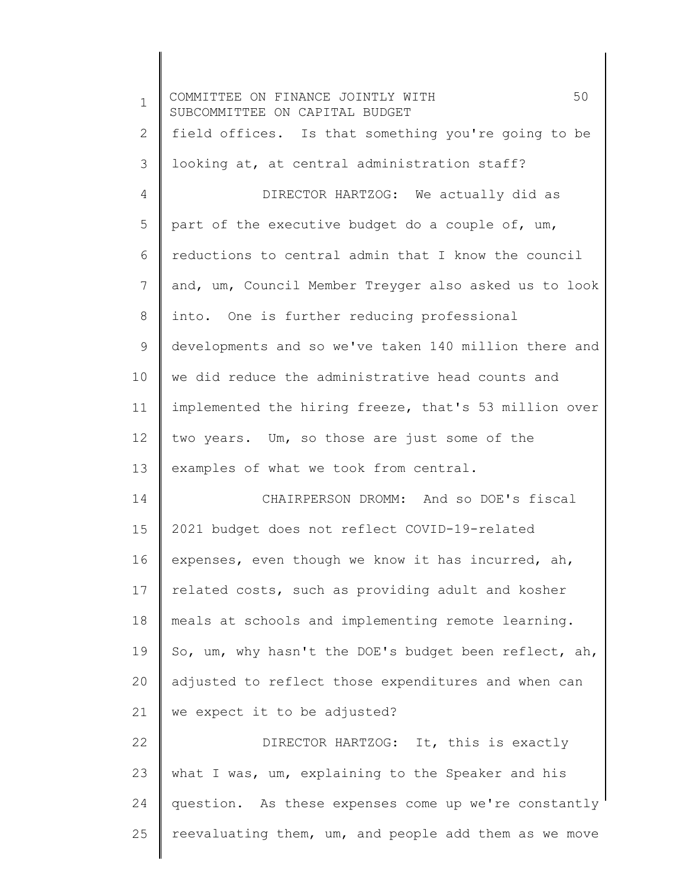1 2 3 4 5 6 7 8 9 10 11 12 13 14 15 16 17 18 19 20 21 22 23 24 25 COMMITTEE ON FINANCE JOINTLY WITH 50 SUBCOMMITTEE ON CAPITAL BUDGET field offices. Is that something you're going to be looking at, at central administration staff? DIRECTOR HARTZOG: We actually did as part of the executive budget do a couple of, um, reductions to central admin that I know the council and, um, Council Member Treyger also asked us to look into. One is further reducing professional developments and so we've taken 140 million there and we did reduce the administrative head counts and implemented the hiring freeze, that's 53 million over two years. Um, so those are just some of the examples of what we took from central. CHAIRPERSON DROMM: And so DOE's fiscal 2021 budget does not reflect COVID-19-related expenses, even though we know it has incurred, ah, related costs, such as providing adult and kosher meals at schools and implementing remote learning. So, um, why hasn't the DOE's budget been reflect, ah, adjusted to reflect those expenditures and when can we expect it to be adjusted? DIRECTOR HARTZOG: It, this is exactly what I was, um, explaining to the Speaker and his question. As these expenses come up we're constantly reevaluating them, um, and people add them as we move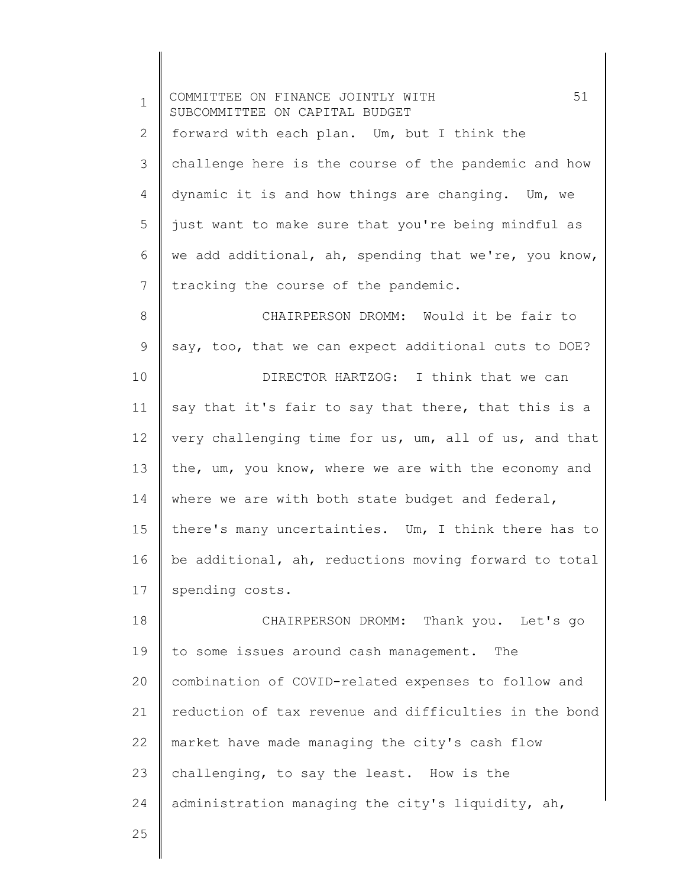| $\mathbf 1$  | 51<br>COMMITTEE ON FINANCE JOINTLY WITH<br>SUBCOMMITTEE ON CAPITAL BUDGET |
|--------------|---------------------------------------------------------------------------|
| $\mathbf{2}$ | forward with each plan. Um, but I think the                               |
| 3            | challenge here is the course of the pandemic and how                      |
| 4            | dynamic it is and how things are changing. Um, we                         |
| 5            | just want to make sure that you're being mindful as                       |
| 6            | we add additional, ah, spending that we're, you know,                     |
| 7            | tracking the course of the pandemic.                                      |
| $8\,$        | CHAIRPERSON DROMM: Would it be fair to                                    |
| 9            | say, too, that we can expect additional cuts to DOE?                      |
| 10           | DIRECTOR HARTZOG: I think that we can                                     |
| 11           | say that it's fair to say that there, that this is a                      |
| 12           | very challenging time for us, um, all of us, and that                     |
| 13           | the, um, you know, where we are with the economy and                      |
| 14           | where we are with both state budget and federal,                          |
| 15           | there's many uncertainties. Um, I think there has to                      |
| 16           | be additional, ah, reductions moving forward to total                     |
| 17           | spending costs.                                                           |
| 18           | CHAIRPERSON DROMM: Thank you. Let's go                                    |
| 19           | to some issues around cash management. The                                |
| 20           | combination of COVID-related expenses to follow and                       |
| 21           | reduction of tax revenue and difficulties in the bond                     |
| 22           | market have made managing the city's cash flow                            |
| 23           | challenging, to say the least. How is the                                 |
| 24           | administration managing the city's liquidity, ah,                         |
| 25           |                                                                           |
|              |                                                                           |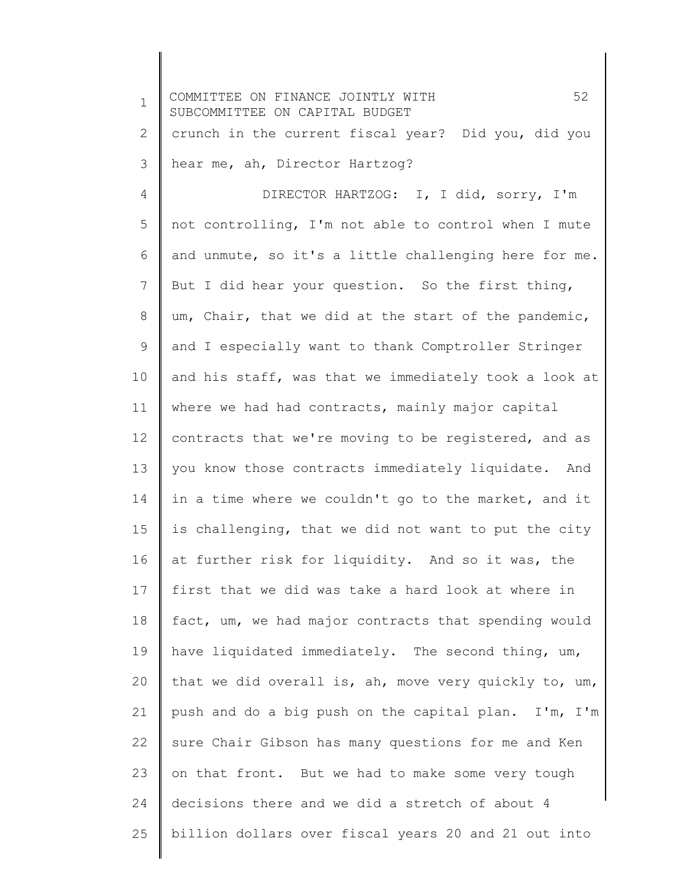1 2 3 4 5 6 7 8 9 10 11 12 13 14 15 16 17 18 19 20 21 22 23 24 25 COMMITTEE ON FINANCE JOINTLY WITH 52 SUBCOMMITTEE ON CAPITAL BUDGET crunch in the current fiscal year? Did you, did you hear me, ah, Director Hartzog? DIRECTOR HARTZOG: I, I did, sorry, I'm not controlling, I'm not able to control when I mute and unmute, so it's a little challenging here for me. But I did hear your question. So the first thing, um, Chair, that we did at the start of the pandemic, and I especially want to thank Comptroller Stringer and his staff, was that we immediately took a look at where we had had contracts, mainly major capital contracts that we're moving to be registered, and as you know those contracts immediately liquidate. And in a time where we couldn't go to the market, and it is challenging, that we did not want to put the city at further risk for liquidity. And so it was, the first that we did was take a hard look at where in fact, um, we had major contracts that spending would have liquidated immediately. The second thing, um, that we did overall is, ah, move very quickly to, um, push and do a big push on the capital plan. I'm, I'm sure Chair Gibson has many questions for me and Ken on that front. But we had to make some very tough decisions there and we did a stretch of about 4 billion dollars over fiscal years 20 and 21 out into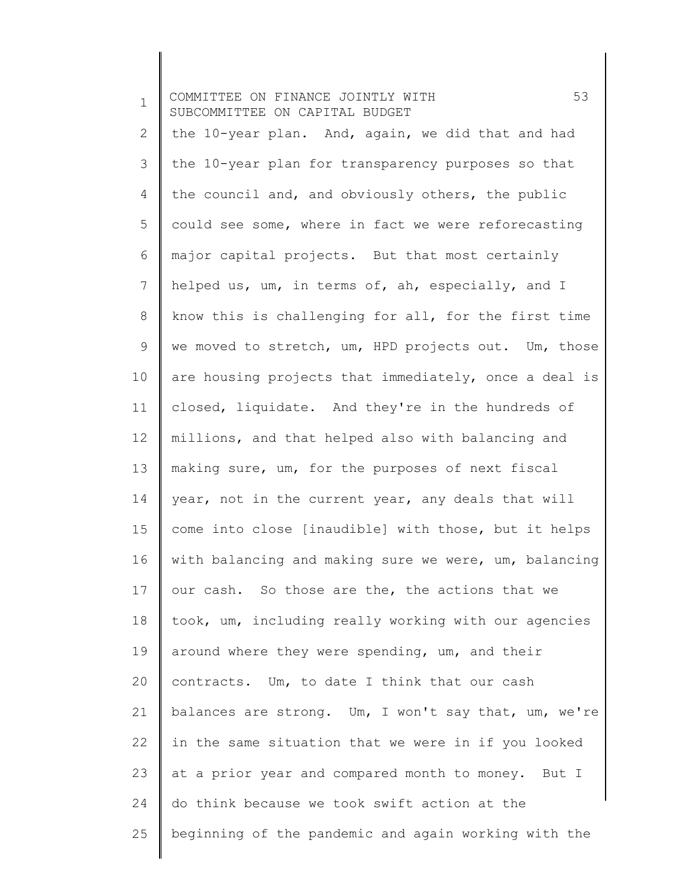| $\mathbf 1$ | 53<br>COMMITTEE ON FINANCE JOINTLY WITH<br>SUBCOMMITTEE ON CAPITAL BUDGET |
|-------------|---------------------------------------------------------------------------|
| 2           | the 10-year plan. And, again, we did that and had                         |
| 3           | the 10-year plan for transparency purposes so that                        |
| 4           | the council and, and obviously others, the public                         |
| 5           | could see some, where in fact we were reforecasting                       |
| 6           | major capital projects. But that most certainly                           |
| 7           | helped us, um, in terms of, ah, especially, and I                         |
| 8           | know this is challenging for all, for the first time                      |
| $\mathsf 9$ | we moved to stretch, um, HPD projects out. Um, those                      |
| 10          | are housing projects that immediately, once a deal is                     |
| 11          | closed, liquidate. And they're in the hundreds of                         |
| 12          | millions, and that helped also with balancing and                         |
| 13          | making sure, um, for the purposes of next fiscal                          |
| 14          | year, not in the current year, any deals that will                        |
| 15          | come into close [inaudible] with those, but it helps                      |
| 16          | with balancing and making sure we were, um, balancing                     |
| 17          | our cash. So those are the, the actions that we                           |
| 18          | took, um, including really working with our agencies                      |
| 19          | around where they were spending, um, and their                            |
| 20          | contracts. Um, to date I think that our cash                              |
| 21          | balances are strong. Um, I won't say that, um, we're                      |
| 22          | in the same situation that we were in if you looked                       |
| 23          | at a prior year and compared month to money. But I                        |
| 24          | do think because we took swift action at the                              |
| 25          | beginning of the pandemic and again working with the                      |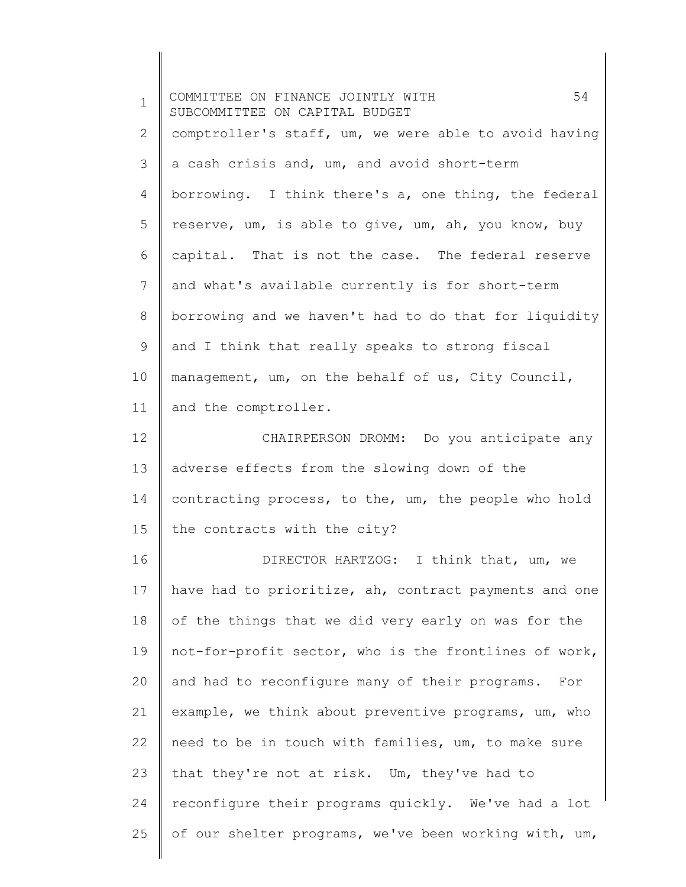1 2 3 4 5 6 7 8 9 10 11 12 13 14 15 16 17 18 19 20 21 22 23 24 25 COMMITTEE ON FINANCE JOINTLY WITH 54 SUBCOMMITTEE ON CAPITAL BUDGET comptroller's staff, um, we were able to avoid having a cash crisis and, um, and avoid short-term borrowing. I think there's a, one thing, the federal reserve, um, is able to give, um, ah, you know, buy capital. That is not the case. The federal reserve and what's available currently is for short-term borrowing and we haven't had to do that for liquidity and I think that really speaks to strong fiscal management, um, on the behalf of us, City Council, and the comptroller. CHAIRPERSON DROMM: Do you anticipate any adverse effects from the slowing down of the contracting process, to the, um, the people who hold the contracts with the city? DIRECTOR HARTZOG: I think that, um, we have had to prioritize, ah, contract payments and one of the things that we did very early on was for the not-for-profit sector, who is the frontlines of work, and had to reconfigure many of their programs. For example, we think about preventive programs, um, who need to be in touch with families, um, to make sure that they're not at risk. Um, they've had to reconfigure their programs quickly. We've had a lot of our shelter programs, we've been working with, um,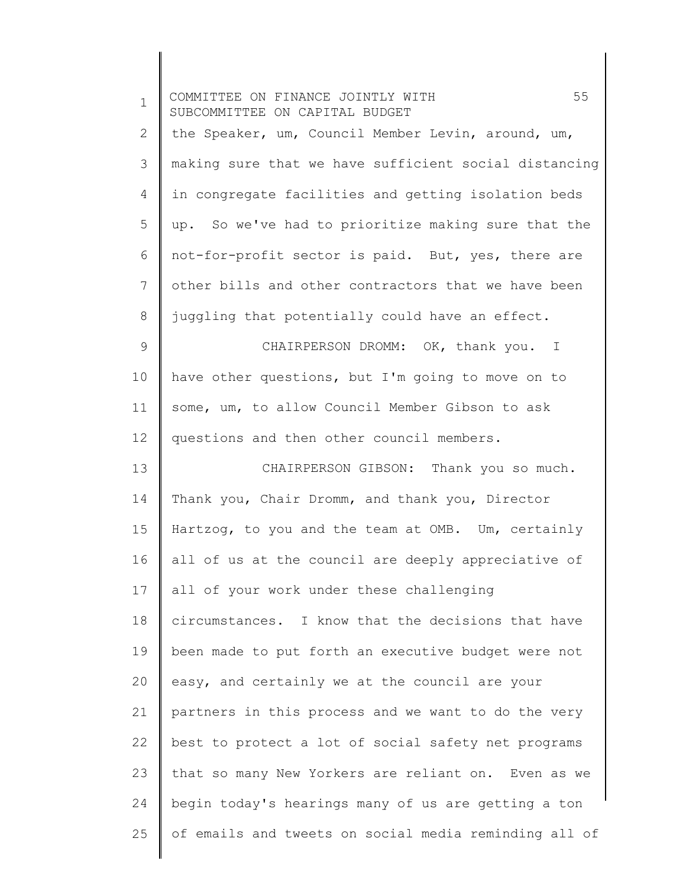| $\mathbf{1}$ | 55<br>COMMITTEE ON FINANCE JOINTLY WITH<br>SUBCOMMITTEE ON CAPITAL BUDGET |
|--------------|---------------------------------------------------------------------------|
| 2            | the Speaker, um, Council Member Levin, around, um,                        |
| 3            | making sure that we have sufficient social distancing                     |
| 4            | in congregate facilities and getting isolation beds                       |
| 5            | up. So we've had to prioritize making sure that the                       |
| 6            | not-for-profit sector is paid. But, yes, there are                        |
| 7            | other bills and other contractors that we have been                       |
| 8            | juggling that potentially could have an effect.                           |
| $\mathsf 9$  | CHAIRPERSON DROMM: OK, thank you. I                                       |
| 10           | have other questions, but I'm going to move on to                         |
| 11           | some, um, to allow Council Member Gibson to ask                           |
| 12           | questions and then other council members.                                 |
| 13           | CHAIRPERSON GIBSON: Thank you so much.                                    |
| 14           | Thank you, Chair Dromm, and thank you, Director                           |
| 15           | Hartzog, to you and the team at OMB. Um, certainly                        |
| 16           | all of us at the council are deeply appreciative of                       |
| 17           | all of your work under these challenging                                  |
| 18           | circumstances. I know that the decisions that have                        |
| 19           | been made to put forth an executive budget were not                       |
| 20           | easy, and certainly we at the council are your                            |
| 21           | partners in this process and we want to do the very                       |
| 22           | best to protect a lot of social safety net programs                       |
| 23           | that so many New Yorkers are reliant on. Even as we                       |
| 24           | begin today's hearings many of us are getting a ton                       |
| 25           | of emails and tweets on social media reminding all of                     |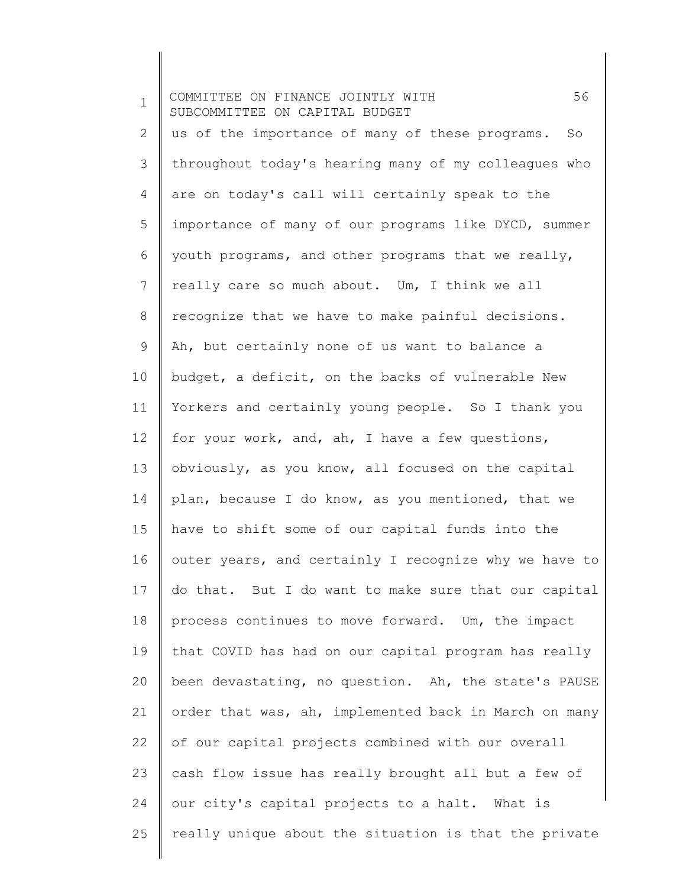1 2 3 4 5 6 7 8 9 10 11 12 13 14 15 16 17 18 19 20 21 22 23 24 25 COMMITTEE ON FINANCE JOINTLY WITH 56 SUBCOMMITTEE ON CAPITAL BUDGET us of the importance of many of these programs. So throughout today's hearing many of my colleagues who are on today's call will certainly speak to the importance of many of our programs like DYCD, summer youth programs, and other programs that we really, really care so much about. Um, I think we all recognize that we have to make painful decisions. Ah, but certainly none of us want to balance a budget, a deficit, on the backs of vulnerable New Yorkers and certainly young people. So I thank you for your work, and, ah, I have a few questions, obviously, as you know, all focused on the capital plan, because I do know, as you mentioned, that we have to shift some of our capital funds into the outer years, and certainly I recognize why we have to do that. But I do want to make sure that our capital process continues to move forward. Um, the impact that COVID has had on our capital program has really been devastating, no question. Ah, the state's PAUSE order that was, ah, implemented back in March on many of our capital projects combined with our overall cash flow issue has really brought all but a few of our city's capital projects to a halt. What is really unique about the situation is that the private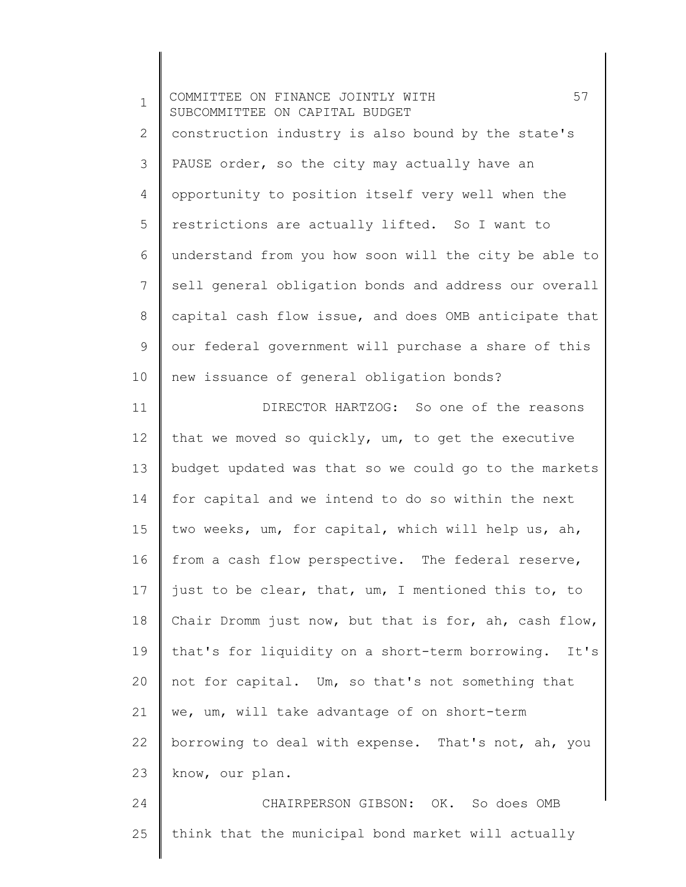1 2 3 4 5 6 7 8 9 10 11 12 13 14 15 16 17 18 19 20 21 22 23 24 COMMITTEE ON FINANCE JOINTLY WITH 57 SUBCOMMITTEE ON CAPITAL BUDGET construction industry is also bound by the state's PAUSE order, so the city may actually have an opportunity to position itself very well when the restrictions are actually lifted. So I want to understand from you how soon will the city be able to sell general obligation bonds and address our overall capital cash flow issue, and does OMB anticipate that our federal government will purchase a share of this new issuance of general obligation bonds? DIRECTOR HARTZOG: So one of the reasons that we moved so quickly, um, to get the executive budget updated was that so we could go to the markets for capital and we intend to do so within the next two weeks, um, for capital, which will help us, ah, from a cash flow perspective. The federal reserve, just to be clear, that, um, I mentioned this to, to Chair Dromm just now, but that is for, ah, cash flow, that's for liquidity on a short-term borrowing. It's not for capital. Um, so that's not something that we, um, will take advantage of on short-term borrowing to deal with expense. That's not, ah, you know, our plan. CHAIRPERSON GIBSON: OK. So does OMB

think that the municipal bond market will actually

25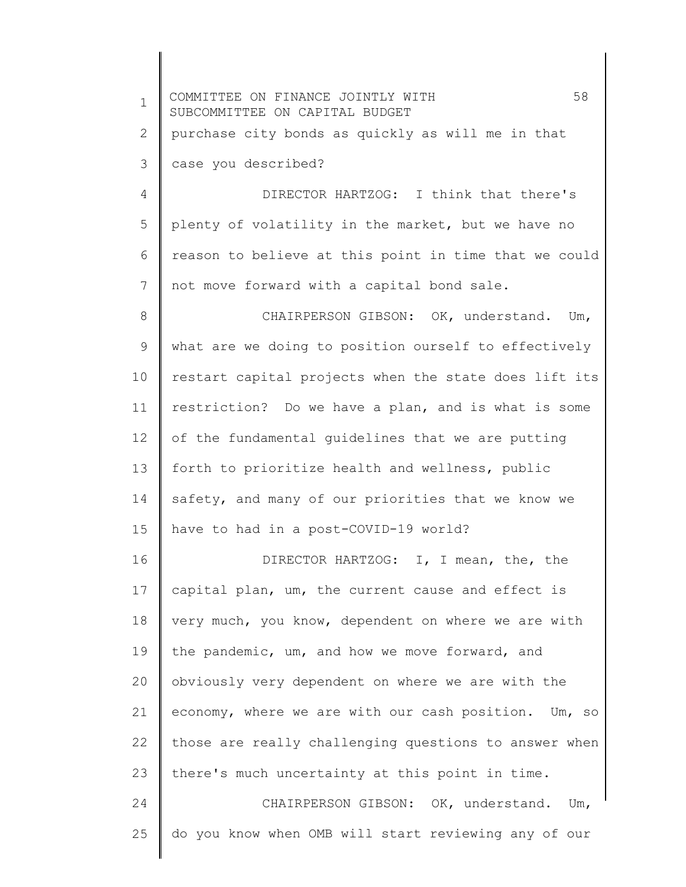| $\mathbf 1$ | 58<br>COMMITTEE ON FINANCE JOINTLY WITH<br>SUBCOMMITTEE ON CAPITAL BUDGET |
|-------------|---------------------------------------------------------------------------|
| 2           | purchase city bonds as quickly as will me in that                         |
| 3           | case you described?                                                       |
| 4           | DIRECTOR HARTZOG: I think that there's                                    |
| 5           | plenty of volatility in the market, but we have no                        |
| 6           | reason to believe at this point in time that we could                     |
| 7           | not move forward with a capital bond sale.                                |
| 8           | CHAIRPERSON GIBSON: OK, understand. Um,                                   |
| $\mathsf 9$ | what are we doing to position ourself to effectively                      |
| 10          | restart capital projects when the state does lift its                     |
| 11          | restriction? Do we have a plan, and is what is some                       |
| 12          | of the fundamental guidelines that we are putting                         |
| 13          | forth to prioritize health and wellness, public                           |
| 14          | safety, and many of our priorities that we know we                        |
| 15          | have to had in a post-COVID-19 world?                                     |
| 16          | DIRECTOR HARTZOG: I, I mean, the, the                                     |
| 17          | capital plan, um, the current cause and effect is                         |
| 18          | very much, you know, dependent on where we are with                       |
| 19          | the pandemic, um, and how we move forward, and                            |
| 20          | obviously very dependent on where we are with the                         |
| 21          | economy, where we are with our cash position. Um, so                      |
| 22          | those are really challenging questions to answer when                     |
| 23          | there's much uncertainty at this point in time.                           |
| 24          | CHAIRPERSON GIBSON: OK, understand. Um,                                   |
| 25          | do you know when OMB will start reviewing any of our                      |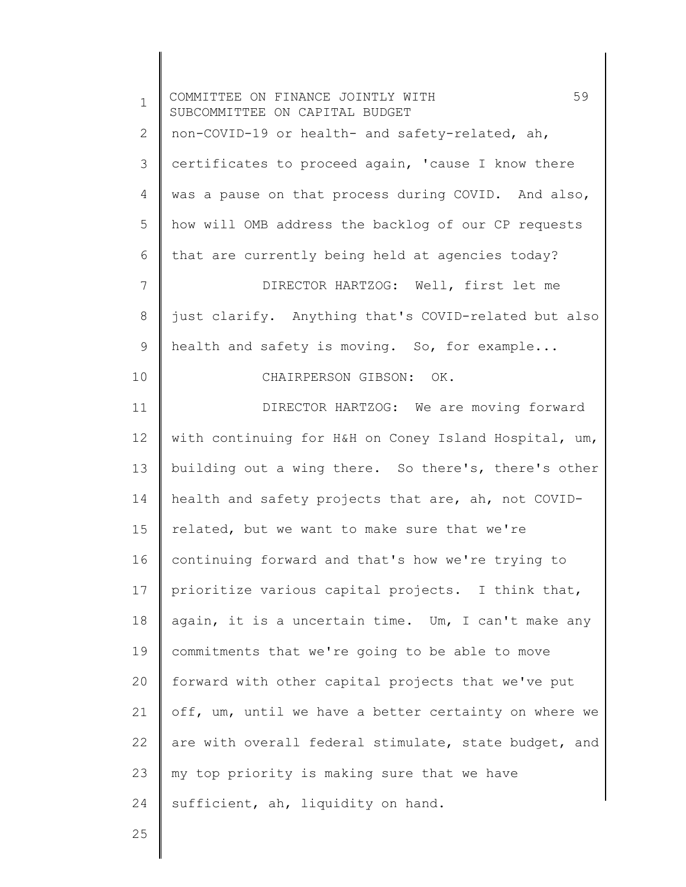| $\mathbf 1$ | 59<br>COMMITTEE ON FINANCE JOINTLY WITH<br>SUBCOMMITTEE ON CAPITAL BUDGET |
|-------------|---------------------------------------------------------------------------|
| 2           | non-COVID-19 or health- and safety-related, ah,                           |
| 3           | certificates to proceed again, 'cause I know there                        |
| 4           | was a pause on that process during COVID. And also,                       |
| 5           | how will OMB address the backlog of our CP requests                       |
| 6           | that are currently being held at agencies today?                          |
| 7           | DIRECTOR HARTZOG: Well, first let me                                      |
| $8\,$       | just clarify. Anything that's COVID-related but also                      |
| 9           | health and safety is moving. So, for example                              |
| 10          | CHAIRPERSON GIBSON: OK.                                                   |
| 11          | DIRECTOR HARTZOG: We are moving forward                                   |
| 12          | with continuing for H&H on Coney Island Hospital, um,                     |
| 13          | building out a wing there. So there's, there's other                      |
| 14          | health and safety projects that are, ah, not COVID-                       |
| 15          | related, but we want to make sure that we're                              |
| 16          | continuing forward and that's how we're trying to                         |
| 17          | prioritize various capital projects. I think that,                        |
| 18          | again, it is a uncertain time. Um, I can't make any                       |
| 19          | commitments that we're going to be able to move                           |
| 20          | forward with other capital projects that we've put                        |
| 21          | off, um, until we have a better certainty on where we                     |
| 22          | are with overall federal stimulate, state budget, and                     |
| 23          | my top priority is making sure that we have                               |
| 24          | sufficient, ah, liquidity on hand.                                        |
| 25          |                                                                           |
|             |                                                                           |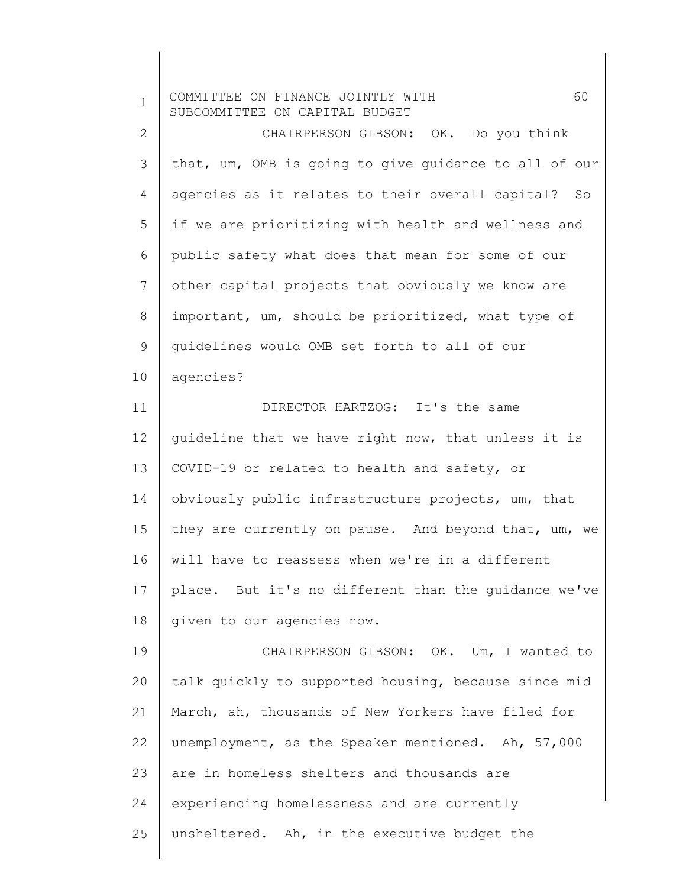| $\mathbf 1$    | 60<br>COMMITTEE ON FINANCE JOINTLY WITH<br>SUBCOMMITTEE ON CAPITAL BUDGET |
|----------------|---------------------------------------------------------------------------|
| $\mathbf{2}$   | CHAIRPERSON GIBSON: OK. Do you think                                      |
| 3              | that, um, OMB is going to give guidance to all of our                     |
| 4              | agencies as it relates to their overall capital? So                       |
| 5              | if we are prioritizing with health and wellness and                       |
| 6              | public safety what does that mean for some of our                         |
| $7\phantom{.}$ | other capital projects that obviously we know are                         |
| 8              | important, um, should be prioritized, what type of                        |
| 9              | quidelines would OMB set forth to all of our                              |
| 10             | agencies?                                                                 |
| 11             | DIRECTOR HARTZOG: It's the same                                           |
| 12             | quideline that we have right now, that unless it is                       |
| 13             | COVID-19 or related to health and safety, or                              |
| 14             | obviously public infrastructure projects, um, that                        |
| 15             | they are currently on pause. And beyond that, um, we                      |
| 16             | will have to reassess when we're in a different                           |
| 17             | place. But it's no different than the guidance we've                      |
| 18             | given to our agencies now.                                                |
| 19             | CHAIRPERSON GIBSON: OK. Um, I wanted to                                   |
| 20             | talk quickly to supported housing, because since mid                      |
| 21             | March, ah, thousands of New Yorkers have filed for                        |
| 22             | unemployment, as the Speaker mentioned. Ah, 57,000                        |
| 23             | are in homeless shelters and thousands are                                |
| 24             | experiencing homelessness and are currently                               |
| 25             | unsheltered. Ah, in the executive budget the                              |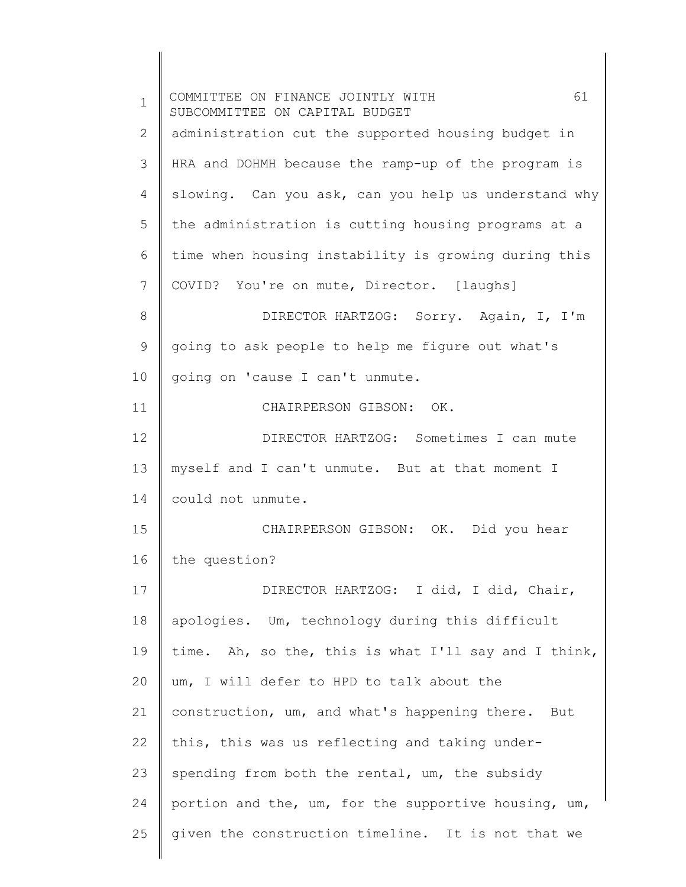| $\mathbf 1$ | 61<br>COMMITTEE ON FINANCE JOINTLY WITH<br>SUBCOMMITTEE ON CAPITAL BUDGET |
|-------------|---------------------------------------------------------------------------|
| 2           | administration cut the supported housing budget in                        |
| 3           | HRA and DOHMH because the ramp-up of the program is                       |
| 4           | slowing. Can you ask, can you help us understand why                      |
| 5           | the administration is cutting housing programs at a                       |
| 6           | time when housing instability is growing during this                      |
| 7           | COVID? You're on mute, Director. [laughs]                                 |
| 8           | DIRECTOR HARTZOG: Sorry. Again, I, I'm                                    |
| 9           | going to ask people to help me figure out what's                          |
| 10          | going on 'cause I can't unmute.                                           |
| 11          | CHAIRPERSON GIBSON: OK.                                                   |
| 12          | DIRECTOR HARTZOG: Sometimes I can mute                                    |
| 13          | myself and I can't unmute. But at that moment I                           |
| 14          | could not unmute.                                                         |
| 15          | CHAIRPERSON GIBSON: OK. Did you hear                                      |
| 16          | the question?                                                             |
| 17          | DIRECTOR HARTZOG: I did, I did, Chair,                                    |
| 18          | apologies. Um, technology during this difficult                           |
| 19          | time. Ah, so the, this is what I'll say and I think,                      |
| 20          | um, I will defer to HPD to talk about the                                 |
| 21          | construction, um, and what's happening there. But                         |
| 22          | this, this was us reflecting and taking under-                            |
| 23          | spending from both the rental, um, the subsidy                            |
| 24          | portion and the, um, for the supportive housing, um,                      |
| 25          | given the construction timeline. It is not that we                        |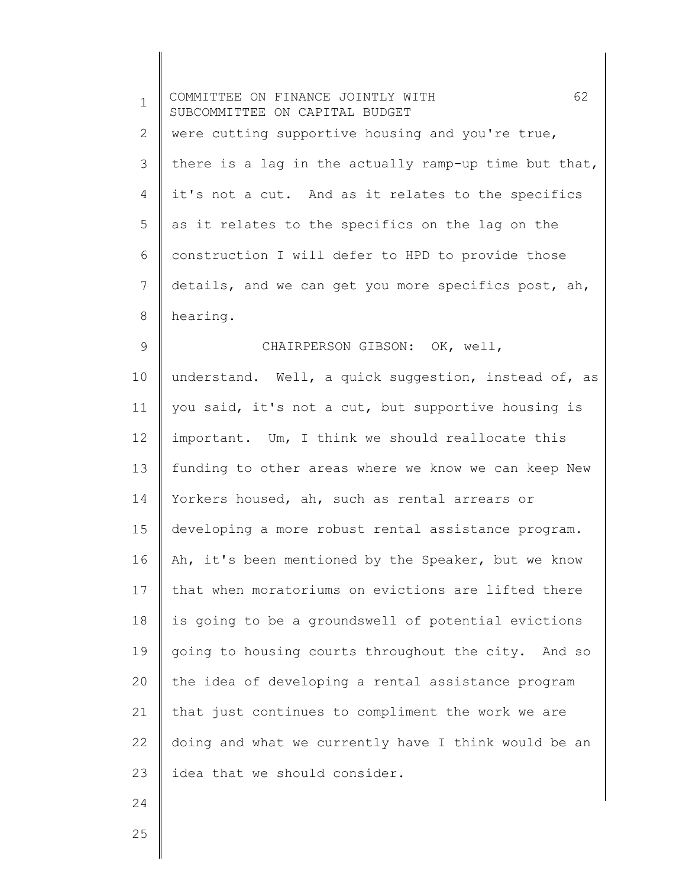| $\mathbf 1$  | 62<br>COMMITTEE ON FINANCE JOINTLY WITH<br>SUBCOMMITTEE ON CAPITAL BUDGET |
|--------------|---------------------------------------------------------------------------|
| $\mathbf{2}$ | were cutting supportive housing and you're true,                          |
| 3            | there is a lag in the actually ramp-up time but that,                     |
| 4            | it's not a cut. And as it relates to the specifics                        |
| 5            | as it relates to the specifics on the lag on the                          |
| 6            | construction I will defer to HPD to provide those                         |
| 7            | details, and we can get you more specifics post, ah,                      |
| 8            | hearing.                                                                  |
| 9            | CHAIRPERSON GIBSON: OK, well,                                             |
| 10           | understand. Well, a quick suggestion, instead of, as                      |
| 11           | you said, it's not a cut, but supportive housing is                       |
| 12           | important. Um, I think we should reallocate this                          |
| 13           | funding to other areas where we know we can keep New                      |
| 14           | Yorkers housed, ah, such as rental arrears or                             |
| 15           | developing a more robust rental assistance program.                       |
| 16           | Ah, it's been mentioned by the Speaker, but we know                       |
| 17           | that when moratoriums on evictions are lifted there                       |
| 18           | is going to be a groundswell of potential evictions                       |
| 19           | going to housing courts throughout the city. And so                       |
| 20           | the idea of developing a rental assistance program                        |
| 21           | that just continues to compliment the work we are                         |
| 22           | doing and what we currently have I think would be an                      |
| 23           | idea that we should consider.                                             |
| 24           |                                                                           |
| 25           |                                                                           |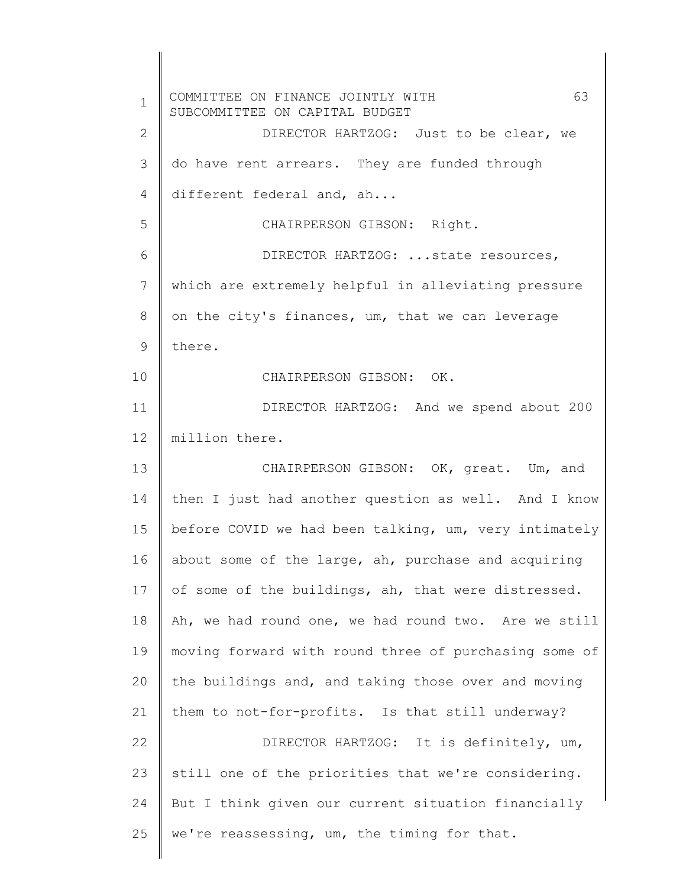1 2 3 4 5 6 7 8 9 10 11 12 13 14 15 16 17 18 19 20 21 22 23 24 25 COMMITTEE ON FINANCE JOINTLY WITH 63 SUBCOMMITTEE ON CAPITAL BUDGET DIRECTOR HARTZOG: Just to be clear, we do have rent arrears. They are funded through different federal and, ah... CHAIRPERSON GIBSON: Right. DIRECTOR HARTZOG: ...state resources, which are extremely helpful in alleviating pressure on the city's finances, um, that we can leverage there. CHAIRPERSON GIBSON: OK. DIRECTOR HARTZOG: And we spend about 200 million there. CHAIRPERSON GIBSON: OK, great. Um, and then I just had another question as well. And I know before COVID we had been talking, um, very intimately about some of the large, ah, purchase and acquiring of some of the buildings, ah, that were distressed. Ah, we had round one, we had round two. Are we still moving forward with round three of purchasing some of the buildings and, and taking those over and moving them to not-for-profits. Is that still underway? DIRECTOR HARTZOG: It is definitely, um, still one of the priorities that we're considering. But I think given our current situation financially we're reassessing, um, the timing for that.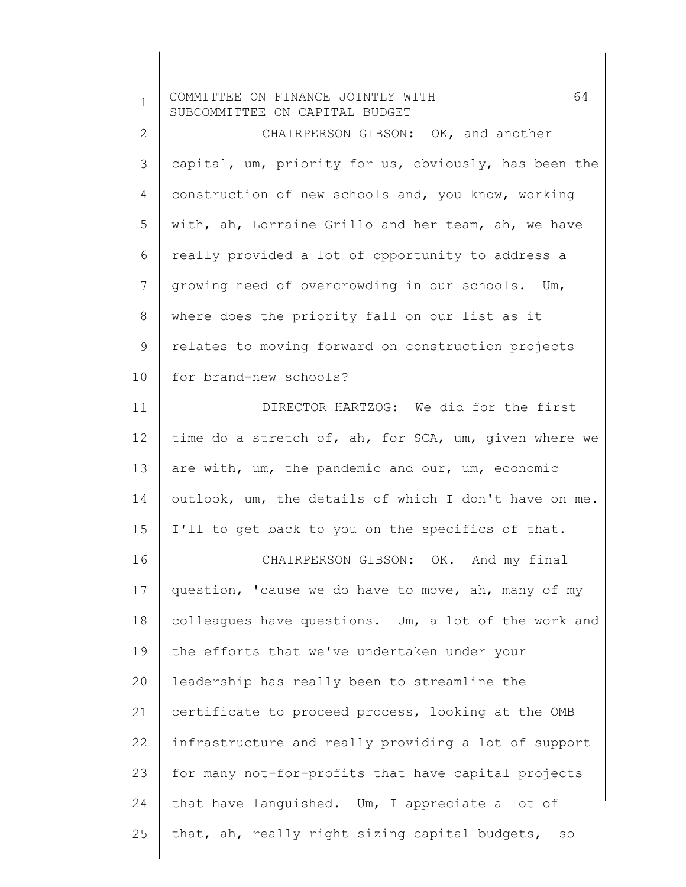| $\mathbf 1$    | 64<br>COMMITTEE ON FINANCE JOINTLY WITH<br>SUBCOMMITTEE ON CAPITAL BUDGET |
|----------------|---------------------------------------------------------------------------|
| $\mathbf{2}$   | CHAIRPERSON GIBSON: OK, and another                                       |
| 3              | capital, um, priority for us, obviously, has been the                     |
| 4              | construction of new schools and, you know, working                        |
| 5              | with, ah, Lorraine Grillo and her team, ah, we have                       |
| 6              | really provided a lot of opportunity to address a                         |
| $\overline{7}$ | growing need of overcrowding in our schools. Um,                          |
| $8\,$          | where does the priority fall on our list as it                            |
| 9              | relates to moving forward on construction projects                        |
| 10             | for brand-new schools?                                                    |
| 11             | DIRECTOR HARTZOG: We did for the first                                    |
| 12             | time do a stretch of, ah, for SCA, um, given where we                     |
| 13             | are with, um, the pandemic and our, um, economic                          |
| 14             | outlook, um, the details of which I don't have on me.                     |
| 15             | I'll to get back to you on the specifics of that.                         |
| 16             | CHAIRPERSON GIBSON: OK. And my final                                      |
| 17             | question, 'cause we do have to move, ah, many of my                       |
| 18             | colleagues have questions. Um, a lot of the work and                      |
| 19             | the efforts that we've undertaken under your                              |
| 20             | leadership has really been to streamline the                              |
| 21             | certificate to proceed process, looking at the OMB                        |
| 22             | infrastructure and really providing a lot of support                      |
| 23             | for many not-for-profits that have capital projects                       |
| 24             | that have languished. Um, I appreciate a lot of                           |
| 25             | that, ah, really right sizing capital budgets, so                         |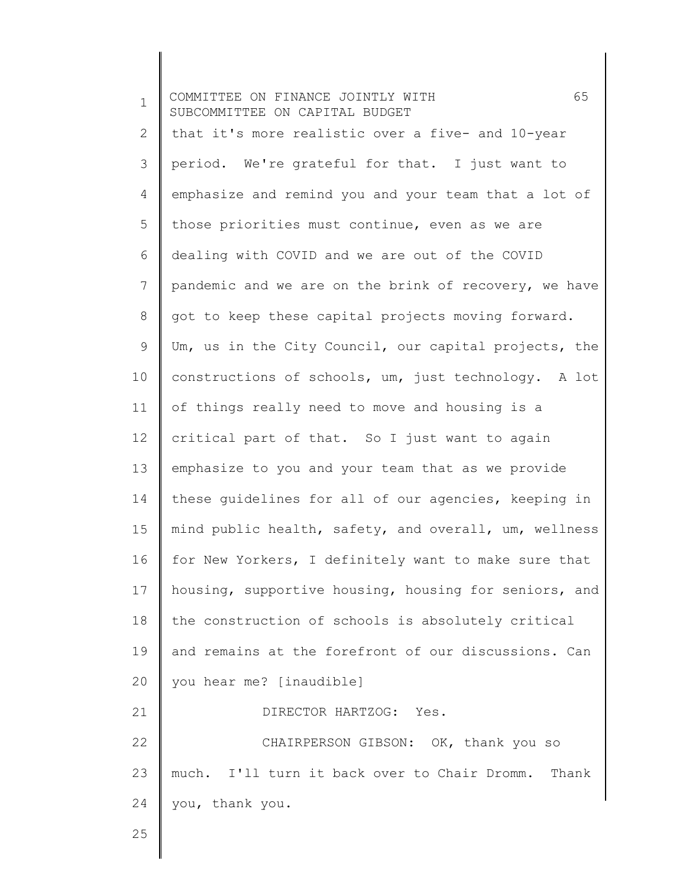1 2 3 4 5 6 7 8 9 10 11 12 13 14 15 16 17 18 19 20 21 22 23 24 25 COMMITTEE ON FINANCE JOINTLY WITH 65 SUBCOMMITTEE ON CAPITAL BUDGET that it's more realistic over a five- and 10-year period. We're grateful for that. I just want to emphasize and remind you and your team that a lot of those priorities must continue, even as we are dealing with COVID and we are out of the COVID pandemic and we are on the brink of recovery, we have got to keep these capital projects moving forward. Um, us in the City Council, our capital projects, the constructions of schools, um, just technology. A lot of things really need to move and housing is a critical part of that. So I just want to again emphasize to you and your team that as we provide these guidelines for all of our agencies, keeping in mind public health, safety, and overall, um, wellness for New Yorkers, I definitely want to make sure that housing, supportive housing, housing for seniors, and the construction of schools is absolutely critical and remains at the forefront of our discussions. Can you hear me? [inaudible] DIRECTOR HARTZOG: Yes. CHAIRPERSON GIBSON: OK, thank you so much. I'll turn it back over to Chair Dromm. Thank you, thank you.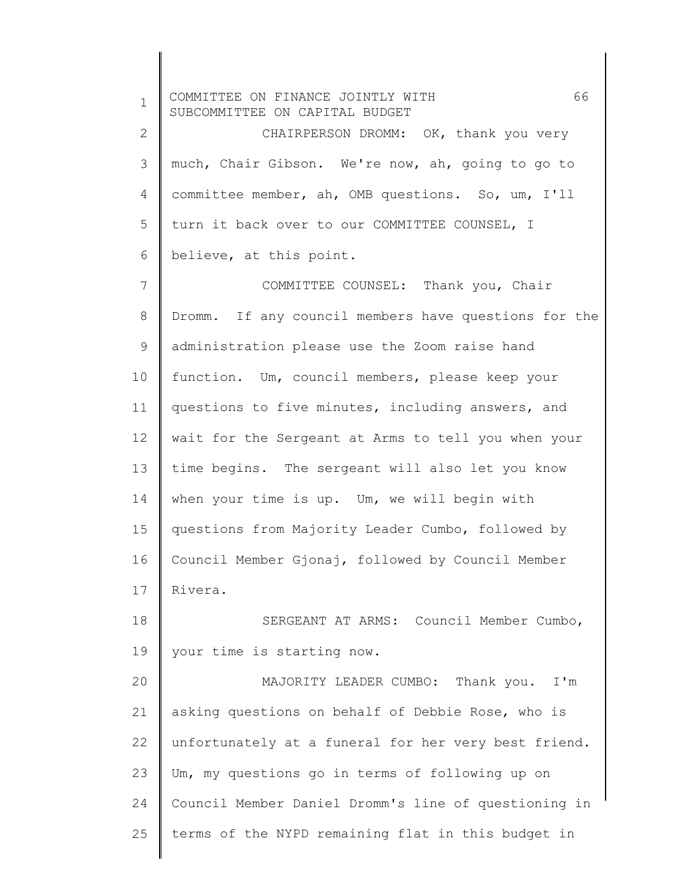1 2 3 4 5 6 7 8 9 10 11 12 13 14 15 16 17 18 19 20 21 22 23 24 25 COMMITTEE ON FINANCE JOINTLY WITH 66 SUBCOMMITTEE ON CAPITAL BUDGET CHAIRPERSON DROMM: OK, thank you very much, Chair Gibson. We're now, ah, going to go to committee member, ah, OMB questions. So, um, I'll turn it back over to our COMMITTEE COUNSEL, I believe, at this point. COMMITTEE COUNSEL: Thank you, Chair Dromm. If any council members have questions for the administration please use the Zoom raise hand function. Um, council members, please keep your questions to five minutes, including answers, and wait for the Sergeant at Arms to tell you when your time begins. The sergeant will also let you know when your time is up. Um, we will begin with questions from Majority Leader Cumbo, followed by Council Member Gjonaj, followed by Council Member Rivera. SERGEANT AT ARMS: Council Member Cumbo, your time is starting now. MAJORITY LEADER CUMBO: Thank you. I'm asking questions on behalf of Debbie Rose, who is unfortunately at a funeral for her very best friend. Um, my questions go in terms of following up on Council Member Daniel Dromm's line of questioning in terms of the NYPD remaining flat in this budget in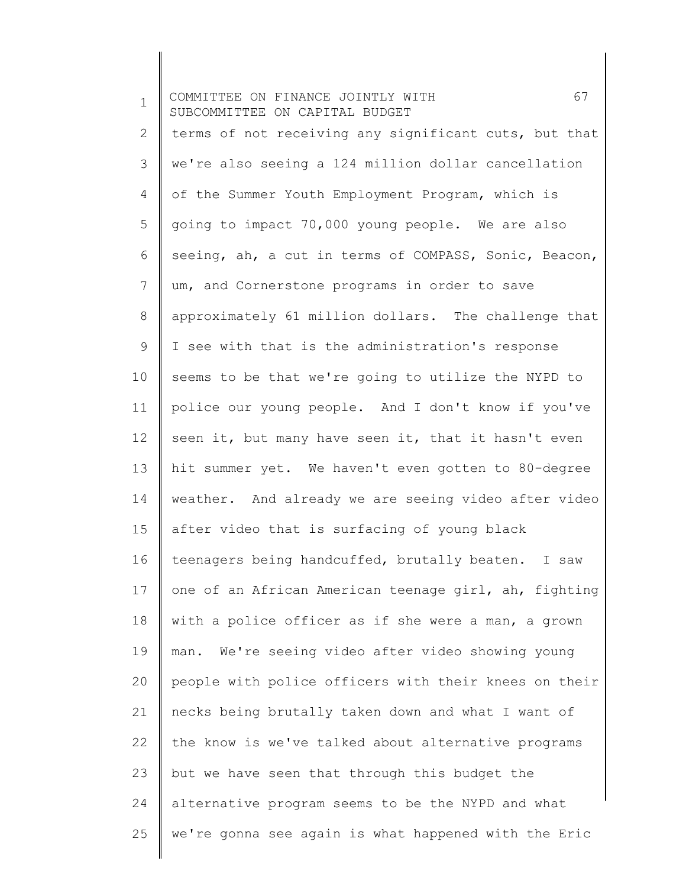| $\mathbf 1$    | 67<br>COMMITTEE ON FINANCE JOINTLY WITH<br>SUBCOMMITTEE ON CAPITAL BUDGET |
|----------------|---------------------------------------------------------------------------|
| $\overline{2}$ | terms of not receiving any significant cuts, but that                     |
| 3              | we're also seeing a 124 million dollar cancellation                       |
| 4              | of the Summer Youth Employment Program, which is                          |
| 5              | going to impact 70,000 young people. We are also                          |
| 6              | seeing, ah, a cut in terms of COMPASS, Sonic, Beacon,                     |
| 7              | um, and Cornerstone programs in order to save                             |
| 8              | approximately 61 million dollars. The challenge that                      |
| 9              | I see with that is the administration's response                          |
| 10             | seems to be that we're going to utilize the NYPD to                       |
| 11             | police our young people. And I don't know if you've                       |
| 12             | seen it, but many have seen it, that it hasn't even                       |
| 13             | hit summer yet. We haven't even gotten to 80-degree                       |
| 14             | weather. And already we are seeing video after video                      |
| 15             | after video that is surfacing of young black                              |
| 16             | teenagers being handcuffed, brutally beaten. I saw                        |
| 17             | one of an African American teenage girl, ah, fighting                     |
| 18             | with a police officer as if she were a man, a grown                       |
| 19             | man. We're seeing video after video showing young                         |
| 20             | people with police officers with their knees on their                     |
| 21             | necks being brutally taken down and what I want of                        |
| 22             | the know is we've talked about alternative programs                       |
| 23             | but we have seen that through this budget the                             |
| 24             | alternative program seems to be the NYPD and what                         |
| 25             | we're gonna see again is what happened with the Eric                      |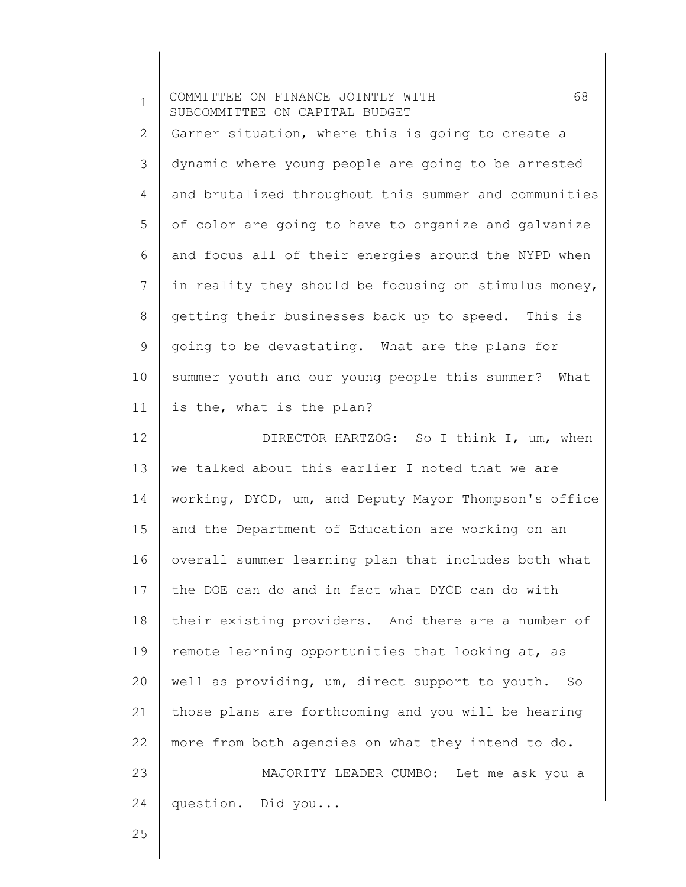| $\mathbf 1$    | 68<br>COMMITTEE ON FINANCE JOINTLY WITH<br>SUBCOMMITTEE ON CAPITAL BUDGET |
|----------------|---------------------------------------------------------------------------|
| 2              | Garner situation, where this is going to create a                         |
| 3              | dynamic where young people are going to be arrested                       |
| $\overline{4}$ | and brutalized throughout this summer and communities                     |
| 5              | of color are going to have to organize and galvanize                      |
| 6              | and focus all of their energies around the NYPD when                      |
| 7              | in reality they should be focusing on stimulus money,                     |
| $\,8\,$        | getting their businesses back up to speed. This is                        |
| $\mathsf 9$    | going to be devastating. What are the plans for                           |
| 10             | summer youth and our young people this summer? What                       |
| 11             | is the, what is the plan?                                                 |
| 12             | DIRECTOR HARTZOG: So I think I, um, when                                  |
| 13             | we talked about this earlier I noted that we are                          |
| 14             | working, DYCD, um, and Deputy Mayor Thompson's office                     |
| 15             | and the Department of Education are working on an                         |
| 16             | overall summer learning plan that includes both what                      |
| 17             | the DOE can do and in fact what DYCD can do with                          |
| 18             | their existing providers. And there are a number of                       |
| 19             | remote learning opportunities that looking at, as                         |
| 20             | well as providing, um, direct support to youth. So                        |
| 21             | those plans are forthcoming and you will be hearing                       |
| 22             | more from both agencies on what they intend to do.                        |
| 23             | MAJORITY LEADER CUMBO: Let me ask you a                                   |
| 24             | question. Did you                                                         |
| 25             |                                                                           |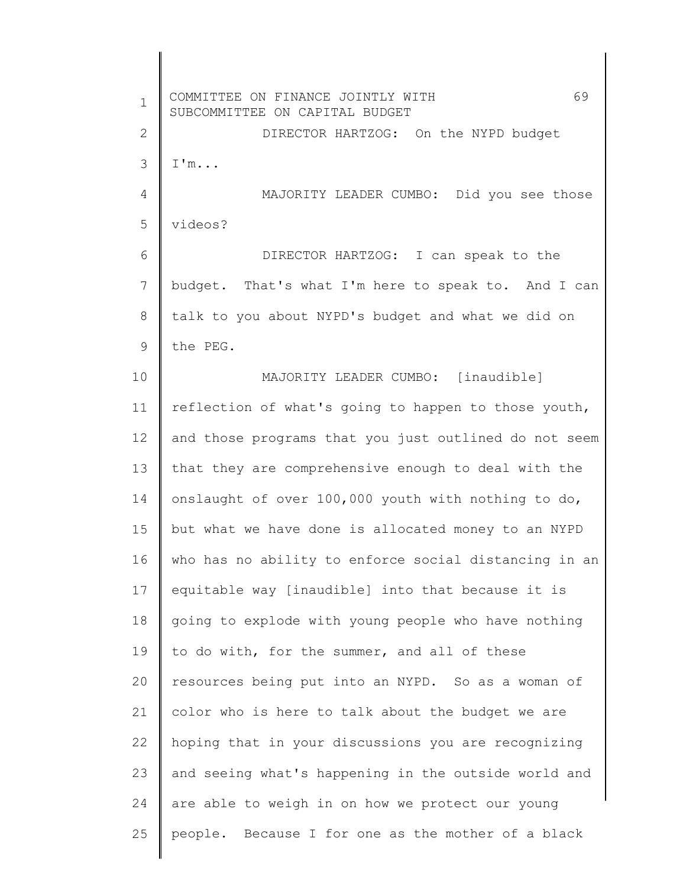1 2 3 4 5 6 7 8 9 10 11 12 13 14 15 16 17 18 19 20 21 22 23 24 25 COMMITTEE ON FINANCE JOINTLY WITH 69 SUBCOMMITTEE ON CAPITAL BUDGET DIRECTOR HARTZOG: On the NYPD budget I'm... MAJORITY LEADER CUMBO: Did you see those videos? DIRECTOR HARTZOG: I can speak to the budget. That's what I'm here to speak to. And I can talk to you about NYPD's budget and what we did on the PEG. MAJORITY LEADER CUMBO: [inaudible] reflection of what's going to happen to those youth, and those programs that you just outlined do not seem that they are comprehensive enough to deal with the onslaught of over 100,000 youth with nothing to do, but what we have done is allocated money to an NYPD who has no ability to enforce social distancing in an equitable way [inaudible] into that because it is going to explode with young people who have nothing to do with, for the summer, and all of these resources being put into an NYPD. So as a woman of color who is here to talk about the budget we are hoping that in your discussions you are recognizing and seeing what's happening in the outside world and are able to weigh in on how we protect our young people. Because I for one as the mother of a black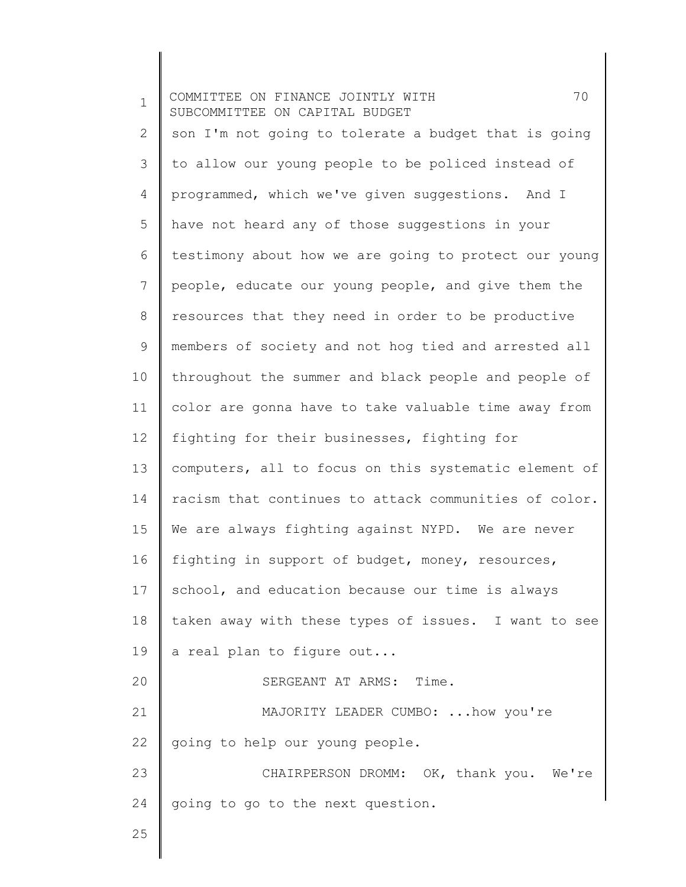| $\mathbf 1$    | 70<br>COMMITTEE ON FINANCE JOINTLY WITH<br>SUBCOMMITTEE ON CAPITAL BUDGET |
|----------------|---------------------------------------------------------------------------|
| $\overline{2}$ | son I'm not going to tolerate a budget that is going                      |
| 3              | to allow our young people to be policed instead of                        |
| $\overline{4}$ | programmed, which we've given suggestions. And I                          |
| 5              | have not heard any of those suggestions in your                           |
| 6              | testimony about how we are going to protect our young                     |
| 7              | people, educate our young people, and give them the                       |
| 8              | resources that they need in order to be productive                        |
| 9              | members of society and not hog tied and arrested all                      |
| 10             | throughout the summer and black people and people of                      |
| 11             | color are gonna have to take valuable time away from                      |
| 12             | fighting for their businesses, fighting for                               |
| 13             | computers, all to focus on this systematic element of                     |
| 14             | racism that continues to attack communities of color.                     |
| 15             | We are always fighting against NYPD. We are never                         |
| 16             | fighting in support of budget, money, resources,                          |
| 17             | school, and education because our time is always                          |
| 18             | taken away with these types of issues. I want to see                      |
| 19             | a real plan to figure out                                                 |
| 20             | SERGEANT AT ARMS: Time.                                                   |
| 21             | MAJORITY LEADER CUMBO: how you're                                         |
| 22             | going to help our young people.                                           |
| 23             | CHAIRPERSON DROMM: OK, thank you. We're                                   |
| 24             | going to go to the next question.                                         |
| 25             |                                                                           |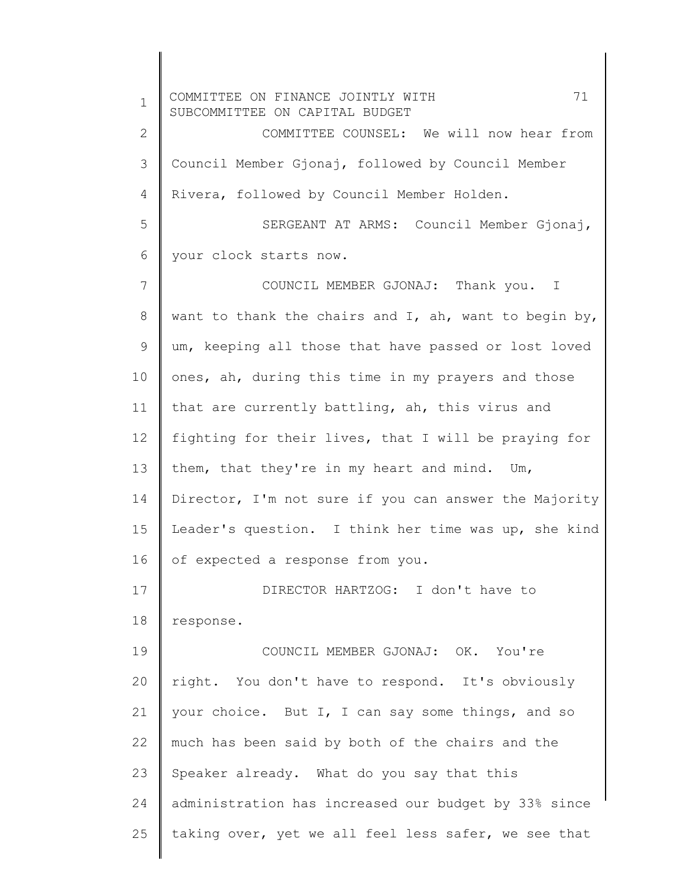1 2 3 4 5 6 7 8 9 10 11 12 13 14 15 16 17 18 19 20 21 22 23 24 25 COMMITTEE ON FINANCE JOINTLY WITH 71 SUBCOMMITTEE ON CAPITAL BUDGET COMMITTEE COUNSEL: We will now hear from Council Member Gjonaj, followed by Council Member Rivera, followed by Council Member Holden. SERGEANT AT ARMS: Council Member Gjonaj, your clock starts now. COUNCIL MEMBER GJONAJ: Thank you. I want to thank the chairs and I, ah, want to begin by, um, keeping all those that have passed or lost loved ones, ah, during this time in my prayers and those that are currently battling, ah, this virus and fighting for their lives, that I will be praying for them, that they're in my heart and mind. Um, Director, I'm not sure if you can answer the Majority Leader's question. I think her time was up, she kind of expected a response from you. DIRECTOR HARTZOG: I don't have to response. COUNCIL MEMBER GJONAJ: OK. You're right. You don't have to respond. It's obviously your choice. But I, I can say some things, and so much has been said by both of the chairs and the Speaker already. What do you say that this administration has increased our budget by 33% since taking over, yet we all feel less safer, we see that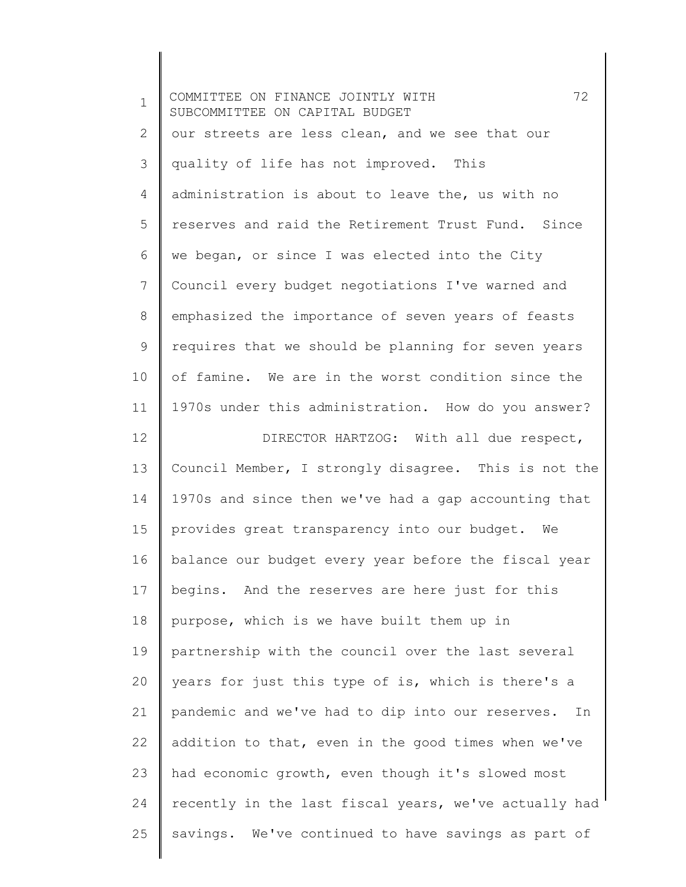| $\mathbf 1$    | 72<br>COMMITTEE ON FINANCE JOINTLY WITH<br>SUBCOMMITTEE ON CAPITAL BUDGET |
|----------------|---------------------------------------------------------------------------|
| 2              | our streets are less clean, and we see that our                           |
| 3              | quality of life has not improved. This                                    |
| $\overline{4}$ | administration is about to leave the, us with no                          |
| 5              | reserves and raid the Retirement Trust Fund. Since                        |
| 6              | we began, or since I was elected into the City                            |
| 7              | Council every budget negotiations I've warned and                         |
| 8              | emphasized the importance of seven years of feasts                        |
| 9              | requires that we should be planning for seven years                       |
| 10             | of famine. We are in the worst condition since the                        |
| 11             | 1970s under this administration. How do you answer?                       |
| 12             | DIRECTOR HARTZOG: With all due respect,                                   |
| 13             | Council Member, I strongly disagree. This is not the                      |
| 14             | 1970s and since then we've had a gap accounting that                      |
| 15             | provides great transparency into our budget. We                           |
| 16             | balance our budget every year before the fiscal year                      |
| 17             | begins. And the reserves are here just for this                           |
| 18             | purpose, which is we have built them up in                                |
| 19             | partnership with the council over the last several                        |
| 20             | years for just this type of is, which is there's a                        |
| 21             | pandemic and we've had to dip into our reserves.<br>In                    |
| 22             | addition to that, even in the good times when we've                       |
| 23             | had economic growth, even though it's slowed most                         |
| 24             | recently in the last fiscal years, we've actually had                     |
| 25             | savings. We've continued to have savings as part of                       |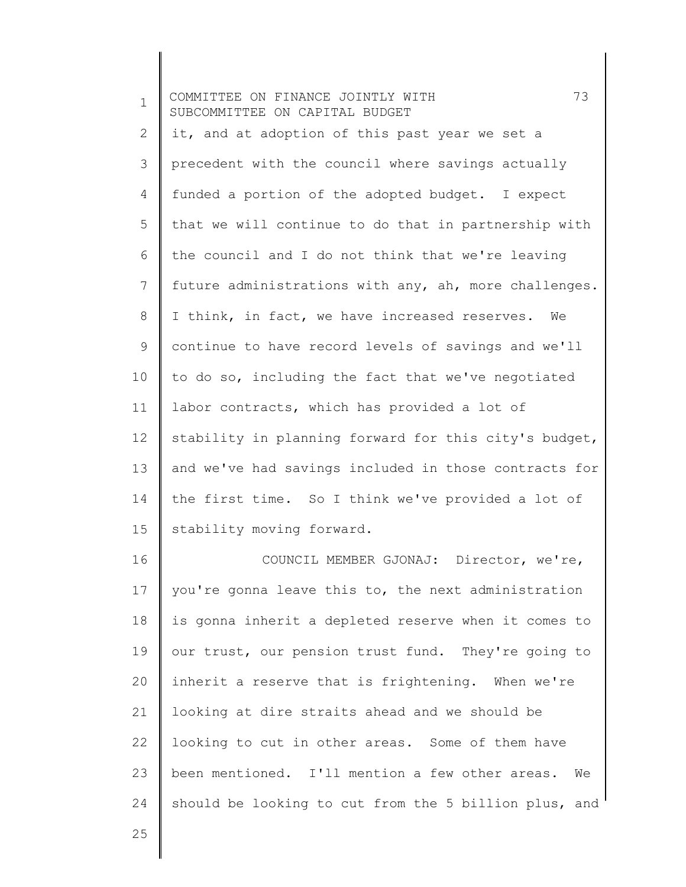| $\mathbf 1$    | 73<br>COMMITTEE ON FINANCE JOINTLY WITH<br>SUBCOMMITTEE ON CAPITAL BUDGET |
|----------------|---------------------------------------------------------------------------|
| $\overline{2}$ | it, and at adoption of this past year we set a                            |
| 3              | precedent with the council where savings actually                         |
| 4              | funded a portion of the adopted budget. I expect                          |
| 5              | that we will continue to do that in partnership with                      |
| 6              | the council and I do not think that we're leaving                         |
| 7              | future administrations with any, ah, more challenges.                     |
| 8              | I think, in fact, we have increased reserves. We                          |
| 9              | continue to have record levels of savings and we'll                       |
| 10             | to do so, including the fact that we've negotiated                        |
| 11             | labor contracts, which has provided a lot of                              |
| 12             | stability in planning forward for this city's budget,                     |
| 13             | and we've had savings included in those contracts for                     |
| 14             | the first time. So I think we've provided a lot of                        |
| 15             | stability moving forward.                                                 |
| 16             | COUNCIL MEMBER GJONAJ: Director, we're,                                   |
| 17             | you're gonna leave this to, the next administration                       |
| 18             | is gonna inherit a depleted reserve when it comes to                      |
| 19             | our trust, our pension trust fund. They're going to                       |
| 20             | inherit a reserve that is frightening. When we're                         |
| 21             | looking at dire straits ahead and we should be                            |
| 22             | looking to cut in other areas. Some of them have                          |
| 23             | been mentioned. I'll mention a few other areas.<br>We                     |
| 24             | should be looking to cut from the 5 billion plus, and                     |
| 25             |                                                                           |
|                |                                                                           |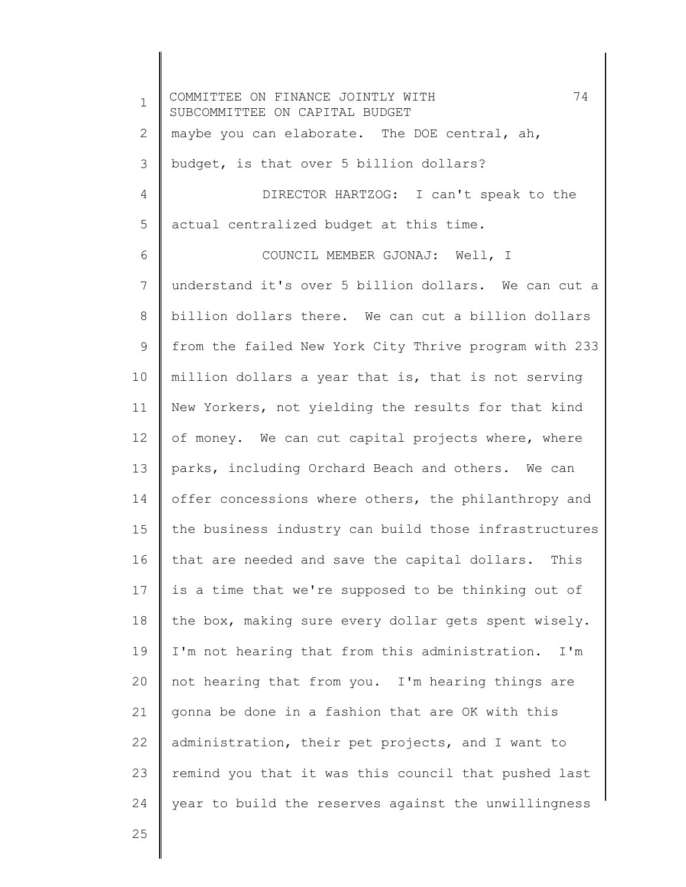1 2 3 4 5 6 7 8 9 10 11 12 13 14 15 16 17 18 19 20 21 22 23 24 COMMITTEE ON FINANCE JOINTLY WITH 74 SUBCOMMITTEE ON CAPITAL BUDGET maybe you can elaborate. The DOE central, ah, budget, is that over 5 billion dollars? DIRECTOR HARTZOG: I can't speak to the actual centralized budget at this time. COUNCIL MEMBER GJONAJ: Well, I understand it's over 5 billion dollars. We can cut a billion dollars there. We can cut a billion dollars from the failed New York City Thrive program with 233 million dollars a year that is, that is not serving New Yorkers, not yielding the results for that kind of money. We can cut capital projects where, where parks, including Orchard Beach and others. We can offer concessions where others, the philanthropy and the business industry can build those infrastructures that are needed and save the capital dollars. This is a time that we're supposed to be thinking out of the box, making sure every dollar gets spent wisely. I'm not hearing that from this administration. I'm not hearing that from you. I'm hearing things are gonna be done in a fashion that are OK with this administration, their pet projects, and I want to remind you that it was this council that pushed last year to build the reserves against the unwillingness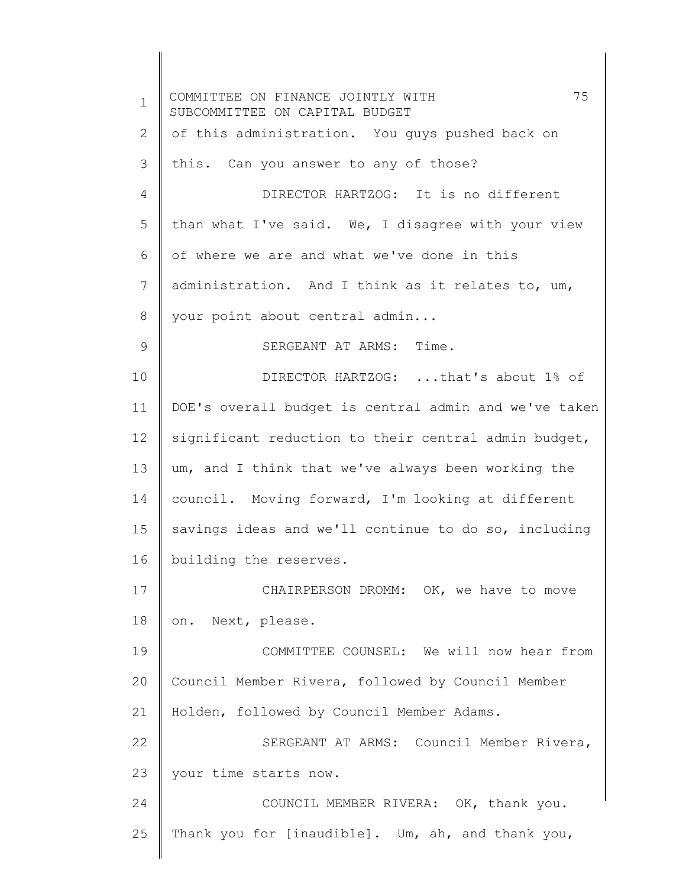1 2 3 4 5 6 7 8 9 10 11 12 13 14 15 16 17 18 19 20 21 22 23 24 25 COMMITTEE ON FINANCE JOINTLY WITH 75 SUBCOMMITTEE ON CAPITAL BUDGET of this administration. You guys pushed back on this. Can you answer to any of those? DIRECTOR HARTZOG: It is no different than what I've said. We, I disagree with your view of where we are and what we've done in this administration. And I think as it relates to, um, your point about central admin... SERGEANT AT ARMS: Time. DIRECTOR HARTZOG: ...that's about 1% of DOE's overall budget is central admin and we've taken significant reduction to their central admin budget, um, and I think that we've always been working the council. Moving forward, I'm looking at different savings ideas and we'll continue to do so, including building the reserves. CHAIRPERSON DROMM: OK, we have to move on. Next, please. COMMITTEE COUNSEL: We will now hear from Council Member Rivera, followed by Council Member Holden, followed by Council Member Adams. SERGEANT AT ARMS: Council Member Rivera, your time starts now. COUNCIL MEMBER RIVERA: OK, thank you. Thank you for [inaudible]. Um, ah, and thank you,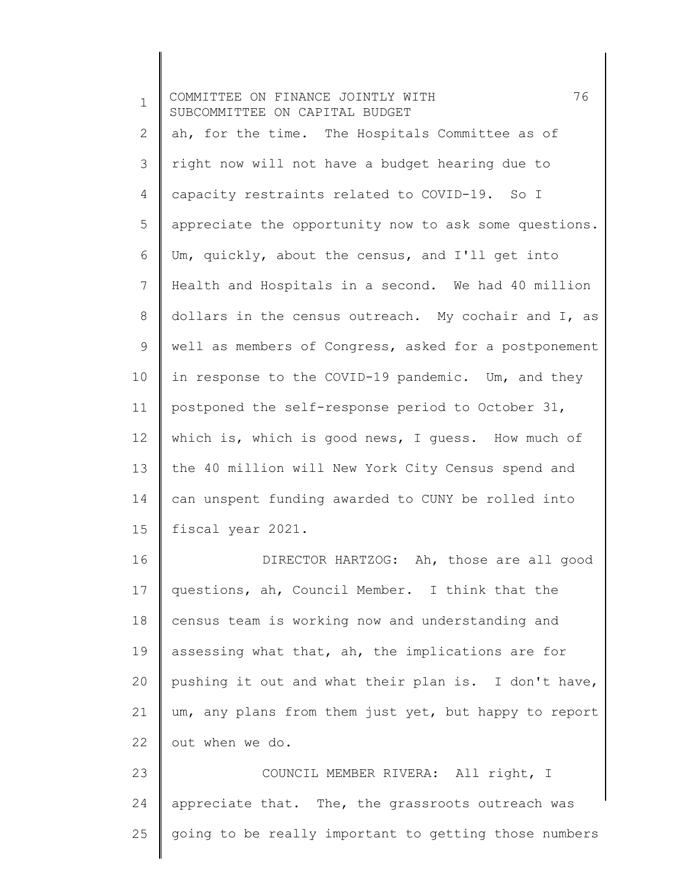| $\mathbf 1$    | 76<br>COMMITTEE ON FINANCE JOINTLY WITH<br>SUBCOMMITTEE ON CAPITAL BUDGET |
|----------------|---------------------------------------------------------------------------|
| 2              | ah, for the time. The Hospitals Committee as of                           |
| 3              | right now will not have a budget hearing due to                           |
| 4              | capacity restraints related to COVID-19. So I                             |
| 5              | appreciate the opportunity now to ask some questions.                     |
| 6              | Um, quickly, about the census, and I'll get into                          |
| $\overline{7}$ | Health and Hospitals in a second. We had 40 million                       |
| 8              | dollars in the census outreach. My cochair and I, as                      |
| 9              | well as members of Congress, asked for a postponement                     |
| 10             | in response to the COVID-19 pandemic. Um, and they                        |
| 11             | postponed the self-response period to October 31,                         |
| 12             | which is, which is good news, I guess. How much of                        |
| 13             | the 40 million will New York City Census spend and                        |
| 14             | can unspent funding awarded to CUNY be rolled into                        |
| 15             | fiscal year 2021.                                                         |
| 16             | DIRECTOR HARTZOG: Ah, those are all good                                  |
| 17             | questions, ah, Council Member. I think that the                           |
| 18             | census team is working now and understanding and                          |
| 19             | assessing what that, ah, the implications are for                         |
| 20             | pushing it out and what their plan is. I don't have,                      |
| 21             | um, any plans from them just yet, but happy to report                     |
| 22             | out when we do.                                                           |
| 23             | COUNCIL MEMBER RIVERA: All right, I                                       |
| 24             | appreciate that. The, the grassroots outreach was                         |
| 25             | going to be really important to getting those numbers                     |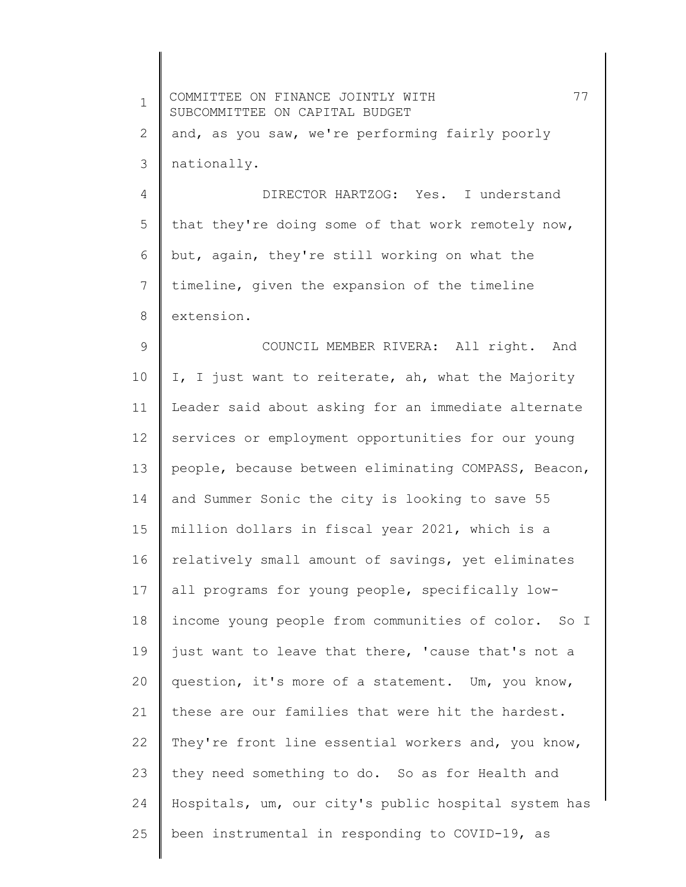| $\mathbf 1$  | 77<br>COMMITTEE ON FINANCE JOINTLY WITH<br>SUBCOMMITTEE ON CAPITAL BUDGET |
|--------------|---------------------------------------------------------------------------|
| $\mathbf{2}$ | and, as you saw, we're performing fairly poorly                           |
| 3            | nationally.                                                               |
| 4            | DIRECTOR HARTZOG: Yes. I understand                                       |
| 5            | that they're doing some of that work remotely now,                        |
| 6            | but, again, they're still working on what the                             |
| 7            | timeline, given the expansion of the timeline                             |
| 8            | extension.                                                                |
| 9            | COUNCIL MEMBER RIVERA: All right. And                                     |
| 10           | I, I just want to reiterate, ah, what the Majority                        |
| 11           | Leader said about asking for an immediate alternate                       |
| 12           | services or employment opportunities for our young                        |
| 13           | people, because between eliminating COMPASS, Beacon,                      |
| 14           | and Summer Sonic the city is looking to save 55                           |
| 15           | million dollars in fiscal year 2021, which is a                           |
| 16           | relatively small amount of savings, yet eliminates                        |
| 17           | all programs for young people, specifically low-                          |
| 18           | income young people from communities of color. So I                       |
| 19           | just want to leave that there, 'cause that's not a                        |
| 20           | question, it's more of a statement. Um, you know,                         |
| 21           | these are our families that were hit the hardest.                         |
| 22           | They're front line essential workers and, you know,                       |
| 23           | they need something to do. So as for Health and                           |
| 24           | Hospitals, um, our city's public hospital system has                      |
| 25           | been instrumental in responding to COVID-19, as                           |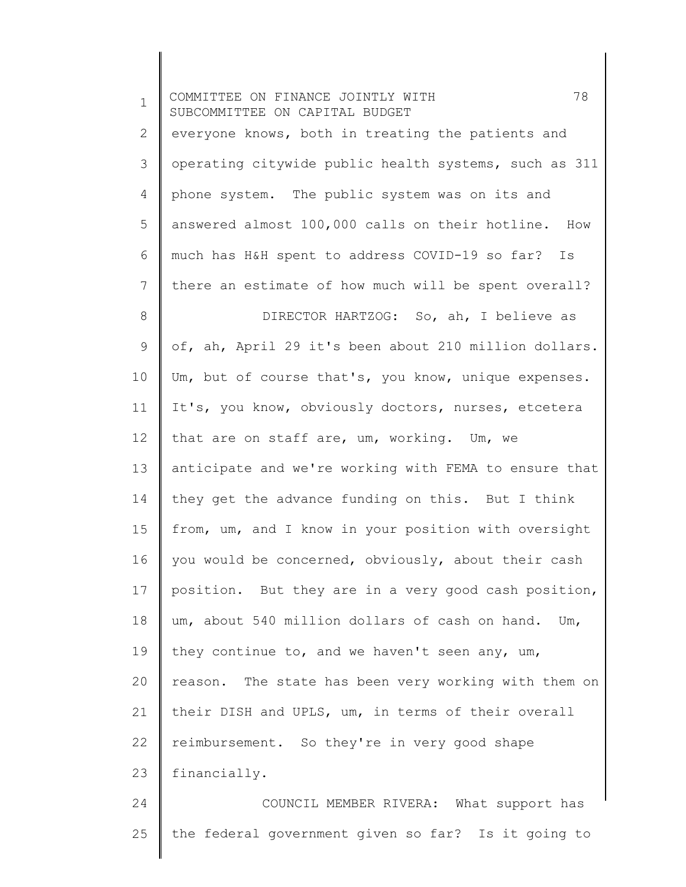| $\mathbf 1$    | 78<br>COMMITTEE ON FINANCE JOINTLY WITH<br>SUBCOMMITTEE ON CAPITAL BUDGET |
|----------------|---------------------------------------------------------------------------|
| 2              | everyone knows, both in treating the patients and                         |
| 3              | operating citywide public health systems, such as 311                     |
| $\overline{4}$ | phone system. The public system was on its and                            |
| 5              | answered almost 100,000 calls on their hotline. How                       |
| 6              | much has H&H spent to address COVID-19 so far? Is                         |
| 7              | there an estimate of how much will be spent overall?                      |
| 8              | DIRECTOR HARTZOG: So, ah, I believe as                                    |
| 9              | of, ah, April 29 it's been about 210 million dollars.                     |
| 10             | Um, but of course that's, you know, unique expenses.                      |
| 11             | It's, you know, obviously doctors, nurses, etcetera                       |
| 12             | that are on staff are, um, working. Um, we                                |
| 13             | anticipate and we're working with FEMA to ensure that                     |
| 14             | they get the advance funding on this. But I think                         |
| 15             | from, um, and I know in your position with oversight                      |
| 16             | you would be concerned, obviously, about their cash                       |
| 17             | position. But they are in a very good cash position,                      |
| 18             | um, about 540 million dollars of cash on hand. Um,                        |
| 19             | they continue to, and we haven't seen any, um,                            |
| 20             | reason. The state has been very working with them on                      |
| 21             | their DISH and UPLS, um, in terms of their overall                        |
| 22             | reimbursement. So they're in very good shape                              |
| 23             | financially.                                                              |
| 24             | COUNCIL MEMBER RIVERA: What support has                                   |
| 25             | the federal government given so far? Is it going to                       |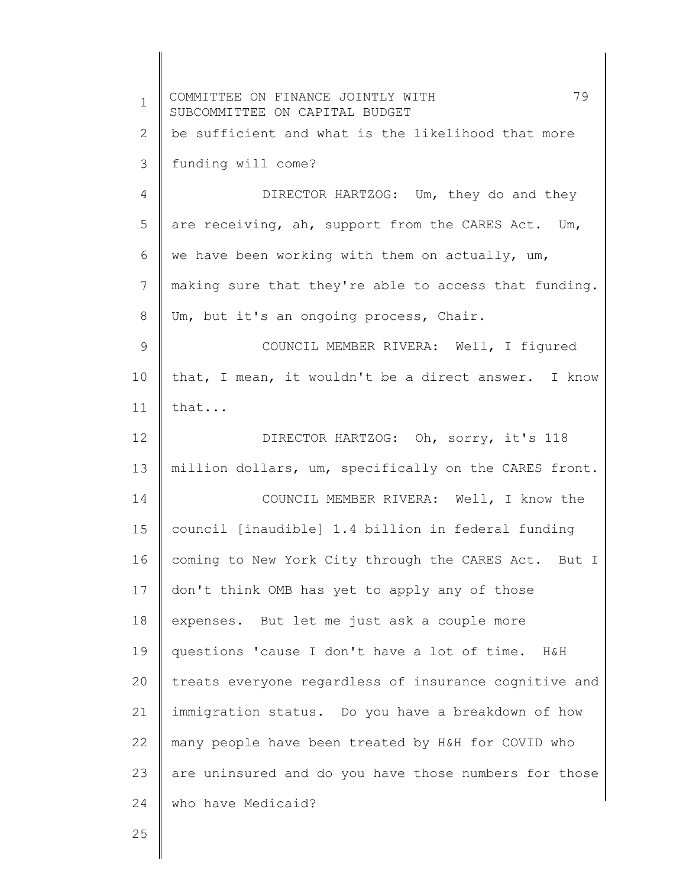| $\mathbf 1$    | 79<br>COMMITTEE ON FINANCE JOINTLY WITH<br>SUBCOMMITTEE ON CAPITAL BUDGET |
|----------------|---------------------------------------------------------------------------|
| 2              | be sufficient and what is the likelihood that more                        |
| 3              | funding will come?                                                        |
| 4              | DIRECTOR HARTZOG: Um, they do and they                                    |
| 5              | are receiving, ah, support from the CARES Act. Um,                        |
| 6              | we have been working with them on actually, um,                           |
| $\overline{7}$ | making sure that they're able to access that funding.                     |
| 8              | Um, but it's an ongoing process, Chair.                                   |
| $\mathsf 9$    | COUNCIL MEMBER RIVERA: Well, I fiqured                                    |
| 10             | that, I mean, it wouldn't be a direct answer. I know                      |
| 11             | that                                                                      |
| 12             | DIRECTOR HARTZOG: Oh, sorry, it's 118                                     |
| 13             | million dollars, um, specifically on the CARES front.                     |
| 14             | COUNCIL MEMBER RIVERA: Well, I know the                                   |
| 15             | council [inaudible] 1.4 billion in federal funding                        |
| 16             | coming to New York City through the CARES Act. But I                      |
| 17             | don't think OMB has yet to apply any of those                             |
| 18             | expenses. But let me just ask a couple more                               |
| 19             | questions 'cause I don't have a lot of time. H&H                          |
| 20             | treats everyone regardless of insurance cognitive and                     |
| 21             | immigration status. Do you have a breakdown of how                        |
| 22             | many people have been treated by H&H for COVID who                        |
| 23             | are uninsured and do you have those numbers for those                     |
| 24             | who have Medicaid?                                                        |
| 25             |                                                                           |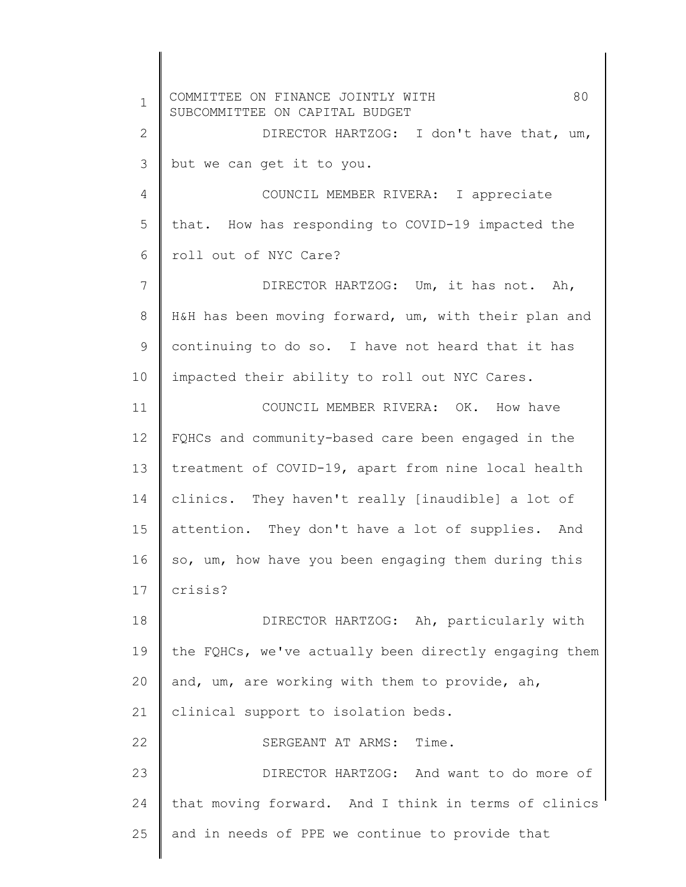1 2 3 4 5 6 7 8 9 10 11 12 13 14 15 16 17 18 19 20 21 22 23 24 25 COMMITTEE ON FINANCE JOINTLY WITH 80 SUBCOMMITTEE ON CAPITAL BUDGET DIRECTOR HARTZOG: I don't have that, um, but we can get it to you. COUNCIL MEMBER RIVERA: I appreciate that. How has responding to COVID-19 impacted the roll out of NYC Care? DIRECTOR HARTZOG: Um, it has not. Ah, H&H has been moving forward, um, with their plan and continuing to do so. I have not heard that it has impacted their ability to roll out NYC Cares. COUNCIL MEMBER RIVERA: OK. How have FQHCs and community-based care been engaged in the treatment of COVID-19, apart from nine local health clinics. They haven't really [inaudible] a lot of attention. They don't have a lot of supplies. And so, um, how have you been engaging them during this crisis? DIRECTOR HARTZOG: Ah, particularly with the FQHCs, we've actually been directly engaging them and, um, are working with them to provide, ah, clinical support to isolation beds. SERGEANT AT ARMS: Time. DIRECTOR HARTZOG: And want to do more of that moving forward. And I think in terms of clinics and in needs of PPE we continue to provide that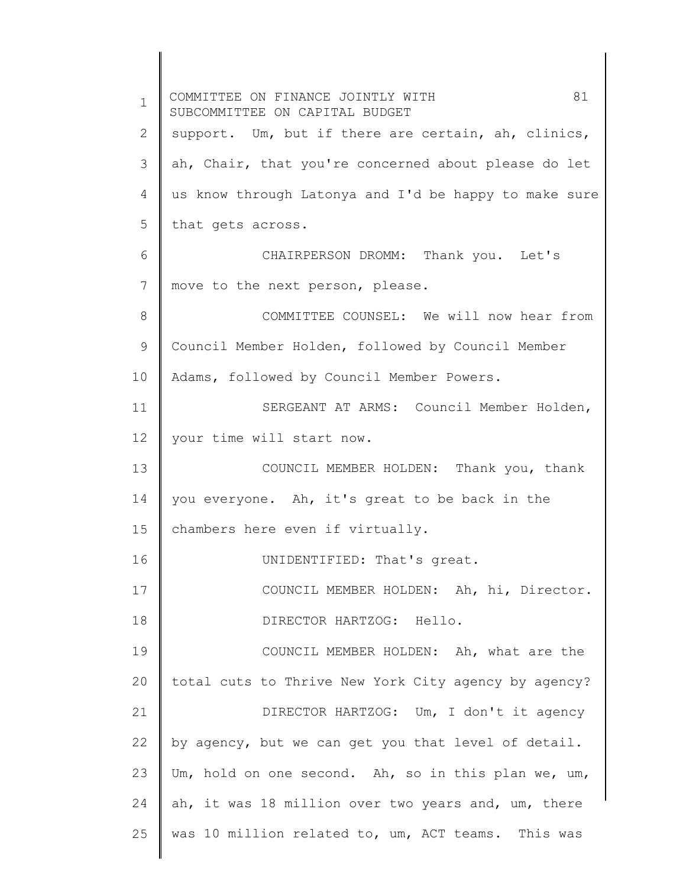1 2 3 4 5 6 7 8 9 10 11 12 13 14 15 16 17 18 19 20 21 22 23 24 25 COMMITTEE ON FINANCE JOINTLY WITH  $81$ SUBCOMMITTEE ON CAPITAL BUDGET support. Um, but if there are certain, ah, clinics, ah, Chair, that you're concerned about please do let us know through Latonya and I'd be happy to make sure that gets across. CHAIRPERSON DROMM: Thank you. Let's move to the next person, please. COMMITTEE COUNSEL: We will now hear from Council Member Holden, followed by Council Member Adams, followed by Council Member Powers. SERGEANT AT ARMS: Council Member Holden, your time will start now. COUNCIL MEMBER HOLDEN: Thank you, thank you everyone. Ah, it's great to be back in the chambers here even if virtually. UNIDENTIFIED: That's great. COUNCIL MEMBER HOLDEN: Ah, hi, Director. DIRECTOR HARTZOG: Hello. COUNCIL MEMBER HOLDEN: Ah, what are the total cuts to Thrive New York City agency by agency? DIRECTOR HARTZOG: Um, I don't it agency by agency, but we can get you that level of detail. Um, hold on one second. Ah, so in this plan we, um, ah, it was 18 million over two years and, um, there was 10 million related to, um, ACT teams. This was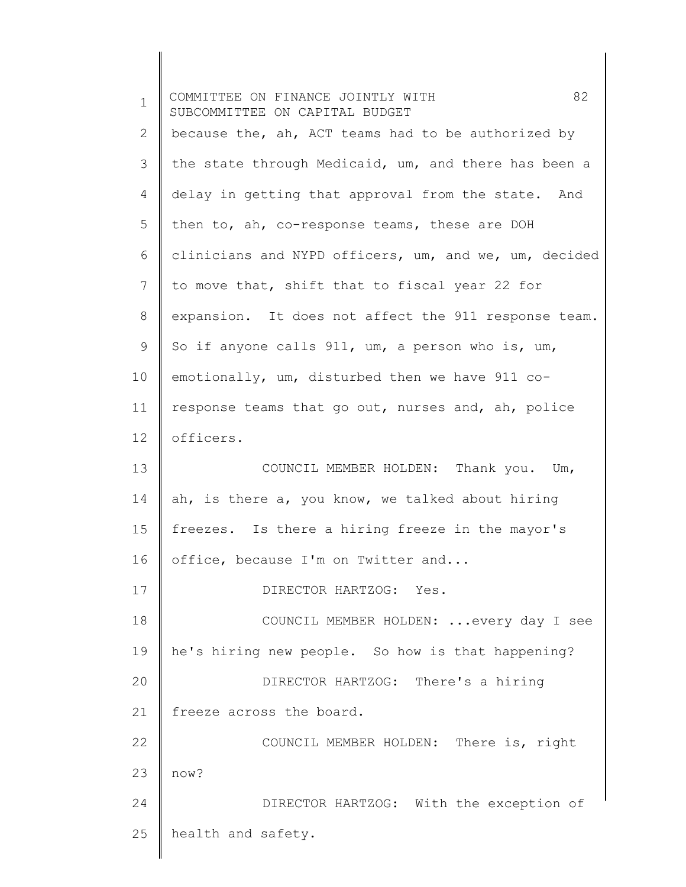| $\mathbf 1$ | 82<br>COMMITTEE ON FINANCE JOINTLY WITH<br>SUBCOMMITTEE ON CAPITAL BUDGET |
|-------------|---------------------------------------------------------------------------|
| 2           | because the, ah, ACT teams had to be authorized by                        |
| 3           | the state through Medicaid, um, and there has been a                      |
| 4           | delay in getting that approval from the state. And                        |
| 5           | then to, ah, co-response teams, these are DOH                             |
| 6           | clinicians and NYPD officers, um, and we, um, decided                     |
| 7           | to move that, shift that to fiscal year 22 for                            |
| 8           | expansion. It does not affect the 911 response team.                      |
| 9           | So if anyone calls 911, um, a person who is, um,                          |
| 10          | emotionally, um, disturbed then we have 911 co-                           |
| 11          | response teams that go out, nurses and, ah, police                        |
| 12          | officers.                                                                 |
| 13          | COUNCIL MEMBER HOLDEN: Thank you. Um,                                     |
| 14          | ah, is there a, you know, we talked about hiring                          |
| 15          | freezes. Is there a hiring freeze in the mayor's                          |
| 16          | office, because I'm on Twitter and                                        |
| 17          | DIRECTOR HARTZOG: Yes.                                                    |
| 18          | COUNCIL MEMBER HOLDEN:  every day I see                                   |
| 19          | he's hiring new people. So how is that happening?                         |
| 20          | DIRECTOR HARTZOG: There's a hiring                                        |
| 21          | freeze across the board.                                                  |
| 22          | COUNCIL MEMBER HOLDEN: There is, right                                    |
| 23          | now?                                                                      |
| 24          | DIRECTOR HARTZOG: With the exception of                                   |
| 25          | health and safety.                                                        |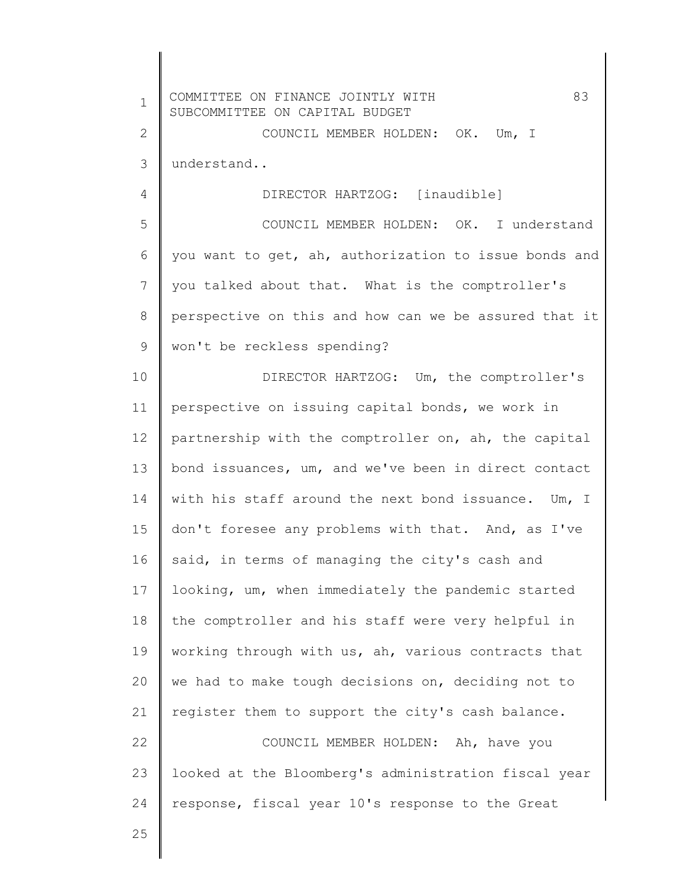| $\mathbf 1$  | 83<br>COMMITTEE ON FINANCE JOINTLY WITH<br>SUBCOMMITTEE ON CAPITAL BUDGET |
|--------------|---------------------------------------------------------------------------|
| $\mathbf{2}$ | COUNCIL MEMBER HOLDEN: OK. Um, I                                          |
| 3            | understand                                                                |
| 4            | DIRECTOR HARTZOG: [inaudible]                                             |
| 5            | COUNCIL MEMBER HOLDEN: OK. I understand                                   |
| 6            | you want to get, ah, authorization to issue bonds and                     |
| 7            | you talked about that. What is the comptroller's                          |
| $8\,$        | perspective on this and how can we be assured that it                     |
| 9            | won't be reckless spending?                                               |
| 10           | DIRECTOR HARTZOG: Um, the comptroller's                                   |
| 11           | perspective on issuing capital bonds, we work in                          |
| 12           | partnership with the comptroller on, ah, the capital                      |
| 13           | bond issuances, um, and we've been in direct contact                      |
| 14           | with his staff around the next bond issuance. Um, I                       |
| 15           | don't foresee any problems with that. And, as I've                        |
| 16           | said, in terms of managing the city's cash and                            |
| 17           | looking, um, when immediately the pandemic started                        |
| 18           | the comptroller and his staff were very helpful in                        |
| 19           | working through with us, ah, various contracts that                       |
| 20           | we had to make tough decisions on, deciding not to                        |
| 21           | register them to support the city's cash balance.                         |
| 22           | COUNCIL MEMBER HOLDEN: Ah, have you                                       |
| 23           | looked at the Bloomberg's administration fiscal year                      |
| 24           | response, fiscal year 10's response to the Great                          |
| クら           |                                                                           |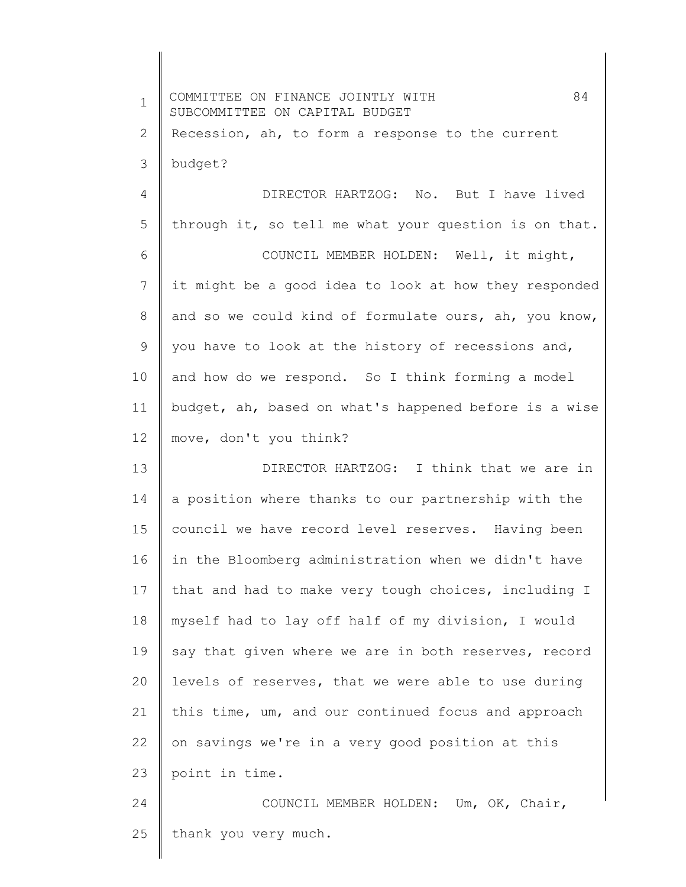1 2 3 4 5 6 7 8 9 10 11 12 13 14 15 16 17 18 19 20 21 22 23 24 25 COMMITTEE ON FINANCE JOINTLY WITH  $84$ SUBCOMMITTEE ON CAPITAL BUDGET Recession, ah, to form a response to the current budget? DIRECTOR HARTZOG: No. But I have lived through it, so tell me what your question is on that. COUNCIL MEMBER HOLDEN: Well, it might, it might be a good idea to look at how they responded and so we could kind of formulate ours, ah, you know, you have to look at the history of recessions and, and how do we respond. So I think forming a model budget, ah, based on what's happened before is a wise move, don't you think? DIRECTOR HARTZOG: I think that we are in a position where thanks to our partnership with the council we have record level reserves. Having been in the Bloomberg administration when we didn't have that and had to make very tough choices, including I myself had to lay off half of my division, I would say that given where we are in both reserves, record levels of reserves, that we were able to use during this time, um, and our continued focus and approach on savings we're in a very good position at this point in time. COUNCIL MEMBER HOLDEN: Um, OK, Chair, thank you very much.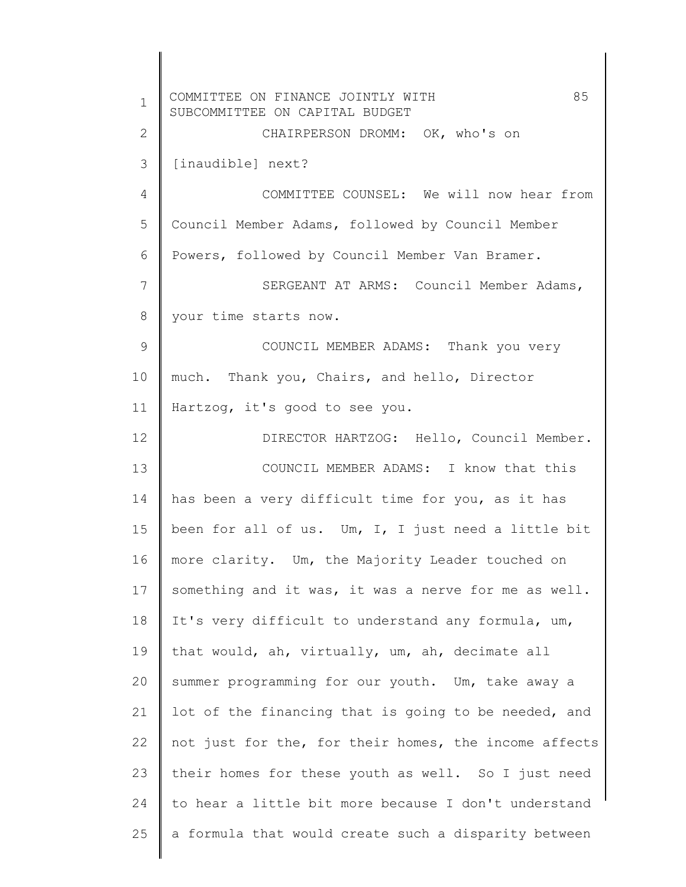| $\mathbf 1$  | 85<br>COMMITTEE ON FINANCE JOINTLY WITH<br>SUBCOMMITTEE ON CAPITAL BUDGET |
|--------------|---------------------------------------------------------------------------|
| $\mathbf{2}$ | CHAIRPERSON DROMM: OK, who's on                                           |
| 3            | [inaudible] next?                                                         |
| 4            | COMMITTEE COUNSEL: We will now hear from                                  |
| 5            | Council Member Adams, followed by Council Member                          |
| 6            | Powers, followed by Council Member Van Bramer.                            |
| 7            | SERGEANT AT ARMS: Council Member Adams,                                   |
| 8            | your time starts now.                                                     |
| 9            | COUNCIL MEMBER ADAMS: Thank you very                                      |
| 10           | much. Thank you, Chairs, and hello, Director                              |
| 11           | Hartzog, it's good to see you.                                            |
| 12           | DIRECTOR HARTZOG: Hello, Council Member.                                  |
| 13           | COUNCIL MEMBER ADAMS: I know that this                                    |
| 14           | has been a very difficult time for you, as it has                         |
| 15           | been for all of us. Um, I, I just need a little bit                       |
| 16           | more clarity. Um, the Majority Leader touched on                          |
| 17           | something and it was, it was a nerve for me as well.                      |
| 18           | It's very difficult to understand any formula, um,                        |
| 19           | that would, ah, virtually, um, ah, decimate all                           |
| 20           | summer programming for our youth. Um, take away a                         |
| 21           | lot of the financing that is going to be needed, and                      |
| 22           | not just for the, for their homes, the income affects                     |
| 23           | their homes for these youth as well. So I just need                       |
| 24           | to hear a little bit more because I don't understand                      |
| 25           | a formula that would create such a disparity between                      |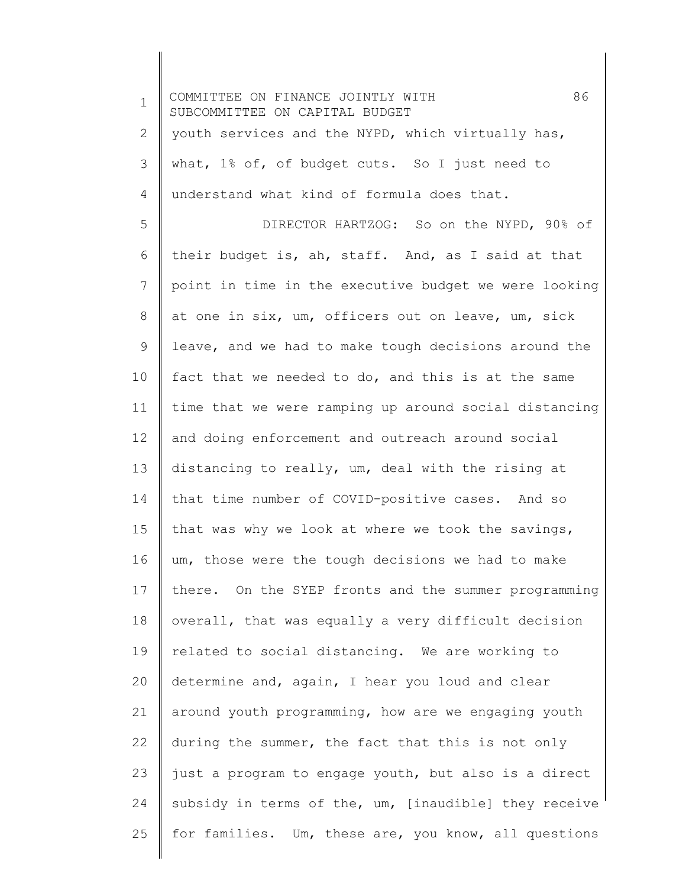| $\mathbf 1$ | 86<br>COMMITTEE ON FINANCE JOINTLY WITH<br>SUBCOMMITTEE ON CAPITAL BUDGET |
|-------------|---------------------------------------------------------------------------|
| 2           | youth services and the NYPD, which virtually has,                         |
| 3           | what, 1% of, of budget cuts. So I just need to                            |
| 4           | understand what kind of formula does that.                                |
| 5           | DIRECTOR HARTZOG: So on the NYPD, 90% of                                  |
| 6           | their budget is, ah, staff. And, as I said at that                        |
| 7           | point in time in the executive budget we were looking                     |
| 8           | at one in six, um, officers out on leave, um, sick                        |
| 9           | leave, and we had to make tough decisions around the                      |
| 10          | fact that we needed to do, and this is at the same                        |
| 11          | time that we were ramping up around social distancing                     |
| 12          | and doing enforcement and outreach around social                          |
| 13          | distancing to really, um, deal with the rising at                         |
| 14          | that time number of COVID-positive cases. And so                          |
| 15          | that was why we look at where we took the savings,                        |
| 16          | um, those were the tough decisions we had to make                         |
| 17          | there. On the SYEP fronts and the summer programming                      |
| 18          | overall, that was equally a very difficult decision                       |
| 19          | related to social distancing. We are working to                           |
| 20          | determine and, again, I hear you loud and clear                           |
| 21          | around youth programming, how are we engaging youth                       |
| 22          | during the summer, the fact that this is not only                         |
| 23          | just a program to engage youth, but also is a direct                      |
| 24          | subsidy in terms of the, um, [inaudible] they receive                     |
| 25          | for families. Um, these are, you know, all questions                      |
|             |                                                                           |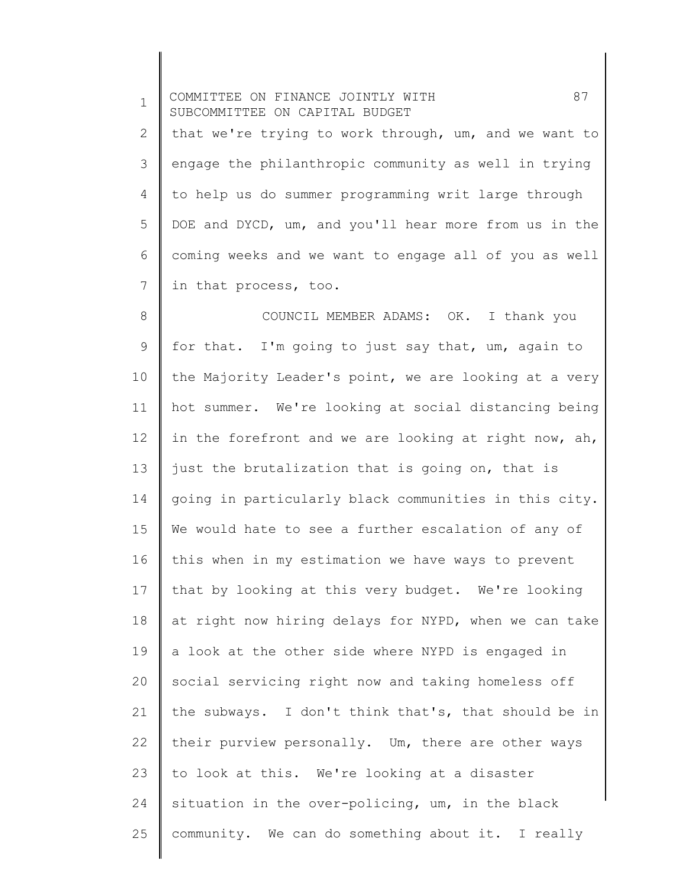1 2 3 4 5 6 7 8 9 10 11 12 13 14 15 16 17 18 19 20 21 22 23 24 25 COMMITTEE ON FINANCE JOINTLY WITH 87 SUBCOMMITTEE ON CAPITAL BUDGET that we're trying to work through, um, and we want to engage the philanthropic community as well in trying to help us do summer programming writ large through DOE and DYCD, um, and you'll hear more from us in the coming weeks and we want to engage all of you as well in that process, too. COUNCIL MEMBER ADAMS: OK. I thank you for that. I'm going to just say that, um, again to the Majority Leader's point, we are looking at a very hot summer. We're looking at social distancing being in the forefront and we are looking at right now, ah, just the brutalization that is going on, that is going in particularly black communities in this city. We would hate to see a further escalation of any of this when in my estimation we have ways to prevent that by looking at this very budget. We're looking at right now hiring delays for NYPD, when we can take a look at the other side where NYPD is engaged in social servicing right now and taking homeless off the subways. I don't think that's, that should be in their purview personally. Um, there are other ways to look at this. We're looking at a disaster situation in the over-policing, um, in the black community. We can do something about it. I really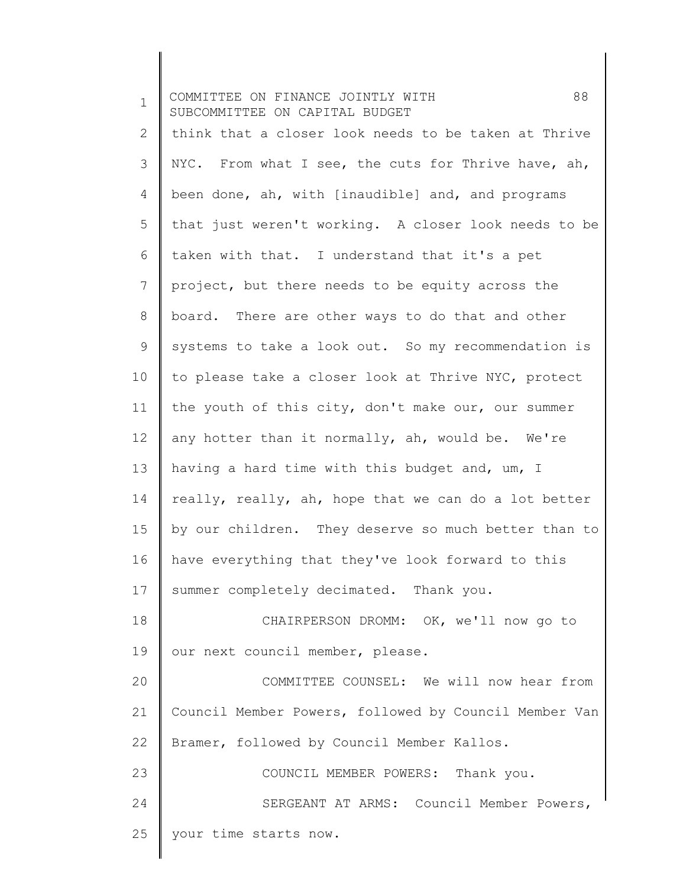| $\mathbf 1$     | 88<br>COMMITTEE ON FINANCE JOINTLY WITH<br>SUBCOMMITTEE ON CAPITAL BUDGET |
|-----------------|---------------------------------------------------------------------------|
| 2               | think that a closer look needs to be taken at Thrive                      |
| 3               | NYC. From what I see, the cuts for Thrive have, ah,                       |
| 4               | been done, ah, with [inaudible] and, and programs                         |
| 5               | that just weren't working. A closer look needs to be                      |
| 6               | taken with that. I understand that it's a pet                             |
| 7               | project, but there needs to be equity across the                          |
| $8\,$           | board. There are other ways to do that and other                          |
| 9               | systems to take a look out. So my recommendation is                       |
| 10 <sub>o</sub> | to please take a closer look at Thrive NYC, protect                       |
| 11              | the youth of this city, don't make our, our summer                        |
| 12              | any hotter than it normally, ah, would be. We're                          |
| 13              | having a hard time with this budget and, um, I                            |
| 14              | really, really, ah, hope that we can do a lot better                      |
| 15              | by our children. They deserve so much better than to                      |
| 16              | have everything that they've look forward to this                         |
| 17              | summer completely decimated. Thank you.                                   |
| 18              | CHAIRPERSON DROMM: OK, we'll now go to                                    |
| 19              | our next council member, please.                                          |
| 20              | COMMITTEE COUNSEL: We will now hear from                                  |
| 21              | Council Member Powers, followed by Council Member Van                     |
| 22              | Bramer, followed by Council Member Kallos.                                |
| 23              | COUNCIL MEMBER POWERS: Thank you.                                         |
| 24              | SERGEANT AT ARMS: Council Member Powers,                                  |
| 25              | your time starts now.                                                     |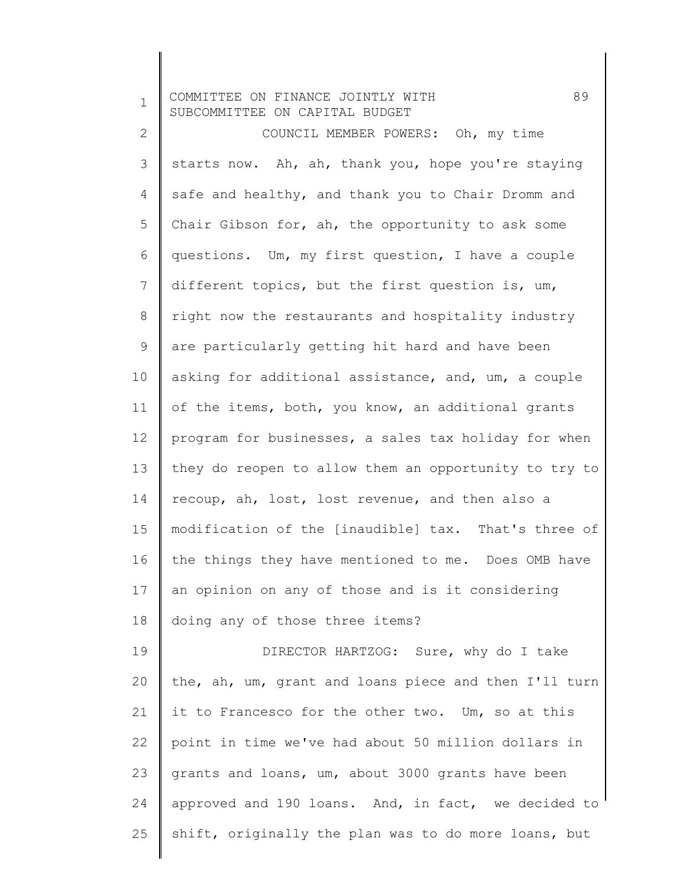1 COMMITTEE ON FINANCE JOINTLY WITH 89 SUBCOMMITTEE ON CAPITAL BUDGET

2 3 4 5 6 7 8 9 10 11 12 13 14 15 16 17 18 COUNCIL MEMBER POWERS: Oh, my time starts now. Ah, ah, thank you, hope you're staying safe and healthy, and thank you to Chair Dromm and Chair Gibson for, ah, the opportunity to ask some questions. Um, my first question, I have a couple different topics, but the first question is, um, right now the restaurants and hospitality industry are particularly getting hit hard and have been asking for additional assistance, and, um, a couple of the items, both, you know, an additional grants program for businesses, a sales tax holiday for when they do reopen to allow them an opportunity to try to recoup, ah, lost, lost revenue, and then also a modification of the [inaudible] tax. That's three of the things they have mentioned to me. Does OMB have an opinion on any of those and is it considering doing any of those three items?

19 20 21 22 23 24 25 DIRECTOR HARTZOG: Sure, why do I take the, ah, um, grant and loans piece and then I'll turn it to Francesco for the other two. Um, so at this point in time we've had about 50 million dollars in grants and loans, um, about 3000 grants have been approved and 190 loans. And, in fact, we decided to shift, originally the plan was to do more loans, but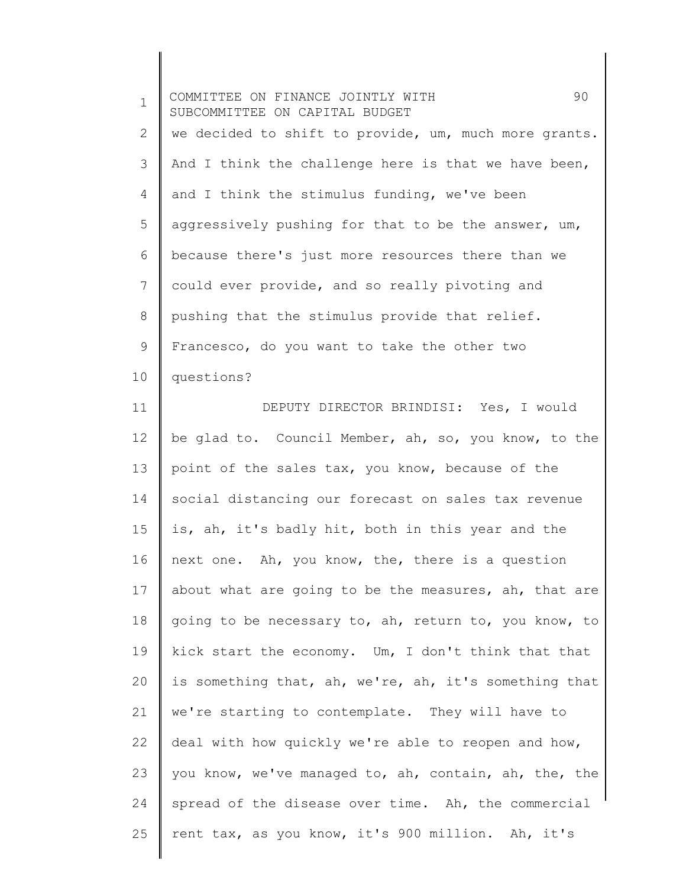| $\mathbf 1$ | 90<br>COMMITTEE ON FINANCE JOINTLY WITH<br>SUBCOMMITTEE ON CAPITAL BUDGET |
|-------------|---------------------------------------------------------------------------|
| 2           | we decided to shift to provide, um, much more grants.                     |
| 3           | And I think the challenge here is that we have been,                      |
| 4           | and I think the stimulus funding, we've been                              |
| 5           | aggressively pushing for that to be the answer, um,                       |
| 6           | because there's just more resources there than we                         |
| 7           | could ever provide, and so really pivoting and                            |
| 8           | pushing that the stimulus provide that relief.                            |
| 9           | Francesco, do you want to take the other two                              |
| 10          | questions?                                                                |
| 11          | DEPUTY DIRECTOR BRINDISI: Yes, I would                                    |
| 12          | be glad to. Council Member, ah, so, you know, to the                      |
| 13          | point of the sales tax, you know, because of the                          |
| 14          | social distancing our forecast on sales tax revenue                       |
| 15          | is, ah, it's badly hit, both in this year and the                         |
| 16          | next one. Ah, you know, the, there is a question                          |
| 17          | about what are going to be the measures, ah, that are                     |
| 18          | going to be necessary to, ah, return to, you know, to                     |
| 19          | kick start the economy. Um, I don't think that that                       |
| 20          | is something that, ah, we're, ah, it's something that                     |
| 21          | we're starting to contemplate. They will have to                          |
| 22          | deal with how quickly we're able to reopen and how,                       |
| 23          | you know, we've managed to, ah, contain, ah, the, the                     |
| 24          | spread of the disease over time. Ah, the commercial                       |
| 25          | rent tax, as you know, it's 900 million. Ah, it's                         |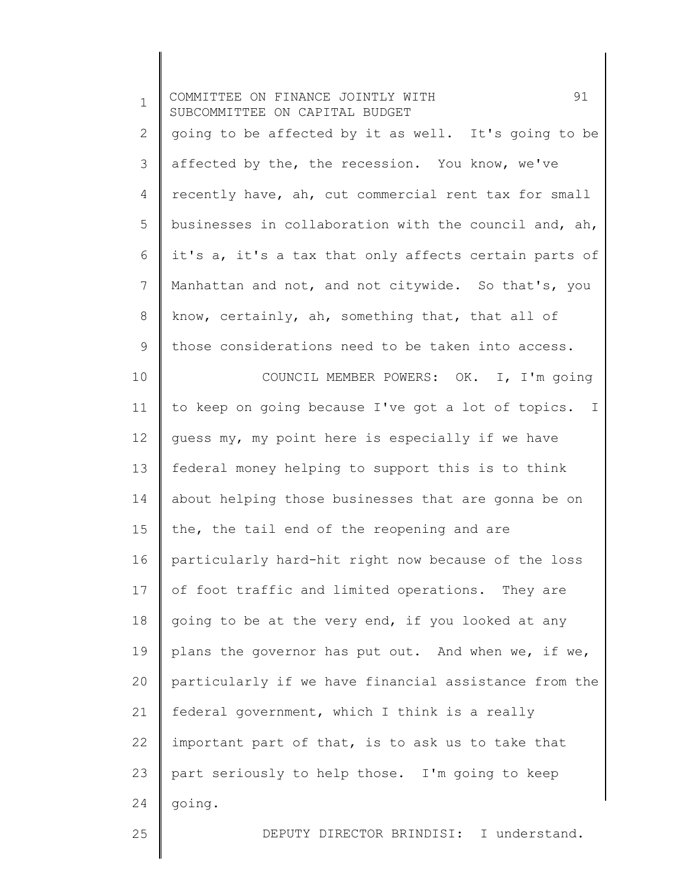| $\mathbf 1$  | 91<br>COMMITTEE ON FINANCE JOINTLY WITH<br>SUBCOMMITTEE ON CAPITAL BUDGET |
|--------------|---------------------------------------------------------------------------|
| $\mathbf{2}$ | going to be affected by it as well. It's going to be                      |
| 3            | affected by the, the recession. You know, we've                           |
| 4            | recently have, ah, cut commercial rent tax for small                      |
| 5            | businesses in collaboration with the council and, ah,                     |
| 6            | it's a, it's a tax that only affects certain parts of                     |
| 7            | Manhattan and not, and not citywide. So that's, you                       |
| $8\,$        | know, certainly, ah, something that, that all of                          |
| 9            | those considerations need to be taken into access.                        |
| 10           | COUNCIL MEMBER POWERS: OK. I, I'm going                                   |
| 11           | to keep on going because I've got a lot of topics. I                      |
| 12           | guess my, my point here is especially if we have                          |
| 13           | federal money helping to support this is to think                         |
| 14           | about helping those businesses that are gonna be on                       |
| 15           | the, the tail end of the reopening and are                                |
| 16           | particularly hard-hit right now because of the loss                       |
| 17           | of foot traffic and limited operations. They are                          |
| 18           | going to be at the very end, if you looked at any                         |
| 19           | plans the governor has put out. And when we, if we,                       |
| 20           | particularly if we have financial assistance from the                     |
| 21           | federal government, which I think is a really                             |
| 22           | important part of that, is to ask us to take that                         |
| 23           | part seriously to help those. I'm going to keep                           |
| 24           | going.                                                                    |
| 25           | DEPUTY DIRECTOR BRINDISI: I understand.                                   |
|              |                                                                           |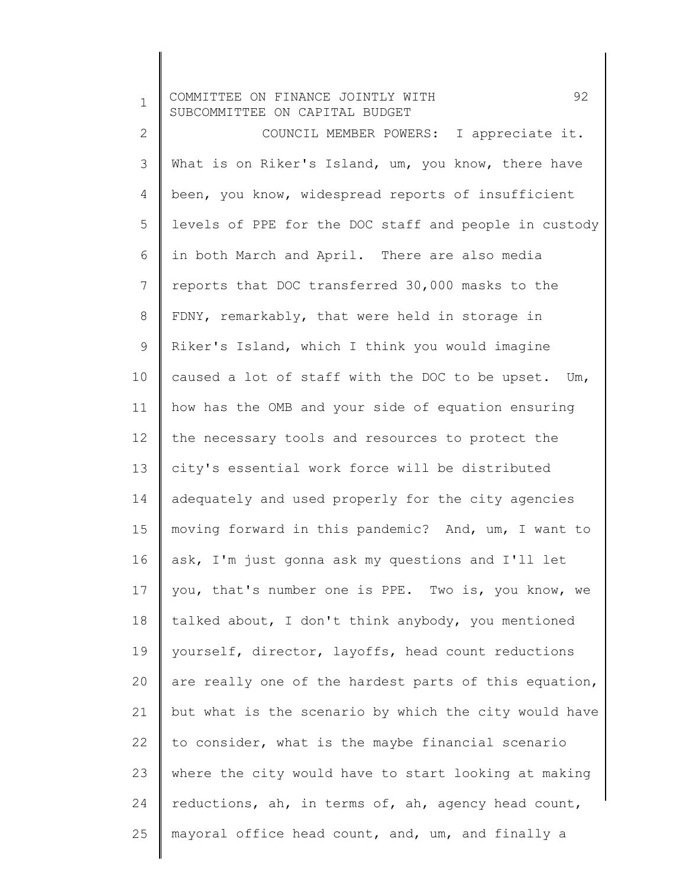1 COMMITTEE ON FINANCE JOINTLY WITH 92 SUBCOMMITTEE ON CAPITAL BUDGET

2 3 4 5 6 7 8 9 10 11 12 13 14 15 16 17 18 19 20 21 22 23 24 25 COUNCIL MEMBER POWERS: I appreciate it. What is on Riker's Island, um, you know, there have been, you know, widespread reports of insufficient levels of PPE for the DOC staff and people in custody in both March and April. There are also media reports that DOC transferred 30,000 masks to the FDNY, remarkably, that were held in storage in Riker's Island, which I think you would imagine caused a lot of staff with the DOC to be upset. Um, how has the OMB and your side of equation ensuring the necessary tools and resources to protect the city's essential work force will be distributed adequately and used properly for the city agencies moving forward in this pandemic? And, um, I want to ask, I'm just gonna ask my questions and I'll let you, that's number one is PPE. Two is, you know, we talked about, I don't think anybody, you mentioned yourself, director, layoffs, head count reductions are really one of the hardest parts of this equation, but what is the scenario by which the city would have to consider, what is the maybe financial scenario where the city would have to start looking at making reductions, ah, in terms of, ah, agency head count, mayoral office head count, and, um, and finally a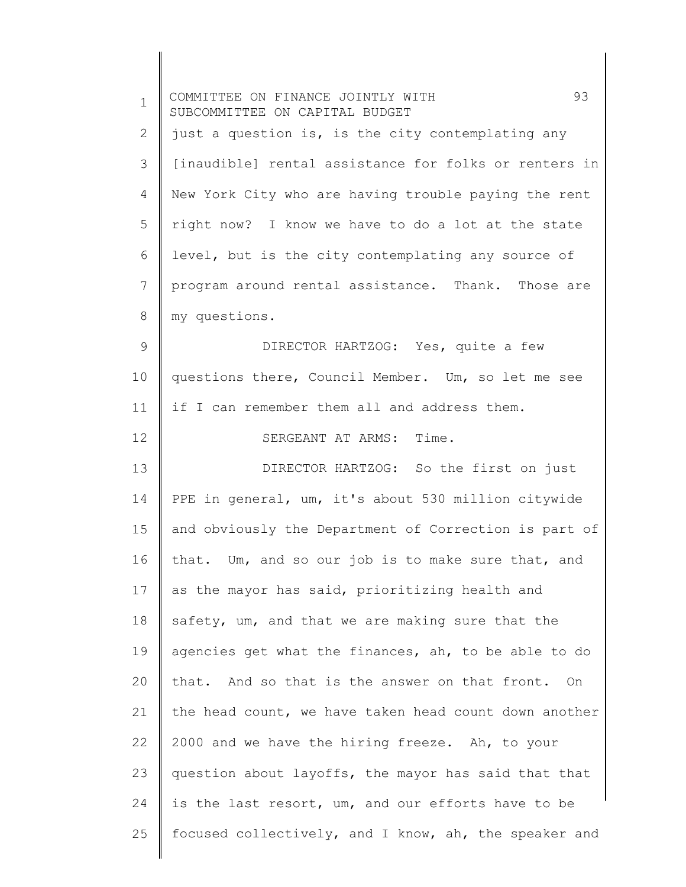| $\mathbf 1$ | 93<br>COMMITTEE ON FINANCE JOINTLY WITH<br>SUBCOMMITTEE ON CAPITAL BUDGET |
|-------------|---------------------------------------------------------------------------|
| 2           | just a question is, is the city contemplating any                         |
| 3           | [inaudible] rental assistance for folks or renters in                     |
| 4           | New York City who are having trouble paying the rent                      |
| 5           | right now? I know we have to do a lot at the state                        |
| 6           | level, but is the city contemplating any source of                        |
| 7           | program around rental assistance. Thank. Those are                        |
| 8           | my questions.                                                             |
| 9           | DIRECTOR HARTZOG: Yes, quite a few                                        |
| 10          | questions there, Council Member. Um, so let me see                        |
| 11          | if I can remember them all and address them.                              |
| 12          | SERGEANT AT ARMS: Time.                                                   |
| 13          | DIRECTOR HARTZOG: So the first on just                                    |
| 14          | PPE in general, um, it's about 530 million citywide                       |
| 15          | and obviously the Department of Correction is part of                     |
| 16          | that. Um, and so our job is to make sure that, and                        |
| 17          | as the mayor has said, prioritizing health and                            |
| 18          | safety, um, and that we are making sure that the                          |
| 19          | agencies get what the finances, ah, to be able to do                      |
| 20          | that. And so that is the answer on that front. On                         |
| 21          | the head count, we have taken head count down another                     |
| 22          | 2000 and we have the hiring freeze. Ah, to your                           |
| 23          | question about layoffs, the mayor has said that that                      |
| 24          | is the last resort, um, and our efforts have to be                        |
| 25          | focused collectively, and I know, ah, the speaker and                     |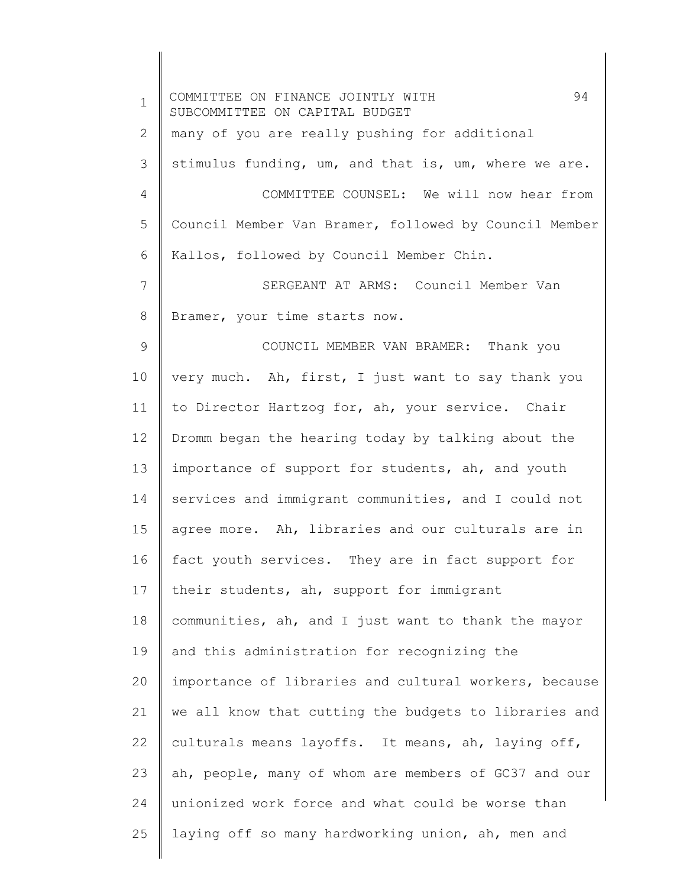| $\mathbf 1$ | 94<br>COMMITTEE ON FINANCE JOINTLY WITH<br>SUBCOMMITTEE ON CAPITAL BUDGET |
|-------------|---------------------------------------------------------------------------|
| 2           | many of you are really pushing for additional                             |
| 3           | stimulus funding, um, and that is, um, where we are.                      |
| 4           | COMMITTEE COUNSEL: We will now hear from                                  |
| 5           | Council Member Van Bramer, followed by Council Member                     |
| 6           | Kallos, followed by Council Member Chin.                                  |
| 7           | SERGEANT AT ARMS: Council Member Van                                      |
| 8           | Bramer, your time starts now.                                             |
| 9           | COUNCIL MEMBER VAN BRAMER: Thank you                                      |
| 10          | very much. Ah, first, I just want to say thank you                        |
| 11          | to Director Hartzog for, ah, your service. Chair                          |
| 12          | Dromm began the hearing today by talking about the                        |
| 13          | importance of support for students, ah, and youth                         |
| 14          | services and immigrant communities, and I could not                       |
| 15          | agree more. Ah, libraries and our culturals are in                        |
| 16          | fact youth services. They are in fact support for                         |
| 17          | their students, ah, support for immigrant                                 |
| 18          | communities, ah, and I just want to thank the mayor                       |
| 19          | and this administration for recognizing the                               |
| 20          | importance of libraries and cultural workers, because                     |
| 21          | we all know that cutting the budgets to libraries and                     |
| 22          | culturals means layoffs. It means, ah, laying off,                        |
| 23          | ah, people, many of whom are members of GC37 and our                      |
| 24          | unionized work force and what could be worse than                         |
| 25          | laying off so many hardworking union, ah, men and                         |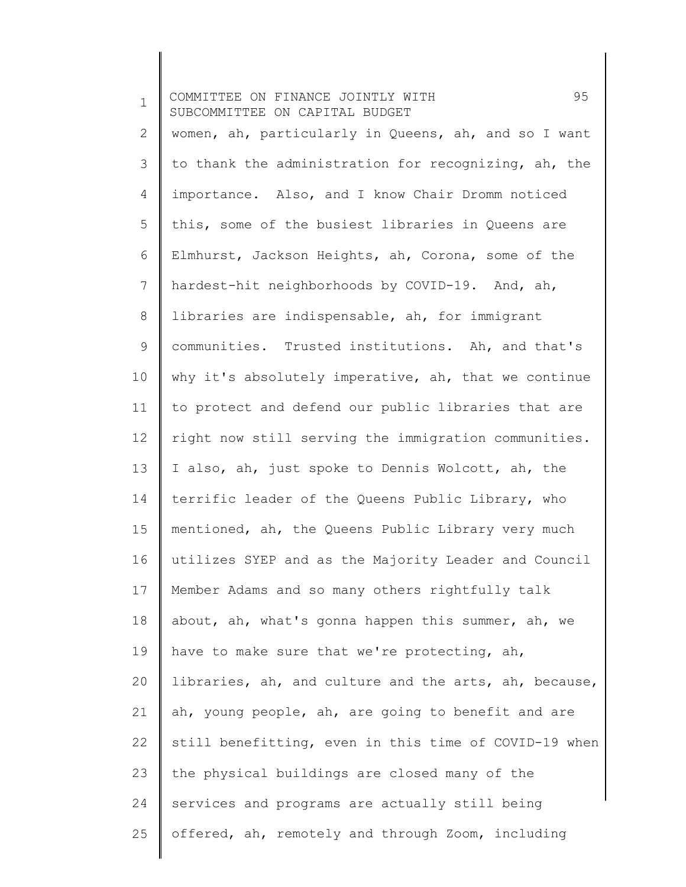1 2 3 4 5 6 7 8 9 10 11 12 13 14 15 16 17 18 19 20 21 22 23 24 25 COMMITTEE ON FINANCE JOINTLY WITH 95 SUBCOMMITTEE ON CAPITAL BUDGET women, ah, particularly in Queens, ah, and so I want to thank the administration for recognizing, ah, the importance. Also, and I know Chair Dromm noticed this, some of the busiest libraries in Queens are Elmhurst, Jackson Heights, ah, Corona, some of the hardest-hit neighborhoods by COVID-19. And, ah, libraries are indispensable, ah, for immigrant communities. Trusted institutions. Ah, and that's why it's absolutely imperative, ah, that we continue to protect and defend our public libraries that are right now still serving the immigration communities. I also, ah, just spoke to Dennis Wolcott, ah, the terrific leader of the Queens Public Library, who mentioned, ah, the Queens Public Library very much utilizes SYEP and as the Majority Leader and Council Member Adams and so many others rightfully talk about, ah, what's gonna happen this summer, ah, we have to make sure that we're protecting, ah, libraries, ah, and culture and the arts, ah, because, ah, young people, ah, are going to benefit and are still benefitting, even in this time of COVID-19 when the physical buildings are closed many of the services and programs are actually still being offered, ah, remotely and through Zoom, including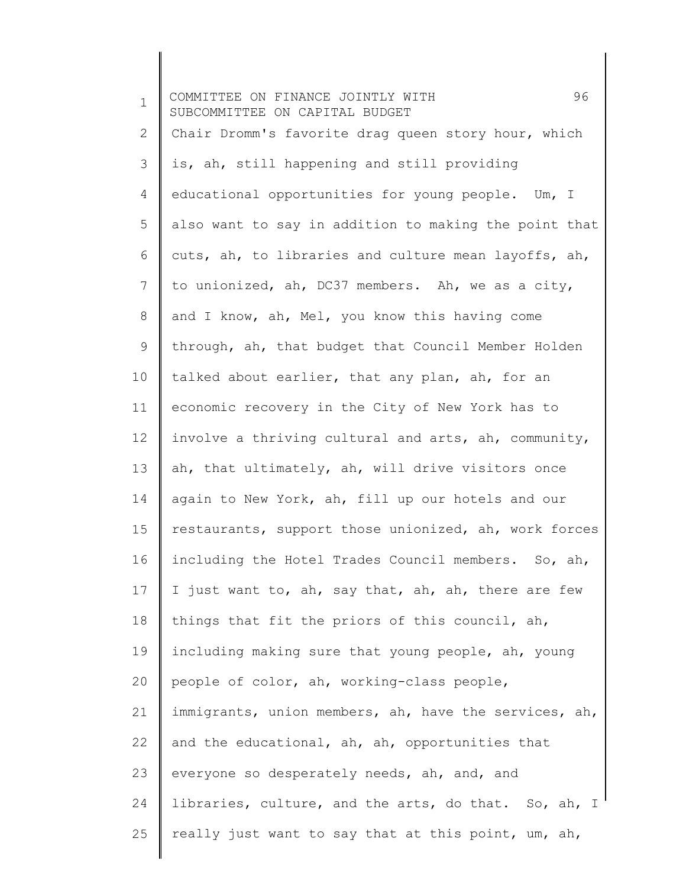1 2 3 4 5 6 7 8 9 10 11 12 13 14 15 16 17 18 19 20 21 22 23 24 25 COMMITTEE ON FINANCE JOINTLY WITH 96 SUBCOMMITTEE ON CAPITAL BUDGET Chair Dromm's favorite drag queen story hour, which is, ah, still happening and still providing educational opportunities for young people. Um, I also want to say in addition to making the point that cuts, ah, to libraries and culture mean layoffs, ah, to unionized, ah, DC37 members. Ah, we as a city, and I know, ah, Mel, you know this having come through, ah, that budget that Council Member Holden talked about earlier, that any plan, ah, for an economic recovery in the City of New York has to involve a thriving cultural and arts, ah, community, ah, that ultimately, ah, will drive visitors once again to New York, ah, fill up our hotels and our restaurants, support those unionized, ah, work forces including the Hotel Trades Council members. So, ah, I just want to, ah, say that, ah, ah, there are few things that fit the priors of this council, ah, including making sure that young people, ah, young people of color, ah, working-class people, immigrants, union members, ah, have the services, ah, and the educational, ah, ah, opportunities that everyone so desperately needs, ah, and, and libraries, culture, and the arts, do that. So, ah, I really just want to say that at this point, um, ah,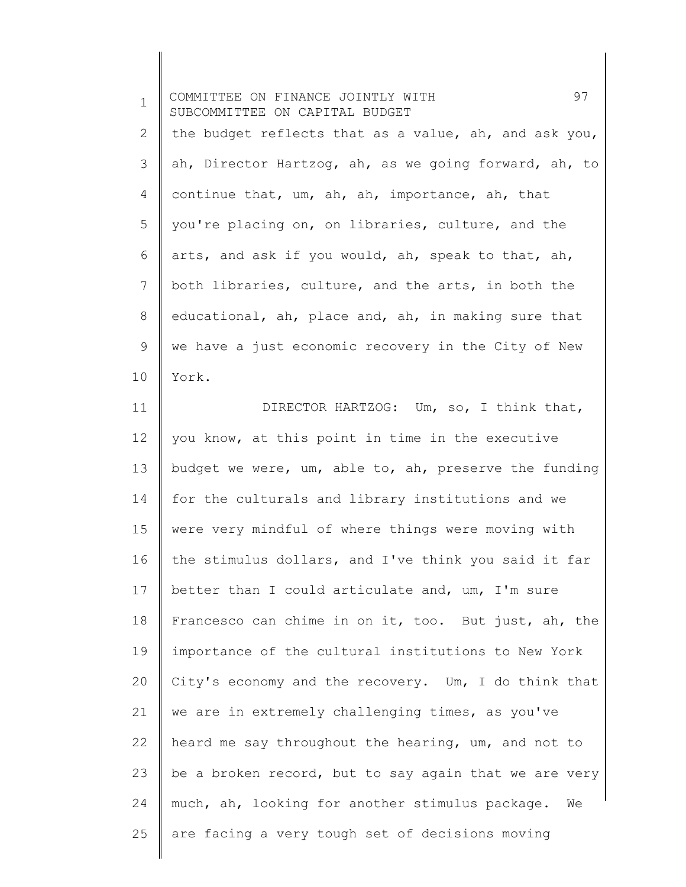1 2 3 4 5 6 7 8 9 10 COMMITTEE ON FINANCE JOINTLY WITH 97 SUBCOMMITTEE ON CAPITAL BUDGET the budget reflects that as a value, ah, and ask you, ah, Director Hartzog, ah, as we going forward, ah, to continue that, um, ah, ah, importance, ah, that you're placing on, on libraries, culture, and the arts, and ask if you would, ah, speak to that, ah, both libraries, culture, and the arts, in both the educational, ah, place and, ah, in making sure that we have a just economic recovery in the City of New York.

11 12 13 14 15 16 17 18 19 20 21 22 23 24 25 DIRECTOR HARTZOG: Um, so, I think that, you know, at this point in time in the executive budget we were, um, able to, ah, preserve the funding for the culturals and library institutions and we were very mindful of where things were moving with the stimulus dollars, and I've think you said it far better than I could articulate and, um, I'm sure Francesco can chime in on it, too. But just, ah, the importance of the cultural institutions to New York City's economy and the recovery. Um, I do think that we are in extremely challenging times, as you've heard me say throughout the hearing, um, and not to be a broken record, but to say again that we are very much, ah, looking for another stimulus package. We are facing a very tough set of decisions moving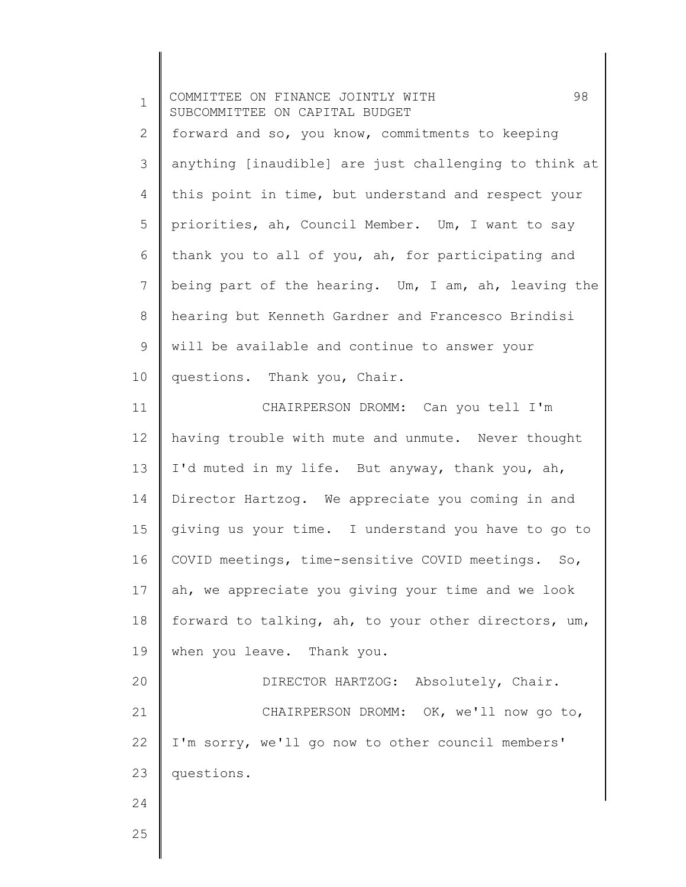| $\mathbf 1$    | 98<br>COMMITTEE ON FINANCE JOINTLY WITH<br>SUBCOMMITTEE ON CAPITAL BUDGET |
|----------------|---------------------------------------------------------------------------|
| $\overline{2}$ | forward and so, you know, commitments to keeping                          |
| 3              | anything [inaudible] are just challenging to think at                     |
| 4              | this point in time, but understand and respect your                       |
| 5              | priorities, ah, Council Member. Um, I want to say                         |
| 6              | thank you to all of you, ah, for participating and                        |
| 7              | being part of the hearing. Um, I am, ah, leaving the                      |
| 8              | hearing but Kenneth Gardner and Francesco Brindisi                        |
| 9              | will be available and continue to answer your                             |
| 10             | questions. Thank you, Chair.                                              |
| 11             | CHAIRPERSON DROMM: Can you tell I'm                                       |
| 12             | having trouble with mute and unmute. Never thought                        |
| 13             | I'd muted in my life. But anyway, thank you, ah,                          |
| 14             | Director Hartzog. We appreciate you coming in and                         |
| 15             | giving us your time. I understand you have to go to                       |
| 16             | COVID meetings, time-sensitive COVID meetings. So,                        |
| 17             | ah, we appreciate you giving your time and we look                        |
| 18             | forward to talking, ah, to your other directors, um,                      |
| 19             | when you leave. Thank you.                                                |
| 20             | DIRECTOR HARTZOG: Absolutely, Chair.                                      |
| 21             | CHAIRPERSON DROMM: OK, we'll now go to,                                   |
| 22             | I'm sorry, we'll go now to other council members'                         |
| 23             | questions.                                                                |
| 24             |                                                                           |
| 25             |                                                                           |
|                |                                                                           |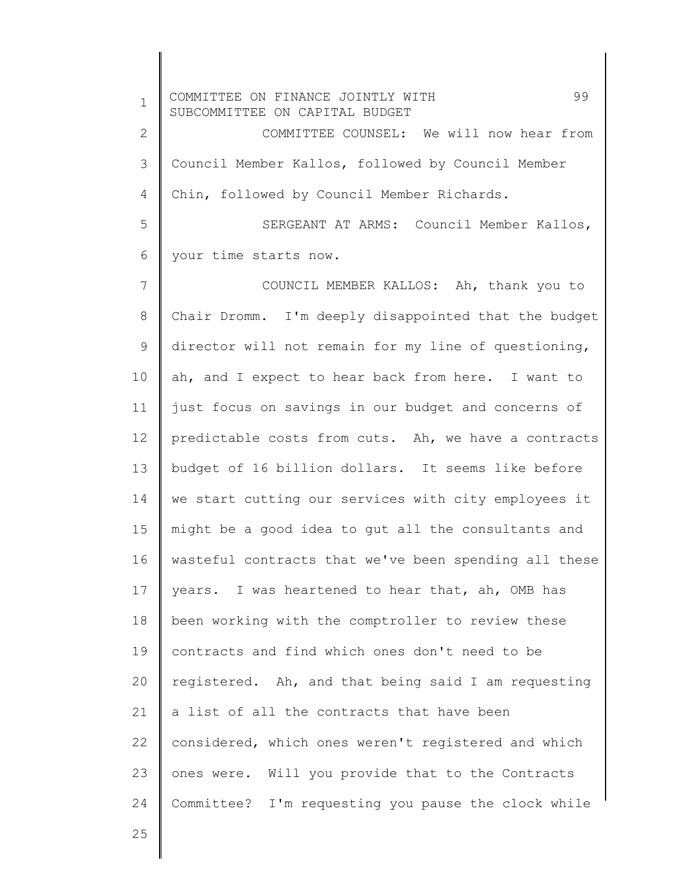1 2 3 4 5 6 7 8 9 10 11 12 13 14 15 16 17 18 19 20 21 22 23 24 COMMITTEE ON FINANCE JOINTLY WITH 99 SUBCOMMITTEE ON CAPITAL BUDGET COMMITTEE COUNSEL: We will now hear from Council Member Kallos, followed by Council Member Chin, followed by Council Member Richards. SERGEANT AT ARMS: Council Member Kallos, your time starts now. COUNCIL MEMBER KALLOS: Ah, thank you to Chair Dromm. I'm deeply disappointed that the budget director will not remain for my line of questioning, ah, and I expect to hear back from here. I want to just focus on savings in our budget and concerns of predictable costs from cuts. Ah, we have a contracts budget of 16 billion dollars. It seems like before we start cutting our services with city employees it might be a good idea to gut all the consultants and wasteful contracts that we've been spending all these years. I was heartened to hear that, ah, OMB has been working with the comptroller to review these contracts and find which ones don't need to be registered. Ah, and that being said I am requesting a list of all the contracts that have been considered, which ones weren't registered and which ones were. Will you provide that to the Contracts Committee? I'm requesting you pause the clock while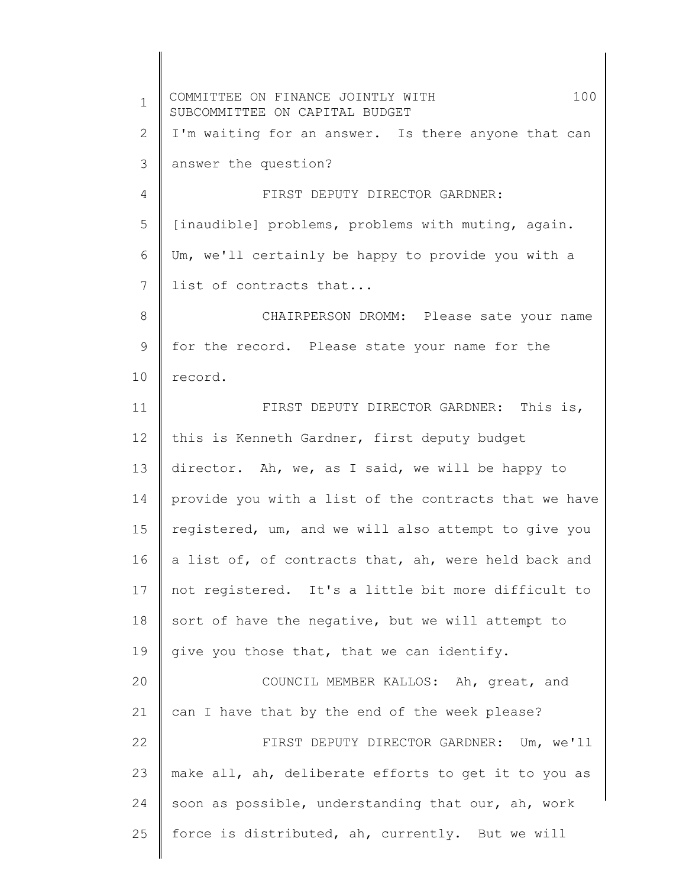1 2 3 4 5 6 7 8 9 10 11 12 13 14 15 16 17 18 19 20 21 22 23 24 25 COMMITTEE ON FINANCE JOINTLY WITH 100 SUBCOMMITTEE ON CAPITAL BUDGET I'm waiting for an answer. Is there anyone that can answer the question? FIRST DEPUTY DIRECTOR GARDNER: [inaudible] problems, problems with muting, again. Um, we'll certainly be happy to provide you with a list of contracts that... CHAIRPERSON DROMM: Please sate your name for the record. Please state your name for the record. FIRST DEPUTY DIRECTOR GARDNER: This is, this is Kenneth Gardner, first deputy budget director. Ah, we, as I said, we will be happy to provide you with a list of the contracts that we have registered, um, and we will also attempt to give you a list of, of contracts that, ah, were held back and not registered. It's a little bit more difficult to sort of have the negative, but we will attempt to give you those that, that we can identify. COUNCIL MEMBER KALLOS: Ah, great, and can I have that by the end of the week please? FIRST DEPUTY DIRECTOR GARDNER: Um, we'll make all, ah, deliberate efforts to get it to you as soon as possible, understanding that our, ah, work force is distributed, ah, currently. But we will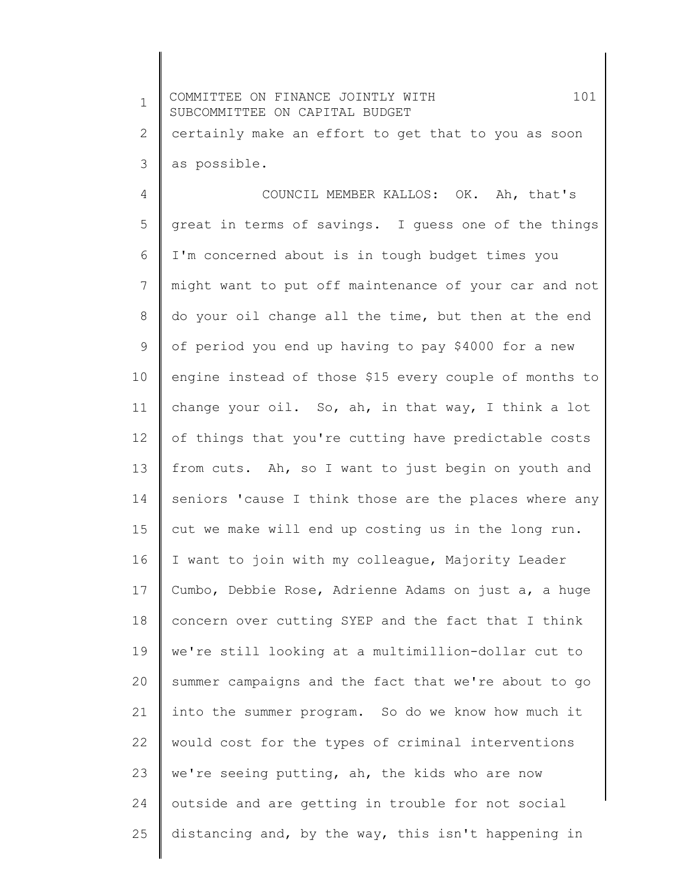| $\mathbf 1$ | 101<br>COMMITTEE ON FINANCE JOINTLY WITH<br>SUBCOMMITTEE ON CAPITAL BUDGET |
|-------------|----------------------------------------------------------------------------|
| 2           | certainly make an effort to get that to you as soon                        |
| 3           | as possible.                                                               |
| 4           | COUNCIL MEMBER KALLOS: OK. Ah, that's                                      |
| 5           | great in terms of savings. I guess one of the things                       |
| 6           | I'm concerned about is in tough budget times you                           |
| 7           | might want to put off maintenance of your car and not                      |
| 8           | do your oil change all the time, but then at the end                       |
| 9           | of period you end up having to pay \$4000 for a new                        |
| 10          | engine instead of those \$15 every couple of months to                     |
| 11          | change your oil. So, ah, in that way, I think a lot                        |
| 12          | of things that you're cutting have predictable costs                       |
| 13          | from cuts. Ah, so I want to just begin on youth and                        |
| 14          | seniors 'cause I think those are the places where any                      |
| 15          | cut we make will end up costing us in the long run.                        |
| 16          | I want to join with my colleague, Majority Leader                          |
| 17          | Cumbo, Debbie Rose, Adrienne Adams on just a, a huge                       |
| 18          | concern over cutting SYEP and the fact that I think                        |
| 19          | we're still looking at a multimillion-dollar cut to                        |
| 20          | summer campaigns and the fact that we're about to go                       |
| 21          | into the summer program. So do we know how much it                         |
| 22          | would cost for the types of criminal interventions                         |
| 23          | we're seeing putting, ah, the kids who are now                             |
| 24          | outside and are getting in trouble for not social                          |
| 25          | distancing and, by the way, this isn't happening in                        |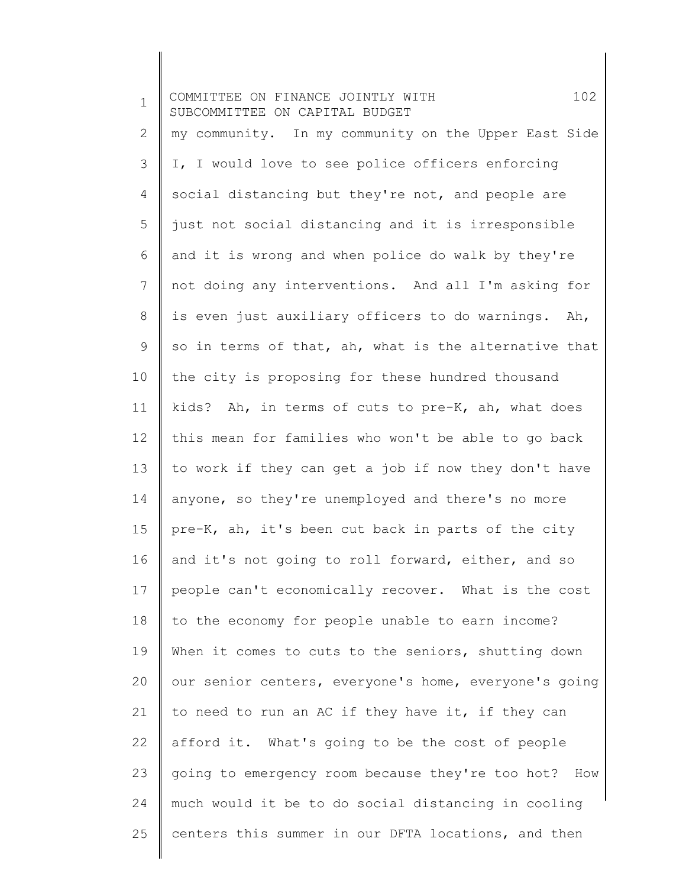| $\mathbf 1$  | 102<br>COMMITTEE ON FINANCE JOINTLY WITH<br>SUBCOMMITTEE ON CAPITAL BUDGET |
|--------------|----------------------------------------------------------------------------|
| $\mathbf{2}$ | my community. In my community on the Upper East Side                       |
| 3            | I, I would love to see police officers enforcing                           |
| 4            | social distancing but they're not, and people are                          |
| 5            | just not social distancing and it is irresponsible                         |
| 6            | and it is wrong and when police do walk by they're                         |
| 7            | not doing any interventions. And all I'm asking for                        |
| 8            | is even just auxiliary officers to do warnings. Ah,                        |
| 9            | so in terms of that, ah, what is the alternative that                      |
| 10           | the city is proposing for these hundred thousand                           |
| 11           | kids? Ah, in terms of cuts to pre-K, ah, what does                         |
| 12           | this mean for families who won't be able to go back                        |
| 13           | to work if they can get a job if now they don't have                       |
| 14           | anyone, so they're unemployed and there's no more                          |
| 15           | pre-K, ah, it's been cut back in parts of the city                         |
| 16           | and it's not going to roll forward, either, and so                         |
| 17           | people can't economically recover. What is the cost                        |
| 18           | to the economy for people unable to earn income?                           |
| 19           | When it comes to cuts to the seniors, shutting down                        |
| 20           | our senior centers, everyone's home, everyone's going                      |
| 21           | to need to run an AC if they have it, if they can                          |
| 22           | afford it. What's going to be the cost of people                           |
| 23           | going to emergency room because they're too hot? How                       |
| 24           | much would it be to do social distancing in cooling                        |
| 25           | centers this summer in our DFTA locations, and then                        |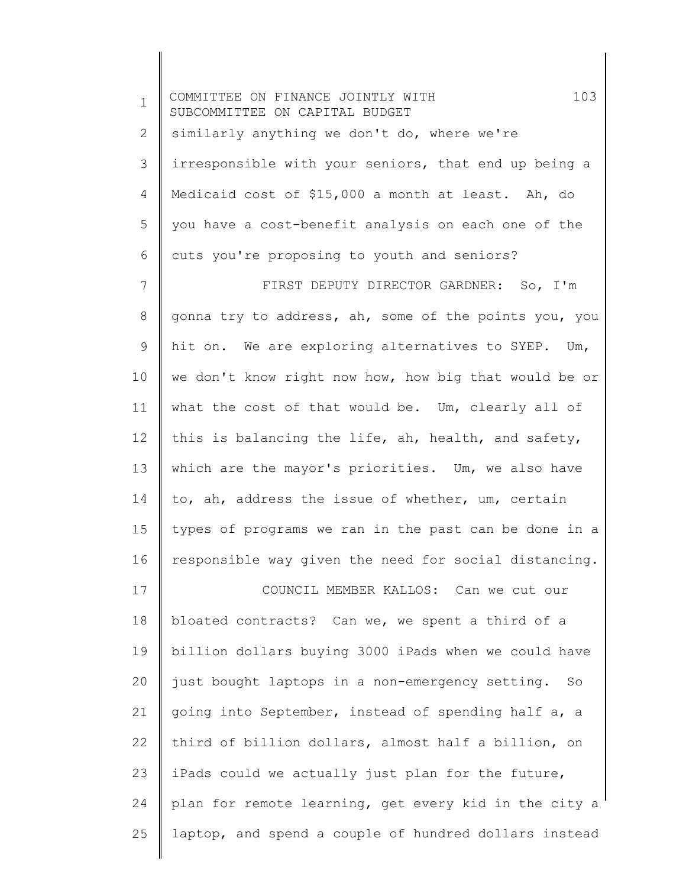| $\mathbf 1$  | 103<br>COMMITTEE ON FINANCE JOINTLY WITH<br>SUBCOMMITTEE ON CAPITAL BUDGET |
|--------------|----------------------------------------------------------------------------|
| $\mathbf{2}$ | similarly anything we don't do, where we're                                |
| 3            | irresponsible with your seniors, that end up being a                       |
| 4            | Medicaid cost of \$15,000 a month at least. Ah, do                         |
| 5            | you have a cost-benefit analysis on each one of the                        |
| 6            | cuts you're proposing to youth and seniors?                                |
| 7            | FIRST DEPUTY DIRECTOR GARDNER: So, I'm                                     |
| $8\,$        | gonna try to address, ah, some of the points you, you                      |
| $\mathsf 9$  | hit on. We are exploring alternatives to SYEP. Um,                         |
| 10           | we don't know right now how, how big that would be or                      |
| 11           | what the cost of that would be. Um, clearly all of                         |
| 12           | this is balancing the life, ah, health, and safety,                        |
| 13           | which are the mayor's priorities. Um, we also have                         |
| 14           | to, ah, address the issue of whether, um, certain                          |
| 15           | types of programs we ran in the past can be done in a                      |
| 16           | responsible way given the need for social distancing.                      |
| 17           | COUNCIL MEMBER KALLOS: Can we cut our                                      |
| 18           | bloated contracts? Can we, we spent a third of a                           |
| 19           | billion dollars buying 3000 iPads when we could have                       |
| 20           | just bought laptops in a non-emergency setting. So                         |
| 21           | going into September, instead of spending half a, a                        |
| 22           | third of billion dollars, almost half a billion, on                        |
| 23           | iPads could we actually just plan for the future,                          |
| 24           | plan for remote learning, get every kid in the city a                      |
| 25           | laptop, and spend a couple of hundred dollars instead                      |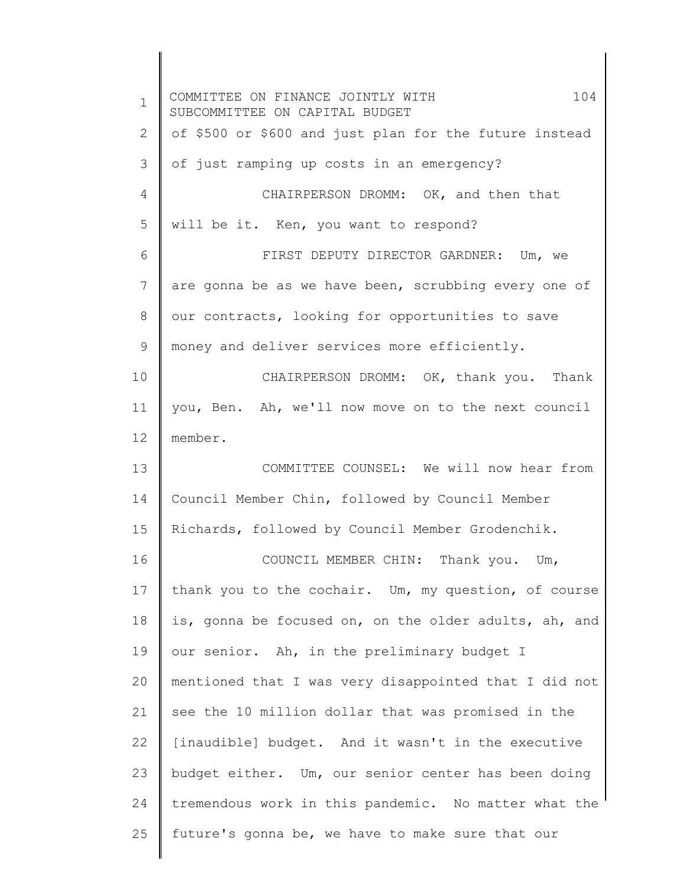1 2 3 4 5 6 7 8 9 10 11 12 13 14 15 16 17 18 19 20 21 22 23 24 25 COMMITTEE ON FINANCE JOINTLY WITH 104 SUBCOMMITTEE ON CAPITAL BUDGET of \$500 or \$600 and just plan for the future instead of just ramping up costs in an emergency? CHAIRPERSON DROMM: OK, and then that will be it. Ken, you want to respond? FIRST DEPUTY DIRECTOR GARDNER: Um, we are gonna be as we have been, scrubbing every one of our contracts, looking for opportunities to save money and deliver services more efficiently. CHAIRPERSON DROMM: OK, thank you. Thank you, Ben. Ah, we'll now move on to the next council member. COMMITTEE COUNSEL: We will now hear from Council Member Chin, followed by Council Member Richards, followed by Council Member Grodenchik. COUNCIL MEMBER CHIN: Thank you. Um, thank you to the cochair. Um, my question, of course is, gonna be focused on, on the older adults, ah, and our senior. Ah, in the preliminary budget I mentioned that I was very disappointed that I did not see the 10 million dollar that was promised in the [inaudible] budget. And it wasn't in the executive budget either. Um, our senior center has been doing tremendous work in this pandemic. No matter what the future's gonna be, we have to make sure that our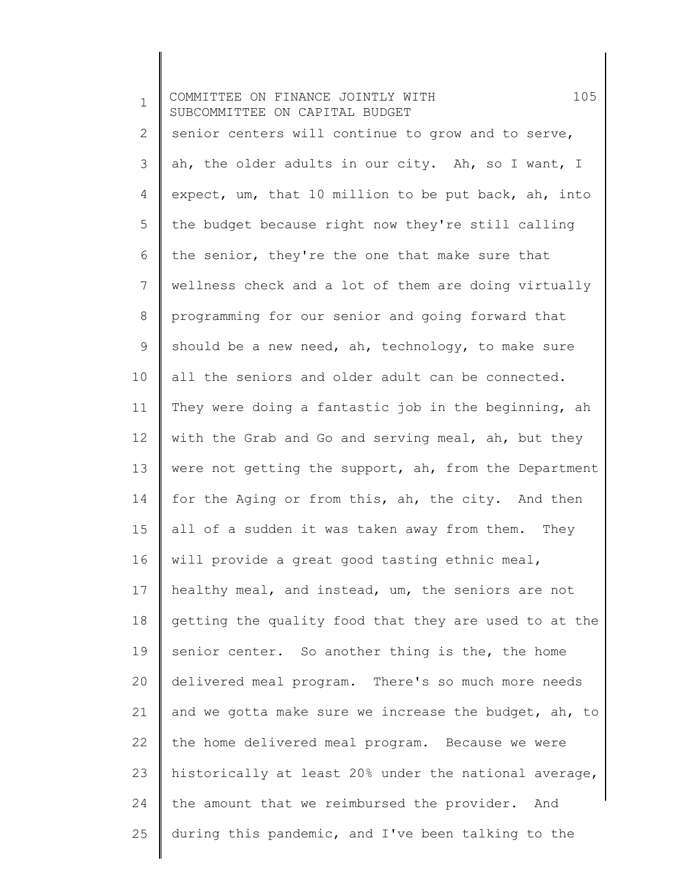1 2 3 4 5 6 7 8 9 10 11 12 13 14 15 16 17 18 19 20 21 22 23 24 25 COMMITTEE ON FINANCE JOINTLY WITH 105 SUBCOMMITTEE ON CAPITAL BUDGET senior centers will continue to grow and to serve, ah, the older adults in our city. Ah, so I want, I expect, um, that 10 million to be put back, ah, into the budget because right now they're still calling the senior, they're the one that make sure that wellness check and a lot of them are doing virtually programming for our senior and going forward that should be a new need, ah, technology, to make sure all the seniors and older adult can be connected. They were doing a fantastic job in the beginning, ah with the Grab and Go and serving meal, ah, but they were not getting the support, ah, from the Department for the Aging or from this, ah, the city. And then all of a sudden it was taken away from them. They will provide a great good tasting ethnic meal, healthy meal, and instead, um, the seniors are not getting the quality food that they are used to at the senior center. So another thing is the, the home delivered meal program. There's so much more needs and we gotta make sure we increase the budget, ah, to the home delivered meal program. Because we were historically at least 20% under the national average, the amount that we reimbursed the provider. And during this pandemic, and I've been talking to the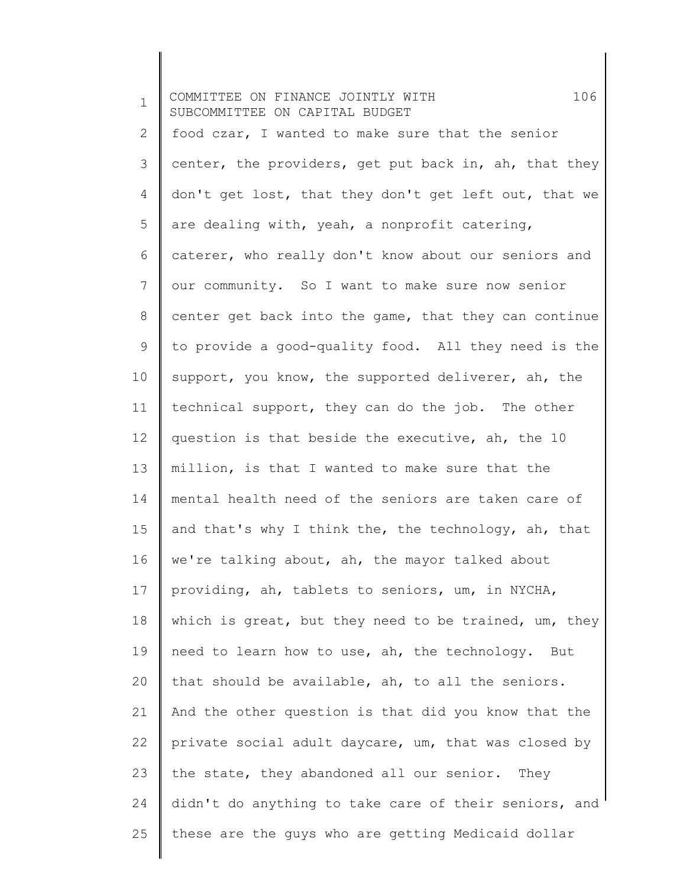1 2 3 4 5 6 7 8 9 10 11 12 13 14 15 16 17 18 19 20 21 22 23 24 25 COMMITTEE ON FINANCE JOINTLY WITH 106 SUBCOMMITTEE ON CAPITAL BUDGET food czar, I wanted to make sure that the senior center, the providers, get put back in, ah, that they don't get lost, that they don't get left out, that we are dealing with, yeah, a nonprofit catering, caterer, who really don't know about our seniors and our community. So I want to make sure now senior center get back into the game, that they can continue to provide a good-quality food. All they need is the support, you know, the supported deliverer, ah, the technical support, they can do the job. The other question is that beside the executive, ah, the 10 million, is that I wanted to make sure that the mental health need of the seniors are taken care of and that's why I think the, the technology, ah, that we're talking about, ah, the mayor talked about providing, ah, tablets to seniors, um, in NYCHA, which is great, but they need to be trained, um, they need to learn how to use, ah, the technology. But that should be available, ah, to all the seniors. And the other question is that did you know that the private social adult daycare, um, that was closed by the state, they abandoned all our senior. They didn't do anything to take care of their seniors, and these are the guys who are getting Medicaid dollar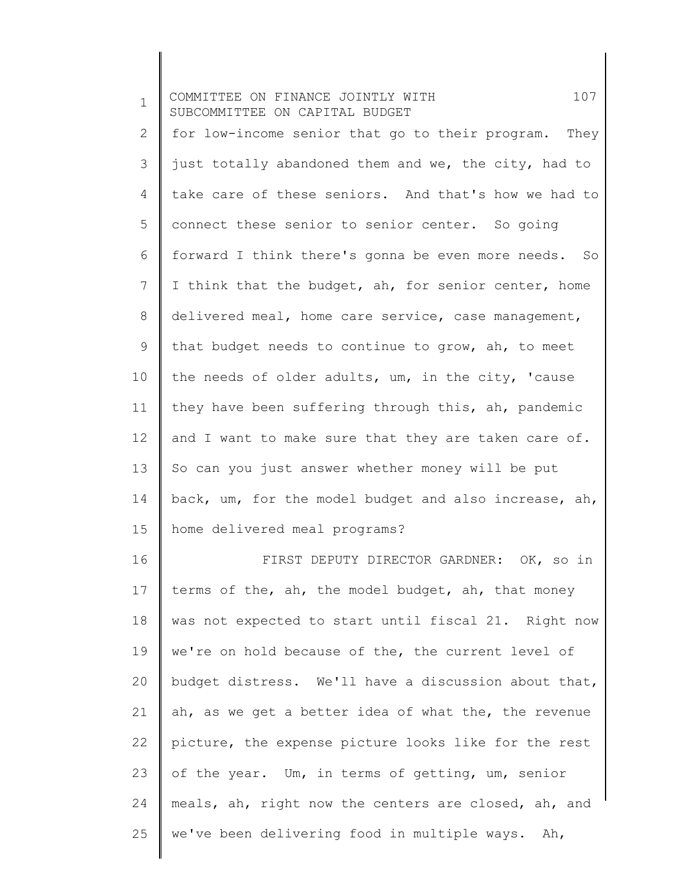| $\mathbf 1$ | 107<br>COMMITTEE ON FINANCE JOINTLY WITH<br>SUBCOMMITTEE ON CAPITAL BUDGET |
|-------------|----------------------------------------------------------------------------|
| 2           | for low-income senior that go to their program. They                       |
| 3           | just totally abandoned them and we, the city, had to                       |
| 4           | take care of these seniors. And that's how we had to                       |
| 5           | connect these senior to senior center. So going                            |
| 6           | forward I think there's gonna be even more needs. So                       |
| 7           | I think that the budget, ah, for senior center, home                       |
| 8           | delivered meal, home care service, case management,                        |
| 9           | that budget needs to continue to grow, ah, to meet                         |
| 10          | the needs of older adults, um, in the city, 'cause                         |
| 11          | they have been suffering through this, ah, pandemic                        |
| 12          | and I want to make sure that they are taken care of.                       |
| 13          | So can you just answer whether money will be put                           |
| 14          | back, um, for the model budget and also increase, ah,                      |
| 15          | home delivered meal programs?                                              |
| 16          | FIRST DEPUTY DIRECTOR GARDNER: OK, so in                                   |
| 17          | terms of the, ah, the model budget, ah, that money                         |
| 18          | was not expected to start until fiscal 21. Right now                       |
| 19          | we're on hold because of the, the current level of                         |
| 20          | budget distress. We'll have a discussion about that,                       |
| 21          | ah, as we get a better idea of what the, the revenue                       |
| 22          | picture, the expense picture looks like for the rest                       |
| 23          | of the year. Um, in terms of getting, um, senior                           |
| 24          | meals, ah, right now the centers are closed, ah, and                       |
| 25          | we've been delivering food in multiple ways. Ah,                           |
|             |                                                                            |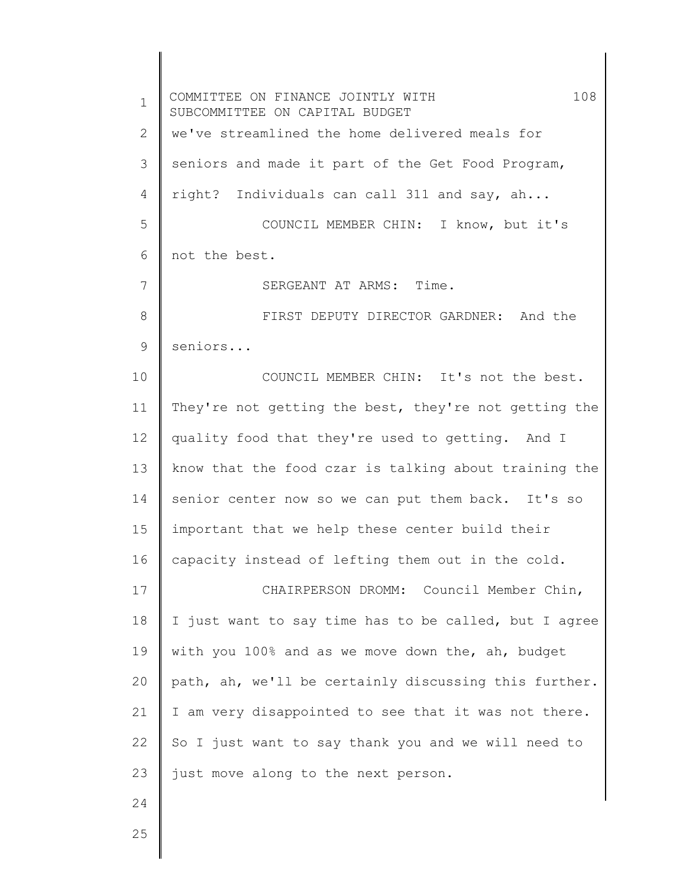1 2 3 4 5 6 7 8 9 10 11 12 13 14 15 16 17 18 19 20 21 22 23 24 COMMITTEE ON FINANCE JOINTLY WITH 108 SUBCOMMITTEE ON CAPITAL BUDGET we've streamlined the home delivered meals for seniors and made it part of the Get Food Program, right? Individuals can call 311 and say, ah... COUNCIL MEMBER CHIN: I know, but it's not the best. SERGEANT AT ARMS: Time. FIRST DEPUTY DIRECTOR GARDNER: And the seniors... COUNCIL MEMBER CHIN: It's not the best. They're not getting the best, they're not getting the quality food that they're used to getting. And I know that the food czar is talking about training the senior center now so we can put them back. It's so important that we help these center build their capacity instead of lefting them out in the cold. CHAIRPERSON DROMM: Council Member Chin, I just want to say time has to be called, but I agree with you 100% and as we move down the, ah, budget path, ah, we'll be certainly discussing this further. I am very disappointed to see that it was not there. So I just want to say thank you and we will need to just move along to the next person.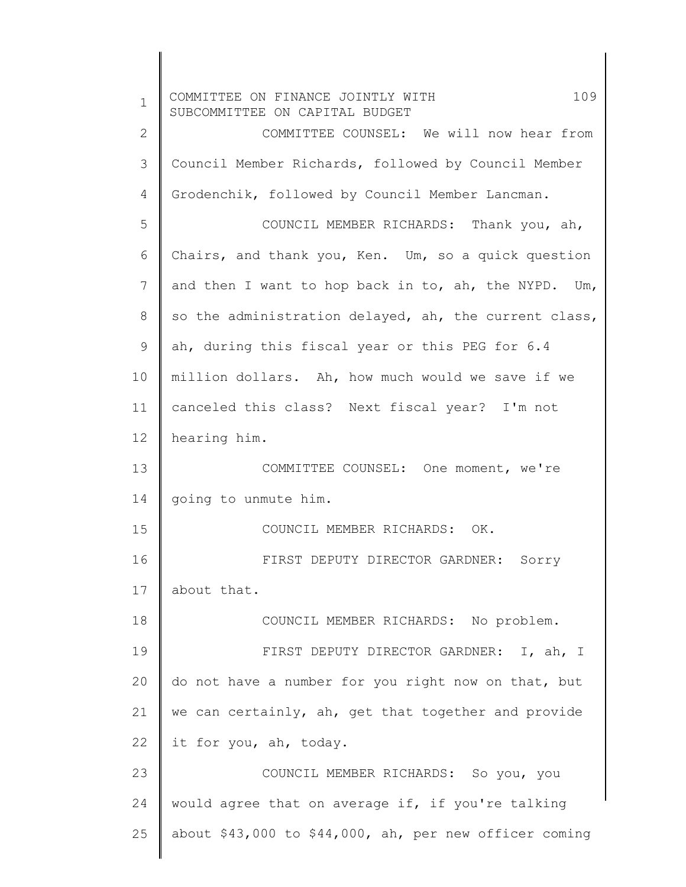| $\mathbf{1}$ | 109<br>COMMITTEE ON FINANCE JOINTLY WITH<br>SUBCOMMITTEE ON CAPITAL BUDGET |
|--------------|----------------------------------------------------------------------------|
| $\mathbf{2}$ | COMMITTEE COUNSEL: We will now hear from                                   |
| 3            | Council Member Richards, followed by Council Member                        |
| 4            | Grodenchik, followed by Council Member Lancman.                            |
| 5            | COUNCIL MEMBER RICHARDS: Thank you, ah,                                    |
| 6            | Chairs, and thank you, Ken. Um, so a quick question                        |
| 7            | and then I want to hop back in to, ah, the NYPD. Um,                       |
| 8            | so the administration delayed, ah, the current class,                      |
| 9            | ah, during this fiscal year or this PEG for 6.4                            |
| 10           | million dollars. Ah, how much would we save if we                          |
| 11           | canceled this class? Next fiscal year? I'm not                             |
| 12           | hearing him.                                                               |
| 13           | COMMITTEE COUNSEL: One moment, we're                                       |
| 14           | going to unmute him.                                                       |
| 15           | COUNCIL MEMBER RICHARDS: OK.                                               |
| 16           | FIRST DEPUTY DIRECTOR GARDNER: Sorry                                       |
| 17           | about that.                                                                |
| 18           | COUNCIL MEMBER RICHARDS: No problem.                                       |
| 19           | FIRST DEPUTY DIRECTOR GARDNER: I, ah, I                                    |
| 20           | do not have a number for you right now on that, but                        |
| 21           | we can certainly, ah, get that together and provide                        |
| 22           | it for you, ah, today.                                                     |
| 23           | COUNCIL MEMBER RICHARDS: So you, you                                       |
| 24           | would agree that on average if, if you're talking                          |
| 25           | about \$43,000 to \$44,000, ah, per new officer coming                     |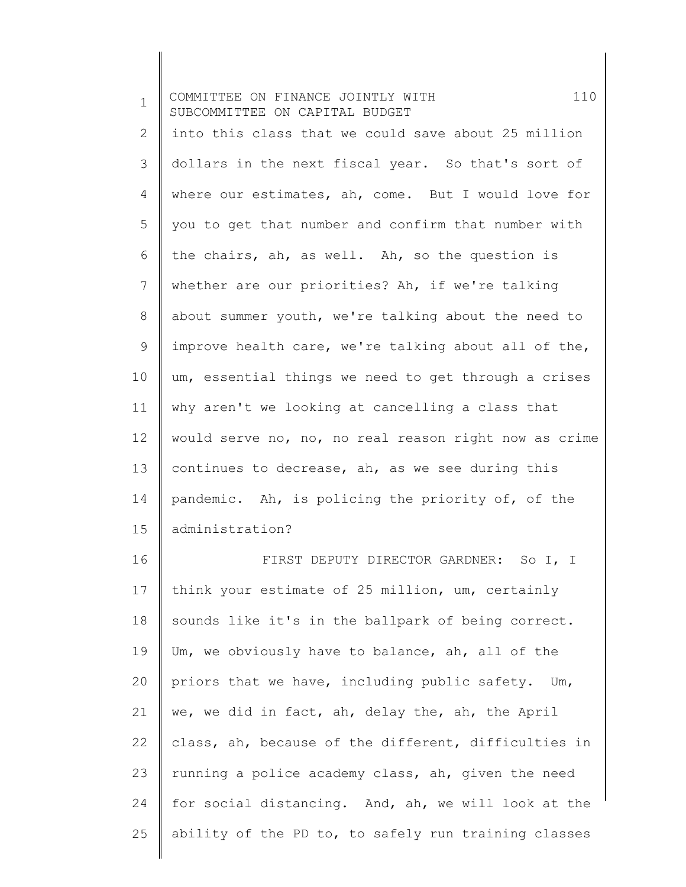| $\mathbf 1$     | COMMITTEE ON FINANCE JOINTLY WITH<br>110<br>SUBCOMMITTEE ON CAPITAL BUDGET |
|-----------------|----------------------------------------------------------------------------|
| $\mathbf{2}$    | into this class that we could save about 25 million                        |
| 3               | dollars in the next fiscal year. So that's sort of                         |
| 4               | where our estimates, ah, come. But I would love for                        |
| 5               | you to get that number and confirm that number with                        |
| 6               | the chairs, ah, as well. Ah, so the question is                            |
| $7\overline{ }$ | whether are our priorities? Ah, if we're talking                           |
| 8               | about summer youth, we're talking about the need to                        |
| 9               | improve health care, we're talking about all of the,                       |
| 10              | um, essential things we need to get through a crises                       |
| 11              | why aren't we looking at cancelling a class that                           |
| 12 <sup>°</sup> | would serve no, no, no real reason right now as crime                      |
| 13              | continues to decrease, ah, as we see during this                           |
| 14              | pandemic. Ah, is policing the priority of, of the                          |
| 15              | administration?                                                            |
| 16              | FIRST DEPUTY DIRECTOR GARDNER: So I, I                                     |
| 17              | think your estimate of 25 million, um, certainly                           |
| 18              | sounds like it's in the ballpark of being correct.                         |
| 19              | Um, we obviously have to balance, ah, all of the                           |
| 20              | priors that we have, including public safety. Um,                          |
| 21              | we, we did in fact, ah, delay the, ah, the April                           |
| 22              | class, ah, because of the different, difficulties in                       |
| 23              | running a police academy class, ah, given the need                         |
| 24              | for social distancing. And, ah, we will look at the                        |

ability of the PD to, to safely run training classes

25

∥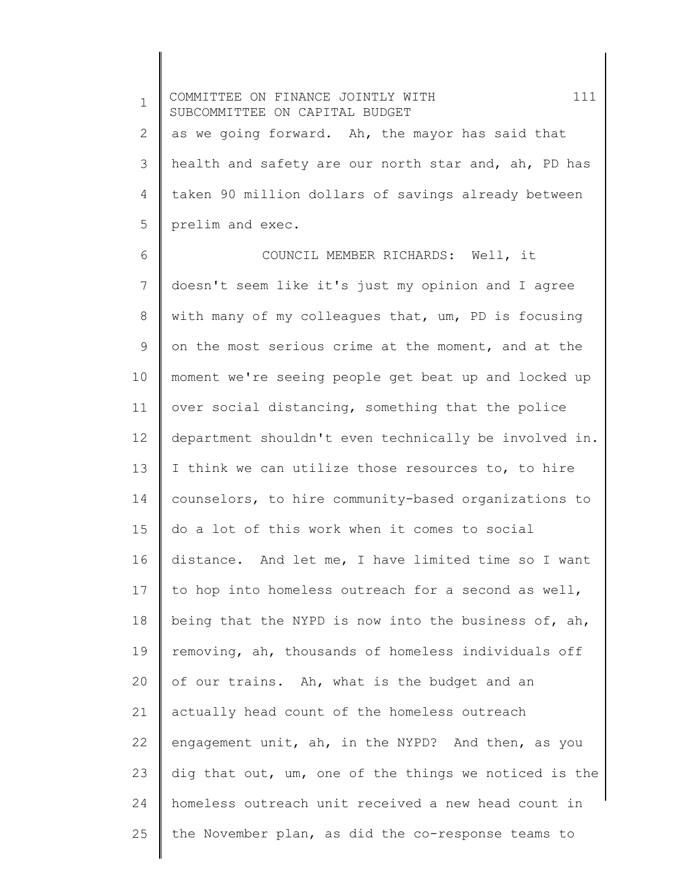1 2 3 4 5 COMMITTEE ON FINANCE JOINTLY WITH 111 SUBCOMMITTEE ON CAPITAL BUDGET as we going forward. Ah, the mayor has said that health and safety are our north star and, ah, PD has taken 90 million dollars of savings already between prelim and exec.

6 7 8 9 10 11 12 13 14 15 16 17 18 19 20 21 22 23 24 25 COUNCIL MEMBER RICHARDS: Well, it doesn't seem like it's just my opinion and I agree with many of my colleagues that, um, PD is focusing on the most serious crime at the moment, and at the moment we're seeing people get beat up and locked up over social distancing, something that the police department shouldn't even technically be involved in. I think we can utilize those resources to, to hire counselors, to hire community-based organizations to do a lot of this work when it comes to social distance. And let me, I have limited time so I want to hop into homeless outreach for a second as well, being that the NYPD is now into the business of, ah, removing, ah, thousands of homeless individuals off of our trains. Ah, what is the budget and an actually head count of the homeless outreach engagement unit, ah, in the NYPD? And then, as you dig that out, um, one of the things we noticed is the homeless outreach unit received a new head count in the November plan, as did the co-response teams to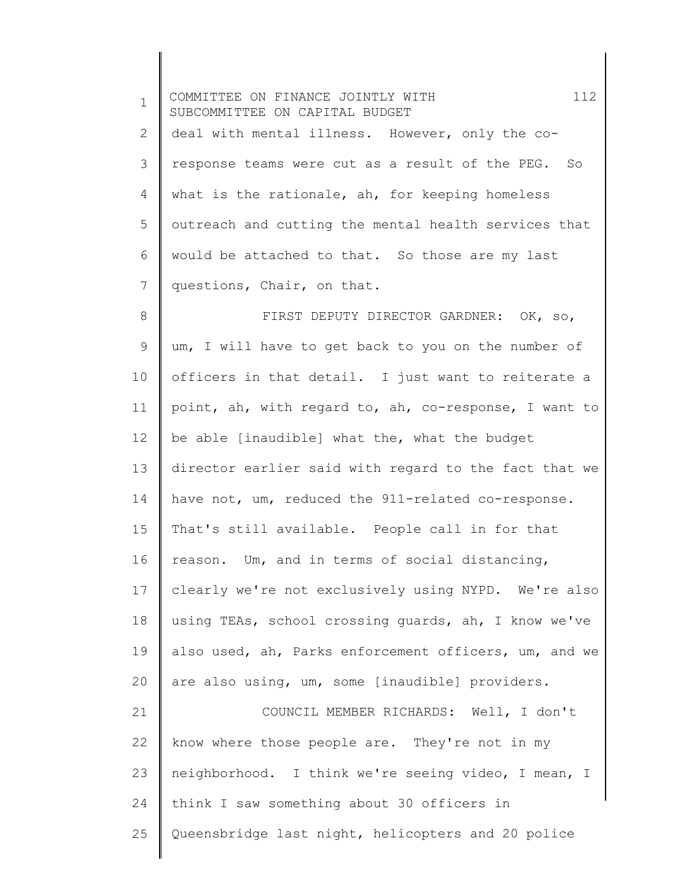| $\mathbf 1$ | 112<br>COMMITTEE ON FINANCE JOINTLY WITH<br>SUBCOMMITTEE ON CAPITAL BUDGET |
|-------------|----------------------------------------------------------------------------|
| 2           | deal with mental illness. However, only the co-                            |
| 3           | response teams were cut as a result of the PEG. So                         |
| 4           | what is the rationale, ah, for keeping homeless                            |
| 5           | outreach and cutting the mental health services that                       |
| 6           | would be attached to that. So those are my last                            |
| 7           | questions, Chair, on that.                                                 |
| 8           | FIRST DEPUTY DIRECTOR GARDNER: OK, so,                                     |
| 9           | um, I will have to get back to you on the number of                        |
| 10          | officers in that detail. I just want to reiterate a                        |
| 11          | point, ah, with regard to, ah, co-response, I want to                      |
| 12          | be able [inaudible] what the, what the budget                              |
| 13          | director earlier said with regard to the fact that we                      |
| 14          | have not, um, reduced the 911-related co-response.                         |
| 15          | That's still available. People call in for that                            |
| 16          | reason. Um, and in terms of social distancing,                             |
| 17          | clearly we're not exclusively using NYPD. We're also                       |
| 18          | using TEAs, school crossing quards, ah, I know we've                       |
| 19          | also used, ah, Parks enforcement officers, um, and we                      |
| 20          | are also using, um, some [inaudible] providers.                            |
| 21          | COUNCIL MEMBER RICHARDS: Well, I don't                                     |
| 22          | know where those people are. They're not in my                             |
| 23          | neighborhood. I think we're seeing video, I mean, I                        |
| 24          | think I saw something about 30 officers in                                 |
| 25          | Queensbridge last night, helicopters and 20 police                         |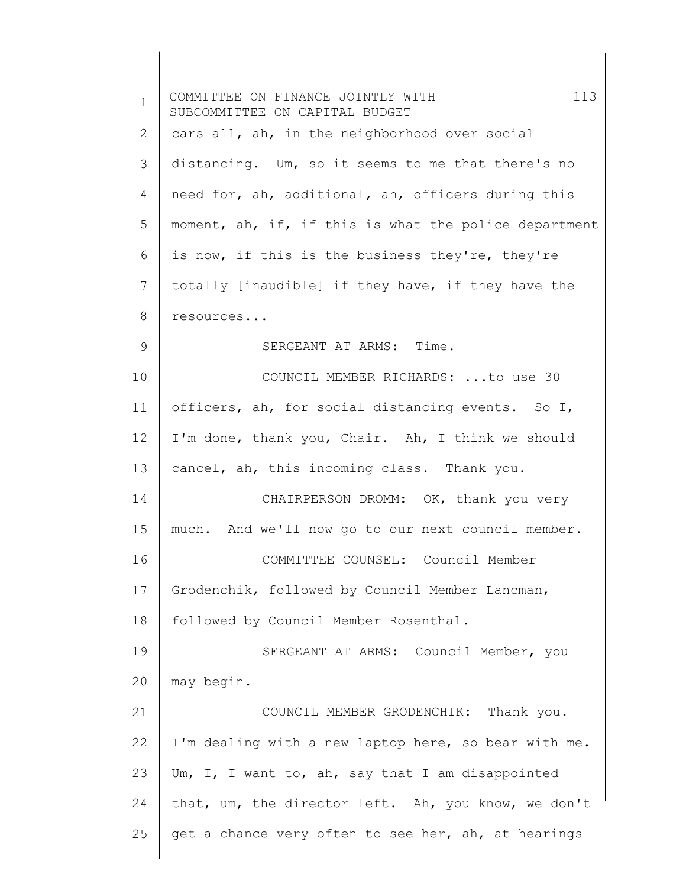| $\mathbf 1$ | 113<br>COMMITTEE ON FINANCE JOINTLY WITH<br>SUBCOMMITTEE ON CAPITAL BUDGET |
|-------------|----------------------------------------------------------------------------|
| 2           | cars all, ah, in the neighborhood over social                              |
| 3           | distancing. Um, so it seems to me that there's no                          |
| 4           | need for, ah, additional, ah, officers during this                         |
| 5           | moment, ah, if, if this is what the police department                      |
| 6           | is now, if this is the business they're, they're                           |
| 7           | totally [inaudible] if they have, if they have the                         |
| 8           | resources                                                                  |
| 9           | SERGEANT AT ARMS: Time.                                                    |
| 10          | COUNCIL MEMBER RICHARDS: to use 30                                         |
| 11          | officers, ah, for social distancing events. So I,                          |
| 12          | I'm done, thank you, Chair. Ah, I think we should                          |
| 13          | cancel, ah, this incoming class. Thank you.                                |
| 14          | CHAIRPERSON DROMM: OK, thank you very                                      |
| 15          | much. And we'll now go to our next council member.                         |
| 16          | COMMITTEE COUNSEL: Council Member                                          |
| 17          | Grodenchik, followed by Council Member Lancman,                            |
| 18          | followed by Council Member Rosenthal.                                      |
| 19          | SERGEANT AT ARMS: Council Member, you                                      |
| 20          | may begin.                                                                 |
| 21          | COUNCIL MEMBER GRODENCHIK: Thank you.                                      |
| 22          | I'm dealing with a new laptop here, so bear with me.                       |
| 23          | Um, I, I want to, ah, say that I am disappointed                           |
| 24          | that, um, the director left. Ah, you know, we don't                        |
| 25          | get a chance very often to see her, ah, at hearings                        |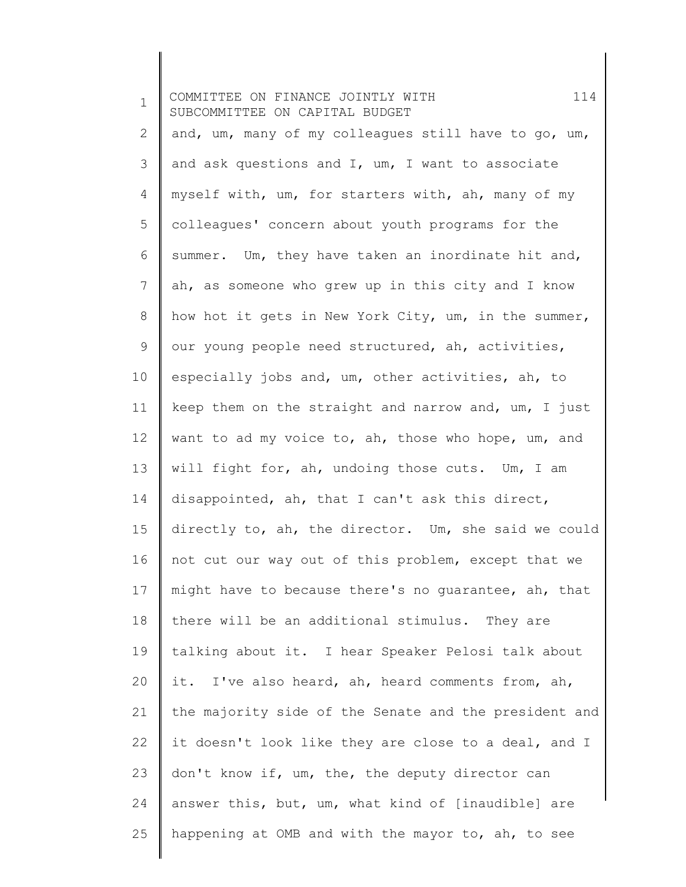| $\mathbf 1$  | 114<br>COMMITTEE ON FINANCE JOINTLY WITH<br>SUBCOMMITTEE ON CAPITAL BUDGET |
|--------------|----------------------------------------------------------------------------|
| $\mathbf{2}$ | and, um, many of my colleagues still have to go, um,                       |
| 3            | and ask questions and I, um, I want to associate                           |
| 4            | myself with, um, for starters with, ah, many of my                         |
| 5            | colleagues' concern about youth programs for the                           |
| 6            | summer. Um, they have taken an inordinate hit and,                         |
| 7            | ah, as someone who grew up in this city and I know                         |
| 8            | how hot it gets in New York City, um, in the summer,                       |
| 9            | our young people need structured, ah, activities,                          |
| 10           | especially jobs and, um, other activities, ah, to                          |
| 11           | keep them on the straight and narrow and, um, I just                       |
| 12           | want to ad my voice to, ah, those who hope, um, and                        |
| 13           | will fight for, ah, undoing those cuts. Um, I am                           |
| 14           | disappointed, ah, that I can't ask this direct,                            |
| 15           | directly to, ah, the director. Um, she said we could                       |
| 16           | not cut our way out of this problem, except that we                        |
| 17           | might have to because there's no guarantee, ah, that                       |
| 18           | there will be an additional stimulus. They are                             |
| 19           | talking about it. I hear Speaker Pelosi talk about                         |
| 20           | it. I've also heard, ah, heard comments from, ah,                          |
| 21           | the majority side of the Senate and the president and                      |
| 22           | it doesn't look like they are close to a deal, and I                       |
| 23           | don't know if, um, the, the deputy director can                            |
| 24           | answer this, but, um, what kind of [inaudible] are                         |
| 25           | happening at OMB and with the mayor to, ah, to see                         |

 $\begin{array}{c} \hline \end{array}$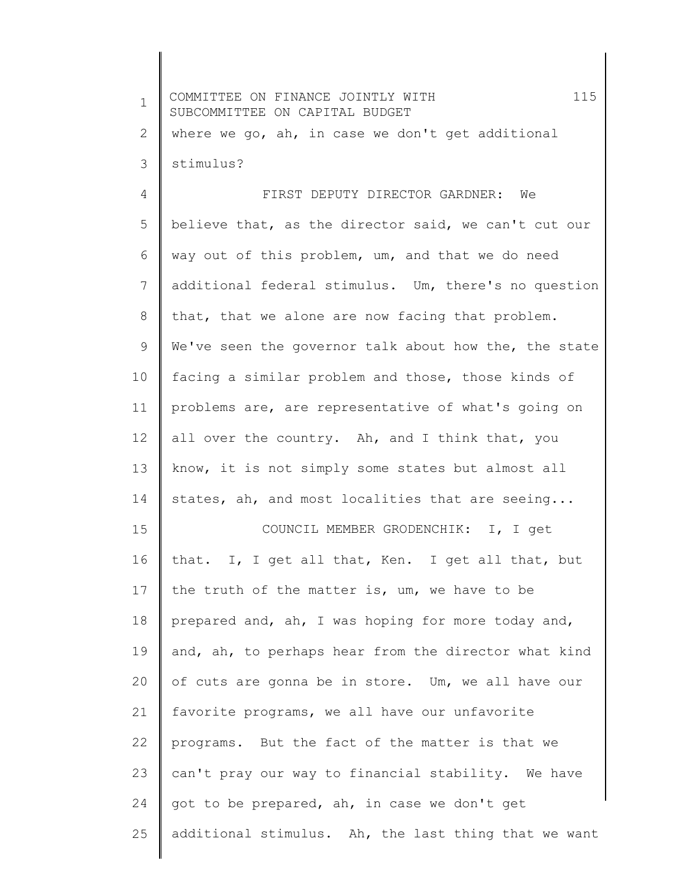| $\mathbf 1$    | 115<br>COMMITTEE ON FINANCE JOINTLY WITH<br>SUBCOMMITTEE ON CAPITAL BUDGET |
|----------------|----------------------------------------------------------------------------|
| 2              | where we go, ah, in case we don't get additional                           |
| 3              | stimulus?                                                                  |
| $\overline{4}$ | FIRST DEPUTY DIRECTOR GARDNER: We                                          |
| 5              | believe that, as the director said, we can't cut our                       |
| 6              | way out of this problem, um, and that we do need                           |
| 7              | additional federal stimulus. Um, there's no question                       |
| 8              | that, that we alone are now facing that problem.                           |
| 9              | We've seen the governor talk about how the, the state                      |
| 10             | facing a similar problem and those, those kinds of                         |
| 11             | problems are, are representative of what's going on                        |
| 12             | all over the country. Ah, and I think that, you                            |
| 13             | know, it is not simply some states but almost all                          |
| 14             | states, ah, and most localities that are seeing                            |
| 15             | COUNCIL MEMBER GRODENCHIK: I, I get                                        |
| 16             | that. I, I get all that, Ken. I get all that, but                          |
| 17             | the truth of the matter is, um, we have to be                              |
| 18             | prepared and, ah, I was hoping for more today and,                         |
| 19             | and, ah, to perhaps hear from the director what kind                       |
| 20             | of cuts are gonna be in store. Um, we all have our                         |
| 21             | favorite programs, we all have our unfavorite                              |
| 22             | programs. But the fact of the matter is that we                            |
| 23             | can't pray our way to financial stability. We have                         |
| 24             | got to be prepared, ah, in case we don't get                               |
| 25             | additional stimulus. Ah, the last thing that we want                       |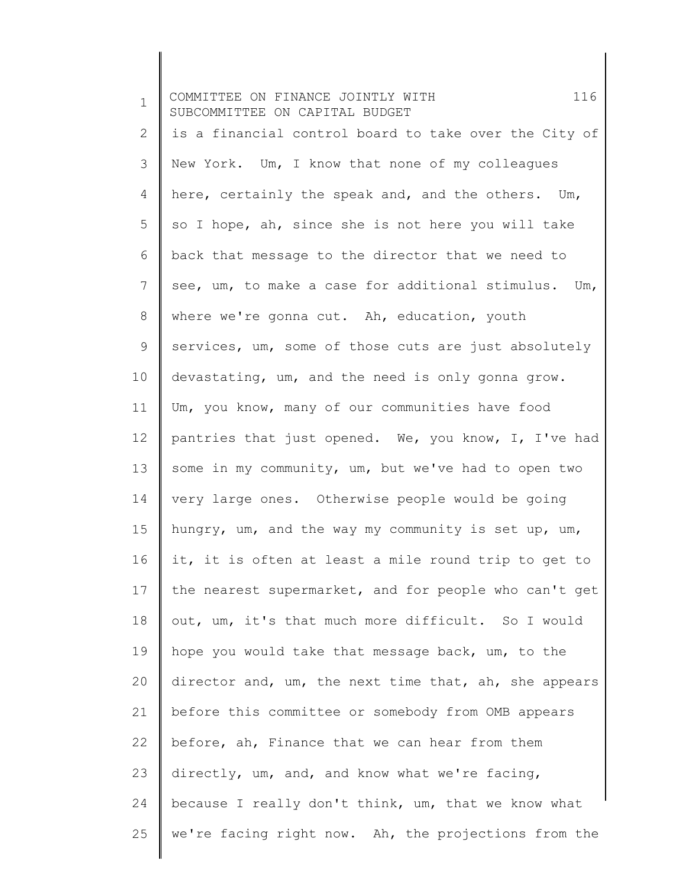1 2 3 4 5 6 7 8 9 10 11 12 13 14 15 16 17 18 19 20 21 22 23 24 25 COMMITTEE ON FINANCE JOINTLY WITH 116 SUBCOMMITTEE ON CAPITAL BUDGET is a financial control board to take over the City of New York. Um, I know that none of my colleagues here, certainly the speak and, and the others. Um, so I hope, ah, since she is not here you will take back that message to the director that we need to see, um, to make a case for additional stimulus. Um, where we're gonna cut. Ah, education, youth services, um, some of those cuts are just absolutely devastating, um, and the need is only gonna grow. Um, you know, many of our communities have food pantries that just opened. We, you know, I, I've had some in my community, um, but we've had to open two very large ones. Otherwise people would be going hungry, um, and the way my community is set up, um, it, it is often at least a mile round trip to get to the nearest supermarket, and for people who can't get out, um, it's that much more difficult. So I would hope you would take that message back, um, to the director and, um, the next time that, ah, she appears before this committee or somebody from OMB appears before, ah, Finance that we can hear from them directly, um, and, and know what we're facing, because I really don't think, um, that we know what we're facing right now. Ah, the projections from the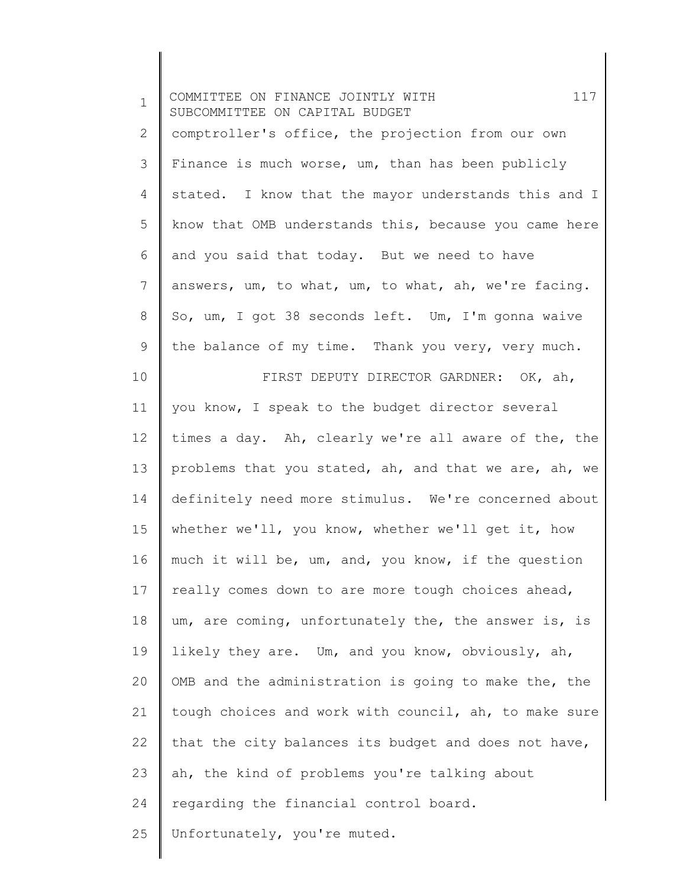| $\mathbf 1$    | 117<br>COMMITTEE ON FINANCE JOINTLY WITH<br>SUBCOMMITTEE ON CAPITAL BUDGET |
|----------------|----------------------------------------------------------------------------|
| $\overline{2}$ | comptroller's office, the projection from our own                          |
| 3              | Finance is much worse, um, than has been publicly                          |
| 4              | stated. I know that the mayor understands this and I                       |
| 5              | know that OMB understands this, because you came here                      |
| 6              | and you said that today. But we need to have                               |
| 7              | answers, um, to what, um, to what, ah, we're facing.                       |
| 8              | So, um, I got 38 seconds left. Um, I'm gonna waive                         |
| 9              | the balance of my time. Thank you very, very much.                         |
| 10             | FIRST DEPUTY DIRECTOR GARDNER: OK, ah,                                     |
| 11             | you know, I speak to the budget director several                           |
| 12             | times a day. Ah, clearly we're all aware of the, the                       |
| 13             | problems that you stated, ah, and that we are, ah, we                      |
| 14             | definitely need more stimulus. We're concerned about                       |
| 15             | whether we'll, you know, whether we'll get it, how                         |
| 16             | much it will be, um, and, you know, if the question                        |
| 17             | really comes down to are more tough choices ahead,                         |
| 18             | um, are coming, unfortunately the, the answer is, is                       |
| 19             | likely they are. Um, and you know, obviously, ah,                          |
| 20             | OMB and the administration is going to make the, the                       |
| 21             | tough choices and work with council, ah, to make sure                      |
| 22             | that the city balances its budget and does not have,                       |
| 23             | ah, the kind of problems you're talking about                              |
| 24             | regarding the financial control board.                                     |
| 25             | Unfortunately, you're muted.                                               |

 $\begin{array}{c} \hline \end{array}$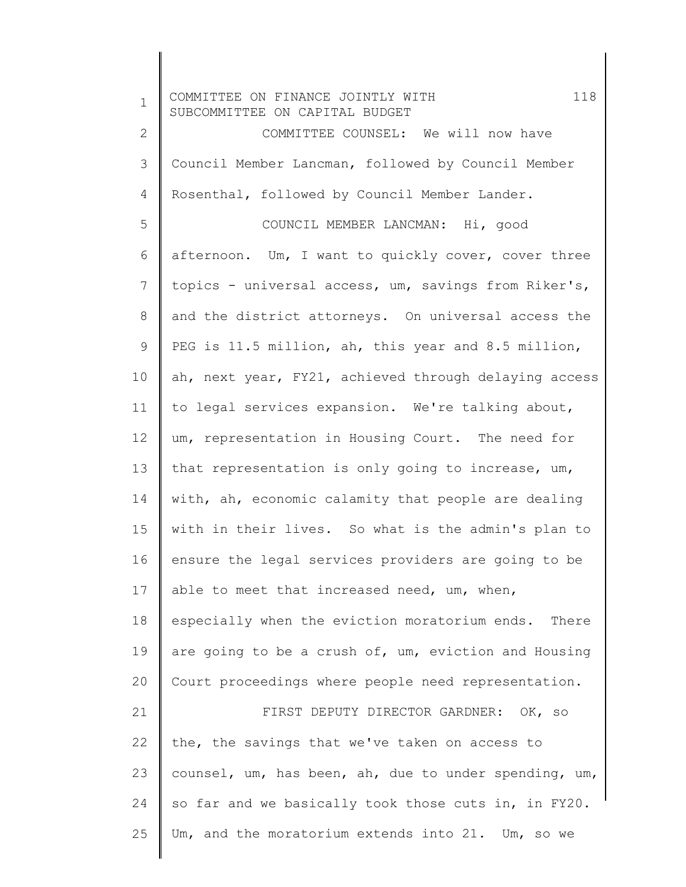1 2 3 4 5 6 7 8 9 10 11 12 13 14 15 16 17 18 19 20 21 22 23 24 25 COMMITTEE ON FINANCE JOINTLY WITH 118 SUBCOMMITTEE ON CAPITAL BUDGET COMMITTEE COUNSEL: We will now have Council Member Lancman, followed by Council Member Rosenthal, followed by Council Member Lander. COUNCIL MEMBER LANCMAN: Hi, good afternoon. Um, I want to quickly cover, cover three topics - universal access, um, savings from Riker's, and the district attorneys. On universal access the PEG is 11.5 million, ah, this year and 8.5 million, ah, next year, FY21, achieved through delaying access to legal services expansion. We're talking about, um, representation in Housing Court. The need for that representation is only going to increase, um, with, ah, economic calamity that people are dealing with in their lives. So what is the admin's plan to ensure the legal services providers are going to be able to meet that increased need, um, when, especially when the eviction moratorium ends. There are going to be a crush of, um, eviction and Housing Court proceedings where people need representation. FIRST DEPUTY DIRECTOR GARDNER: OK, so the, the savings that we've taken on access to counsel, um, has been, ah, due to under spending, um, so far and we basically took those cuts in, in FY20. Um, and the moratorium extends into 21. Um, so we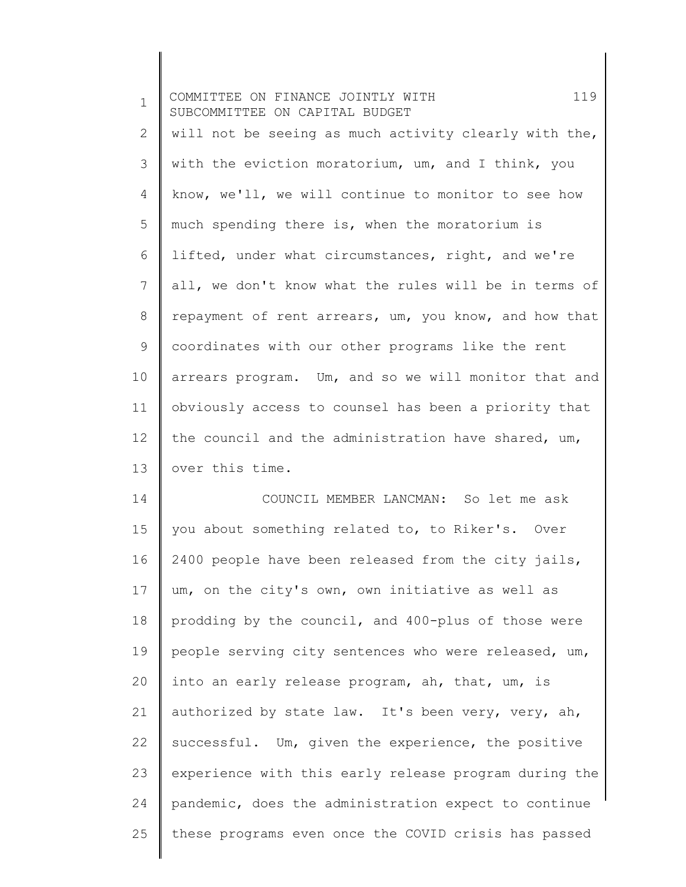1 2 3 4 5 6 7 8 9 10 11 12 13 14 15 16 17 18 COMMITTEE ON FINANCE JOINTLY WITH 119 SUBCOMMITTEE ON CAPITAL BUDGET will not be seeing as much activity clearly with the, with the eviction moratorium, um, and I think, you know, we'll, we will continue to monitor to see how much spending there is, when the moratorium is lifted, under what circumstances, right, and we're all, we don't know what the rules will be in terms of repayment of rent arrears, um, you know, and how that coordinates with our other programs like the rent arrears program. Um, and so we will monitor that and obviously access to counsel has been a priority that the council and the administration have shared, um, over this time. COUNCIL MEMBER LANCMAN: So let me ask you about something related to, to Riker's. Over 2400 people have been released from the city jails, um, on the city's own, own initiative as well as prodding by the council, and 400-plus of those were

19 20 21 22 23 24 25 people serving city sentences who were released, um, into an early release program, ah, that, um, is authorized by state law. It's been very, very, ah, successful. Um, given the experience, the positive experience with this early release program during the pandemic, does the administration expect to continue these programs even once the COVID crisis has passed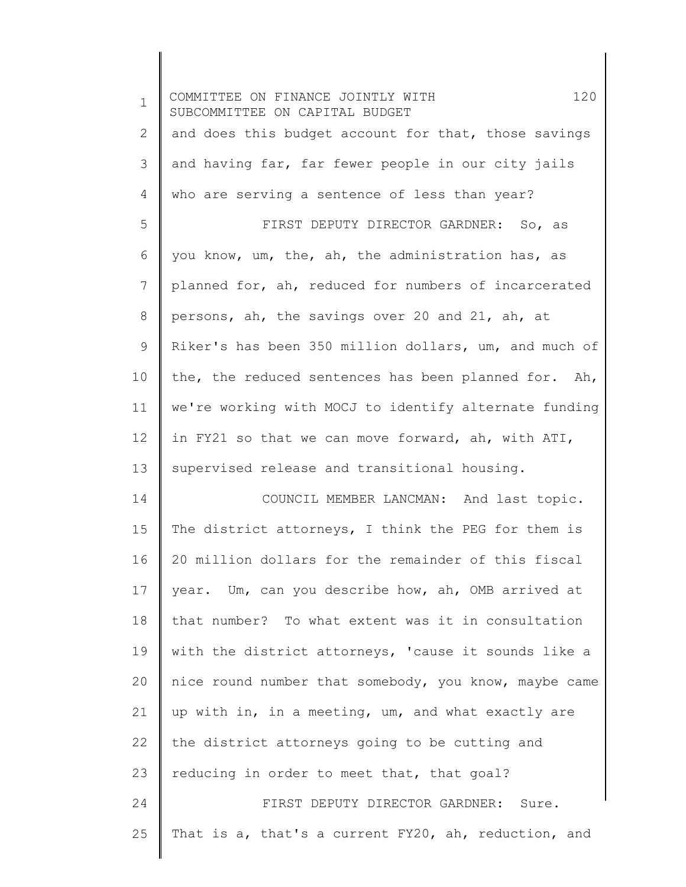| $\mathbf 1$ | 120<br>COMMITTEE ON FINANCE JOINTLY WITH<br>SUBCOMMITTEE ON CAPITAL BUDGET |
|-------------|----------------------------------------------------------------------------|
| 2           | and does this budget account for that, those savings                       |
| 3           | and having far, far fewer people in our city jails                         |
| 4           | who are serving a sentence of less than year?                              |
| 5           | FIRST DEPUTY DIRECTOR GARDNER: So, as                                      |
| 6           | you know, um, the, ah, the administration has, as                          |
| 7           | planned for, ah, reduced for numbers of incarcerated                       |
| 8           | persons, ah, the savings over 20 and 21, ah, at                            |
| 9           | Riker's has been 350 million dollars, um, and much of                      |
| 10          | the, the reduced sentences has been planned for. Ah,                       |
| 11          | we're working with MOCJ to identify alternate funding                      |
| 12          | in FY21 so that we can move forward, ah, with ATI,                         |
| 13          | supervised release and transitional housing.                               |
| 14          | COUNCIL MEMBER LANCMAN: And last topic.                                    |
| 15          | The district attorneys, I think the PEG for them is                        |
| 16          | 20 million dollars for the remainder of this fiscal                        |
| 17          | year. Um, can you describe how, ah, OMB arrived at                         |
| 18          | that number? To what extent was it in consultation                         |
| 19          | with the district attorneys, 'cause it sounds like a                       |
| 20          | nice round number that somebody, you know, maybe came                      |
| 21          | up with in, in a meeting, um, and what exactly are                         |
| 22          | the district attorneys going to be cutting and                             |
| 23          | reducing in order to meet that, that goal?                                 |
| 24          | FIRST DEPUTY DIRECTOR GARDNER: Sure.                                       |
| 25          | That is a, that's a current FY20, ah, reduction, and                       |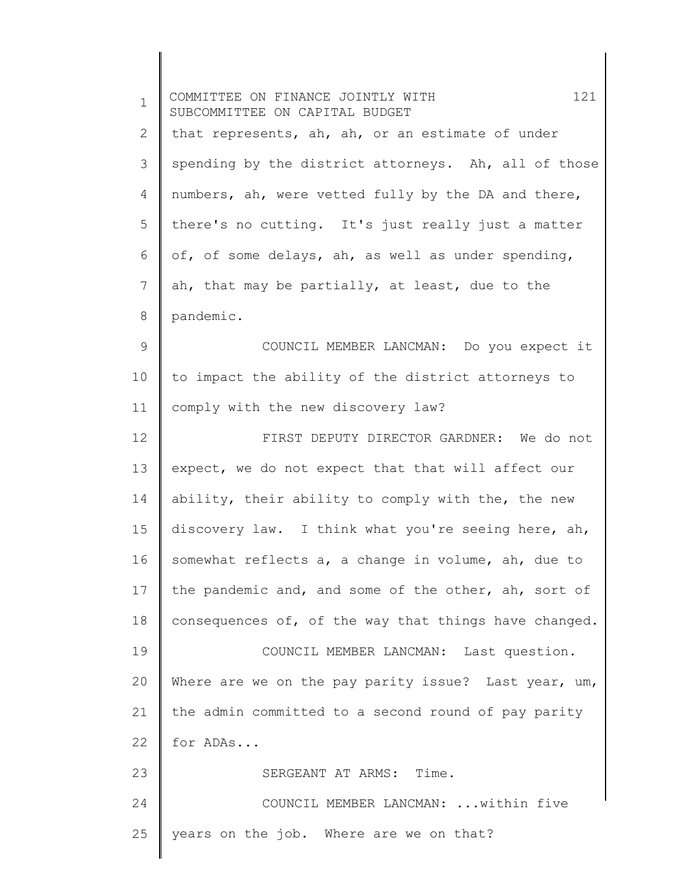| $\mathbf 1$ | 121<br>COMMITTEE ON FINANCE JOINTLY WITH<br>SUBCOMMITTEE ON CAPITAL BUDGET |
|-------------|----------------------------------------------------------------------------|
| 2           | that represents, ah, ah, or an estimate of under                           |
| 3           | spending by the district attorneys. Ah, all of those                       |
| 4           | numbers, ah, were vetted fully by the DA and there,                        |
| 5           | there's no cutting. It's just really just a matter                         |
| 6           | of, of some delays, ah, as well as under spending,                         |
| 7           | ah, that may be partially, at least, due to the                            |
| 8           | pandemic.                                                                  |
| 9           | COUNCIL MEMBER LANCMAN: Do you expect it                                   |
| 10          | to impact the ability of the district attorneys to                         |
| 11          | comply with the new discovery law?                                         |
| 12          | FIRST DEPUTY DIRECTOR GARDNER: We do not                                   |
| 13          | expect, we do not expect that that will affect our                         |
| 14          | ability, their ability to comply with the, the new                         |
| 15          | discovery law. I think what you're seeing here, ah,                        |
| 16          | somewhat reflects a, a change in volume, ah, due to                        |
| 17          | the pandemic and, and some of the other, ah, sort of                       |
| 18          | consequences of, of the way that things have changed.                      |
| 19          | COUNCIL MEMBER LANCMAN: Last question.                                     |
| 20          | Where are we on the pay parity issue? Last year, $um$ ,                    |
| 21          | the admin committed to a second round of pay parity                        |
| 22          | for ADAs                                                                   |
| 23          | SERGEANT AT ARMS: Time.                                                    |
| 24          | COUNCIL MEMBER LANCMAN:  within five                                       |
| 25          | years on the job. Where are we on that?                                    |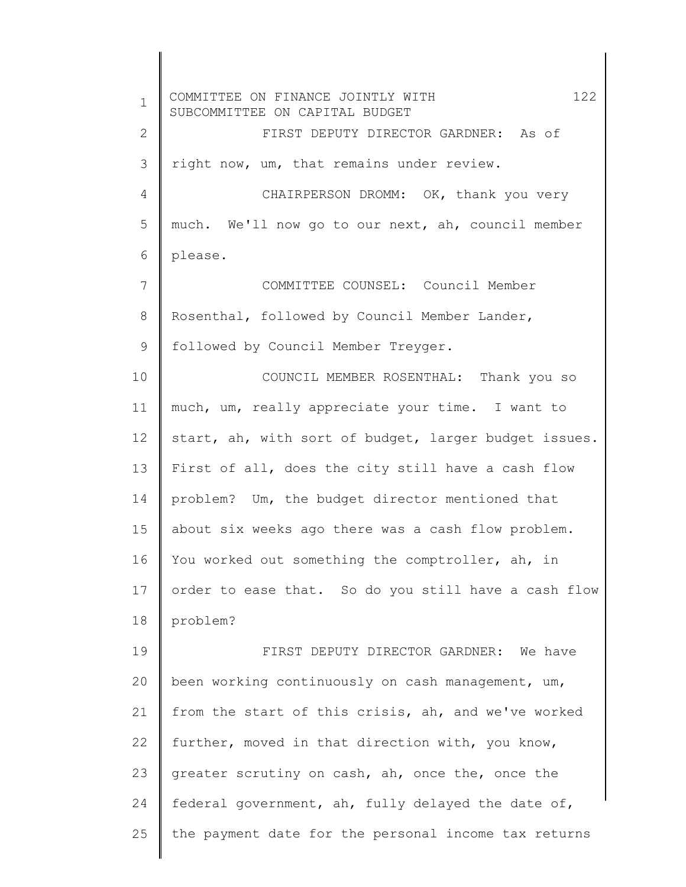1 2 3 4 5 6 7 8 9 10 11 12 13 14 15 16 17 18 19 20 21 22 23 24 25 COMMITTEE ON FINANCE JOINTLY WITH 122 SUBCOMMITTEE ON CAPITAL BUDGET FIRST DEPUTY DIRECTOR GARDNER: As of right now, um, that remains under review. CHAIRPERSON DROMM: OK, thank you very much. We'll now go to our next, ah, council member please. COMMITTEE COUNSEL: Council Member Rosenthal, followed by Council Member Lander, followed by Council Member Treyger. COUNCIL MEMBER ROSENTHAL: Thank you so much, um, really appreciate your time. I want to start, ah, with sort of budget, larger budget issues. First of all, does the city still have a cash flow problem? Um, the budget director mentioned that about six weeks ago there was a cash flow problem. You worked out something the comptroller, ah, in order to ease that. So do you still have a cash flow problem? FIRST DEPUTY DIRECTOR GARDNER: We have been working continuously on cash management, um, from the start of this crisis, ah, and we've worked further, moved in that direction with, you know, greater scrutiny on cash, ah, once the, once the federal government, ah, fully delayed the date of, the payment date for the personal income tax returns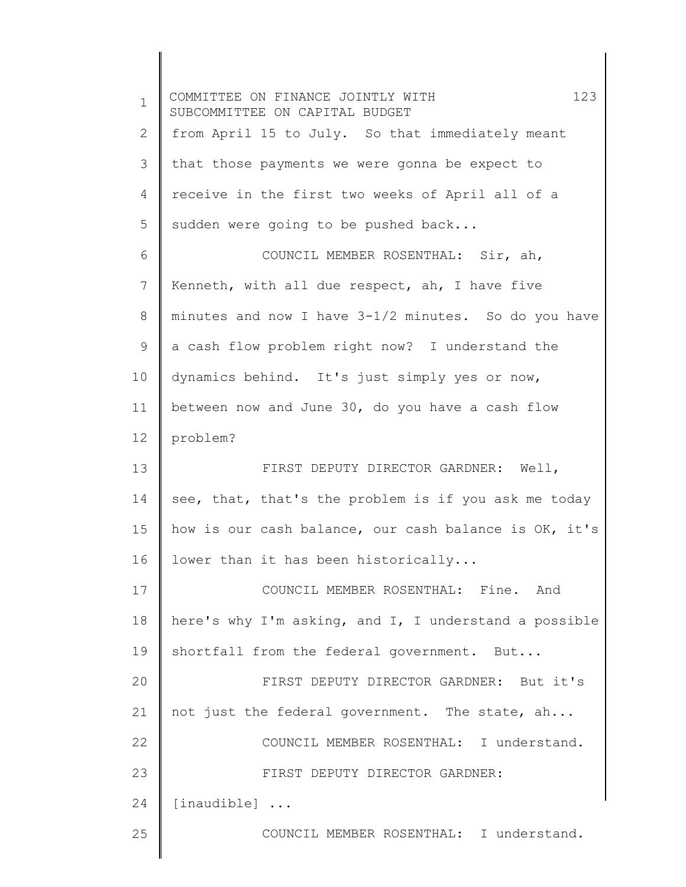| $\mathbf 1$ | 123<br>COMMITTEE ON FINANCE JOINTLY WITH<br>SUBCOMMITTEE ON CAPITAL BUDGET |
|-------------|----------------------------------------------------------------------------|
| 2           | from April 15 to July. So that immediately meant                           |
| 3           | that those payments we were gonna be expect to                             |
| 4           | receive in the first two weeks of April all of a                           |
| 5           | sudden were going to be pushed back                                        |
| 6           | COUNCIL MEMBER ROSENTHAL: Sir, ah,                                         |
| 7           | Kenneth, with all due respect, ah, I have five                             |
| 8           | minutes and now I have 3-1/2 minutes. So do you have                       |
| 9           | a cash flow problem right now? I understand the                            |
| 10          | dynamics behind. It's just simply yes or now,                              |
| 11          | between now and June 30, do you have a cash flow                           |
| 12          | problem?                                                                   |
| 13          | FIRST DEPUTY DIRECTOR GARDNER: Well,                                       |
| 14          | see, that, that's the problem is if you ask me today                       |
| 15          | how is our cash balance, our cash balance is OK, it's                      |
| 16          | lower than it has been historically                                        |
| 17          | COUNCIL MEMBER ROSENTHAL: Fine. And                                        |
| 18          | here's why I'm asking, and I, I understand a possible                      |
| 19          | shortfall from the federal government. But                                 |
| 20          | FIRST DEPUTY DIRECTOR GARDNER: But it's                                    |
| 21          | not just the federal government. The state, ah                             |
| 22          | COUNCIL MEMBER ROSENTHAL: I understand.                                    |
| 23          | FIRST DEPUTY DIRECTOR GARDNER:                                             |
| 24          | $[$ inaudible $]$                                                          |
| 25          | COUNCIL MEMBER ROSENTHAL: I understand.                                    |

 $\overline{\phantom{a}}$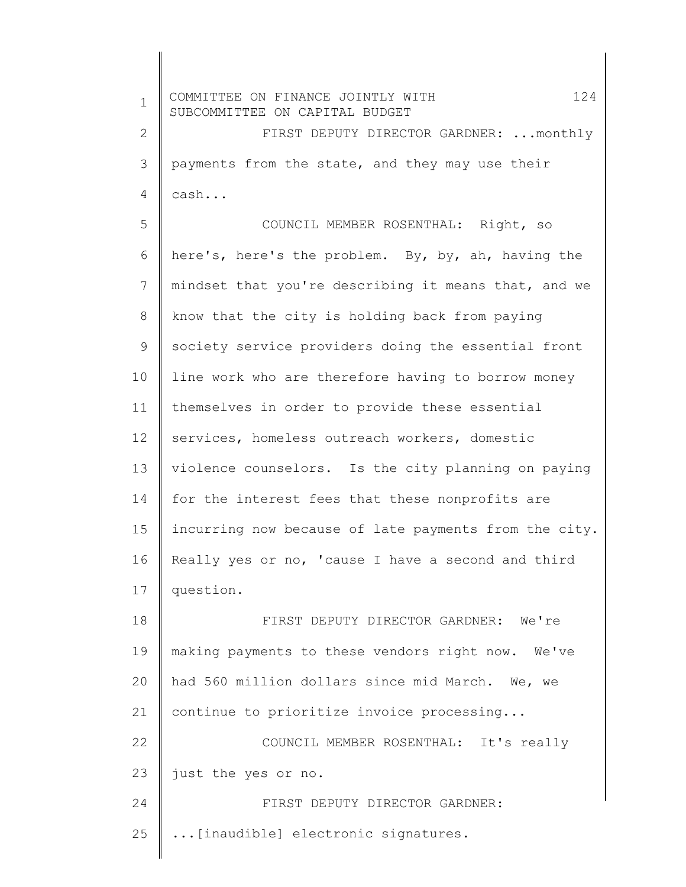1 2 3 4 5 6 7 8 9 10 11 12 13 14 15 16 17 18 19 20 21 22 23 24 25 COMMITTEE ON FINANCE JOINTLY WITH 124 SUBCOMMITTEE ON CAPITAL BUDGET FIRST DEPUTY DIRECTOR GARDNER: ...monthly payments from the state, and they may use their cash... COUNCIL MEMBER ROSENTHAL: Right, so here's, here's the problem. By, by, ah, having the mindset that you're describing it means that, and we know that the city is holding back from paying society service providers doing the essential front line work who are therefore having to borrow money themselves in order to provide these essential services, homeless outreach workers, domestic violence counselors. Is the city planning on paying for the interest fees that these nonprofits are incurring now because of late payments from the city. Really yes or no, 'cause I have a second and third question. FIRST DEPUTY DIRECTOR GARDNER: We're making payments to these vendors right now. We've had 560 million dollars since mid March. We, we continue to prioritize invoice processing... COUNCIL MEMBER ROSENTHAL: It's really just the yes or no. FIRST DEPUTY DIRECTOR GARDNER: ...[inaudible] electronic signatures.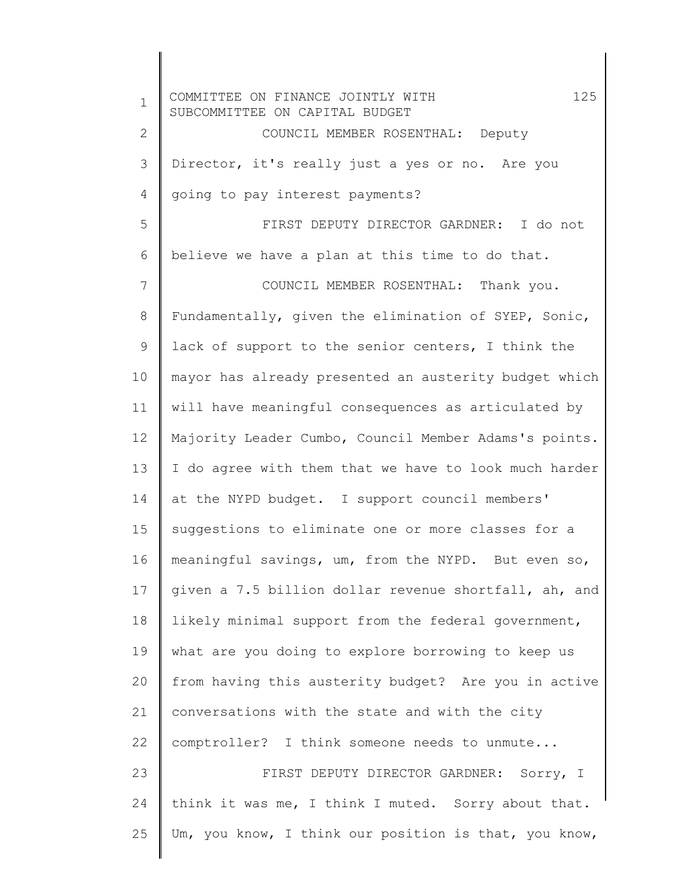1 2 3 4 5 6 7 8 9 10 11 12 13 14 15 16 17 18 19 20 21 22 23 24 25 COMMITTEE ON FINANCE JOINTLY WITH 125 SUBCOMMITTEE ON CAPITAL BUDGET COUNCIL MEMBER ROSENTHAL: Deputy Director, it's really just a yes or no. Are you going to pay interest payments? FIRST DEPUTY DIRECTOR GARDNER: I do not believe we have a plan at this time to do that. COUNCIL MEMBER ROSENTHAL: Thank you. Fundamentally, given the elimination of SYEP, Sonic, lack of support to the senior centers, I think the mayor has already presented an austerity budget which will have meaningful consequences as articulated by Majority Leader Cumbo, Council Member Adams's points. I do agree with them that we have to look much harder at the NYPD budget. I support council members' suggestions to eliminate one or more classes for a meaningful savings, um, from the NYPD. But even so, given a 7.5 billion dollar revenue shortfall, ah, and likely minimal support from the federal government, what are you doing to explore borrowing to keep us from having this austerity budget? Are you in active conversations with the state and with the city comptroller? I think someone needs to unmute... FIRST DEPUTY DIRECTOR GARDNER: Sorry, I think it was me, I think I muted. Sorry about that. Um, you know, I think our position is that, you know,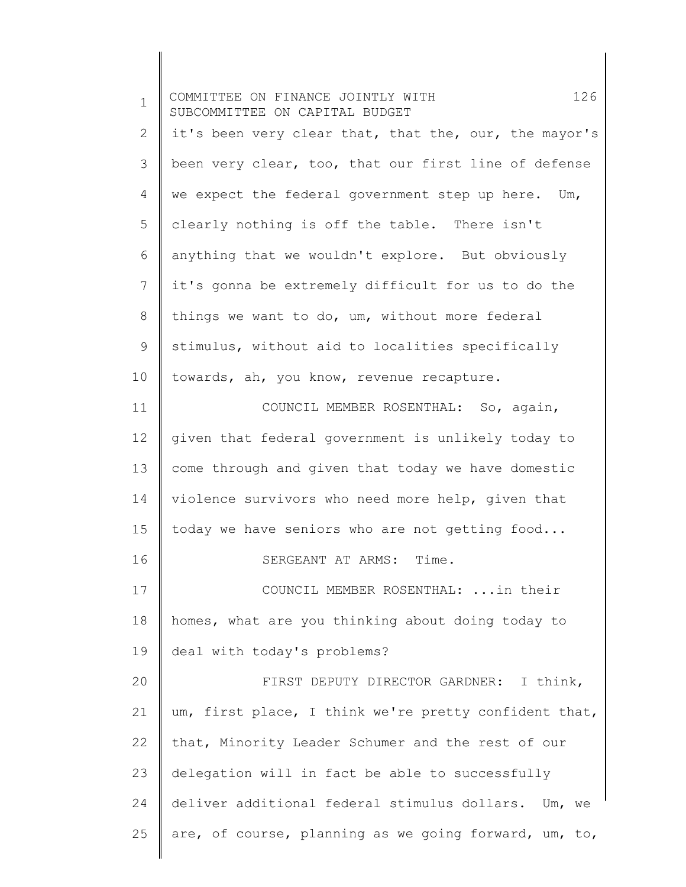1 2 3 4 5 6 7 8 9 10 11 12 13 14 15 16 17 18 19 20 21 22 23 24 25 COMMITTEE ON FINANCE JOINTLY WITH 126 SUBCOMMITTEE ON CAPITAL BUDGET it's been very clear that, that the, our, the mayor's been very clear, too, that our first line of defense we expect the federal government step up here. Um, clearly nothing is off the table. There isn't anything that we wouldn't explore. But obviously it's gonna be extremely difficult for us to do the things we want to do, um, without more federal stimulus, without aid to localities specifically towards, ah, you know, revenue recapture. COUNCIL MEMBER ROSENTHAL: So, again, given that federal government is unlikely today to come through and given that today we have domestic violence survivors who need more help, given that today we have seniors who are not getting food... SERGEANT AT ARMS: Time. COUNCIL MEMBER ROSENTHAL: ...in their homes, what are you thinking about doing today to deal with today's problems? FIRST DEPUTY DIRECTOR GARDNER: I think, um, first place, I think we're pretty confident that, that, Minority Leader Schumer and the rest of our delegation will in fact be able to successfully deliver additional federal stimulus dollars. Um, we are, of course, planning as we going forward, um, to,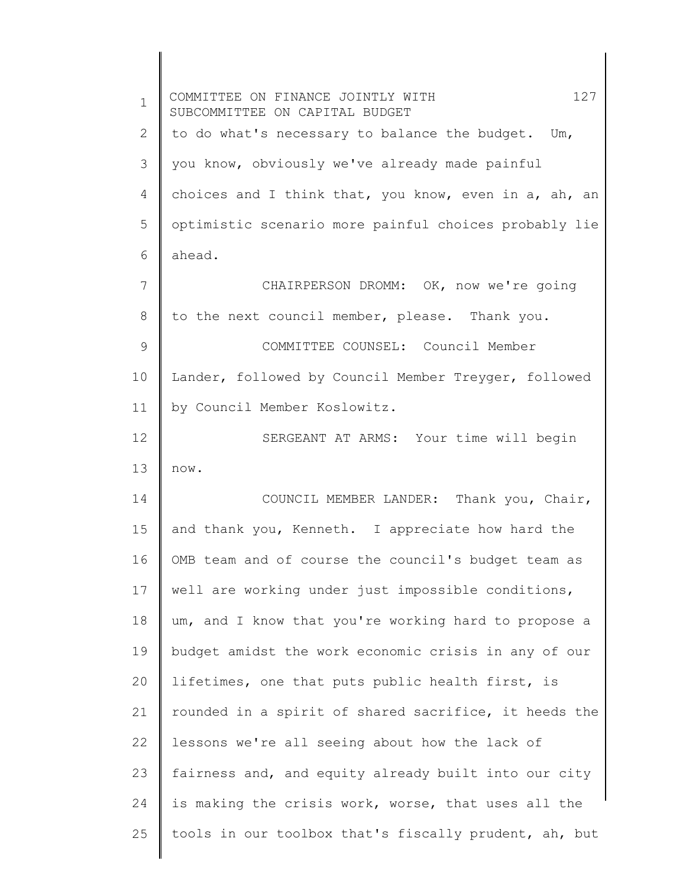| $\mathbf 1$ | 127<br>COMMITTEE ON FINANCE JOINTLY WITH<br>SUBCOMMITTEE ON CAPITAL BUDGET |
|-------------|----------------------------------------------------------------------------|
| 2           | to do what's necessary to balance the budget. Um,                          |
| 3           | you know, obviously we've already made painful                             |
| 4           | choices and I think that, you know, even in a, ah, an                      |
| 5           | optimistic scenario more painful choices probably lie                      |
| 6           | ahead.                                                                     |
| 7           | CHAIRPERSON DROMM: OK, now we're going                                     |
| 8           | to the next council member, please. Thank you.                             |
| 9           | COMMITTEE COUNSEL: Council Member                                          |
| 10          | Lander, followed by Council Member Treyger, followed                       |
| 11          | by Council Member Koslowitz.                                               |
| 12          | SERGEANT AT ARMS: Your time will begin                                     |
| 13          | now.                                                                       |
| 14          | COUNCIL MEMBER LANDER: Thank you, Chair,                                   |
| 15          | and thank you, Kenneth. I appreciate how hard the                          |
| 16          | OMB team and of course the council's budget team as                        |
| 17          | well are working under just impossible conditions,                         |
| 18          | um, and I know that you're working hard to propose a                       |
| 19          | budget amidst the work economic crisis in any of our                       |
| 20          | lifetimes, one that puts public health first, is                           |
| 21          | rounded in a spirit of shared sacrifice, it heeds the                      |
| 22          | lessons we're all seeing about how the lack of                             |
| 23          | fairness and, and equity already built into our city                       |
| 24          | is making the crisis work, worse, that uses all the                        |
| 25          | tools in our toolbox that's fiscally prudent, ah, but                      |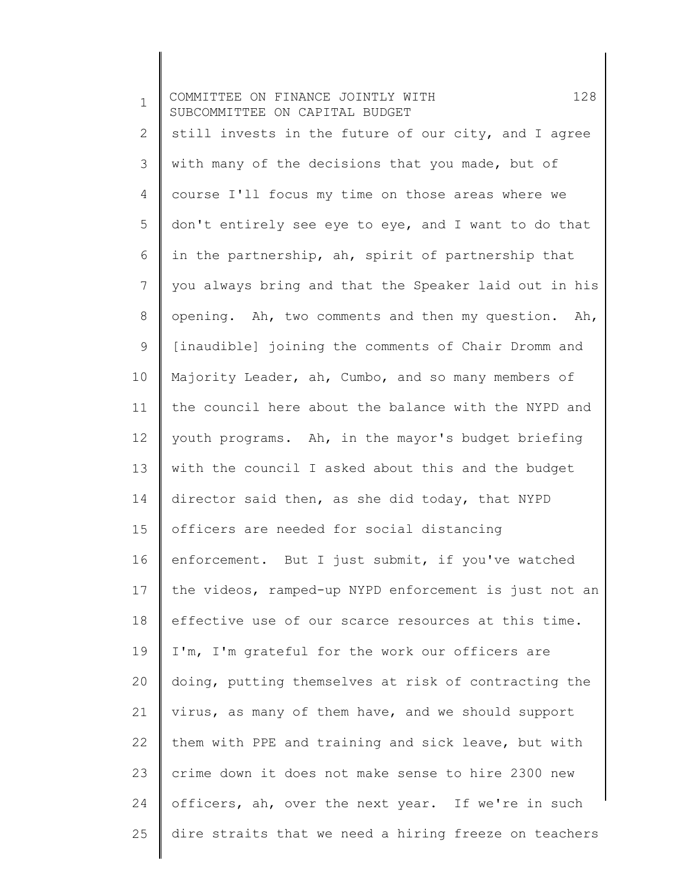1 2 3 4 5 6 7 8 9 10 11 12 13 14 15 16 17 18 19 20 21 22 23 24 25 COMMITTEE ON FINANCE JOINTLY WITH 128 SUBCOMMITTEE ON CAPITAL BUDGET still invests in the future of our city, and I agree with many of the decisions that you made, but of course I'll focus my time on those areas where we don't entirely see eye to eye, and I want to do that in the partnership, ah, spirit of partnership that you always bring and that the Speaker laid out in his opening. Ah, two comments and then my question. Ah, [inaudible] joining the comments of Chair Dromm and Majority Leader, ah, Cumbo, and so many members of the council here about the balance with the NYPD and youth programs. Ah, in the mayor's budget briefing with the council I asked about this and the budget director said then, as she did today, that NYPD officers are needed for social distancing enforcement. But I just submit, if you've watched the videos, ramped-up NYPD enforcement is just not an effective use of our scarce resources at this time. I'm, I'm grateful for the work our officers are doing, putting themselves at risk of contracting the virus, as many of them have, and we should support them with PPE and training and sick leave, but with crime down it does not make sense to hire 2300 new officers, ah, over the next year. If we're in such dire straits that we need a hiring freeze on teachers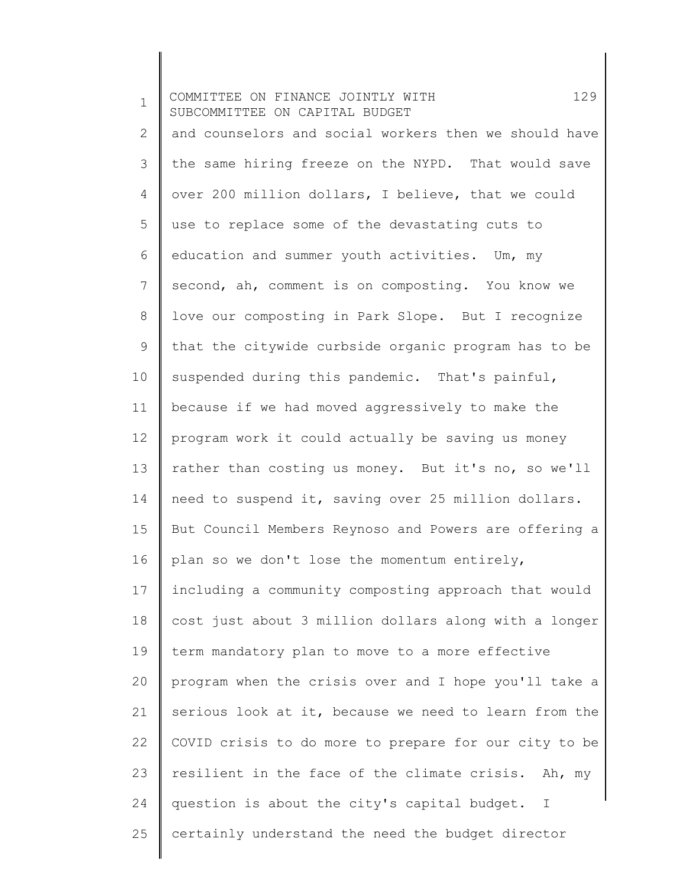1 2 3 4 5 6 7 8 9 10 11 12 13 14 15 16 17 18 19 20 21 22 23 24 25 COMMITTEE ON FINANCE JOINTLY WITH 129 SUBCOMMITTEE ON CAPITAL BUDGET and counselors and social workers then we should have the same hiring freeze on the NYPD. That would save over 200 million dollars, I believe, that we could use to replace some of the devastating cuts to education and summer youth activities. Um, my second, ah, comment is on composting. You know we love our composting in Park Slope. But I recognize that the citywide curbside organic program has to be suspended during this pandemic. That's painful, because if we had moved aggressively to make the program work it could actually be saving us money rather than costing us money. But it's no, so we'll need to suspend it, saving over 25 million dollars. But Council Members Reynoso and Powers are offering a plan so we don't lose the momentum entirely, including a community composting approach that would cost just about 3 million dollars along with a longer term mandatory plan to move to a more effective program when the crisis over and I hope you'll take a serious look at it, because we need to learn from the COVID crisis to do more to prepare for our city to be resilient in the face of the climate crisis. Ah, my question is about the city's capital budget. I certainly understand the need the budget director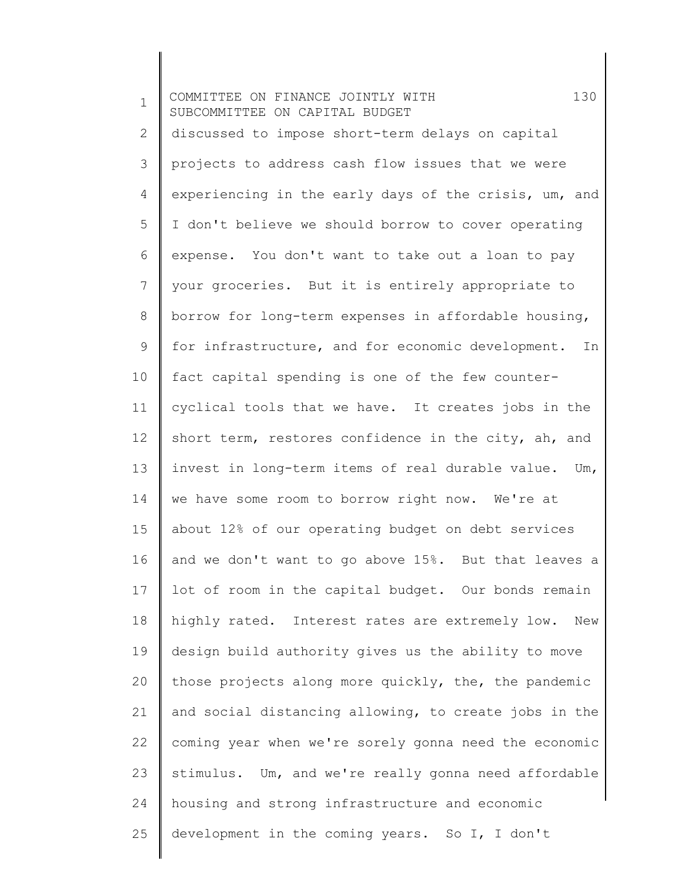1 2 3 4 5 6 7 8 9 10 11 12 13 14 15 16 17 18 19 20 21 22 23 24 25 COMMITTEE ON FINANCE JOINTLY WITH 130 SUBCOMMITTEE ON CAPITAL BUDGET discussed to impose short-term delays on capital projects to address cash flow issues that we were experiencing in the early days of the crisis, um, and I don't believe we should borrow to cover operating expense. You don't want to take out a loan to pay your groceries. But it is entirely appropriate to borrow for long-term expenses in affordable housing, for infrastructure, and for economic development. In fact capital spending is one of the few countercyclical tools that we have. It creates jobs in the short term, restores confidence in the city, ah, and invest in long-term items of real durable value. Um, we have some room to borrow right now. We're at about 12% of our operating budget on debt services and we don't want to go above 15%. But that leaves a lot of room in the capital budget. Our bonds remain highly rated. Interest rates are extremely low. New design build authority gives us the ability to move those projects along more quickly, the, the pandemic and social distancing allowing, to create jobs in the coming year when we're sorely gonna need the economic stimulus. Um, and we're really gonna need affordable housing and strong infrastructure and economic development in the coming years. So I, I don't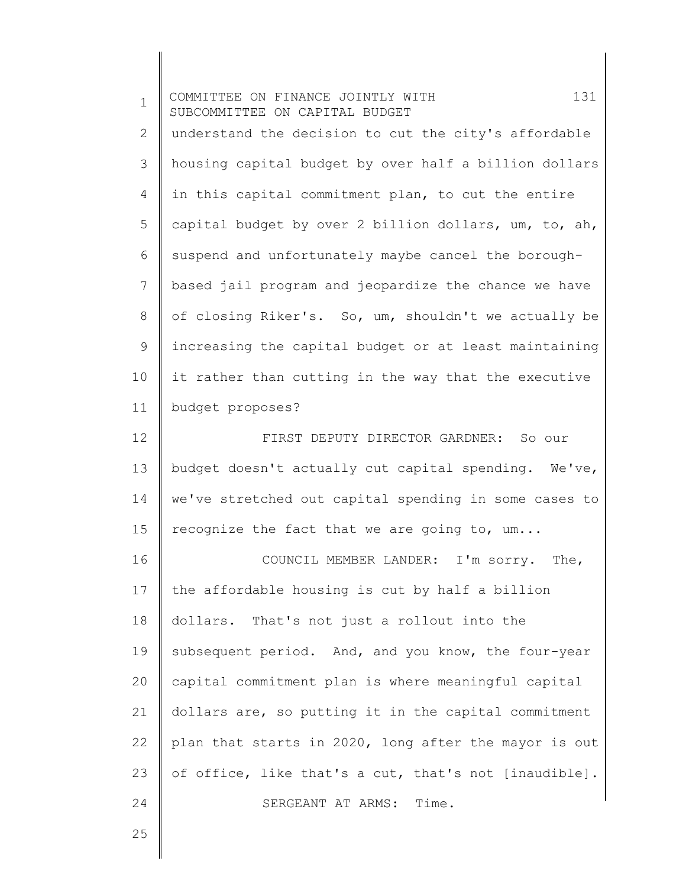| $\mathbf 1$    | 131<br>COMMITTEE ON FINANCE JOINTLY WITH<br>SUBCOMMITTEE ON CAPITAL BUDGET |
|----------------|----------------------------------------------------------------------------|
| $\mathbf{2}$   | understand the decision to cut the city's affordable                       |
| 3              | housing capital budget by over half a billion dollars                      |
| 4              | in this capital commitment plan, to cut the entire                         |
| 5              | capital budget by over 2 billion dollars, um, to, ah,                      |
| 6              | suspend and unfortunately maybe cancel the borough-                        |
| $7\phantom{.}$ | based jail program and jeopardize the chance we have                       |
| 8              | of closing Riker's. So, um, shouldn't we actually be                       |
| 9              | increasing the capital budget or at least maintaining                      |
| 10             | it rather than cutting in the way that the executive                       |
| 11             | budget proposes?                                                           |
| 12             | FIRST DEPUTY DIRECTOR GARDNER: So our                                      |
| 13             | budget doesn't actually cut capital spending. We've,                       |
| 14             | we've stretched out capital spending in some cases to                      |
| 15             | recognize the fact that we are going to, um                                |
| 16             | COUNCIL MEMBER LANDER: I'm sorry. The,                                     |
| 17             | the affordable housing is cut by half a billion                            |
| 18             | dollars. That's not just a rollout into the                                |
| 19             | subsequent period. And, and you know, the four-year                        |
| 20             | capital commitment plan is where meaningful capital                        |
| 21             | dollars are, so putting it in the capital commitment                       |
| 22             | plan that starts in 2020, long after the mayor is out                      |
| 23             | of office, like that's a cut, that's not [inaudible].                      |
| 24             | SERGEANT AT ARMS:<br>Time.                                                 |
| 25             |                                                                            |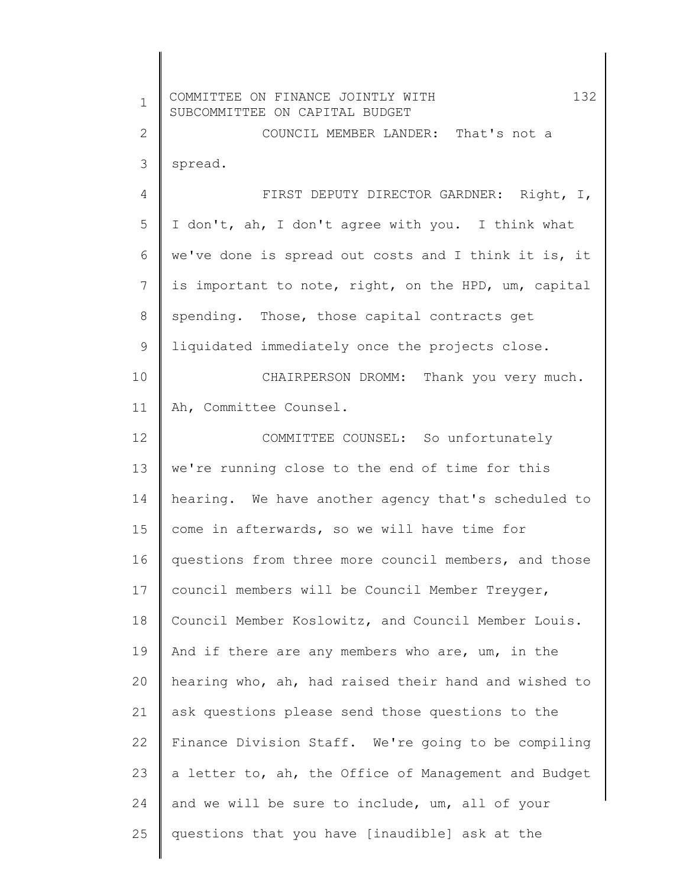| $\mathbf 1$  | 132<br>COMMITTEE ON FINANCE JOINTLY WITH<br>SUBCOMMITTEE ON CAPITAL BUDGET |
|--------------|----------------------------------------------------------------------------|
| $\mathbf{2}$ | COUNCIL MEMBER LANDER: That's not a                                        |
| 3            | spread.                                                                    |
| 4            | FIRST DEPUTY DIRECTOR GARDNER: Right, I,                                   |
| 5            | I don't, ah, I don't agree with you. I think what                          |
| 6            | we've done is spread out costs and I think it is, it                       |
| 7            | is important to note, right, on the HPD, um, capital                       |
| $8\,$        | spending. Those, those capital contracts get                               |
| $\mathsf 9$  | liquidated immediately once the projects close.                            |
| 10           | CHAIRPERSON DROMM: Thank you very much.                                    |
| 11           | Ah, Committee Counsel.                                                     |
| 12           | COMMITTEE COUNSEL: So unfortunately                                        |
| 13           | we're running close to the end of time for this                            |
| 14           | hearing. We have another agency that's scheduled to                        |
| 15           | come in afterwards, so we will have time for                               |
| 16           | questions from three more council members, and those                       |
| 17           | council members will be Council Member Treyger,                            |
| 18           | Council Member Koslowitz, and Council Member Louis.                        |
| 19           | And if there are any members who are, um, in the                           |
| 20           | hearing who, ah, had raised their hand and wished to                       |
| 21           | ask questions please send those questions to the                           |
| 22           | Finance Division Staff. We're going to be compiling                        |
| 23           | a letter to, ah, the Office of Management and Budget                       |
| 24           | and we will be sure to include, um, all of your                            |
| 25           | questions that you have [inaudible] ask at the                             |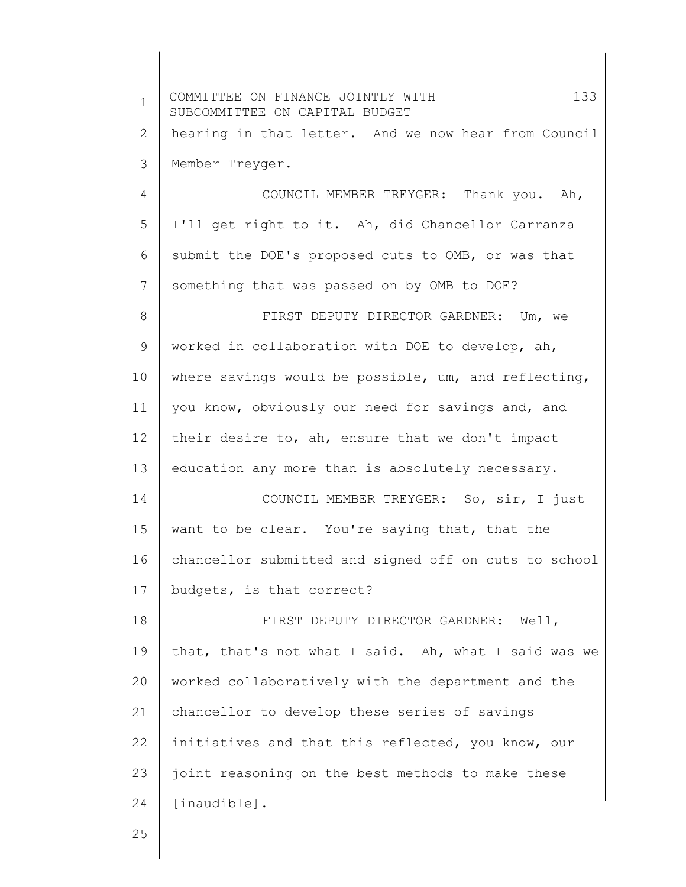| $\mathbf 1$ | COMMITTEE ON FINANCE JOINTLY WITH<br>133<br>SUBCOMMITTEE ON CAPITAL BUDGET |
|-------------|----------------------------------------------------------------------------|
| 2           | hearing in that letter. And we now hear from Council                       |
| 3           | Member Treyger.                                                            |
| 4           | COUNCIL MEMBER TREYGER: Thank you. Ah,                                     |
| 5           | I'll get right to it. Ah, did Chancellor Carranza                          |
| 6           | submit the DOE's proposed cuts to OMB, or was that                         |
| 7           | something that was passed on by OMB to DOE?                                |
| 8           | FIRST DEPUTY DIRECTOR GARDNER: Um, we                                      |
| 9           | worked in collaboration with DOE to develop, ah,                           |
| 10          | where savings would be possible, um, and reflecting,                       |
| 11          | you know, obviously our need for savings and, and                          |
| 12          | their desire to, ah, ensure that we don't impact                           |
| 13          | education any more than is absolutely necessary.                           |
| 14          | COUNCIL MEMBER TREYGER: So, sir, I just                                    |
| 15          | want to be clear. You're saying that, that the                             |
| 16          | chancellor submitted and signed off on cuts to school                      |
| 17          | budgets, is that correct?                                                  |
| 18          | FIRST DEPUTY DIRECTOR GARDNER: Well,                                       |
| 19          | that, that's not what I said. Ah, what I said was we                       |
| 20          | worked collaboratively with the department and the                         |
| 21          | chancellor to develop these series of savings                              |
| 22          | initiatives and that this reflected, you know, our                         |
| 23          | joint reasoning on the best methods to make these                          |
| 24          | [inaudible].                                                               |
| 25          |                                                                            |

25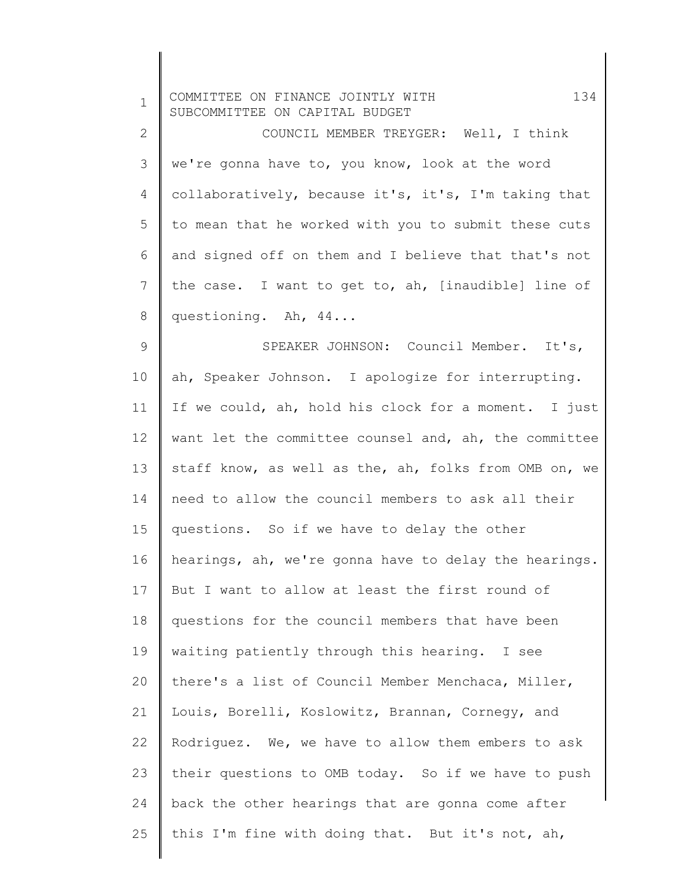| $\mathbf 1$    | 134<br>COMMITTEE ON FINANCE JOINTLY WITH<br>SUBCOMMITTEE ON CAPITAL BUDGET |
|----------------|----------------------------------------------------------------------------|
| $\mathbf{2}$   | COUNCIL MEMBER TREYGER: Well, I think                                      |
| 3              | we're gonna have to, you know, look at the word                            |
| 4              | collaboratively, because it's, it's, I'm taking that                       |
| 5              | to mean that he worked with you to submit these cuts                       |
| 6              | and signed off on them and I believe that that's not                       |
| $\overline{7}$ | the case. I want to get to, ah, [inaudible] line of                        |
| $\,8\,$        | questioning. Ah, 44                                                        |
| $\mathsf 9$    | SPEAKER JOHNSON: Council Member. It's,                                     |
| 10             | ah, Speaker Johnson. I apologize for interrupting.                         |
| 11             | If we could, ah, hold his clock for a moment. I just                       |
| 12             | want let the committee counsel and, ah, the committee                      |
| 13             | staff know, as well as the, ah, folks from OMB on, we                      |
| 14             | need to allow the council members to ask all their                         |
| 15             | questions. So if we have to delay the other                                |
| 16             | hearings, ah, we're gonna have to delay the hearings.                      |
| 17             | But I want to allow at least the first round of                            |
| 18             | questions for the council members that have been                           |
| 19             | waiting patiently through this hearing. I see                              |
| 20             | there's a list of Council Member Menchaca, Miller,                         |
| 21             | Louis, Borelli, Koslowitz, Brannan, Cornegy, and                           |
| 22             | Rodriquez. We, we have to allow them embers to ask                         |
| 23             | their questions to OMB today. So if we have to push                        |
| 24             | back the other hearings that are gonna come after                          |
| 25             | this I'm fine with doing that. But it's not, ah,                           |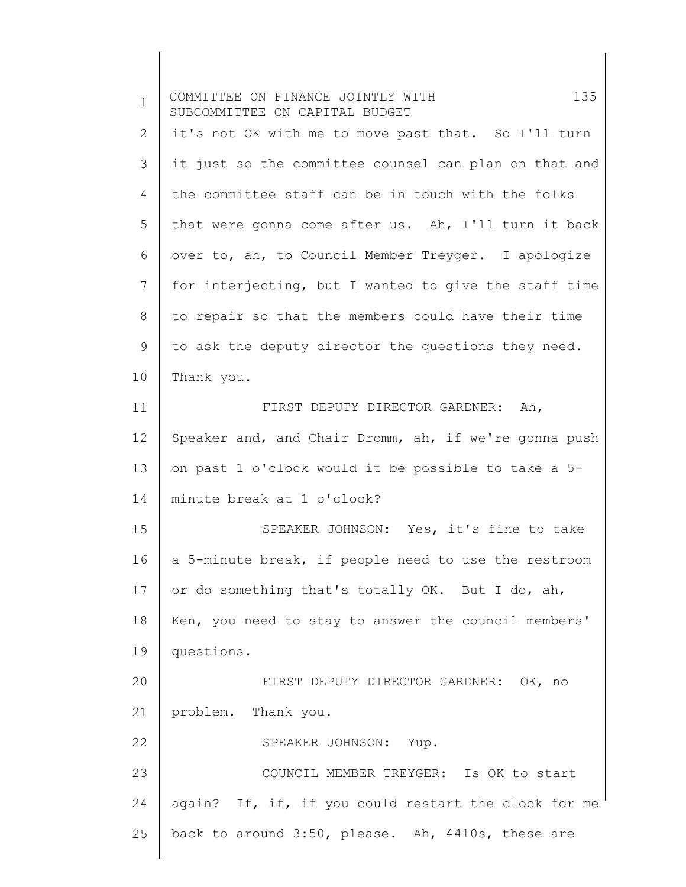1 2 3 4 5 6 7 8 9 10 11 12 13 14 15 16 17 18 19 20 21 22 23 24 25 COMMITTEE ON FINANCE JOINTLY WITH 135 SUBCOMMITTEE ON CAPITAL BUDGET it's not OK with me to move past that. So I'll turn it just so the committee counsel can plan on that and the committee staff can be in touch with the folks that were gonna come after us. Ah, I'll turn it back over to, ah, to Council Member Treyger. I apologize for interjecting, but I wanted to give the staff time to repair so that the members could have their time to ask the deputy director the questions they need. Thank you. FIRST DEPUTY DIRECTOR GARDNER: Ah, Speaker and, and Chair Dromm, ah, if we're gonna push on past 1 o'clock would it be possible to take a 5 minute break at 1 o'clock? SPEAKER JOHNSON: Yes, it's fine to take a 5-minute break, if people need to use the restroom or do something that's totally OK. But I do, ah, Ken, you need to stay to answer the council members' questions. FIRST DEPUTY DIRECTOR GARDNER: OK, no problem. Thank you. SPEAKER JOHNSON: Yup. COUNCIL MEMBER TREYGER: Is OK to start again? If, if, if you could restart the clock for me back to around 3:50, please. Ah, 4410s, these are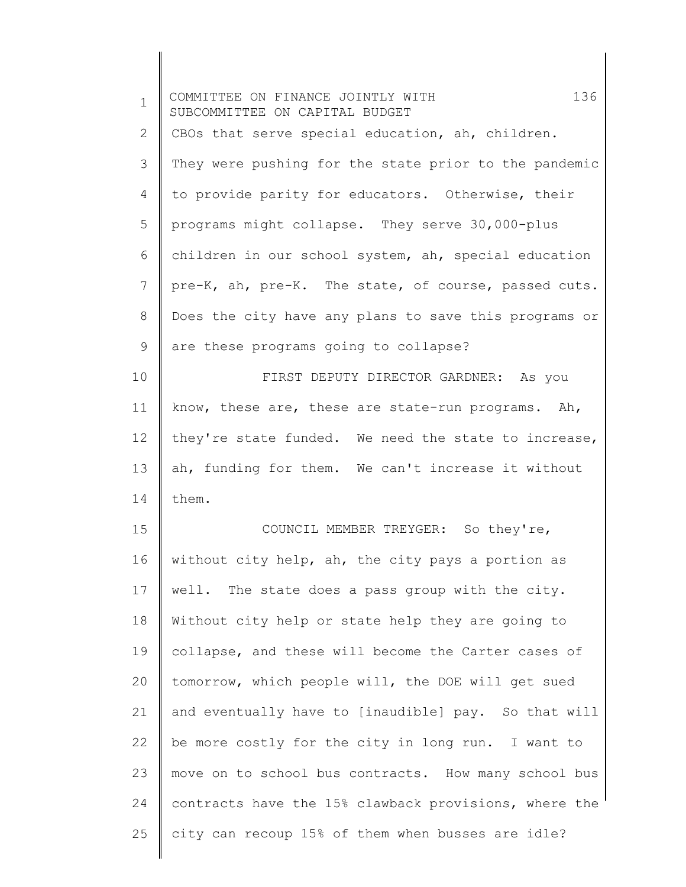| $\mathbf 1$ | 136<br>COMMITTEE ON FINANCE JOINTLY WITH<br>SUBCOMMITTEE ON CAPITAL BUDGET |
|-------------|----------------------------------------------------------------------------|
| 2           | CBOs that serve special education, ah, children.                           |
| 3           | They were pushing for the state prior to the pandemic                      |
| 4           | to provide parity for educators. Otherwise, their                          |
| 5           | programs might collapse. They serve 30,000-plus                            |
| 6           | children in our school system, ah, special education                       |
| 7           | pre-K, ah, pre-K. The state, of course, passed cuts.                       |
| 8           | Does the city have any plans to save this programs or                      |
| 9           | are these programs going to collapse?                                      |
| 10          | FIRST DEPUTY DIRECTOR GARDNER: As you                                      |
| 11          | know, these are, these are state-run programs. Ah,                         |
| 12          | they're state funded. We need the state to increase,                       |
| 13          | ah, funding for them. We can't increase it without                         |
| 14          | them.                                                                      |
| 15          | COUNCIL MEMBER TREYGER: So they're,                                        |
| 16          | without city help, ah, the city pays a portion as                          |
| 17          | well. The state does a pass group with the city.                           |
| 18          | Without city help or state help they are going to                          |
| 19          | collapse, and these will become the Carter cases of                        |
| 20          | tomorrow, which people will, the DOE will get sued                         |
| 21          | and eventually have to [inaudible] pay. So that will                       |
| 22          | be more costly for the city in long run. I want to                         |
| 23          | move on to school bus contracts. How many school bus                       |
| 24          | contracts have the 15% clawback provisions, where the                      |
| 25          | city can recoup 15% of them when busses are idle?                          |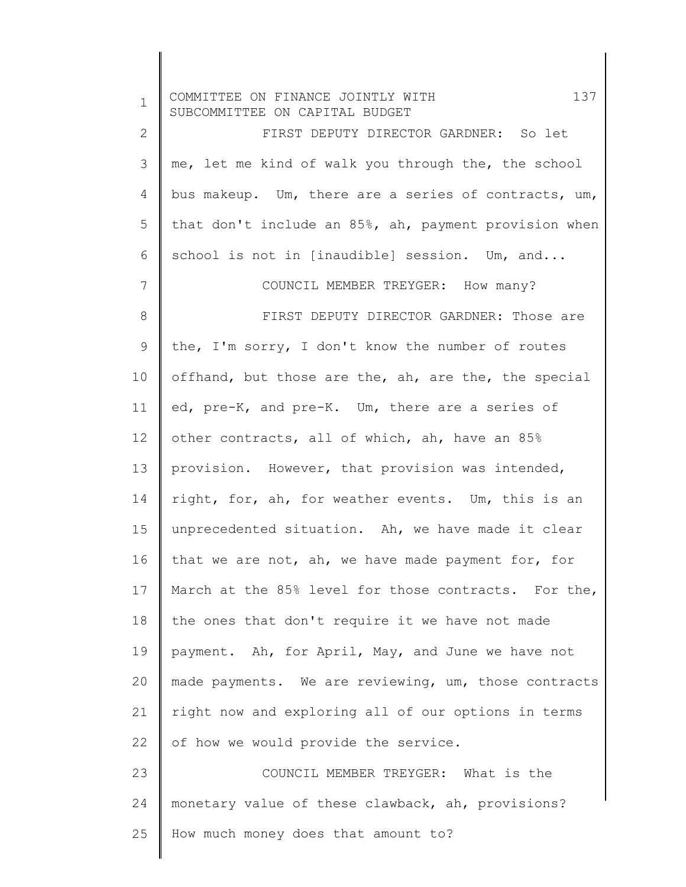| $\mathbf 1$  | 137<br>COMMITTEE ON FINANCE JOINTLY WITH<br>SUBCOMMITTEE ON CAPITAL BUDGET |
|--------------|----------------------------------------------------------------------------|
| $\mathbf{2}$ | FIRST DEPUTY DIRECTOR GARDNER: So let                                      |
| 3            | me, let me kind of walk you through the, the school                        |
| 4            | bus makeup. Um, there are a series of contracts, um,                       |
| 5            | that don't include an 85%, ah, payment provision when                      |
| 6            | school is not in [inaudible] session. Um, and                              |
| 7            | COUNCIL MEMBER TREYGER: How many?                                          |
| $\,8\,$      | FIRST DEPUTY DIRECTOR GARDNER: Those are                                   |
| 9            | the, I'm sorry, I don't know the number of routes                          |
| 10           | offhand, but those are the, ah, are the, the special                       |
| 11           | ed, pre-K, and pre-K. Um, there are a series of                            |
| 12           | other contracts, all of which, ah, have an 85%                             |
| 13           | provision. However, that provision was intended,                           |
| 14           | right, for, ah, for weather events. Um, this is an                         |
| 15           | unprecedented situation. Ah, we have made it clear                         |
| 16           | that we are not, ah, we have made payment for, for                         |
| 17           | March at the 85% level for those contracts. For the,                       |
| 18           | the ones that don't require it we have not made                            |
| 19           | payment. Ah, for April, May, and June we have not                          |
| 20           | made payments. We are reviewing, um, those contracts                       |
| 21           | right now and exploring all of our options in terms                        |
| 22           | of how we would provide the service.                                       |
| 23           | COUNCIL MEMBER TREYGER: What is the                                        |
| 24           | monetary value of these clawback, ah, provisions?                          |
| 25           | How much money does that amount to?                                        |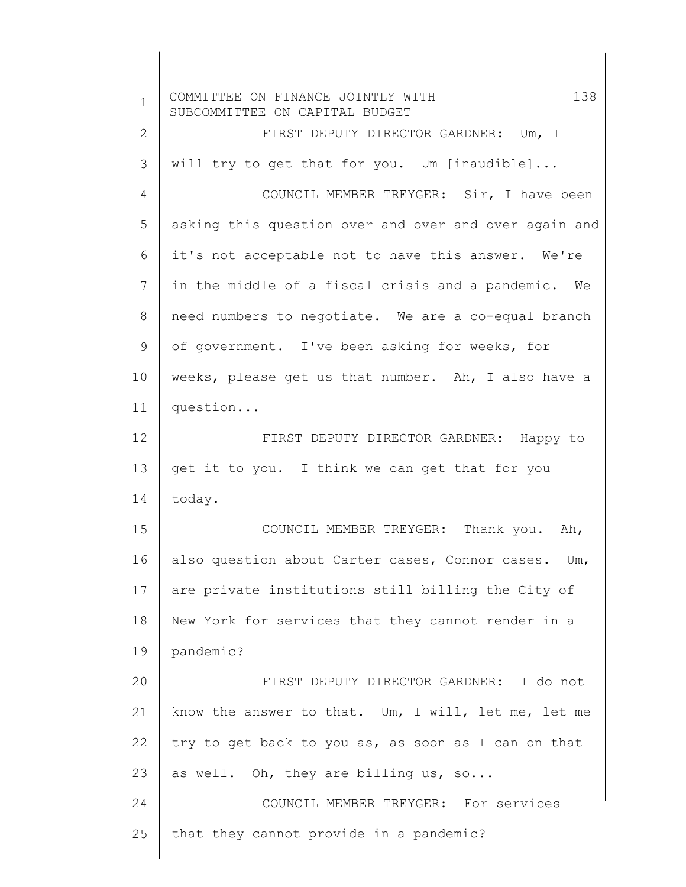| $\mathbf{1}$ | 138<br>COMMITTEE ON FINANCE JOINTLY WITH<br>SUBCOMMITTEE ON CAPITAL BUDGET |
|--------------|----------------------------------------------------------------------------|
| $\mathbf{2}$ | FIRST DEPUTY DIRECTOR GARDNER: Um, I                                       |
| 3            | will try to get that for you. Um [inaudible]                               |
| 4            | COUNCIL MEMBER TREYGER: Sir, I have been                                   |
| 5            | asking this question over and over and over again and                      |
| 6            | it's not acceptable not to have this answer. We're                         |
| 7            | in the middle of a fiscal crisis and a pandemic. We                        |
| 8            | need numbers to negotiate. We are a co-equal branch                        |
| 9            | of government. I've been asking for weeks, for                             |
| 10           | weeks, please get us that number. Ah, I also have a                        |
| 11           | question                                                                   |
| 12           | FIRST DEPUTY DIRECTOR GARDNER: Happy to                                    |
| 13           | get it to you. I think we can get that for you                             |
| 14           | today.                                                                     |
| 15           | COUNCIL MEMBER TREYGER: Thank you. Ah,                                     |
| 16           | also question about Carter cases, Connor cases. Um,                        |
| 17           | are private institutions still billing the City of                         |
| 18           | New York for services that they cannot render in a                         |
| 19           | pandemic?                                                                  |
| 20           | FIRST DEPUTY DIRECTOR GARDNER: I do not                                    |
| 21           | know the answer to that. Um, I will, let me, let me                        |
| 22           | try to get back to you as, as soon as I can on that                        |
| 23           | as well. Oh, they are billing us, so                                       |
| 24           | COUNCIL MEMBER TREYGER: For services                                       |
| 25           | that they cannot provide in a pandemic?                                    |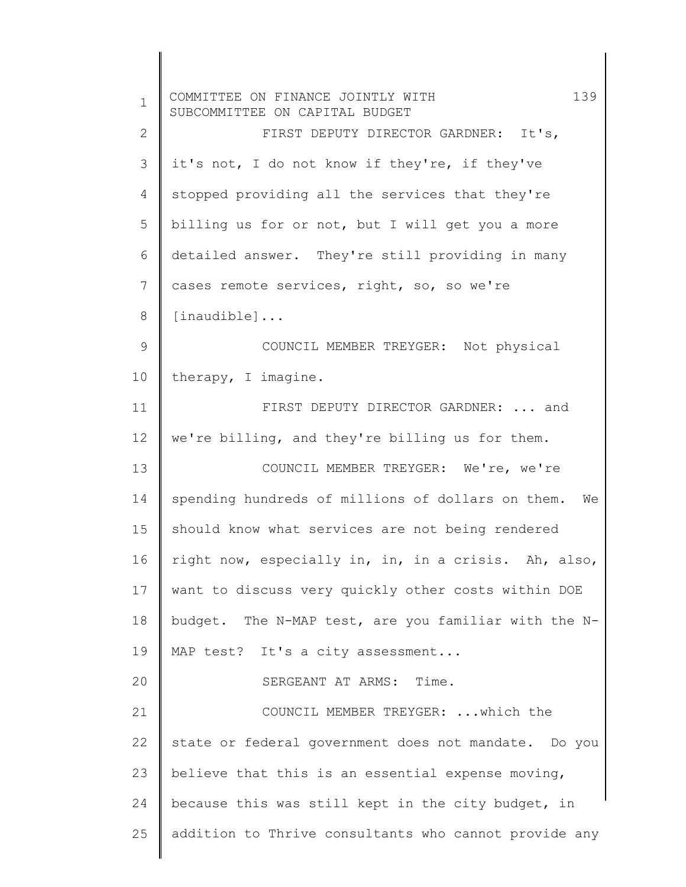| $\mathbf 1$  | 139<br>COMMITTEE ON FINANCE JOINTLY WITH<br>SUBCOMMITTEE ON CAPITAL BUDGET |
|--------------|----------------------------------------------------------------------------|
| $\mathbf{2}$ | FIRST DEPUTY DIRECTOR GARDNER: It's,                                       |
| 3            | it's not, I do not know if they're, if they've                             |
| 4            | stopped providing all the services that they're                            |
| 5            | billing us for or not, but I will get you a more                           |
| 6            | detailed answer. They're still providing in many                           |
| 7            | cases remote services, right, so, so we're                                 |
| 8            | $[$ inaudible $]$                                                          |
| 9            | COUNCIL MEMBER TREYGER: Not physical                                       |
| 10           | therapy, I imagine.                                                        |
| 11           | FIRST DEPUTY DIRECTOR GARDNER:  and                                        |
| 12           | we're billing, and they're billing us for them.                            |
| 13           | COUNCIL MEMBER TREYGER: We're, we're                                       |
| 14           | spending hundreds of millions of dollars on them. We                       |
| 15           | should know what services are not being rendered                           |
| 16           | right now, especially in, in, in a crisis. Ah, also,                       |
| 17           | want to discuss very quickly other costs within DOE                        |
| 18           | budget. The N-MAP test, are you familiar with the N-                       |
| 19           | MAP test? It's a city assessment                                           |
| 20           | SERGEANT AT ARMS: Time.                                                    |
| 21           | COUNCIL MEMBER TREYGER:  which the                                         |
| 22           | state or federal government does not mandate. Do you                       |
| 23           | believe that this is an essential expense moving,                          |
| 24           | because this was still kept in the city budget, in                         |
| 25           | addition to Thrive consultants who cannot provide any                      |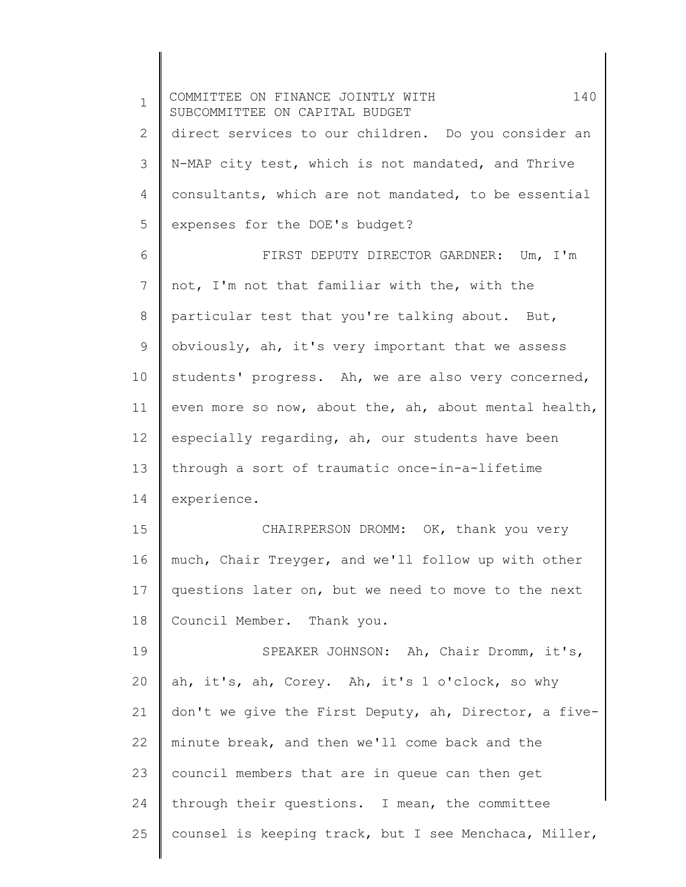1 2 3 4 5 6 7 8 9 10 11 12 13 14 15 16 17 18 19 20 21 22 23 24 25 COMMITTEE ON FINANCE JOINTLY WITH 140 SUBCOMMITTEE ON CAPITAL BUDGET direct services to our children. Do you consider an N-MAP city test, which is not mandated, and Thrive consultants, which are not mandated, to be essential expenses for the DOE's budget? FIRST DEPUTY DIRECTOR GARDNER: Um, I'm not, I'm not that familiar with the, with the particular test that you're talking about. But, obviously, ah, it's very important that we assess students' progress. Ah, we are also very concerned, even more so now, about the, ah, about mental health, especially regarding, ah, our students have been through a sort of traumatic once-in-a-lifetime experience. CHAIRPERSON DROMM: OK, thank you very much, Chair Treyger, and we'll follow up with other questions later on, but we need to move to the next Council Member. Thank you. SPEAKER JOHNSON: Ah, Chair Dromm, it's, ah, it's, ah, Corey. Ah, it's 1 o'clock, so why don't we give the First Deputy, ah, Director, a fiveminute break, and then we'll come back and the council members that are in queue can then get through their questions. I mean, the committee counsel is keeping track, but I see Menchaca, Miller,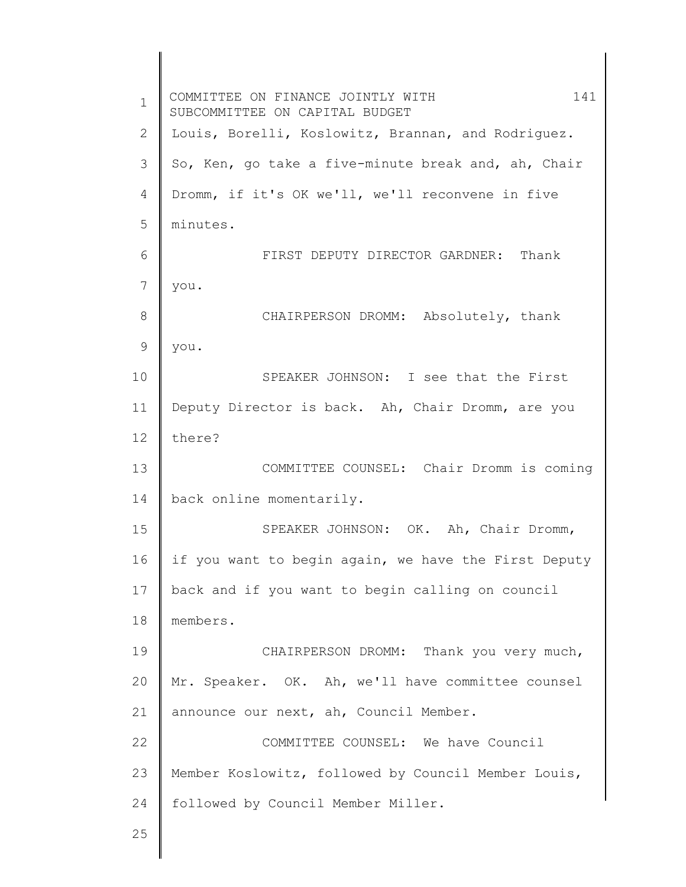1 2 3 4 5 6 7 8 9 10 11 12 13 14 15 16 17 18 19 20 21 22 23 24 25 COMMITTEE ON FINANCE JOINTLY WITH 141 SUBCOMMITTEE ON CAPITAL BUDGET Louis, Borelli, Koslowitz, Brannan, and Rodriguez. So, Ken, go take a five-minute break and, ah, Chair Dromm, if it's OK we'll, we'll reconvene in five minutes. FIRST DEPUTY DIRECTOR GARDNER: Thank you. CHAIRPERSON DROMM: Absolutely, thank you. SPEAKER JOHNSON: I see that the First Deputy Director is back. Ah, Chair Dromm, are you there? COMMITTEE COUNSEL: Chair Dromm is coming back online momentarily. SPEAKER JOHNSON: OK. Ah, Chair Dromm, if you want to begin again, we have the First Deputy back and if you want to begin calling on council members. CHAIRPERSON DROMM: Thank you very much, Mr. Speaker. OK. Ah, we'll have committee counsel announce our next, ah, Council Member. COMMITTEE COUNSEL: We have Council Member Koslowitz, followed by Council Member Louis, followed by Council Member Miller.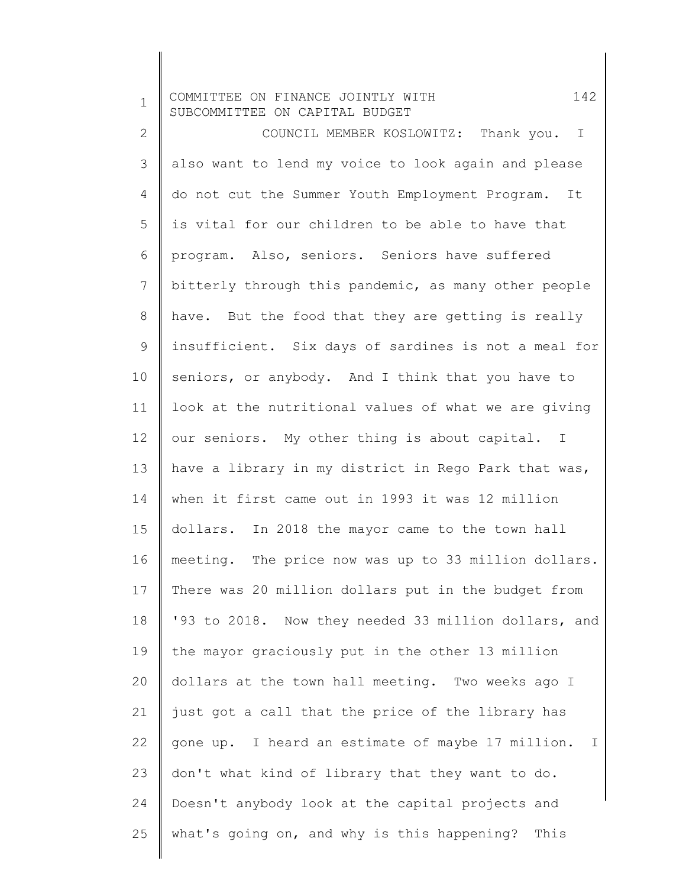1 2 3 4 5 6 7 8 9 10 11 12 13 14 15 16 17 18 19 20 21 22 23 24 25 COMMITTEE ON FINANCE JOINTLY WITH 142 SUBCOMMITTEE ON CAPITAL BUDGET COUNCIL MEMBER KOSLOWITZ: Thank you. I also want to lend my voice to look again and please do not cut the Summer Youth Employment Program. It is vital for our children to be able to have that program. Also, seniors. Seniors have suffered bitterly through this pandemic, as many other people have. But the food that they are getting is really insufficient. Six days of sardines is not a meal for seniors, or anybody. And I think that you have to look at the nutritional values of what we are giving our seniors. My other thing is about capital. I have a library in my district in Rego Park that was, when it first came out in 1993 it was 12 million dollars. In 2018 the mayor came to the town hall meeting. The price now was up to 33 million dollars. There was 20 million dollars put in the budget from '93 to 2018. Now they needed 33 million dollars, and the mayor graciously put in the other 13 million dollars at the town hall meeting. Two weeks ago I just got a call that the price of the library has gone up. I heard an estimate of maybe 17 million. I don't what kind of library that they want to do. Doesn't anybody look at the capital projects and what's going on, and why is this happening? This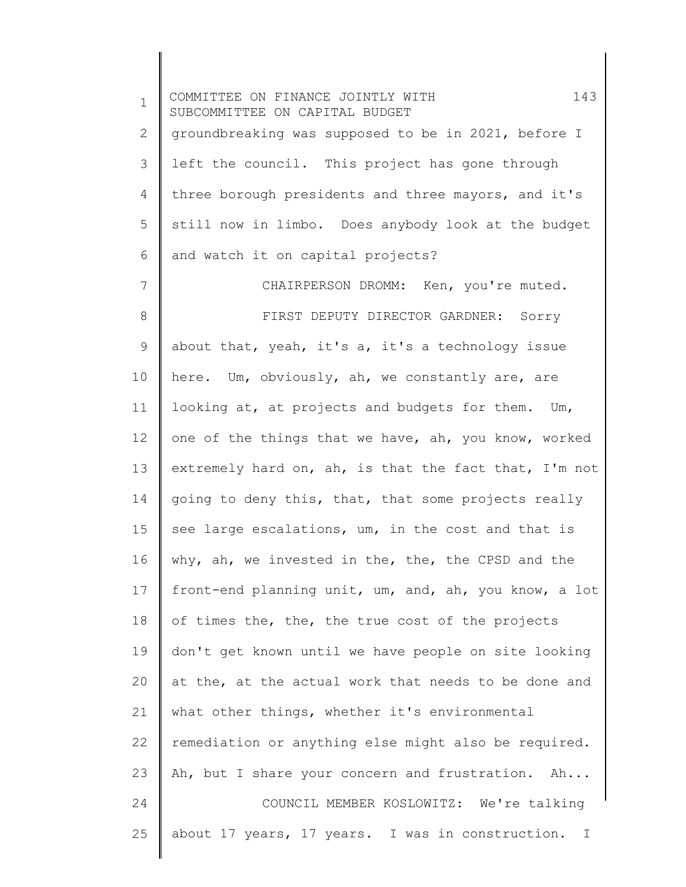1 2 3 4 5 6 7 8 9 10 11 12 13 14 15 16 17 18 19 20 21 22 23 24 25 COMMITTEE ON FINANCE JOINTLY WITH 143 SUBCOMMITTEE ON CAPITAL BUDGET groundbreaking was supposed to be in 2021, before I left the council. This project has gone through three borough presidents and three mayors, and it's still now in limbo. Does anybody look at the budget and watch it on capital projects? CHAIRPERSON DROMM: Ken, you're muted. FIRST DEPUTY DIRECTOR GARDNER: Sorry about that, yeah, it's a, it's a technology issue here. Um, obviously, ah, we constantly are, are looking at, at projects and budgets for them. Um, one of the things that we have, ah, you know, worked extremely hard on, ah, is that the fact that, I'm not going to deny this, that, that some projects really see large escalations, um, in the cost and that is why, ah, we invested in the, the, the CPSD and the front-end planning unit, um, and, ah, you know, a lot of times the, the, the true cost of the projects don't get known until we have people on site looking at the, at the actual work that needs to be done and what other things, whether it's environmental remediation or anything else might also be required. Ah, but I share your concern and frustration. Ah... COUNCIL MEMBER KOSLOWITZ: We're talking about 17 years, 17 years. I was in construction. I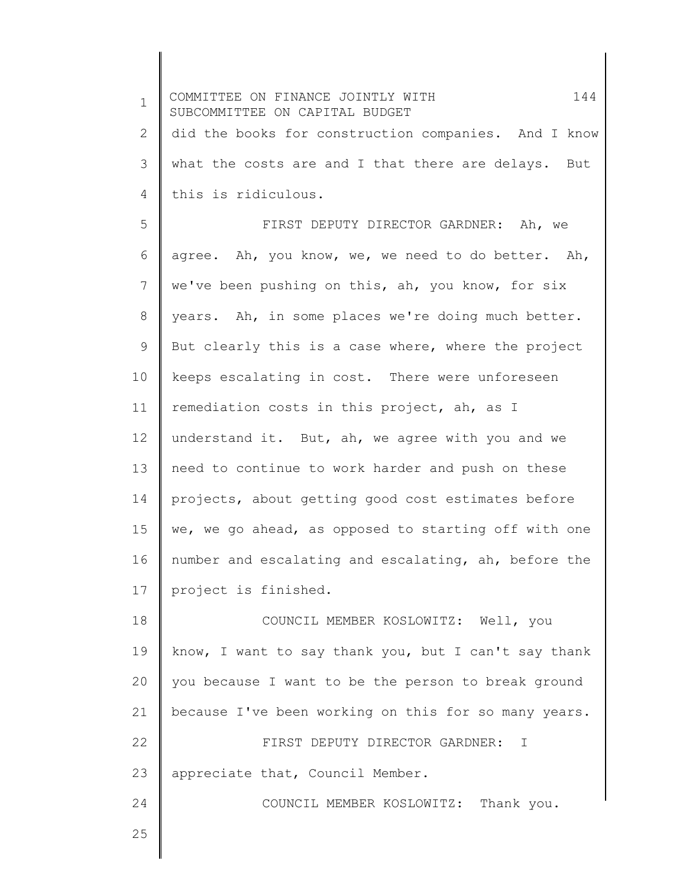1 2 3 4 5 6 7 8 9 10 11 12 13 14 15 16 17 18 19 20 21 22 23 24 25 COMMITTEE ON FINANCE JOINTLY WITH 144 SUBCOMMITTEE ON CAPITAL BUDGET did the books for construction companies. And I know what the costs are and I that there are delays. But this is ridiculous. FIRST DEPUTY DIRECTOR GARDNER: Ah, we agree. Ah, you know, we, we need to do better. Ah, we've been pushing on this, ah, you know, for six years. Ah, in some places we're doing much better. But clearly this is a case where, where the project keeps escalating in cost. There were unforeseen remediation costs in this project, ah, as I understand it. But, ah, we agree with you and we need to continue to work harder and push on these projects, about getting good cost estimates before we, we go ahead, as opposed to starting off with one number and escalating and escalating, ah, before the project is finished. COUNCIL MEMBER KOSLOWITZ: Well, you know, I want to say thank you, but I can't say thank you because I want to be the person to break ground because I've been working on this for so many years. FIRST DEPUTY DIRECTOR GARDNER: I appreciate that, Council Member. COUNCIL MEMBER KOSLOWITZ: Thank you.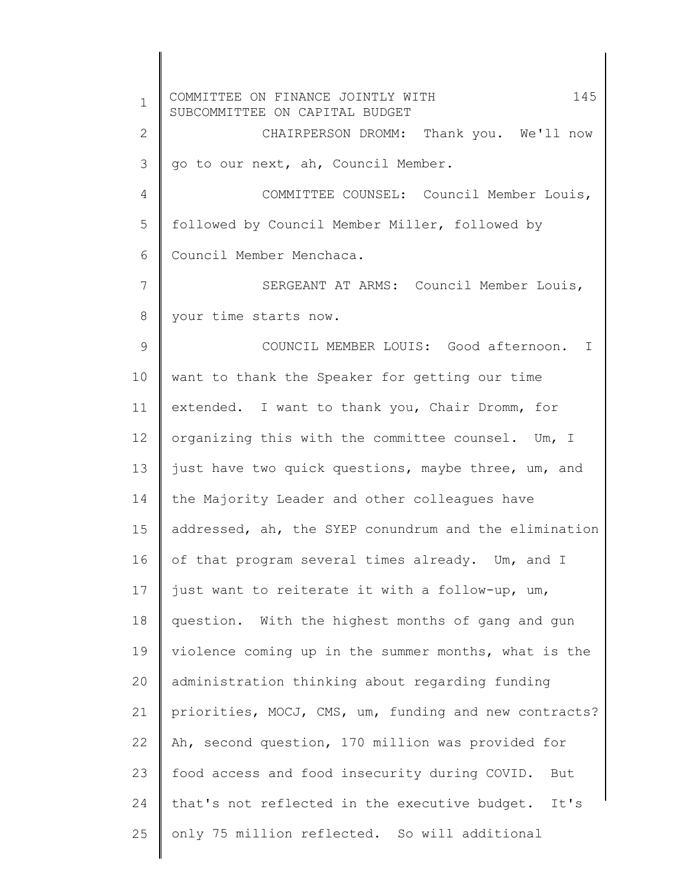1 2 3 4 5 6 7 8 9 10 11 12 13 14 15 16 17 18 19 20 21 22 23 24 25 COMMITTEE ON FINANCE JOINTLY WITH 145 SUBCOMMITTEE ON CAPITAL BUDGET CHAIRPERSON DROMM: Thank you. We'll now go to our next, ah, Council Member. COMMITTEE COUNSEL: Council Member Louis, followed by Council Member Miller, followed by Council Member Menchaca. SERGEANT AT ARMS: Council Member Louis, your time starts now. COUNCIL MEMBER LOUIS: Good afternoon. I want to thank the Speaker for getting our time extended. I want to thank you, Chair Dromm, for organizing this with the committee counsel. Um, I just have two quick questions, maybe three, um, and the Majority Leader and other colleagues have addressed, ah, the SYEP conundrum and the elimination of that program several times already. Um, and I just want to reiterate it with a follow-up, um, question. With the highest months of gang and gun violence coming up in the summer months, what is the administration thinking about regarding funding priorities, MOCJ, CMS, um, funding and new contracts? Ah, second question, 170 million was provided for food access and food insecurity during COVID. But that's not reflected in the executive budget. It's only 75 million reflected. So will additional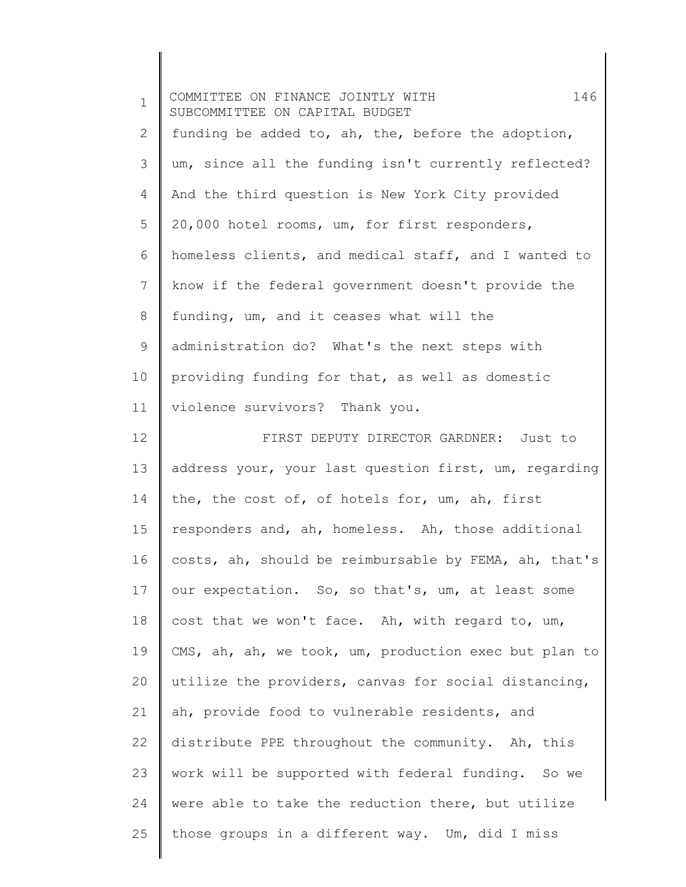| $\mathbf 1$ | 146<br>COMMITTEE ON FINANCE JOINTLY WITH<br>SUBCOMMITTEE ON CAPITAL BUDGET |
|-------------|----------------------------------------------------------------------------|
| 2           | funding be added to, ah, the, before the adoption,                         |
| 3           | um, since all the funding isn't currently reflected?                       |
| 4           | And the third question is New York City provided                           |
| 5           | 20,000 hotel rooms, um, for first responders,                              |
| 6           | homeless clients, and medical staff, and I wanted to                       |
| 7           | know if the federal government doesn't provide the                         |
| 8           | funding, um, and it ceases what will the                                   |
| 9           | administration do? What's the next steps with                              |
| 10          | providing funding for that, as well as domestic                            |
| 11          | violence survivors? Thank you.                                             |
| 12          | FIRST DEPUTY DIRECTOR GARDNER: Just to                                     |
| 13          | address your, your last question first, um, regarding                      |
| 14          | the, the cost of, of hotels for, um, ah, first                             |
| 15          | responders and, ah, homeless. Ah, those additional                         |
| 16          | costs, ah, should be reimbursable by FEMA, ah, that's                      |
| 17          | our expectation. So, so that's, um, at least some                          |
| 18          | cost that we won't face. Ah, with regard to, um,                           |
| 19          | CMS, ah, ah, we took, um, production exec but plan to                      |
| 20          | utilize the providers, canvas for social distancing,                       |
| 21          | ah, provide food to vulnerable residents, and                              |
| 22          | distribute PPE throughout the community. Ah, this                          |
| 23          | work will be supported with federal funding. So we                         |
| 24          | were able to take the reduction there, but utilize                         |
| 25          | those groups in a different way. Um, did I miss                            |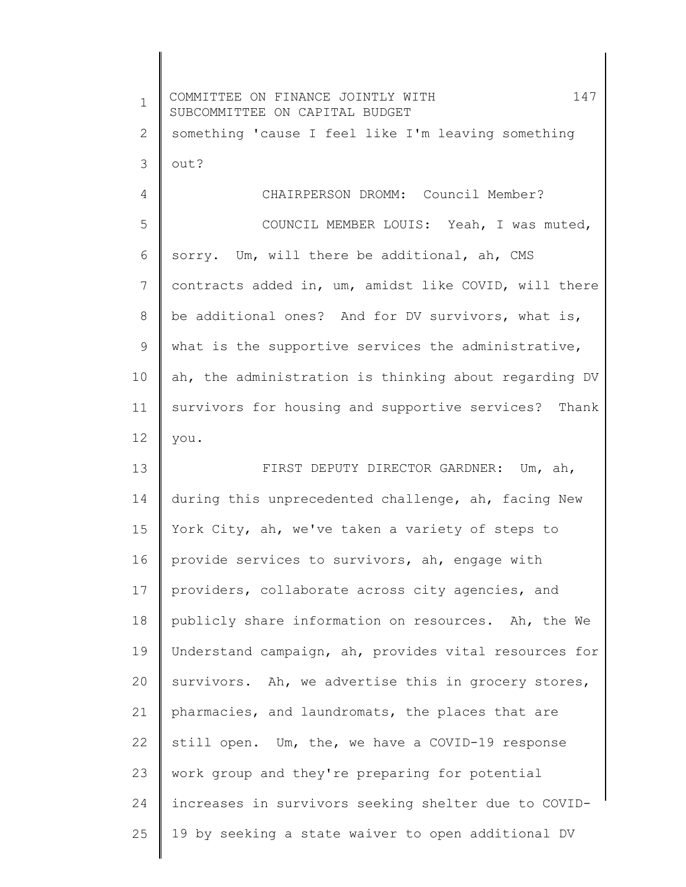1 2 3 4 5 6 7 8 9 10 11 12 13 14 15 16 17 18 19 20 21 22 23 24 25 COMMITTEE ON FINANCE JOINTLY WITH 147 SUBCOMMITTEE ON CAPITAL BUDGET something 'cause I feel like I'm leaving something out? CHAIRPERSON DROMM: Council Member? COUNCIL MEMBER LOUIS: Yeah, I was muted, sorry. Um, will there be additional, ah, CMS contracts added in, um, amidst like COVID, will there be additional ones? And for DV survivors, what is, what is the supportive services the administrative, ah, the administration is thinking about regarding DV survivors for housing and supportive services? Thank you. FIRST DEPUTY DIRECTOR GARDNER: Um, ah, during this unprecedented challenge, ah, facing New York City, ah, we've taken a variety of steps to provide services to survivors, ah, engage with providers, collaborate across city agencies, and publicly share information on resources. Ah, the We Understand campaign, ah, provides vital resources for survivors. Ah, we advertise this in grocery stores, pharmacies, and laundromats, the places that are still open. Um, the, we have a COVID-19 response work group and they're preparing for potential increases in survivors seeking shelter due to COVID-19 by seeking a state waiver to open additional DV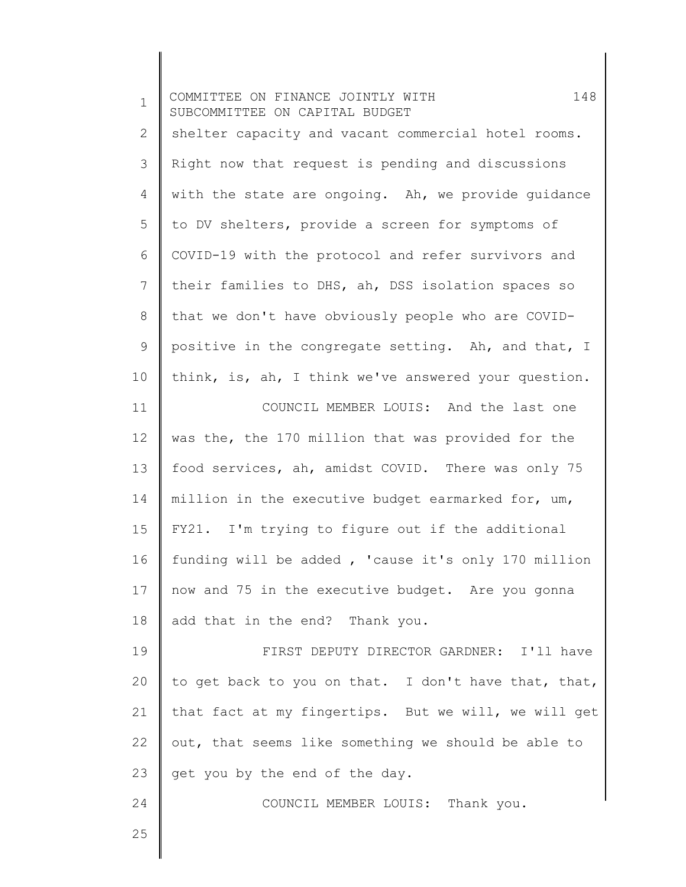| $\mathbf 1$  | 148<br>COMMITTEE ON FINANCE JOINTLY WITH<br>SUBCOMMITTEE ON CAPITAL BUDGET |
|--------------|----------------------------------------------------------------------------|
| $\mathbf{2}$ | shelter capacity and vacant commercial hotel rooms.                        |
| 3            | Right now that request is pending and discussions                          |
| 4            | with the state are ongoing. Ah, we provide quidance                        |
| 5            | to DV shelters, provide a screen for symptoms of                           |
| 6            | COVID-19 with the protocol and refer survivors and                         |
| 7            | their families to DHS, ah, DSS isolation spaces so                         |
| 8            | that we don't have obviously people who are COVID-                         |
| 9            | positive in the congregate setting. Ah, and that, I                        |
| 10           | think, is, ah, I think we've answered your question.                       |
| 11           | COUNCIL MEMBER LOUIS: And the last one                                     |
| 12           | was the, the 170 million that was provided for the                         |
| 13           | food services, ah, amidst COVID. There was only 75                         |
| 14           | million in the executive budget earmarked for, um,                         |
| 15           | FY21. I'm trying to figure out if the additional                           |
| 16           | funding will be added, 'cause it's only 170 million                        |
| 17           | now and 75 in the executive budget. Are you gonna                          |
| 18           | add that in the end? Thank you.                                            |
| 19           | FIRST DEPUTY DIRECTOR GARDNER: I'll have                                   |
| 20           | to get back to you on that. I don't have that, that,                       |
| 21           | that fact at my fingertips. But we will, we will get                       |
| 22           | out, that seems like something we should be able to                        |
| 23           | get you by the end of the day.                                             |
| 24           | COUNCIL MEMBER LOUIS: Thank you.                                           |
| 25           |                                                                            |
|              |                                                                            |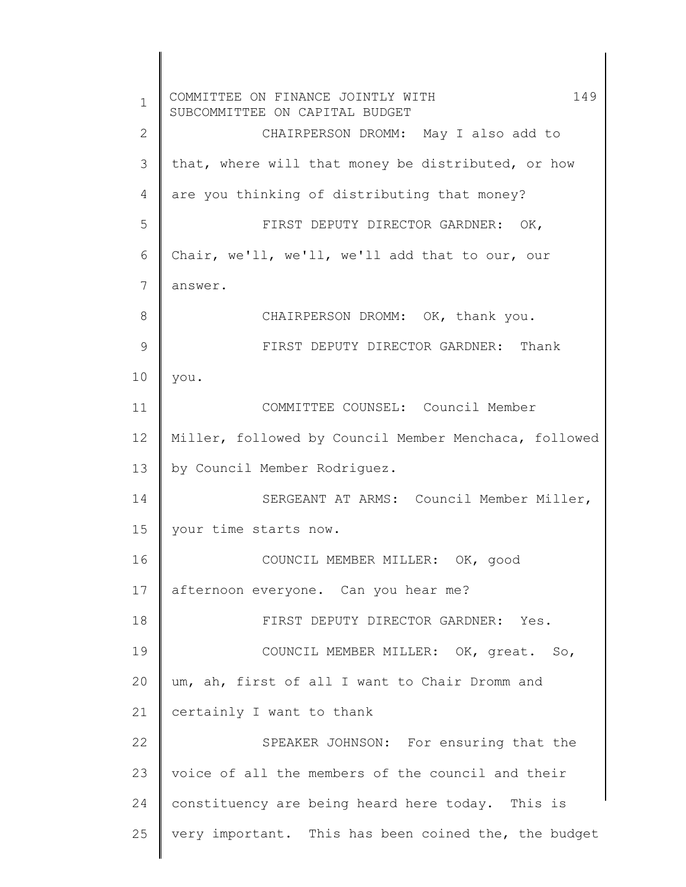1 2 3 4 5 6 7 8 9 10 11 12 13 14 15 16 17 18 19 20 21 22 23 24 25 COMMITTEE ON FINANCE JOINTLY WITH 149 SUBCOMMITTEE ON CAPITAL BUDGET CHAIRPERSON DROMM: May I also add to that, where will that money be distributed, or how are you thinking of distributing that money? FIRST DEPUTY DIRECTOR GARDNER: OK, Chair, we'll, we'll, we'll add that to our, our answer. CHAIRPERSON DROMM: OK, thank you. FIRST DEPUTY DIRECTOR GARDNER: Thank you. COMMITTEE COUNSEL: Council Member Miller, followed by Council Member Menchaca, followed by Council Member Rodriguez. SERGEANT AT ARMS: Council Member Miller, your time starts now. COUNCIL MEMBER MILLER: OK, good afternoon everyone. Can you hear me? FIRST DEPUTY DIRECTOR GARDNER: Yes. COUNCIL MEMBER MILLER: OK, great. So, um, ah, first of all I want to Chair Dromm and certainly I want to thank SPEAKER JOHNSON: For ensuring that the voice of all the members of the council and their constituency are being heard here today. This is very important. This has been coined the, the budget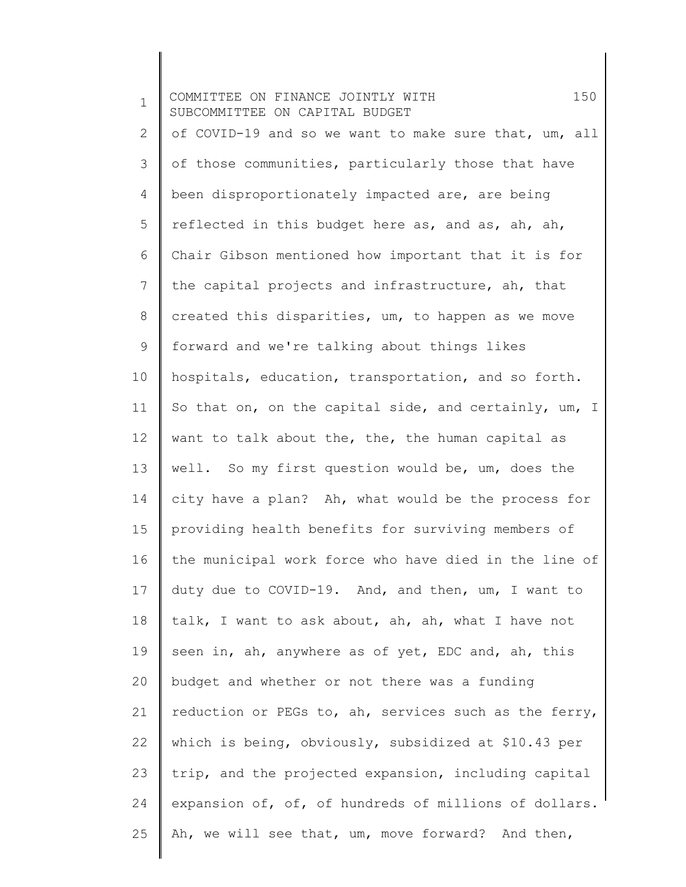1 2 3 4 5 6 7 8 9 10 11 12 13 14 15 16 17 18 19 20 21 22 23 24 25 COMMITTEE ON FINANCE JOINTLY WITH 150 SUBCOMMITTEE ON CAPITAL BUDGET of COVID-19 and so we want to make sure that, um, all of those communities, particularly those that have been disproportionately impacted are, are being reflected in this budget here as, and as, ah, ah, Chair Gibson mentioned how important that it is for the capital projects and infrastructure, ah, that created this disparities, um, to happen as we move forward and we're talking about things likes hospitals, education, transportation, and so forth. So that on, on the capital side, and certainly, um, I want to talk about the, the, the human capital as well. So my first question would be, um, does the city have a plan? Ah, what would be the process for providing health benefits for surviving members of the municipal work force who have died in the line of duty due to COVID-19. And, and then, um, I want to talk, I want to ask about, ah, ah, what I have not seen in, ah, anywhere as of yet, EDC and, ah, this budget and whether or not there was a funding reduction or PEGs to, ah, services such as the ferry, which is being, obviously, subsidized at \$10.43 per trip, and the projected expansion, including capital expansion of, of, of hundreds of millions of dollars. Ah, we will see that, um, move forward? And then,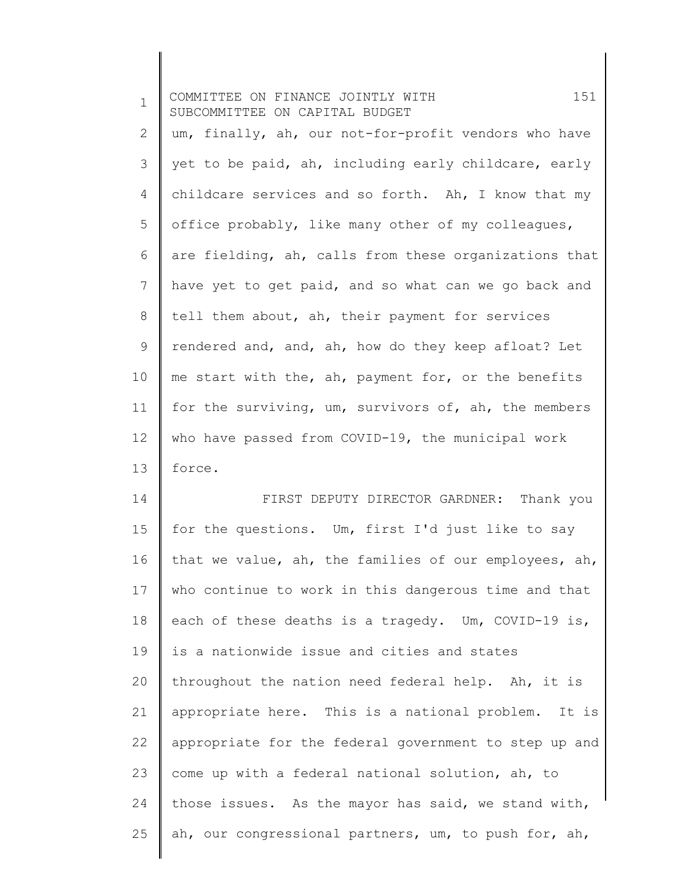| $\mathbf 1$ | 151<br>COMMITTEE ON FINANCE JOINTLY WITH<br>SUBCOMMITTEE ON CAPITAL BUDGET |
|-------------|----------------------------------------------------------------------------|
| 2           | um, finally, ah, our not-for-profit vendors who have                       |
| 3           | yet to be paid, ah, including early childcare, early                       |
| 4           | childcare services and so forth. Ah, I know that my                        |
| 5           | office probably, like many other of my colleagues,                         |
| 6           | are fielding, ah, calls from these organizations that                      |
| 7           | have yet to get paid, and so what can we go back and                       |
| 8           | tell them about, ah, their payment for services                            |
| 9           | rendered and, and, ah, how do they keep afloat? Let                        |
| 10          | me start with the, ah, payment for, or the benefits                        |
| 11          | for the surviving, um, survivors of, ah, the members                       |
| 12          | who have passed from COVID-19, the municipal work                          |
| 13          | force.                                                                     |
| 14          | FIRST DEPUTY DIRECTOR GARDNER: Thank you                                   |
| 15          | for the questions. Um, first I'd just like to say                          |
| 16          | that we value, ah, the families of our employees, ah,                      |
| 17          | who continue to work in this dangerous time and that                       |
| 18          | each of these deaths is a tragedy. Um, COVID-19 is,                        |
| 19          | is a nationwide issue and cities and states                                |
| 20          | throughout the nation need federal help. Ah, it is                         |
| 21          | appropriate here. This is a national problem. It is                        |
| 22          | appropriate for the federal government to step up and                      |
| 23          | come up with a federal national solution, ah, to                           |
| 24          | those issues. As the mayor has said, we stand with,                        |
| 25          | ah, our congressional partners, um, to push for, ah,                       |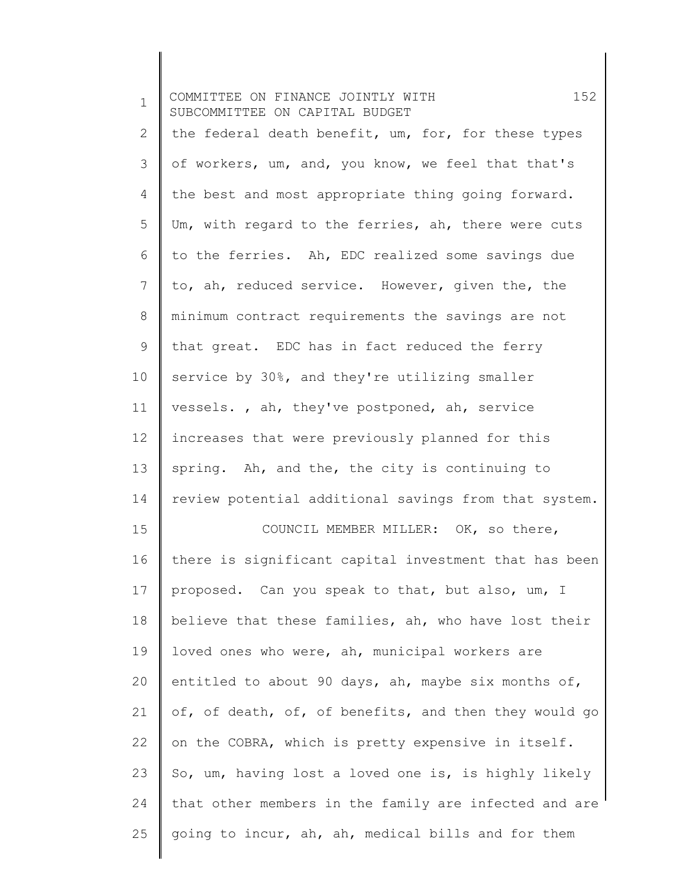| $\mathbf 1$  | 152<br>COMMITTEE ON FINANCE JOINTLY WITH<br>SUBCOMMITTEE ON CAPITAL BUDGET |
|--------------|----------------------------------------------------------------------------|
| $\mathbf{2}$ | the federal death benefit, um, for, for these types                        |
| 3            | of workers, um, and, you know, we feel that that's                         |
| 4            | the best and most appropriate thing going forward.                         |
| 5            | Um, with regard to the ferries, ah, there were cuts                        |
| 6            | to the ferries. Ah, EDC realized some savings due                          |
| 7            | to, ah, reduced service. However, given the, the                           |
| 8            | minimum contract requirements the savings are not                          |
| 9            | that great. EDC has in fact reduced the ferry                              |
| 10           | service by 30%, and they're utilizing smaller                              |
| 11           | vessels., ah, they've postponed, ah, service                               |
| 12           | increases that were previously planned for this                            |
| 13           | spring. Ah, and the, the city is continuing to                             |
| 14           | review potential additional savings from that system.                      |
| 15           | COUNCIL MEMBER MILLER: OK, so there,                                       |
| 16           | there is significant capital investment that has been                      |
| 17           | proposed. Can you speak to that, but also, um, I                           |
| 18           | believe that these families, ah, who have lost their                       |
| 19           | loved ones who were, ah, municipal workers are                             |
| 20           | entitled to about 90 days, ah, maybe six months of,                        |
| 21           | of, of death, of, of benefits, and then they would go                      |
| 22           | on the COBRA, which is pretty expensive in itself.                         |
| 23           | So, um, having lost a loved one is, is highly likely                       |
| 24           | that other members in the family are infected and are                      |
| 25           | going to incur, ah, ah, medical bills and for them                         |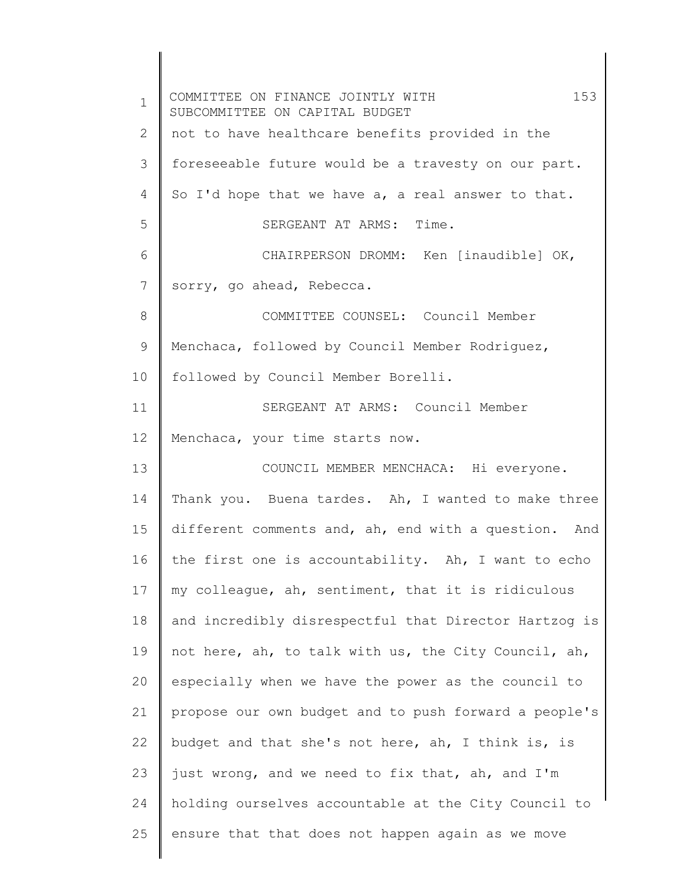1 2 3 4 5 6 7 8 9 10 11 12 13 14 15 16 17 18 19 20 21 22 23 24 25 COMMITTEE ON FINANCE JOINTLY WITH 153 SUBCOMMITTEE ON CAPITAL BUDGET not to have healthcare benefits provided in the foreseeable future would be a travesty on our part. So I'd hope that we have a, a real answer to that. SERGEANT AT ARMS: Time. CHAIRPERSON DROMM: Ken [inaudible] OK, sorry, go ahead, Rebecca. COMMITTEE COUNSEL: Council Member Menchaca, followed by Council Member Rodriguez, followed by Council Member Borelli. SERGEANT AT ARMS: Council Member Menchaca, your time starts now. COUNCIL MEMBER MENCHACA: Hi everyone. Thank you. Buena tardes. Ah, I wanted to make three different comments and, ah, end with a question. And the first one is accountability. Ah, I want to echo my colleague, ah, sentiment, that it is ridiculous and incredibly disrespectful that Director Hartzog is not here, ah, to talk with us, the City Council, ah, especially when we have the power as the council to propose our own budget and to push forward a people's budget and that she's not here, ah, I think is, is just wrong, and we need to fix that, ah, and I'm holding ourselves accountable at the City Council to ensure that that does not happen again as we move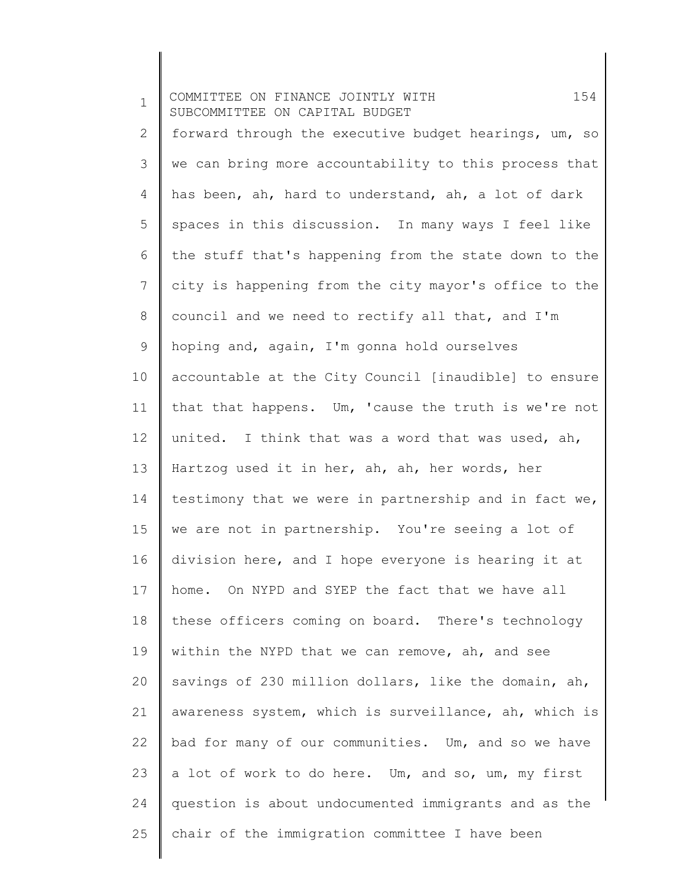1 2 3 4 5 6 7 8 9 10 11 12 13 14 15 16 17 18 19 20 21 22 23 24 25 COMMITTEE ON FINANCE JOINTLY WITH 154 SUBCOMMITTEE ON CAPITAL BUDGET forward through the executive budget hearings, um, so we can bring more accountability to this process that has been, ah, hard to understand, ah, a lot of dark spaces in this discussion. In many ways I feel like the stuff that's happening from the state down to the city is happening from the city mayor's office to the council and we need to rectify all that, and I'm hoping and, again, I'm gonna hold ourselves accountable at the City Council [inaudible] to ensure that that happens. Um, 'cause the truth is we're not united. I think that was a word that was used, ah, Hartzog used it in her, ah, ah, her words, her testimony that we were in partnership and in fact we, we are not in partnership. You're seeing a lot of division here, and I hope everyone is hearing it at home. On NYPD and SYEP the fact that we have all these officers coming on board. There's technology within the NYPD that we can remove, ah, and see savings of 230 million dollars, like the domain, ah, awareness system, which is surveillance, ah, which is bad for many of our communities. Um, and so we have a lot of work to do here. Um, and so, um, my first question is about undocumented immigrants and as the chair of the immigration committee I have been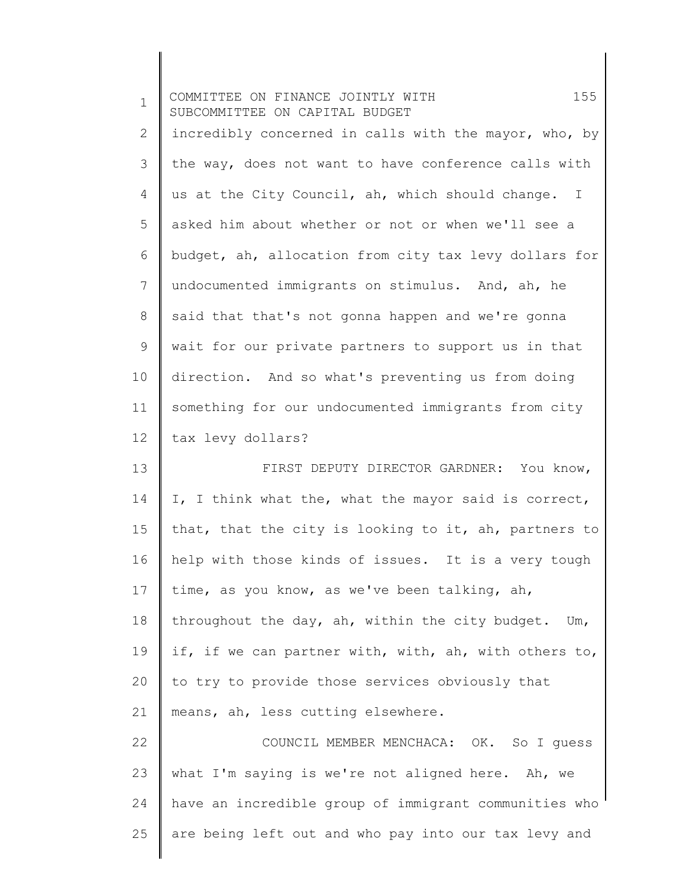| $\mathbf 1$ | 155<br>COMMITTEE ON FINANCE JOINTLY WITH<br>SUBCOMMITTEE ON CAPITAL BUDGET |
|-------------|----------------------------------------------------------------------------|
| 2           | incredibly concerned in calls with the mayor, who, by                      |
| 3           | the way, does not want to have conference calls with                       |
| 4           | us at the City Council, ah, which should change. I                         |
| 5           | asked him about whether or not or when we'll see a                         |
| 6           | budget, ah, allocation from city tax levy dollars for                      |
| 7           | undocumented immigrants on stimulus. And, ah, he                           |
| 8           | said that that's not gonna happen and we're gonna                          |
| $\mathsf 9$ | wait for our private partners to support us in that                        |
| 10          | direction. And so what's preventing us from doing                          |
| 11          | something for our undocumented immigrants from city                        |
| 12          | tax levy dollars?                                                          |
| 13          | FIRST DEPUTY DIRECTOR GARDNER: You know,                                   |
| 14          | I, I think what the, what the mayor said is correct,                       |
| 15          | that, that the city is looking to it, ah, partners to                      |
| 16          | help with those kinds of issues. It is a very tough                        |
| 17          | time, as you know, as we've been talking, ah,                              |
| 18          | throughout the day, ah, within the city budget. Um,                        |
| 19          | if, if we can partner with, with, ah, with others to,                      |
| 20          | to try to provide those services obviously that                            |
| 21          | means, ah, less cutting elsewhere.                                         |
| 22          | COUNCIL MEMBER MENCHACA: OK. So I quess                                    |
| 23          | what I'm saying is we're not aligned here. Ah, we                          |
| 24          | have an incredible group of immigrant communities who                      |
| 25          | are being left out and who pay into our tax levy and                       |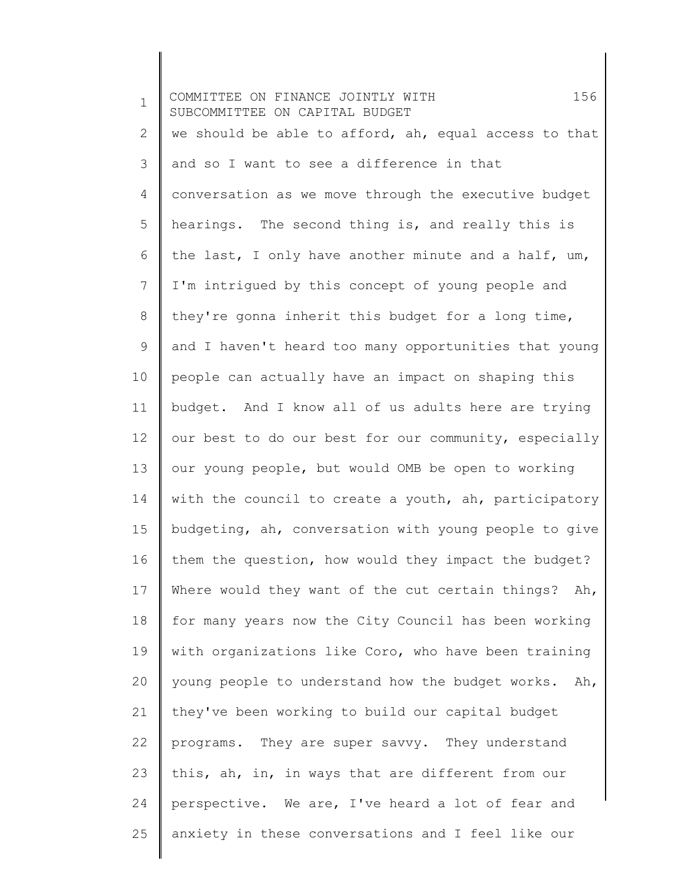1 2 3 4 5 6 7 8 9 10 11 12 13 14 15 16 17 18 19 20 21 22 23 24 25 COMMITTEE ON FINANCE JOINTLY WITH 156 SUBCOMMITTEE ON CAPITAL BUDGET we should be able to afford, ah, equal access to that and so I want to see a difference in that conversation as we move through the executive budget hearings. The second thing is, and really this is the last, I only have another minute and a half, um, I'm intrigued by this concept of young people and they're gonna inherit this budget for a long time, and I haven't heard too many opportunities that young people can actually have an impact on shaping this budget. And I know all of us adults here are trying our best to do our best for our community, especially our young people, but would OMB be open to working with the council to create a youth, ah, participatory budgeting, ah, conversation with young people to give them the question, how would they impact the budget? Where would they want of the cut certain things? Ah, for many years now the City Council has been working with organizations like Coro, who have been training young people to understand how the budget works. Ah, they've been working to build our capital budget programs. They are super savvy. They understand this, ah, in, in ways that are different from our perspective. We are, I've heard a lot of fear and anxiety in these conversations and I feel like our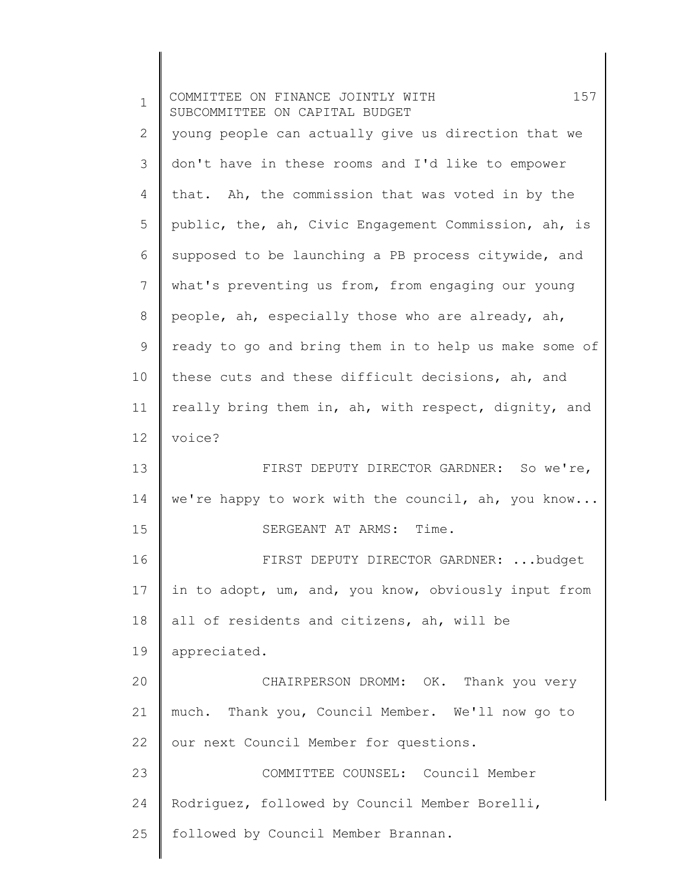| $\mathbf 1$  | 157<br>COMMITTEE ON FINANCE JOINTLY WITH<br>SUBCOMMITTEE ON CAPITAL BUDGET |
|--------------|----------------------------------------------------------------------------|
| $\mathbf{2}$ | young people can actually give us direction that we                        |
| 3            | don't have in these rooms and I'd like to empower                          |
| 4            | that. Ah, the commission that was voted in by the                          |
| 5            | public, the, ah, Civic Engagement Commission, ah, is                       |
| 6            | supposed to be launching a PB process citywide, and                        |
| 7            | what's preventing us from, from engaging our young                         |
| $\,8\,$      | people, ah, especially those who are already, ah,                          |
| $\mathsf 9$  | ready to go and bring them in to help us make some of                      |
| 10           | these cuts and these difficult decisions, ah, and                          |
| 11           | really bring them in, ah, with respect, dignity, and                       |
| 12           | voice?                                                                     |
| 13           | FIRST DEPUTY DIRECTOR GARDNER: So we're,                                   |
| 14           | we're happy to work with the council, ah, you know                         |
| 15           | SERGEANT AT ARMS: Time.                                                    |
| 16           | FIRST DEPUTY DIRECTOR GARDNER: budget                                      |
| 17           | in to adopt, um, and, you know, obviously input from                       |
| 18           | all of residents and citizens, ah, will be                                 |
| 19           | appreciated.                                                               |
| 20           | CHAIRPERSON DROMM: OK. Thank you very                                      |
| 21           | much. Thank you, Council Member. We'll now go to                           |
| 22           | our next Council Member for questions.                                     |
| 23           | COMMITTEE COUNSEL: Council Member                                          |
| 24           | Rodriguez, followed by Council Member Borelli,                             |
| 25           | followed by Council Member Brannan.                                        |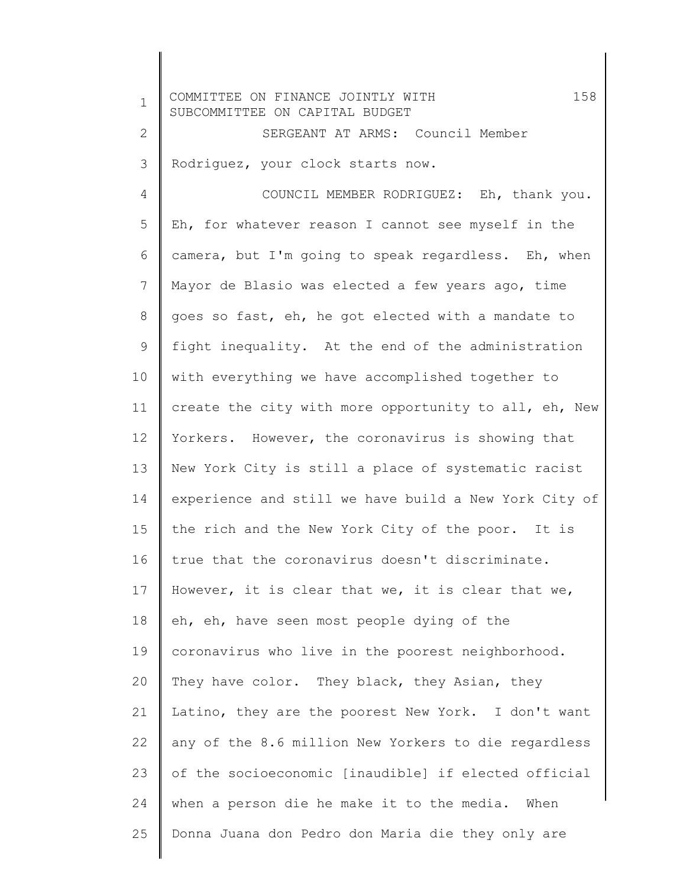| $\mathbf 1$  | 158<br>COMMITTEE ON FINANCE JOINTLY WITH<br>SUBCOMMITTEE ON CAPITAL BUDGET |
|--------------|----------------------------------------------------------------------------|
| $\mathbf{2}$ | SERGEANT AT ARMS: Council Member                                           |
| 3            | Rodriguez, your clock starts now.                                          |
| 4            | COUNCIL MEMBER RODRIGUEZ: Eh, thank you.                                   |
| 5            | Eh, for whatever reason I cannot see myself in the                         |
| 6            | camera, but I'm going to speak regardless. Eh, when                        |
| 7            | Mayor de Blasio was elected a few years ago, time                          |
| 8            | goes so fast, eh, he got elected with a mandate to                         |
| 9            | fight inequality. At the end of the administration                         |
| 10           | with everything we have accomplished together to                           |
| 11           | create the city with more opportunity to all, eh, New                      |
| 12           | Yorkers. However, the coronavirus is showing that                          |
| 13           | New York City is still a place of systematic racist                        |
| 14           | experience and still we have build a New York City of                      |
| 15           | the rich and the New York City of the poor. It is                          |
| 16           | true that the coronavirus doesn't discriminate.                            |
| 17           | However, it is clear that we, it is clear that we,                         |
| 18           | eh, eh, have seen most people dying of the                                 |
| 19           | coronavirus who live in the poorest neighborhood.                          |
| 20           | They have color. They black, they Asian, they                              |
| 21           | Latino, they are the poorest New York. I don't want                        |
| 22           | any of the 8.6 million New Yorkers to die regardless                       |
| 23           | of the socioeconomic [inaudible] if elected official                       |
| 24           | when a person die he make it to the media. When                            |
| 25           | Donna Juana don Pedro don Maria die they only are                          |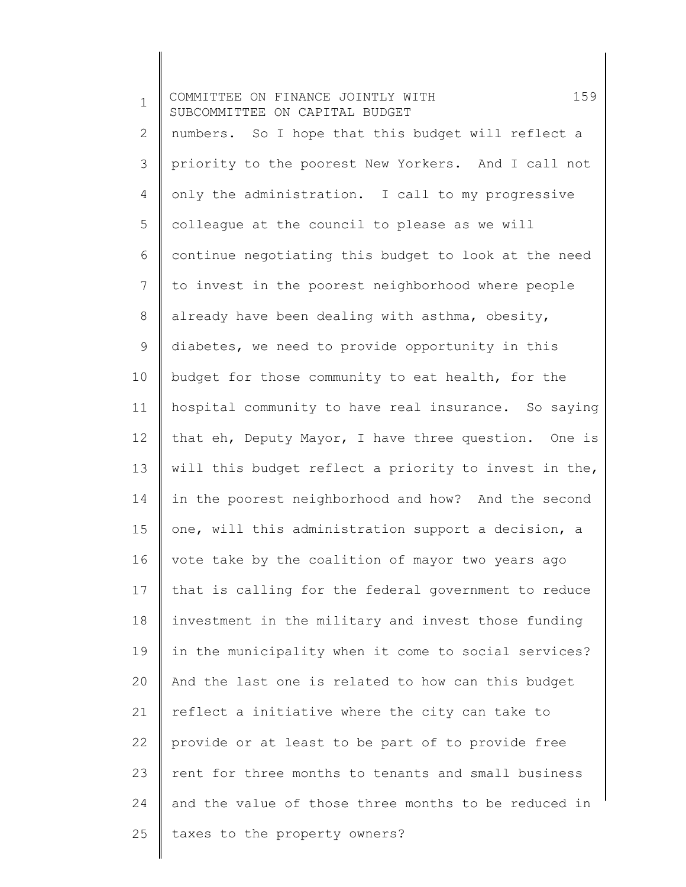1 2 3 4 5 6 7 8 9 10 11 12 13 14 15 16 17 18 19 20 21 22 23 24 25 COMMITTEE ON FINANCE JOINTLY WITH 159 SUBCOMMITTEE ON CAPITAL BUDGET numbers. So I hope that this budget will reflect a priority to the poorest New Yorkers. And I call not only the administration. I call to my progressive colleague at the council to please as we will continue negotiating this budget to look at the need to invest in the poorest neighborhood where people already have been dealing with asthma, obesity, diabetes, we need to provide opportunity in this budget for those community to eat health, for the hospital community to have real insurance. So saying that eh, Deputy Mayor, I have three question. One is will this budget reflect a priority to invest in the, in the poorest neighborhood and how? And the second one, will this administration support a decision, a vote take by the coalition of mayor two years ago that is calling for the federal government to reduce investment in the military and invest those funding in the municipality when it come to social services? And the last one is related to how can this budget reflect a initiative where the city can take to provide or at least to be part of to provide free rent for three months to tenants and small business and the value of those three months to be reduced in taxes to the property owners?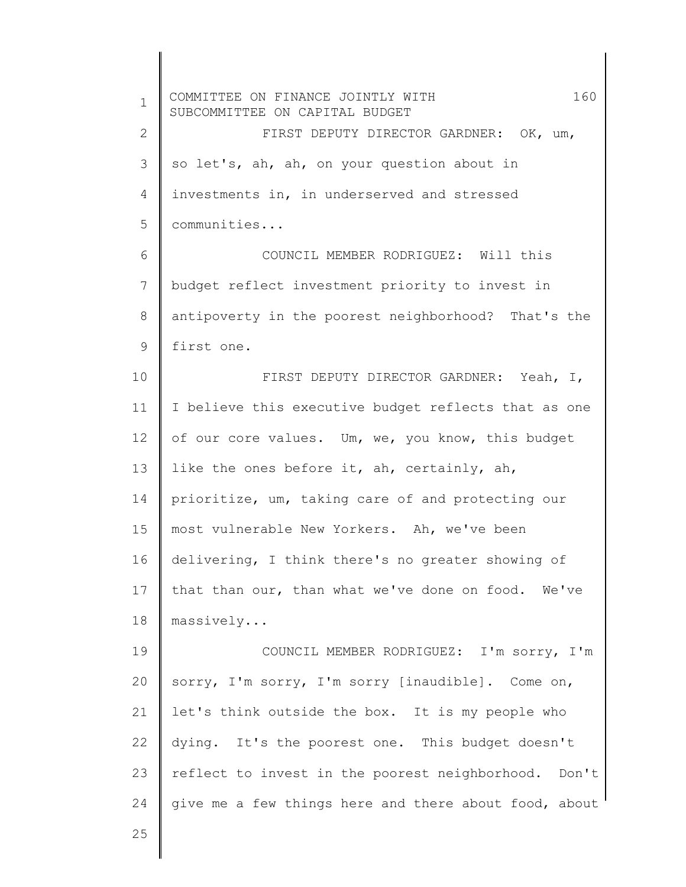1 2 3 4 5 6 7 8 9 10 11 12 13 14 15 16 17 18 19 20 21 22 23 24 25 COMMITTEE ON FINANCE JOINTLY WITH 160 SUBCOMMITTEE ON CAPITAL BUDGET FIRST DEPUTY DIRECTOR GARDNER: OK, um, so let's, ah, ah, on your question about in investments in, in underserved and stressed communities... COUNCIL MEMBER RODRIGUEZ: Will this budget reflect investment priority to invest in antipoverty in the poorest neighborhood? That's the first one. FIRST DEPUTY DIRECTOR GARDNER: Yeah, I, I believe this executive budget reflects that as one of our core values. Um, we, you know, this budget like the ones before it, ah, certainly, ah, prioritize, um, taking care of and protecting our most vulnerable New Yorkers. Ah, we've been delivering, I think there's no greater showing of that than our, than what we've done on food. We've massively... COUNCIL MEMBER RODRIGUEZ: I'm sorry, I'm sorry, I'm sorry, I'm sorry [inaudible]. Come on, let's think outside the box. It is my people who dying. It's the poorest one. This budget doesn't reflect to invest in the poorest neighborhood. Don't give me a few things here and there about food, about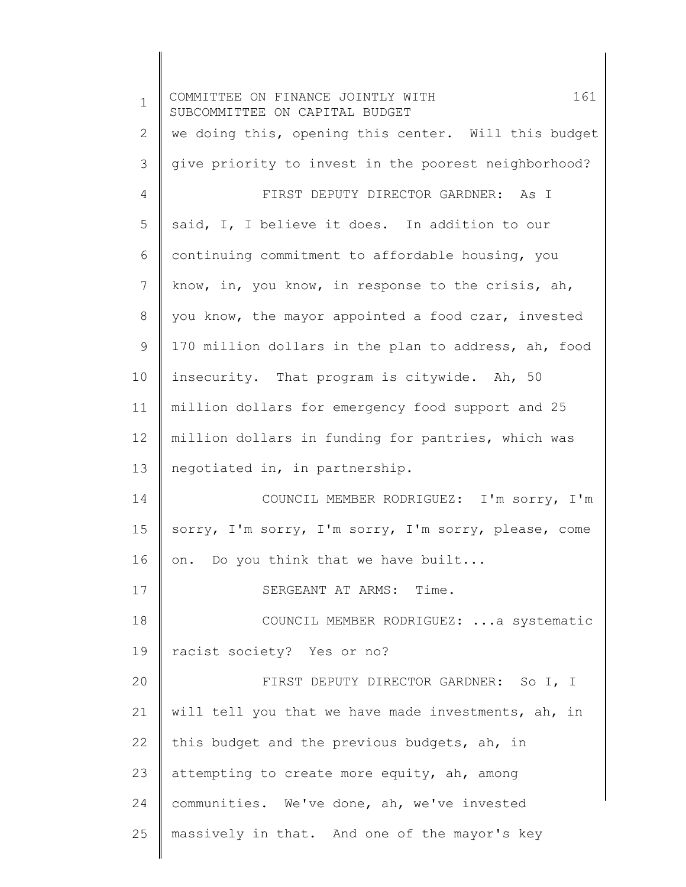1 2 3 4 5 6 7 8 9 10 11 12 13 14 15 16 17 18 19 20 21 22 23 24 25 COMMITTEE ON FINANCE JOINTLY WITH 161 SUBCOMMITTEE ON CAPITAL BUDGET we doing this, opening this center. Will this budget give priority to invest in the poorest neighborhood? FIRST DEPUTY DIRECTOR GARDNER: As I said, I, I believe it does. In addition to our continuing commitment to affordable housing, you know, in, you know, in response to the crisis, ah, you know, the mayor appointed a food czar, invested 170 million dollars in the plan to address, ah, food insecurity. That program is citywide. Ah, 50 million dollars for emergency food support and 25 million dollars in funding for pantries, which was negotiated in, in partnership. COUNCIL MEMBER RODRIGUEZ: I'm sorry, I'm sorry, I'm sorry, I'm sorry, I'm sorry, please, come on. Do you think that we have built... SERGEANT AT ARMS: Time. COUNCIL MEMBER RODRIGUEZ: ...a systematic racist society? Yes or no? FIRST DEPUTY DIRECTOR GARDNER: So I, I will tell you that we have made investments, ah, in this budget and the previous budgets, ah, in attempting to create more equity, ah, among communities. We've done, ah, we've invested massively in that. And one of the mayor's key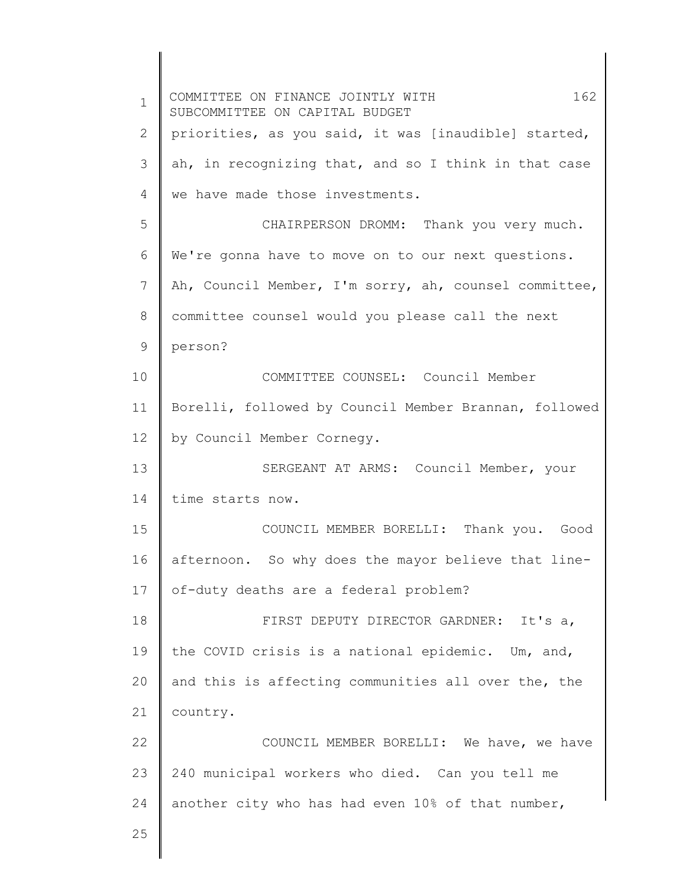1 2 3 4 5 6 7 8 9 10 11 12 13 14 15 16 17 18 19 20 21 22 23 24 25 COMMITTEE ON FINANCE JOINTLY WITH 162 SUBCOMMITTEE ON CAPITAL BUDGET priorities, as you said, it was [inaudible] started, ah, in recognizing that, and so I think in that case we have made those investments. CHAIRPERSON DROMM: Thank you very much. We're gonna have to move on to our next questions. Ah, Council Member, I'm sorry, ah, counsel committee, committee counsel would you please call the next person? COMMITTEE COUNSEL: Council Member Borelli, followed by Council Member Brannan, followed by Council Member Cornegy. SERGEANT AT ARMS: Council Member, your time starts now. COUNCIL MEMBER BORELLI: Thank you. Good afternoon. So why does the mayor believe that lineof-duty deaths are a federal problem? FIRST DEPUTY DIRECTOR GARDNER: It's a, the COVID crisis is a national epidemic. Um, and, and this is affecting communities all over the, the country. COUNCIL MEMBER BORELLI: We have, we have 240 municipal workers who died. Can you tell me another city who has had even 10% of that number,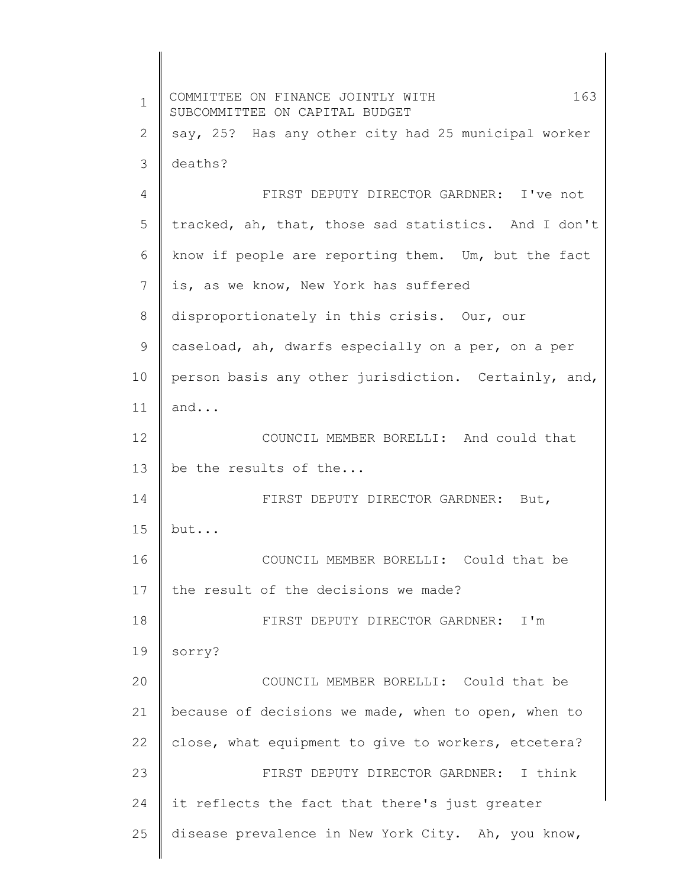1 2 3 4 5 6 7 8 9 10 11 12 13 14 15 16 17 18 19 20 21 22 23 24 25 COMMITTEE ON FINANCE JOINTLY WITH 163 SUBCOMMITTEE ON CAPITAL BUDGET say, 25? Has any other city had 25 municipal worker deaths? FIRST DEPUTY DIRECTOR GARDNER: I've not tracked, ah, that, those sad statistics. And I don't know if people are reporting them. Um, but the fact is, as we know, New York has suffered disproportionately in this crisis. Our, our caseload, ah, dwarfs especially on a per, on a per person basis any other jurisdiction. Certainly, and, and... COUNCIL MEMBER BORELLI: And could that be the results of the... FIRST DEPUTY DIRECTOR GARDNER: But, but... COUNCIL MEMBER BORELLI: Could that be the result of the decisions we made? FIRST DEPUTY DIRECTOR GARDNER: I'm sorry? COUNCIL MEMBER BORELLI: Could that be because of decisions we made, when to open, when to close, what equipment to give to workers, etcetera? FIRST DEPUTY DIRECTOR GARDNER: I think it reflects the fact that there's just greater disease prevalence in New York City. Ah, you know,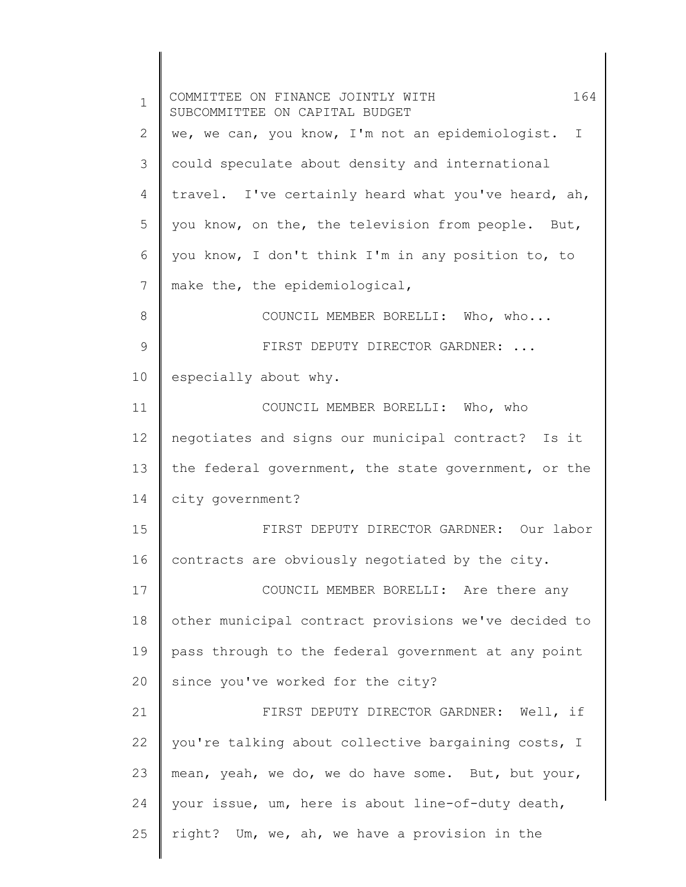| $\mathbf{1}$ | 164<br>COMMITTEE ON FINANCE JOINTLY WITH<br>SUBCOMMITTEE ON CAPITAL BUDGET |
|--------------|----------------------------------------------------------------------------|
| 2            | we, we can, you know, I'm not an epidemiologist. I                         |
| 3            | could speculate about density and international                            |
| 4            | travel. I've certainly heard what you've heard, ah,                        |
| 5            | you know, on the, the television from people. But,                         |
| 6            | you know, I don't think I'm in any position to, to                         |
| 7            | make the, the epidemiological,                                             |
| 8            | COUNCIL MEMBER BORELLI: Who, who                                           |
| 9            | FIRST DEPUTY DIRECTOR GARDNER:                                             |
| 10           | especially about why.                                                      |
| 11           | COUNCIL MEMBER BORELLI: Who, who                                           |
| 12           | negotiates and signs our municipal contract? Is it                         |
| 13           | the federal government, the state government, or the                       |
| 14           | city government?                                                           |
| 15           | FIRST DEPUTY DIRECTOR GARDNER: Our labor                                   |
| 16           | contracts are obviously negotiated by the city.                            |
| 17           | COUNCIL MEMBER BORELLI: Are there any                                      |
| 18           | other municipal contract provisions we've decided to                       |
| 19           | pass through to the federal government at any point                        |
| 20           | since you've worked for the city?                                          |
| 21           | FIRST DEPUTY DIRECTOR GARDNER: Well, if                                    |
| 22           | you're talking about collective bargaining costs, I                        |
| 23           | mean, yeah, we do, we do have some. But, but your,                         |
| 24           | your issue, um, here is about line-of-duty death,                          |
| 25           | right? Um, we, ah, we have a provision in the                              |
|              |                                                                            |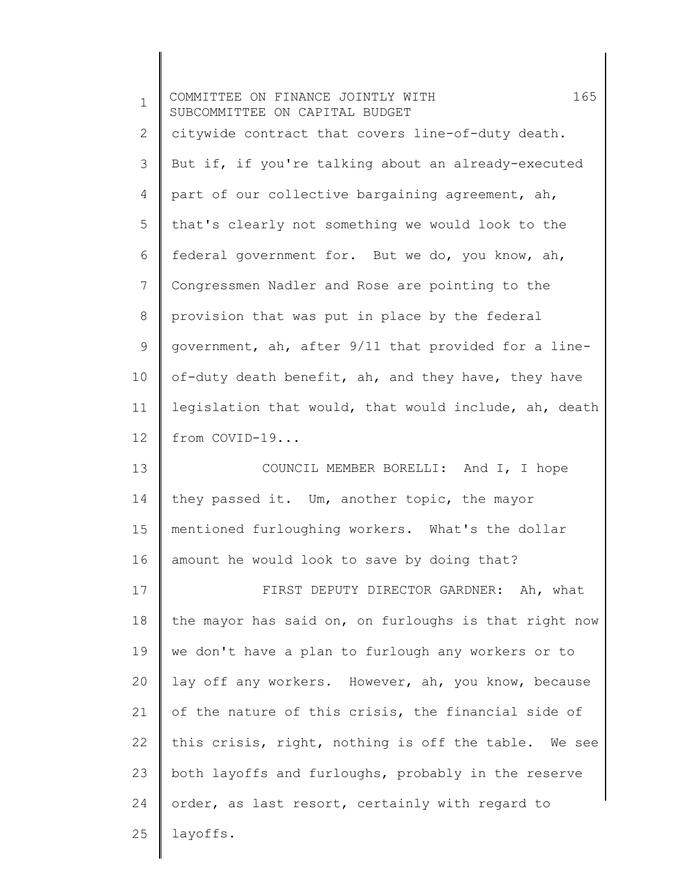| $\mathbf 1$ | 165<br>COMMITTEE ON FINANCE JOINTLY WITH<br>SUBCOMMITTEE ON CAPITAL BUDGET |
|-------------|----------------------------------------------------------------------------|
| 2           | citywide contract that covers line-of-duty death.                          |
| 3           | But if, if you're talking about an already-executed                        |
| 4           | part of our collective bargaining agreement, ah,                           |
| 5           | that's clearly not something we would look to the                          |
| 6           | federal government for. But we do, you know, ah,                           |
| 7           | Congressmen Nadler and Rose are pointing to the                            |
| $8\,$       | provision that was put in place by the federal                             |
| 9           | government, ah, after 9/11 that provided for a line-                       |
| 10          | of-duty death benefit, ah, and they have, they have                        |
| 11          | legislation that would, that would include, ah, death                      |
| 12          | from COVID-19                                                              |
| 13          | COUNCIL MEMBER BORELLI: And I, I hope                                      |
| 14          | they passed it. Um, another topic, the mayor                               |
| 15          | mentioned furloughing workers. What's the dollar                           |
| 16          | amount he would look to save by doing that?                                |
| 17          | FIRST DEPUTY DIRECTOR GARDNER: Ah, what                                    |
| 18          | the mayor has said on, on furloughs is that right now                      |
| 19          | we don't have a plan to furlough any workers or to                         |
| 20          | lay off any workers. However, ah, you know, because                        |
| 21          | of the nature of this crisis, the financial side of                        |
| 22          | this crisis, right, nothing is off the table. We see                       |
| 23          | both layoffs and furloughs, probably in the reserve                        |
| 24          | order, as last resort, certainly with regard to                            |
| 25          | layoffs.                                                                   |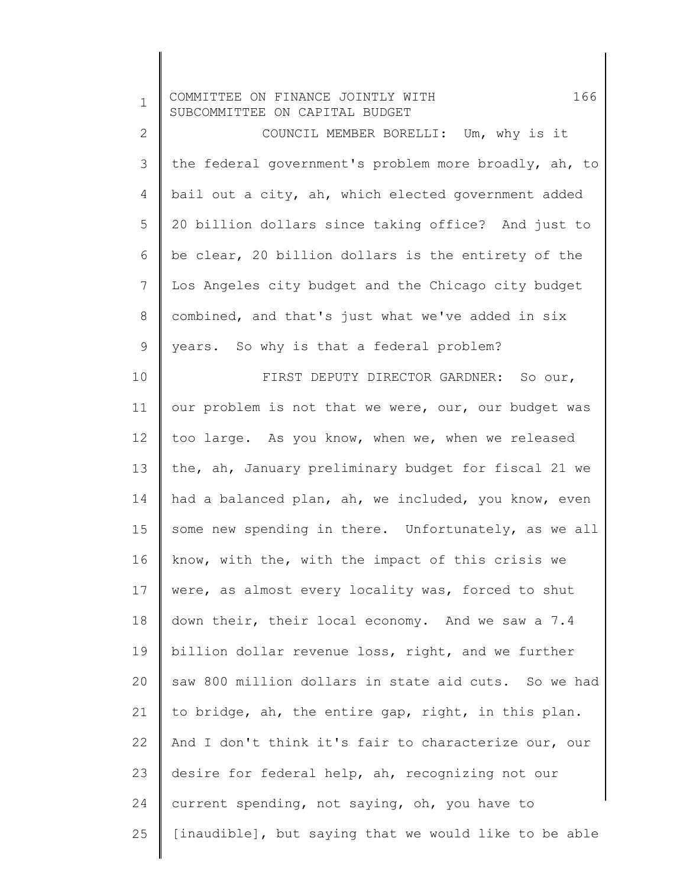| $\mathbf 1$    | 166<br>COMMITTEE ON FINANCE JOINTLY WITH<br>SUBCOMMITTEE ON CAPITAL BUDGET |
|----------------|----------------------------------------------------------------------------|
| $\mathbf{2}$   | COUNCIL MEMBER BORELLI: Um, why is it                                      |
| 3              | the federal government's problem more broadly, ah, to                      |
| 4              | bail out a city, ah, which elected government added                        |
| 5              | 20 billion dollars since taking office? And just to                        |
| 6              | be clear, 20 billion dollars is the entirety of the                        |
| $\overline{7}$ | Los Angeles city budget and the Chicago city budget                        |
| 8              | combined, and that's just what we've added in six                          |
| 9              | years. So why is that a federal problem?                                   |
| 10             | FIRST DEPUTY DIRECTOR GARDNER: So our,                                     |
| 11             | our problem is not that we were, our, our budget was                       |
| 12             | too large. As you know, when we, when we released                          |
| 13             | the, ah, January preliminary budget for fiscal 21 we                       |
| 14             | had a balanced plan, ah, we included, you know, even                       |
| 15             | some new spending in there. Unfortunately, as we all                       |
| 16             | know, with the, with the impact of this crisis we                          |
| 17             | were, as almost every locality was, forced to shut                         |
| 18             | down their, their local economy. And we saw a 7.4                          |
| 19             | billion dollar revenue loss, right, and we further                         |
| 20             | saw 800 million dollars in state aid cuts. So we had                       |
| 21             | to bridge, ah, the entire gap, right, in this plan.                        |
| 22             | And I don't think it's fair to characterize our, our                       |
| 23             | desire for federal help, ah, recognizing not our                           |
| 24             | current spending, not saying, oh, you have to                              |
| 25             | [inaudible], but saying that we would like to be able                      |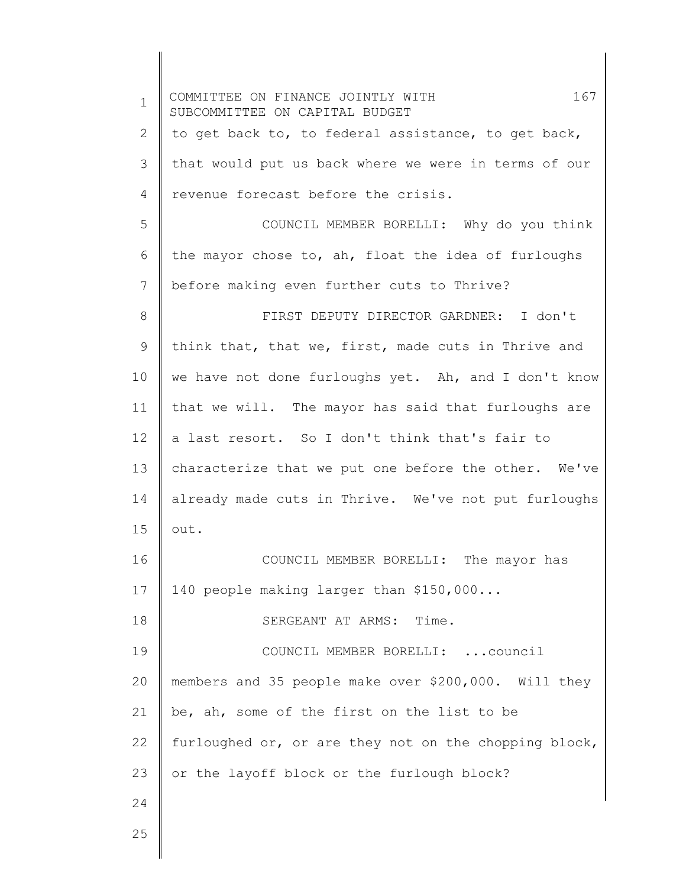1 2 3 4 5 6 7 8 9 10 11 12 13 14 15 16 17 18 19 20 21 22 23 24 COMMITTEE ON FINANCE JOINTLY WITH 167 SUBCOMMITTEE ON CAPITAL BUDGET to get back to, to federal assistance, to get back, that would put us back where we were in terms of our revenue forecast before the crisis. COUNCIL MEMBER BORELLI: Why do you think the mayor chose to, ah, float the idea of furloughs before making even further cuts to Thrive? FIRST DEPUTY DIRECTOR GARDNER: I don't think that, that we, first, made cuts in Thrive and we have not done furloughs yet. Ah, and I don't know that we will. The mayor has said that furloughs are a last resort. So I don't think that's fair to characterize that we put one before the other. We've already made cuts in Thrive. We've not put furloughs out. COUNCIL MEMBER BORELLI: The mayor has 140 people making larger than \$150,000... SERGEANT AT ARMS: Time. COUNCIL MEMBER BORELLI: ...council members and 35 people make over \$200,000. Will they be, ah, some of the first on the list to be furloughed or, or are they not on the chopping block, or the layoff block or the furlough block?

25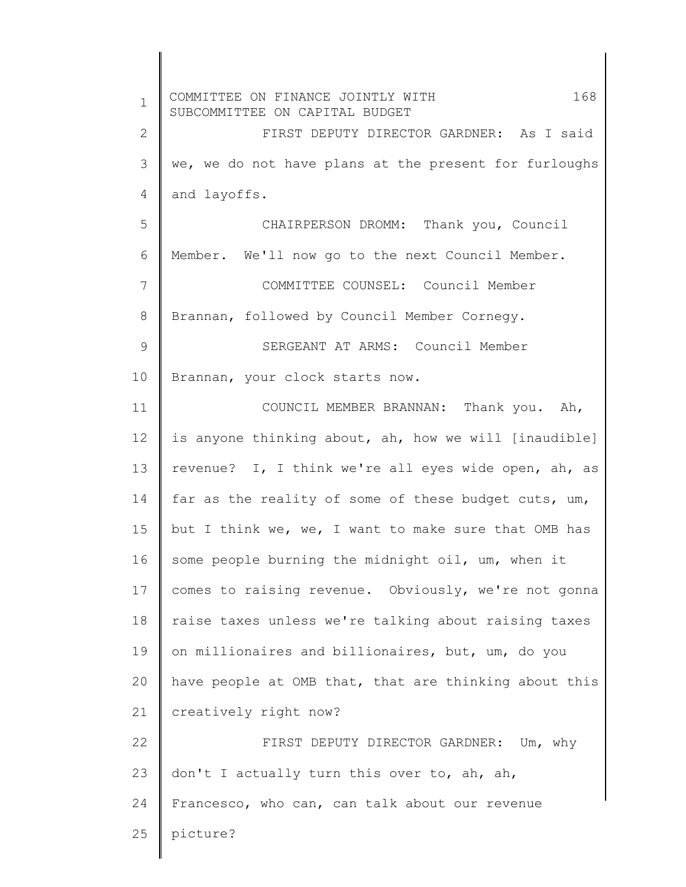| $\mathbf 1$  | 168<br>COMMITTEE ON FINANCE JOINTLY WITH<br>SUBCOMMITTEE ON CAPITAL BUDGET |
|--------------|----------------------------------------------------------------------------|
| $\mathbf{2}$ | FIRST DEPUTY DIRECTOR GARDNER: As I said                                   |
| 3            | we, we do not have plans at the present for furloughs                      |
| 4            | and layoffs.                                                               |
| 5            | CHAIRPERSON DROMM: Thank you, Council                                      |
| 6            | Member. We'll now go to the next Council Member.                           |
| 7            | COMMITTEE COUNSEL: Council Member                                          |
| 8            | Brannan, followed by Council Member Cornegy.                               |
| 9            | SERGEANT AT ARMS: Council Member                                           |
| 10           | Brannan, your clock starts now.                                            |
| 11           | COUNCIL MEMBER BRANNAN: Thank you. Ah,                                     |
| 12           | is anyone thinking about, ah, how we will [inaudible]                      |
| 13           | revenue? I, I think we're all eyes wide open, ah, as                       |
| 14           | far as the reality of some of these budget cuts, um,                       |
| 15           | but I think we, we, I want to make sure that OMB has                       |
| 16           | some people burning the midnight oil, um, when it                          |
| 17           | comes to raising revenue. Obviously, we're not gonna                       |
| 18           | raise taxes unless we're talking about raising taxes                       |
| 19           | on millionaires and billionaires, but, um, do you                          |
| 20           | have people at OMB that, that are thinking about this                      |
| 21           | creatively right now?                                                      |
| 22           | FIRST DEPUTY DIRECTOR GARDNER: Um, why                                     |
| 23           | don't I actually turn this over to, ah, ah,                                |
| 24           | Francesco, who can, can talk about our revenue                             |
| 25           | picture?                                                                   |
|              |                                                                            |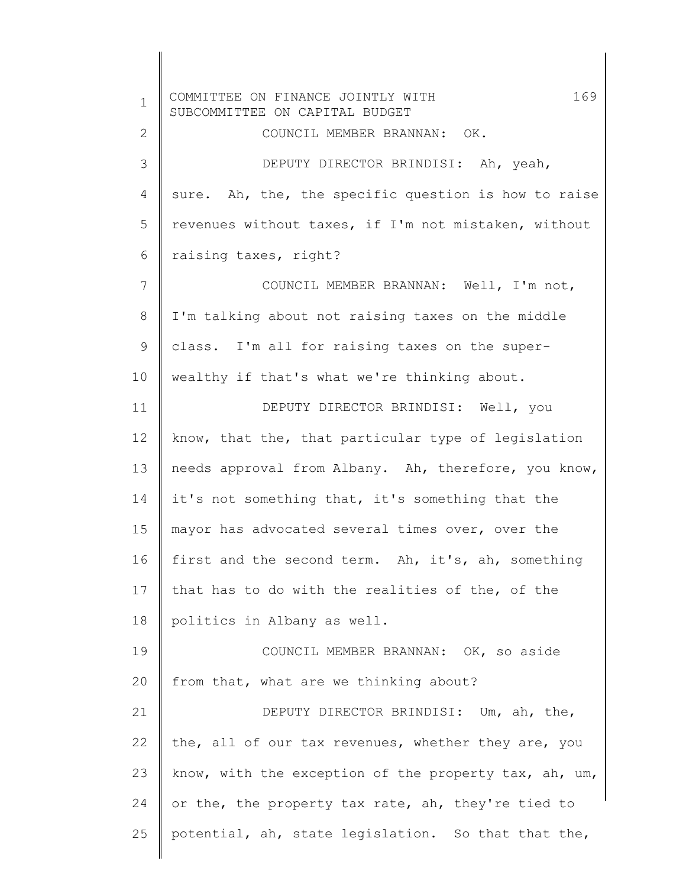1 2 3 4 5 6 7 8 9 10 11 12 13 14 15 16 17 18 19 20 21 22 23 24 25 COMMITTEE ON FINANCE JOINTLY WITH 169 SUBCOMMITTEE ON CAPITAL BUDGET COUNCIL MEMBER BRANNAN: OK. DEPUTY DIRECTOR BRINDISI: Ah, yeah, sure. Ah, the, the specific question is how to raise revenues without taxes, if I'm not mistaken, without raising taxes, right? COUNCIL MEMBER BRANNAN: Well, I'm not, I'm talking about not raising taxes on the middle class. I'm all for raising taxes on the superwealthy if that's what we're thinking about. DEPUTY DIRECTOR BRINDISI: Well, you know, that the, that particular type of legislation needs approval from Albany. Ah, therefore, you know, it's not something that, it's something that the mayor has advocated several times over, over the first and the second term. Ah, it's, ah, something that has to do with the realities of the, of the politics in Albany as well. COUNCIL MEMBER BRANNAN: OK, so aside from that, what are we thinking about? DEPUTY DIRECTOR BRINDISI: Um, ah, the, the, all of our tax revenues, whether they are, you know, with the exception of the property tax, ah, um, or the, the property tax rate, ah, they're tied to potential, ah, state legislation. So that that the,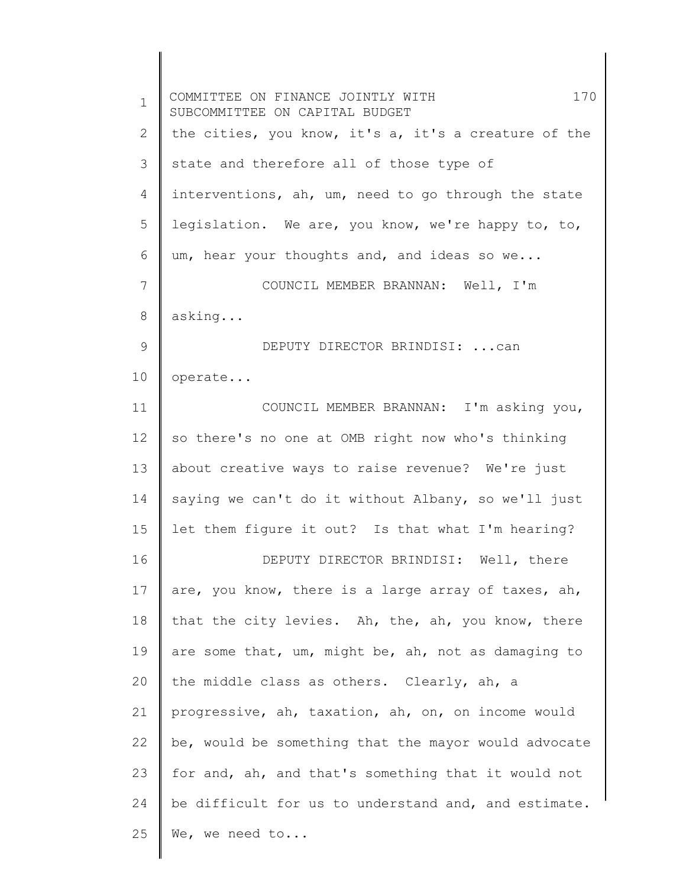1 2 3 4 5 6 7 8 9 10 11 12 13 14 15 16 17 18 19 20 21 22 23 24 25 COMMITTEE ON FINANCE JOINTLY WITH 170 SUBCOMMITTEE ON CAPITAL BUDGET the cities, you know, it's a, it's a creature of the state and therefore all of those type of interventions, ah, um, need to go through the state legislation. We are, you know, we're happy to, to, um, hear your thoughts and, and ideas so we... COUNCIL MEMBER BRANNAN: Well, I'm asking... DEPUTY DIRECTOR BRINDISI: ...can operate... COUNCIL MEMBER BRANNAN: I'm asking you, so there's no one at OMB right now who's thinking about creative ways to raise revenue? We're just saying we can't do it without Albany, so we'll just let them figure it out? Is that what I'm hearing? DEPUTY DIRECTOR BRINDISI: Well, there are, you know, there is a large array of taxes, ah, that the city levies. Ah, the, ah, you know, there are some that, um, might be, ah, not as damaging to the middle class as others. Clearly, ah, a progressive, ah, taxation, ah, on, on income would be, would be something that the mayor would advocate for and, ah, and that's something that it would not be difficult for us to understand and, and estimate. We, we need to...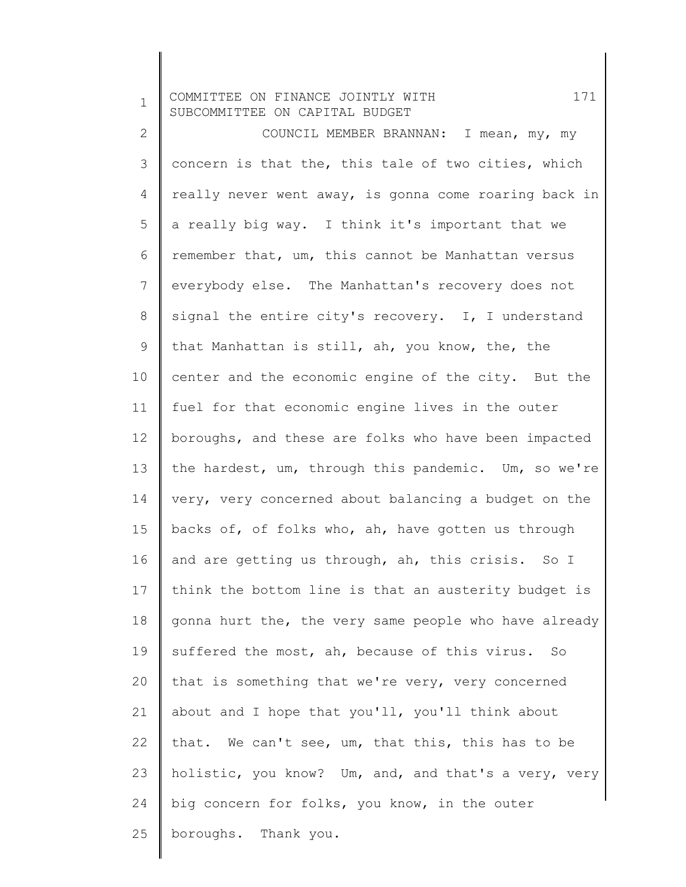1 2 3 4 5 6 7 8 9 10 11 12 13 14 15 16 17 18 19 20 21 22 23 24 25 COMMITTEE ON FINANCE JOINTLY WITH 171 SUBCOMMITTEE ON CAPITAL BUDGET COUNCIL MEMBER BRANNAN: I mean, my, my concern is that the, this tale of two cities, which really never went away, is gonna come roaring back in a really big way. I think it's important that we remember that, um, this cannot be Manhattan versus everybody else. The Manhattan's recovery does not signal the entire city's recovery. I, I understand that Manhattan is still, ah, you know, the, the center and the economic engine of the city. But the fuel for that economic engine lives in the outer boroughs, and these are folks who have been impacted the hardest, um, through this pandemic. Um, so we're very, very concerned about balancing a budget on the backs of, of folks who, ah, have gotten us through and are getting us through, ah, this crisis. So I think the bottom line is that an austerity budget is gonna hurt the, the very same people who have already suffered the most, ah, because of this virus. So that is something that we're very, very concerned about and I hope that you'll, you'll think about that. We can't see, um, that this, this has to be holistic, you know? Um, and, and that's a very, very big concern for folks, you know, in the outer boroughs. Thank you.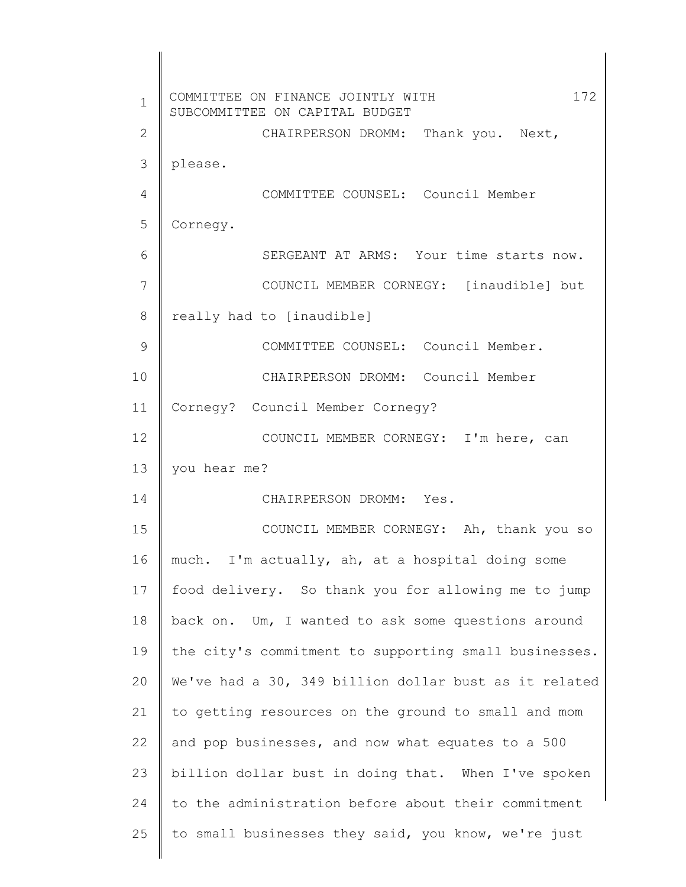| $\mathbf 1$ | 172<br>COMMITTEE ON FINANCE JOINTLY WITH<br>SUBCOMMITTEE ON CAPITAL BUDGET |
|-------------|----------------------------------------------------------------------------|
| 2           | CHAIRPERSON DROMM: Thank you. Next,                                        |
| 3           | please.                                                                    |
| 4           | COMMITTEE COUNSEL: Council Member                                          |
| 5           | Cornegy.                                                                   |
| 6           | SERGEANT AT ARMS: Your time starts now.                                    |
| 7           | COUNCIL MEMBER CORNEGY: [inaudible] but                                    |
| 8           | really had to [inaudible]                                                  |
| 9           | COMMITTEE COUNSEL: Council Member.                                         |
| 10          | CHAIRPERSON DROMM: Council Member                                          |
| 11          | Cornegy? Council Member Cornegy?                                           |
| 12          | COUNCIL MEMBER CORNEGY: I'm here, can                                      |
| 13          | you hear me?                                                               |
| 14          | CHAIRPERSON DROMM: Yes.                                                    |
| 15          | COUNCIL MEMBER CORNEGY: Ah, thank you so                                   |
| 16          | much. I'm actually, ah, at a hospital doing some                           |
| 17          | food delivery. So thank you for allowing me to jump                        |
| 18          | back on. Um, I wanted to ask some questions around                         |
| 19          | the city's commitment to supporting small businesses.                      |
| 20          | We've had a 30, 349 billion dollar bust as it related                      |
| 21          | to getting resources on the ground to small and mom                        |
| 22          | and pop businesses, and now what equates to a 500                          |
| 23          | billion dollar bust in doing that. When I've spoken                        |
| 24          | to the administration before about their commitment                        |
| 25          | to small businesses they said, you know, we're just                        |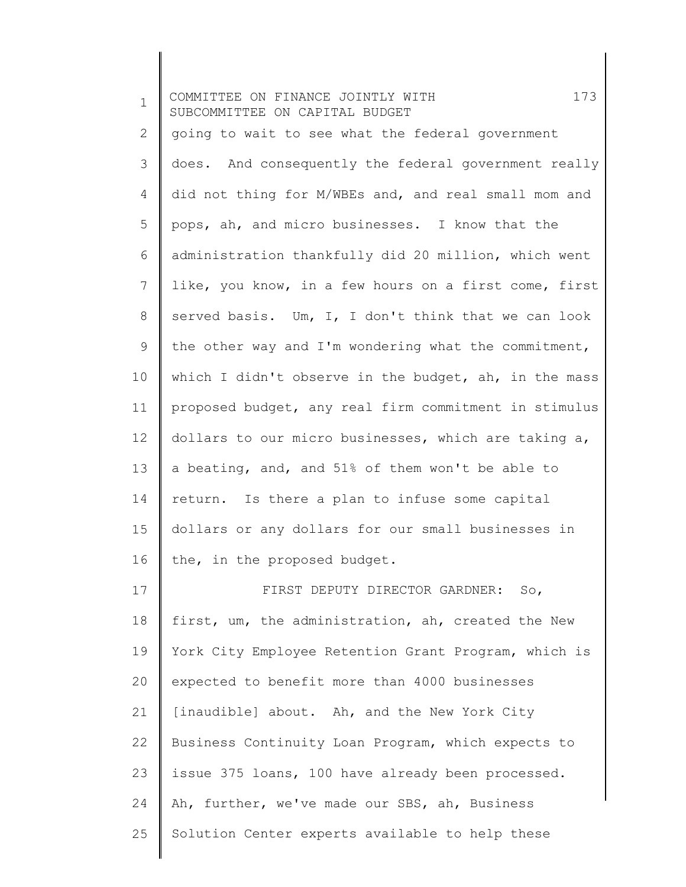| $\mathbf{1}$ | 173<br>COMMITTEE ON FINANCE JOINTLY WITH<br>SUBCOMMITTEE ON CAPITAL BUDGET |
|--------------|----------------------------------------------------------------------------|
| 2            | going to wait to see what the federal government                           |
| 3            | does. And consequently the federal government really                       |
| 4            | did not thing for M/WBEs and, and real small mom and                       |
| 5            | pops, ah, and micro businesses. I know that the                            |
| 6            | administration thankfully did 20 million, which went                       |
| 7            | like, you know, in a few hours on a first come, first                      |
| 8            | served basis. Um, I, I don't think that we can look                        |
| $\mathsf 9$  | the other way and I'm wondering what the commitment,                       |
| 10           | which I didn't observe in the budget, ah, in the mass                      |
| 11           | proposed budget, any real firm commitment in stimulus                      |
| 12           | dollars to our micro businesses, which are taking a,                       |
| 13           | a beating, and, and 51% of them won't be able to                           |
| 14           | return. Is there a plan to infuse some capital                             |
| 15           | dollars or any dollars for our small businesses in                         |
| 16           | the, in the proposed budget.                                               |
| 17           | FIRST DEPUTY DIRECTOR GARDNER: So,                                         |
| 18           | first, um, the administration, ah, created the New                         |
| 19           | York City Employee Retention Grant Program, which is                       |
| 20           | expected to benefit more than 4000 businesses                              |
| 21           | [inaudible] about. Ah, and the New York City                               |
| 22           | Business Continuity Loan Program, which expects to                         |
| 23           | issue 375 loans, 100 have already been processed.                          |
| 24           | Ah, further, we've made our SBS, ah, Business                              |
| 25           | Solution Center experts available to help these                            |
|              |                                                                            |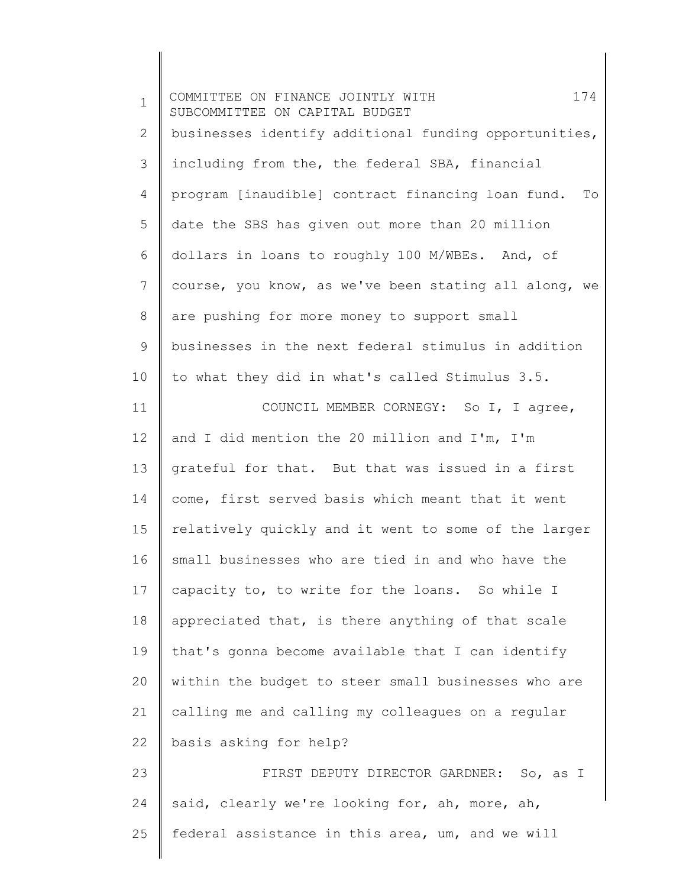| $\mathbf 1$ | 174<br>COMMITTEE ON FINANCE JOINTLY WITH<br>SUBCOMMITTEE ON CAPITAL BUDGET |
|-------------|----------------------------------------------------------------------------|
| 2           | businesses identify additional funding opportunities,                      |
| 3           | including from the, the federal SBA, financial                             |
| 4           | program [inaudible] contract financing loan fund. To                       |
| 5           | date the SBS has given out more than 20 million                            |
| 6           | dollars in loans to roughly 100 M/WBEs. And, of                            |
| 7           | course, you know, as we've been stating all along, we                      |
| 8           | are pushing for more money to support small                                |
| 9           | businesses in the next federal stimulus in addition                        |
| 10          | to what they did in what's called Stimulus 3.5.                            |
| 11          | COUNCIL MEMBER CORNEGY: So I, I agree,                                     |
| 12          | and I did mention the 20 million and I'm, I'm                              |
| 13          | grateful for that. But that was issued in a first                          |
| 14          | come, first served basis which meant that it went                          |
| 15          | relatively quickly and it went to some of the larger                       |
| 16          | small businesses who are tied in and who have the                          |
| 17          | capacity to, to write for the loans. So while I                            |
| 18          | appreciated that, is there anything of that scale                          |
| 19          | that's gonna become available that I can identify                          |
| 20          | within the budget to steer small businesses who are                        |
| 21          | calling me and calling my colleagues on a regular                          |
| 22          | basis asking for help?                                                     |
| 23          | FIRST DEPUTY DIRECTOR GARDNER: So, as I                                    |
| 24          | said, clearly we're looking for, ah, more, ah,                             |
| 25          | federal assistance in this area, um, and we will                           |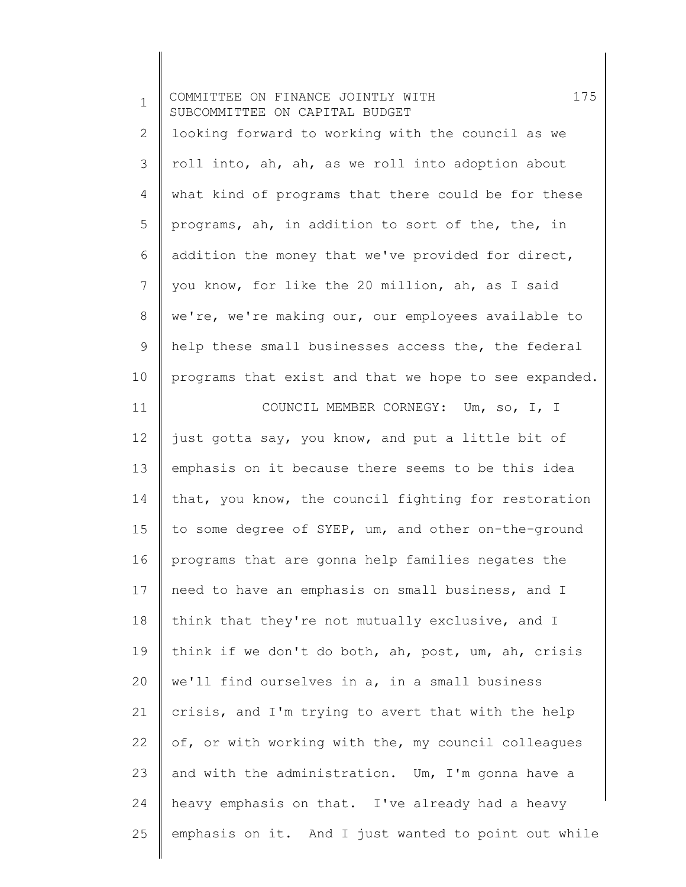| $\mathbf 1$    | 175<br>COMMITTEE ON FINANCE JOINTLY WITH<br>SUBCOMMITTEE ON CAPITAL BUDGET |
|----------------|----------------------------------------------------------------------------|
| $\overline{2}$ | looking forward to working with the council as we                          |
| 3              | roll into, ah, ah, as we roll into adoption about                          |
| 4              | what kind of programs that there could be for these                        |
| 5              | programs, ah, in addition to sort of the, the, in                          |
| 6              | addition the money that we've provided for direct,                         |
| 7              | you know, for like the 20 million, ah, as I said                           |
| $8\,$          | we're, we're making our, our employees available to                        |
| 9              | help these small businesses access the, the federal                        |
| 10             | programs that exist and that we hope to see expanded.                      |
| 11             | COUNCIL MEMBER CORNEGY: Um, so, I, I                                       |
| 12             | just gotta say, you know, and put a little bit of                          |
| 13             | emphasis on it because there seems to be this idea                         |
| 14             | that, you know, the council fighting for restoration                       |
| 15             | to some degree of SYEP, um, and other on-the-ground                        |
| 16             | programs that are gonna help families negates the                          |
| 17             | need to have an emphasis on small business, and I                          |
| 18             | think that they're not mutually exclusive, and I                           |
| 19             | think if we don't do both, ah, post, um, ah, crisis                        |
| 20             | we'll find ourselves in a, in a small business                             |
| 21             | crisis, and I'm trying to avert that with the help                         |
| 22             | of, or with working with the, my council colleagues                        |
| 23             | and with the administration. Um, I'm gonna have a                          |
| 24             | heavy emphasis on that. I've already had a heavy                           |
| 25             | emphasis on it. And I just wanted to point out while                       |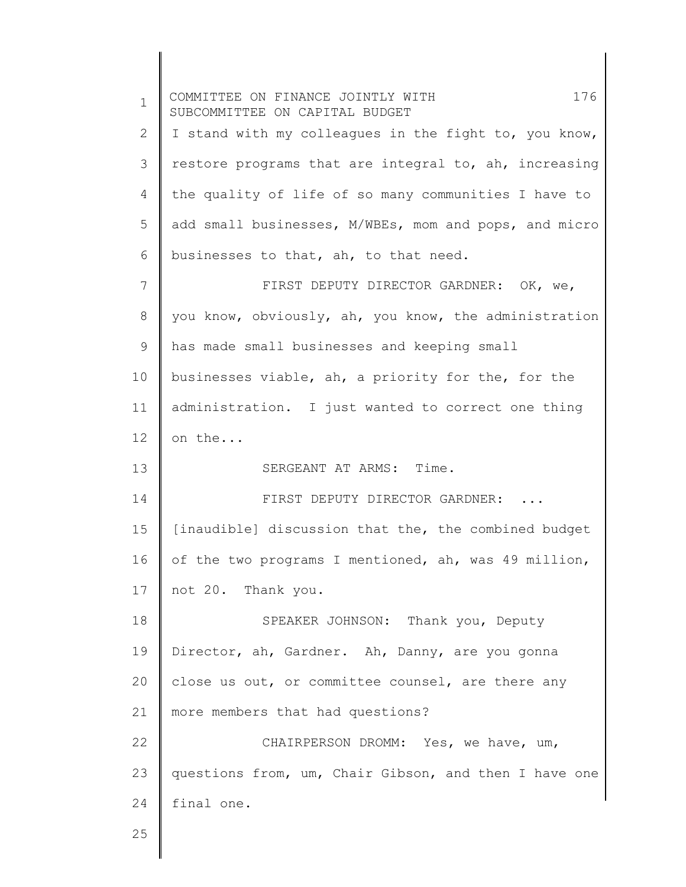1 2 3 4 5 6 7 8 9 10 11 12 13 14 15 16 17 18 19 20 21 22 23 24 25 COMMITTEE ON FINANCE JOINTLY WITH 176 SUBCOMMITTEE ON CAPITAL BUDGET I stand with my colleagues in the fight to, you know, restore programs that are integral to, ah, increasing the quality of life of so many communities I have to add small businesses, M/WBEs, mom and pops, and micro businesses to that, ah, to that need. FIRST DEPUTY DIRECTOR GARDNER: OK, we, you know, obviously, ah, you know, the administration has made small businesses and keeping small businesses viable, ah, a priority for the, for the administration. I just wanted to correct one thing on the... SERGEANT AT ARMS: Time. FIRST DEPUTY DIRECTOR GARDNER: ... [inaudible] discussion that the, the combined budget of the two programs I mentioned, ah, was 49 million, not 20. Thank you. SPEAKER JOHNSON: Thank you, Deputy Director, ah, Gardner. Ah, Danny, are you gonna close us out, or committee counsel, are there any more members that had questions? CHAIRPERSON DROMM: Yes, we have, um, questions from, um, Chair Gibson, and then I have one final one.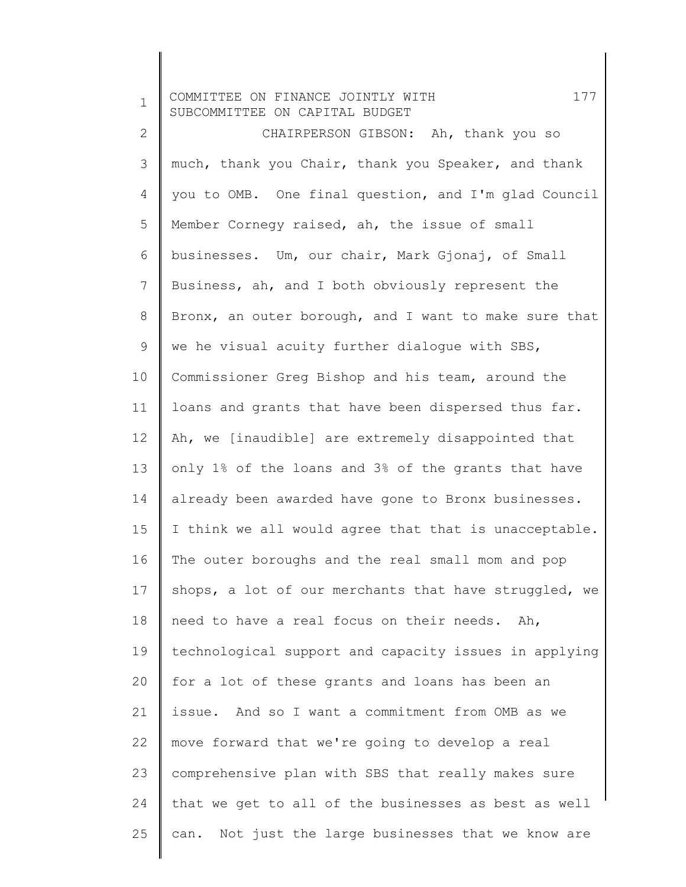1 2 3 4 5 6 7 8 9 10 11 12 13 14 15 16 17 18 19 20 21 22 23 24 25 COMMITTEE ON FINANCE JOINTLY WITH 177 SUBCOMMITTEE ON CAPITAL BUDGET CHAIRPERSON GIBSON: Ah, thank you so much, thank you Chair, thank you Speaker, and thank you to OMB. One final question, and I'm glad Council Member Cornegy raised, ah, the issue of small businesses. Um, our chair, Mark Gjonaj, of Small Business, ah, and I both obviously represent the Bronx, an outer borough, and I want to make sure that we he visual acuity further dialogue with SBS, Commissioner Greg Bishop and his team, around the loans and grants that have been dispersed thus far. Ah, we [inaudible] are extremely disappointed that only 1% of the loans and 3% of the grants that have already been awarded have gone to Bronx businesses. I think we all would agree that that is unacceptable. The outer boroughs and the real small mom and pop shops, a lot of our merchants that have struggled, we need to have a real focus on their needs. Ah, technological support and capacity issues in applying for a lot of these grants and loans has been an issue. And so I want a commitment from OMB as we move forward that we're going to develop a real comprehensive plan with SBS that really makes sure that we get to all of the businesses as best as well can. Not just the large businesses that we know are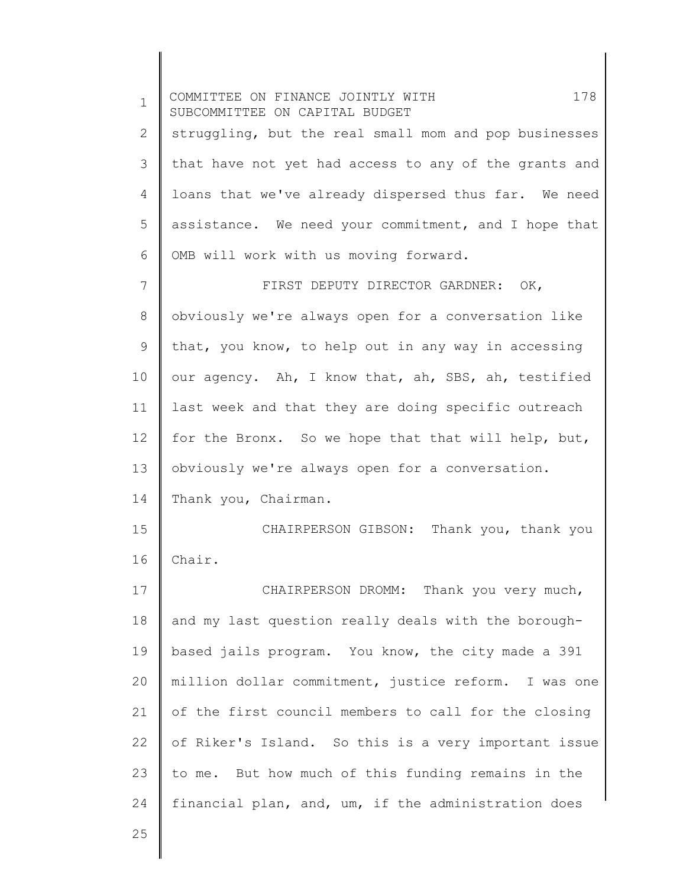1 2 3 4 5 6 7 8 9 10 11 12 13 14 15 16 17 18 19 20 21 22 23 24 25 COMMITTEE ON FINANCE JOINTLY WITH 178 SUBCOMMITTEE ON CAPITAL BUDGET struggling, but the real small mom and pop businesses that have not yet had access to any of the grants and loans that we've already dispersed thus far. We need assistance. We need your commitment, and I hope that OMB will work with us moving forward. FIRST DEPUTY DIRECTOR GARDNER: OK, obviously we're always open for a conversation like that, you know, to help out in any way in accessing our agency. Ah, I know that, ah, SBS, ah, testified last week and that they are doing specific outreach for the Bronx. So we hope that that will help, but, obviously we're always open for a conversation. Thank you, Chairman. CHAIRPERSON GIBSON: Thank you, thank you Chair. CHAIRPERSON DROMM: Thank you very much, and my last question really deals with the boroughbased jails program. You know, the city made a 391 million dollar commitment, justice reform. I was one of the first council members to call for the closing of Riker's Island. So this is a very important issue to me. But how much of this funding remains in the financial plan, and, um, if the administration does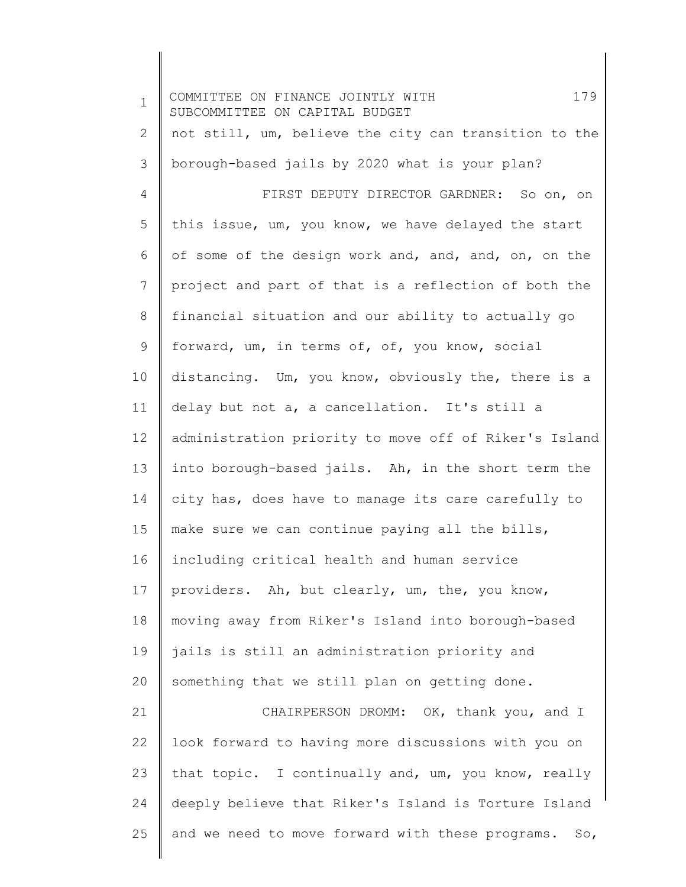1 2 3 4 5 6 7 8 9 10 11 12 13 14 15 16 17 18 19 20 21 22 23 24 25 COMMITTEE ON FINANCE JOINTLY WITH 179 SUBCOMMITTEE ON CAPITAL BUDGET not still, um, believe the city can transition to the borough-based jails by 2020 what is your plan? FIRST DEPUTY DIRECTOR GARDNER: So on, on this issue, um, you know, we have delayed the start of some of the design work and, and, and, on, on the project and part of that is a reflection of both the financial situation and our ability to actually go forward, um, in terms of, of, you know, social distancing. Um, you know, obviously the, there is a delay but not a, a cancellation. It's still a administration priority to move off of Riker's Island into borough-based jails. Ah, in the short term the city has, does have to manage its care carefully to make sure we can continue paying all the bills, including critical health and human service providers. Ah, but clearly, um, the, you know, moving away from Riker's Island into borough-based jails is still an administration priority and something that we still plan on getting done. CHAIRPERSON DROMM: OK, thank you, and I look forward to having more discussions with you on that topic. I continually and, um, you know, really deeply believe that Riker's Island is Torture Island and we need to move forward with these programs. So,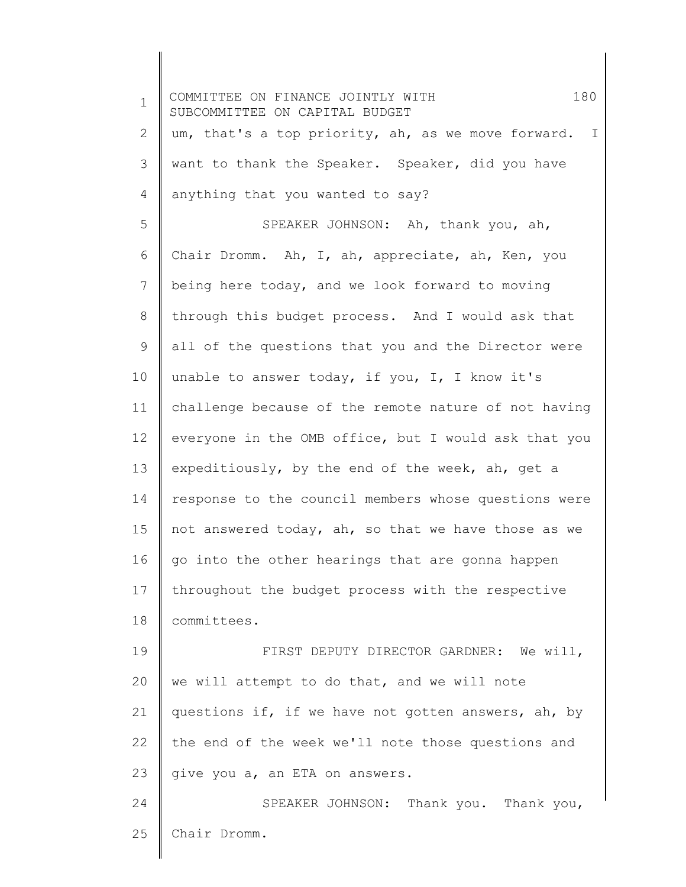1 2 3 4 5 6 7 8 9 10 11 12 13 14 15 16 17 18 19 20 21 22 23 24 25 COMMITTEE ON FINANCE JOINTLY WITH 180 SUBCOMMITTEE ON CAPITAL BUDGET um, that's a top priority, ah, as we move forward. I want to thank the Speaker. Speaker, did you have anything that you wanted to say? SPEAKER JOHNSON: Ah, thank you, ah, Chair Dromm. Ah, I, ah, appreciate, ah, Ken, you being here today, and we look forward to moving through this budget process. And I would ask that all of the questions that you and the Director were unable to answer today, if you, I, I know it's challenge because of the remote nature of not having everyone in the OMB office, but I would ask that you expeditiously, by the end of the week, ah, get a response to the council members whose questions were not answered today, ah, so that we have those as we go into the other hearings that are gonna happen throughout the budget process with the respective committees. FIRST DEPUTY DIRECTOR GARDNER: We will, we will attempt to do that, and we will note questions if, if we have not gotten answers, ah, by the end of the week we'll note those questions and give you a, an ETA on answers. SPEAKER JOHNSON: Thank you. Thank you, Chair Dromm.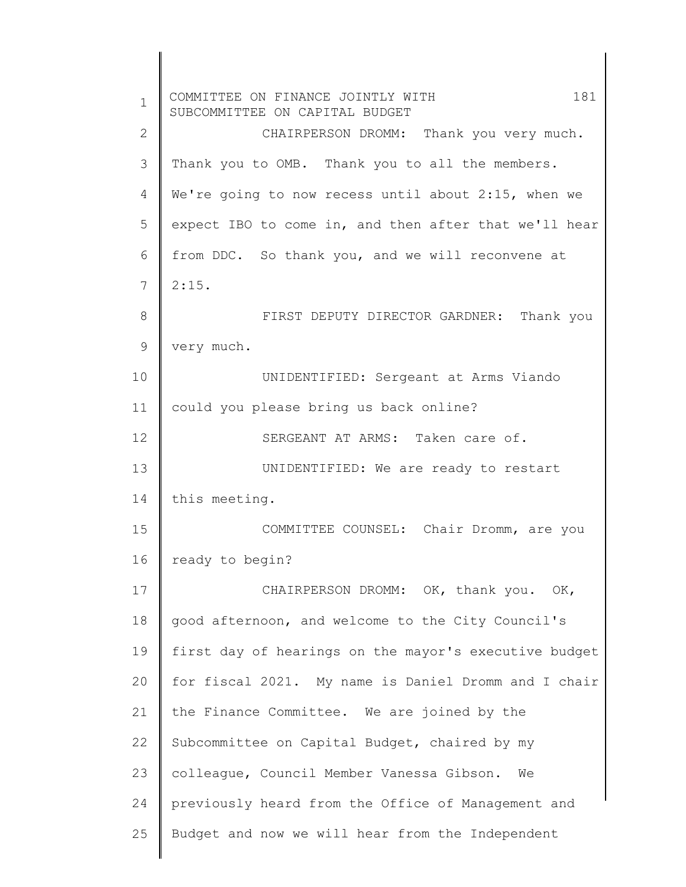| $\mathbf 1$ | 181<br>COMMITTEE ON FINANCE JOINTLY WITH<br>SUBCOMMITTEE ON CAPITAL BUDGET |
|-------------|----------------------------------------------------------------------------|
| 2           | CHAIRPERSON DROMM: Thank you very much.                                    |
| 3           | Thank you to OMB. Thank you to all the members.                            |
| 4           | We're going to now recess until about 2:15, when we                        |
| 5           | expect IBO to come in, and then after that we'll hear                      |
| 6           | from DDC. So thank you, and we will reconvene at                           |
| 7           | 2:15.                                                                      |
| 8           | FIRST DEPUTY DIRECTOR GARDNER: Thank you                                   |
| 9           | very much.                                                                 |
| 10          | UNIDENTIFIED: Sergeant at Arms Viando                                      |
| 11          | could you please bring us back online?                                     |
| 12          | SERGEANT AT ARMS: Taken care of.                                           |
| 13          | UNIDENTIFIED: We are ready to restart                                      |
| 14          | this meeting.                                                              |
| 15          | COMMITTEE COUNSEL: Chair Dromm, are you                                    |
| 16          | ready to begin?                                                            |
| 17          | CHAIRPERSON DROMM: OK, thank you. OK,                                      |
| 18          | good afternoon, and welcome to the City Council's                          |
| 19          | first day of hearings on the mayor's executive budget                      |
| 20          | for fiscal 2021. My name is Daniel Dromm and I chair                       |
| 21          | the Finance Committee. We are joined by the                                |
| 22          | Subcommittee on Capital Budget, chaired by my                              |
| 23          | colleague, Council Member Vanessa Gibson.<br>We                            |
| 24          | previously heard from the Office of Management and                         |
| 25          | Budget and now we will hear from the Independent                           |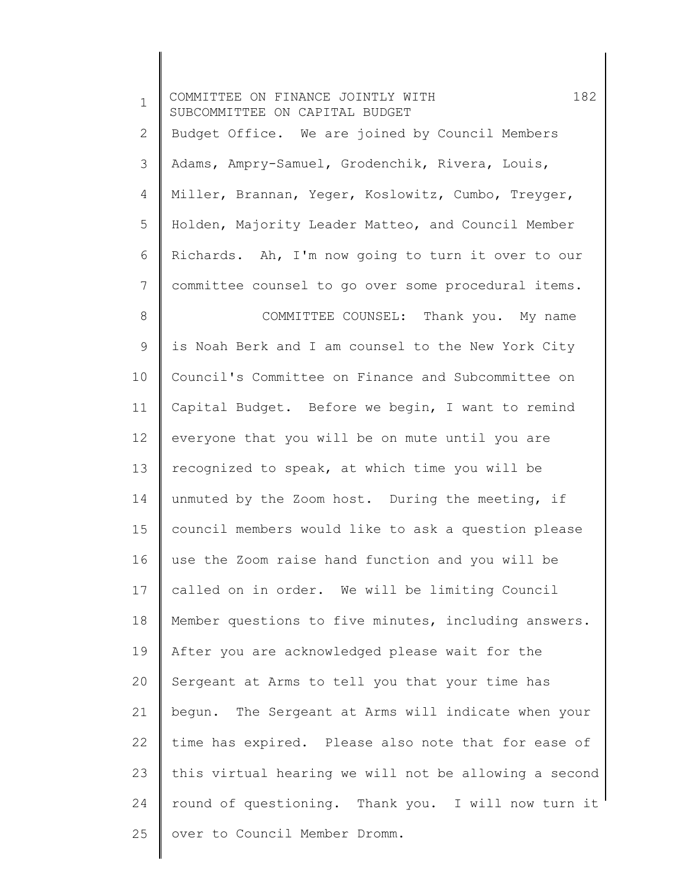| $\mathbf 1$     | 182<br>COMMITTEE ON FINANCE JOINTLY WITH<br>SUBCOMMITTEE ON CAPITAL BUDGET |
|-----------------|----------------------------------------------------------------------------|
| $\mathbf{2}$    | Budget Office. We are joined by Council Members                            |
| 3               | Adams, Ampry-Samuel, Grodenchik, Rivera, Louis,                            |
| 4               | Miller, Brannan, Yeger, Koslowitz, Cumbo, Treyger,                         |
| 5               | Holden, Majority Leader Matteo, and Council Member                         |
| 6               | Richards. Ah, I'm now going to turn it over to our                         |
| $\overline{7}$  | committee counsel to go over some procedural items.                        |
| $8\,$           | COMMITTEE COUNSEL: Thank you. My name                                      |
| 9               | is Noah Berk and I am counsel to the New York City                         |
| 10 <sup>°</sup> | Council's Committee on Finance and Subcommittee on                         |
| 11              | Capital Budget. Before we begin, I want to remind                          |
| $12 \,$         | everyone that you will be on mute until you are                            |
| 13              | recognized to speak, at which time you will be                             |
| 14              | unmuted by the Zoom host. During the meeting, if                           |
| 15              | council members would like to ask a question please                        |
| 16              | use the Zoom raise hand function and you will be                           |
| 17              | called on in order. We will be limiting Council                            |
| 18              | Member questions to five minutes, including answers.                       |
| 19              | After you are acknowledged please wait for the                             |
| 20              | Sergeant at Arms to tell you that your time has                            |
| 21              | begun. The Sergeant at Arms will indicate when your                        |
| 22              | time has expired. Please also note that for ease of                        |
| 23              | this virtual hearing we will not be allowing a second                      |
| 24              | round of questioning. Thank you. I will now turn it                        |
| 25              | over to Council Member Dromm.                                              |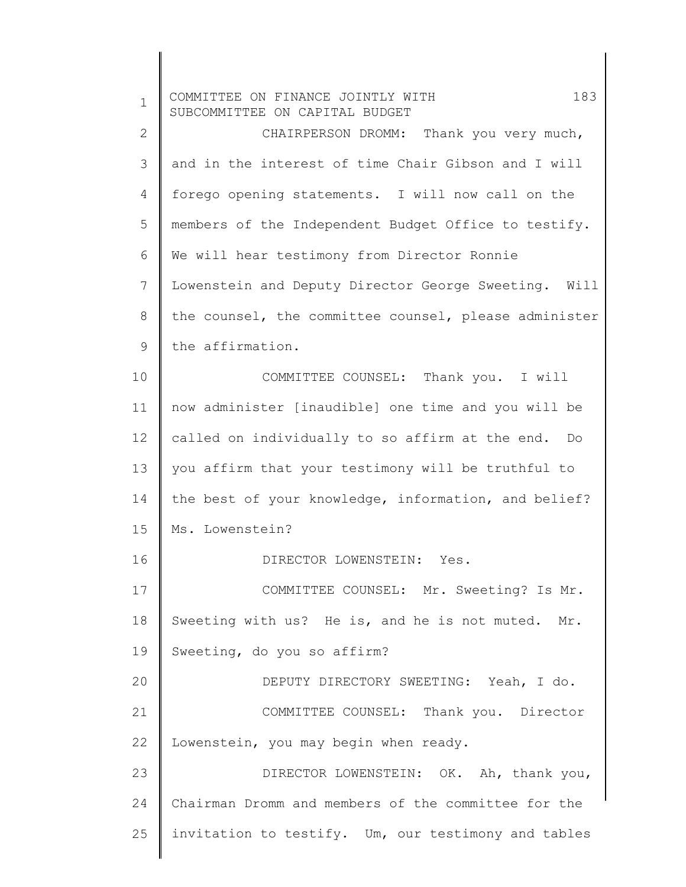| $\mathbf 1$  | 183<br>COMMITTEE ON FINANCE JOINTLY WITH<br>SUBCOMMITTEE ON CAPITAL BUDGET |
|--------------|----------------------------------------------------------------------------|
| $\mathbf{2}$ | CHAIRPERSON DROMM: Thank you very much,                                    |
| 3            | and in the interest of time Chair Gibson and I will                        |
| 4            | forego opening statements. I will now call on the                          |
| 5            | members of the Independent Budget Office to testify.                       |
| 6            | We will hear testimony from Director Ronnie                                |
| 7            | Lowenstein and Deputy Director George Sweeting. Will                       |
| $8\,$        | the counsel, the committee counsel, please administer                      |
| 9            | the affirmation.                                                           |
| 10           | COMMITTEE COUNSEL: Thank you. I will                                       |
| 11           | now administer [inaudible] one time and you will be                        |
| 12           | called on individually to so affirm at the end. Do                         |
| 13           | you affirm that your testimony will be truthful to                         |
| 14           | the best of your knowledge, information, and belief?                       |
| 15           | Ms. Lowenstein?                                                            |
| 16           | DIRECTOR LOWENSTEIN: Yes.                                                  |
| 17           | COMMITTEE COUNSEL: Mr. Sweeting? Is Mr.                                    |
| 18           | Sweeting with us? He is, and he is not muted. Mr.                          |
| 19           | Sweeting, do you so affirm?                                                |
| 20           | DEPUTY DIRECTORY SWEETING: Yeah, I do.                                     |
| 21           | COMMITTEE COUNSEL: Thank you. Director                                     |
| 22           | Lowenstein, you may begin when ready.                                      |
| 23           | DIRECTOR LOWENSTEIN: OK. Ah, thank you,                                    |
| 24           | Chairman Dromm and members of the committee for the                        |
| 25           | invitation to testify. Um, our testimony and tables                        |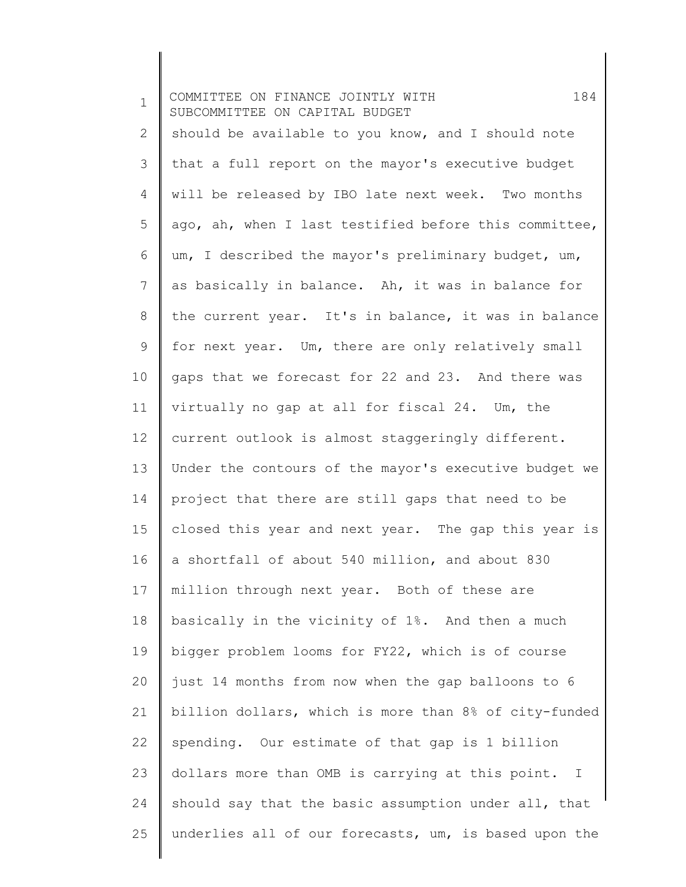| $\mathbf 1$ | 184<br>COMMITTEE ON FINANCE JOINTLY WITH<br>SUBCOMMITTEE ON CAPITAL BUDGET |
|-------------|----------------------------------------------------------------------------|
| 2           | should be available to you know, and I should note                         |
| 3           | that a full report on the mayor's executive budget                         |
| 4           | will be released by IBO late next week. Two months                         |
| 5           | ago, ah, when I last testified before this committee,                      |
| 6           | um, I described the mayor's preliminary budget, um,                        |
| 7           | as basically in balance. Ah, it was in balance for                         |
| $8\,$       | the current year. It's in balance, it was in balance                       |
| 9           | for next year. Um, there are only relatively small                         |
| 10          | gaps that we forecast for 22 and 23. And there was                         |
| 11          | virtually no gap at all for fiscal 24. Um, the                             |
| 12          | current outlook is almost staggeringly different.                          |
| 13          | Under the contours of the mayor's executive budget we                      |
| 14          | project that there are still gaps that need to be                          |
| 15          | closed this year and next year. The gap this year is                       |
| 16          | a shortfall of about 540 million, and about 830                            |
| 17          | million through next year. Both of these are                               |
| 18          | basically in the vicinity of 1%. And then a much                           |
| 19          | bigger problem looms for FY22, which is of course                          |
| 20          | just 14 months from now when the gap balloons to 6                         |
| 21          | billion dollars, which is more than 8% of city-funded                      |
| 22          | spending. Our estimate of that gap is 1 billion                            |
| 23          | dollars more than OMB is carrying at this point. I                         |
| 24          | should say that the basic assumption under all, that                       |
| 25          | underlies all of our forecasts, um, is based upon the                      |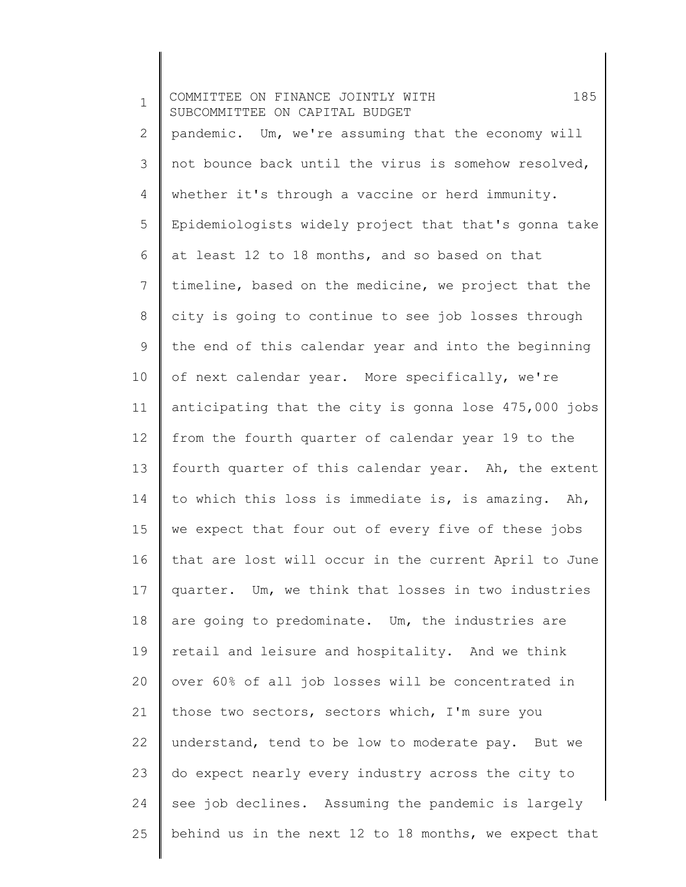1 2 3 4 5 6 7 8 9 10 11 12 13 14 15 16 17 18 19 20 21 22 23 24 25 COMMITTEE ON FINANCE JOINTLY WITH 185 SUBCOMMITTEE ON CAPITAL BUDGET pandemic. Um, we're assuming that the economy will not bounce back until the virus is somehow resolved, whether it's through a vaccine or herd immunity. Epidemiologists widely project that that's gonna take at least 12 to 18 months, and so based on that timeline, based on the medicine, we project that the city is going to continue to see job losses through the end of this calendar year and into the beginning of next calendar year. More specifically, we're anticipating that the city is gonna lose 475,000 jobs from the fourth quarter of calendar year 19 to the fourth quarter of this calendar year. Ah, the extent to which this loss is immediate is, is amazing. Ah, we expect that four out of every five of these jobs that are lost will occur in the current April to June quarter. Um, we think that losses in two industries are going to predominate. Um, the industries are retail and leisure and hospitality. And we think over 60% of all job losses will be concentrated in those two sectors, sectors which, I'm sure you understand, tend to be low to moderate pay. But we do expect nearly every industry across the city to see job declines. Assuming the pandemic is largely behind us in the next 12 to 18 months, we expect that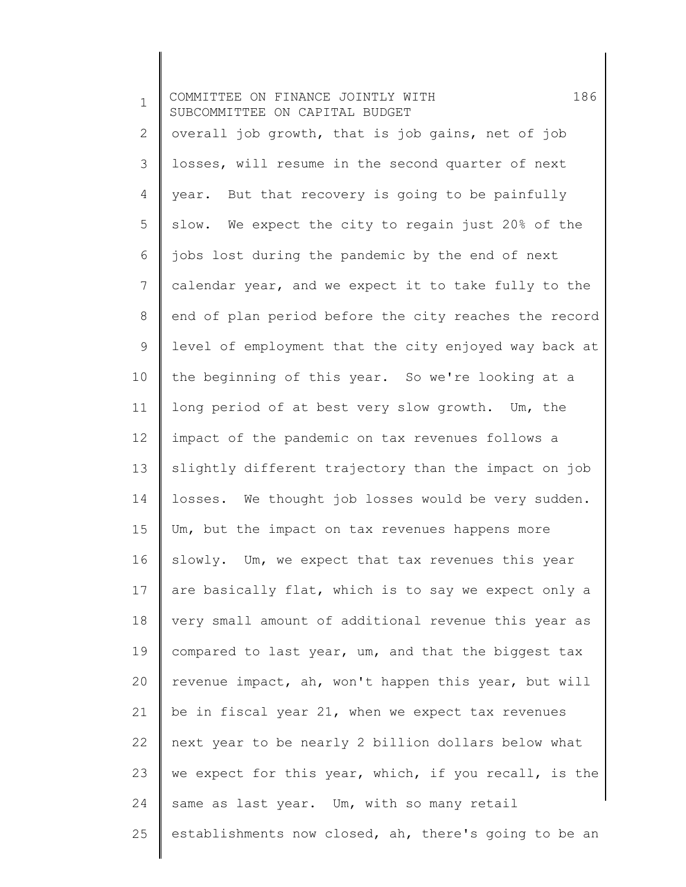| $\mathbf 1$    | 186<br>COMMITTEE ON FINANCE JOINTLY WITH<br>SUBCOMMITTEE ON CAPITAL BUDGET |
|----------------|----------------------------------------------------------------------------|
| $\overline{2}$ | overall job growth, that is job gains, net of job                          |
| 3              | losses, will resume in the second quarter of next                          |
| 4              | year. But that recovery is going to be painfully                           |
| 5              | slow. We expect the city to regain just 20% of the                         |
| 6              | jobs lost during the pandemic by the end of next                           |
| $\overline{7}$ | calendar year, and we expect it to take fully to the                       |
| 8              | end of plan period before the city reaches the record                      |
| 9              | level of employment that the city enjoyed way back at                      |
| 10             | the beginning of this year. So we're looking at a                          |
| 11             | long period of at best very slow growth. Um, the                           |
| 12             | impact of the pandemic on tax revenues follows a                           |
| 13             | slightly different trajectory than the impact on job                       |
| 14             | losses. We thought job losses would be very sudden.                        |
| 15             | Um, but the impact on tax revenues happens more                            |
| 16             | slowly. Um, we expect that tax revenues this year                          |
| 17             | are basically flat, which is to say we expect only a                       |
| 18             | very small amount of additional revenue this year as                       |
| 19             | compared to last year, um, and that the biggest tax                        |
| 20             | revenue impact, ah, won't happen this year, but will                       |
| 21             | be in fiscal year 21, when we expect tax revenues                          |
| 22             | next year to be nearly 2 billion dollars below what                        |
| 23             | we expect for this year, which, if you recall, is the                      |
| 24             | same as last year. Um, with so many retail                                 |
| 25             | establishments now closed, ah, there's going to be an                      |

 $\begin{array}{c} \hline \end{array}$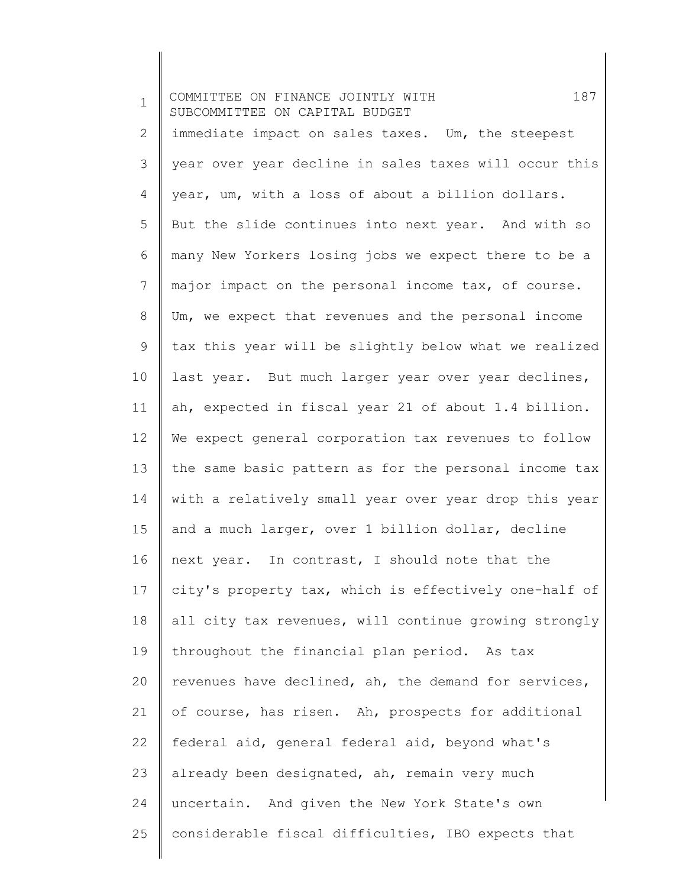| $\mathbf{1}$   | 187<br>COMMITTEE ON FINANCE JOINTLY WITH<br>SUBCOMMITTEE ON CAPITAL BUDGET |
|----------------|----------------------------------------------------------------------------|
| $\overline{2}$ | immediate impact on sales taxes. Um, the steepest                          |
| 3              | year over year decline in sales taxes will occur this                      |
| $\overline{4}$ | year, um, with a loss of about a billion dollars.                          |
| 5              | But the slide continues into next year. And with so                        |
| 6              | many New Yorkers losing jobs we expect there to be a                       |
| $7\phantom{.}$ | major impact on the personal income tax, of course.                        |
| 8              | Um, we expect that revenues and the personal income                        |
| $\mathsf 9$    | tax this year will be slightly below what we realized                      |
| 10             | last year. But much larger year over year declines,                        |
| 11             | ah, expected in fiscal year 21 of about 1.4 billion.                       |
| 12             | We expect general corporation tax revenues to follow                       |
| 13             | the same basic pattern as for the personal income tax                      |
| 14             | with a relatively small year over year drop this year                      |
| 15             | and a much larger, over 1 billion dollar, decline                          |
| 16             | next year. In contrast, I should note that the                             |
| 17             | city's property tax, which is effectively one-half of                      |
| 18             | all city tax revenues, will continue growing strongly                      |
| 19             | throughout the financial plan period. As tax                               |
| 20             | revenues have declined, ah, the demand for services,                       |
| 21             | of course, has risen. Ah, prospects for additional                         |
| 22             | federal aid, general federal aid, beyond what's                            |
| 23             | already been designated, ah, remain very much                              |
| 24             | uncertain. And given the New York State's own                              |
| 25             | considerable fiscal difficulties, IBO expects that                         |

 $\begin{array}{c} \hline \end{array}$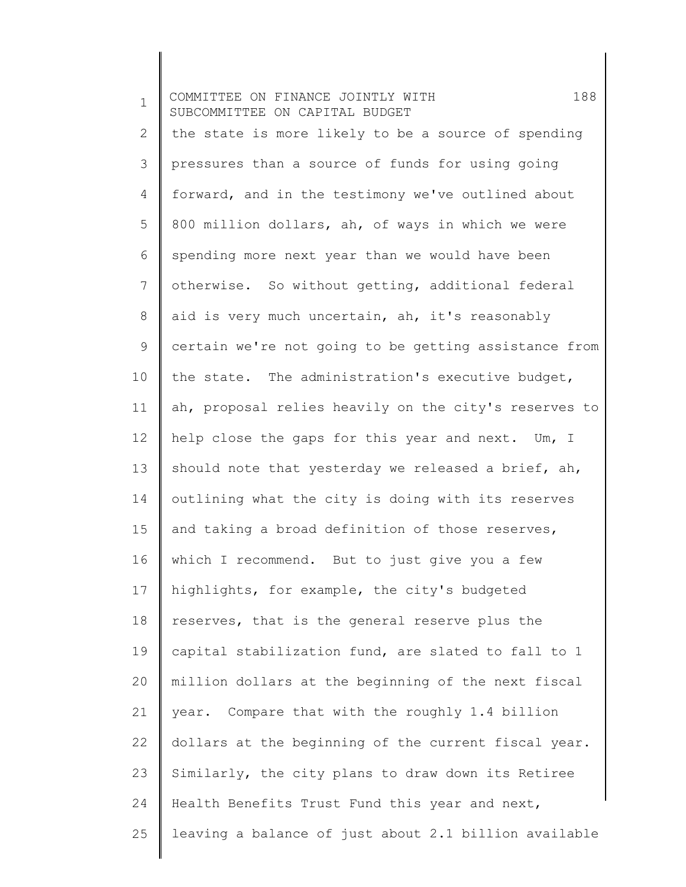1 2 3 4 5 6 7 8 9 10 11 12 13 14 15 16 17 18 19 20 21 22 23 24 25 COMMITTEE ON FINANCE JOINTLY WITH 188 SUBCOMMITTEE ON CAPITAL BUDGET the state is more likely to be a source of spending pressures than a source of funds for using going forward, and in the testimony we've outlined about 800 million dollars, ah, of ways in which we were spending more next year than we would have been otherwise. So without getting, additional federal aid is very much uncertain, ah, it's reasonably certain we're not going to be getting assistance from the state. The administration's executive budget, ah, proposal relies heavily on the city's reserves to help close the gaps for this year and next. Um, I should note that yesterday we released a brief, ah, outlining what the city is doing with its reserves and taking a broad definition of those reserves, which I recommend. But to just give you a few highlights, for example, the city's budgeted reserves, that is the general reserve plus the capital stabilization fund, are slated to fall to 1 million dollars at the beginning of the next fiscal year. Compare that with the roughly 1.4 billion dollars at the beginning of the current fiscal year. Similarly, the city plans to draw down its Retiree Health Benefits Trust Fund this year and next, leaving a balance of just about 2.1 billion available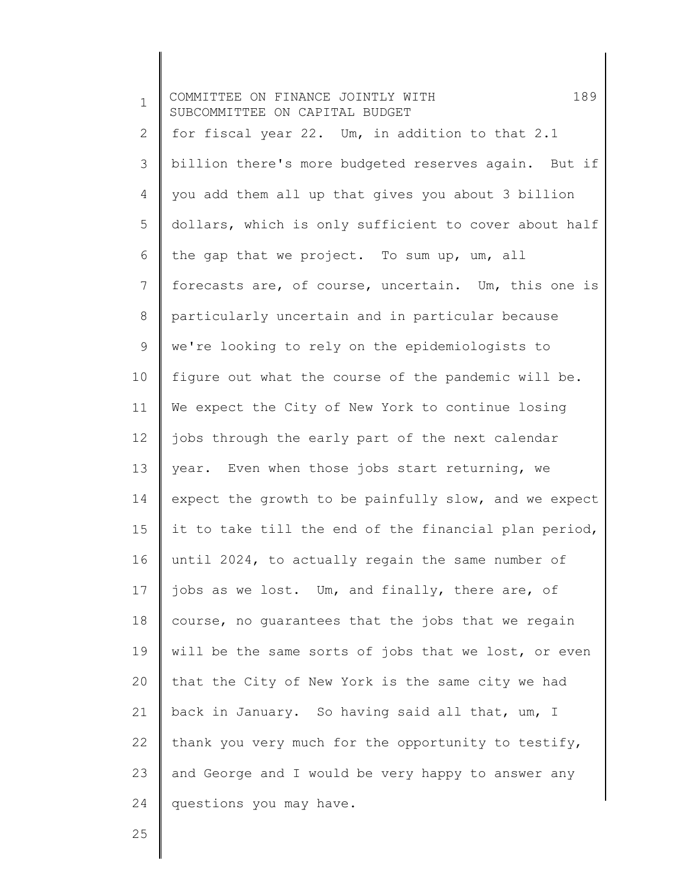| $\mathbf 1$ | 189<br>COMMITTEE ON FINANCE JOINTLY WITH<br>SUBCOMMITTEE ON CAPITAL BUDGET |
|-------------|----------------------------------------------------------------------------|
| 2           | for fiscal year 22. Um, in addition to that 2.1                            |
| 3           | billion there's more budgeted reserves again. But if                       |
| 4           | you add them all up that gives you about 3 billion                         |
| 5           | dollars, which is only sufficient to cover about half                      |
| 6           | the gap that we project. To sum up, um, all                                |
| 7           | forecasts are, of course, uncertain. Um, this one is                       |
| 8           | particularly uncertain and in particular because                           |
| 9           | we're looking to rely on the epidemiologists to                            |
| 10          | figure out what the course of the pandemic will be.                        |
| 11          | We expect the City of New York to continue losing                          |
| 12          | jobs through the early part of the next calendar                           |
| 13          | year. Even when those jobs start returning, we                             |
| 14          | expect the growth to be painfully slow, and we expect                      |
| 15          | it to take till the end of the financial plan period,                      |
| 16          | until 2024, to actually regain the same number of                          |
| 17          | jobs as we lost. Um, and finally, there are, of                            |
| 18          | course, no guarantees that the jobs that we regain                         |
| 19          | will be the same sorts of jobs that we lost, or even                       |
| 20          | that the City of New York is the same city we had                          |
| 21          | back in January. So having said all that, um, I                            |
| 22          | thank you very much for the opportunity to testify,                        |
| 23          | and George and I would be very happy to answer any                         |
| 24          | questions you may have.                                                    |
|             |                                                                            |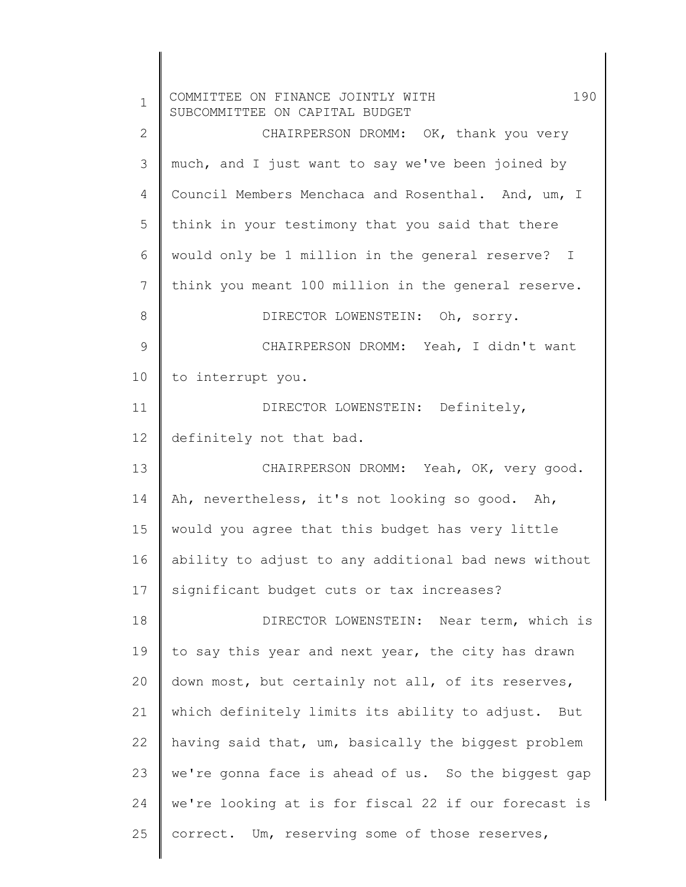| $\mathbf 1$  | 190<br>COMMITTEE ON FINANCE JOINTLY WITH<br>SUBCOMMITTEE ON CAPITAL BUDGET |
|--------------|----------------------------------------------------------------------------|
| $\mathbf{2}$ | CHAIRPERSON DROMM: OK, thank you very                                      |
| 3            | much, and I just want to say we've been joined by                          |
| 4            | Council Members Menchaca and Rosenthal. And, um, I                         |
| 5            | think in your testimony that you said that there                           |
| 6            | would only be 1 million in the general reserve? I                          |
| 7            | think you meant 100 million in the general reserve.                        |
| 8            | DIRECTOR LOWENSTEIN: Oh, sorry.                                            |
| 9            | CHAIRPERSON DROMM: Yeah, I didn't want                                     |
| 10           | to interrupt you.                                                          |
| 11           | DIRECTOR LOWENSTEIN: Definitely,                                           |
| 12           | definitely not that bad.                                                   |
| 13           | CHAIRPERSON DROMM: Yeah, OK, very good.                                    |
| 14           | Ah, nevertheless, it's not looking so good. Ah,                            |
| 15           | would you agree that this budget has very little                           |
| 16           | ability to adjust to any additional bad news without                       |
| 17           | significant budget cuts or tax increases?                                  |
| 18           | DIRECTOR LOWENSTEIN: Near term, which is                                   |
| 19           | to say this year and next year, the city has drawn                         |
| 20           | down most, but certainly not all, of its reserves,                         |
| 21           | which definitely limits its ability to adjust. But                         |
| 22           | having said that, um, basically the biggest problem                        |
| 23           | we're gonna face is ahead of us. So the biggest gap                        |
| 24           | we're looking at is for fiscal 22 if our forecast is                       |
| 25           | correct. Um, reserving some of those reserves,                             |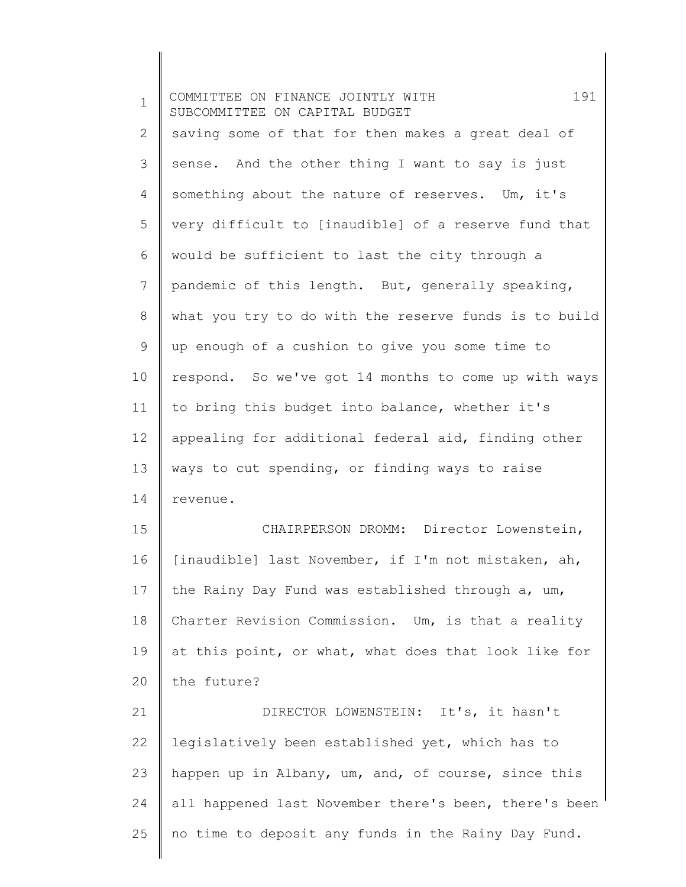| $\mathbf 1$ | 191<br>COMMITTEE ON FINANCE JOINTLY WITH<br>SUBCOMMITTEE ON CAPITAL BUDGET |
|-------------|----------------------------------------------------------------------------|
| 2           | saving some of that for then makes a great deal of                         |
| 3           | sense. And the other thing I want to say is just                           |
| 4           | something about the nature of reserves. Um, it's                           |
| 5           | very difficult to [inaudible] of a reserve fund that                       |
| 6           | would be sufficient to last the city through a                             |
| 7           | pandemic of this length. But, generally speaking,                          |
| 8           | what you try to do with the reserve funds is to build                      |
| 9           | up enough of a cushion to give you some time to                            |
| 10          | respond. So we've got 14 months to come up with ways                       |
| 11          | to bring this budget into balance, whether it's                            |
| 12          | appealing for additional federal aid, finding other                        |
| 13          | ways to cut spending, or finding ways to raise                             |
| 14          | revenue.                                                                   |
| 15          | CHAIRPERSON DROMM: Director Lowenstein,                                    |
| 16          | [inaudible] last November, if I'm not mistaken, ah,                        |
| 17          | the Rainy Day Fund was established through a, um,                          |
| 18          | Charter Revision Commission. Um, is that a reality                         |
| 19          | at this point, or what, what does that look like for                       |
| 20          | the future?                                                                |
| 21          | DIRECTOR LOWENSTEIN: It's, it hasn't                                       |
| 22          | legislatively been established yet, which has to                           |
| 23          | happen up in Albany, um, and, of course, since this                        |
| 24          | all happened last November there's been, there's been                      |
| 25          | no time to deposit any funds in the Rainy Day Fund.                        |
|             |                                                                            |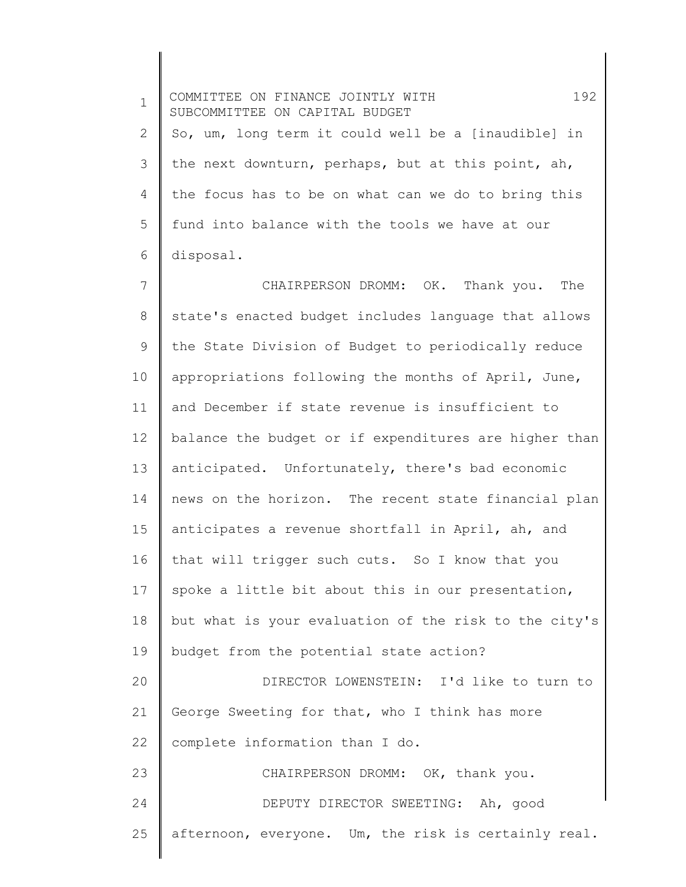1 2 3 4 5 6 COMMITTEE ON FINANCE JOINTLY WITH 192 SUBCOMMITTEE ON CAPITAL BUDGET So, um, long term it could well be a [inaudible] in the next downturn, perhaps, but at this point, ah, the focus has to be on what can we do to bring this fund into balance with the tools we have at our disposal.

7 8 9 10 11 12 13 14 15 16 17 18 19 20 21 22 23 24 25 CHAIRPERSON DROMM: OK. Thank you. The state's enacted budget includes language that allows the State Division of Budget to periodically reduce appropriations following the months of April, June, and December if state revenue is insufficient to balance the budget or if expenditures are higher than anticipated. Unfortunately, there's bad economic news on the horizon. The recent state financial plan anticipates a revenue shortfall in April, ah, and that will trigger such cuts. So I know that you spoke a little bit about this in our presentation, but what is your evaluation of the risk to the city's budget from the potential state action? DIRECTOR LOWENSTEIN: I'd like to turn to George Sweeting for that, who I think has more complete information than I do. CHAIRPERSON DROMM: OK, thank you. DEPUTY DIRECTOR SWEETING: Ah, good afternoon, everyone. Um, the risk is certainly real.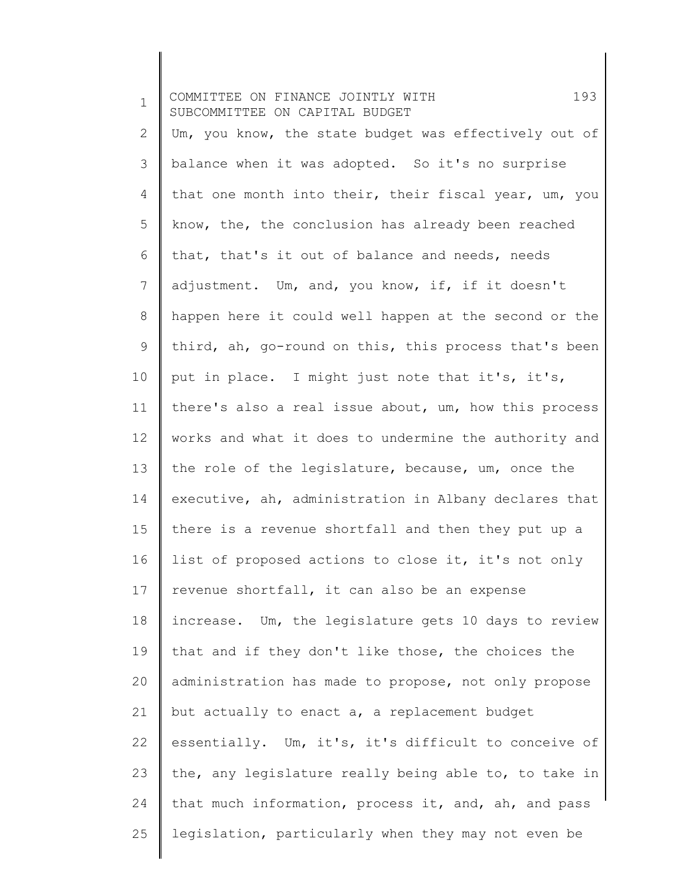| $\mathbf 1$  | 193<br>COMMITTEE ON FINANCE JOINTLY WITH<br>SUBCOMMITTEE ON CAPITAL BUDGET |
|--------------|----------------------------------------------------------------------------|
| $\mathbf{2}$ | Um, you know, the state budget was effectively out of                      |
| 3            | balance when it was adopted. So it's no surprise                           |
| 4            | that one month into their, their fiscal year, um, you                      |
| 5            | know, the, the conclusion has already been reached                         |
| 6            | that, that's it out of balance and needs, needs                            |
| 7            | adjustment. Um, and, you know, if, if it doesn't                           |
| 8            | happen here it could well happen at the second or the                      |
| 9            | third, ah, go-round on this, this process that's been                      |
| 10           | put in place. I might just note that it's, it's,                           |
| 11           | there's also a real issue about, um, how this process                      |
| 12           | works and what it does to undermine the authority and                      |
| 13           | the role of the legislature, because, um, once the                         |
| 14           | executive, ah, administration in Albany declares that                      |
| 15           | there is a revenue shortfall and then they put up a                        |
| 16           | list of proposed actions to close it, it's not only                        |
| 17           | revenue shortfall, it can also be an expense                               |
| 18           | increase. Um, the legislature gets 10 days to review                       |
| 19           | that and if they don't like those, the choices the                         |
| 20           | administration has made to propose, not only propose                       |
| 21           | but actually to enact a, a replacement budget                              |
| 22           | essentially. Um, it's, it's difficult to conceive of                       |
| 23           | the, any legislature really being able to, to take in                      |
| 24           | that much information, process it, and, ah, and pass                       |
| 25           | legislation, particularly when they may not even be                        |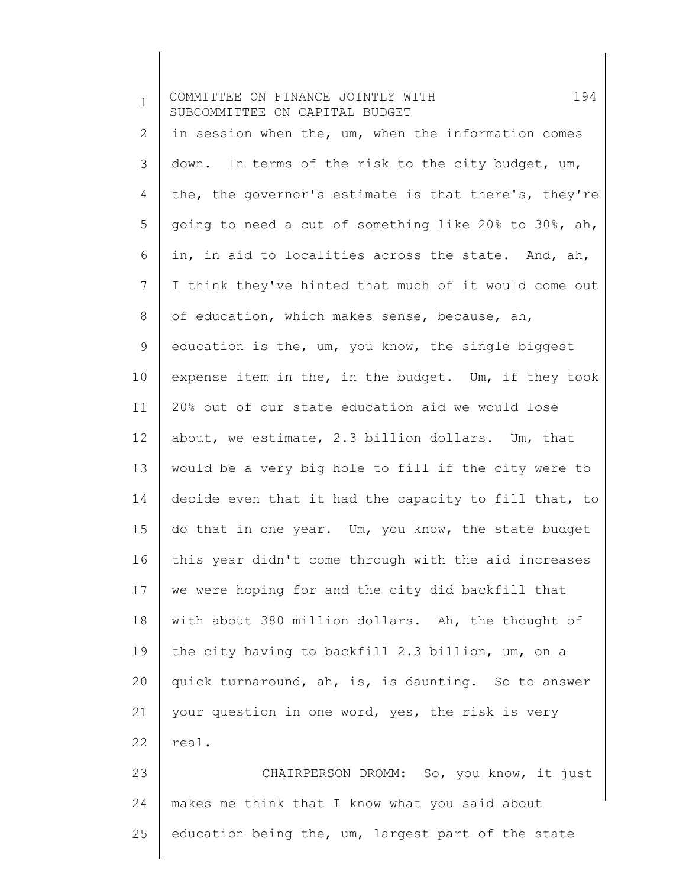| $\mathbf 1$    | 194<br>COMMITTEE ON FINANCE JOINTLY WITH<br>SUBCOMMITTEE ON CAPITAL BUDGET |
|----------------|----------------------------------------------------------------------------|
| $\overline{2}$ | in session when the, um, when the information comes                        |
| 3              | down. In terms of the risk to the city budget, um,                         |
| 4              | the, the governor's estimate is that there's, they're                      |
| 5              | going to need a cut of something like 20% to 30%, ah,                      |
| 6              | in, in aid to localities across the state. And, ah,                        |
| 7              | I think they've hinted that much of it would come out                      |
| 8              | of education, which makes sense, because, ah,                              |
| $\mathsf 9$    | education is the, um, you know, the single biggest                         |
| 10             | expense item in the, in the budget. Um, if they took                       |
| 11             | 20% out of our state education aid we would lose                           |
| 12             | about, we estimate, 2.3 billion dollars. Um, that                          |
| 13             | would be a very big hole to fill if the city were to                       |
| 14             | decide even that it had the capacity to fill that, to                      |
| 15             | do that in one year. Um, you know, the state budget                        |
| 16             | this year didn't come through with the aid increases                       |
| 17             | we were hoping for and the city did backfill that                          |
| 18             | with about 380 million dollars. Ah, the thought of                         |
| 19             | the city having to backfill 2.3 billion, um, on a                          |
| 20             | quick turnaround, ah, is, is daunting. So to answer                        |
| 21             | your question in one word, yes, the risk is very                           |
| 22             | real.                                                                      |
| 23             | CHAIRPERSON DROMM: So, you know, it just                                   |
| 24             | makes me think that I know what you said about                             |
| 25             | education being the, um, largest part of the state                         |

 $\parallel$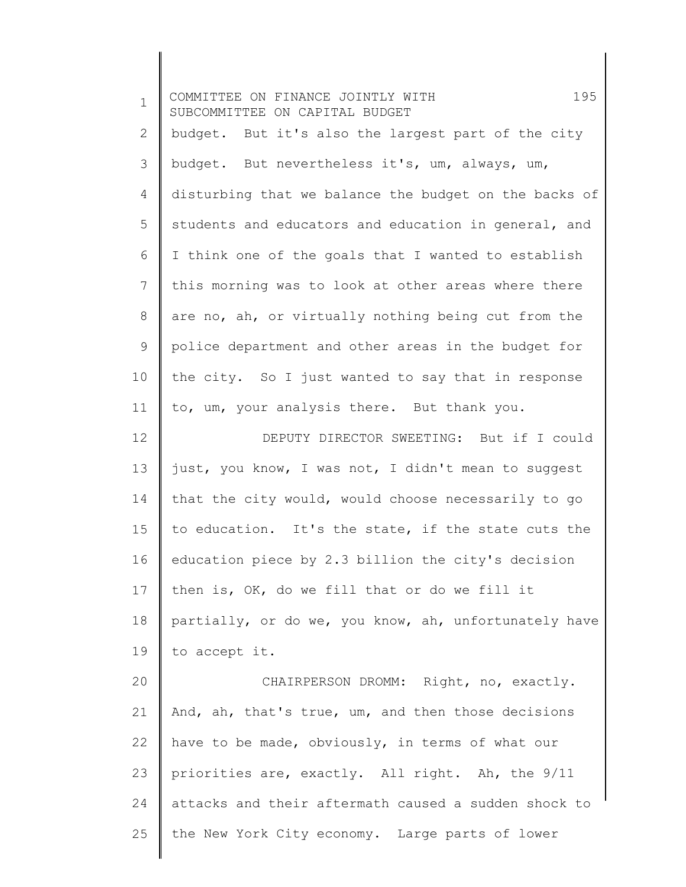| $\mathbf 1$  | 195<br>COMMITTEE ON FINANCE JOINTLY WITH<br>SUBCOMMITTEE ON CAPITAL BUDGET |
|--------------|----------------------------------------------------------------------------|
| $\mathbf{2}$ | budget. But it's also the largest part of the city                         |
| 3            | budget. But nevertheless it's, um, always, um,                             |
| 4            | disturbing that we balance the budget on the backs of                      |
| 5            | students and educators and education in general, and                       |
| 6            | I think one of the goals that I wanted to establish                        |
| 7            | this morning was to look at other areas where there                        |
| 8            | are no, ah, or virtually nothing being cut from the                        |
| 9            | police department and other areas in the budget for                        |
| 10           | the city. So I just wanted to say that in response                         |
| 11           | to, um, your analysis there. But thank you.                                |
| 12           | DEPUTY DIRECTOR SWEETING: But if I could                                   |
| 13           | just, you know, I was not, I didn't mean to suggest                        |
| 14           | that the city would, would choose necessarily to go                        |
| 15           | to education. It's the state, if the state cuts the                        |
| 16           | education piece by 2.3 billion the city's decision                         |
| 17           | then is, OK, do we fill that or do we fill it                              |
| 18           | partially, or do we, you know, ah, unfortunately have                      |
| 19           | to accept it.                                                              |
| 20           | CHAIRPERSON DROMM: Right, no, exactly.                                     |
| 21           | And, ah, that's true, um, and then those decisions                         |
| 22           | have to be made, obviously, in terms of what our                           |
| 23           | priorities are, exactly. All right. Ah, the 9/11                           |
| 24           | attacks and their aftermath caused a sudden shock to                       |
| 25           | the New York City economy. Large parts of lower                            |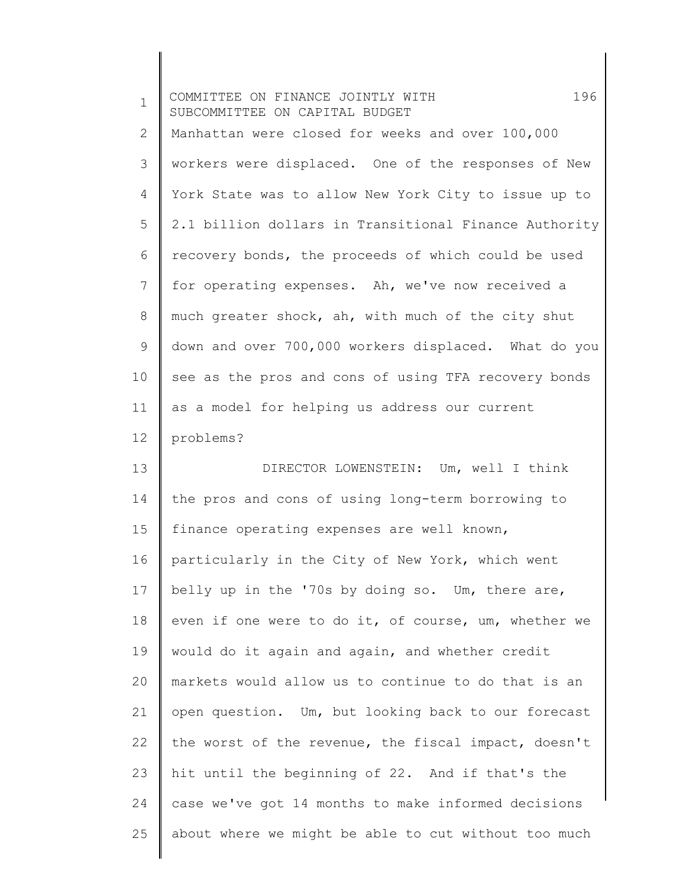| $\mathbf 1$ | 196<br>COMMITTEE ON FINANCE JOINTLY WITH<br>SUBCOMMITTEE ON CAPITAL BUDGET |
|-------------|----------------------------------------------------------------------------|
| 2           | Manhattan were closed for weeks and over 100,000                           |
| 3           | workers were displaced. One of the responses of New                        |
| 4           | York State was to allow New York City to issue up to                       |
| 5           | 2.1 billion dollars in Transitional Finance Authority                      |
| 6           | recovery bonds, the proceeds of which could be used                        |
| 7           | for operating expenses. Ah, we've now received a                           |
| $8\,$       | much greater shock, ah, with much of the city shut                         |
| $\mathsf 9$ | down and over 700,000 workers displaced. What do you                       |
| 10          | see as the pros and cons of using TFA recovery bonds                       |
| 11          | as a model for helping us address our current                              |
| 12          | problems?                                                                  |
| 13          | DIRECTOR LOWENSTEIN: Um, well I think                                      |
| 14          | the pros and cons of using long-term borrowing to                          |
| 15          | finance operating expenses are well known,                                 |
| 16          | particularly in the City of New York, which went                           |
| 17          | belly up in the '70s by doing so. Um, there are,                           |
| 18          | even if one were to do it, of course, um, whether we                       |
| 19          | would do it again and again, and whether credit                            |
| 20          | markets would allow us to continue to do that is an                        |
| 21          | open question. Um, but looking back to our forecast                        |
| 22          | the worst of the revenue, the fiscal impact, doesn't                       |
| 23          | hit until the beginning of 22. And if that's the                           |
| 24          | case we've got 14 months to make informed decisions                        |
| 25          | about where we might be able to cut without too much                       |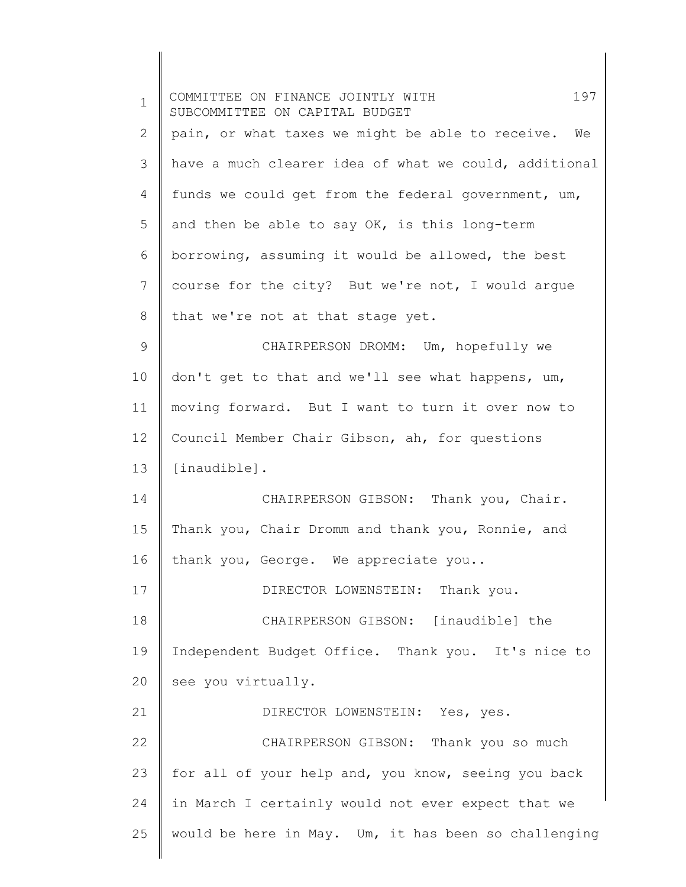| $\mathbf 1$ | 197<br>COMMITTEE ON FINANCE JOINTLY WITH<br>SUBCOMMITTEE ON CAPITAL BUDGET |
|-------------|----------------------------------------------------------------------------|
| 2           | pain, or what taxes we might be able to receive. We                        |
| 3           | have a much clearer idea of what we could, additional                      |
| 4           | funds we could get from the federal government, um,                        |
| 5           | and then be able to say OK, is this long-term                              |
| 6           | borrowing, assuming it would be allowed, the best                          |
| 7           | course for the city? But we're not, I would argue                          |
| 8           | that we're not at that stage yet.                                          |
| 9           | CHAIRPERSON DROMM: Um, hopefully we                                        |
| 10          | don't get to that and we'll see what happens, um,                          |
| 11          | moving forward. But I want to turn it over now to                          |
| 12          | Council Member Chair Gibson, ah, for questions                             |
| 13          | [inaudible].                                                               |
| 14          | CHAIRPERSON GIBSON: Thank you, Chair.                                      |
| 15          | Thank you, Chair Dromm and thank you, Ronnie, and                          |
| 16          | thank you, George. We appreciate you                                       |
| 17          | DIRECTOR LOWENSTEIN: Thank you.                                            |
| 18          | CHAIRPERSON GIBSON: [inaudible] the                                        |
| 19          | Independent Budget Office. Thank you. It's nice to                         |
| 20          | see you virtually.                                                         |
| 21          | DIRECTOR LOWENSTEIN: Yes, yes.                                             |
| 22          | CHAIRPERSON GIBSON: Thank you so much                                      |
| 23          | for all of your help and, you know, seeing you back                        |
| 24          | in March I certainly would not ever expect that we                         |
| 25          | would be here in May. Um, it has been so challenging                       |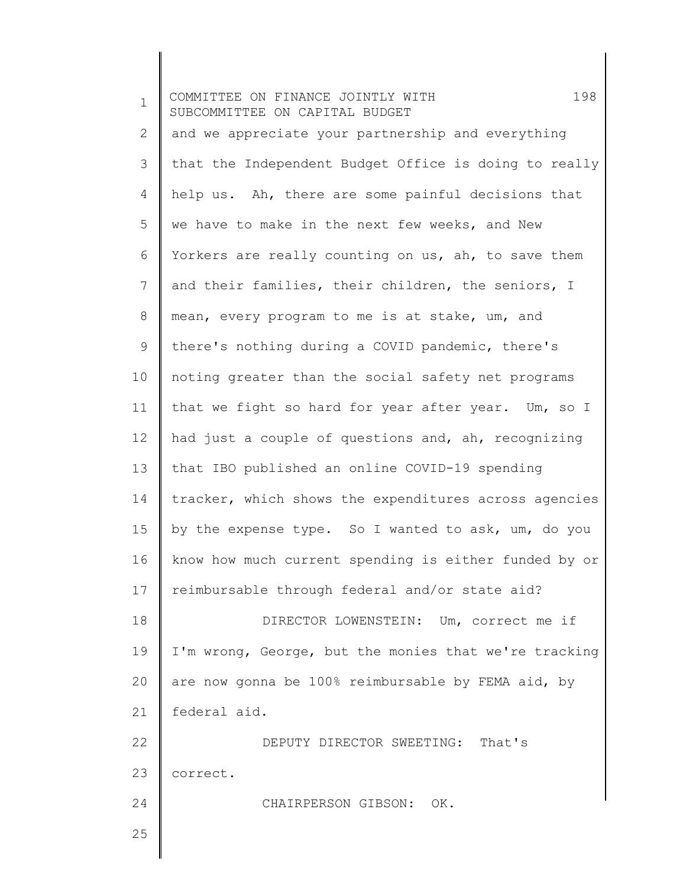| $\mathbf 1$ | 198<br>COMMITTEE ON FINANCE JOINTLY WITH<br>SUBCOMMITTEE ON CAPITAL BUDGET |
|-------------|----------------------------------------------------------------------------|
| 2           | and we appreciate your partnership and everything                          |
| 3           | that the Independent Budget Office is doing to really                      |
| 4           | help us. Ah, there are some painful decisions that                         |
| 5           | we have to make in the next few weeks, and New                             |
| 6           | Yorkers are really counting on us, ah, to save them                        |
| 7           | and their families, their children, the seniors, I                         |
| 8           | mean, every program to me is at stake, um, and                             |
| $\mathsf 9$ | there's nothing during a COVID pandemic, there's                           |
| 10          | noting greater than the social safety net programs                         |
| 11          | that we fight so hard for year after year. Um, so I                        |
| 12          | had just a couple of questions and, ah, recognizing                        |
| 13          | that IBO published an online COVID-19 spending                             |
| 14          | tracker, which shows the expenditures across agencies                      |
| 15          | by the expense type. So I wanted to ask, um, do you                        |
| 16          | know how much current spending is either funded by or                      |
| 17          | reimbursable through federal and/or state aid?                             |
| 18          | DIRECTOR LOWENSTEIN: Um, correct me if                                     |
| 19          | I'm wrong, George, but the monies that we're tracking                      |
| 20          | are now gonna be 100% reimbursable by FEMA aid, by                         |
| 21          | federal aid.                                                               |
| 22          | DEPUTY DIRECTOR SWEETING: That's                                           |
| 23          | correct.                                                                   |
| 24          | CHAIRPERSON GIBSON: OK.                                                    |
| 25          |                                                                            |
|             |                                                                            |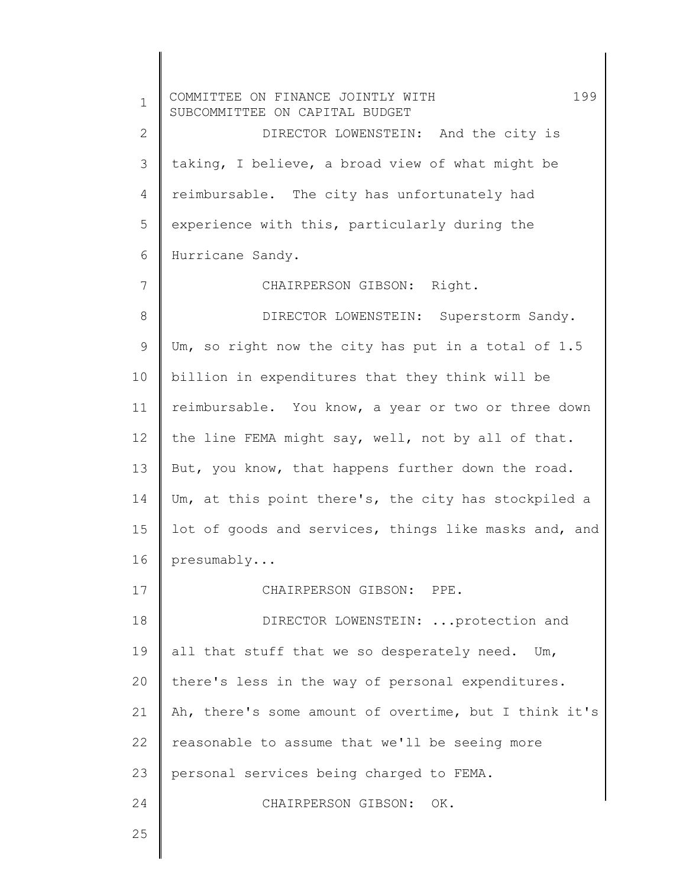1 2 3 4 5 6 7 8 9 10 11 12 13 14 15 16 17 18 19 20 21 22 23 24 COMMITTEE ON FINANCE JOINTLY WITH 199 SUBCOMMITTEE ON CAPITAL BUDGET DIRECTOR LOWENSTEIN: And the city is taking, I believe, a broad view of what might be reimbursable. The city has unfortunately had experience with this, particularly during the Hurricane Sandy. CHAIRPERSON GIBSON: Right. DIRECTOR LOWENSTEIN: Superstorm Sandy. Um, so right now the city has put in a total of 1.5 billion in expenditures that they think will be reimbursable. You know, a year or two or three down the line FEMA might say, well, not by all of that. But, you know, that happens further down the road. Um, at this point there's, the city has stockpiled a lot of goods and services, things like masks and, and presumably... CHAIRPERSON GIBSON: PPE. DIRECTOR LOWENSTEIN: ...protection and all that stuff that we so desperately need. Um, there's less in the way of personal expenditures. Ah, there's some amount of overtime, but I think it's reasonable to assume that we'll be seeing more personal services being charged to FEMA. CHAIRPERSON GIBSON: OK.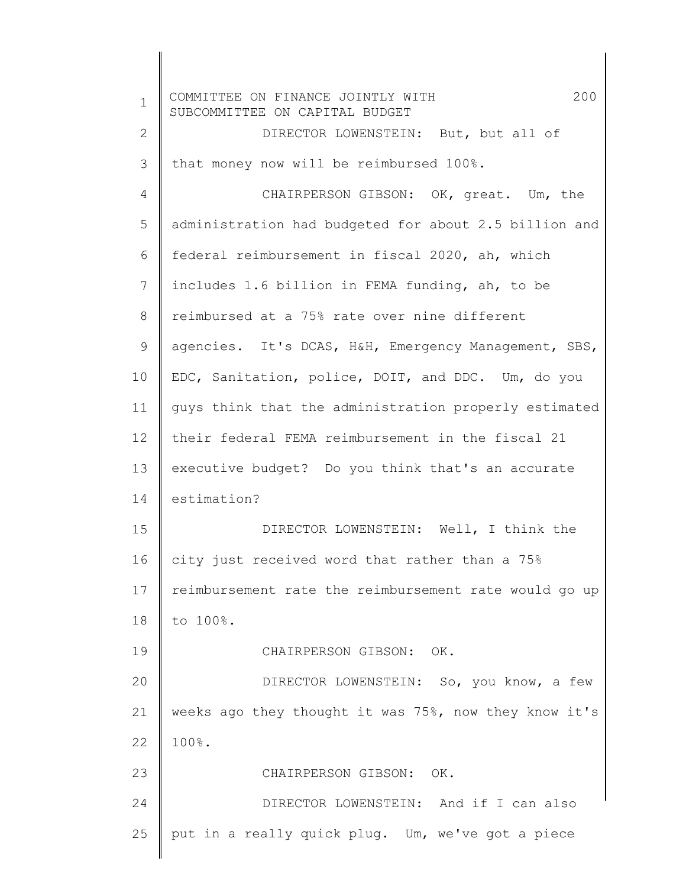1 2 3 4 5 6 7 8 9 10 11 12 13 14 15 16 17 18 19 20 21 22 23 24 25 COMMITTEE ON FINANCE JOINTLY WITH 200 SUBCOMMITTEE ON CAPITAL BUDGET DIRECTOR LOWENSTEIN: But, but all of that money now will be reimbursed 100%. CHAIRPERSON GIBSON: OK, great. Um, the administration had budgeted for about 2.5 billion and federal reimbursement in fiscal 2020, ah, which includes 1.6 billion in FEMA funding, ah, to be reimbursed at a 75% rate over nine different agencies. It's DCAS, H&H, Emergency Management, SBS, EDC, Sanitation, police, DOIT, and DDC. Um, do you guys think that the administration properly estimated their federal FEMA reimbursement in the fiscal 21 executive budget? Do you think that's an accurate estimation? DIRECTOR LOWENSTEIN: Well, I think the city just received word that rather than a 75% reimbursement rate the reimbursement rate would go up to 100%. CHAIRPERSON GIBSON: OK. DIRECTOR LOWENSTEIN: So, you know, a few weeks ago they thought it was 75%, now they know it's 100%. CHAIRPERSON GIBSON: OK. DIRECTOR LOWENSTEIN: And if I can also put in a really quick plug. Um, we've got a piece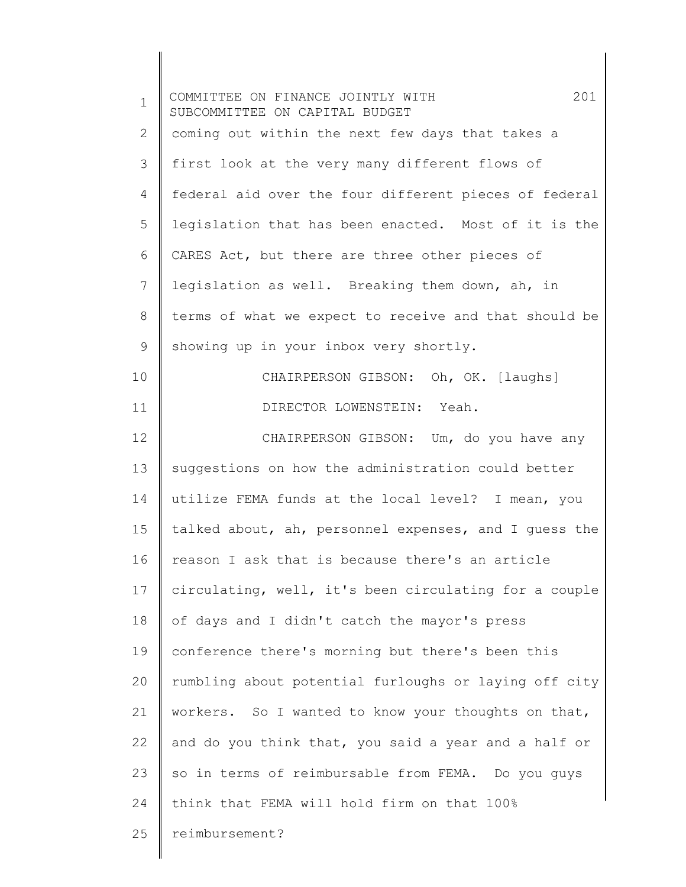| $\mathbf 1$    | 201<br>COMMITTEE ON FINANCE JOINTLY WITH<br>SUBCOMMITTEE ON CAPITAL BUDGET |
|----------------|----------------------------------------------------------------------------|
| 2              | coming out within the next few days that takes a                           |
| 3              | first look at the very many different flows of                             |
| $\overline{4}$ | federal aid over the four different pieces of federal                      |
| 5              | legislation that has been enacted. Most of it is the                       |
| 6              | CARES Act, but there are three other pieces of                             |
| 7              | legislation as well. Breaking them down, ah, in                            |
| $8\,$          | terms of what we expect to receive and that should be                      |
| 9              | showing up in your inbox very shortly.                                     |
| 10             | CHAIRPERSON GIBSON: Oh, OK. [laughs]                                       |
| 11             | DIRECTOR LOWENSTEIN: Yeah.                                                 |
| 12             | CHAIRPERSON GIBSON: Um, do you have any                                    |
| 13             | suggestions on how the administration could better                         |
| 14             | utilize FEMA funds at the local level? I mean, you                         |
| 15             | talked about, ah, personnel expenses, and I guess the                      |
| 16             | reason I ask that is because there's an article                            |
| 17             | circulating, well, it's been circulating for a couple                      |
| 18             | of days and I didn't catch the mayor's press                               |
| 19             | conference there's morning but there's been this                           |
| 20             | rumbling about potential furloughs or laying off city                      |
| 21             | workers. So I wanted to know your thoughts on that,                        |
| 22             | and do you think that, you said a year and a half or                       |
| 23             | so in terms of reimbursable from FEMA. Do you guys                         |
| 24             | think that FEMA will hold firm on that 100%                                |
| 25             | reimbursement?                                                             |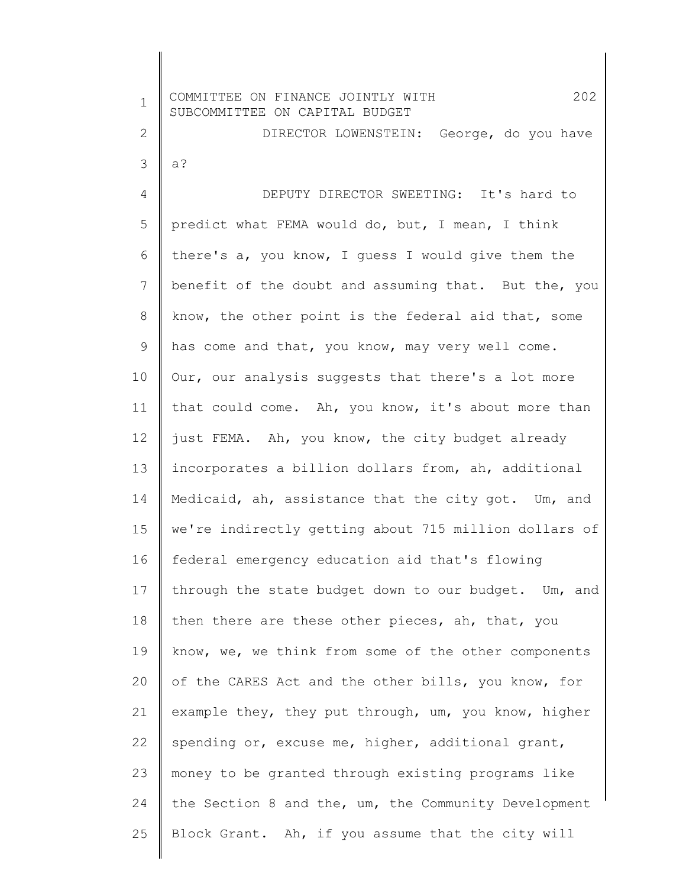| $\mathbf 1$ | 202<br>COMMITTEE ON FINANCE JOINTLY WITH<br>SUBCOMMITTEE ON CAPITAL BUDGET |
|-------------|----------------------------------------------------------------------------|
| 2           | DIRECTOR LOWENSTEIN: George, do you have                                   |
| 3           | $a$ ?                                                                      |
| 4           | DEPUTY DIRECTOR SWEETING: It's hard to                                     |
| 5           | predict what FEMA would do, but, I mean, I think                           |
| 6           | there's a, you know, I quess I would give them the                         |
| 7           | benefit of the doubt and assuming that. But the, you                       |
| 8           | know, the other point is the federal aid that, some                        |
| 9           | has come and that, you know, may very well come.                           |
| 10          | Our, our analysis suggests that there's a lot more                         |
| 11          | that could come. Ah, you know, it's about more than                        |
| 12          | just FEMA. Ah, you know, the city budget already                           |
| 13          | incorporates a billion dollars from, ah, additional                        |
| 14          | Medicaid, ah, assistance that the city got. Um, and                        |
| 15          | we're indirectly getting about 715 million dollars of                      |
| 16          | federal emergency education aid that's flowing                             |
| 17          | through the state budget down to our budget. Um, and                       |
| 18          | then there are these other pieces, ah, that, you                           |
| 19          | know, we, we think from some of the other components                       |
| 20          | of the CARES Act and the other bills, you know, for                        |
| 21          | example they, they put through, um, you know, higher                       |
| 22          | spending or, excuse me, higher, additional grant,                          |
| 23          | money to be granted through existing programs like                         |
| 24          | the Section 8 and the, um, the Community Development                       |
| 25          | Block Grant. Ah, if you assume that the city will                          |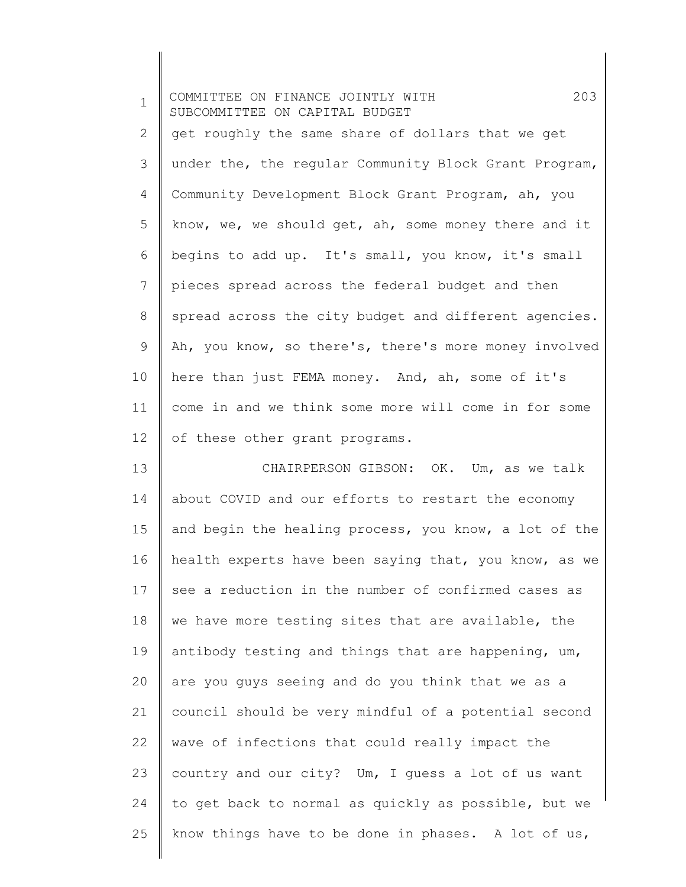| $\mathbf 1$     | 203<br>COMMITTEE ON FINANCE JOINTLY WITH<br>SUBCOMMITTEE ON CAPITAL BUDGET |
|-----------------|----------------------------------------------------------------------------|
| 2               | get roughly the same share of dollars that we get                          |
| 3               | under the, the regular Community Block Grant Program,                      |
| 4               | Community Development Block Grant Program, ah, you                         |
| 5               | know, we, we should get, ah, some money there and it                       |
| 6               | begins to add up. It's small, you know, it's small                         |
| 7               | pieces spread across the federal budget and then                           |
| 8               | spread across the city budget and different agencies.                      |
| 9               | Ah, you know, so there's, there's more money involved                      |
| 10              | here than just FEMA money. And, ah, some of it's                           |
| 11              | come in and we think some more will come in for some                       |
| 12 <sup>°</sup> | of these other grant programs.                                             |
| 13              | CHAIRPERSON GIBSON: OK. Um, as we talk                                     |
| 14              | about COVID and our efforts to restart the economy                         |
| 15              | and begin the healing process, you know, a lot of the                      |
| 16              | health experts have been saying that, you know, as we                      |
| 17              | see a reduction in the number of confirmed cases as                        |
| 18              | we have more testing sites that are available, the                         |
| 19              | antibody testing and things that are happening, um,                        |
| 20              | are you guys seeing and do you think that we as a                          |
| 21              | council should be very mindful of a potential second                       |
| 22              | wave of infections that could really impact the                            |
| 23              | country and our city? Um, I quess a lot of us want                         |
| 24              | to get back to normal as quickly as possible, but we                       |
| 25              | know things have to be done in phases. A lot of us,                        |
|                 |                                                                            |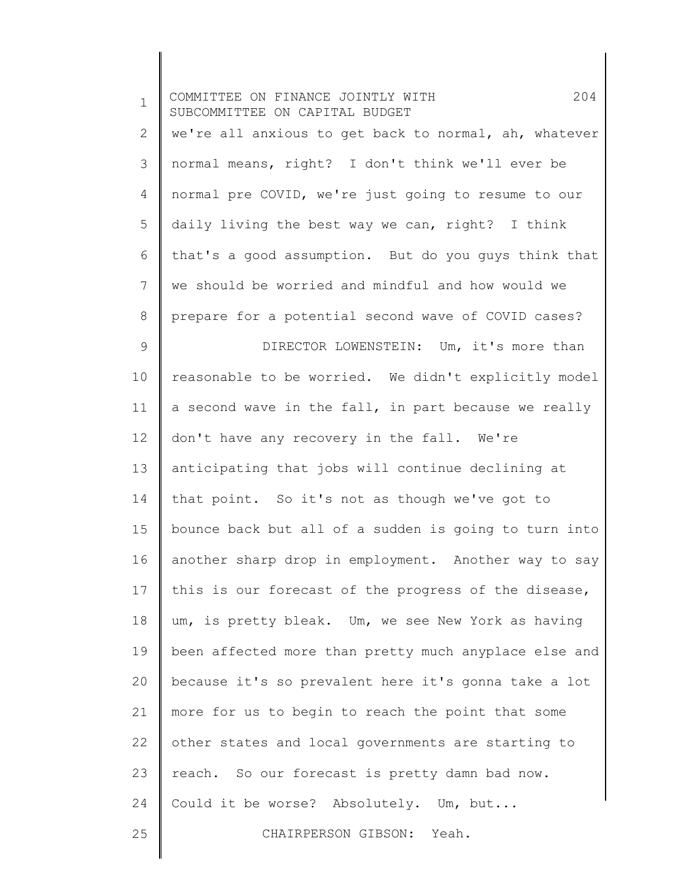| $\mathbf 1$  | 204<br>COMMITTEE ON FINANCE JOINTLY WITH<br>SUBCOMMITTEE ON CAPITAL BUDGET |
|--------------|----------------------------------------------------------------------------|
| $\mathbf{2}$ | we're all anxious to get back to normal, ah, whatever                      |
| 3            | normal means, right? I don't think we'll ever be                           |
| 4            | normal pre COVID, we're just going to resume to our                        |
| 5            | daily living the best way we can, right? I think                           |
| 6            | that's a good assumption. But do you guys think that                       |
| 7            | we should be worried and mindful and how would we                          |
| $\,8\,$      | prepare for a potential second wave of COVID cases?                        |
| $\mathsf 9$  | DIRECTOR LOWENSTEIN: Um, it's more than                                    |
| 10           | reasonable to be worried. We didn't explicitly model                       |
| 11           | a second wave in the fall, in part because we really                       |
| 12           | don't have any recovery in the fall. We're                                 |
| 13           | anticipating that jobs will continue declining at                          |
| 14           | that point. So it's not as though we've got to                             |
| 15           | bounce back but all of a sudden is going to turn into                      |
| 16           | another sharp drop in employment. Another way to say                       |
| 17           | this is our forecast of the progress of the disease,                       |
| 18           | um, is pretty bleak. Um, we see New York as having                         |
| 19           | been affected more than pretty much anyplace else and                      |
| 20           | because it's so prevalent here it's gonna take a lot                       |
| 21           | more for us to begin to reach the point that some                          |
| 22           | other states and local governments are starting to                         |
| 23           | reach. So our forecast is pretty damn bad now.                             |
| 24           | Could it be worse? Absolutely. Um, but                                     |
| 25           | CHAIRPERSON GIBSON: Yeah.                                                  |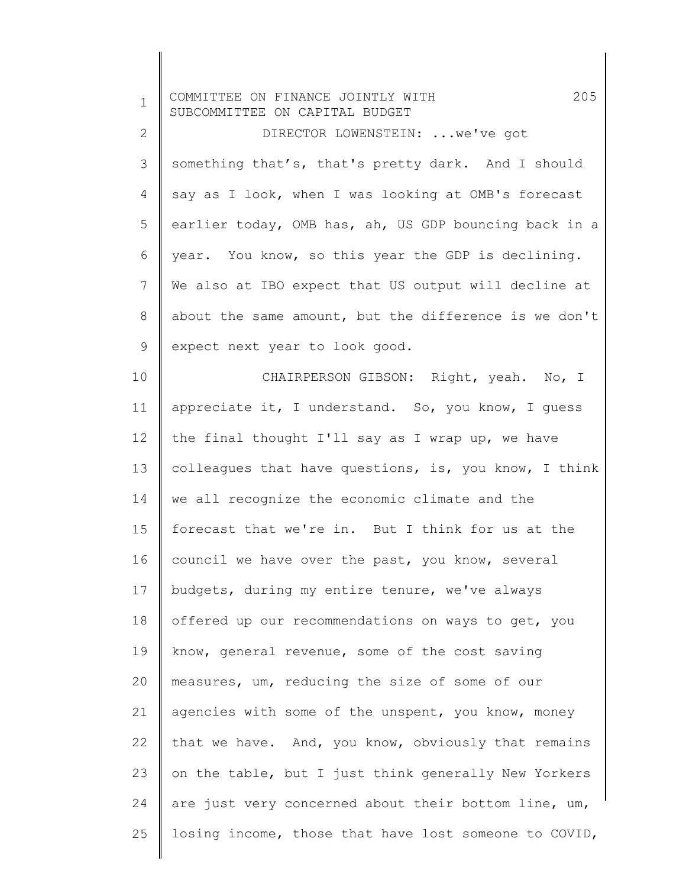| $\mathbf 1$    | 205<br>COMMITTEE ON FINANCE JOINTLY WITH<br>SUBCOMMITTEE ON CAPITAL BUDGET |
|----------------|----------------------------------------------------------------------------|
| $\mathbf{2}$   | DIRECTOR LOWENSTEIN:  we've got                                            |
| 3              | something that's, that's pretty dark. And I should                         |
| 4              | say as I look, when I was looking at OMB's forecast                        |
| 5              | earlier today, OMB has, ah, US GDP bouncing back in a                      |
| 6              | year. You know, so this year the GDP is declining.                         |
| $\overline{7}$ | We also at IBO expect that US output will decline at                       |
| 8              | about the same amount, but the difference is we don't                      |
| 9              | expect next year to look good.                                             |
| 10             | CHAIRPERSON GIBSON: Right, yeah. No, I                                     |
| 11             | appreciate it, I understand. So, you know, I guess                         |
| 12             | the final thought I'll say as I wrap up, we have                           |
| 13             | colleagues that have questions, is, you know, I think                      |
| 14             | we all recognize the economic climate and the                              |
| 15             | forecast that we're in. But I think for us at the                          |
| 16             | council we have over the past, you know, several                           |
| 17             | budgets, during my entire tenure, we've always                             |
| 18             | offered up our recommendations on ways to get, you                         |
| 19             | know, general revenue, some of the cost saving                             |
| 20             | measures, um, reducing the size of some of our                             |
| 21             | agencies with some of the unspent, you know, money                         |
| 22             | that we have. And, you know, obviously that remains                        |
| 23             | on the table, but I just think generally New Yorkers                       |
| 24             | are just very concerned about their bottom line, um,                       |
| 25             | losing income, those that have lost someone to COVID,                      |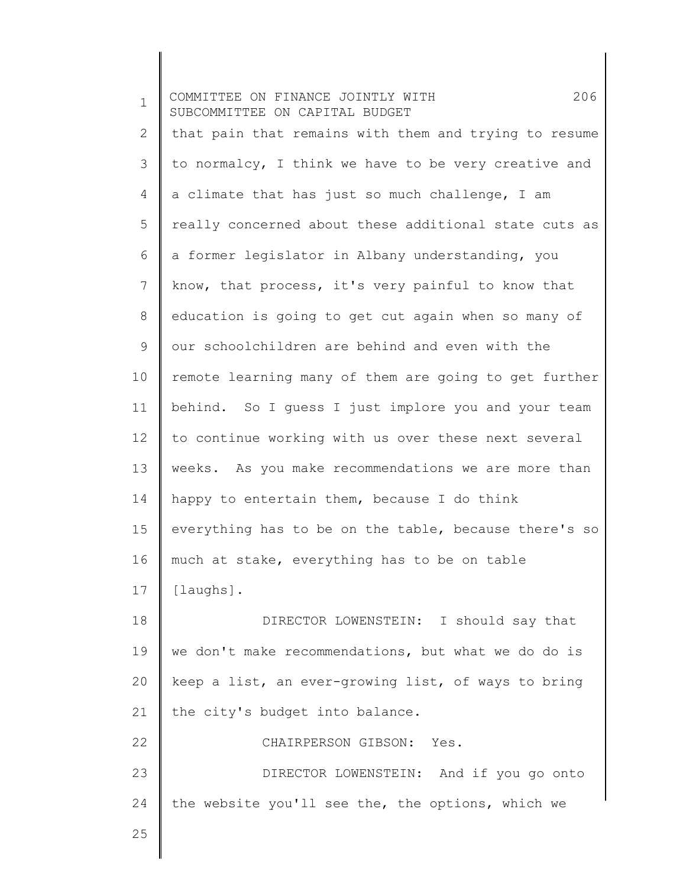1 2 3 4 5 6 7 8 9 10 11 12 13 14 15 16 17 18 19 20 21 22 23 24 25 COMMITTEE ON FINANCE JOINTLY WITH 206 SUBCOMMITTEE ON CAPITAL BUDGET that pain that remains with them and trying to resume to normalcy, I think we have to be very creative and a climate that has just so much challenge, I am really concerned about these additional state cuts as a former legislator in Albany understanding, you know, that process, it's very painful to know that education is going to get cut again when so many of our schoolchildren are behind and even with the remote learning many of them are going to get further behind. So I guess I just implore you and your team to continue working with us over these next several weeks. As you make recommendations we are more than happy to entertain them, because I do think everything has to be on the table, because there's so much at stake, everything has to be on table [laughs]. DIRECTOR LOWENSTEIN: I should say that we don't make recommendations, but what we do do is keep a list, an ever-growing list, of ways to bring the city's budget into balance. CHAIRPERSON GIBSON: Yes. DIRECTOR LOWENSTEIN: And if you go onto the website you'll see the, the options, which we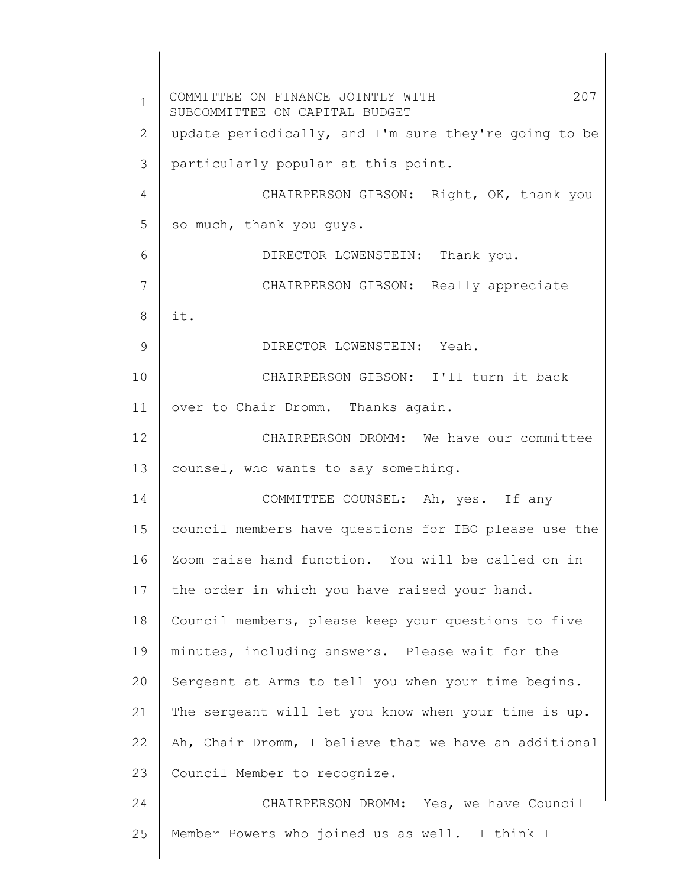1 2 3 4 5 6 7 8 9 10 11 12 13 14 15 16 17 18 19 20 21 22 23 24 25 COMMITTEE ON FINANCE JOINTLY WITH 207 SUBCOMMITTEE ON CAPITAL BUDGET update periodically, and I'm sure they're going to be particularly popular at this point. CHAIRPERSON GIBSON: Right, OK, thank you so much, thank you guys. DIRECTOR LOWENSTEIN: Thank you. CHAIRPERSON GIBSON: Really appreciate it. DIRECTOR LOWENSTEIN: Yeah. CHAIRPERSON GIBSON: I'll turn it back over to Chair Dromm. Thanks again. CHAIRPERSON DROMM: We have our committee counsel, who wants to say something. COMMITTEE COUNSEL: Ah, yes. If any council members have questions for IBO please use the Zoom raise hand function. You will be called on in the order in which you have raised your hand. Council members, please keep your questions to five minutes, including answers. Please wait for the Sergeant at Arms to tell you when your time begins. The sergeant will let you know when your time is up. Ah, Chair Dromm, I believe that we have an additional Council Member to recognize. CHAIRPERSON DROMM: Yes, we have Council Member Powers who joined us as well. I think I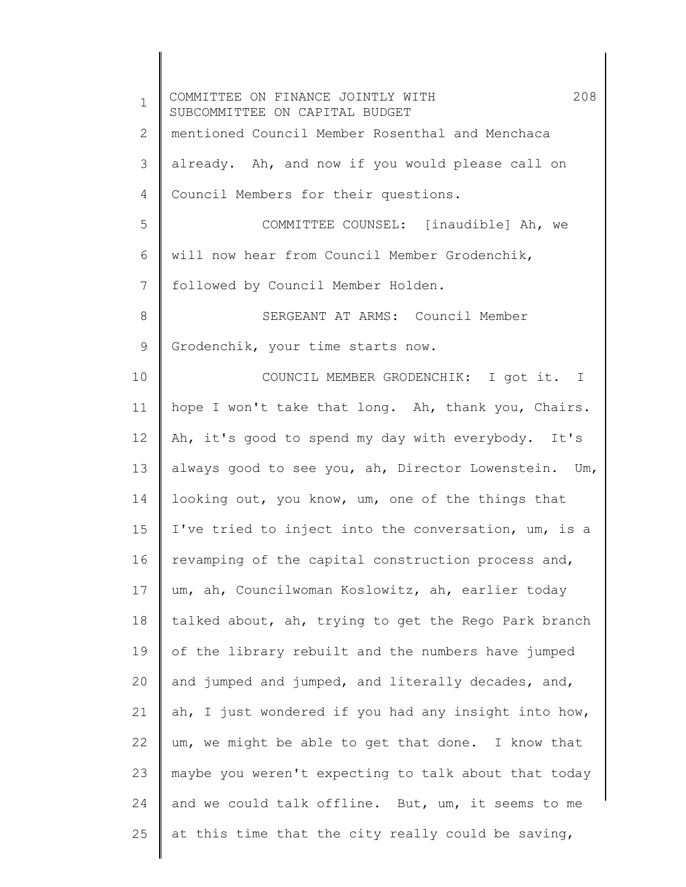| $\mathbf 1$ | 208<br>COMMITTEE ON FINANCE JOINTLY WITH<br>SUBCOMMITTEE ON CAPITAL BUDGET |
|-------------|----------------------------------------------------------------------------|
| 2           | mentioned Council Member Rosenthal and Menchaca                            |
| 3           | already. Ah, and now if you would please call on                           |
| 4           | Council Members for their questions.                                       |
| 5           | COMMITTEE COUNSEL: [inaudible] Ah, we                                      |
| 6           | will now hear from Council Member Grodenchik,                              |
| 7           | followed by Council Member Holden.                                         |
| 8           | SERGEANT AT ARMS: Council Member                                           |
| 9           | Grodenchik, your time starts now.                                          |
| 10          | COUNCIL MEMBER GRODENCHIK: I got it. I                                     |
| 11          | hope I won't take that long. Ah, thank you, Chairs.                        |
| 12          | Ah, it's good to spend my day with everybody. It's                         |
| 13          | always good to see you, ah, Director Lowenstein. Um,                       |
| 14          | looking out, you know, um, one of the things that                          |
| 15          | I've tried to inject into the conversation, um, is a                       |
| 16          | revamping of the capital construction process and,                         |
| 17          | um, ah, Councilwoman Koslowitz, ah, earlier today                          |
| 18          | talked about, ah, trying to get the Rego Park branch                       |
| 19          | of the library rebuilt and the numbers have jumped                         |
| 20          | and jumped and jumped, and literally decades, and,                         |
| 21          | ah, I just wondered if you had any insight into how,                       |
| 22          | um, we might be able to get that done. I know that                         |
| 23          | maybe you weren't expecting to talk about that today                       |
| 24          | and we could talk offline. But, um, it seems to me                         |
| 25          | at this time that the city really could be saving,                         |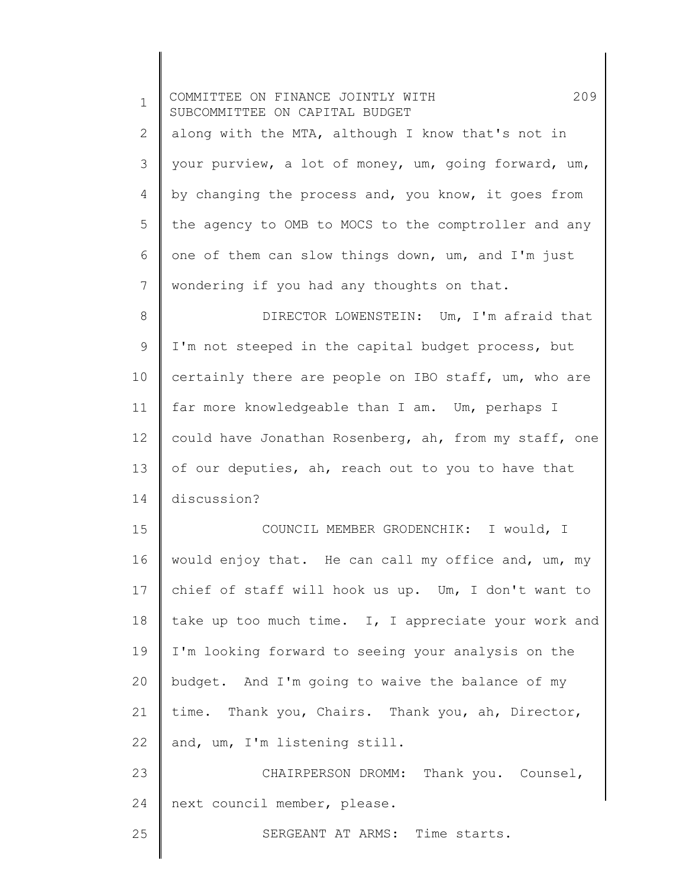| $\mathbf 1$ | 209<br>COMMITTEE ON FINANCE JOINTLY WITH<br>SUBCOMMITTEE ON CAPITAL BUDGET |
|-------------|----------------------------------------------------------------------------|
| 2           | along with the MTA, although I know that's not in                          |
| 3           | your purview, a lot of money, um, going forward, um,                       |
| 4           | by changing the process and, you know, it goes from                        |
| 5           | the agency to OMB to MOCS to the comptroller and any                       |
| 6           | one of them can slow things down, um, and I'm just                         |
| 7           | wondering if you had any thoughts on that.                                 |
| 8           | DIRECTOR LOWENSTEIN: Um, I'm afraid that                                   |
| 9           | I'm not steeped in the capital budget process, but                         |
| 10          | certainly there are people on IBO staff, um, who are                       |
| 11          | far more knowledgeable than I am. Um, perhaps I                            |
| 12          | could have Jonathan Rosenberg, ah, from my staff, one                      |
| 13          | of our deputies, ah, reach out to you to have that                         |
| 14          | discussion?                                                                |
| 15          | COUNCIL MEMBER GRODENCHIK: I would, I                                      |
| 16          | would enjoy that. He can call my office and, um, my                        |
| 17          | chief of staff will hook us up. Um, I don't want to                        |
| 18          | take up too much time. I, I appreciate your work and                       |
| 19          | I'm looking forward to seeing your analysis on the                         |
| 20          | budget. And I'm going to waive the balance of my                           |
| 21          | time. Thank you, Chairs. Thank you, ah, Director,                          |
| 22          | and, um, I'm listening still.                                              |
| 23          | CHAIRPERSON DROMM: Thank you. Counsel,                                     |
| 24          | next council member, please.                                               |
| 25          | SERGEANT AT ARMS: Time starts.                                             |
|             |                                                                            |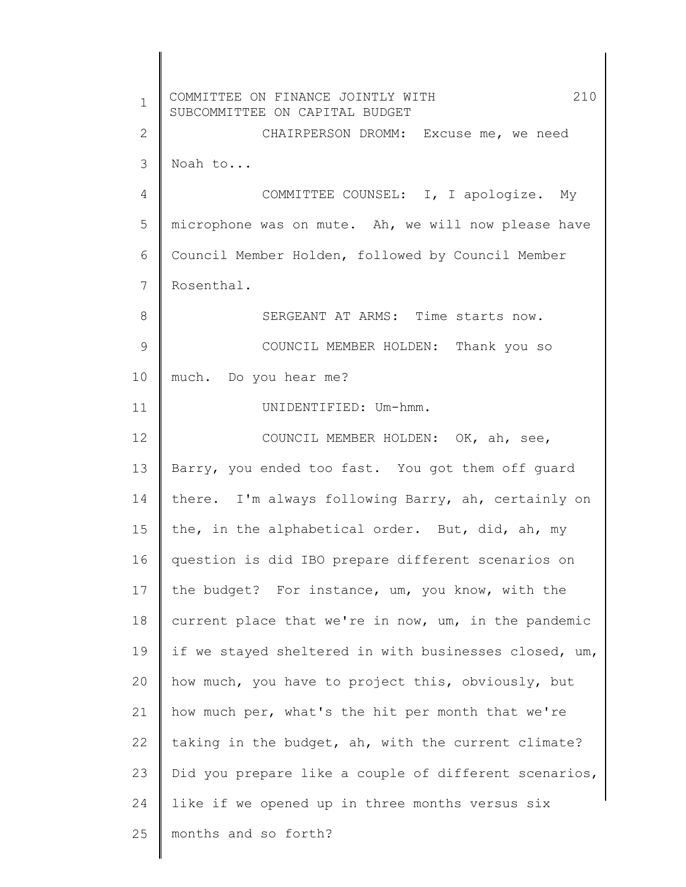1 2 3 4 5 6 7 8 9 10 11 12 13 14 15 16 17 18 19 20 21 22 23 24 25 COMMITTEE ON FINANCE JOINTLY WITH 210 SUBCOMMITTEE ON CAPITAL BUDGET CHAIRPERSON DROMM: Excuse me, we need Noah to... COMMITTEE COUNSEL: I, I apologize. My microphone was on mute. Ah, we will now please have Council Member Holden, followed by Council Member Rosenthal. SERGEANT AT ARMS: Time starts now. COUNCIL MEMBER HOLDEN: Thank you so much. Do you hear me? UNIDENTIFIED: Um-hmm. COUNCIL MEMBER HOLDEN: OK, ah, see, Barry, you ended too fast. You got them off guard there. I'm always following Barry, ah, certainly on the, in the alphabetical order. But, did, ah, my question is did IBO prepare different scenarios on the budget? For instance, um, you know, with the current place that we're in now, um, in the pandemic if we stayed sheltered in with businesses closed, um, how much, you have to project this, obviously, but how much per, what's the hit per month that we're taking in the budget, ah, with the current climate? Did you prepare like a couple of different scenarios, like if we opened up in three months versus six months and so forth?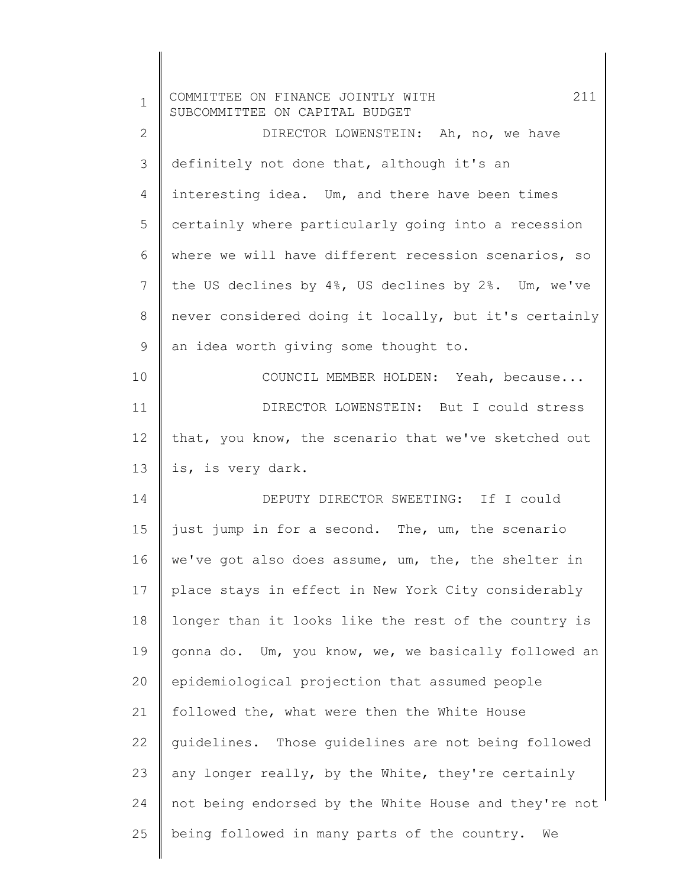| $\mathbf 1$    | 211<br>COMMITTEE ON FINANCE JOINTLY WITH<br>SUBCOMMITTEE ON CAPITAL BUDGET |
|----------------|----------------------------------------------------------------------------|
| $\mathbf{2}$   | DIRECTOR LOWENSTEIN: Ah, no, we have                                       |
| 3              | definitely not done that, although it's an                                 |
| $\overline{4}$ | interesting idea. Um, and there have been times                            |
| 5              | certainly where particularly going into a recession                        |
| 6              | where we will have different recession scenarios, so                       |
| 7              | the US declines by 4%, US declines by 2%. Um, we've                        |
| $\,8\,$        | never considered doing it locally, but it's certainly                      |
| 9              | an idea worth giving some thought to.                                      |
| 10             | COUNCIL MEMBER HOLDEN: Yeah, because                                       |
| 11             | DIRECTOR LOWENSTEIN: But I could stress                                    |
| 12             | that, you know, the scenario that we've sketched out                       |
| 13             | is, is very dark.                                                          |
| 14             | DEPUTY DIRECTOR SWEETING: If I could                                       |
| 15             | just jump in for a second. The, um, the scenario                           |
| 16             | we've got also does assume, um, the, the shelter in                        |
| 17             | place stays in effect in New York City considerably                        |
| 18             | longer than it looks like the rest of the country is                       |
| 19             | gonna do. Um, you know, we, we basically followed an                       |
| 20             | epidemiological projection that assumed people                             |
| 21             | followed the, what were then the White House                               |
| 22             | quidelines. Those quidelines are not being followed                        |
| 23             | any longer really, by the White, they're certainly                         |
| 24             | not being endorsed by the White House and they're not                      |
| 25             | being followed in many parts of the country.<br>We                         |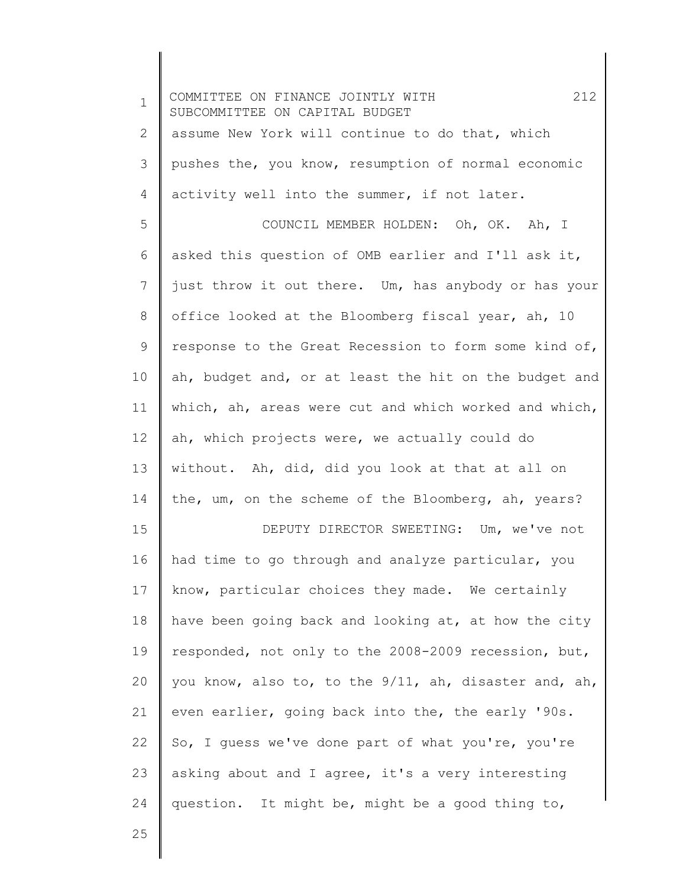| $\mathbf 1$ | 212<br>COMMITTEE ON FINANCE JOINTLY WITH<br>SUBCOMMITTEE ON CAPITAL BUDGET |
|-------------|----------------------------------------------------------------------------|
| 2           | assume New York will continue to do that, which                            |
| 3           | pushes the, you know, resumption of normal economic                        |
| 4           | activity well into the summer, if not later.                               |
| 5           | COUNCIL MEMBER HOLDEN: Oh, OK. Ah, I                                       |
| 6           | asked this question of OMB earlier and I'll ask it,                        |
| 7           | just throw it out there. Um, has anybody or has your                       |
| 8           | office looked at the Bloomberg fiscal year, ah, 10                         |
| 9           | response to the Great Recession to form some kind of,                      |
| 10          | ah, budget and, or at least the hit on the budget and                      |
| 11          | which, ah, areas were cut and which worked and which,                      |
| 12          | ah, which projects were, we actually could do                              |
| 13          | without. Ah, did, did you look at that at all on                           |
| 14          | the, um, on the scheme of the Bloomberg, ah, years?                        |
| 15          | DEPUTY DIRECTOR SWEETING: Um, we've not                                    |
| 16          | had time to go through and analyze particular, you                         |
| 17          | know, particular choices they made. We certainly                           |
| 18          | have been going back and looking at, at how the city                       |
| 19          | responded, not only to the 2008-2009 recession, but,                       |
| 20          | you know, also to, to the 9/11, ah, disaster and, ah,                      |
| 21          | even earlier, going back into the, the early '90s.                         |
| 22          | So, I quess we've done part of what you're, you're                         |
| 23          | asking about and I agree, it's a very interesting                          |
| 24          | question. It might be, might be a good thing to,                           |
|             |                                                                            |

Ι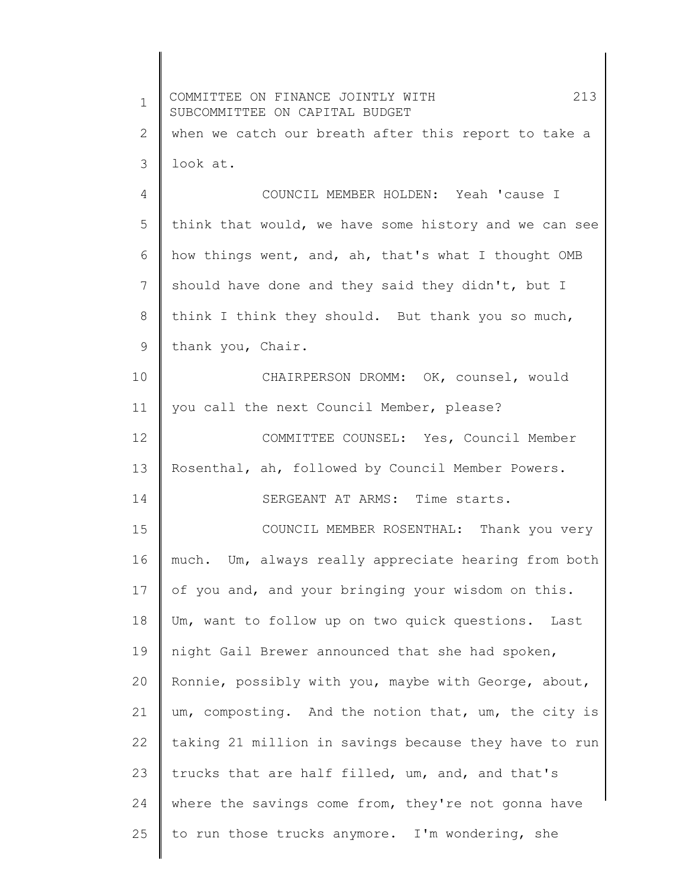| $\mathbf 1$ | COMMITTEE ON FINANCE JOINTLY WITH<br>213<br>SUBCOMMITTEE ON CAPITAL BUDGET |
|-------------|----------------------------------------------------------------------------|
| 2           | when we catch our breath after this report to take a                       |
| 3           | look at.                                                                   |
| 4           | COUNCIL MEMBER HOLDEN: Yeah 'cause I                                       |
| 5           | think that would, we have some history and we can see                      |
| 6           | how things went, and, ah, that's what I thought OMB                        |
| 7           | should have done and they said they didn't, but I                          |
| 8           | think I think they should. But thank you so much,                          |
| 9           | thank you, Chair.                                                          |
| 10          | CHAIRPERSON DROMM: OK, counsel, would                                      |
| 11          | you call the next Council Member, please?                                  |
| 12          | COMMITTEE COUNSEL: Yes, Council Member                                     |
| 13          | Rosenthal, ah, followed by Council Member Powers.                          |
| 14          | SERGEANT AT ARMS: Time starts.                                             |
| 15          | COUNCIL MEMBER ROSENTHAL: Thank you very                                   |
| 16          | much. Um, always really appreciate hearing from both                       |
| 17          | of you and, and your bringing your wisdom on this.                         |
| 18          | Um, want to follow up on two quick questions. Last                         |
| 19          | night Gail Brewer announced that she had spoken,                           |
| 20          | Ronnie, possibly with you, maybe with George, about,                       |
| 21          | um, composting. And the notion that, um, the city is                       |
| 22          | taking 21 million in savings because they have to run                      |
| 23          | trucks that are half filled, um, and, and that's                           |
| 24          | where the savings come from, they're not gonna have                        |
| 25          | to run those trucks anymore. I'm wondering, she                            |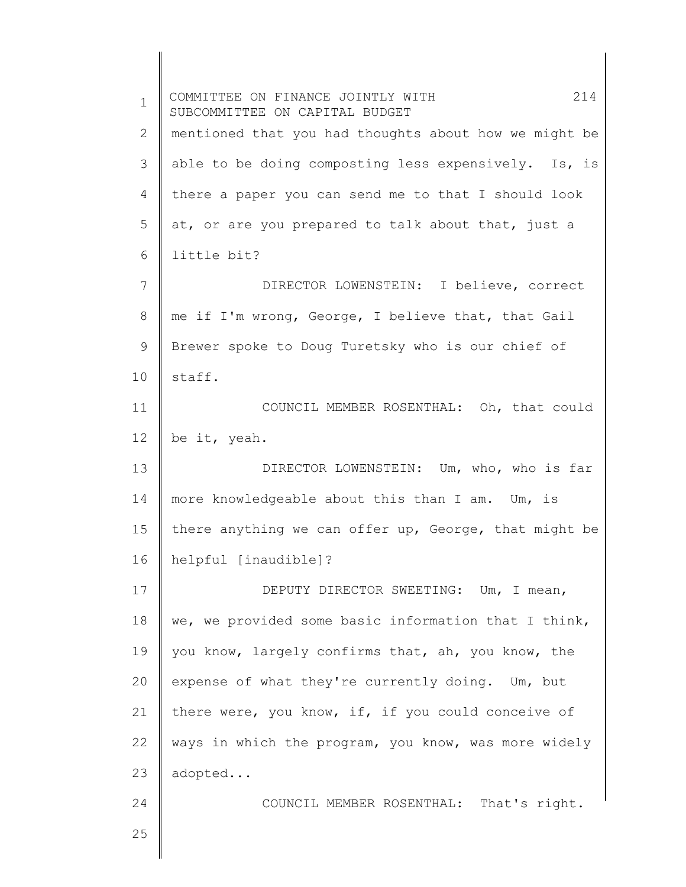1 2 3 4 5 6 7 8 9 10 11 12 13 14 15 16 17 18 19 20 21 22 23 24 25 COMMITTEE ON FINANCE JOINTLY WITH 214 SUBCOMMITTEE ON CAPITAL BUDGET mentioned that you had thoughts about how we might be able to be doing composting less expensively. Is, is there a paper you can send me to that I should look at, or are you prepared to talk about that, just a little bit? DIRECTOR LOWENSTEIN: I believe, correct me if I'm wrong, George, I believe that, that Gail Brewer spoke to Doug Turetsky who is our chief of staff. COUNCIL MEMBER ROSENTHAL: Oh, that could be it, yeah. DIRECTOR LOWENSTEIN: Um, who, who is far more knowledgeable about this than I am. Um, is there anything we can offer up, George, that might be helpful [inaudible]? DEPUTY DIRECTOR SWEETING: Um, I mean, we, we provided some basic information that I think, you know, largely confirms that, ah, you know, the expense of what they're currently doing. Um, but there were, you know, if, if you could conceive of ways in which the program, you know, was more widely adopted... COUNCIL MEMBER ROSENTHAL: That's right.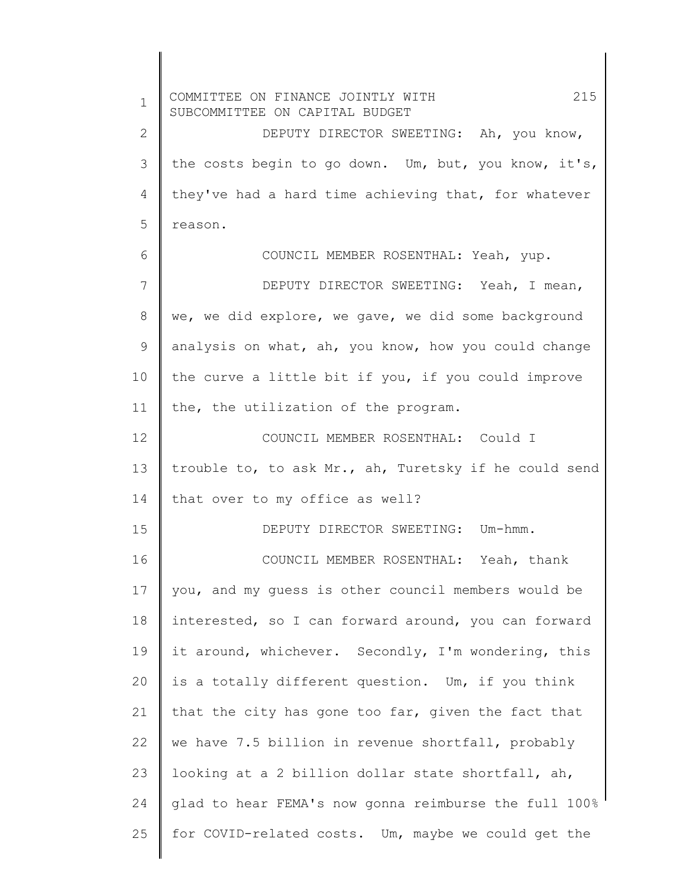1 2 3 4 5 6 7 8 9 10 11 12 13 14 15 16 17 18 19 20 21 22 23 24 25 COMMITTEE ON FINANCE JOINTLY WITH 215 SUBCOMMITTEE ON CAPITAL BUDGET DEPUTY DIRECTOR SWEETING: Ah, you know, the costs begin to go down. Um, but, you know, it's, they've had a hard time achieving that, for whatever reason. COUNCIL MEMBER ROSENTHAL: Yeah, yup. DEPUTY DIRECTOR SWEETING: Yeah, I mean, we, we did explore, we gave, we did some background analysis on what, ah, you know, how you could change the curve a little bit if you, if you could improve the, the utilization of the program. COUNCIL MEMBER ROSENTHAL: Could I trouble to, to ask Mr., ah, Turetsky if he could send that over to my office as well? DEPUTY DIRECTOR SWEETING: Um-hmm. COUNCIL MEMBER ROSENTHAL: Yeah, thank you, and my guess is other council members would be interested, so I can forward around, you can forward it around, whichever. Secondly, I'm wondering, this is a totally different question. Um, if you think that the city has gone too far, given the fact that we have 7.5 billion in revenue shortfall, probably looking at a 2 billion dollar state shortfall, ah, glad to hear FEMA's now gonna reimburse the full 100% for COVID-related costs. Um, maybe we could get the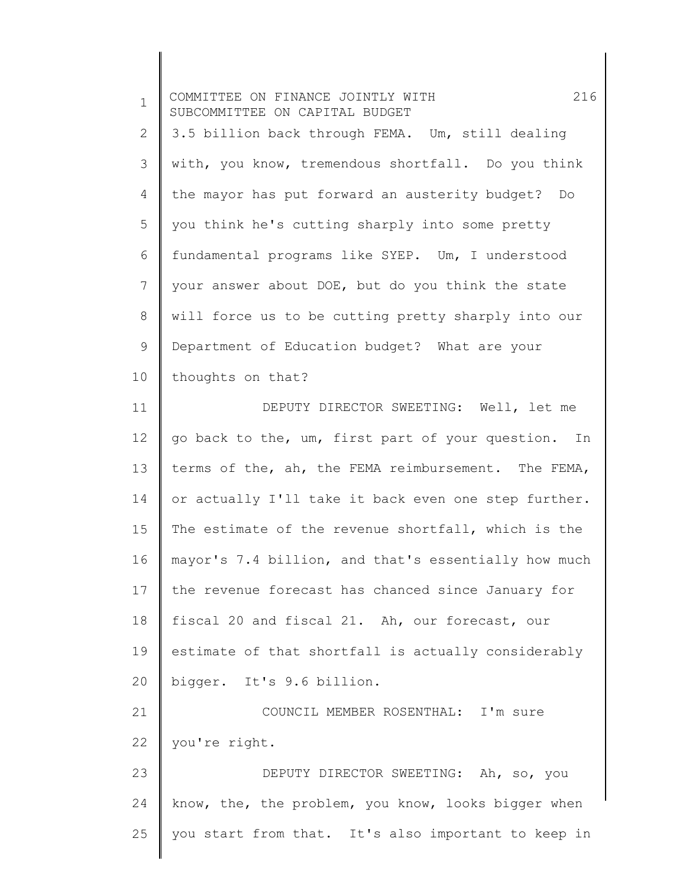| $\mathbf 1$    | 216<br>COMMITTEE ON FINANCE JOINTLY WITH<br>SUBCOMMITTEE ON CAPITAL BUDGET |
|----------------|----------------------------------------------------------------------------|
| $\mathbf{2}$   | 3.5 billion back through FEMA. Um, still dealing                           |
| 3              | with, you know, tremendous shortfall. Do you think                         |
| 4              | the mayor has put forward an austerity budget? Do                          |
| 5              | you think he's cutting sharply into some pretty                            |
| 6              | fundamental programs like SYEP. Um, I understood                           |
| $\overline{7}$ | your answer about DOE, but do you think the state                          |
| 8              | will force us to be cutting pretty sharply into our                        |
| 9              | Department of Education budget? What are your                              |
| 10             | thoughts on that?                                                          |
| 11             | DEPUTY DIRECTOR SWEETING: Well, let me                                     |
| 12             | go back to the, um, first part of your question. In                        |
| 13             | terms of the, ah, the FEMA reimbursement. The FEMA,                        |
| 14             | or actually I'll take it back even one step further.                       |
| 15             | The estimate of the revenue shortfall, which is the                        |
| 16             | mayor's 7.4 billion, and that's essentially how much                       |
| 17             | the revenue forecast has chanced since January for                         |
| 18             | fiscal 20 and fiscal 21. Ah, our forecast, our                             |
| 19             | estimate of that shortfall is actually considerably                        |
| 20             | bigger. It's 9.6 billion.                                                  |
| 21             | COUNCIL MEMBER ROSENTHAL: I'm sure                                         |
| 22             | you're right.                                                              |
| 23             | DEPUTY DIRECTOR SWEETING: Ah, so, you                                      |
| 24             | know, the, the problem, you know, looks bigger when                        |
| 25             | you start from that. It's also important to keep in                        |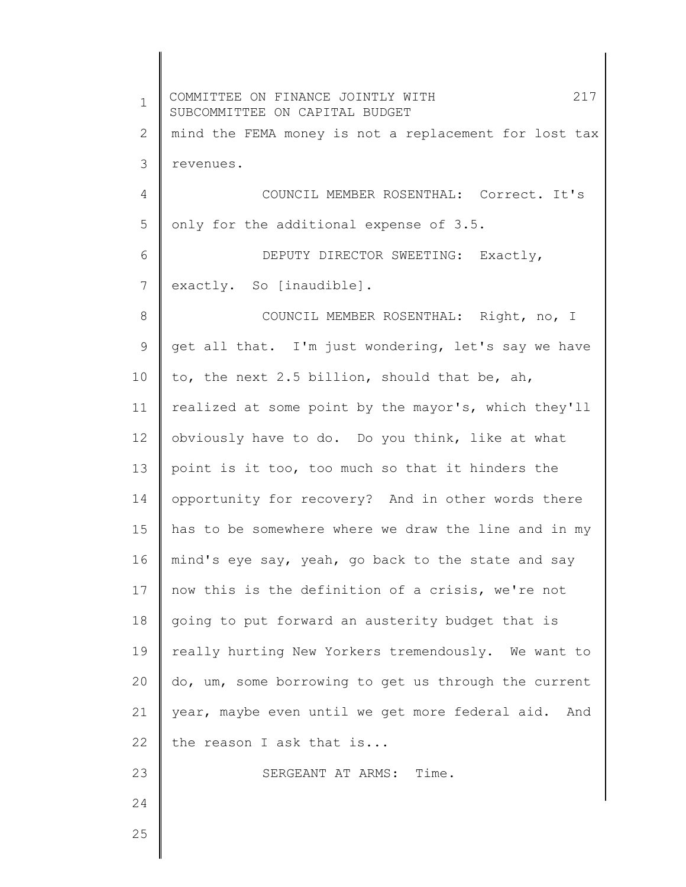1 2 3 4 5 6 7 8 9 10 11 12 13 14 15 16 17 18 19 20 21 22 23 24 25 COMMITTEE ON FINANCE JOINTLY WITH 217 SUBCOMMITTEE ON CAPITAL BUDGET mind the FEMA money is not a replacement for lost tax revenues. COUNCIL MEMBER ROSENTHAL: Correct. It's only for the additional expense of 3.5. DEPUTY DIRECTOR SWEETING: Exactly, exactly. So [inaudible]. COUNCIL MEMBER ROSENTHAL: Right, no, I get all that. I'm just wondering, let's say we have to, the next 2.5 billion, should that be, ah, realized at some point by the mayor's, which they'll obviously have to do. Do you think, like at what point is it too, too much so that it hinders the opportunity for recovery? And in other words there has to be somewhere where we draw the line and in my mind's eye say, yeah, go back to the state and say now this is the definition of a crisis, we're not going to put forward an austerity budget that is really hurting New Yorkers tremendously. We want to do, um, some borrowing to get us through the current year, maybe even until we get more federal aid. And the reason I ask that is... SERGEANT AT ARMS: Time.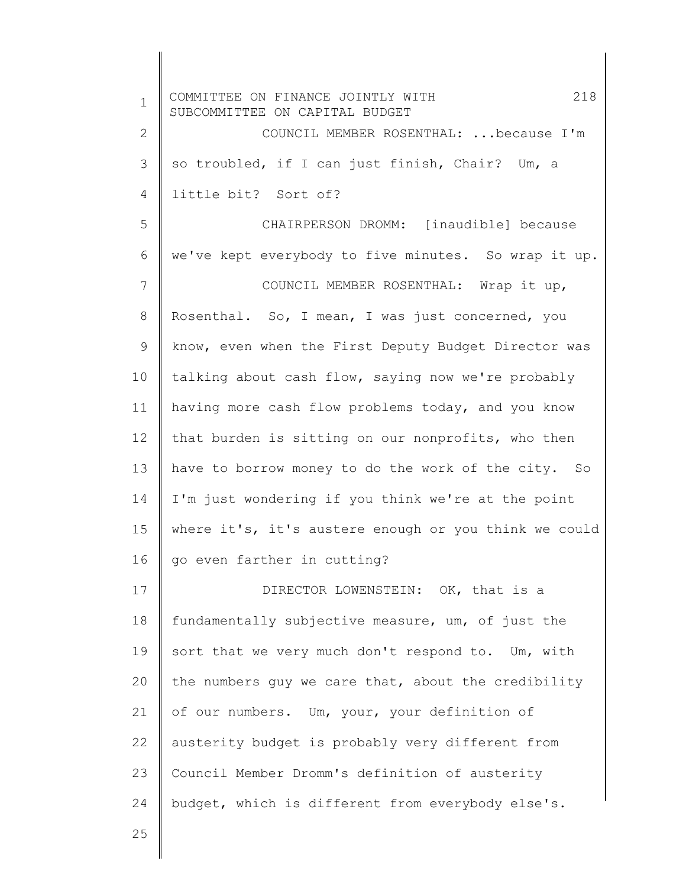| $\mathbf 1$     | 218<br>COMMITTEE ON FINANCE JOINTLY WITH<br>SUBCOMMITTEE ON CAPITAL BUDGET |
|-----------------|----------------------------------------------------------------------------|
| $\mathbf{2}$    | COUNCIL MEMBER ROSENTHAL:  because I'm                                     |
| 3               | so troubled, if I can just finish, Chair? Um, a                            |
| 4               | little bit? Sort of?                                                       |
| 5               | CHAIRPERSON DROMM: [inaudible] because                                     |
| 6               | we've kept everybody to five minutes. So wrap it up.                       |
| $7\phantom{.0}$ | COUNCIL MEMBER ROSENTHAL: Wrap it up,                                      |
| 8               | Rosenthal. So, I mean, I was just concerned, you                           |
| $\mathsf 9$     | know, even when the First Deputy Budget Director was                       |
| 10              | talking about cash flow, saying now we're probably                         |
| 11              | having more cash flow problems today, and you know                         |
| 12              | that burden is sitting on our nonprofits, who then                         |
| 13              | have to borrow money to do the work of the city. So                        |
| 14              | I'm just wondering if you think we're at the point                         |
| 15              | where it's, it's austere enough or you think we could                      |
| 16              | go even farther in cutting?                                                |
| 17              | DIRECTOR LOWENSTEIN: OK, that is a                                         |
| 18              | fundamentally subjective measure, um, of just the                          |
| 19              | sort that we very much don't respond to. Um, with                          |
| 20              | the numbers guy we care that, about the credibility                        |
| 21              | of our numbers. Um, your, your definition of                               |
| 22              | austerity budget is probably very different from                           |
| 23              | Council Member Dromm's definition of austerity                             |
| 24              | budget, which is different from everybody else's.                          |
| 25              |                                                                            |

∥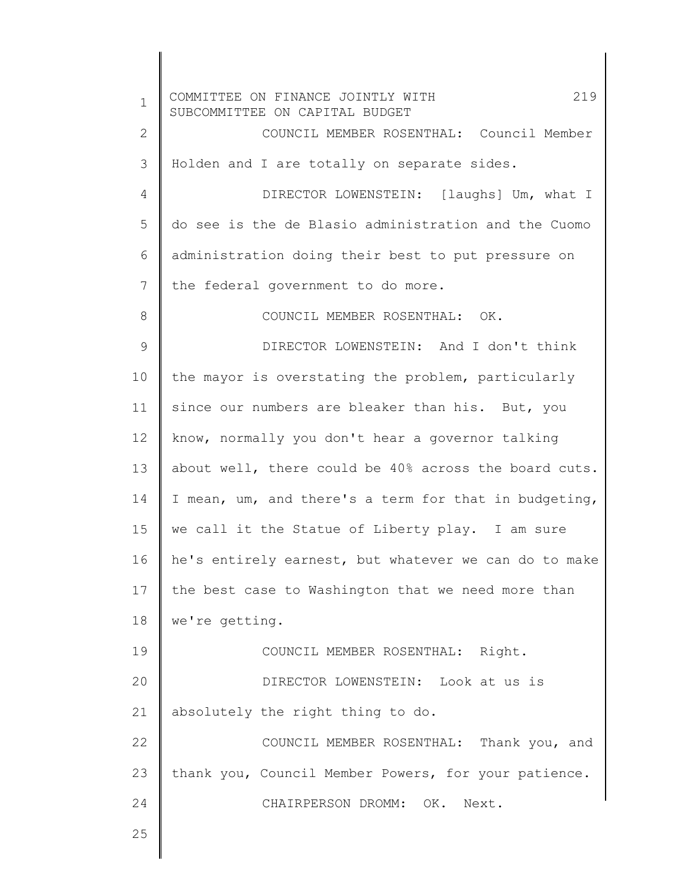1 2 3 4 5 6 7 8 9 10 11 12 13 14 15 16 17 18 19 20 21 22 23 24 25 COMMITTEE ON FINANCE JOINTLY WITH 219 SUBCOMMITTEE ON CAPITAL BUDGET COUNCIL MEMBER ROSENTHAL: Council Member Holden and I are totally on separate sides. DIRECTOR LOWENSTEIN: [laughs] Um, what I do see is the de Blasio administration and the Cuomo administration doing their best to put pressure on the federal government to do more. COUNCIL MEMBER ROSENTHAL: OK. DIRECTOR LOWENSTEIN: And I don't think the mayor is overstating the problem, particularly since our numbers are bleaker than his. But, you know, normally you don't hear a governor talking about well, there could be 40% across the board cuts. I mean, um, and there's a term for that in budgeting, we call it the Statue of Liberty play. I am sure he's entirely earnest, but whatever we can do to make the best case to Washington that we need more than we're getting. COUNCIL MEMBER ROSENTHAL: Right. DIRECTOR LOWENSTEIN: Look at us is absolutely the right thing to do. COUNCIL MEMBER ROSENTHAL: Thank you, and thank you, Council Member Powers, for your patience. CHAIRPERSON DROMM: OK. Next.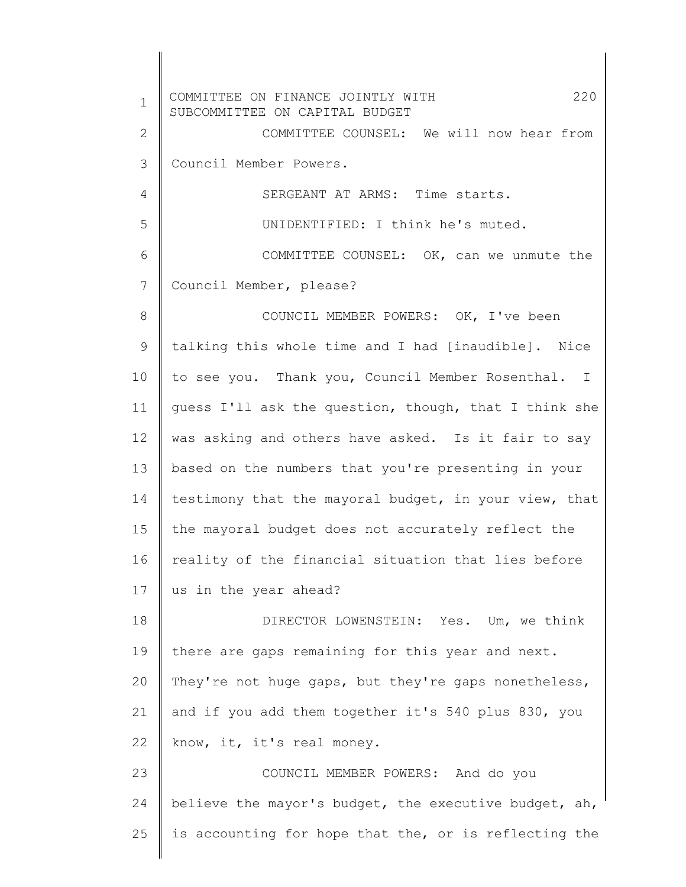1 2 3 4 5 6 7 8 9 10 11 12 13 14 15 16 17 18 19 20 21 22 23 24 25 COMMITTEE ON FINANCE JOINTLY WITH 220 SUBCOMMITTEE ON CAPITAL BUDGET COMMITTEE COUNSEL: We will now hear from Council Member Powers. SERGEANT AT ARMS: Time starts. UNIDENTIFIED: I think he's muted. COMMITTEE COUNSEL: OK, can we unmute the Council Member, please? COUNCIL MEMBER POWERS: OK, I've been talking this whole time and I had [inaudible]. Nice to see you. Thank you, Council Member Rosenthal. I guess I'll ask the question, though, that I think she was asking and others have asked. Is it fair to say based on the numbers that you're presenting in your testimony that the mayoral budget, in your view, that the mayoral budget does not accurately reflect the reality of the financial situation that lies before us in the year ahead? DIRECTOR LOWENSTEIN: Yes. Um, we think there are gaps remaining for this year and next. They're not huge gaps, but they're gaps nonetheless, and if you add them together it's 540 plus 830, you know, it, it's real money. COUNCIL MEMBER POWERS: And do you believe the mayor's budget, the executive budget, ah, is accounting for hope that the, or is reflecting the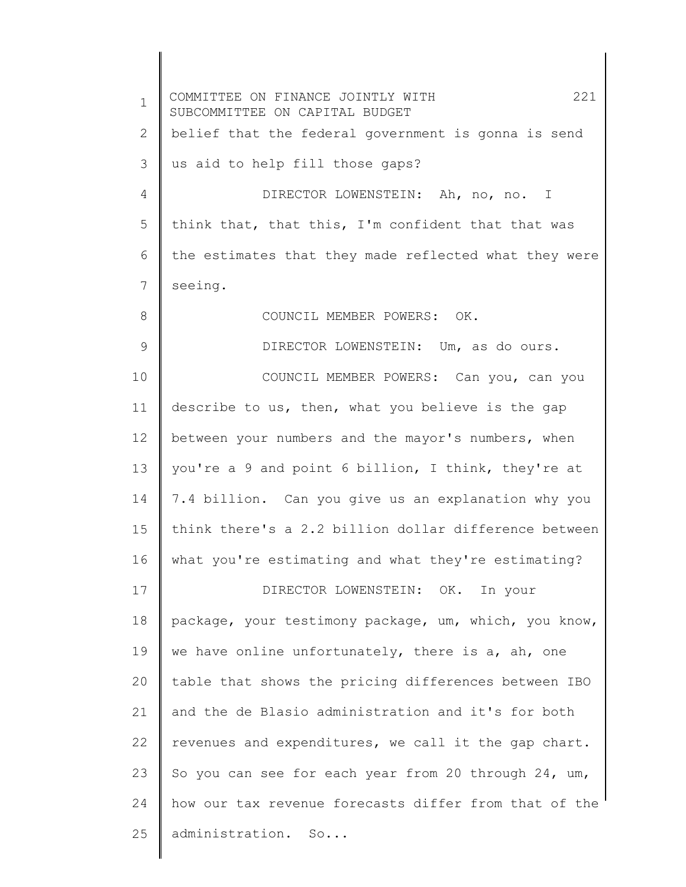1 2 3 4 5 6 7 8 9 10 11 12 13 14 15 16 17 18 19 20 21 22 23 24 25 COMMITTEE ON FINANCE JOINTLY WITH 221 SUBCOMMITTEE ON CAPITAL BUDGET belief that the federal government is gonna is send us aid to help fill those gaps? DIRECTOR LOWENSTEIN: Ah, no, no. I think that, that this, I'm confident that that was the estimates that they made reflected what they were seeing. COUNCIL MEMBER POWERS: OK. DIRECTOR LOWENSTEIN: Um, as do ours. COUNCIL MEMBER POWERS: Can you, can you describe to us, then, what you believe is the gap between your numbers and the mayor's numbers, when you're a 9 and point 6 billion, I think, they're at 7.4 billion. Can you give us an explanation why you think there's a 2.2 billion dollar difference between what you're estimating and what they're estimating? DIRECTOR LOWENSTEIN: OK. In your package, your testimony package, um, which, you know, we have online unfortunately, there is a, ah, one table that shows the pricing differences between IBO and the de Blasio administration and it's for both revenues and expenditures, we call it the gap chart. So you can see for each year from 20 through 24, um, how our tax revenue forecasts differ from that of the administration. So...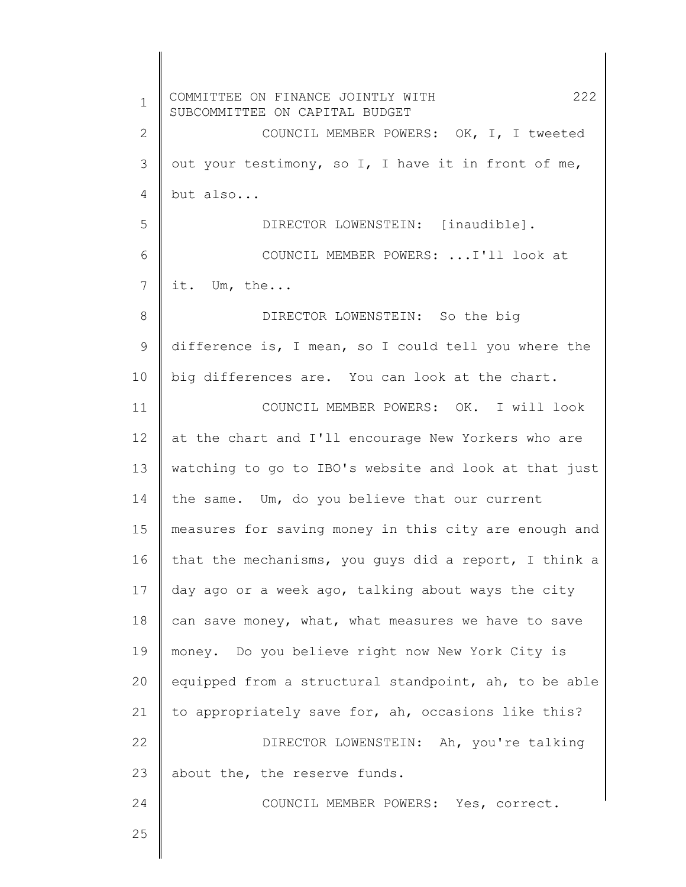1 2 3 4 5 6 7 8 9 10 11 12 13 14 15 16 17 18 19 20 21 22 23 24 25 COMMITTEE ON FINANCE JOINTLY WITH 222 SUBCOMMITTEE ON CAPITAL BUDGET COUNCIL MEMBER POWERS: OK, I, I tweeted out your testimony, so I, I have it in front of me, but also... DIRECTOR LOWENSTEIN: [inaudible]. COUNCIL MEMBER POWERS: ...I'll look at it. Um, the... DIRECTOR LOWENSTEIN: So the big difference is, I mean, so I could tell you where the big differences are. You can look at the chart. COUNCIL MEMBER POWERS: OK. I will look at the chart and I'll encourage New Yorkers who are watching to go to IBO's website and look at that just the same. Um, do you believe that our current measures for saving money in this city are enough and that the mechanisms, you guys did a report, I think a day ago or a week ago, talking about ways the city can save money, what, what measures we have to save money. Do you believe right now New York City is equipped from a structural standpoint, ah, to be able to appropriately save for, ah, occasions like this? DIRECTOR LOWENSTEIN: Ah, you're talking about the, the reserve funds. COUNCIL MEMBER POWERS: Yes, correct.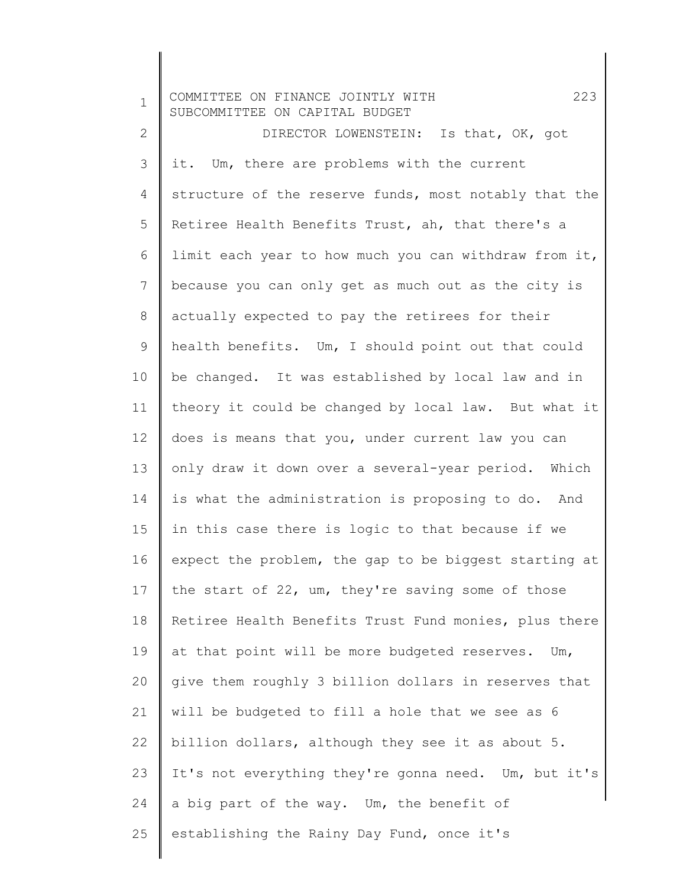| $\mathbf 1$    | 223<br>COMMITTEE ON FINANCE JOINTLY WITH<br>SUBCOMMITTEE ON CAPITAL BUDGET |
|----------------|----------------------------------------------------------------------------|
| $\mathbf{2}$   | DIRECTOR LOWENSTEIN: Is that, OK, got                                      |
| 3              | it. Um, there are problems with the current                                |
| $\overline{4}$ | structure of the reserve funds, most notably that the                      |
| 5              | Retiree Health Benefits Trust, ah, that there's a                          |
| 6              | limit each year to how much you can withdraw from it,                      |
| 7              | because you can only get as much out as the city is                        |
| $\,8\,$        | actually expected to pay the retirees for their                            |
| $\mathsf 9$    | health benefits. Um, I should point out that could                         |
| 10             | be changed. It was established by local law and in                         |
| 11             | theory it could be changed by local law. But what it                       |
| 12             | does is means that you, under current law you can                          |
| 13             | only draw it down over a several-year period. Which                        |
| 14             | is what the administration is proposing to do. And                         |
| 15             | in this case there is logic to that because if we                          |
| 16             | expect the problem, the gap to be biggest starting at                      |
| 17             | the start of 22, um, they're saving some of those                          |
| 18             | Retiree Health Benefits Trust Fund monies, plus there                      |
| 19             | at that point will be more budgeted reserves.<br>Um,                       |
| 20             | give them roughly 3 billion dollars in reserves that                       |
| 21             | will be budgeted to fill a hole that we see as 6                           |
| 22             | billion dollars, although they see it as about 5.                          |
| 23             | It's not everything they're gonna need. Um, but it's                       |
| 24             | a big part of the way. Um, the benefit of                                  |
| 25             | establishing the Rainy Day Fund, once it's                                 |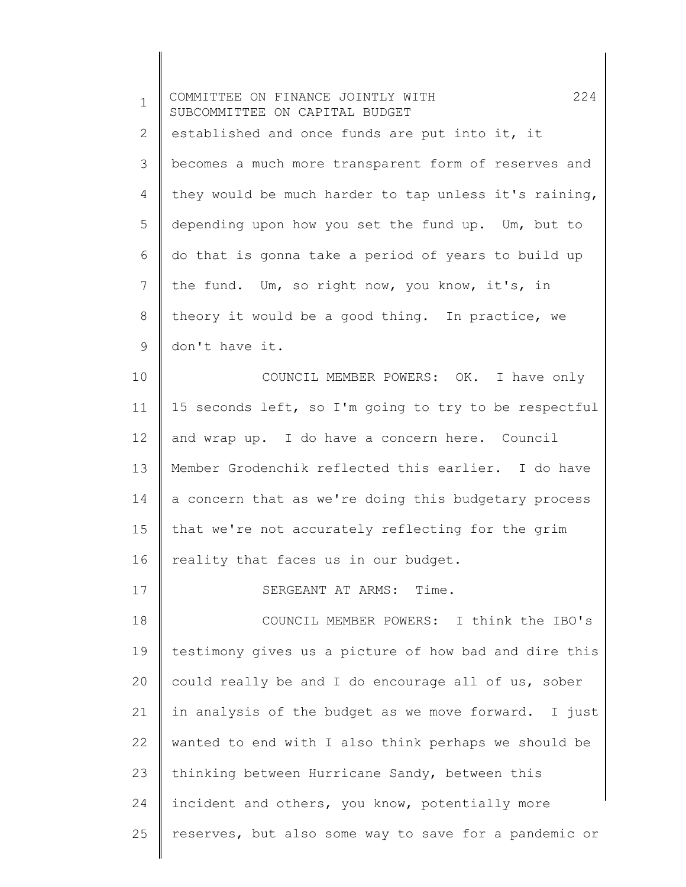| $\mathbf 1$  | 224<br>COMMITTEE ON FINANCE JOINTLY WITH<br>SUBCOMMITTEE ON CAPITAL BUDGET |
|--------------|----------------------------------------------------------------------------|
| $\mathbf{2}$ | established and once funds are put into it, it                             |
| 3            | becomes a much more transparent form of reserves and                       |
| 4            | they would be much harder to tap unless it's raining,                      |
| 5            | depending upon how you set the fund up. Um, but to                         |
| 6            | do that is gonna take a period of years to build up                        |
| 7            | the fund. Um, so right now, you know, it's, in                             |
| $8\,$        | theory it would be a good thing. In practice, we                           |
| 9            | don't have it.                                                             |
| 10           | COUNCIL MEMBER POWERS: OK. I have only                                     |
| 11           | 15 seconds left, so I'm going to try to be respectful                      |
| 12           | and wrap up. I do have a concern here. Council                             |
| 13           | Member Grodenchik reflected this earlier. I do have                        |
| 14           | a concern that as we're doing this budgetary process                       |
| 15           | that we're not accurately reflecting for the grim                          |
| 16           | reality that faces us in our budget.                                       |
| 17           | SERGEANT AT ARMS: Time.                                                    |
| 18           | COUNCIL MEMBER POWERS: I think the IBO's                                   |
| 19           | testimony gives us a picture of how bad and dire this                      |
| 20           | could really be and I do encourage all of us, sober                        |
| 21           | in analysis of the budget as we move forward. I just                       |
| 22           | wanted to end with I also think perhaps we should be                       |
| 23           | thinking between Hurricane Sandy, between this                             |
| 24           | incident and others, you know, potentially more                            |
| 25           | reserves, but also some way to save for a pandemic or                      |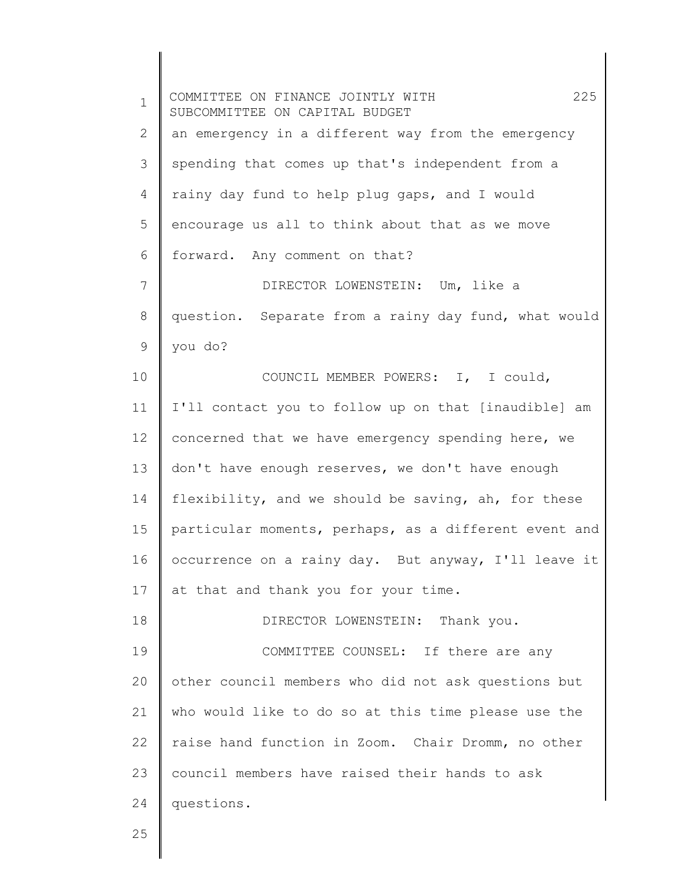1 2 3 4 5 6 7 8 9 10 11 12 13 14 15 16 17 18 19 20 21 22 23 24 COMMITTEE ON FINANCE JOINTLY WITH 225 SUBCOMMITTEE ON CAPITAL BUDGET an emergency in a different way from the emergency spending that comes up that's independent from a rainy day fund to help plug gaps, and I would encourage us all to think about that as we move forward. Any comment on that? DIRECTOR LOWENSTEIN: Um, like a question. Separate from a rainy day fund, what would you do? COUNCIL MEMBER POWERS: I, I could, I'll contact you to follow up on that [inaudible] am concerned that we have emergency spending here, we don't have enough reserves, we don't have enough flexibility, and we should be saving, ah, for these particular moments, perhaps, as a different event and occurrence on a rainy day. But anyway, I'll leave it at that and thank you for your time. DIRECTOR LOWENSTEIN: Thank you. COMMITTEE COUNSEL: If there are any other council members who did not ask questions but who would like to do so at this time please use the raise hand function in Zoom. Chair Dromm, no other council members have raised their hands to ask questions.

25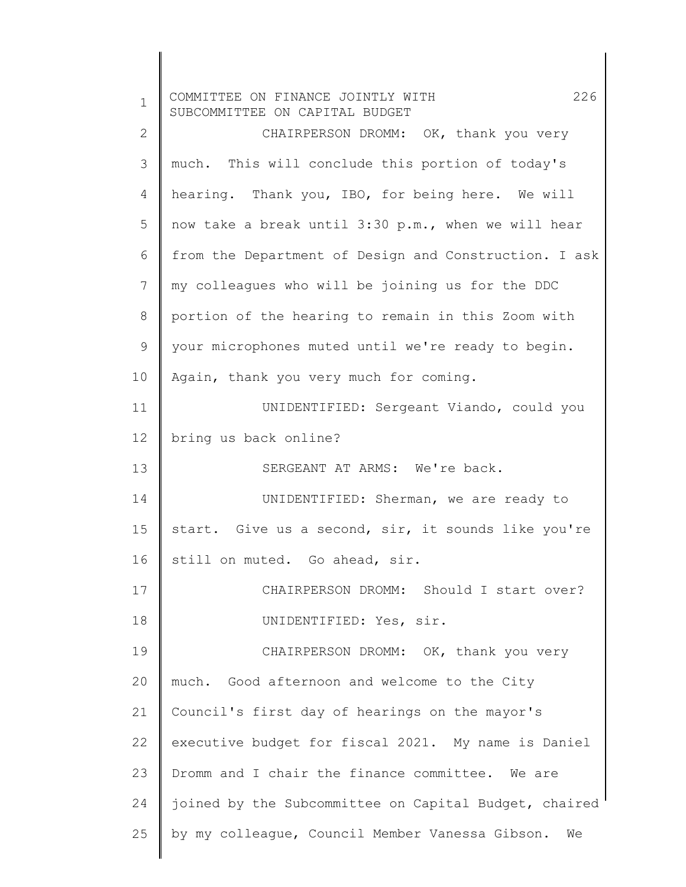| $\mathbf 1$    | 226<br>COMMITTEE ON FINANCE JOINTLY WITH<br>SUBCOMMITTEE ON CAPITAL BUDGET |
|----------------|----------------------------------------------------------------------------|
| $\mathbf{2}$   | CHAIRPERSON DROMM: OK, thank you very                                      |
| 3              | much. This will conclude this portion of today's                           |
| 4              | hearing. Thank you, IBO, for being here. We will                           |
| 5              | now take a break until 3:30 p.m., when we will hear                        |
| 6              | from the Department of Design and Construction. I ask                      |
| $\overline{7}$ | my colleagues who will be joining us for the DDC                           |
| $8\,$          | portion of the hearing to remain in this Zoom with                         |
| 9              | your microphones muted until we're ready to begin.                         |
| 10             | Again, thank you very much for coming.                                     |
| 11             | UNIDENTIFIED: Sergeant Viando, could you                                   |
| 12             | bring us back online?                                                      |
| 13             | SERGEANT AT ARMS: We're back.                                              |
| 14             | UNIDENTIFIED: Sherman, we are ready to                                     |
| 15             | start. Give us a second, sir, it sounds like you're                        |
| 16             | still on muted. Go ahead, sir.                                             |
| 17             | CHAIRPERSON DROMM: Should I start over?                                    |
| 18             | UNIDENTIFIED: Yes, sir.                                                    |
| 19             | CHAIRPERSON DROMM: OK, thank you very                                      |
| 20             | much. Good afternoon and welcome to the City                               |
| 21             | Council's first day of hearings on the mayor's                             |
| 22             | executive budget for fiscal 2021. My name is Daniel                        |
| 23             | Dromm and I chair the finance committee. We are                            |
| 24             | joined by the Subcommittee on Capital Budget, chaired                      |
| 25             | by my colleague, Council Member Vanessa Gibson.<br>We                      |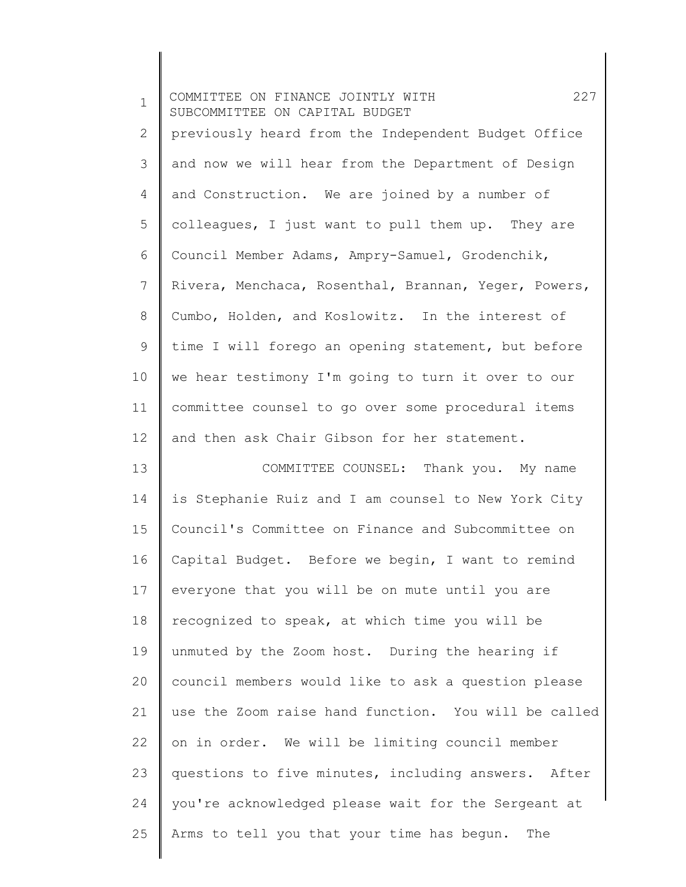| $\mathbf 1$ | 227<br>COMMITTEE ON FINANCE JOINTLY WITH<br>SUBCOMMITTEE ON CAPITAL BUDGET |
|-------------|----------------------------------------------------------------------------|
| 2           | previously heard from the Independent Budget Office                        |
| 3           | and now we will hear from the Department of Design                         |
| 4           | and Construction. We are joined by a number of                             |
| 5           | colleagues, I just want to pull them up. They are                          |
| 6           | Council Member Adams, Ampry-Samuel, Grodenchik,                            |
| 7           | Rivera, Menchaca, Rosenthal, Brannan, Yeger, Powers,                       |
| 8           | Cumbo, Holden, and Koslowitz. In the interest of                           |
| $\mathsf 9$ | time I will forego an opening statement, but before                        |
| 10          | we hear testimony I'm going to turn it over to our                         |
| 11          | committee counsel to go over some procedural items                         |
| 12          | and then ask Chair Gibson for her statement.                               |
| 13          | COMMITTEE COUNSEL: Thank you. My name                                      |
| 14          | is Stephanie Ruiz and I am counsel to New York City                        |
| 15          | Council's Committee on Finance and Subcommittee on                         |
| 16          | Capital Budget. Before we begin, I want to remind                          |
| 17          | everyone that you will be on mute until you are                            |
| 18          | recognized to speak, at which time you will be                             |
| 19          | unmuted by the Zoom host. During the hearing if                            |
| 20          | council members would like to ask a question please                        |
| 21          | use the Zoom raise hand function. You will be called                       |
| 22          | on in order. We will be limiting council member                            |
| 23          | questions to five minutes, including answers. After                        |
| 24          | you're acknowledged please wait for the Sergeant at                        |
| 25          | Arms to tell you that your time has begun.<br>The                          |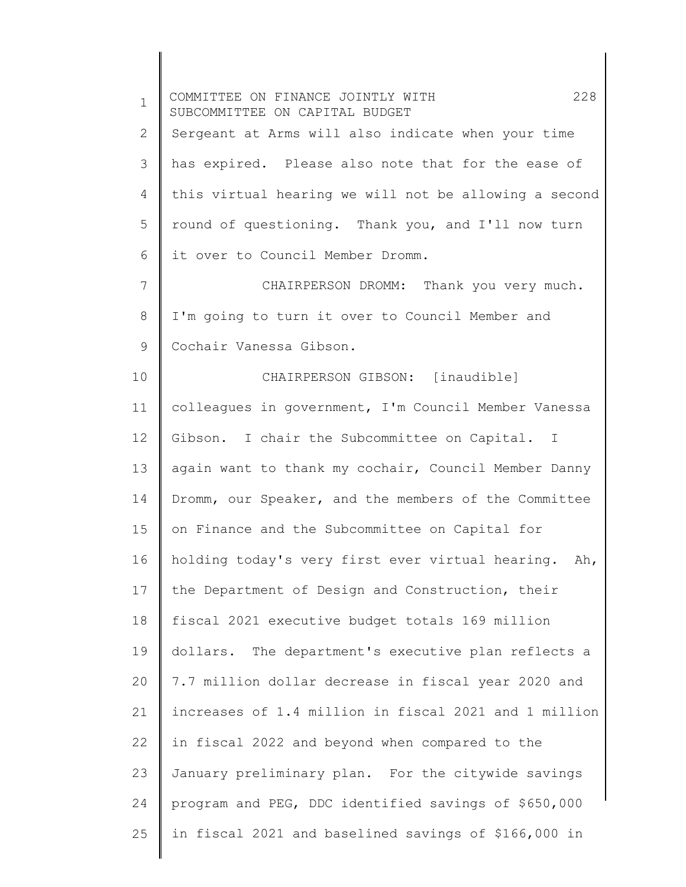| $\mathbf 1$ | COMMITTEE ON FINANCE JOINTLY WITH<br>228<br>SUBCOMMITTEE ON CAPITAL BUDGET |
|-------------|----------------------------------------------------------------------------|
| 2           | Sergeant at Arms will also indicate when your time                         |
| 3           | has expired. Please also note that for the ease of                         |
| 4           | this virtual hearing we will not be allowing a second                      |
| 5           | round of questioning. Thank you, and I'll now turn                         |
| 6           | it over to Council Member Dromm.                                           |
| 7           | CHAIRPERSON DROMM: Thank you very much.                                    |
| 8           | I'm going to turn it over to Council Member and                            |
| 9           | Cochair Vanessa Gibson.                                                    |
| 10          | CHAIRPERSON GIBSON: [inaudible]                                            |
| 11          | colleagues in government, I'm Council Member Vanessa                       |
| 12          | Gibson. I chair the Subcommittee on Capital. I                             |
| 13          | again want to thank my cochair, Council Member Danny                       |
| 14          | Dromm, our Speaker, and the members of the Committee                       |
| 15          | on Finance and the Subcommittee on Capital for                             |
| 16          | holding today's very first ever virtual hearing.<br>Ah,                    |
| 17          | the Department of Design and Construction, their                           |
| 18          | fiscal 2021 executive budget totals 169 million                            |
| 19          | dollars. The department's executive plan reflects a                        |
| 20          | 7.7 million dollar decrease in fiscal year 2020 and                        |
| 21          | increases of 1.4 million in fiscal 2021 and 1 million                      |
| 22          | in fiscal 2022 and beyond when compared to the                             |
| 23          | January preliminary plan. For the citywide savings                         |
| 24          | program and PEG, DDC identified savings of \$650,000                       |
| 25          | in fiscal 2021 and baselined savings of \$166,000 in                       |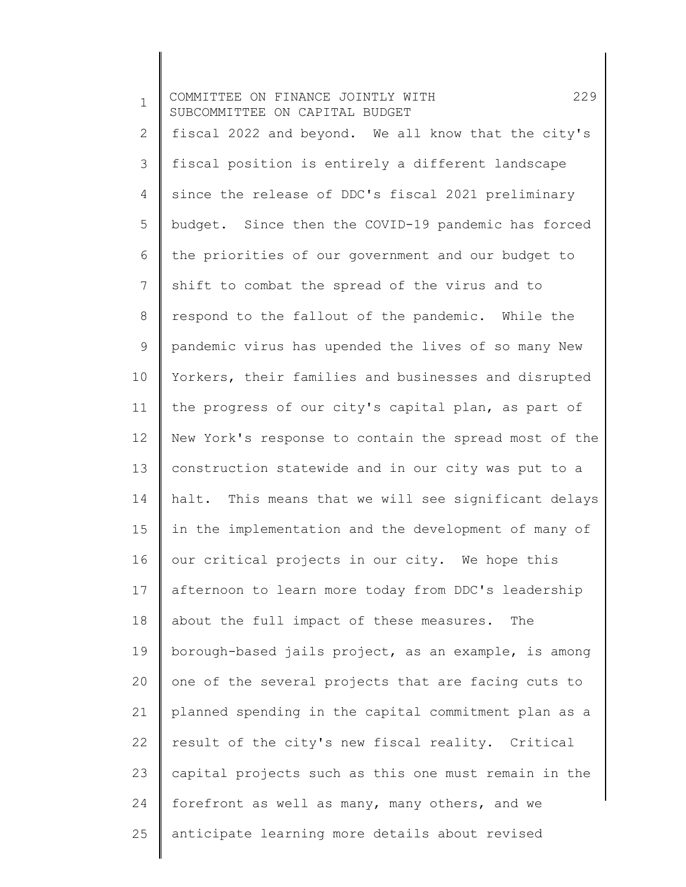1 2 3 4 5 6 7 8 9 10 11 12 13 14 15 16 17 18 19 20 21 22 23 24 25 COMMITTEE ON FINANCE JOINTLY WITH 229 SUBCOMMITTEE ON CAPITAL BUDGET fiscal 2022 and beyond. We all know that the city's fiscal position is entirely a different landscape since the release of DDC's fiscal 2021 preliminary budget. Since then the COVID-19 pandemic has forced the priorities of our government and our budget to shift to combat the spread of the virus and to respond to the fallout of the pandemic. While the pandemic virus has upended the lives of so many New Yorkers, their families and businesses and disrupted the progress of our city's capital plan, as part of New York's response to contain the spread most of the construction statewide and in our city was put to a halt. This means that we will see significant delays in the implementation and the development of many of our critical projects in our city. We hope this afternoon to learn more today from DDC's leadership about the full impact of these measures. The borough-based jails project, as an example, is among one of the several projects that are facing cuts to planned spending in the capital commitment plan as a result of the city's new fiscal reality. Critical capital projects such as this one must remain in the forefront as well as many, many others, and we anticipate learning more details about revised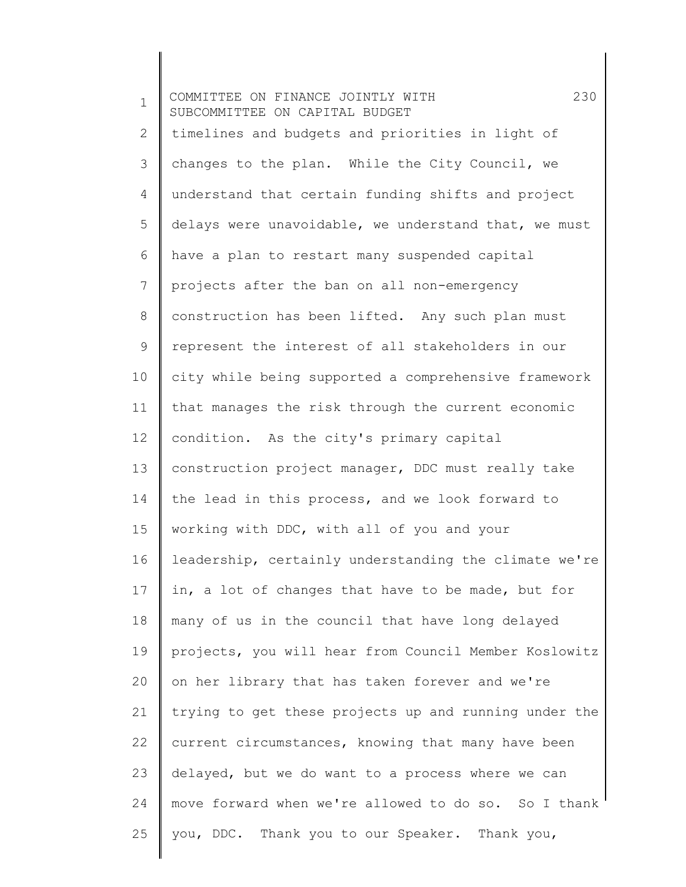1 2 3 4 5 6 7 8 9 10 11 12 13 14 15 16 17 18 19 20 21 22 23 24 25 COMMITTEE ON FINANCE JOINTLY WITH 230 SUBCOMMITTEE ON CAPITAL BUDGET timelines and budgets and priorities in light of changes to the plan. While the City Council, we understand that certain funding shifts and project delays were unavoidable, we understand that, we must have a plan to restart many suspended capital projects after the ban on all non-emergency construction has been lifted. Any such plan must represent the interest of all stakeholders in our city while being supported a comprehensive framework that manages the risk through the current economic condition. As the city's primary capital construction project manager, DDC must really take the lead in this process, and we look forward to working with DDC, with all of you and your leadership, certainly understanding the climate we're in, a lot of changes that have to be made, but for many of us in the council that have long delayed projects, you will hear from Council Member Koslowitz on her library that has taken forever and we're trying to get these projects up and running under the current circumstances, knowing that many have been delayed, but we do want to a process where we can move forward when we're allowed to do so. So I thank you, DDC. Thank you to our Speaker. Thank you,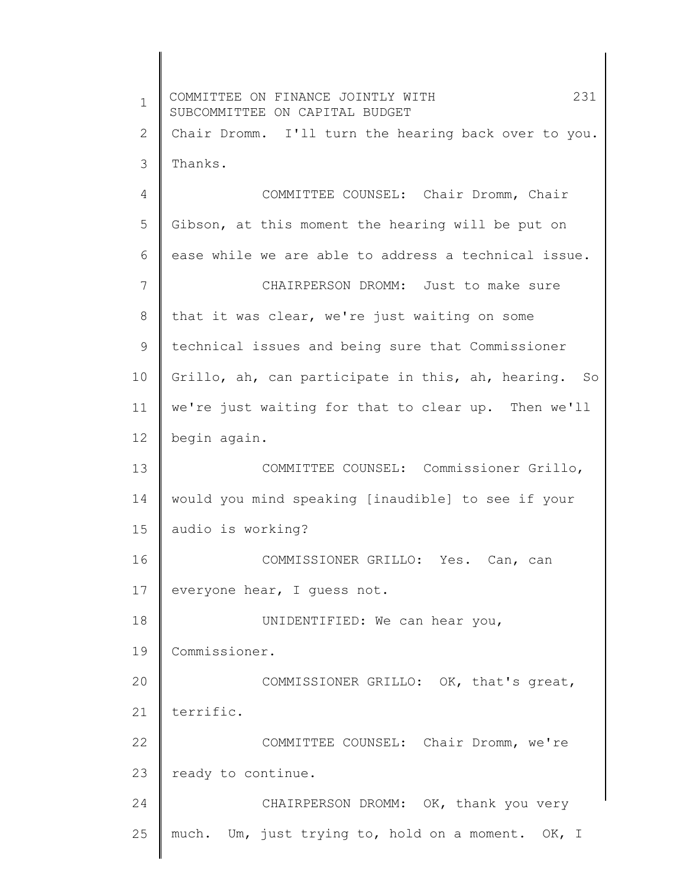1 2 3 4 5 6 7 8 9 10 11 12 13 14 15 16 17 18 19 20 21 22 23 24 25 COMMITTEE ON FINANCE JOINTLY WITH 231 SUBCOMMITTEE ON CAPITAL BUDGET Chair Dromm. I'll turn the hearing back over to you. Thanks. COMMITTEE COUNSEL: Chair Dromm, Chair Gibson, at this moment the hearing will be put on ease while we are able to address a technical issue. CHAIRPERSON DROMM: Just to make sure that it was clear, we're just waiting on some technical issues and being sure that Commissioner Grillo, ah, can participate in this, ah, hearing. So we're just waiting for that to clear up. Then we'll begin again. COMMITTEE COUNSEL: Commissioner Grillo, would you mind speaking [inaudible] to see if your audio is working? COMMISSIONER GRILLO: Yes. Can, can everyone hear, I guess not. UNIDENTIFIED: We can hear you, Commissioner. COMMISSIONER GRILLO: OK, that's great, terrific. COMMITTEE COUNSEL: Chair Dromm, we're ready to continue. CHAIRPERSON DROMM: OK, thank you very much. Um, just trying to, hold on a moment. OK, I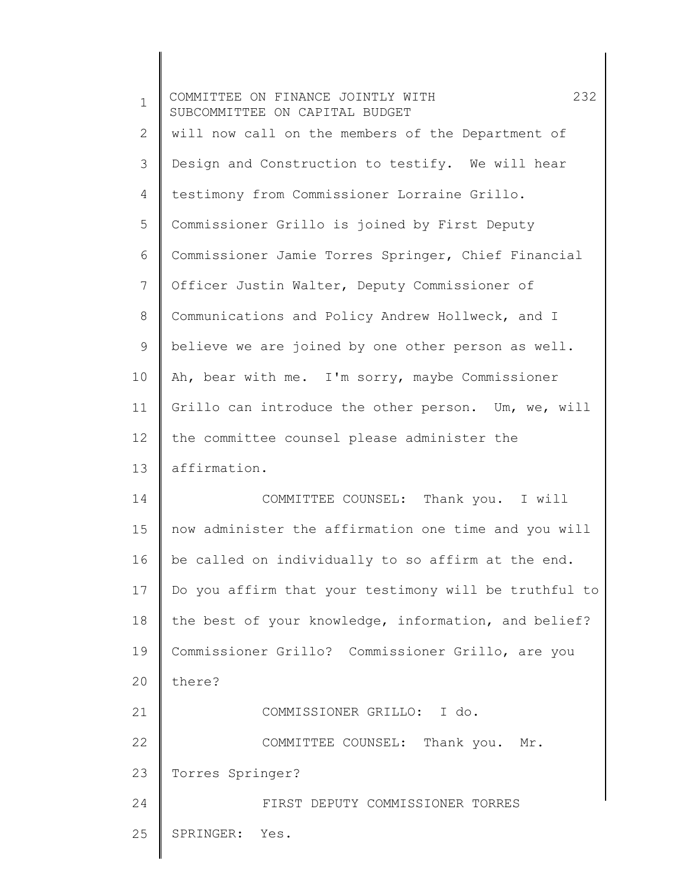| $\mathbf 1$ | 232<br>COMMITTEE ON FINANCE JOINTLY WITH<br>SUBCOMMITTEE ON CAPITAL BUDGET |
|-------------|----------------------------------------------------------------------------|
| 2           | will now call on the members of the Department of                          |
| 3           | Design and Construction to testify. We will hear                           |
| 4           | testimony from Commissioner Lorraine Grillo.                               |
| 5           | Commissioner Grillo is joined by First Deputy                              |
| 6           | Commissioner Jamie Torres Springer, Chief Financial                        |
| 7           | Officer Justin Walter, Deputy Commissioner of                              |
| 8           | Communications and Policy Andrew Hollweck, and I                           |
| 9           | believe we are joined by one other person as well.                         |
| 10          | Ah, bear with me. I'm sorry, maybe Commissioner                            |
| 11          | Grillo can introduce the other person. Um, we, will                        |
| 12          | the committee counsel please administer the                                |
| 13          | affirmation.                                                               |
| 14          | COMMITTEE COUNSEL: Thank you. I will                                       |
| 15          | now administer the affirmation one time and you will                       |
| 16          | be called on individually to so affirm at the end.                         |
| 17          | Do you affirm that your testimony will be truthful to                      |
| 18          | the best of your knowledge, information, and belief?                       |
| 19          | Commissioner Grillo? Commissioner Grillo, are you                          |
| 20          | there?                                                                     |
| 21          | COMMISSIONER GRILLO: I do.                                                 |
| 22          | COMMITTEE COUNSEL: Thank you. Mr.                                          |
| 23          | Torres Springer?                                                           |
| 24          | FIRST DEPUTY COMMISSIONER TORRES                                           |
| 25          | SPRINGER:<br>Yes.                                                          |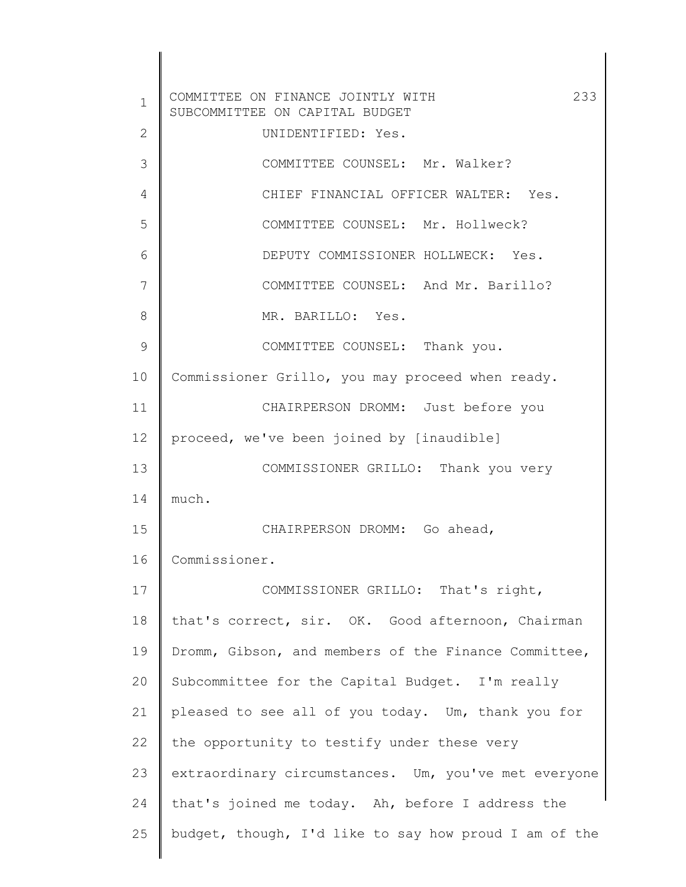1 2 3 4 5 6 7 8 9 10 11 12 13 14 15 16 17 18 19 20 21 22 23 24 25 COMMITTEE ON FINANCE JOINTLY WITH 233 SUBCOMMITTEE ON CAPITAL BUDGET UNIDENTIFIED: Yes. COMMITTEE COUNSEL: Mr. Walker? CHIEF FINANCIAL OFFICER WALTER: Yes. COMMITTEE COUNSEL: Mr. Hollweck? DEPUTY COMMISSIONER HOLLWECK: Yes. COMMITTEE COUNSEL: And Mr. Barillo? MR. BARILLO: Yes. COMMITTEE COUNSEL: Thank you. Commissioner Grillo, you may proceed when ready. CHAIRPERSON DROMM: Just before you proceed, we've been joined by [inaudible] COMMISSIONER GRILLO: Thank you very much. CHAIRPERSON DROMM: Go ahead, Commissioner. COMMISSIONER GRILLO: That's right, that's correct, sir. OK. Good afternoon, Chairman Dromm, Gibson, and members of the Finance Committee, Subcommittee for the Capital Budget. I'm really pleased to see all of you today. Um, thank you for the opportunity to testify under these very extraordinary circumstances. Um, you've met everyone that's joined me today. Ah, before I address the budget, though, I'd like to say how proud I am of the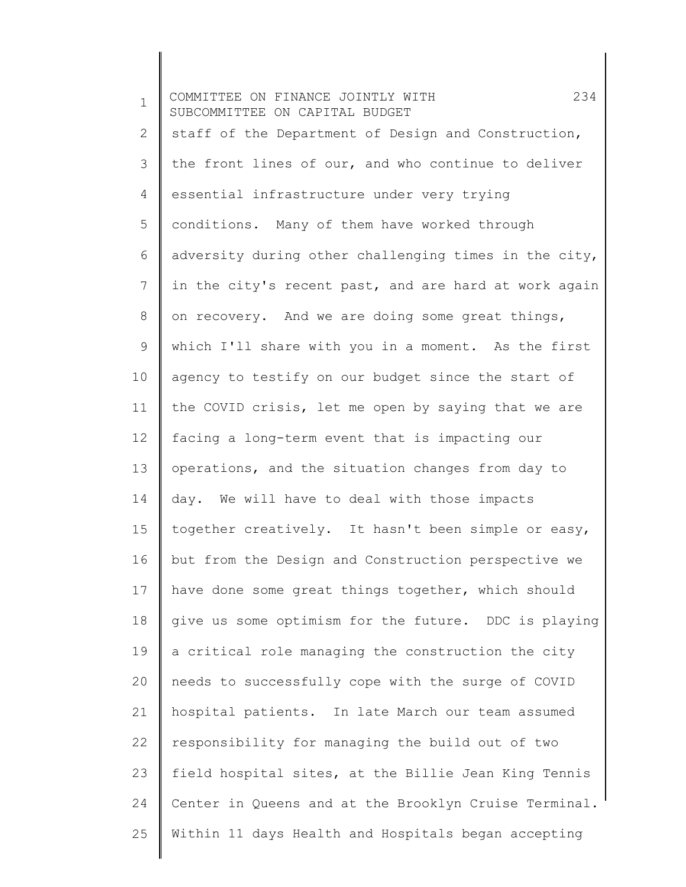1 2 3 4 5 6 7 8 9 10 11 12 13 14 15 16 17 18 19 20 21 22 23 24 25 COMMITTEE ON FINANCE JOINTLY WITH 234 SUBCOMMITTEE ON CAPITAL BUDGET staff of the Department of Design and Construction, the front lines of our, and who continue to deliver essential infrastructure under very trying conditions. Many of them have worked through adversity during other challenging times in the city, in the city's recent past, and are hard at work again on recovery. And we are doing some great things, which I'll share with you in a moment. As the first agency to testify on our budget since the start of the COVID crisis, let me open by saying that we are facing a long-term event that is impacting our operations, and the situation changes from day to day. We will have to deal with those impacts together creatively. It hasn't been simple or easy, but from the Design and Construction perspective we have done some great things together, which should give us some optimism for the future. DDC is playing a critical role managing the construction the city needs to successfully cope with the surge of COVID hospital patients. In late March our team assumed responsibility for managing the build out of two field hospital sites, at the Billie Jean King Tennis Center in Queens and at the Brooklyn Cruise Terminal. Within 11 days Health and Hospitals began accepting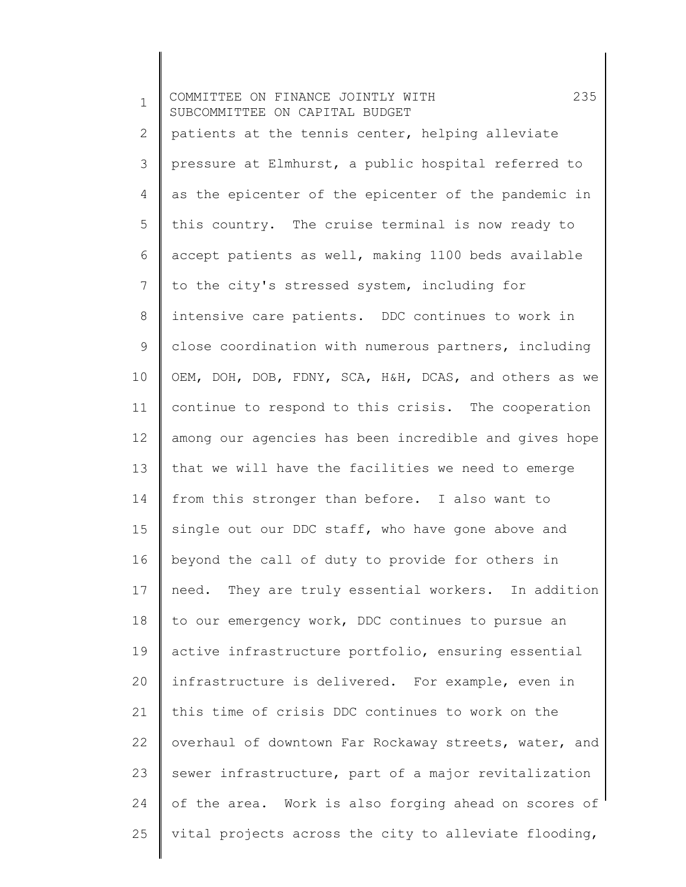1 2 3 4 5 6 7 8 9 10 11 12 13 14 15 16 17 18 19 20 21 22 23 24 25 COMMITTEE ON FINANCE JOINTLY WITH 235 SUBCOMMITTEE ON CAPITAL BUDGET patients at the tennis center, helping alleviate pressure at Elmhurst, a public hospital referred to as the epicenter of the epicenter of the pandemic in this country. The cruise terminal is now ready to accept patients as well, making 1100 beds available to the city's stressed system, including for intensive care patients. DDC continues to work in close coordination with numerous partners, including OEM, DOH, DOB, FDNY, SCA, H&H, DCAS, and others as we continue to respond to this crisis. The cooperation among our agencies has been incredible and gives hope that we will have the facilities we need to emerge from this stronger than before. I also want to single out our DDC staff, who have gone above and beyond the call of duty to provide for others in need. They are truly essential workers. In addition to our emergency work, DDC continues to pursue an active infrastructure portfolio, ensuring essential infrastructure is delivered. For example, even in this time of crisis DDC continues to work on the overhaul of downtown Far Rockaway streets, water, and sewer infrastructure, part of a major revitalization of the area. Work is also forging ahead on scores of vital projects across the city to alleviate flooding,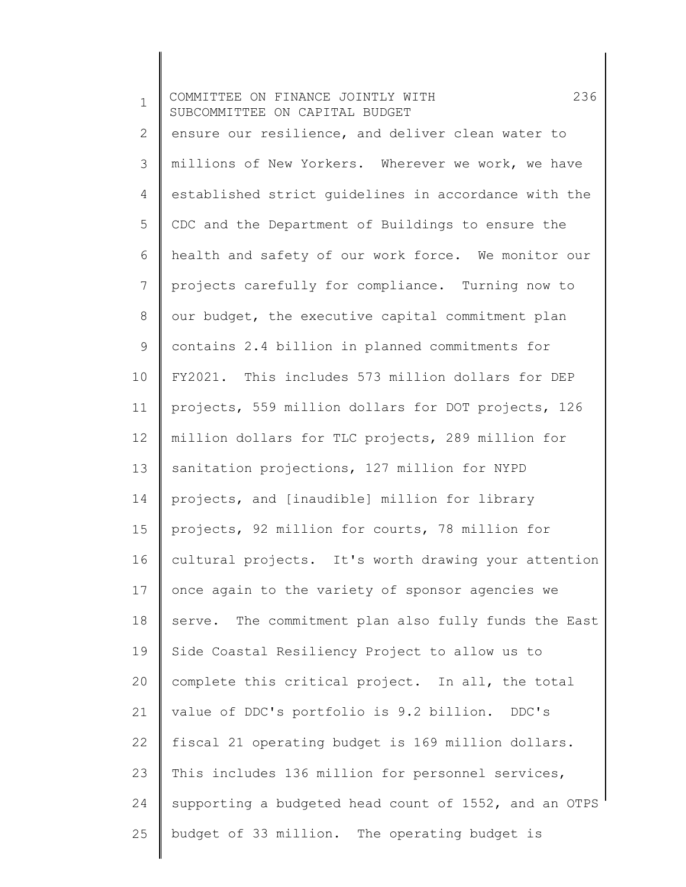| $\mathbf 1$  | 236<br>COMMITTEE ON FINANCE JOINTLY WITH<br>SUBCOMMITTEE ON CAPITAL BUDGET |
|--------------|----------------------------------------------------------------------------|
| $\mathbf{2}$ | ensure our resilience, and deliver clean water to                          |
| 3            | millions of New Yorkers. Wherever we work, we have                         |
| 4            | established strict guidelines in accordance with the                       |
| 5            | CDC and the Department of Buildings to ensure the                          |
| 6            | health and safety of our work force. We monitor our                        |
| 7            | projects carefully for compliance. Turning now to                          |
| 8            | our budget, the executive capital commitment plan                          |
| 9            | contains 2.4 billion in planned commitments for                            |
| 10           | FY2021. This includes 573 million dollars for DEP                          |
| 11           | projects, 559 million dollars for DOT projects, 126                        |
| 12           | million dollars for TLC projects, 289 million for                          |
| 13           | sanitation projections, 127 million for NYPD                               |
| 14           | projects, and [inaudible] million for library                              |
| 15           | projects, 92 million for courts, 78 million for                            |
| 16           | cultural projects. It's worth drawing your attention                       |
| 17           | once again to the variety of sponsor agencies we                           |
| 18           | serve. The commitment plan also fully funds the East                       |
| 19           | Side Coastal Resiliency Project to allow us to                             |
| 20           | complete this critical project. In all, the total                          |
| 21           | value of DDC's portfolio is 9.2 billion. DDC's                             |
| 22           | fiscal 21 operating budget is 169 million dollars.                         |
| 23           | This includes 136 million for personnel services,                          |
| 24           | supporting a budgeted head count of 1552, and an OTPS                      |
| 25           | budget of 33 million. The operating budget is                              |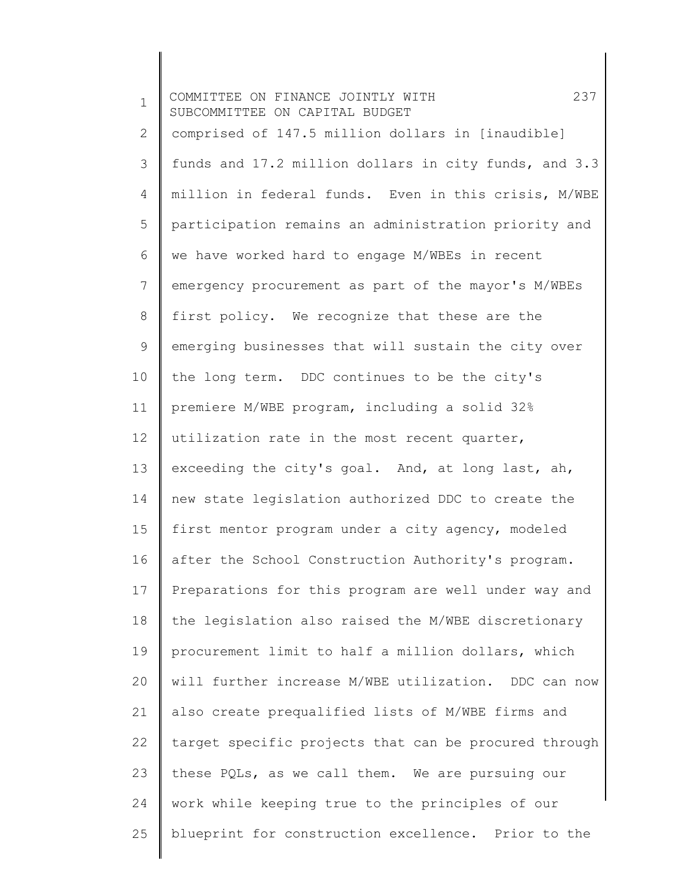1 2 3 4 5 6 7 8 9 10 11 12 13 14 15 16 17 18 19 20 21 22 23 24 25 COMMITTEE ON FINANCE JOINTLY WITH 237 SUBCOMMITTEE ON CAPITAL BUDGET comprised of 147.5 million dollars in [inaudible] funds and 17.2 million dollars in city funds, and 3.3 million in federal funds. Even in this crisis, M/WBE participation remains an administration priority and we have worked hard to engage M/WBEs in recent emergency procurement as part of the mayor's M/WBEs first policy. We recognize that these are the emerging businesses that will sustain the city over the long term. DDC continues to be the city's premiere M/WBE program, including a solid 32% utilization rate in the most recent quarter, exceeding the city's goal. And, at long last, ah, new state legislation authorized DDC to create the first mentor program under a city agency, modeled after the School Construction Authority's program. Preparations for this program are well under way and the legislation also raised the M/WBE discretionary procurement limit to half a million dollars, which will further increase M/WBE utilization. DDC can now also create prequalified lists of M/WBE firms and target specific projects that can be procured through these PQLs, as we call them. We are pursuing our work while keeping true to the principles of our blueprint for construction excellence. Prior to the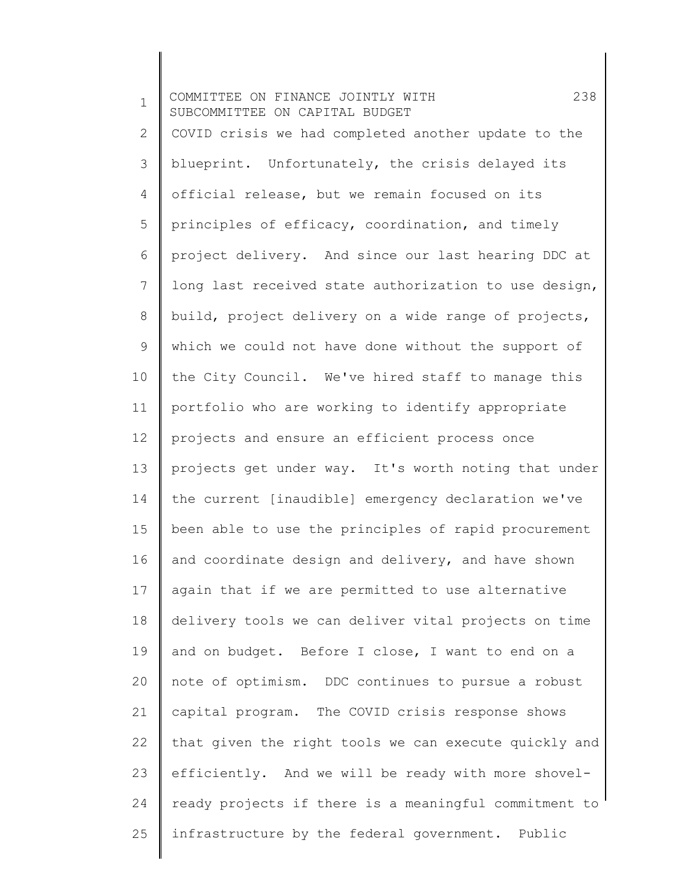1 2 3 4 5 6 7 8 9 10 11 12 13 14 15 16 17 18 19 20 21 22 23 24 25 COMMITTEE ON FINANCE JOINTLY WITH 238 SUBCOMMITTEE ON CAPITAL BUDGET COVID crisis we had completed another update to the blueprint. Unfortunately, the crisis delayed its official release, but we remain focused on its principles of efficacy, coordination, and timely project delivery. And since our last hearing DDC at long last received state authorization to use design, build, project delivery on a wide range of projects, which we could not have done without the support of the City Council. We've hired staff to manage this portfolio who are working to identify appropriate projects and ensure an efficient process once projects get under way. It's worth noting that under the current [inaudible] emergency declaration we've been able to use the principles of rapid procurement and coordinate design and delivery, and have shown again that if we are permitted to use alternative delivery tools we can deliver vital projects on time and on budget. Before I close, I want to end on a note of optimism. DDC continues to pursue a robust capital program. The COVID crisis response shows that given the right tools we can execute quickly and efficiently. And we will be ready with more shovelready projects if there is a meaningful commitment to infrastructure by the federal government. Public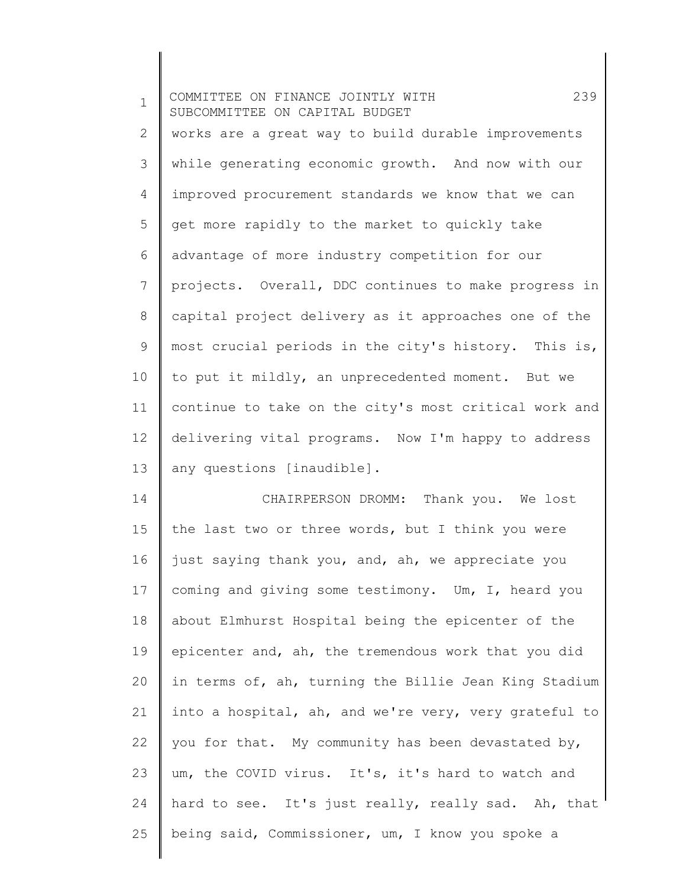1 2 3 4 5 6 7 8 9 10 11 12 13 COMMITTEE ON FINANCE JOINTLY WITH 239 SUBCOMMITTEE ON CAPITAL BUDGET works are a great way to build durable improvements while generating economic growth. And now with our improved procurement standards we know that we can get more rapidly to the market to quickly take advantage of more industry competition for our projects. Overall, DDC continues to make progress in capital project delivery as it approaches one of the most crucial periods in the city's history. This is, to put it mildly, an unprecedented moment. But we continue to take on the city's most critical work and delivering vital programs. Now I'm happy to address any questions [inaudible].

14 15 16 17 18 19 20 21 22 23 24 25 CHAIRPERSON DROMM: Thank you. We lost the last two or three words, but I think you were just saying thank you, and, ah, we appreciate you coming and giving some testimony. Um, I, heard you about Elmhurst Hospital being the epicenter of the epicenter and, ah, the tremendous work that you did in terms of, ah, turning the Billie Jean King Stadium into a hospital, ah, and we're very, very grateful to you for that. My community has been devastated by, um, the COVID virus. It's, it's hard to watch and hard to see. It's just really, really sad. Ah, that being said, Commissioner, um, I know you spoke a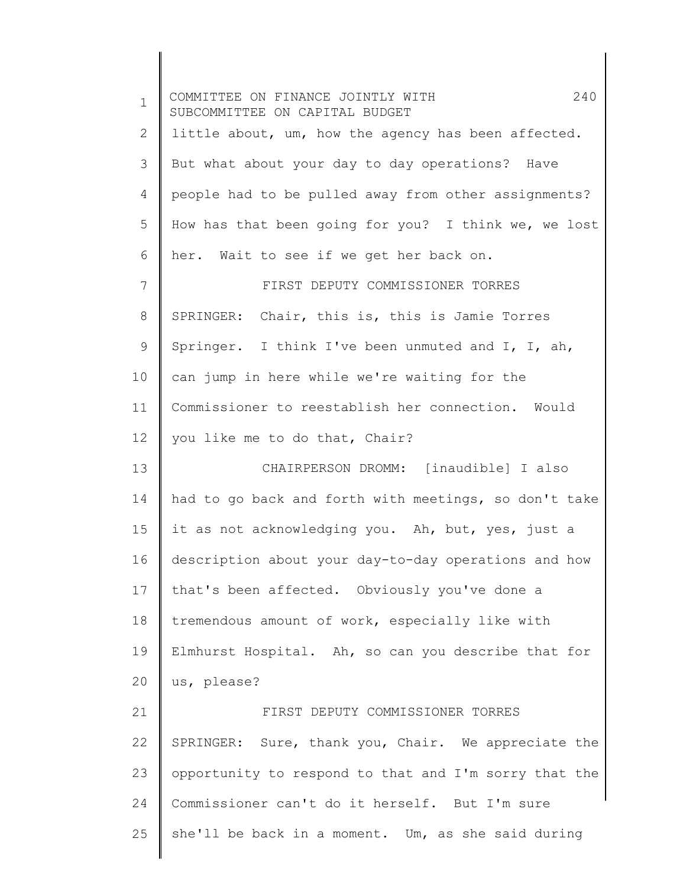| $\mathbf 1$    | 240<br>COMMITTEE ON FINANCE JOINTLY WITH<br>SUBCOMMITTEE ON CAPITAL BUDGET |
|----------------|----------------------------------------------------------------------------|
| $\overline{2}$ | little about, um, how the agency has been affected.                        |
| 3              | But what about your day to day operations? Have                            |
| 4              | people had to be pulled away from other assignments?                       |
| 5              | How has that been going for you? I think we, we lost                       |
| 6              | her. Wait to see if we get her back on.                                    |
| 7              | FIRST DEPUTY COMMISSIONER TORRES                                           |
| 8              | SPRINGER: Chair, this is, this is Jamie Torres                             |
| 9              | Springer. I think I've been unmuted and I, I, ah,                          |
| 10             | can jump in here while we're waiting for the                               |
| 11             | Commissioner to reestablish her connection. Would                          |
| 12             | you like me to do that, Chair?                                             |
| 13             | CHAIRPERSON DROMM: [inaudible] I also                                      |
| 14             | had to go back and forth with meetings, so don't take                      |
| 15             | it as not acknowledging you. Ah, but, yes, just a                          |
| 16             | description about your day-to-day operations and how                       |
| 17             | that's been affected. Obviously you've done a                              |
| 18             | tremendous amount of work, especially like with                            |
| 19             | Elmhurst Hospital. Ah, so can you describe that for                        |
| 20             | us, please?                                                                |
| 21             | FIRST DEPUTY COMMISSIONER TORRES                                           |
| 22             | SPRINGER: Sure, thank you, Chair. We appreciate the                        |
| 23             | opportunity to respond to that and I'm sorry that the                      |
| 24             | Commissioner can't do it herself. But I'm sure                             |
| 25             | she'll be back in a moment. Um, as she said during                         |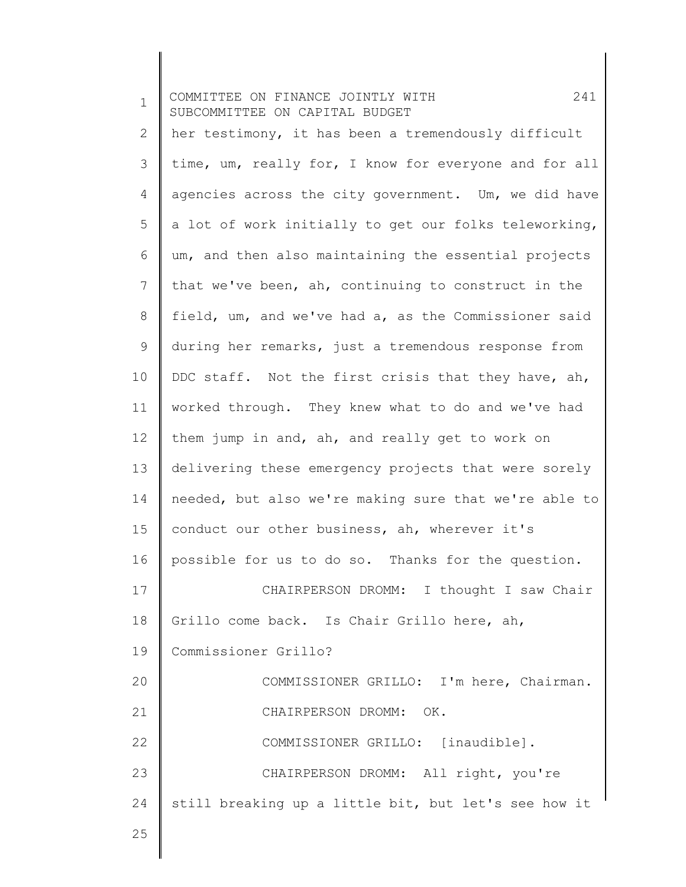| $\mathbf 1$  | 241<br>COMMITTEE ON FINANCE JOINTLY WITH<br>SUBCOMMITTEE ON CAPITAL BUDGET |
|--------------|----------------------------------------------------------------------------|
| $\mathbf{2}$ | her testimony, it has been a tremendously difficult                        |
| 3            | time, um, really for, I know for everyone and for all                      |
| 4            | agencies across the city government. Um, we did have                       |
| 5            | a lot of work initially to get our folks teleworking,                      |
| 6            | um, and then also maintaining the essential projects                       |
| 7            | that we've been, ah, continuing to construct in the                        |
| 8            | field, um, and we've had a, as the Commissioner said                       |
| 9            | during her remarks, just a tremendous response from                        |
| 10           | DDC staff. Not the first crisis that they have, ah,                        |
| 11           | worked through. They knew what to do and we've had                         |
| 12           | them jump in and, ah, and really get to work on                            |
| 13           | delivering these emergency projects that were sorely                       |
| 14           | needed, but also we're making sure that we're able to                      |
| 15           | conduct our other business, ah, wherever it's                              |
| 16           | possible for us to do so. Thanks for the question.                         |
| 17           | CHAIRPERSON DROMM: I thought I saw Chair                                   |
| 18           | Grillo come back. Is Chair Grillo here, ah,                                |
| 19           | Commissioner Grillo?                                                       |
| 20           | COMMISSIONER GRILLO: I'm here, Chairman.                                   |
| 21           | CHAIRPERSON DROMM: OK.                                                     |
| 22           | COMMISSIONER GRILLO: [inaudible].                                          |
| 23           | CHAIRPERSON DROMM: All right, you're                                       |
| 24           | still breaking up a little bit, but let's see how it                       |
| 25           |                                                                            |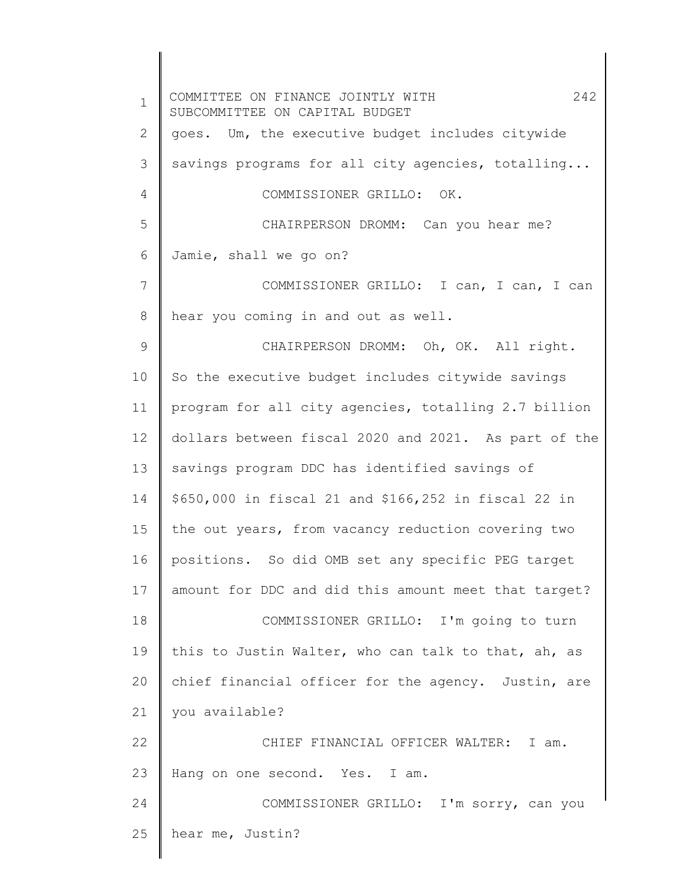1 2 3 4 5 6 7 8 9 10 11 12 13 14 15 16 17 18 19 20 21 22 23 24 25 COMMITTEE ON FINANCE JOINTLY WITH 242 SUBCOMMITTEE ON CAPITAL BUDGET goes. Um, the executive budget includes citywide savings programs for all city agencies, totalling... COMMISSIONER GRILLO: OK. CHAIRPERSON DROMM: Can you hear me? Jamie, shall we go on? COMMISSIONER GRILLO: I can, I can, I can hear you coming in and out as well. CHAIRPERSON DROMM: Oh, OK. All right. So the executive budget includes citywide savings program for all city agencies, totalling 2.7 billion dollars between fiscal 2020 and 2021. As part of the savings program DDC has identified savings of \$650,000 in fiscal 21 and \$166,252 in fiscal 22 in the out years, from vacancy reduction covering two positions. So did OMB set any specific PEG target amount for DDC and did this amount meet that target? COMMISSIONER GRILLO: I'm going to turn this to Justin Walter, who can talk to that, ah, as chief financial officer for the agency. Justin, are you available? CHIEF FINANCIAL OFFICER WALTER: I am. Hang on one second. Yes. I am. COMMISSIONER GRILLO: I'm sorry, can you hear me, Justin?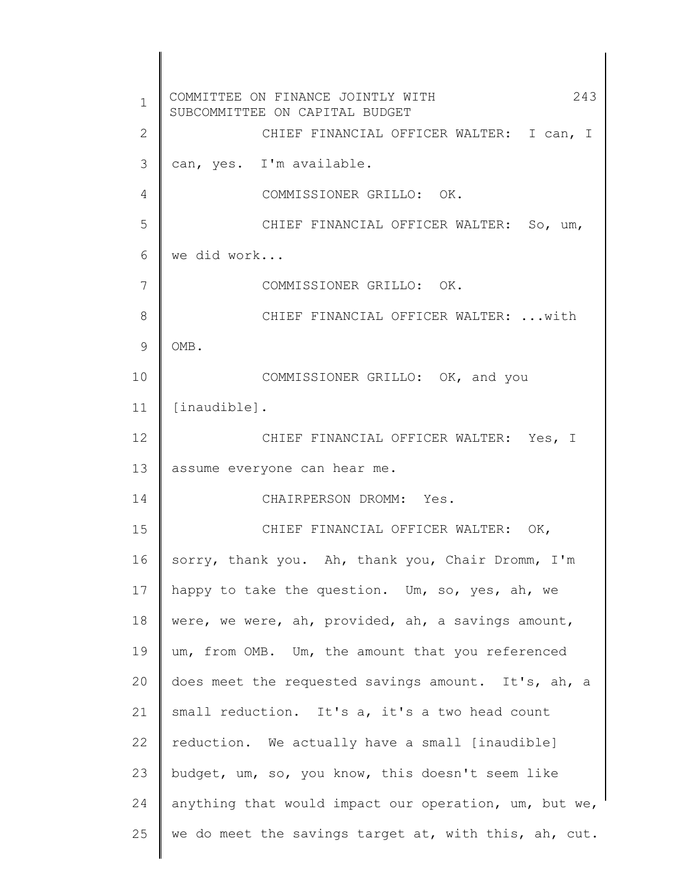1 2 3 4 5 6 7 8 9 10 11 12 13 14 15 16 17 18 19 20 21 22 23 24 25 COMMITTEE ON FINANCE JOINTLY WITH 243 SUBCOMMITTEE ON CAPITAL BUDGET CHIEF FINANCIAL OFFICER WALTER: I can, I can, yes. I'm available. COMMISSIONER GRILLO: OK. CHIEF FINANCIAL OFFICER WALTER: So, um, we did work... COMMISSIONER GRILLO: OK. CHIEF FINANCIAL OFFICER WALTER: ...with OMB. COMMISSIONER GRILLO: OK, and you [inaudible]. CHIEF FINANCIAL OFFICER WALTER: Yes, I assume everyone can hear me. CHAIRPERSON DROMM: Yes. CHIEF FINANCIAL OFFICER WALTER: OK, sorry, thank you. Ah, thank you, Chair Dromm, I'm happy to take the question. Um, so, yes, ah, we were, we were, ah, provided, ah, a savings amount, um, from OMB. Um, the amount that you referenced does meet the requested savings amount. It's, ah, a small reduction. It's a, it's a two head count reduction. We actually have a small [inaudible] budget, um, so, you know, this doesn't seem like anything that would impact our operation, um, but we, we do meet the savings target at, with this, ah, cut.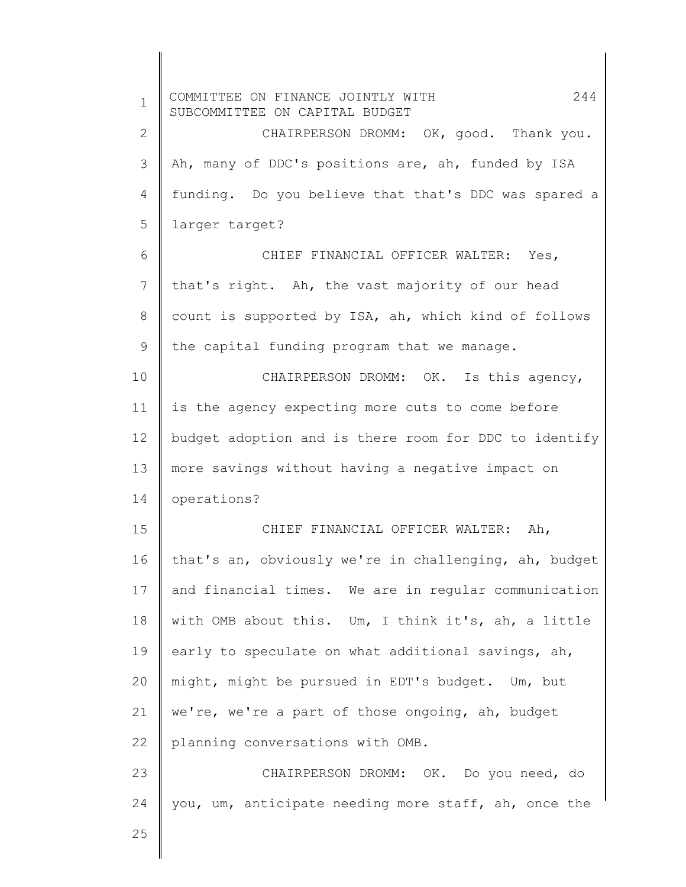1 2 3 4 5 6 7 8 9 10 11 12 13 14 15 16 17 18 19 20 21 22 23 24 25 COMMITTEE ON FINANCE JOINTLY WITH 244 SUBCOMMITTEE ON CAPITAL BUDGET CHAIRPERSON DROMM: OK, good. Thank you. Ah, many of DDC's positions are, ah, funded by ISA funding. Do you believe that that's DDC was spared a larger target? CHIEF FINANCIAL OFFICER WALTER: Yes, that's right. Ah, the vast majority of our head count is supported by ISA, ah, which kind of follows the capital funding program that we manage. CHAIRPERSON DROMM: OK. Is this agency, is the agency expecting more cuts to come before budget adoption and is there room for DDC to identify more savings without having a negative impact on operations? CHIEF FINANCIAL OFFICER WALTER: Ah, that's an, obviously we're in challenging, ah, budget and financial times. We are in regular communication with OMB about this. Um, I think it's, ah, a little early to speculate on what additional savings, ah, might, might be pursued in EDT's budget. Um, but we're, we're a part of those ongoing, ah, budget planning conversations with OMB. CHAIRPERSON DROMM: OK. Do you need, do you, um, anticipate needing more staff, ah, once the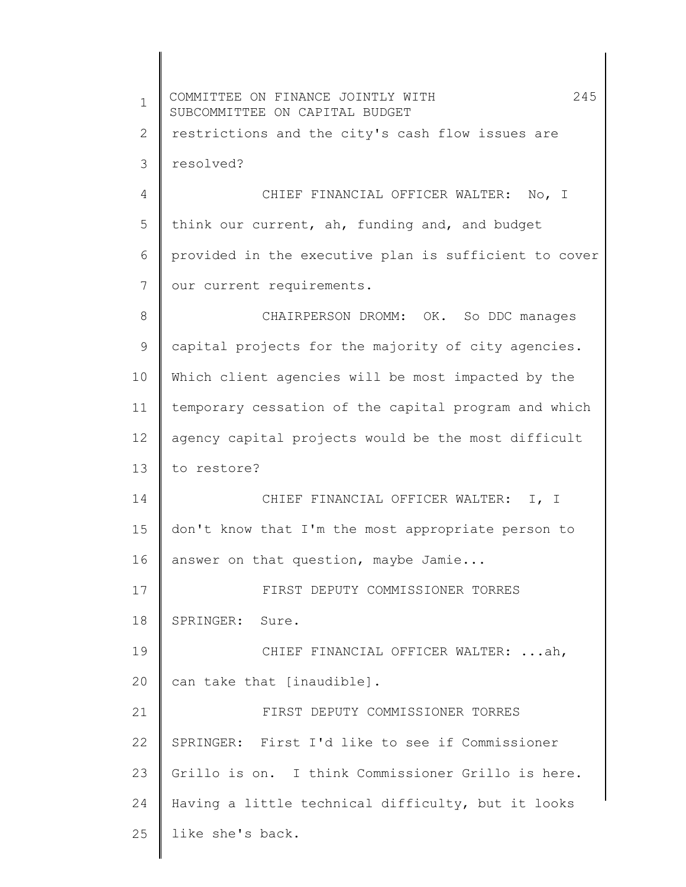1 2 3 4 5 6 7 8 9 10 11 12 13 14 15 16 17 18 19 20 21 22 23 24 25 COMMITTEE ON FINANCE JOINTLY WITH 245 SUBCOMMITTEE ON CAPITAL BUDGET restrictions and the city's cash flow issues are resolved? CHIEF FINANCIAL OFFICER WALTER: No, I think our current, ah, funding and, and budget provided in the executive plan is sufficient to cover our current requirements. CHAIRPERSON DROMM: OK. So DDC manages capital projects for the majority of city agencies. Which client agencies will be most impacted by the temporary cessation of the capital program and which agency capital projects would be the most difficult to restore? CHIEF FINANCIAL OFFICER WALTER: I, I don't know that I'm the most appropriate person to answer on that question, maybe Jamie... FIRST DEPUTY COMMISSIONER TORRES SPRINGER: Sure. CHIEF FINANCIAL OFFICER WALTER: ...ah, can take that [inaudible]. FIRST DEPUTY COMMISSIONER TORRES SPRINGER: First I'd like to see if Commissioner Grillo is on. I think Commissioner Grillo is here. Having a little technical difficulty, but it looks like she's back.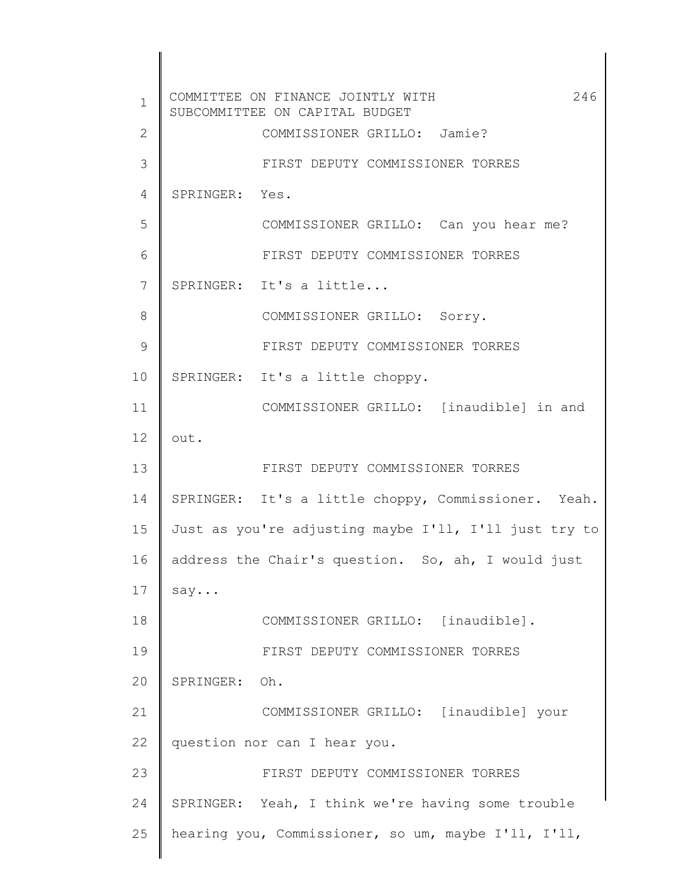1 2 3 4 5 6 7 8 9 10 11 12 13 14 15 16 17 18 19 20 21 22 23 24 25 COMMITTEE ON FINANCE JOINTLY WITH 246 SUBCOMMITTEE ON CAPITAL BUDGET COMMISSIONER GRILLO: Jamie? FIRST DEPUTY COMMISSIONER TORRES SPRINGER: Yes. COMMISSIONER GRILLO: Can you hear me? FIRST DEPUTY COMMISSIONER TORRES SPRINGER: It's a little... COMMISSIONER GRILLO: Sorry. FIRST DEPUTY COMMISSIONER TORRES SPRINGER: It's a little choppy. COMMISSIONER GRILLO: [inaudible] in and out. FIRST DEPUTY COMMISSIONER TORRES SPRINGER: It's a little choppy, Commissioner. Yeah. Just as you're adjusting maybe I'll, I'll just try to address the Chair's question. So, ah, I would just say... COMMISSIONER GRILLO: [inaudible]. FIRST DEPUTY COMMISSIONER TORRES SPRINGER: Oh. COMMISSIONER GRILLO: [inaudible] your question nor can I hear you. FIRST DEPUTY COMMISSIONER TORRES SPRINGER: Yeah, I think we're having some trouble hearing you, Commissioner, so um, maybe I'll, I'll,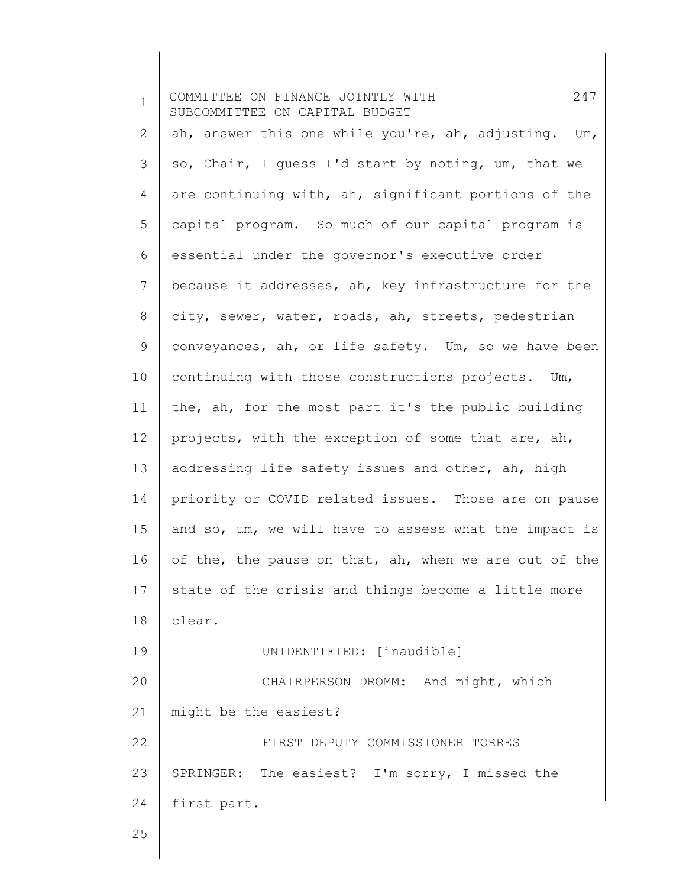| $\mathbf 1$ | 247<br>COMMITTEE ON FINANCE JOINTLY WITH<br>SUBCOMMITTEE ON CAPITAL BUDGET |
|-------------|----------------------------------------------------------------------------|
| 2           | ah, answer this one while you're, ah, adjusting.<br>Um,                    |
| 3           | so, Chair, I quess I'd start by noting, um, that we                        |
| 4           | are continuing with, ah, significant portions of the                       |
| 5           | capital program. So much of our capital program is                         |
| 6           | essential under the governor's executive order                             |
| 7           | because it addresses, ah, key infrastructure for the                       |
| $8\,$       | city, sewer, water, roads, ah, streets, pedestrian                         |
| 9           | conveyances, ah, or life safety. Um, so we have been                       |
| 10          | continuing with those constructions projects. Um,                          |
| 11          | the, ah, for the most part it's the public building                        |
| 12          | projects, with the exception of some that are, ah,                         |
| 13          | addressing life safety issues and other, ah, high                          |
| 14          | priority or COVID related issues. Those are on pause                       |
| 15          | and so, um, we will have to assess what the impact is                      |
| 16          | of the, the pause on that, ah, when we are out of the                      |
| 17          | state of the crisis and things become a little more                        |
| 18          | clear.                                                                     |
| 19          | UNIDENTIFIED: [inaudible]                                                  |
| 20          | CHAIRPERSON DROMM: And might, which                                        |
| 21          | might be the easiest?                                                      |
| 22          | FIRST DEPUTY COMMISSIONER TORRES                                           |
| 23          | SPRINGER: The easiest? I'm sorry, I missed the                             |
| 24          | first part.                                                                |
| 25          |                                                                            |
|             |                                                                            |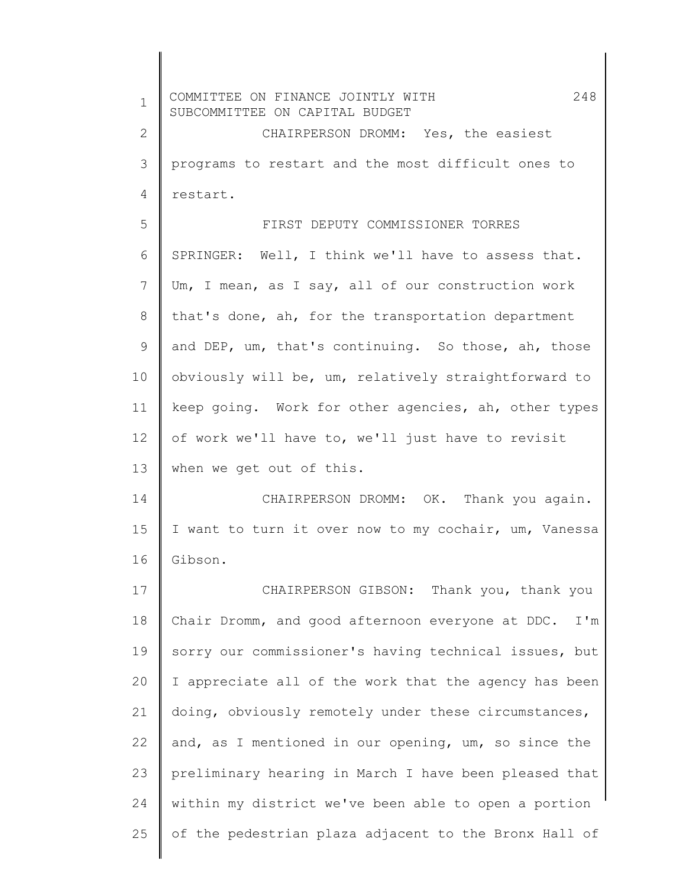| $\mathbf 1$  | 248<br>COMMITTEE ON FINANCE JOINTLY WITH<br>SUBCOMMITTEE ON CAPITAL BUDGET |
|--------------|----------------------------------------------------------------------------|
| $\mathbf{2}$ | CHAIRPERSON DROMM: Yes, the easiest                                        |
| 3            | programs to restart and the most difficult ones to                         |
| 4            | restart.                                                                   |
| 5            | FIRST DEPUTY COMMISSIONER TORRES                                           |
| 6            | SPRINGER: Well, I think we'll have to assess that.                         |
| 7            | Um, I mean, as I say, all of our construction work                         |
| 8            | that's done, ah, for the transportation department                         |
| 9            | and DEP, um, that's continuing. So those, ah, those                        |
| 10           | obviously will be, um, relatively straightforward to                       |
| 11           | keep going. Work for other agencies, ah, other types                       |
| 12           | of work we'll have to, we'll just have to revisit                          |
| 13           | when we get out of this.                                                   |
| 14           | CHAIRPERSON DROMM: OK. Thank you again.                                    |
| 15           | I want to turn it over now to my cochair, um, Vanessa                      |
| 16           | Gibson.                                                                    |
| 17           | CHAIRPERSON GIBSON: Thank you, thank you                                   |
| 18           | Chair Dromm, and good afternoon everyone at DDC.<br>I'm                    |
| 19           | sorry our commissioner's having technical issues, but                      |
| 20           | I appreciate all of the work that the agency has been                      |
| 21           | doing, obviously remotely under these circumstances,                       |
| 22           | and, as I mentioned in our opening, um, so since the                       |
| 23           | preliminary hearing in March I have been pleased that                      |
| 24           | within my district we've been able to open a portion                       |
| 25           | of the pedestrian plaza adjacent to the Bronx Hall of                      |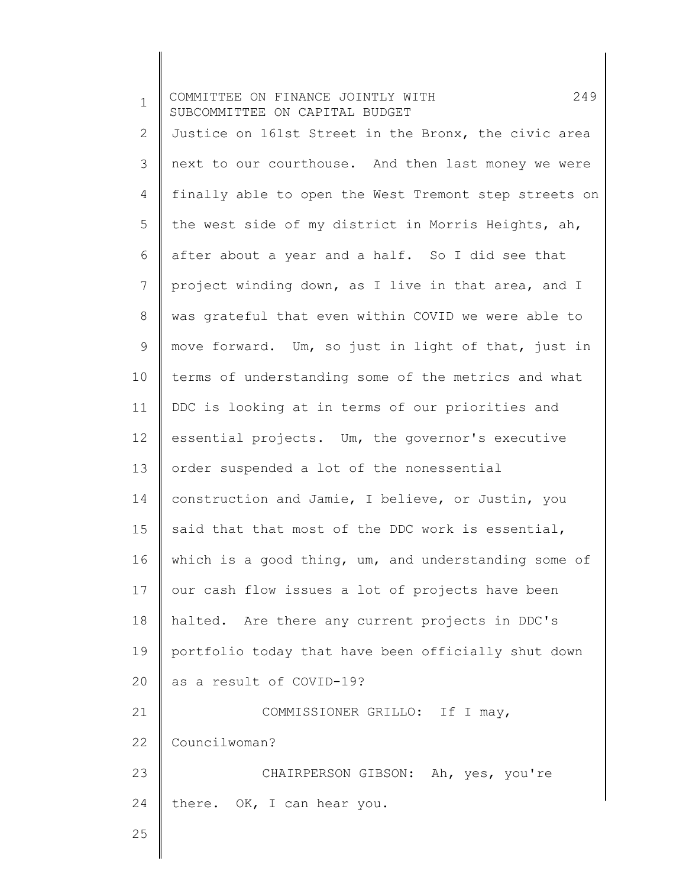| $\mathbf 1$  | 249<br>COMMITTEE ON FINANCE JOINTLY WITH<br>SUBCOMMITTEE ON CAPITAL BUDGET |
|--------------|----------------------------------------------------------------------------|
| $\mathbf{2}$ | Justice on 161st Street in the Bronx, the civic area                       |
| 3            | next to our courthouse. And then last money we were                        |
| 4            | finally able to open the West Tremont step streets on                      |
| 5            | the west side of my district in Morris Heights, ah,                        |
| 6            | after about a year and a half. So I did see that                           |
| 7            | project winding down, as I live in that area, and I                        |
| $8\,$        | was grateful that even within COVID we were able to                        |
| 9            | move forward. Um, so just in light of that, just in                        |
| 10           | terms of understanding some of the metrics and what                        |
| 11           | DDC is looking at in terms of our priorities and                           |
| 12           | essential projects. Um, the governor's executive                           |
| 13           | order suspended a lot of the nonessential                                  |
| 14           | construction and Jamie, I believe, or Justin, you                          |
| 15           | said that that most of the DDC work is essential,                          |
| 16           | which is a good thing, um, and understanding some of                       |
| 17           | our cash flow issues a lot of projects have been                           |
| 18           | halted. Are there any current projects in DDC's                            |
| 19           | portfolio today that have been officially shut down                        |
| 20           | as a result of COVID-19?                                                   |
| 21           | COMMISSIONER GRILLO: If I may,                                             |
| 22           | Councilwoman?                                                              |
| 23           | CHAIRPERSON GIBSON: Ah, yes, you're                                        |
| 24           | there. OK, I can hear you.                                                 |
| 25           |                                                                            |
|              |                                                                            |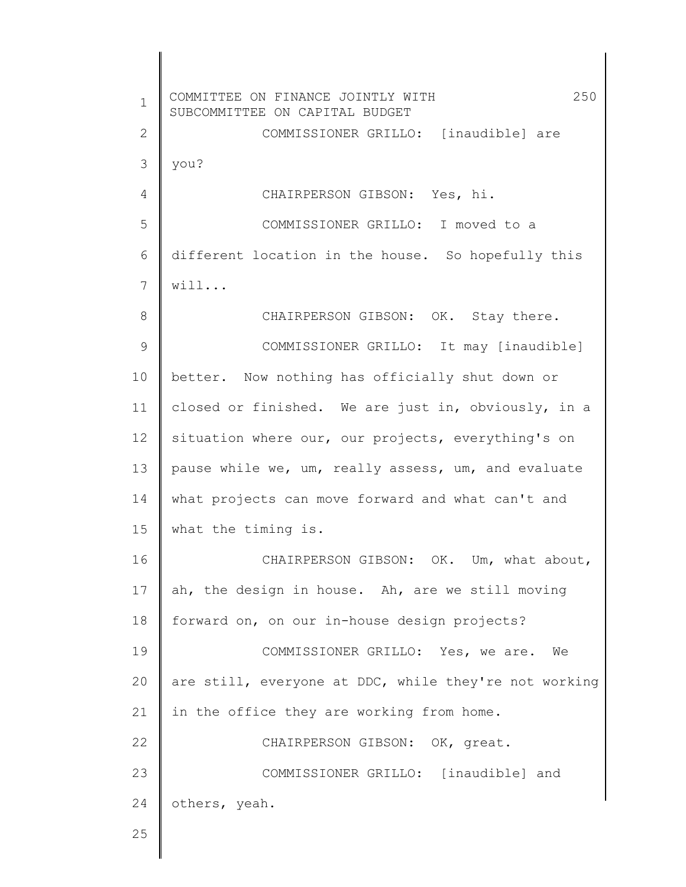1 2 3 4 5 6 7 8 9 10 11 12 13 14 15 16 17 18 19 20 21 22 23 24 25 COMMITTEE ON FINANCE JOINTLY WITH 250 SUBCOMMITTEE ON CAPITAL BUDGET COMMISSIONER GRILLO: [inaudible] are you? CHAIRPERSON GIBSON: Yes, hi. COMMISSIONER GRILLO: I moved to a different location in the house. So hopefully this will... CHAIRPERSON GIBSON: OK. Stay there. COMMISSIONER GRILLO: It may [inaudible] better. Now nothing has officially shut down or closed or finished. We are just in, obviously, in a situation where our, our projects, everything's on pause while we, um, really assess, um, and evaluate what projects can move forward and what can't and what the timing is. CHAIRPERSON GIBSON: OK. Um, what about, ah, the design in house. Ah, are we still moving forward on, on our in-house design projects? COMMISSIONER GRILLO: Yes, we are. We are still, everyone at DDC, while they're not working in the office they are working from home. CHAIRPERSON GIBSON: OK, great. COMMISSIONER GRILLO: [inaudible] and others, yeah.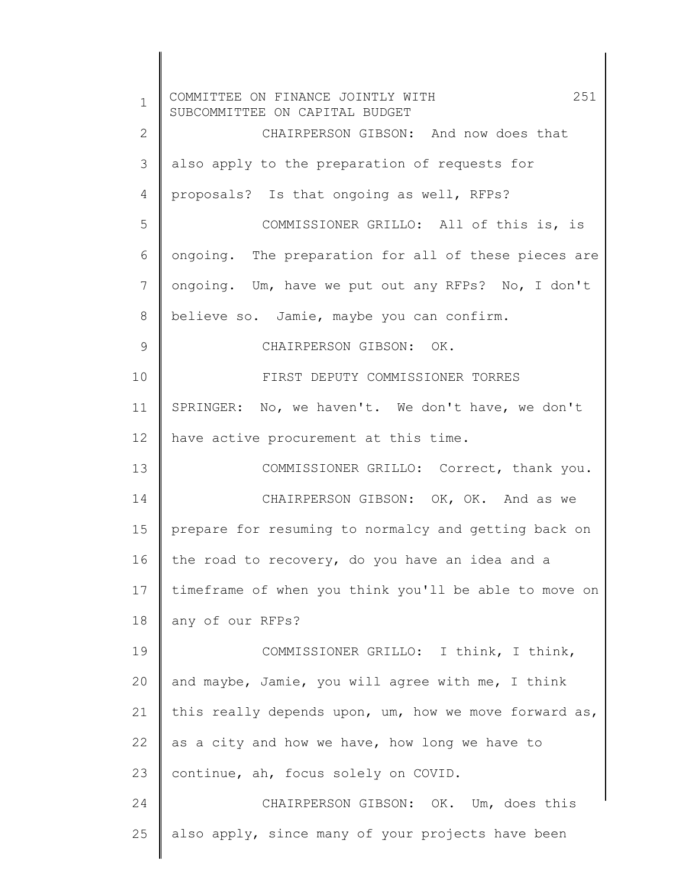| $\mathbf{1}$ | 251<br>COMMITTEE ON FINANCE JOINTLY WITH<br>SUBCOMMITTEE ON CAPITAL BUDGET |
|--------------|----------------------------------------------------------------------------|
| 2            | CHAIRPERSON GIBSON: And now does that                                      |
| 3            | also apply to the preparation of requests for                              |
| 4            | proposals? Is that ongoing as well, RFPs?                                  |
| 5            | COMMISSIONER GRILLO: All of this is, is                                    |
| 6            | ongoing. The preparation for all of these pieces are                       |
| 7            | ongoing. Um, have we put out any RFPs? No, I don't                         |
| 8            | believe so. Jamie, maybe you can confirm.                                  |
| 9            | CHAIRPERSON GIBSON: OK.                                                    |
| 10           | FIRST DEPUTY COMMISSIONER TORRES                                           |
| 11           | SPRINGER: No, we haven't. We don't have, we don't                          |
| 12           | have active procurement at this time.                                      |
| 13           | COMMISSIONER GRILLO: Correct, thank you.                                   |
| 14           | CHAIRPERSON GIBSON: OK, OK. And as we                                      |
| 15           | prepare for resuming to normalcy and getting back on                       |
| 16           | the road to recovery, do you have an idea and a                            |
| 17           | timeframe of when you think you'll be able to move on                      |
| 18           | any of our RFPs?                                                           |
| 19           | COMMISSIONER GRILLO: I think, I think,                                     |
| 20           | and maybe, Jamie, you will agree with me, I think                          |
| 21           | this really depends upon, um, how we move forward as,                      |
| 22           | as a city and how we have, how long we have to                             |
| 23           | continue, ah, focus solely on COVID.                                       |
| 24           | CHAIRPERSON GIBSON: OK. Um, does this                                      |
| 25           | also apply, since many of your projects have been                          |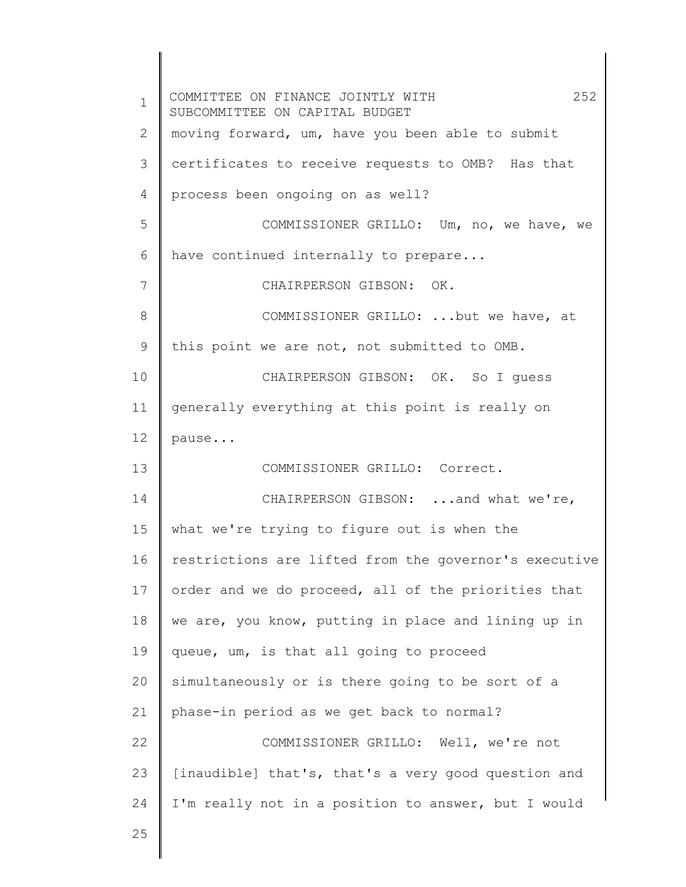1 2 3 4 5 6 7 8 9 10 11 12 13 14 15 16 17 18 19 20 21 22 23 24 25 COMMITTEE ON FINANCE JOINTLY WITH 252 SUBCOMMITTEE ON CAPITAL BUDGET moving forward, um, have you been able to submit certificates to receive requests to OMB? Has that process been ongoing on as well? COMMISSIONER GRILLO: Um, no, we have, we have continued internally to prepare... CHAIRPERSON GIBSON: OK. COMMISSIONER GRILLO: ...but we have, at this point we are not, not submitted to OMB. CHAIRPERSON GIBSON: OK. So I guess generally everything at this point is really on pause... COMMISSIONER GRILLO: Correct. CHAIRPERSON GIBSON: ...and what we're, what we're trying to figure out is when the restrictions are lifted from the governor's executive order and we do proceed, all of the priorities that we are, you know, putting in place and lining up in queue, um, is that all going to proceed simultaneously or is there going to be sort of a phase-in period as we get back to normal? COMMISSIONER GRILLO: Well, we're not [inaudible] that's, that's a very good question and I'm really not in a position to answer, but I would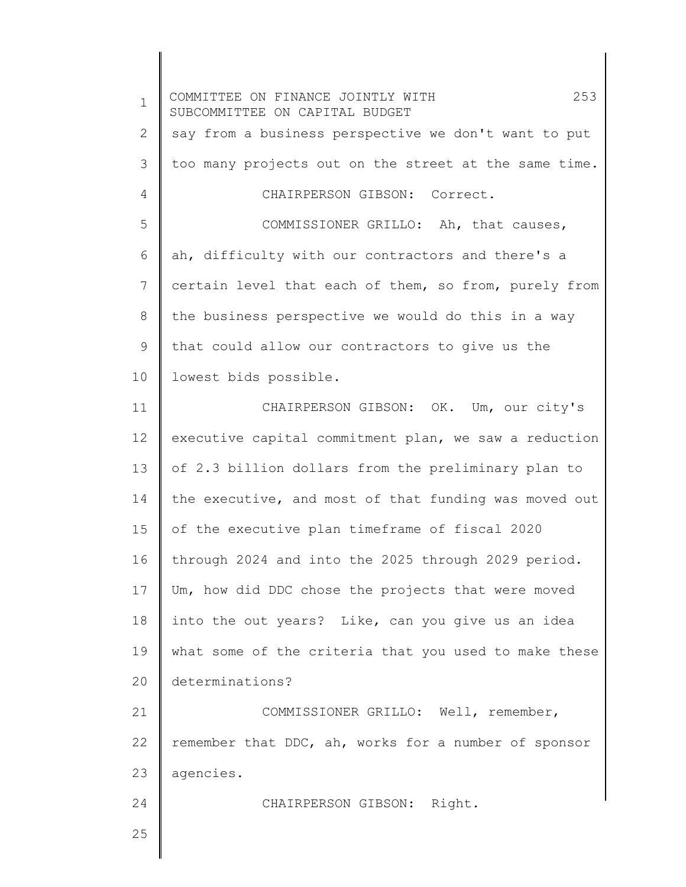1 2 3 4 5 6 7 8 9 10 11 12 13 14 15 16 17 18 19 20 21 22 23 24 25 COMMITTEE ON FINANCE JOINTLY WITH 253 SUBCOMMITTEE ON CAPITAL BUDGET say from a business perspective we don't want to put too many projects out on the street at the same time. CHAIRPERSON GIBSON: Correct. COMMISSIONER GRILLO: Ah, that causes, ah, difficulty with our contractors and there's a certain level that each of them, so from, purely from the business perspective we would do this in a way that could allow our contractors to give us the lowest bids possible. CHAIRPERSON GIBSON: OK. Um, our city's executive capital commitment plan, we saw a reduction of 2.3 billion dollars from the preliminary plan to the executive, and most of that funding was moved out of the executive plan timeframe of fiscal 2020 through 2024 and into the 2025 through 2029 period. Um, how did DDC chose the projects that were moved into the out years? Like, can you give us an idea what some of the criteria that you used to make these determinations? COMMISSIONER GRILLO: Well, remember, remember that DDC, ah, works for a number of sponsor agencies. CHAIRPERSON GIBSON: Right.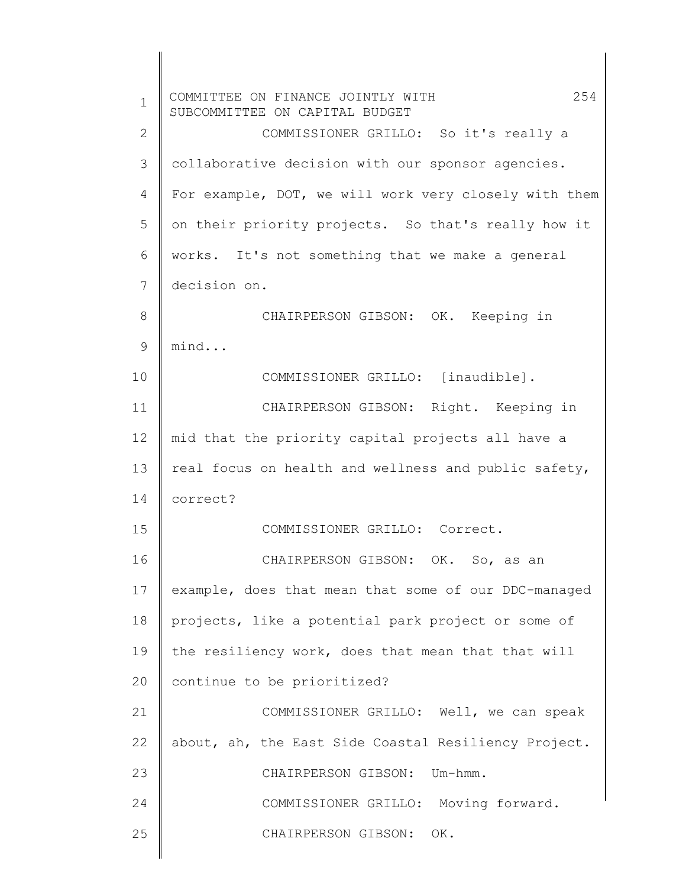| $\mathbf 1$  | 254<br>COMMITTEE ON FINANCE JOINTLY WITH<br>SUBCOMMITTEE ON CAPITAL BUDGET |
|--------------|----------------------------------------------------------------------------|
| $\mathbf{2}$ | COMMISSIONER GRILLO: So it's really a                                      |
| 3            | collaborative decision with our sponsor agencies.                          |
| 4            | For example, DOT, we will work very closely with them                      |
| 5            | on their priority projects. So that's really how it                        |
| 6            | works. It's not something that we make a general                           |
| 7            | decision on.                                                               |
| 8            | CHAIRPERSON GIBSON: OK. Keeping in                                         |
| 9            | mind                                                                       |
| 10           | COMMISSIONER GRILLO: [inaudible].                                          |
| 11           | CHAIRPERSON GIBSON: Right. Keeping in                                      |
| 12           | mid that the priority capital projects all have a                          |
| 13           | real focus on health and wellness and public safety,                       |
| 14           | correct?                                                                   |
| 15           | COMMISSIONER GRILLO: Correct.                                              |
| 16           | CHAIRPERSON GIBSON: OK. So, as an                                          |
| 17           | example, does that mean that some of our DDC-managed                       |
| 18           | projects, like a potential park project or some of                         |
| 19           | the resiliency work, does that mean that that will                         |
| 20           | continue to be prioritized?                                                |
| 21           | COMMISSIONER GRILLO: Well, we can speak                                    |
| 22           | about, ah, the East Side Coastal Resiliency Project.                       |
| 23           | CHAIRPERSON GIBSON: Um-hmm.                                                |
| 24           | COMMISSIONER GRILLO: Moving forward.                                       |
| 25           | CHAIRPERSON GIBSON: OK.                                                    |
|              |                                                                            |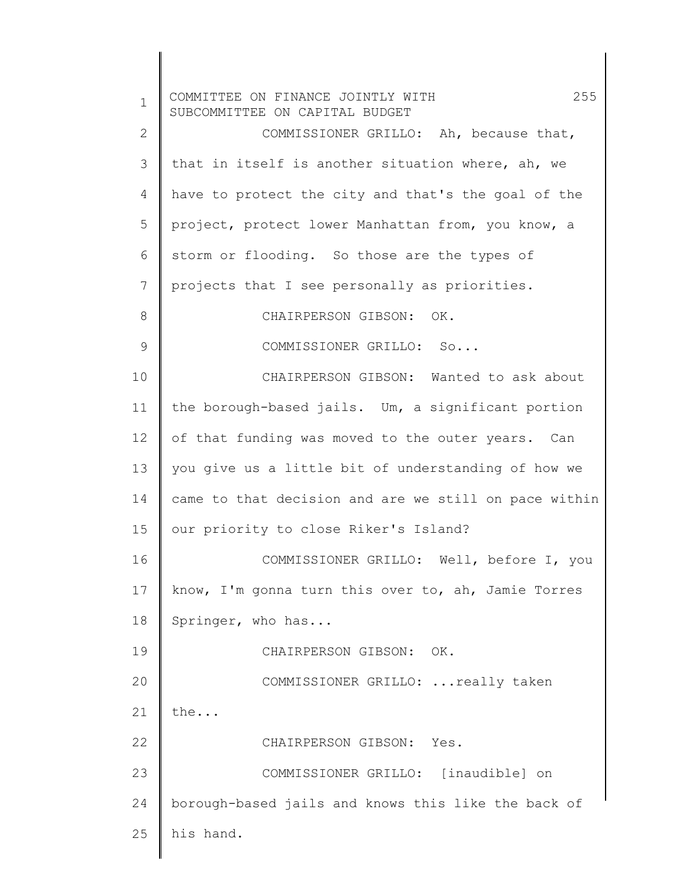| $\mathbf 1$ | 255<br>COMMITTEE ON FINANCE JOINTLY WITH<br>SUBCOMMITTEE ON CAPITAL BUDGET |
|-------------|----------------------------------------------------------------------------|
| 2           | COMMISSIONER GRILLO: Ah, because that,                                     |
| 3           | that in itself is another situation where, ah, we                          |
| 4           | have to protect the city and that's the goal of the                        |
| 5           | project, protect lower Manhattan from, you know, a                         |
| 6           | storm or flooding. So those are the types of                               |
| 7           | projects that I see personally as priorities.                              |
| 8           | CHAIRPERSON GIBSON: OK.                                                    |
| 9           | COMMISSIONER GRILLO: So                                                    |
| 10          | CHAIRPERSON GIBSON: Wanted to ask about                                    |
| 11          | the borough-based jails. Um, a significant portion                         |
| 12          | of that funding was moved to the outer years. Can                          |
| 13          | you give us a little bit of understanding of how we                        |
| 14          | came to that decision and are we still on pace within                      |
| 15          | our priority to close Riker's Island?                                      |
| 16          | COMMISSIONER GRILLO: Well, before I, you                                   |
| 17          | know, I'm gonna turn this over to, ah, Jamie Torres                        |
| 18          | Springer, who has                                                          |
| 19          | CHAIRPERSON GIBSON:<br>OK.                                                 |
| 20          | COMMISSIONER GRILLO:  really taken                                         |
| 21          | the                                                                        |
| 22          | CHAIRPERSON GIBSON: Yes.                                                   |
| 23          | COMMISSIONER GRILLO: [inaudible] on                                        |
| 24          | borough-based jails and knows this like the back of                        |
| 25          | his hand.                                                                  |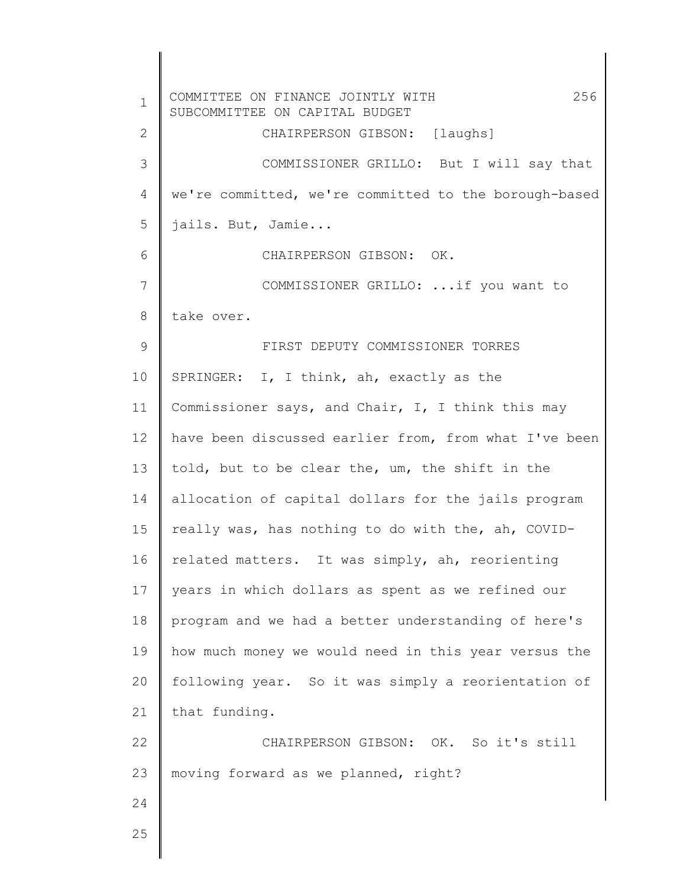1 2 3 4 5 6 7 8 9 10 11 12 13 14 15 16 17 18 19 20 21 22 23 24 25 COMMITTEE ON FINANCE JOINTLY WITH 256 SUBCOMMITTEE ON CAPITAL BUDGET CHAIRPERSON GIBSON: [laughs] COMMISSIONER GRILLO: But I will say that we're committed, we're committed to the borough-based jails. But, Jamie... CHAIRPERSON GIBSON: OK. COMMISSIONER GRILLO: ...if you want to take over. FIRST DEPUTY COMMISSIONER TORRES SPRINGER: I, I think, ah, exactly as the Commissioner says, and Chair, I, I think this may have been discussed earlier from, from what I've been told, but to be clear the, um, the shift in the allocation of capital dollars for the jails program really was, has nothing to do with the, ah, COVIDrelated matters. It was simply, ah, reorienting years in which dollars as spent as we refined our program and we had a better understanding of here's how much money we would need in this year versus the following year. So it was simply a reorientation of that funding. CHAIRPERSON GIBSON: OK. So it's still moving forward as we planned, right?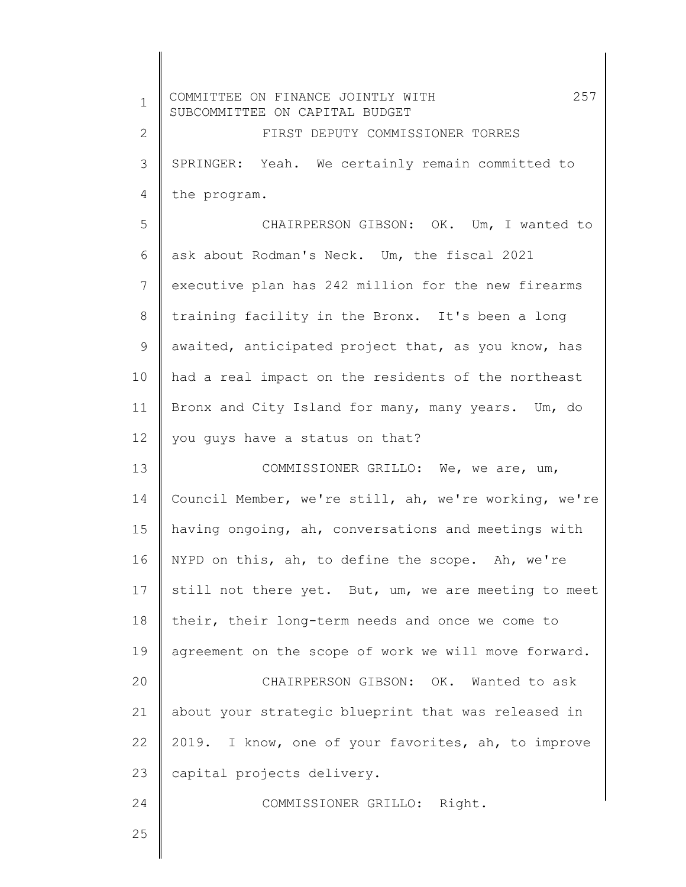| $\mathbf 1$    | 257<br>COMMITTEE ON FINANCE JOINTLY WITH                           |
|----------------|--------------------------------------------------------------------|
| $\mathbf{2}$   | SUBCOMMITTEE ON CAPITAL BUDGET<br>FIRST DEPUTY COMMISSIONER TORRES |
|                |                                                                    |
| 3              | SPRINGER: Yeah. We certainly remain committed to                   |
| 4              | the program.                                                       |
| 5              | CHAIRPERSON GIBSON: OK. Um, I wanted to                            |
| 6              | ask about Rodman's Neck. Um, the fiscal 2021                       |
| $7\phantom{.}$ | executive plan has 242 million for the new firearms                |
| 8              | training facility in the Bronx. It's been a long                   |
| 9              | awaited, anticipated project that, as you know, has                |
| 10             | had a real impact on the residents of the northeast                |
| 11             | Bronx and City Island for many, many years. Um, do                 |
| 12             | you guys have a status on that?                                    |
| 13             | COMMISSIONER GRILLO: We, we are, um,                               |
| 14             | Council Member, we're still, ah, we're working, we're              |
| 15             | having ongoing, ah, conversations and meetings with                |
| 16             | NYPD on this, ah, to define the scope. Ah, we're                   |
| 17             | still not there yet. But, um, we are meeting to meet               |
| 18             | their, their long-term needs and once we come to                   |
| 19             | agreement on the scope of work we will move forward.               |
| 20             | CHAIRPERSON GIBSON: OK. Wanted to ask                              |
| 21             | about your strategic blueprint that was released in                |
| 22             | 2019. I know, one of your favorites, ah, to improve                |
| 23             | capital projects delivery.                                         |
| 24             | COMMISSIONER GRILLO: Right.                                        |
| 25             |                                                                    |
|                |                                                                    |

 $\parallel$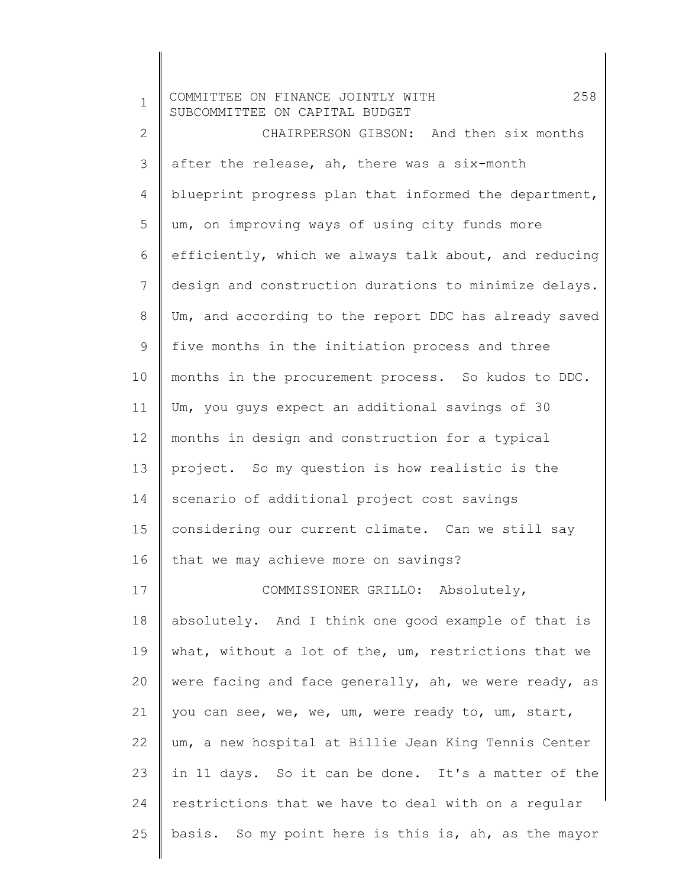| $\mathbf 1$  | 258<br>COMMITTEE ON FINANCE JOINTLY WITH<br>SUBCOMMITTEE ON CAPITAL BUDGET |
|--------------|----------------------------------------------------------------------------|
| $\mathbf{2}$ | CHAIRPERSON GIBSON: And then six months                                    |
| 3            | after the release, ah, there was a six-month                               |
| 4            | blueprint progress plan that informed the department,                      |
| 5            | um, on improving ways of using city funds more                             |
| 6            | efficiently, which we always talk about, and reducing                      |
| 7            | design and construction durations to minimize delays.                      |
| 8            | Um, and according to the report DDC has already saved                      |
| 9            | five months in the initiation process and three                            |
| 10           | months in the procurement process. So kudos to DDC.                        |
| 11           | Um, you guys expect an additional savings of 30                            |
| 12           | months in design and construction for a typical                            |
| 13           | project. So my question is how realistic is the                            |
| 14           | scenario of additional project cost savings                                |
| 15           | considering our current climate. Can we still say                          |
| 16           | that we may achieve more on savings?                                       |
| 17           | COMMISSIONER GRILLO: Absolutely,                                           |
| 18           | absolutely. And I think one good example of that is                        |
| 19           | what, without a lot of the, um, restrictions that we                       |
| 20           | were facing and face generally, ah, we were ready, as                      |
| 21           | you can see, we, we, um, were ready to, um, start,                         |
| 22           | um, a new hospital at Billie Jean King Tennis Center                       |
| 23           | in 11 days. So it can be done. It's a matter of the                        |
| 24           | restrictions that we have to deal with on a regular                        |
| 25           | basis. So my point here is this is, ah, as the mayor                       |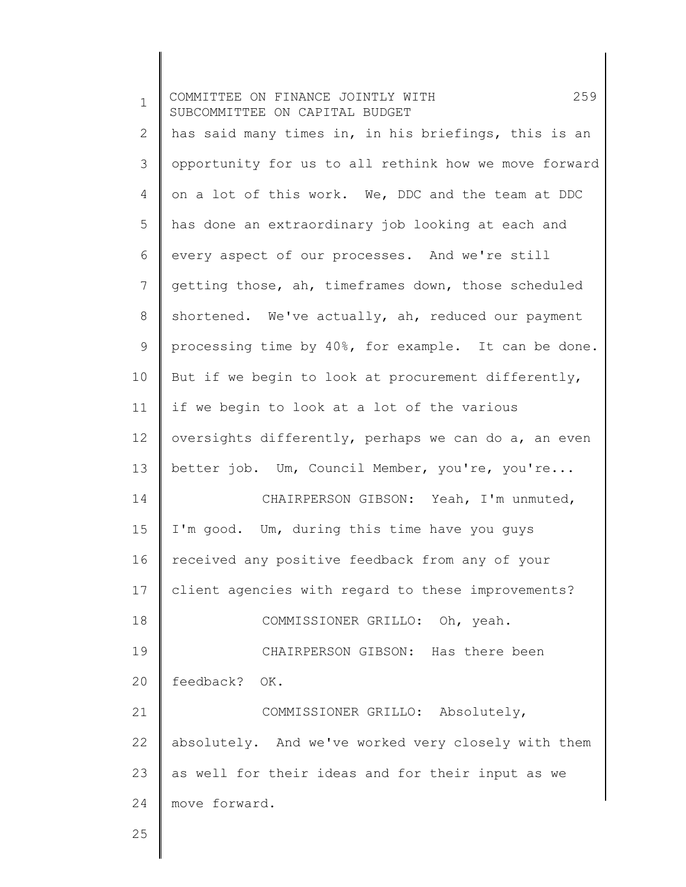1 2 3 4 5 6 7 8 9 10 11 12 13 14 15 16 17 18 19 20 21 22 23 24 25 COMMITTEE ON FINANCE JOINTLY WITH 259 SUBCOMMITTEE ON CAPITAL BUDGET has said many times in, in his briefings, this is an opportunity for us to all rethink how we move forward on a lot of this work. We, DDC and the team at DDC has done an extraordinary job looking at each and every aspect of our processes. And we're still getting those, ah, timeframes down, those scheduled shortened. We've actually, ah, reduced our payment processing time by 40%, for example. It can be done. But if we begin to look at procurement differently, if we begin to look at a lot of the various oversights differently, perhaps we can do a, an even better job. Um, Council Member, you're, you're... CHAIRPERSON GIBSON: Yeah, I'm unmuted, I'm good. Um, during this time have you guys received any positive feedback from any of your client agencies with regard to these improvements? COMMISSIONER GRILLO: Oh, yeah. CHAIRPERSON GIBSON: Has there been feedback? OK. COMMISSIONER GRILLO: Absolutely, absolutely. And we've worked very closely with them as well for their ideas and for their input as we move forward.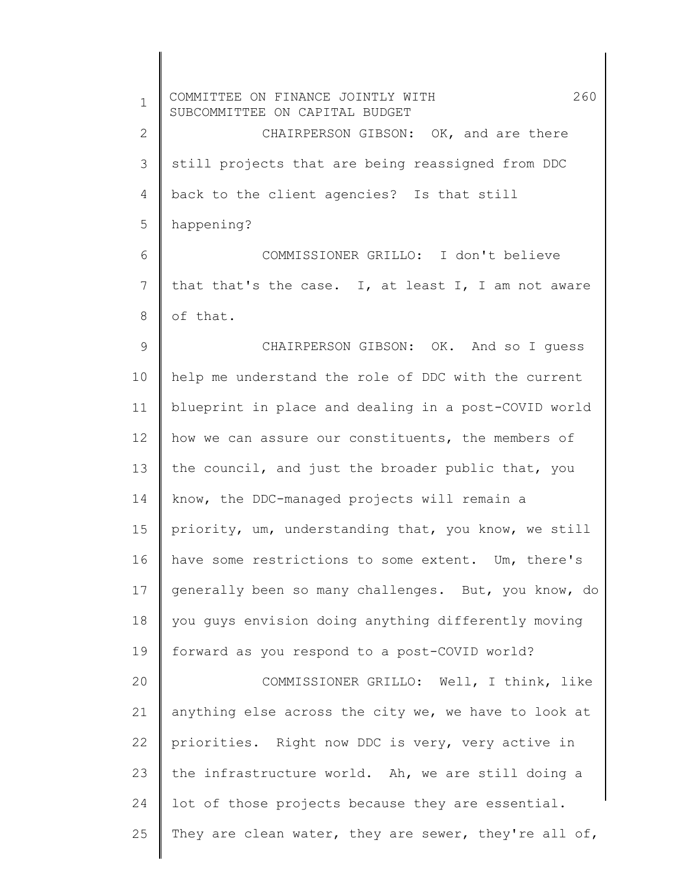| $\mathbf 1$  | 260<br>COMMITTEE ON FINANCE JOINTLY WITH<br>SUBCOMMITTEE ON CAPITAL BUDGET |
|--------------|----------------------------------------------------------------------------|
| $\mathbf{2}$ | CHAIRPERSON GIBSON: OK, and are there                                      |
| 3            | still projects that are being reassigned from DDC                          |
| 4            | back to the client agencies? Is that still                                 |
| 5            | happening?                                                                 |
| 6            | COMMISSIONER GRILLO: I don't believe                                       |
| 7            | that that's the case. I, at least I, I am not aware                        |
| 8            | of that.                                                                   |
| 9            | CHAIRPERSON GIBSON: OK. And so I quess                                     |
| 10           | help me understand the role of DDC with the current                        |
| 11           | blueprint in place and dealing in a post-COVID world                       |
| 12           | how we can assure our constituents, the members of                         |
| 13           | the council, and just the broader public that, you                         |
| 14           | know, the DDC-managed projects will remain a                               |
| 15           | priority, um, understanding that, you know, we still                       |
| 16           | have some restrictions to some extent. Um, there's                         |
| 17           | generally been so many challenges. But, you know, do                       |
| 18           | you guys envision doing anything differently moving                        |
| 19           | forward as you respond to a post-COVID world?                              |
| 20           | COMMISSIONER GRILLO: Well, I think, like                                   |
| 21           | anything else across the city we, we have to look at                       |
| 22           | priorities. Right now DDC is very, very active in                          |
| 23           | the infrastructure world. Ah, we are still doing a                         |
| 24           | lot of those projects because they are essential.                          |
| 25           | They are clean water, they are sewer, they're all of,                      |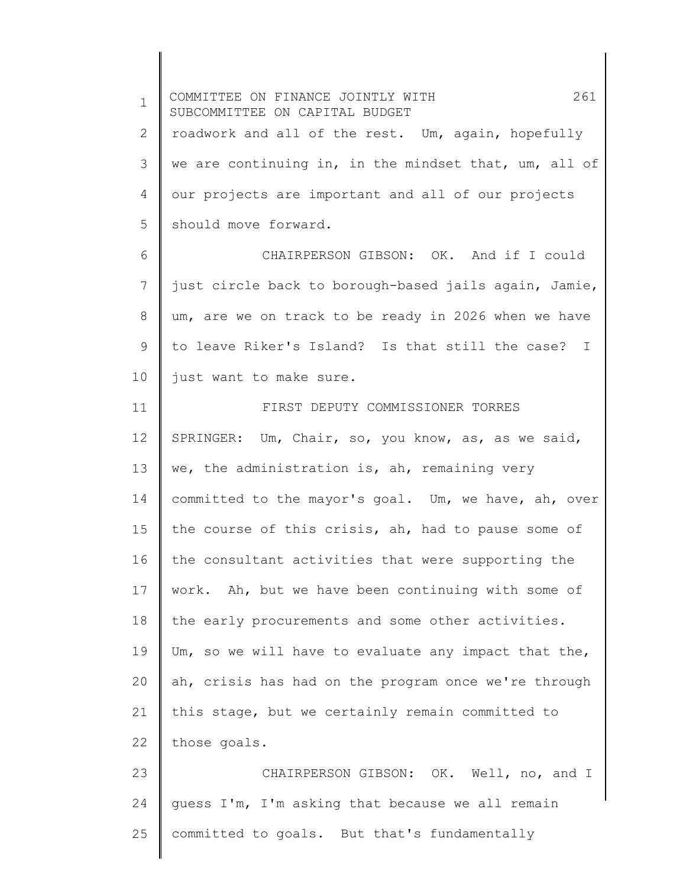1 2 3 4 5 6 7 8 9 10 11 12 13 14 15 16 17 18 19 20 21 22 23 24 25 COMMITTEE ON FINANCE JOINTLY WITH 261 SUBCOMMITTEE ON CAPITAL BUDGET roadwork and all of the rest. Um, again, hopefully we are continuing in, in the mindset that, um, all of our projects are important and all of our projects should move forward. CHAIRPERSON GIBSON: OK. And if I could just circle back to borough-based jails again, Jamie, um, are we on track to be ready in 2026 when we have to leave Riker's Island? Is that still the case? I just want to make sure. FIRST DEPUTY COMMISSIONER TORRES SPRINGER: Um, Chair, so, you know, as, as we said, we, the administration is, ah, remaining very committed to the mayor's goal. Um, we have, ah, over the course of this crisis, ah, had to pause some of the consultant activities that were supporting the work. Ah, but we have been continuing with some of the early procurements and some other activities. Um, so we will have to evaluate any impact that the, ah, crisis has had on the program once we're through this stage, but we certainly remain committed to those goals. CHAIRPERSON GIBSON: OK. Well, no, and I guess I'm, I'm asking that because we all remain committed to goals. But that's fundamentally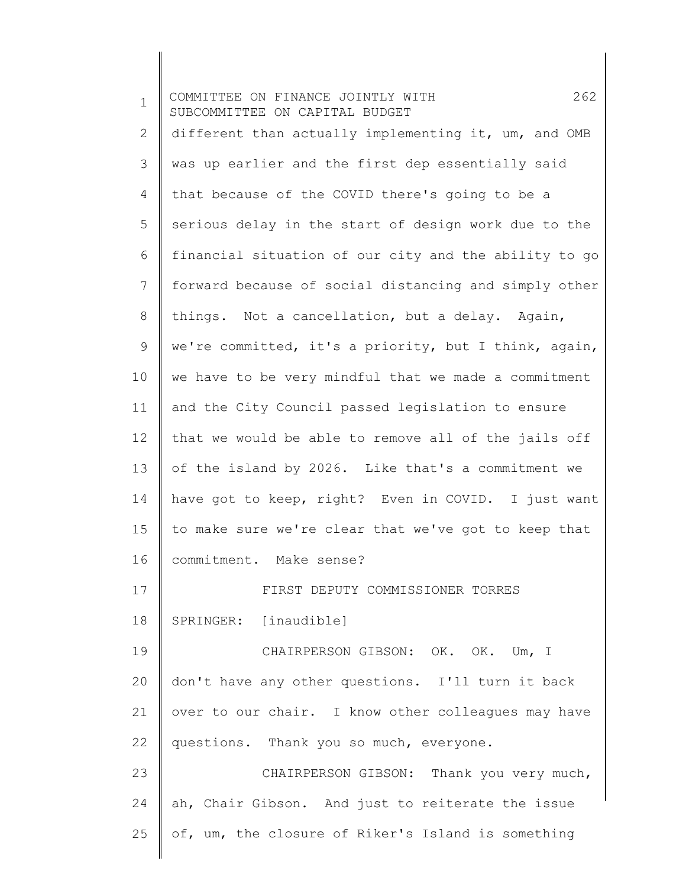1 2 3 4 5 6 7 8 9 10 11 12 13 14 15 16 17 18 19 20 21 22 23 24 25 COMMITTEE ON FINANCE JOINTLY WITH 262 SUBCOMMITTEE ON CAPITAL BUDGET different than actually implementing it, um, and OMB was up earlier and the first dep essentially said that because of the COVID there's going to be a serious delay in the start of design work due to the financial situation of our city and the ability to go forward because of social distancing and simply other things. Not a cancellation, but a delay. Again, we're committed, it's a priority, but I think, again, we have to be very mindful that we made a commitment and the City Council passed legislation to ensure that we would be able to remove all of the jails off of the island by 2026. Like that's a commitment we have got to keep, right? Even in COVID. I just want to make sure we're clear that we've got to keep that commitment. Make sense? FIRST DEPUTY COMMISSIONER TORRES SPRINGER: [inaudible] CHAIRPERSON GIBSON: OK. OK. Um, I don't have any other questions. I'll turn it back over to our chair. I know other colleagues may have questions. Thank you so much, everyone. CHAIRPERSON GIBSON: Thank you very much, ah, Chair Gibson. And just to reiterate the issue of, um, the closure of Riker's Island is something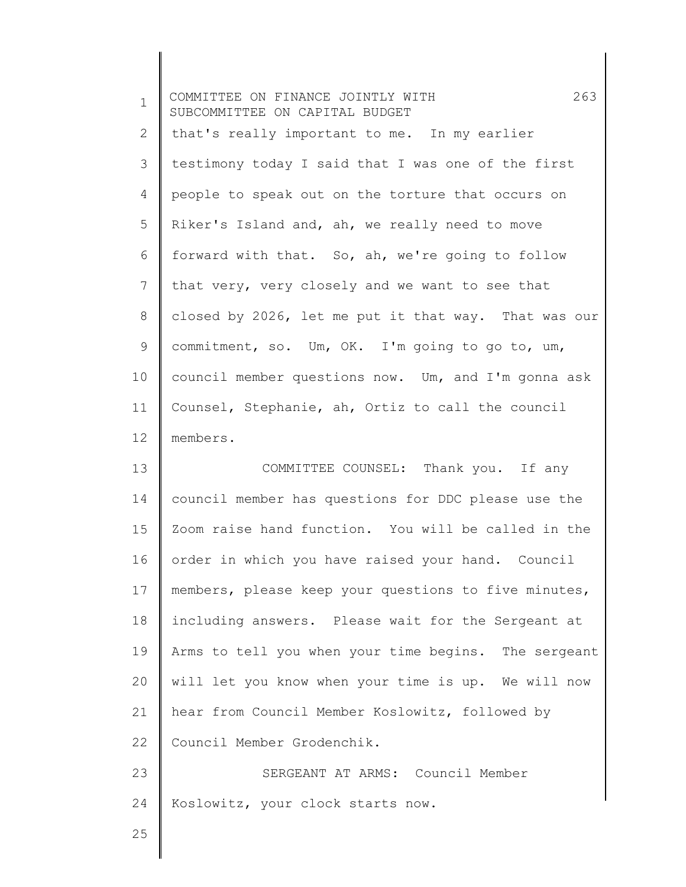| $\mathbf 1$  | 263<br>COMMITTEE ON FINANCE JOINTLY WITH<br>SUBCOMMITTEE ON CAPITAL BUDGET |
|--------------|----------------------------------------------------------------------------|
| $\mathbf{2}$ | that's really important to me. In my earlier                               |
| 3            | testimony today I said that I was one of the first                         |
| 4            | people to speak out on the torture that occurs on                          |
| 5            | Riker's Island and, ah, we really need to move                             |
| 6            | forward with that. So, ah, we're going to follow                           |
| 7            | that very, very closely and we want to see that                            |
| $8\,$        | closed by 2026, let me put it that way. That was our                       |
| 9            | commitment, so. Um, OK. I'm going to go to, um,                            |
| 10           | council member questions now. Um, and I'm gonna ask                        |
| 11           | Counsel, Stephanie, ah, Ortiz to call the council                          |
| 12           | members.                                                                   |
| 13           | COMMITTEE COUNSEL: Thank you. If any                                       |
| 14           | council member has questions for DDC please use the                        |
| 15           | Zoom raise hand function. You will be called in the                        |
| 16           | order in which you have raised your hand. Council                          |
| 17           | members, please keep your questions to five minutes,                       |
| 18           | including answers. Please wait for the Sergeant at                         |
| 19           | Arms to tell you when your time begins. The sergeant                       |
| 20           | will let you know when your time is up. We will now                        |
| 21           | hear from Council Member Koslowitz, followed by                            |
| 22           | Council Member Grodenchik.                                                 |
| 23           | SERGEANT AT ARMS: Council Member                                           |
| 24           | Koslowitz, your clock starts now.                                          |
| 25           |                                                                            |
|              |                                                                            |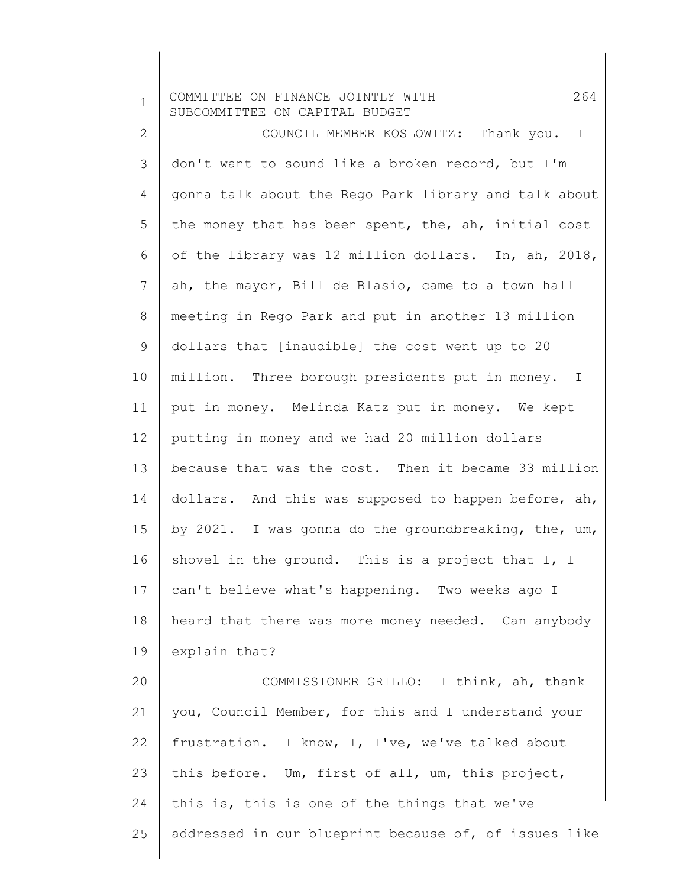| $\mathbf 1$  | 264<br>COMMITTEE ON FINANCE JOINTLY WITH<br>SUBCOMMITTEE ON CAPITAL BUDGET |
|--------------|----------------------------------------------------------------------------|
| $\mathbf{2}$ | COUNCIL MEMBER KOSLOWITZ: Thank you. I                                     |
| 3            | don't want to sound like a broken record, but I'm                          |
| 4            | gonna talk about the Rego Park library and talk about                      |
| 5            | the money that has been spent, the, ah, initial cost                       |
| 6            | of the library was 12 million dollars. In, ah, 2018,                       |
| 7            | ah, the mayor, Bill de Blasio, came to a town hall                         |
| 8            | meeting in Rego Park and put in another 13 million                         |
| 9            | dollars that [inaudible] the cost went up to 20                            |
| 10           | million. Three borough presidents put in money. I                          |
| 11           | put in money. Melinda Katz put in money. We kept                           |
| 12           | putting in money and we had 20 million dollars                             |
| 13           | because that was the cost. Then it became 33 million                       |
| 14           | dollars. And this was supposed to happen before, ah,                       |
| 15           | by 2021. I was gonna do the groundbreaking, the, um,                       |
| 16           | shovel in the ground. This is a project that I, I                          |
| 17           | can't believe what's happening. Two weeks ago I                            |
| 18           | heard that there was more money needed. Can anybody                        |
| 19           | explain that?                                                              |
| 20           | COMMISSIONER GRILLO: I think, ah, thank                                    |
| 21           | you, Council Member, for this and I understand your                        |
| 22           | frustration. I know, I, I've, we've talked about                           |
| 23           | this before. Um, first of all, um, this project,                           |
| 24           | this is, this is one of the things that we've                              |
| 25           | addressed in our blueprint because of, of issues like                      |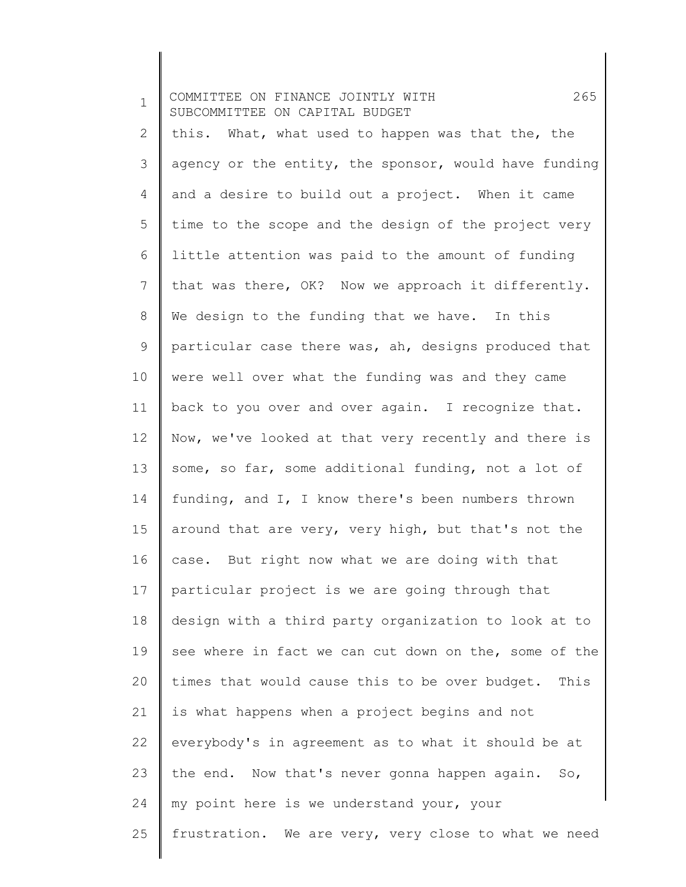1 2 3 4 5 6 7 8 9 10 11 12 13 14 15 16 17 18 19 20 21 22 23 24 25 COMMITTEE ON FINANCE JOINTLY WITH 265 SUBCOMMITTEE ON CAPITAL BUDGET this. What, what used to happen was that the, the agency or the entity, the sponsor, would have funding and a desire to build out a project. When it came time to the scope and the design of the project very little attention was paid to the amount of funding that was there, OK? Now we approach it differently. We design to the funding that we have. In this particular case there was, ah, designs produced that were well over what the funding was and they came back to you over and over again. I recognize that. Now, we've looked at that very recently and there is some, so far, some additional funding, not a lot of funding, and I, I know there's been numbers thrown around that are very, very high, but that's not the case. But right now what we are doing with that particular project is we are going through that design with a third party organization to look at to see where in fact we can cut down on the, some of the times that would cause this to be over budget. This is what happens when a project begins and not everybody's in agreement as to what it should be at the end. Now that's never gonna happen again. So, my point here is we understand your, your frustration. We are very, very close to what we need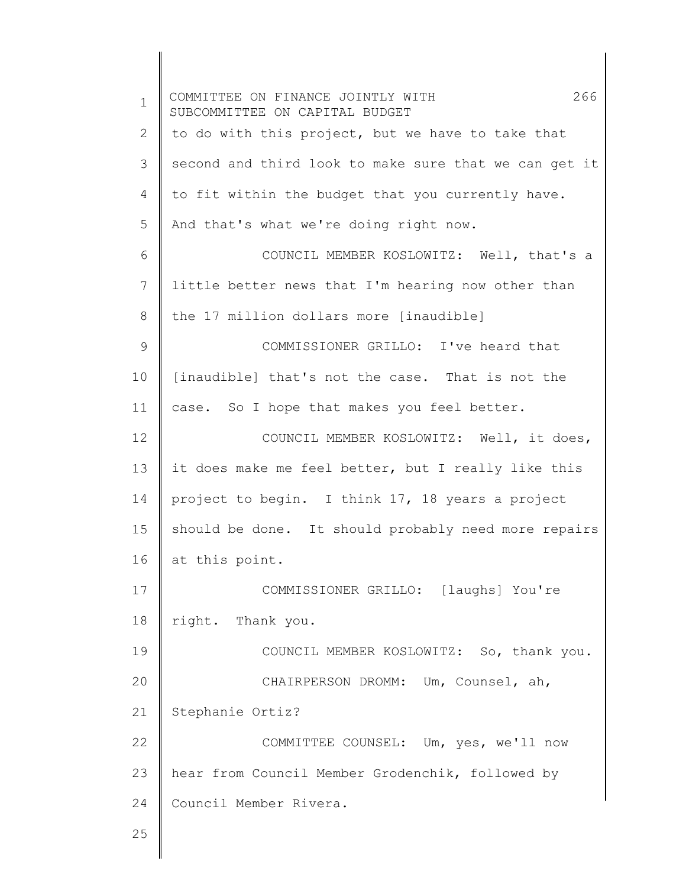| $\mathbf 1$   | 266<br>COMMITTEE ON FINANCE JOINTLY WITH<br>SUBCOMMITTEE ON CAPITAL BUDGET |
|---------------|----------------------------------------------------------------------------|
| 2             | to do with this project, but we have to take that                          |
| 3             | second and third look to make sure that we can get it                      |
| 4             | to fit within the budget that you currently have.                          |
| 5             | And that's what we're doing right now.                                     |
| 6             | COUNCIL MEMBER KOSLOWITZ: Well, that's a                                   |
| 7             | little better news that I'm hearing now other than                         |
| 8             | the 17 million dollars more [inaudible]                                    |
| $\mathcal{G}$ | COMMISSIONER GRILLO: I've heard that                                       |
| 10            | [inaudible] that's not the case. That is not the                           |
| 11            | case. So I hope that makes you feel better.                                |
| 12            | COUNCIL MEMBER KOSLOWITZ: Well, it does,                                   |
| 13            | it does make me feel better, but I really like this                        |
| 14            | project to begin. I think 17, 18 years a project                           |
| 15            | should be done. It should probably need more repairs                       |
| 16            | at this point.                                                             |
| 17            | COMMISSIONER GRILLO: [laughs] You're                                       |
| 18            | right. Thank you.                                                          |
| 19            | COUNCIL MEMBER KOSLOWITZ: So, thank you.                                   |
| 20            | CHAIRPERSON DROMM: Um, Counsel, ah,                                        |
| 21            | Stephanie Ortiz?                                                           |
| 22            | COMMITTEE COUNSEL: Um, yes, we'll now                                      |
| 23            | hear from Council Member Grodenchik, followed by                           |
| 24            | Council Member Rivera.                                                     |
| 25            |                                                                            |
|               |                                                                            |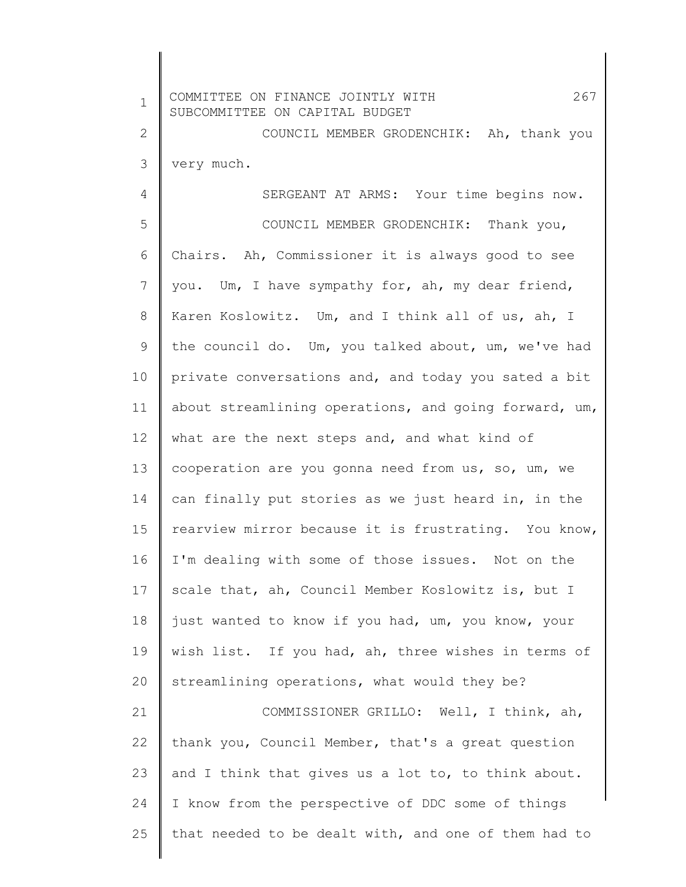| $\mathbf{1}$ | 267<br>COMMITTEE ON FINANCE JOINTLY WITH<br>SUBCOMMITTEE ON CAPITAL BUDGET |
|--------------|----------------------------------------------------------------------------|
| $\mathbf{2}$ | COUNCIL MEMBER GRODENCHIK: Ah, thank you                                   |
| 3            | very much.                                                                 |
| 4            | SERGEANT AT ARMS: Your time begins now.                                    |
| 5            | COUNCIL MEMBER GRODENCHIK: Thank you,                                      |
| 6            | Chairs. Ah, Commissioner it is always good to see                          |
| 7            | you. Um, I have sympathy for, ah, my dear friend,                          |
| 8            | Karen Koslowitz. Um, and I think all of us, ah, I                          |
| 9            | the council do. Um, you talked about, um, we've had                        |
| 10           | private conversations and, and today you sated a bit                       |
| 11           | about streamlining operations, and going forward, um,                      |
| 12           | what are the next steps and, and what kind of                              |
| 13           | cooperation are you gonna need from us, so, um, we                         |
| 14           | can finally put stories as we just heard in, in the                        |
| 15           | rearview mirror because it is frustrating. You know,                       |
| 16           | I'm dealing with some of those issues. Not on the                          |
| 17           | scale that, ah, Council Member Koslowitz is, but I                         |
| 18           | just wanted to know if you had, um, you know, your                         |
| 19           | wish list. If you had, ah, three wishes in terms of                        |
| 20           | streamlining operations, what would they be?                               |
| 21           | COMMISSIONER GRILLO: Well, I think, ah,                                    |
| 22           | thank you, Council Member, that's a great question                         |
| 23           | and I think that gives us a lot to, to think about.                        |
| 24           | I know from the perspective of DDC some of things                          |
| 25           | that needed to be dealt with, and one of them had to                       |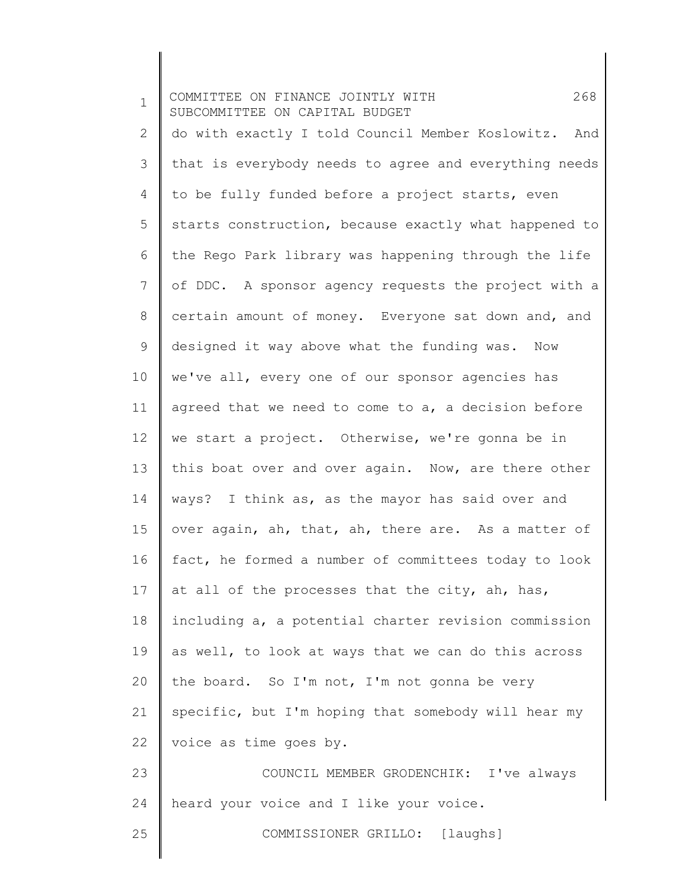1 2 3 4 5 6 7 8 9 10 11 12 13 14 15 16 17 18 19 20 21 22 23 24 25 COMMITTEE ON FINANCE JOINTLY WITH 268 SUBCOMMITTEE ON CAPITAL BUDGET do with exactly I told Council Member Koslowitz. And that is everybody needs to agree and everything needs to be fully funded before a project starts, even starts construction, because exactly what happened to the Rego Park library was happening through the life of DDC. A sponsor agency requests the project with a certain amount of money. Everyone sat down and, and designed it way above what the funding was. Now we've all, every one of our sponsor agencies has agreed that we need to come to a, a decision before we start a project. Otherwise, we're gonna be in this boat over and over again. Now, are there other ways? I think as, as the mayor has said over and over again, ah, that, ah, there are. As a matter of fact, he formed a number of committees today to look at all of the processes that the city, ah, has, including a, a potential charter revision commission as well, to look at ways that we can do this across the board. So I'm not, I'm not gonna be very specific, but I'm hoping that somebody will hear my voice as time goes by. COUNCIL MEMBER GRODENCHIK: I've always heard your voice and I like your voice. COMMISSIONER GRILLO: [laughs]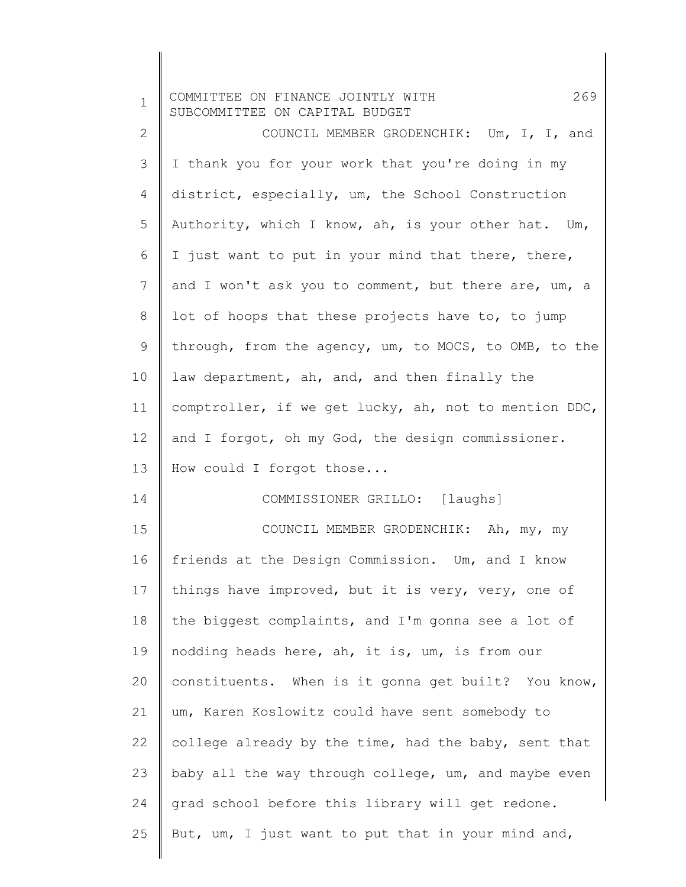| $\mathbf 1$  | 269<br>COMMITTEE ON FINANCE JOINTLY WITH<br>SUBCOMMITTEE ON CAPITAL BUDGET |
|--------------|----------------------------------------------------------------------------|
| $\mathbf{2}$ | COUNCIL MEMBER GRODENCHIK: Um, I, I, and                                   |
| 3            | I thank you for your work that you're doing in my                          |
| 4            | district, especially, um, the School Construction                          |
| 5            | Authority, which I know, ah, is your other hat. Um,                        |
| 6            | I just want to put in your mind that there, there,                         |
| 7            | and I won't ask you to comment, but there are, um, a                       |
| 8            | lot of hoops that these projects have to, to jump                          |
| 9            | through, from the agency, um, to MOCS, to OMB, to the                      |
| 10           | law department, ah, and, and then finally the                              |
| 11           | comptroller, if we get lucky, ah, not to mention DDC,                      |
| 12           | and I forgot, oh my God, the design commissioner.                          |
| 13           | How could I forgot those                                                   |
| 14           | COMMISSIONER GRILLO: [laughs]                                              |
| 15           | COUNCIL MEMBER GRODENCHIK: Ah, my, my                                      |
| 16           | friends at the Design Commission. Um, and I know                           |
| 17           | things have improved, but it is very, very, one of                         |
| 18           | the biggest complaints, and I'm gonna see a lot of                         |
| 19           | nodding heads here, ah, it is, um, is from our                             |
| 20           | constituents. When is it gonna get built? You know,                        |
| 21           | um, Karen Koslowitz could have sent somebody to                            |
| 22           | college already by the time, had the baby, sent that                       |
| 23           | baby all the way through college, um, and maybe even                       |
| 24           | grad school before this library will get redone.                           |
| 25           | But, um, I just want to put that in your mind and,                         |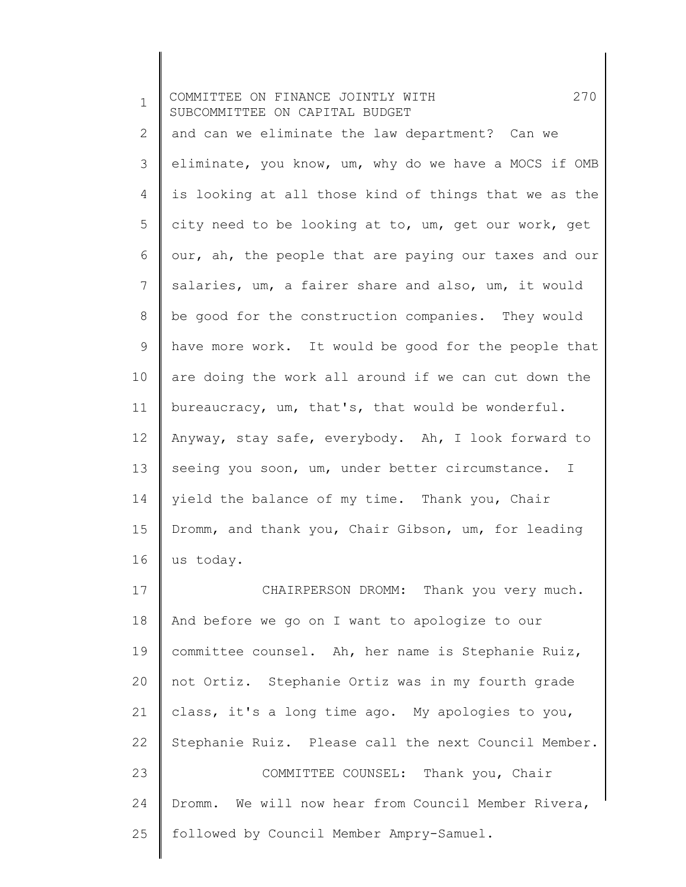| $\mathbf 1$     | 270<br>COMMITTEE ON FINANCE JOINTLY WITH<br>SUBCOMMITTEE ON CAPITAL BUDGET |
|-----------------|----------------------------------------------------------------------------|
| 2               | and can we eliminate the law department? Can we                            |
| 3               | eliminate, you know, um, why do we have a MOCS if OMB                      |
| 4               | is looking at all those kind of things that we as the                      |
| 5               | city need to be looking at to, um, get our work, get                       |
| 6               | our, ah, the people that are paying our taxes and our                      |
| $7\phantom{.0}$ | salaries, um, a fairer share and also, um, it would                        |
| 8               | be good for the construction companies. They would                         |
| 9               | have more work. It would be good for the people that                       |
| 10              | are doing the work all around if we can cut down the                       |
| 11              | bureaucracy, um, that's, that would be wonderful.                          |
| 12              | Anyway, stay safe, everybody. Ah, I look forward to                        |
| 13              | seeing you soon, um, under better circumstance.<br>I                       |
| 14              | yield the balance of my time. Thank you, Chair                             |
| 15              | Dromm, and thank you, Chair Gibson, um, for leading                        |
| 16              | us today.                                                                  |
| 17              | CHAIRPERSON DROMM: Thank you very much.                                    |
| 18              | And before we go on I want to apologize to our                             |
| 19              | committee counsel. Ah, her name is Stephanie Ruiz,                         |
| 20              | not Ortiz. Stephanie Ortiz was in my fourth grade                          |
| 21              | class, it's a long time ago. My apologies to you,                          |
| 22              | Stephanie Ruiz. Please call the next Council Member.                       |
| 23              | COMMITTEE COUNSEL: Thank you, Chair                                        |
| 24              | Dromm. We will now hear from Council Member Rivera,                        |
| 25              | followed by Council Member Ampry-Samuel.                                   |
|                 |                                                                            |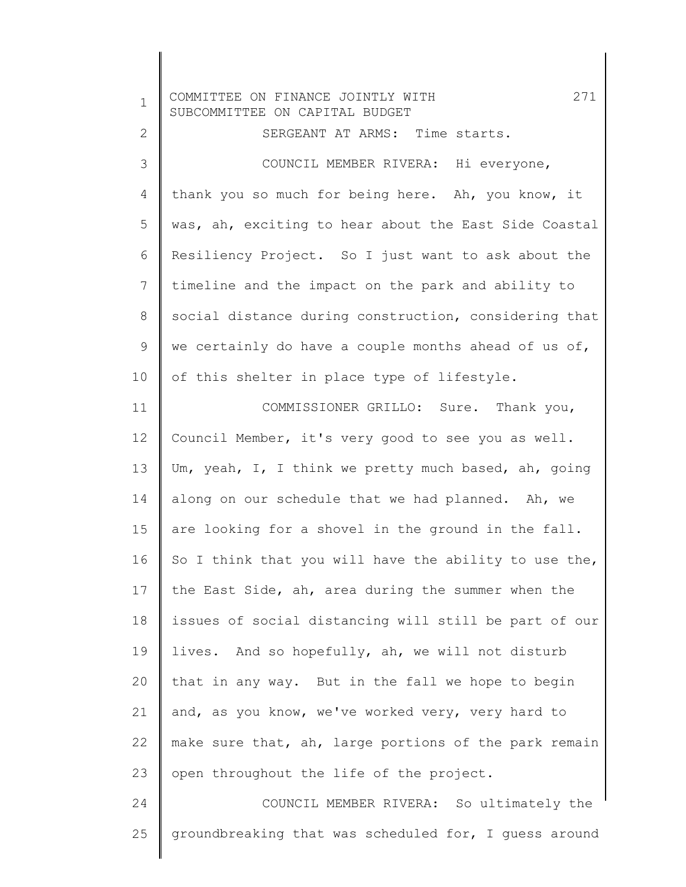| $\mathbf 1$  | 271<br>COMMITTEE ON FINANCE JOINTLY WITH<br>SUBCOMMITTEE ON CAPITAL BUDGET |
|--------------|----------------------------------------------------------------------------|
| $\mathbf{2}$ | SERGEANT AT ARMS: Time starts.                                             |
| 3            | COUNCIL MEMBER RIVERA: Hi everyone,                                        |
| 4            | thank you so much for being here. Ah, you know, it                         |
| 5            | was, ah, exciting to hear about the East Side Coastal                      |
| 6            | Resiliency Project. So I just want to ask about the                        |
| 7            | timeline and the impact on the park and ability to                         |
| 8            | social distance during construction, considering that                      |
| 9            | we certainly do have a couple months ahead of us of,                       |
| 10           | of this shelter in place type of lifestyle.                                |
| 11           | COMMISSIONER GRILLO: Sure. Thank you,                                      |
| 12           | Council Member, it's very good to see you as well.                         |
| 13           | Um, yeah, I, I think we pretty much based, ah, going                       |
| 14           | along on our schedule that we had planned. Ah, we                          |
| 15           | are looking for a shovel in the ground in the fall.                        |
| 16           | So I think that you will have the ability to use the,                      |
| 17           | the East Side, ah, area during the summer when the                         |
| 18           | issues of social distancing will still be part of our                      |
| 19           | lives. And so hopefully, ah, we will not disturb                           |
| 20           | that in any way. But in the fall we hope to begin                          |
| 21           | and, as you know, we've worked very, very hard to                          |
| 22           | make sure that, ah, large portions of the park remain                      |
| 23           | open throughout the life of the project.                                   |
| 24           | COUNCIL MEMBER RIVERA: So ultimately the                                   |
| 25           | groundbreaking that was scheduled for, I guess around                      |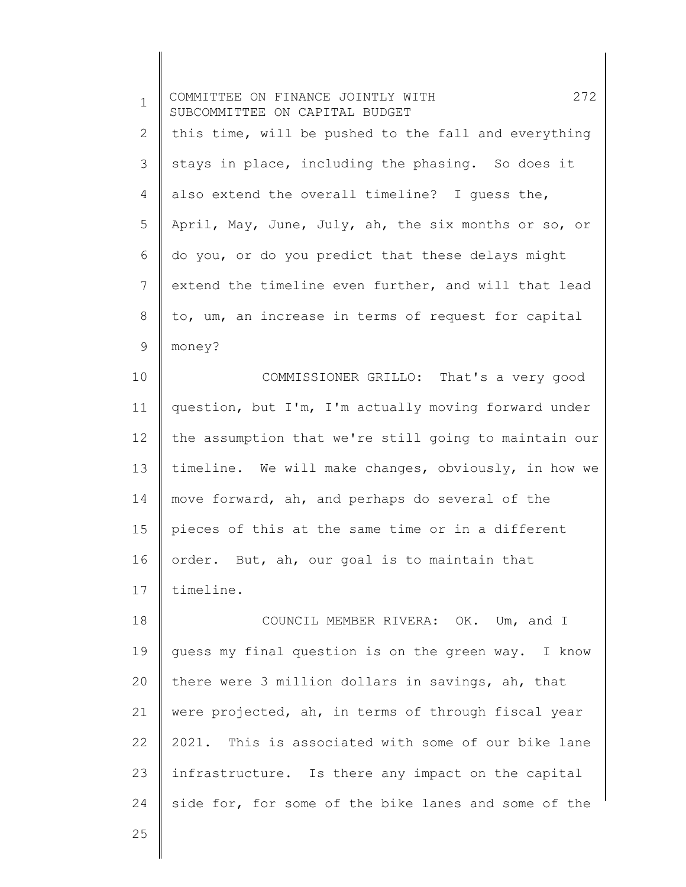| $\mathbf 1$     | 272<br>COMMITTEE ON FINANCE JOINTLY WITH<br>SUBCOMMITTEE ON CAPITAL BUDGET |
|-----------------|----------------------------------------------------------------------------|
| $\mathbf{2}$    | this time, will be pushed to the fall and everything                       |
| 3               | stays in place, including the phasing. So does it                          |
| 4               | also extend the overall timeline? I guess the,                             |
| 5               | April, May, June, July, ah, the six months or so, or                       |
| 6               | do you, or do you predict that these delays might                          |
| $7\phantom{.0}$ | extend the timeline even further, and will that lead                       |
| $\,8\,$         | to, um, an increase in terms of request for capital                        |
| $\mathsf 9$     | money?                                                                     |
| 10              | COMMISSIONER GRILLO: That's a very good                                    |
| 11              | question, but I'm, I'm actually moving forward under                       |
| 12              | the assumption that we're still going to maintain our                      |
| 13              | timeline. We will make changes, obviously, in how we                       |
| 14              | move forward, ah, and perhaps do several of the                            |
| 15              | pieces of this at the same time or in a different                          |
| 16              | order. But, ah, our goal is to maintain that                               |
| 17              | timeline.                                                                  |
| 18              | COUNCIL MEMBER RIVERA: OK. Um, and I                                       |
| 19              | quess my final question is on the green way. I know                        |
| 20              | there were 3 million dollars in savings, ah, that                          |
| 21              | were projected, ah, in terms of through fiscal year                        |
| 22              | 2021. This is associated with some of our bike lane                        |
| 23              | infrastructure. Is there any impact on the capital                         |
| 24              | side for, for some of the bike lanes and some of the                       |
| 25              |                                                                            |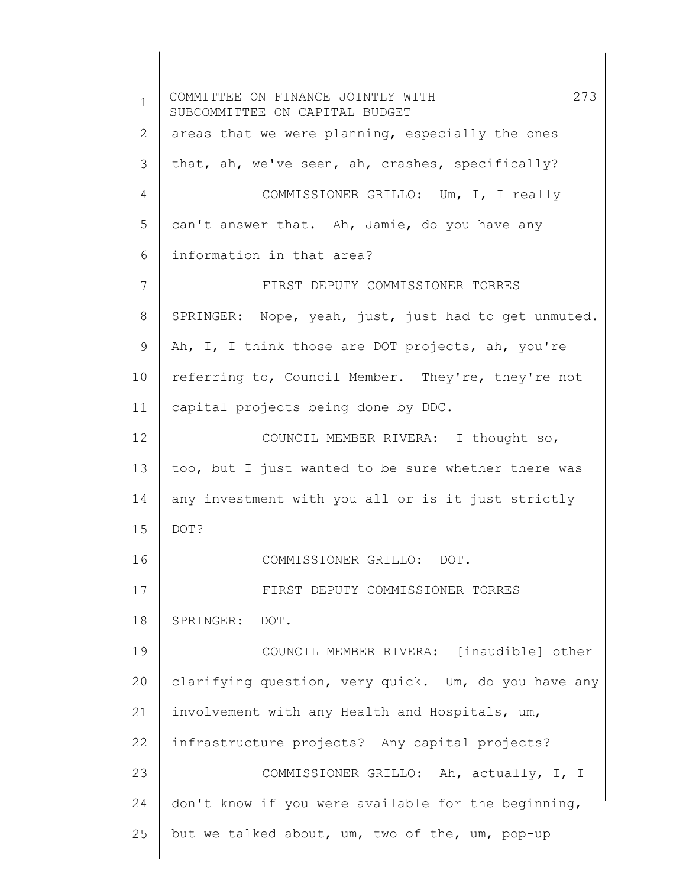1 2 3 4 5 6 7 8 9 10 11 12 13 14 15 16 17 18 19 20 21 22 23 24 25 COMMITTEE ON FINANCE JOINTLY WITH 273 SUBCOMMITTEE ON CAPITAL BUDGET areas that we were planning, especially the ones that, ah, we've seen, ah, crashes, specifically? COMMISSIONER GRILLO: Um, I, I really can't answer that. Ah, Jamie, do you have any information in that area? FIRST DEPUTY COMMISSIONER TORRES SPRINGER: Nope, yeah, just, just had to get unmuted. Ah, I, I think those are DOT projects, ah, you're referring to, Council Member. They're, they're not capital projects being done by DDC. COUNCIL MEMBER RIVERA: I thought so, too, but I just wanted to be sure whether there was any investment with you all or is it just strictly DOT? COMMISSIONER GRILLO: DOT. FIRST DEPUTY COMMISSIONER TORRES SPRINGER: DOT. COUNCIL MEMBER RIVERA: [inaudible] other clarifying question, very quick. Um, do you have any involvement with any Health and Hospitals, um, infrastructure projects? Any capital projects? COMMISSIONER GRILLO: Ah, actually, I, I don't know if you were available for the beginning, but we talked about, um, two of the, um, pop-up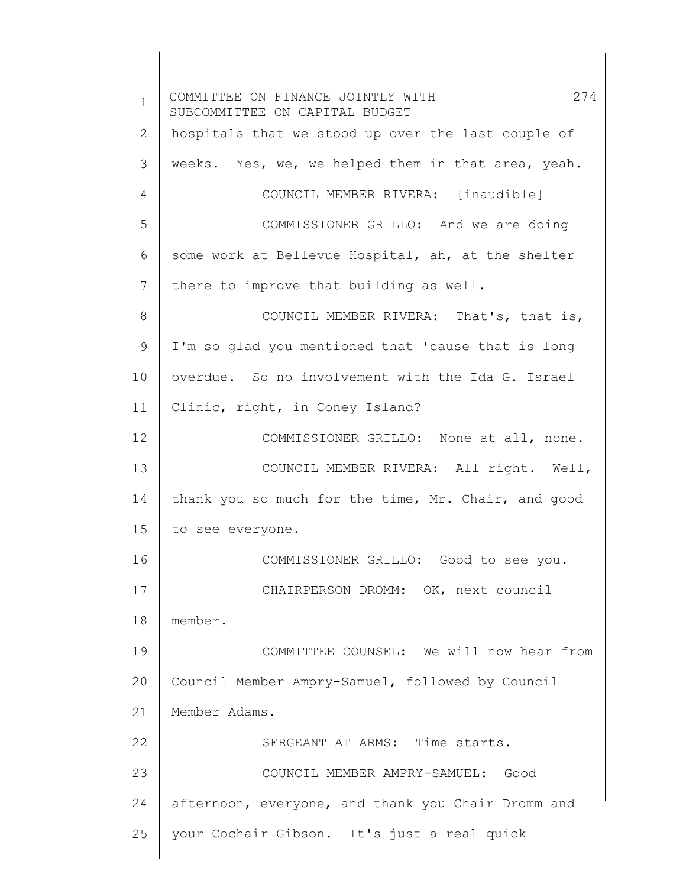1 2 3 4 5 6 7 8 9 10 11 12 13 14 15 16 17 18 19 20 21 22 23 24 25 COMMITTEE ON FINANCE JOINTLY WITH 274 SUBCOMMITTEE ON CAPITAL BUDGET hospitals that we stood up over the last couple of weeks. Yes, we, we helped them in that area, yeah. COUNCIL MEMBER RIVERA: [inaudible] COMMISSIONER GRILLO: And we are doing some work at Bellevue Hospital, ah, at the shelter there to improve that building as well. COUNCIL MEMBER RIVERA: That's, that is, I'm so glad you mentioned that 'cause that is long overdue. So no involvement with the Ida G. Israel Clinic, right, in Coney Island? COMMISSIONER GRILLO: None at all, none. COUNCIL MEMBER RIVERA: All right. Well, thank you so much for the time, Mr. Chair, and good to see everyone. COMMISSIONER GRILLO: Good to see you. CHAIRPERSON DROMM: OK, next council member. COMMITTEE COUNSEL: We will now hear from Council Member Ampry-Samuel, followed by Council Member Adams. SERGEANT AT ARMS: Time starts. COUNCIL MEMBER AMPRY-SAMUEL: Good afternoon, everyone, and thank you Chair Dromm and your Cochair Gibson. It's just a real quick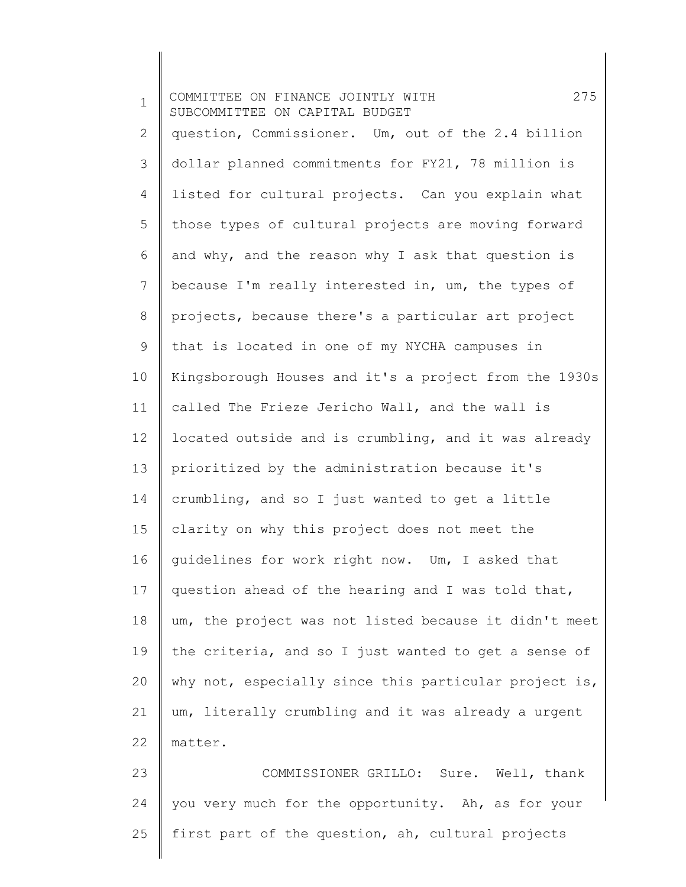| $\mathbf 1$ | 275<br>COMMITTEE ON FINANCE JOINTLY WITH<br>SUBCOMMITTEE ON CAPITAL BUDGET |
|-------------|----------------------------------------------------------------------------|
| 2           | question, Commissioner. Um, out of the 2.4 billion                         |
| 3           | dollar planned commitments for FY21, 78 million is                         |
| 4           | listed for cultural projects. Can you explain what                         |
| 5           | those types of cultural projects are moving forward                        |
| 6           | and why, and the reason why I ask that question is                         |
| 7           | because I'm really interested in, um, the types of                         |
| 8           | projects, because there's a particular art project                         |
| $\mathsf 9$ | that is located in one of my NYCHA campuses in                             |
| 10          | Kingsborough Houses and it's a project from the 1930s                      |
| 11          | called The Frieze Jericho Wall, and the wall is                            |
| 12          | located outside and is crumbling, and it was already                       |
| 13          | prioritized by the administration because it's                             |
| 14          | crumbling, and so I just wanted to get a little                            |
| 15          | clarity on why this project does not meet the                              |
| 16          | guidelines for work right now. Um, I asked that                            |
| 17          | question ahead of the hearing and I was told that,                         |
| 18          | um, the project was not listed because it didn't meet                      |
| 19          | the criteria, and so I just wanted to get a sense of                       |
| 20          | why not, especially since this particular project is,                      |
| 21          | um, literally crumbling and it was already a urgent                        |
| 22          | matter.                                                                    |
| 23          | COMMISSIONER GRILLO: Sure. Well, thank                                     |
| 24          | you very much for the opportunity. Ah, as for your                         |
| 25          | first part of the question, ah, cultural projects                          |

 $\parallel$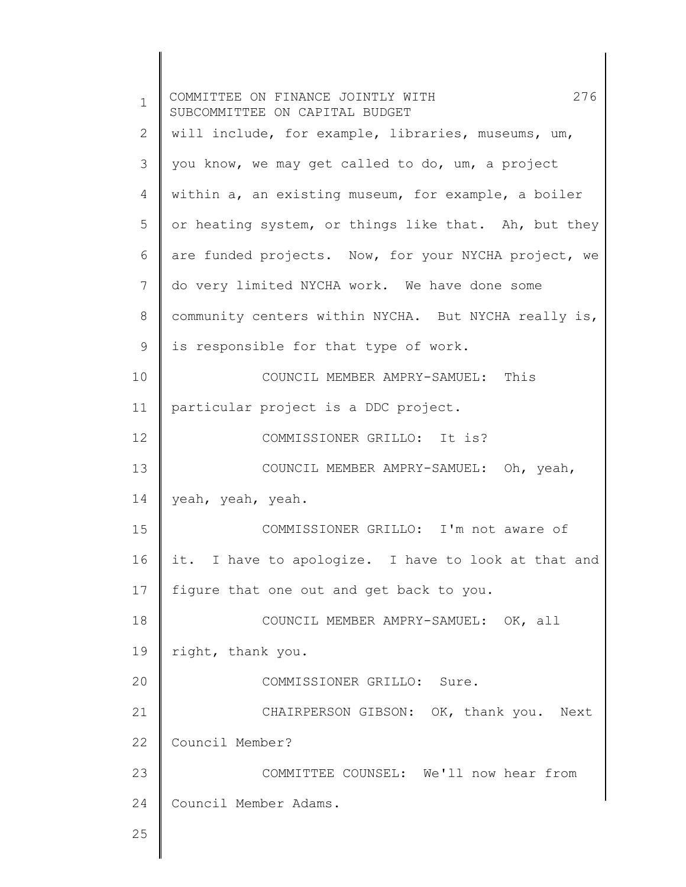| $\mathbf{1}$ | 276<br>COMMITTEE ON FINANCE JOINTLY WITH<br>SUBCOMMITTEE ON CAPITAL BUDGET |
|--------------|----------------------------------------------------------------------------|
| 2            | will include, for example, libraries, museums, um,                         |
| 3            | you know, we may get called to do, um, a project                           |
| 4            | within a, an existing museum, for example, a boiler                        |
| 5            | or heating system, or things like that. Ah, but they                       |
| 6            | are funded projects. Now, for your NYCHA project, we                       |
| 7            | do very limited NYCHA work. We have done some                              |
| 8            | community centers within NYCHA. But NYCHA really is,                       |
| 9            | is responsible for that type of work.                                      |
| 10           | COUNCIL MEMBER AMPRY-SAMUEL: This                                          |
| 11           | particular project is a DDC project.                                       |
| 12           | COMMISSIONER GRILLO: It is?                                                |
| 13           | COUNCIL MEMBER AMPRY-SAMUEL: Oh, yeah,                                     |
| 14           | yeah, yeah, yeah.                                                          |
| 15           | COMMISSIONER GRILLO: I'm not aware of                                      |
| 16           | it. I have to apologize. I have to look at that and                        |
| 17           | fiqure that one out and get back to you.                                   |
| 18           | COUNCIL MEMBER AMPRY-SAMUEL: OK, all                                       |
| 19           | right, thank you.                                                          |
| 20           | COMMISSIONER GRILLO: Sure.                                                 |
| 21           | CHAIRPERSON GIBSON: OK, thank you. Next                                    |
| 22           | Council Member?                                                            |
| 23           | COMMITTEE COUNSEL: We'll now hear from                                     |
| 24           | Council Member Adams.                                                      |
| 25           |                                                                            |
|              |                                                                            |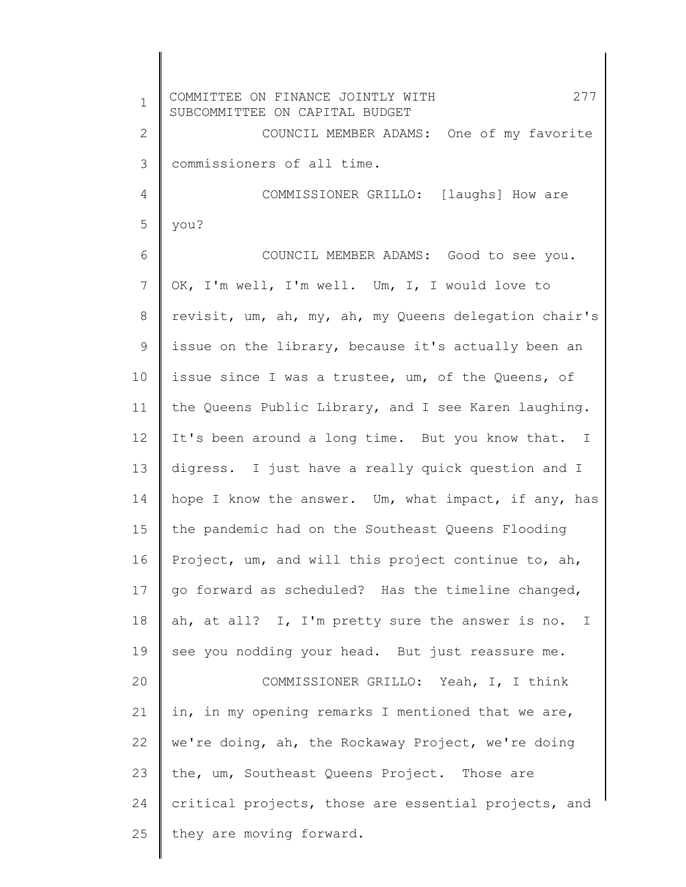| $\mathbf 1$  | 277<br>COMMITTEE ON FINANCE JOINTLY WITH<br>SUBCOMMITTEE ON CAPITAL BUDGET |
|--------------|----------------------------------------------------------------------------|
| $\mathbf{2}$ | COUNCIL MEMBER ADAMS: One of my favorite                                   |
| 3            | commissioners of all time.                                                 |
| 4            | COMMISSIONER GRILLO: [laughs] How are                                      |
| 5            | you?                                                                       |
| 6            | COUNCIL MEMBER ADAMS: Good to see you.                                     |
| 7            | OK, I'm well, I'm well. Um, I, I would love to                             |
| 8            | revisit, um, ah, my, ah, my Queens delegation chair's                      |
| 9            | issue on the library, because it's actually been an                        |
| 10           | issue since I was a trustee, um, of the Queens, of                         |
| 11           | the Queens Public Library, and I see Karen laughing.                       |
| $12 \,$      | It's been around a long time. But you know that. I                         |
| 13           | digress. I just have a really quick question and I                         |
| 14           | hope I know the answer. Um, what impact, if any, has                       |
| 15           | the pandemic had on the Southeast Queens Flooding                          |
| 16           | Project, um, and will this project continue to, ah,                        |
| 17           | go forward as scheduled? Has the timeline changed,                         |
| 18           | ah, at all? I, I'm pretty sure the answer is no. I                         |
| 19           | see you nodding your head. But just reassure me.                           |
| 20           | COMMISSIONER GRILLO: Yeah, I, I think                                      |
| 21           | in, in my opening remarks I mentioned that we are,                         |
| 22           | we're doing, ah, the Rockaway Project, we're doing                         |
| 23           | the, um, Southeast Queens Project. Those are                               |
| 24           | critical projects, those are essential projects, and                       |
| 25           | they are moving forward.                                                   |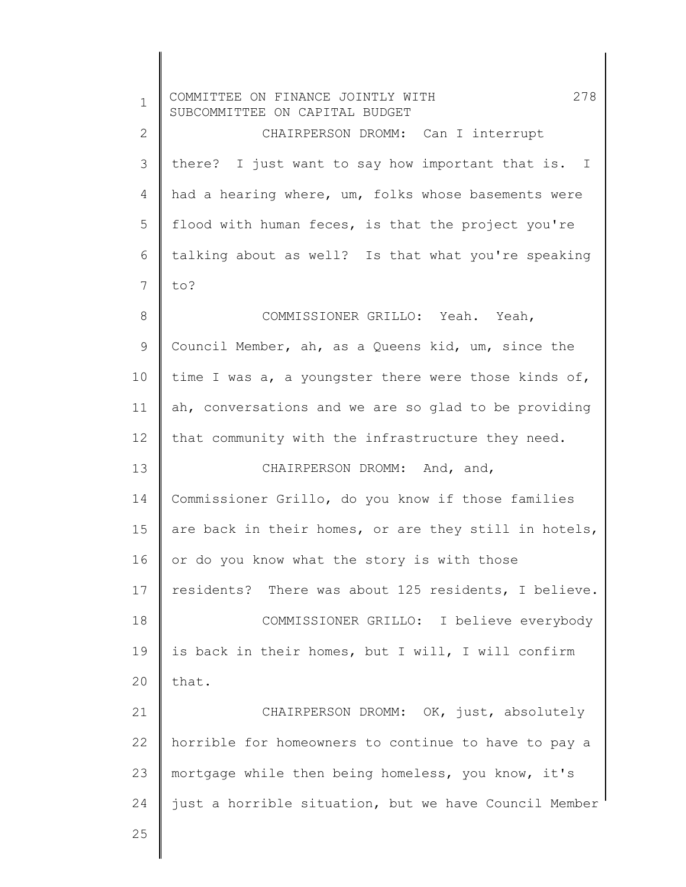| $\mathbf 1$ | 278<br>COMMITTEE ON FINANCE JOINTLY WITH<br>SUBCOMMITTEE ON CAPITAL BUDGET |
|-------------|----------------------------------------------------------------------------|
| 2           | CHAIRPERSON DROMM: Can I interrupt                                         |
| 3           | there? I just want to say how important that is. I                         |
| 4           | had a hearing where, um, folks whose basements were                        |
| 5           | flood with human feces, is that the project you're                         |
| 6           | talking about as well? Is that what you're speaking                        |
| 7           | to?                                                                        |
| 8           | COMMISSIONER GRILLO: Yeah. Yeah,                                           |
| 9           | Council Member, ah, as a Queens kid, um, since the                         |
| 10          | time I was a, a youngster there were those kinds of,                       |
| 11          | ah, conversations and we are so glad to be providing                       |
| 12          | that community with the infrastructure they need.                          |
| 13          | CHAIRPERSON DROMM: And, and,                                               |
| 14          | Commissioner Grillo, do you know if those families                         |
| 15          | are back in their homes, or are they still in hotels,                      |
| 16          | or do you know what the story is with those                                |
| 17          | residents? There was about 125 residents, I believe.                       |
| 18          | COMMISSIONER GRILLO: I believe everybody                                   |
| 19          | is back in their homes, but I will, I will confirm                         |
| 20          | that.                                                                      |
| 21          | CHAIRPERSON DROMM: OK, just, absolutely                                    |
| 22          | horrible for homeowners to continue to have to pay a                       |
| 23          | mortgage while then being homeless, you know, it's                         |
| 24          | just a horrible situation, but we have Council Member                      |
| 25          |                                                                            |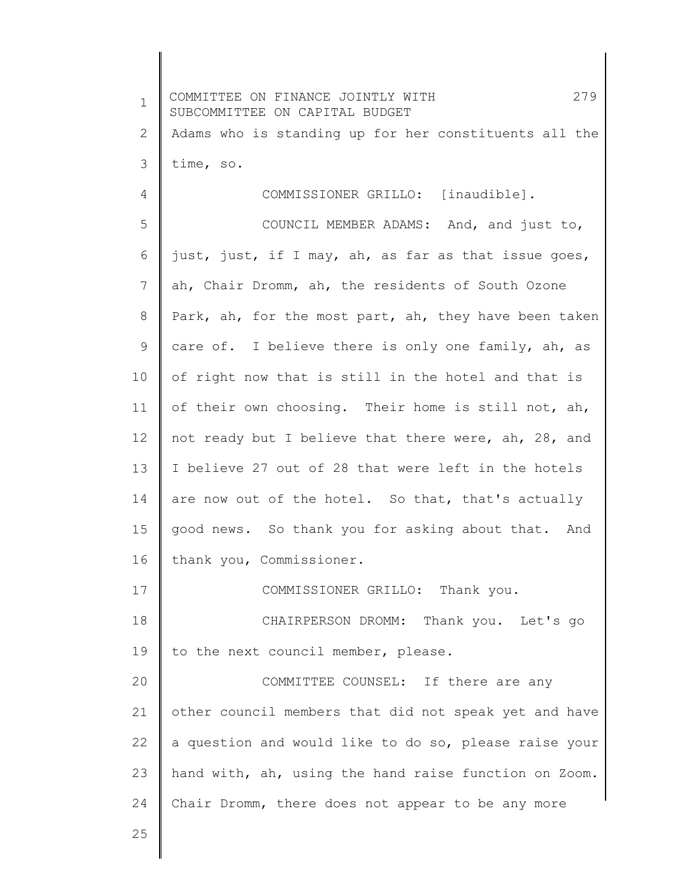| $\mathbf 1$ | 279<br>COMMITTEE ON FINANCE JOINTLY WITH<br>SUBCOMMITTEE ON CAPITAL BUDGET |
|-------------|----------------------------------------------------------------------------|
| 2           | Adams who is standing up for her constituents all the                      |
| 3           | time, so.                                                                  |
| 4           | COMMISSIONER GRILLO: [inaudible].                                          |
| 5           | COUNCIL MEMBER ADAMS: And, and just to,                                    |
| 6           | just, just, if I may, ah, as far as that issue goes,                       |
| 7           | ah, Chair Dromm, ah, the residents of South Ozone                          |
| 8           | Park, ah, for the most part, ah, they have been taken                      |
| 9           | care of. I believe there is only one family, ah, as                        |
| 10          | of right now that is still in the hotel and that is                        |
| 11          | of their own choosing. Their home is still not, ah,                        |
| 12          | not ready but I believe that there were, ah, 28, and                       |
| 13          | I believe 27 out of 28 that were left in the hotels                        |
| 14          | are now out of the hotel. So that, that's actually                         |
| 15          | good news. So thank you for asking about that. And                         |
| 16          | thank you, Commissioner.                                                   |
| 17          | COMMISSIONER GRILLO: Thank you.                                            |
| 18          | CHAIRPERSON DROMM: Thank you. Let's go                                     |
| 19          | to the next council member, please.                                        |
| 20          | COMMITTEE COUNSEL: If there are any                                        |
| 21          | other council members that did not speak yet and have                      |
| 22          | a question and would like to do so, please raise your                      |
| 23          | hand with, ah, using the hand raise function on Zoom.                      |
| 24          | Chair Dromm, there does not appear to be any more                          |
| 25          |                                                                            |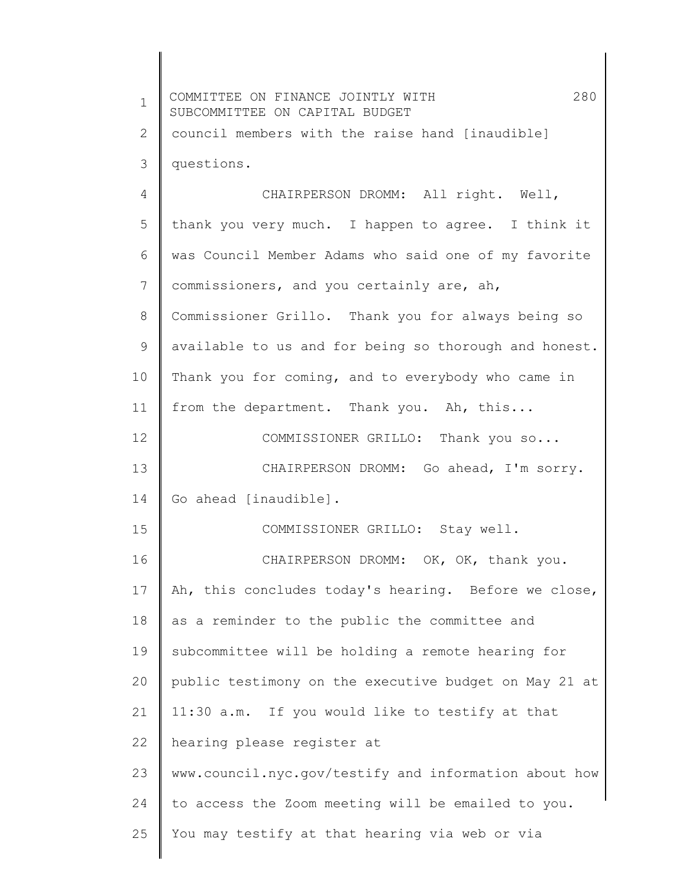| $\mathbf 1$  | 280<br>COMMITTEE ON FINANCE JOINTLY WITH<br>SUBCOMMITTEE ON CAPITAL BUDGET |
|--------------|----------------------------------------------------------------------------|
| $\mathbf{2}$ | council members with the raise hand [inaudible]                            |
| 3            | questions.                                                                 |
| 4            | CHAIRPERSON DROMM: All right. Well,                                        |
| 5            | thank you very much. I happen to agree. I think it                         |
| 6            | was Council Member Adams who said one of my favorite                       |
| 7            | commissioners, and you certainly are, ah,                                  |
| 8            | Commissioner Grillo. Thank you for always being so                         |
| 9            | available to us and for being so thorough and honest.                      |
| 10           | Thank you for coming, and to everybody who came in                         |
| 11           | from the department. Thank you. Ah, this                                   |
| 12           | COMMISSIONER GRILLO: Thank you so                                          |
| 13           | CHAIRPERSON DROMM: Go ahead, I'm sorry.                                    |
| 14           | Go ahead [inaudible].                                                      |
| 15           | COMMISSIONER GRILLO: Stay well.                                            |
| 16           | CHAIRPERSON DROMM: OK, OK, thank you.                                      |
| 17           | Ah, this concludes today's hearing. Before we close,                       |
| 18           | as a reminder to the public the committee and                              |
| 19           | subcommittee will be holding a remote hearing for                          |
| 20           | public testimony on the executive budget on May 21 at                      |
| 21           | 11:30 a.m. If you would like to testify at that                            |
| 22           | hearing please register at                                                 |
| 23           | www.council.nyc.gov/testify and information about how                      |
| 24           | to access the Zoom meeting will be emailed to you.                         |
| 25           | You may testify at that hearing via web or via                             |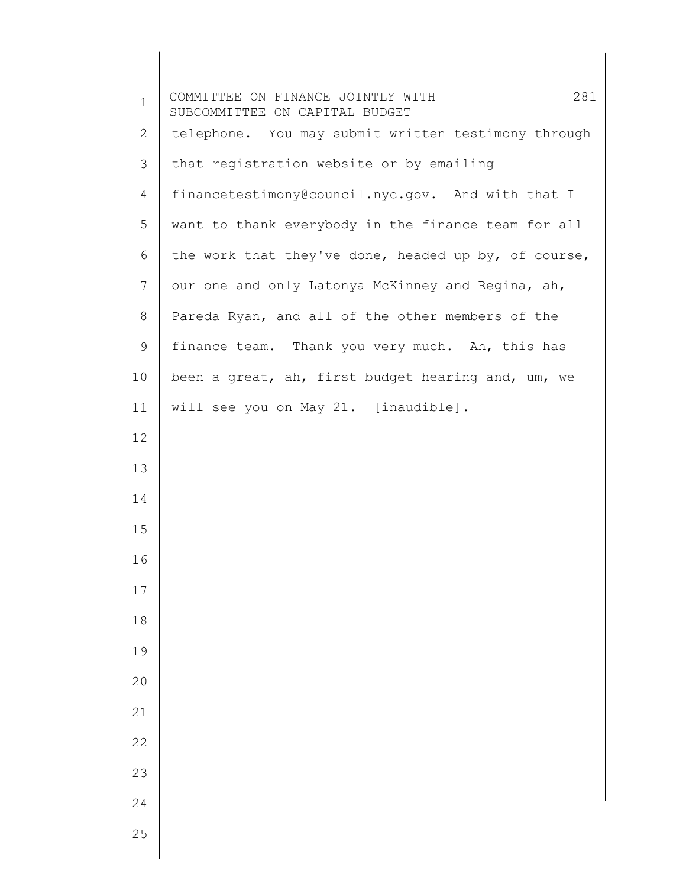| $\mathbf 1$  | 281<br>COMMITTEE ON FINANCE JOINTLY WITH<br>SUBCOMMITTEE ON CAPITAL BUDGET |
|--------------|----------------------------------------------------------------------------|
| $\mathbf{2}$ | telephone. You may submit written testimony through                        |
| 3            | that registration website or by emailing                                   |
| 4            | financetestimony@council.nyc.gov. And with that I                          |
| 5            | want to thank everybody in the finance team for all                        |
| 6            | the work that they've done, headed up by, of course,                       |
| 7            | our one and only Latonya McKinney and Regina, ah,                          |
| 8            | Pareda Ryan, and all of the other members of the                           |
| 9            | finance team. Thank you very much. Ah, this has                            |
| 10           | been a great, ah, first budget hearing and, um, we                         |
| 11           | will see you on May 21. [inaudible].                                       |
| 12           |                                                                            |
| 13           |                                                                            |
| 14           |                                                                            |
| 15           |                                                                            |
| 16           |                                                                            |
| 17           |                                                                            |
| 18           |                                                                            |
| 19           |                                                                            |
| 20           |                                                                            |
| 21           |                                                                            |
| 22           |                                                                            |
| 23           |                                                                            |
| 24           |                                                                            |
| 25           |                                                                            |
|              |                                                                            |